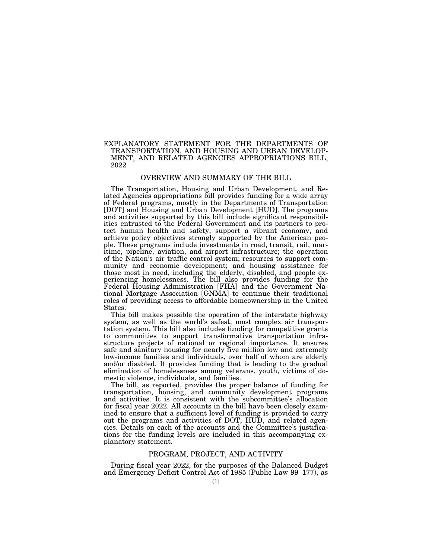# EXPLANATORY STATEMENT FOR THE DEPARTMENTS OF TRANSPORTATION, AND HOUSING AND URBAN DEVELOP-MENT, AND RELATED AGENCIES APPROPRIATIONS BILL, 2022

# OVERVIEW AND SUMMARY OF THE BILL

The Transportation, Housing and Urban Development, and Related Agencies appropriations bill provides funding for a wide array of Federal programs, mostly in the Departments of Transportation [DOT] and Housing and Urban Development [HUD]. The programs and activities supported by this bill include significant responsibilities entrusted to the Federal Government and its partners to protect human health and safety, support a vibrant economy, and achieve policy objectives strongly supported by the American people. These programs include investments in road, transit, rail, maritime, pipeline, aviation, and airport infrastructure; the operation of the Nation's air traffic control system; resources to support community and economic development; and housing assistance for those most in need, including the elderly, disabled, and people experiencing homelessness. The bill also provides funding for the Federal Housing Administration [FHA] and the Government National Mortgage Association [GNMA] to continue their traditional roles of providing access to affordable homeownership in the United States.

This bill makes possible the operation of the interstate highway system, as well as the world's safest, most complex air transportation system. This bill also includes funding for competitive grants to communities to support transformative transportation infrastructure projects of national or regional importance. It ensures safe and sanitary housing for nearly five million low and extremely low-income families and individuals, over half of whom are elderly and/or disabled. It provides funding that is leading to the gradual elimination of homelessness among veterans, youth, victims of domestic violence, individuals, and families.

The bill, as reported, provides the proper balance of funding for transportation, housing, and community development programs and activities. It is consistent with the subcommittee's allocation for fiscal year 2022. All accounts in the bill have been closely examined to ensure that a sufficient level of funding is provided to carry out the programs and activities of DOT, HUD, and related agencies. Details on each of the accounts and the Committee's justifications for the funding levels are included in this accompanying explanatory statement.

## PROGRAM, PROJECT, AND ACTIVITY

During fiscal year 2022, for the purposes of the Balanced Budget and Emergency Deficit Control Act of 1985 (Public Law 99–177), as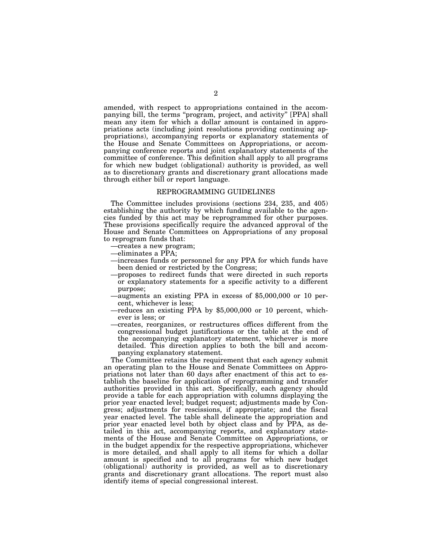amended, with respect to appropriations contained in the accompanying bill, the terms ''program, project, and activity'' [PPA] shall mean any item for which a dollar amount is contained in appropriations acts (including joint resolutions providing continuing appropriations), accompanying reports or explanatory statements of the House and Senate Committees on Appropriations, or accompanying conference reports and joint explanatory statements of the committee of conference. This definition shall apply to all programs for which new budget (obligational) authority is provided, as well as to discretionary grants and discretionary grant allocations made through either bill or report language.

## REPROGRAMMING GUIDELINES

The Committee includes provisions (sections 234, 235, and 405) establishing the authority by which funding available to the agencies funded by this act may be reprogrammed for other purposes. These provisions specifically require the advanced approval of the House and Senate Committees on Appropriations of any proposal to reprogram funds that:

- —creates a new program;
- —eliminates a PPA;
- —increases funds or personnel for any PPA for which funds have been denied or restricted by the Congress;
- —proposes to redirect funds that were directed in such reports or explanatory statements for a specific activity to a different purpose;
- —augments an existing PPA in excess of \$5,000,000 or 10 percent, whichever is less;
- —reduces an existing PPA by \$5,000,000 or 10 percent, whichever is less; or
- —creates, reorganizes, or restructures offices different from the congressional budget justifications or the table at the end of the accompanying explanatory statement, whichever is more detailed. This direction applies to both the bill and accompanying explanatory statement.

The Committee retains the requirement that each agency submit an operating plan to the House and Senate Committees on Appropriations not later than 60 days after enactment of this act to establish the baseline for application of reprogramming and transfer authorities provided in this act. Specifically, each agency should provide a table for each appropriation with columns displaying the prior year enacted level; budget request; adjustments made by Congress; adjustments for rescissions, if appropriate; and the fiscal year enacted level. The table shall delineate the appropriation and prior year enacted level both by object class and by PPA, as detailed in this act, accompanying reports, and explanatory statements of the House and Senate Committee on Appropriations, or in the budget appendix for the respective appropriations, whichever is more detailed, and shall apply to all items for which a dollar amount is specified and to all programs for which new budget (obligational) authority is provided, as well as to discretionary grants and discretionary grant allocations. The report must also identify items of special congressional interest.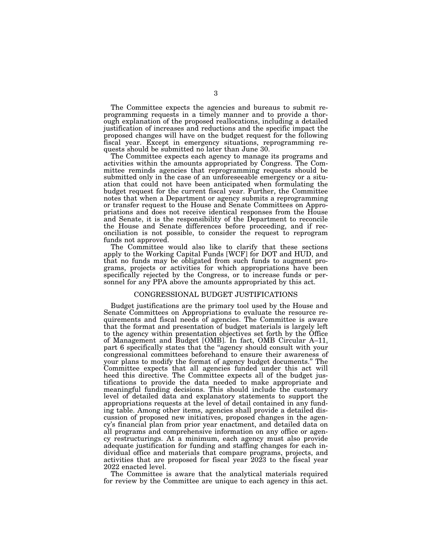The Committee expects the agencies and bureaus to submit reprogramming requests in a timely manner and to provide a thorough explanation of the proposed reallocations, including a detailed justification of increases and reductions and the specific impact the proposed changes will have on the budget request for the following fiscal year. Except in emergency situations, reprogramming requests should be submitted no later than June 30.

The Committee expects each agency to manage its programs and activities within the amounts appropriated by Congress. The Committee reminds agencies that reprogramming requests should be submitted only in the case of an unforeseeable emergency or a situation that could not have been anticipated when formulating the budget request for the current fiscal year. Further, the Committee notes that when a Department or agency submits a reprogramming or transfer request to the House and Senate Committees on Appropriations and does not receive identical responses from the House and Senate, it is the responsibility of the Department to reconcile the House and Senate differences before proceeding, and if reconciliation is not possible, to consider the request to reprogram funds not approved.

The Committee would also like to clarify that these sections apply to the Working Capital Funds [WCF] for DOT and HUD, and that no funds may be obligated from such funds to augment programs, projects or activities for which appropriations have been specifically rejected by the Congress, or to increase funds or personnel for any PPA above the amounts appropriated by this act.

# CONGRESSIONAL BUDGET JUSTIFICATIONS

Budget justifications are the primary tool used by the House and Senate Committees on Appropriations to evaluate the resource requirements and fiscal needs of agencies. The Committee is aware that the format and presentation of budget materials is largely left to the agency within presentation objectives set forth by the Office of Management and Budget [OMB]. In fact, OMB Circular A–11, part 6 specifically states that the ''agency should consult with your congressional committees beforehand to ensure their awareness of your plans to modify the format of agency budget documents.'' The Committee expects that all agencies funded under this act will heed this directive. The Committee expects all of the budget justifications to provide the data needed to make appropriate and meaningful funding decisions. This should include the customary level of detailed data and explanatory statements to support the appropriations requests at the level of detail contained in any funding table. Among other items, agencies shall provide a detailed discussion of proposed new initiatives, proposed changes in the agency's financial plan from prior year enactment, and detailed data on all programs and comprehensive information on any office or agency restructurings. At a minimum, each agency must also provide adequate justification for funding and staffing changes for each individual office and materials that compare programs, projects, and activities that are proposed for fiscal year 2023 to the fiscal year 2022 enacted level.

The Committee is aware that the analytical materials required for review by the Committee are unique to each agency in this act.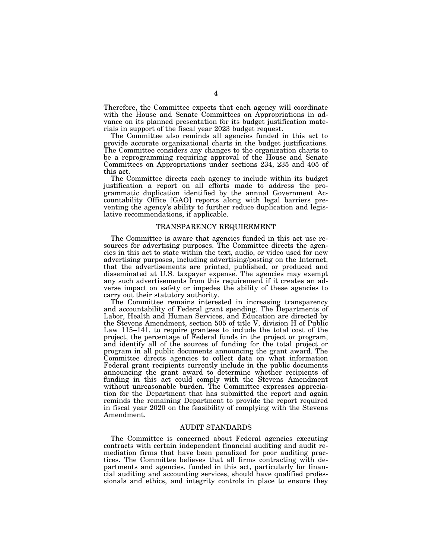Therefore, the Committee expects that each agency will coordinate with the House and Senate Committees on Appropriations in advance on its planned presentation for its budget justification materials in support of the fiscal year 2023 budget request.

The Committee also reminds all agencies funded in this act to provide accurate organizational charts in the budget justifications. The Committee considers any changes to the organization charts to be a reprogramming requiring approval of the House and Senate Committees on Appropriations under sections 234, 235 and 405 of this act.

The Committee directs each agency to include within its budget justification a report on all efforts made to address the programmatic duplication identified by the annual Government Accountability Office [GAO] reports along with legal barriers preventing the agency's ability to further reduce duplication and legislative recommendations, if applicable.

## TRANSPARENCY REQUIREMENT

The Committee is aware that agencies funded in this act use resources for advertising purposes. The Committee directs the agencies in this act to state within the text, audio, or video used for new advertising purposes, including advertising/posting on the Internet, that the advertisements are printed, published, or produced and disseminated at U.S. taxpayer expense. The agencies may exempt any such advertisements from this requirement if it creates an adverse impact on safety or impedes the ability of these agencies to carry out their statutory authority.

The Committee remains interested in increasing transparency and accountability of Federal grant spending. The Departments of Labor, Health and Human Services, and Education are directed by the Stevens Amendment, section 505 of title V, division H of Public Law 115–141, to require grantees to include the total cost of the project, the percentage of Federal funds in the project or program, and identify all of the sources of funding for the total project or program in all public documents announcing the grant award. The Committee directs agencies to collect data on what information Federal grant recipients currently include in the public documents announcing the grant award to determine whether recipients of funding in this act could comply with the Stevens Amendment without unreasonable burden. The Committee expresses appreciation for the Department that has submitted the report and again reminds the remaining Department to provide the report required in fiscal year 2020 on the feasibility of complying with the Stevens Amendment.

# AUDIT STANDARDS

The Committee is concerned about Federal agencies executing contracts with certain independent financial auditing and audit remediation firms that have been penalized for poor auditing practices. The Committee believes that all firms contracting with departments and agencies, funded in this act, particularly for financial auditing and accounting services, should have qualified professionals and ethics, and integrity controls in place to ensure they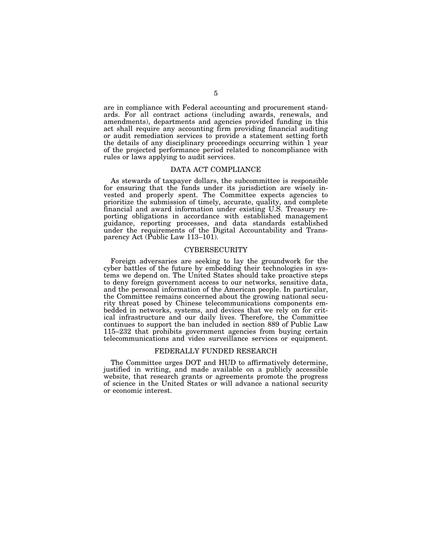are in compliance with Federal accounting and procurement standards. For all contract actions (including awards, renewals, and amendments), departments and agencies provided funding in this act shall require any accounting firm providing financial auditing or audit remediation services to provide a statement setting forth the details of any disciplinary proceedings occurring within 1 year of the projected performance period related to noncompliance with rules or laws applying to audit services.

## DATA ACT COMPLIANCE

As stewards of taxpayer dollars, the subcommittee is responsible for ensuring that the funds under its jurisdiction are wisely invested and properly spent. The Committee expects agencies to prioritize the submission of timely, accurate, quality, and complete financial and award information under existing U.S. Treasury reporting obligations in accordance with established management guidance, reporting processes, and data standards established under the requirements of the Digital Accountability and Transparency Act (Public Law 113-101).

# CYBERSECURITY

Foreign adversaries are seeking to lay the groundwork for the cyber battles of the future by embedding their technologies in systems we depend on. The United States should take proactive steps to deny foreign government access to our networks, sensitive data, and the personal information of the American people. In particular, the Committee remains concerned about the growing national security threat posed by Chinese telecommunications components embedded in networks, systems, and devices that we rely on for critical infrastructure and our daily lives. Therefore, the Committee continues to support the ban included in section 889 of Public Law 115–232 that prohibits government agencies from buying certain telecommunications and video surveillance services or equipment.

## FEDERALLY FUNDED RESEARCH

The Committee urges DOT and HUD to affirmatively determine, justified in writing, and made available on a publicly accessible website, that research grants or agreements promote the progress of science in the United States or will advance a national security or economic interest.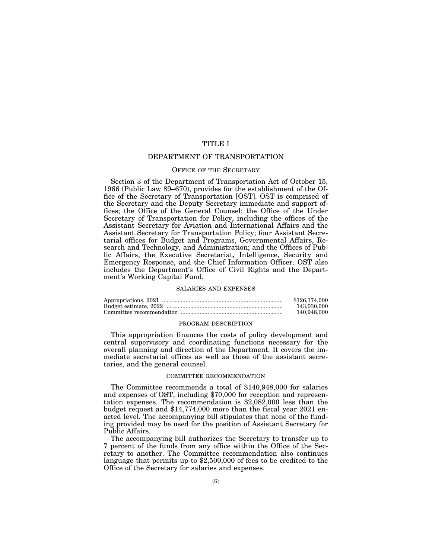# TITLE I

# DEPARTMENT OF TRANSPORTATION

# OFFICE OF THE SECRETARY

Section 3 of the Department of Transportation Act of October 15, 1966 (Public Law 89–670), provides for the establishment of the Office of the Secretary of Transportation [OST]. OST is comprised of the Secretary and the Deputy Secretary immediate and support offices; the Office of the General Counsel; the Office of the Under Secretary of Transportation for Policy, including the offices of the Assistant Secretary for Aviation and International Affairs and the Assistant Secretary for Transportation Policy; four Assistant Secretarial offices for Budget and Programs, Governmental Affairs, Research and Technology, and Administration; and the Offices of Public Affairs, the Executive Secretariat, Intelligence, Security and Emergency Response, and the Chief Information Officer. OST also includes the Department's Office of Civil Rights and the Department's Working Capital Fund.

#### SALARIES AND EXPENSES

| \$126,174,000 |
|---------------|
| 143.030.000   |
| 140,948,000   |

## PROGRAM DESCRIPTION

This appropriation finances the costs of policy development and central supervisory and coordinating functions necessary for the overall planning and direction of the Department. It covers the immediate secretarial offices as well as those of the assistant secretaries, and the general counsel.

## COMMITTEE RECOMMENDATION

The Committee recommends a total of \$140,948,000 for salaries and expenses of OST, including \$70,000 for reception and representation expenses. The recommendation is \$2,082,000 less than the budget request and \$14,774,000 more than the fiscal year 2021 enacted level. The accompanying bill stipulates that none of the funding provided may be used for the position of Assistant Secretary for Public Affairs.

The accompanying bill authorizes the Secretary to transfer up to 7 percent of the funds from any office within the Office of the Secretary to another. The Committee recommendation also continues language that permits up to \$2,500,000 of fees to be credited to the Office of the Secretary for salaries and expenses.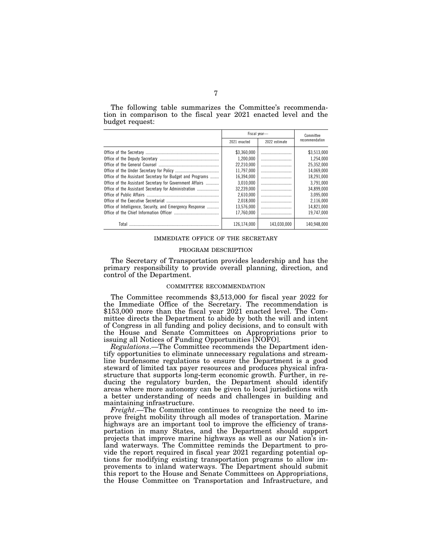The following table summarizes the Committee's recommendation in comparison to the fiscal year 2021 enacted level and the budget request:

|                                                           | Fiscal vear- |               | Committee      |
|-----------------------------------------------------------|--------------|---------------|----------------|
|                                                           | 2021 enacted | 2022 estimate | recommendation |
|                                                           | \$3.360.000  |               | \$3,513,000    |
|                                                           | 1.200.000    |               | 1,254,000      |
|                                                           | 22.210.000   |               | 25,352,000     |
|                                                           | 11.797.000   |               | 14.069.000     |
| Office of the Assistant Secretary for Budget and Programs | 16.394.000   |               | 18.291.000     |
| Office of the Assistant Secretary for Government Affairs  | 3.010.000    |               | 3,791,000      |
| Office of the Assistant Secretary for Administration      | 32.239.000   |               | 34.899.000     |
|                                                           | 2.610.000    |               | 3.095.000      |
|                                                           | 2.018.000    |               | 2,116,000      |
| Office of Intelligence, Security, and Emergency Response  | 13.576.000   |               | 14,821,000     |
|                                                           | 17.760.000   |               | 19.747.000     |
| Total                                                     | 126.174.000  | 143.030.000   | 140.948.000    |

### IMMEDIATE OFFICE OF THE SECRETARY

#### PROGRAM DESCRIPTION

The Secretary of Transportation provides leadership and has the primary responsibility to provide overall planning, direction, and control of the Department.

## COMMITTEE RECOMMENDATION

The Committee recommends \$3,513,000 for fiscal year 2022 for the Immediate Office of the Secretary. The recommendation is \$153,000 more than the fiscal year 2021 enacted level. The Committee directs the Department to abide by both the will and intent of Congress in all funding and policy decisions, and to consult with the House and Senate Committees on Appropriations prior to issuing all Notices of Funding Opportunities [NOFO].

*Regulations*.—The Committee recommends the Department identify opportunities to eliminate unnecessary regulations and streamline burdensome regulations to ensure the Department is a good steward of limited tax payer resources and produces physical infrastructure that supports long-term economic growth. Further, in reducing the regulatory burden, the Department should identify areas where more autonomy can be given to local jurisdictions with a better understanding of needs and challenges in building and maintaining infrastructure.

*Freight*.—The Committee continues to recognize the need to improve freight mobility through all modes of transportation. Marine highways are an important tool to improve the efficiency of transportation in many States, and the Department should support projects that improve marine highways as well as our Nation's inland waterways. The Committee reminds the Department to provide the report required in fiscal year 2021 regarding potential options for modifying existing transportation programs to allow improvements to inland waterways. The Department should submit this report to the House and Senate Committees on Appropriations, the House Committee on Transportation and Infrastructure, and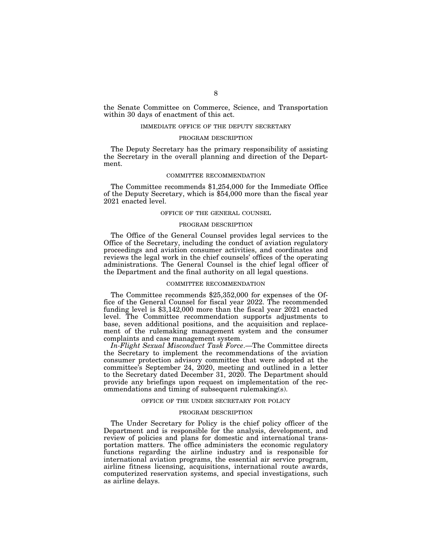the Senate Committee on Commerce, Science, and Transportation within 30 days of enactment of this act.

#### IMMEDIATE OFFICE OF THE DEPUTY SECRETARY

## PROGRAM DESCRIPTION

The Deputy Secretary has the primary responsibility of assisting the Secretary in the overall planning and direction of the Department.

## COMMITTEE RECOMMENDATION

The Committee recommends \$1,254,000 for the Immediate Office of the Deputy Secretary, which is \$54,000 more than the fiscal year 2021 enacted level.

## OFFICE OF THE GENERAL COUNSEL

### PROGRAM DESCRIPTION

The Office of the General Counsel provides legal services to the Office of the Secretary, including the conduct of aviation regulatory proceedings and aviation consumer activities, and coordinates and reviews the legal work in the chief counsels' offices of the operating administrations. The General Counsel is the chief legal officer of the Department and the final authority on all legal questions.

# COMMITTEE RECOMMENDATION

The Committee recommends \$25,352,000 for expenses of the Office of the General Counsel for fiscal year 2022. The recommended funding level is \$3,142,000 more than the fiscal year 2021 enacted level. The Committee recommendation supports adjustments to base, seven additional positions, and the acquisition and replacement of the rulemaking management system and the consumer complaints and case management system.

*In-Flight Sexual Misconduct Task Force*.—The Committee directs the Secretary to implement the recommendations of the aviation consumer protection advisory committee that were adopted at the committee's September 24,  $2020$ , meeting and outlined in a letter to the Secretary dated December 31, 2020. The Department should provide any briefings upon request on implementation of the recommendations and timing of subsequent rulemaking(s).

#### OFFICE OF THE UNDER SECRETARY FOR POLICY

## PROGRAM DESCRIPTION

The Under Secretary for Policy is the chief policy officer of the Department and is responsible for the analysis, development, and review of policies and plans for domestic and international transportation matters. The office administers the economic regulatory functions regarding the airline industry and is responsible for international aviation programs, the essential air service program, airline fitness licensing, acquisitions, international route awards, computerized reservation systems, and special investigations, such as airline delays.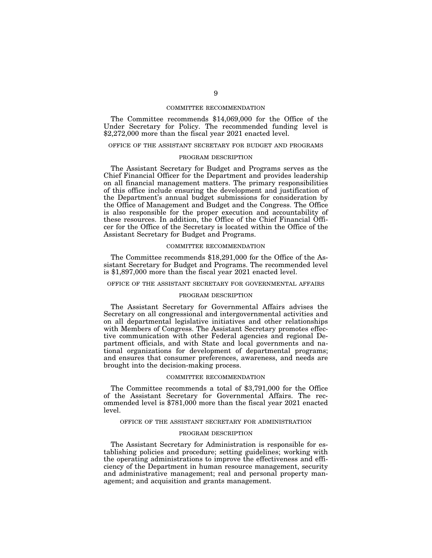### COMMITTEE RECOMMENDATION

The Committee recommends \$14,069,000 for the Office of the Under Secretary for Policy. The recommended funding level is \$2,272,000 more than the fiscal year 2021 enacted level.

## OFFICE OF THE ASSISTANT SECRETARY FOR BUDGET AND PROGRAMS

### PROGRAM DESCRIPTION

The Assistant Secretary for Budget and Programs serves as the Chief Financial Officer for the Department and provides leadership on all financial management matters. The primary responsibilities of this office include ensuring the development and justification of the Department's annual budget submissions for consideration by the Office of Management and Budget and the Congress. The Office is also responsible for the proper execution and accountability of these resources. In addition, the Office of the Chief Financial Officer for the Office of the Secretary is located within the Office of the Assistant Secretary for Budget and Programs.

# COMMITTEE RECOMMENDATION

The Committee recommends \$18,291,000 for the Office of the Assistant Secretary for Budget and Programs. The recommended level is \$1,897,000 more than the fiscal year 2021 enacted level.

# OFFICE OF THE ASSISTANT SECRETARY FOR GOVERNMENTAL AFFAIRS

#### PROGRAM DESCRIPTION

The Assistant Secretary for Governmental Affairs advises the Secretary on all congressional and intergovernmental activities and on all departmental legislative initiatives and other relationships with Members of Congress. The Assistant Secretary promotes effective communication with other Federal agencies and regional Department officials, and with State and local governments and national organizations for development of departmental programs; and ensures that consumer preferences, awareness, and needs are brought into the decision-making process.

#### COMMITTEE RECOMMENDATION

The Committee recommends a total of \$3,791,000 for the Office of the Assistant Secretary for Governmental Affairs. The recommended level is \$781,000 more than the fiscal year 2021 enacted level.

## OFFICE OF THE ASSISTANT SECRETARY FOR ADMINISTRATION

## PROGRAM DESCRIPTION

The Assistant Secretary for Administration is responsible for establishing policies and procedure; setting guidelines; working with the operating administrations to improve the effectiveness and efficiency of the Department in human resource management, security and administrative management; real and personal property management; and acquisition and grants management.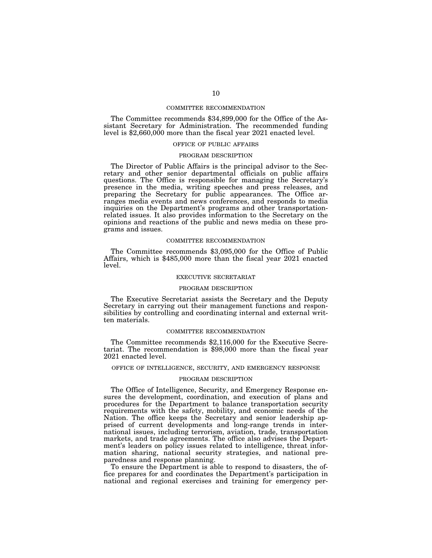## COMMITTEE RECOMMENDATION

The Committee recommends \$34,899,000 for the Office of the Assistant Secretary for Administration. The recommended funding level is \$2,660,000 more than the fiscal year 2021 enacted level.

## OFFICE OF PUBLIC AFFAIRS

### PROGRAM DESCRIPTION

The Director of Public Affairs is the principal advisor to the Secretary and other senior departmental officials on public affairs questions. The Office is responsible for managing the Secretary's presence in the media, writing speeches and press releases, and preparing the Secretary for public appearances. The Office arranges media events and news conferences, and responds to media inquiries on the Department's programs and other transportationrelated issues. It also provides information to the Secretary on the opinions and reactions of the public and news media on these programs and issues.

## COMMITTEE RECOMMENDATION

The Committee recommends \$3,095,000 for the Office of Public Affairs, which is \$485,000 more than the fiscal year 2021 enacted level.

#### EXECUTIVE SECRETARIAT

#### PROGRAM DESCRIPTION

The Executive Secretariat assists the Secretary and the Deputy Secretary in carrying out their management functions and responsibilities by controlling and coordinating internal and external written materials.

#### COMMITTEE RECOMMENDATION

The Committee recommends \$2,116,000 for the Executive Secretariat. The recommendation is \$98,000 more than the fiscal year 2021 enacted level.

## OFFICE OF INTELLIGENCE, SECURITY, AND EMERGENCY RESPONSE

## PROGRAM DESCRIPTION

The Office of Intelligence, Security, and Emergency Response ensures the development, coordination, and execution of plans and procedures for the Department to balance transportation security requirements with the safety, mobility, and economic needs of the Nation. The office keeps the Secretary and senior leadership apprised of current developments and long-range trends in international issues, including terrorism, aviation, trade, transportation markets, and trade agreements. The office also advises the Department's leaders on policy issues related to intelligence, threat information sharing, national security strategies, and national preparedness and response planning.

To ensure the Department is able to respond to disasters, the office prepares for and coordinates the Department's participation in national and regional exercises and training for emergency per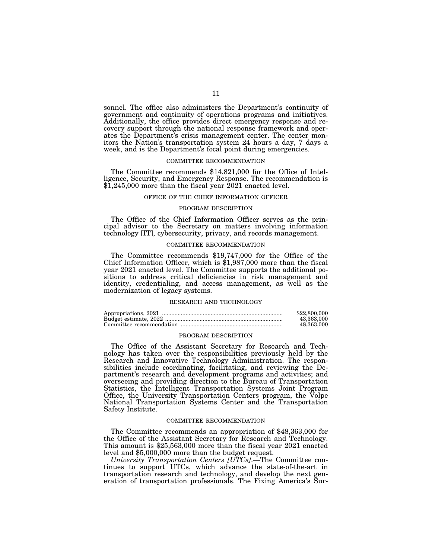sonnel. The office also administers the Department's continuity of government and continuity of operations programs and initiatives. Additionally, the office provides direct emergency response and recovery support through the national response framework and operates the Department's crisis management center. The center monitors the Nation's transportation system 24 hours a day, 7 days a week, and is the Department's focal point during emergencies.

## COMMITTEE RECOMMENDATION

The Committee recommends \$14,821,000 for the Office of Intelligence, Security, and Emergency Response. The recommendation is \$1,245,000 more than the fiscal year 2021 enacted level.

## OFFICE OF THE CHIEF INFORMATION OFFICER

# PROGRAM DESCRIPTION

The Office of the Chief Information Officer serves as the principal advisor to the Secretary on matters involving information technology [IT], cybersecurity, privacy, and records management.

#### COMMITTEE RECOMMENDATION

The Committee recommends \$19,747,000 for the Office of the Chief Information Officer, which is \$1,987,000 more than the fiscal year 2021 enacted level. The Committee supports the additional positions to address critical deficiencies in risk management and identity, credentialing, and access management, as well as the modernization of legacy systems.

#### RESEARCH AND TECHNOLOGY

| \$22,800,000 |
|--------------|
| 43.363.000   |
| 48.363.000   |

#### PROGRAM DESCRIPTION

The Office of the Assistant Secretary for Research and Technology has taken over the responsibilities previously held by the Research and Innovative Technology Administration. The responsibilities include coordinating, facilitating, and reviewing the Department's research and development programs and activities; and overseeing and providing direction to the Bureau of Transportation Statistics, the Intelligent Transportation Systems Joint Program Office, the University Transportation Centers program, the Volpe National Transportation Systems Center and the Transportation Safety Institute.

#### COMMITTEE RECOMMENDATION

The Committee recommends an appropriation of \$48,363,000 for the Office of the Assistant Secretary for Research and Technology. This amount is \$25,563,000 more than the fiscal year 2021 enacted level and \$5,000,000 more than the budget request.

*University Transportation Centers [UTCs]*.—The Committee continues to support UTCs, which advance the state-of-the-art in transportation research and technology, and develop the next generation of transportation professionals. The Fixing America's Sur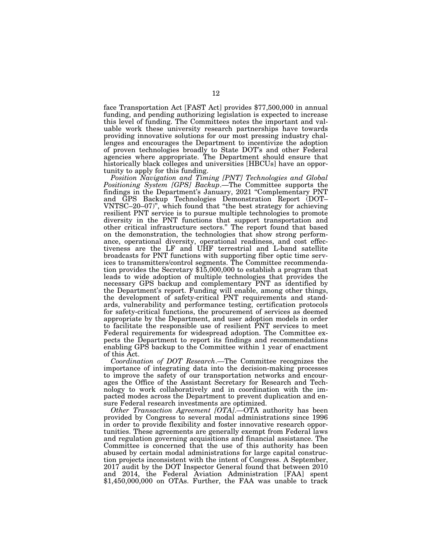face Transportation Act [FAST Act] provides \$77,500,000 in annual funding, and pending authorizing legislation is expected to increase this level of funding. The Committees notes the important and valuable work these university research partnerships have towards providing innovative solutions for our most pressing industry challenges and encourages the Department to incentivize the adoption of proven technologies broadly to State DOT's and other Federal agencies where appropriate. The Department should ensure that historically black colleges and universities [HBCUs] have an opportunity to apply for this funding.

*Position Navigation and Timing [PNT] Technologies and Global Positioning System [GPS] Backup*.—The Committee supports the findings in the Department's January, 2021 "Complementary PNT and GPS Backup Technologies Demonstration Report (DOT– VNTSC–20–07)'', which found that ''the best strategy for achieving resilient PNT service is to pursue multiple technologies to promote diversity in the PNT functions that support transportation and other critical infrastructure sectors.'' The report found that based on the demonstration, the technologies that show strong performance, operational diversity, operational readiness, and cost effectiveness are the LF and UHF terrestrial and L-band satellite broadcasts for PNT functions with supporting fiber optic time services to transmitters/control segments. The Committee recommendation provides the Secretary \$15,000,000 to establish a program that leads to wide adoption of multiple technologies that provides the necessary GPS backup and complementary PNT as identified by the Department's report. Funding will enable, among other things, the development of safety-critical PNT requirements and standards, vulnerability and performance testing, certification protocols for safety-critical functions, the procurement of services as deemed appropriate by the Department, and user adoption models in order to facilitate the responsible use of resilient PNT services to meet Federal requirements for widespread adoption. The Committee expects the Department to report its findings and recommendations enabling GPS backup to the Committee within 1 year of enactment of this Act.

*Coordination of DOT Research*.—The Committee recognizes the importance of integrating data into the decision-making processes to improve the safety of our transportation networks and encourages the Office of the Assistant Secretary for Research and Technology to work collaboratively and in coordination with the impacted modes across the Department to prevent duplication and ensure Federal research investments are optimized.

*Other Transaction Agreement [OTA]*.—OTA authority has been provided by Congress to several modal administrations since 1996 in order to provide flexibility and foster innovative research opportunities. These agreements are generally exempt from Federal laws and regulation governing acquisitions and financial assistance. The Committee is concerned that the use of this authority has been abused by certain modal administrations for large capital construction projects inconsistent with the intent of Congress. A September, 2017 audit by the DOT Inspector General found that between 2010 and 2014, the Federal Aviation Administration [FAA] spent \$1,450,000,000 on OTAs. Further, the FAA was unable to track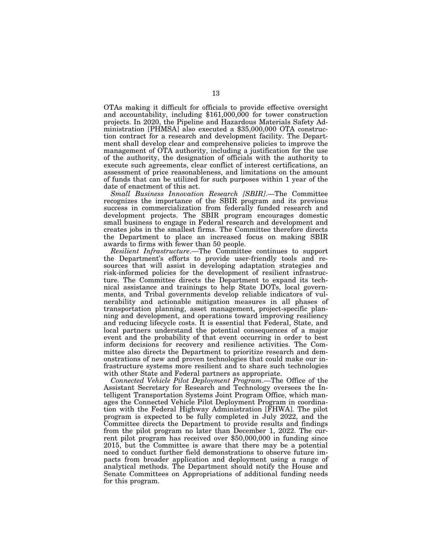OTAs making it difficult for officials to provide effective oversight and accountability, including \$161,000,000 for tower construction projects. In 2020, the Pipeline and Hazardous Materials Safety Administration [PHMSA] also executed a \$35,000,000 OTA construction contract for a research and development facility. The Department shall develop clear and comprehensive policies to improve the management of OTA authority, including a justification for the use of the authority, the designation of officials with the authority to execute such agreements, clear conflict of interest certifications, an assessment of price reasonableness, and limitations on the amount of funds that can be utilized for such purposes within 1 year of the date of enactment of this act.

*Small Business Innovation Research [SBIR]*.—The Committee recognizes the importance of the SBIR program and its previous success in commercialization from federally funded research and development projects. The SBIR program encourages domestic small business to engage in Federal research and development and creates jobs in the smallest firms. The Committee therefore directs the Department to place an increased focus on making SBIR awards to firms with fewer than 50 people.

*Resilient Infrastructure*.—The Committee continues to support the Department's efforts to provide user-friendly tools and resources that will assist in developing adaptation strategies and risk-informed policies for the development of resilient infrastructure. The Committee directs the Department to expand its technical assistance and trainings to help State DOTs, local governments, and Tribal governments develop reliable indicators of vulnerability and actionable mitigation measures in all phases of transportation planning, asset management, project-specific planning and development, and operations toward improving resiliency and reducing lifecycle costs. It is essential that Federal, State, and local partners understand the potential consequences of a major event and the probability of that event occurring in order to best inform decisions for recovery and resilience activities. The Committee also directs the Department to prioritize research and demonstrations of new and proven technologies that could make our infrastructure systems more resilient and to share such technologies with other State and Federal partners as appropriate.

*Connected Vehicle Pilot Deployment Program*.—The Office of the Assistant Secretary for Research and Technology oversees the Intelligent Transportation Systems Joint Program Office, which manages the Connected Vehicle Pilot Deployment Program in coordination with the Federal Highway Administration [FHWA]. The pilot program is expected to be fully completed in July 2022, and the Committee directs the Department to provide results and findings from the pilot program no later than December 1, 2022. The current pilot program has received over \$50,000,000 in funding since 2015, but the Committee is aware that there may be a potential need to conduct further field demonstrations to observe future impacts from broader application and deployment using a range of analytical methods. The Department should notify the House and Senate Committees on Appropriations of additional funding needs for this program.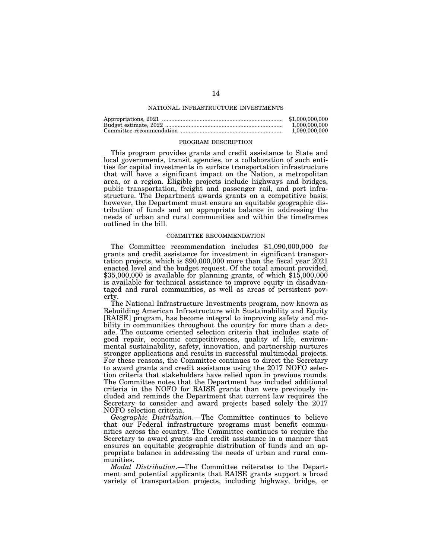## NATIONAL INFRASTRUCTURE INVESTMENTS

| \$1,000,000,000 |
|-----------------|
| 1.000.000.000   |
| 1.090.000.000   |

#### PROGRAM DESCRIPTION

This program provides grants and credit assistance to State and local governments, transit agencies, or a collaboration of such entities for capital investments in surface transportation infrastructure that will have a significant impact on the Nation, a metropolitan area, or a region. Eligible projects include highways and bridges, public transportation, freight and passenger rail, and port infrastructure. The Department awards grants on a competitive basis; however, the Department must ensure an equitable geographic distribution of funds and an appropriate balance in addressing the needs of urban and rural communities and within the timeframes outlined in the bill.

## COMMITTEE RECOMMENDATION

The Committee recommendation includes \$1,090,000,000 for grants and credit assistance for investment in significant transportation projects, which is \$90,000,000 more than the fiscal year 2021 enacted level and the budget request. Of the total amount provided, \$35,000,000 is available for planning grants, of which \$15,000,000 is available for technical assistance to improve equity in disadvantaged and rural communities, as well as areas of persistent poverty

The National Infrastructure Investments program, now known as Rebuilding American Infrastructure with Sustainability and Equity [RAISE] program, has become integral to improving safety and mobility in communities throughout the country for more than a decade. The outcome oriented selection criteria that includes state of good repair, economic competitiveness, quality of life, environmental sustainability, safety, innovation, and partnership nurtures stronger applications and results in successful multimodal projects. For these reasons, the Committee continues to direct the Secretary to award grants and credit assistance using the 2017 NOFO selection criteria that stakeholders have relied upon in previous rounds. The Committee notes that the Department has included additional criteria in the NOFO for RAISE grants than were previously included and reminds the Department that current law requires the Secretary to consider and award projects based solely the 2017 NOFO selection criteria.

*Geographic Distribution*.—The Committee continues to believe that our Federal infrastructure programs must benefit communities across the country. The Committee continues to require the Secretary to award grants and credit assistance in a manner that ensures an equitable geographic distribution of funds and an appropriate balance in addressing the needs of urban and rural communities.

*Modal Distribution*.—The Committee reiterates to the Department and potential applicants that RAISE grants support a broad variety of transportation projects, including highway, bridge, or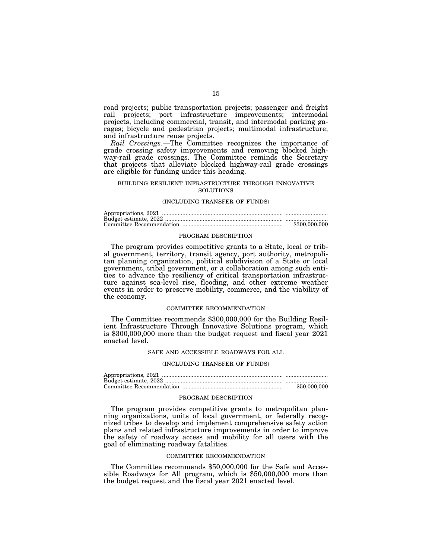road projects; public transportation projects; passenger and freight rail projects; port infrastructure improvements; intermodal projects, including commercial, transit, and intermodal parking garages; bicycle and pedestrian projects; multimodal infrastructure; and infrastructure reuse projects.

*Rail Crossings*.—The Committee recognizes the importance of grade crossing safety improvements and removing blocked highway-rail grade crossings. The Committee reminds the Secretary that projects that alleviate blocked highway-rail grade crossings are eligible for funding under this heading.

### BUILDING RESILIENT INFRASTRUCTURE THROUGH INNOVATIVE **SOLUTIONS**

## (INCLUDING TRANSFER OF FUNDS)

| \$300,000,000 |
|---------------|

#### PROGRAM DESCRIPTION

The program provides competitive grants to a State, local or tribal government, territory, transit agency, port authority, metropolitan planning organization, political subdivision of a State or local government, tribal government, or a collaboration among such entities to advance the resiliency of critical transportation infrastructure against sea-level rise, flooding, and other extreme weather events in order to preserve mobility, commerce, and the viability of the economy.

#### COMMITTEE RECOMMENDATION

The Committee recommends \$300,000,000 for the Building Resilient Infrastructure Through Innovative Solutions program, which is \$300,000,000 more than the budget request and fiscal year 2021 enacted level.

## SAFE AND ACCESSIBLE ROADWAYS FOR ALL

## (INCLUDING TRANSFER OF FUNDS)

| \$50,000,000 |
|--------------|

### PROGRAM DESCRIPTION

The program provides competitive grants to metropolitan planning organizations, units of local government, or federally recognized tribes to develop and implement comprehensive safety action plans and related infrastructure improvements in order to improve the safety of roadway access and mobility for all users with the goal of eliminating roadway fatalities.

#### COMMITTEE RECOMMENDATION

The Committee recommends \$50,000,000 for the Safe and Accessible Roadways for All program, which is \$50,000,000 more than the budget request and the fiscal year 2021 enacted level.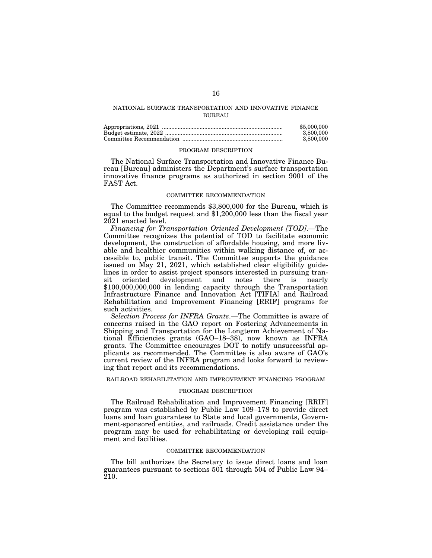# NATIONAL SURFACE TRANSPORTATION AND INNOVATIVE FINANCE **BUREAU**

| \$5,000,000 |
|-------------|
| 3.800.000   |
| 3.800.000   |

### PROGRAM DESCRIPTION

The National Surface Transportation and Innovative Finance Bureau [Bureau] administers the Department's surface transportation innovative finance programs as authorized in section 9001 of the FAST Act.

#### COMMITTEE RECOMMENDATION

The Committee recommends \$3,800,000 for the Bureau, which is equal to the budget request and \$1,200,000 less than the fiscal year 2021 enacted level.

*Financing for Transportation Oriented Development [TOD]*.—The Committee recognizes the potential of TOD to facilitate economic development, the construction of affordable housing, and more livable and healthier communities within walking distance of, or accessible to, public transit. The Committee supports the guidance issued on May 21, 2021, which established clear eligibility guidelines in order to assist project sponsors interested in pursuing transit oriented development and notes there is nearly \$100,000,000,000 in lending capacity through the Transportation Infrastructure Finance and Innovation Act [TIFIA] and Railroad Rehabilitation and Improvement Financing [RRIF] programs for such activities.

*Selection Process for INFRA Grants*.—The Committee is aware of concerns raised in the GAO report on Fostering Advancements in Shipping and Transportation for the Longterm Achievement of National Efficiencies grants (GAO–18–38), now known as INFRA grants. The Committee encourages DOT to notify unsuccessful applicants as recommended. The Committee is also aware of GAO's current review of the INFRA program and looks forward to reviewing that report and its recommendations.

# RAILROAD REHABILITATION AND IMPROVEMENT FINANCING PROGRAM

### PROGRAM DESCRIPTION

The Railroad Rehabilitation and Improvement Financing [RRIF] program was established by Public Law 109–178 to provide direct loans and loan guarantees to State and local governments, Government-sponsored entities, and railroads. Credit assistance under the program may be used for rehabilitating or developing rail equipment and facilities.

## COMMITTEE RECOMMENDATION

The bill authorizes the Secretary to issue direct loans and loan guarantees pursuant to sections 501 through 504 of Public Law 94– 210.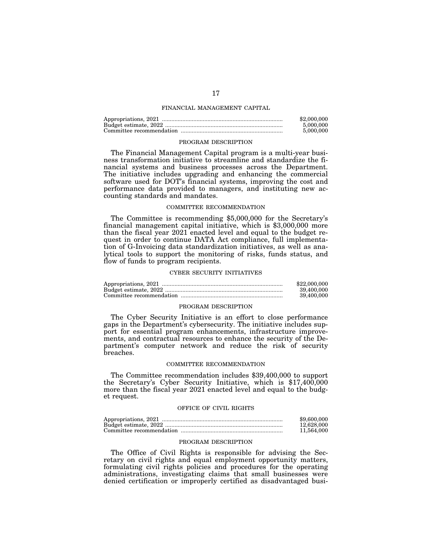## FINANCIAL MANAGEMENT CAPITAL

| \$2,000,000 |
|-------------|
| 5,000,000   |
| 5,000,000   |

#### PROGRAM DESCRIPTION

The Financial Management Capital program is a multi-year business transformation initiative to streamline and standardize the financial systems and business processes across the Department. The initiative includes upgrading and enhancing the commercial software used for DOT's financial systems, improving the cost and performance data provided to managers, and instituting new accounting standards and mandates.

## COMMITTEE RECOMMENDATION

The Committee is recommending \$5,000,000 for the Secretary's financial management capital initiative, which is \$3,000,000 more than the fiscal year 2021 enacted level and equal to the budget request in order to continue DATA Act compliance, full implementation of G-Invoicing data standardization initiatives, as well as analytical tools to support the monitoring of risks, funds status, and flow of funds to program recipients.

#### CYBER SECURITY INITIATIVES

| \$22,000,000 |
|--------------|
| 39.400.000   |
| 39,400,000   |

## PROGRAM DESCRIPTION

The Cyber Security Initiative is an effort to close performance gaps in the Department's cybersecurity. The initiative includes support for essential program enhancements, infrastructure improvements, and contractual resources to enhance the security of the Department's computer network and reduce the risk of security breaches.

#### COMMITTEE RECOMMENDATION

The Committee recommendation includes \$39,400,000 to support the Secretary's Cyber Security Initiative, which is \$17,400,000 more than the fiscal year 2021 enacted level and equal to the budget request.

### OFFICE OF CIVIL RIGHTS

| \$9,600,000 |
|-------------|
| 12,628,000  |
| 11.564.000  |

## PROGRAM DESCRIPTION

The Office of Civil Rights is responsible for advising the Secretary on civil rights and equal employment opportunity matters, formulating civil rights policies and procedures for the operating administrations, investigating claims that small businesses were denied certification or improperly certified as disadvantaged busi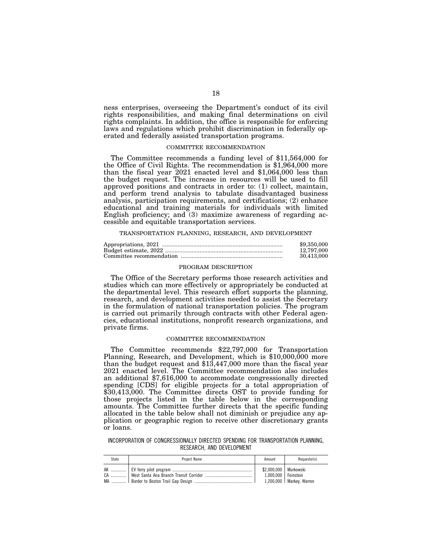ness enterprises, overseeing the Department's conduct of its civil rights responsibilities, and making final determinations on civil rights complaints. In addition, the office is responsible for enforcing laws and regulations which prohibit discrimination in federally operated and federally assisted transportation programs.

# COMMITTEE RECOMMENDATION

The Committee recommends a funding level of \$11,564,000 for the Office of Civil Rights. The recommendation is \$1,964,000 more than the fiscal year 2021 enacted level and \$1,064,000 less than the budget request. The increase in resources will be used to fill approved positions and contracts in order to: (1) collect, maintain, and perform trend analysis to tabulate disadvantaged business analysis, participation requirements, and certifications; (2) enhance educational and training materials for individuals with limited English proficiency; and (3) maximize awareness of regarding accessible and equitable transportation services.

TRANSPORTATION PLANNING, RESEARCH, AND DEVELOPMENT

| \$9,350,000 |
|-------------|
| 12,797,000  |
| 30.413.000  |

# PROGRAM DESCRIPTION

The Office of the Secretary performs those research activities and studies which can more effectively or appropriately be conducted at the departmental level. This research effort supports the planning, research, and development activities needed to assist the Secretary in the formulation of national transportation policies. The program is carried out primarily through contracts with other Federal agencies, educational institutions, nonprofit research organizations, and private firms.

## COMMITTEE RECOMMENDATION

The Committee recommends \$22,797,000 for Transportation Planning, Research, and Development, which is \$10,000,000 more than the budget request and \$13,447,000 more than the fiscal year 2021 enacted level. The Committee recommendation also includes an additional \$7,616,000 to accommodate congressionally directed spending [CDS] for eligible projects for a total appropriation of \$30,413,000. The Committee directs OST to provide funding for those projects listed in the table below in the corresponding amounts. The Committee further directs that the specific funding allocated in the table below shall not diminish or prejudice any application or geographic region to receive other discretionary grants or loans.

INCORPORATION OF CONGRESSIONALLY DIRECTED SPENDING FOR TRANSPORTATION PLANNING, RESEARCH, AND DEVELOPMENT

| State | Project Name | Amount                                           | Requestor(s)               |
|-------|--------------|--------------------------------------------------|----------------------------|
|       |              | \$2.000.000   Murkowski<br>1.000.000   Feinstein | $1,200,000$ Markey, Warren |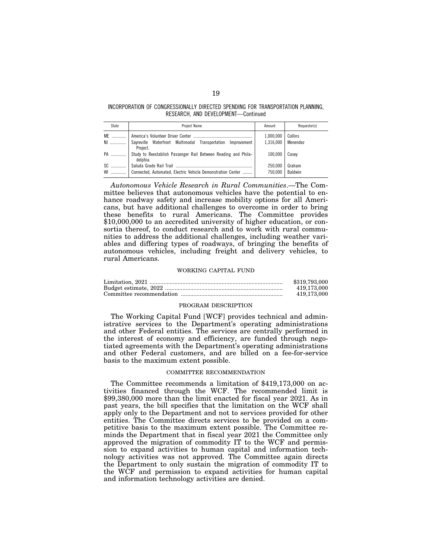INCORPORATION OF CONGRESSIONALLY DIRECTED SPENDING FOR TRANSPORTATION PLANNING, RESEARCH, AND DEVELOPMENT—Continued

| State           | Project Name                                                               | Amount             | Requestor(s)      |
|-----------------|----------------------------------------------------------------------------|--------------------|-------------------|
|                 |                                                                            | 1.000.000          | Collins           |
|                 | N  Sayreville Waterfront Multimodal Transportation Improvement<br>Project. | 1.316.000          | Menendez          |
| PA              | Study to Reestablish Passenger Rail Between Reading and Phila-<br>delphia. | 100.000            | Casev             |
| SC<br><b>WI</b> | Connected, Automated, Electric Vehicle Demonstration Center                | 250.000<br>750.000 | Graham<br>Baldwin |

*Autonomous Vehicle Research in Rural Communities*.—The Committee believes that autonomous vehicles have the potential to enhance roadway safety and increase mobility options for all Americans, but have additional challenges to overcome in order to bring these benefits to rural Americans. The Committee provides \$10,000,000 to an accredited university of higher education, or consortia thereof, to conduct research and to work with rural communities to address the additional challenges, including weather variables and differing types of roadways, of bringing the benefits of autonomous vehicles, including freight and delivery vehicles, to rural Americans.

#### WORKING CAPITAL FUND

| \$319.793.000 |
|---------------|
| 419.173.000   |
| 419.173.000   |

## PROGRAM DESCRIPTION

The Working Capital Fund [WCF] provides technical and administrative services to the Department's operating administrations and other Federal entities. The services are centrally performed in the interest of economy and efficiency, are funded through negotiated agreements with the Department's operating administrations and other Federal customers, and are billed on a fee-for-service basis to the maximum extent possible.

## COMMITTEE RECOMMENDATION

The Committee recommends a limitation of \$419,173,000 on activities financed through the WCF. The recommended limit is \$99,380,000 more than the limit enacted for fiscal year 2021. As in past years, the bill specifies that the limitation on the WCF shall apply only to the Department and not to services provided for other entities. The Committee directs services to be provided on a competitive basis to the maximum extent possible. The Committee reminds the Department that in fiscal year 2021 the Committee only approved the migration of commodity IT to the WCF and permission to expand activities to human capital and information technology activities was not approved. The Committee again directs the Department to only sustain the migration of commodity IT to the WCF and permission to expand activities for human capital and information technology activities are denied.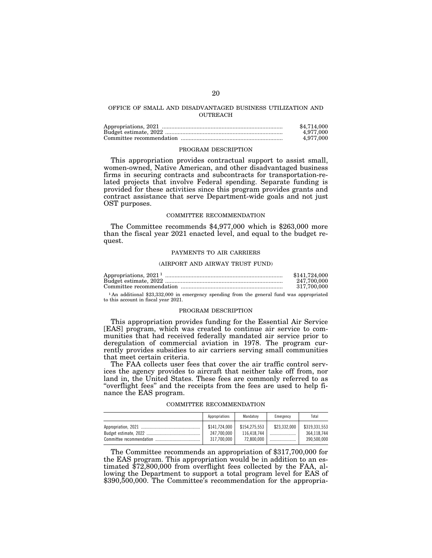# OFFICE OF SMALL AND DISADVANTAGED BUSINESS UTILIZATION AND OUTREACH

| \$4,714,000 |
|-------------|
| 4.977.000   |
| 4.977.000   |

#### PROGRAM DESCRIPTION

This appropriation provides contractual support to assist small, women-owned, Native American, and other disadvantaged business firms in securing contracts and subcontracts for transportation-related projects that involve Federal spending. Separate funding is provided for these activities since this program provides grants and contract assistance that serve Department-wide goals and not just OST purposes.

#### COMMITTEE RECOMMENDATION

The Committee recommends \$4,977,000 which is \$263,000 more than the fiscal year 2021 enacted level, and equal to the budget request.

### PAYMENTS TO AIR CARRIERS

### (AIRPORT AND AIRWAY TRUST FUND)

| \$141,724,000 |
|---------------|
| 247.700.000   |
| 317.700.000   |

1 An additional \$23,332,000 in emergency spending from the general fund was appropriated to this account in fiscal year 2021.

### PROGRAM DESCRIPTION

This appropriation provides funding for the Essential Air Service [EAS] program, which was created to continue air service to communities that had received federally mandated air service prior to deregulation of commercial aviation in 1978. The program currently provides subsidies to air carriers serving small communities that meet certain criteria.

The FAA collects user fees that cover the air traffic control services the agency provides to aircraft that neither take off from, nor land in, the United States. These fees are commonly referred to as ''overflight fees'' and the receipts from the fees are used to help finance the EAS program.

#### COMMITTEE RECOMMENDATION

| Appropriations | Mandatory     | Emergency    | Total         |
|----------------|---------------|--------------|---------------|
| \$141.724.000  | \$154.275.553 | \$23.332.000 | \$319,331,553 |
| 247.700.000    | 116.418.744   |              | 364.118.744   |
| 317.700.000    | 72.800.000    |              | 390.500.000   |

The Committee recommends an appropriation of \$317,700,000 for the EAS program. This appropriation would be in addition to an estimated \$72,800,000 from overflight fees collected by the FAA, allowing the Department to support a total program level for EAS of \$390,500,000. The Committee's recommendation for the appropria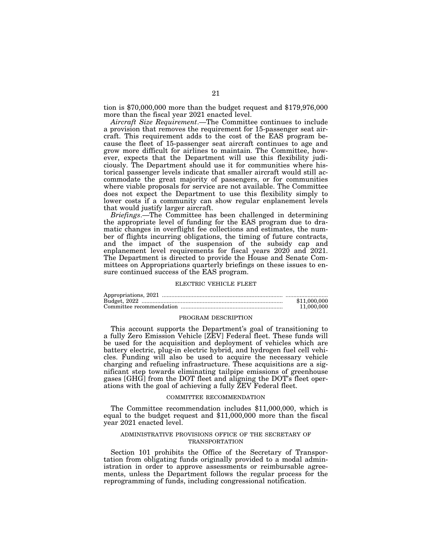tion is \$70,000,000 more than the budget request and \$179,976,000 more than the fiscal year 2021 enacted level.

*Aircraft Size Requirement*.—The Committee continues to include a provision that removes the requirement for 15-passenger seat aircraft. This requirement adds to the cost of the EAS program because the fleet of 15-passenger seat aircraft continues to age and grow more difficult for airlines to maintain. The Committee, however, expects that the Department will use this flexibility judiciously. The Department should use it for communities where historical passenger levels indicate that smaller aircraft would still accommodate the great majority of passengers, or for communities where viable proposals for service are not available. The Committee does not expect the Department to use this flexibility simply to lower costs if a community can show regular enplanement levels that would justify larger aircraft.

*Briefings*.—The Committee has been challenged in determining the appropriate level of funding for the EAS program due to dramatic changes in overflight fee collections and estimates, the number of flights incurring obligations, the timing of future contracts, and the impact of the suspension of the subsidy cap and enplanement level requirements for fiscal years 2020 and 2021. The Department is directed to provide the House and Senate Committees on Appropriations quarterly briefings on these issues to ensure continued success of the EAS program.

#### ELECTRIC VEHICLE FLEET

| \$11,000,000 |
|--------------|
| 11.000.000   |

#### PROGRAM DESCRIPTION

This account supports the Department's goal of transitioning to a fully Zero Emission Vehicle [ZEV] Federal fleet. These funds will be used for the acquisition and deployment of vehicles which are battery electric, plug-in electric hybrid, and hydrogen fuel cell vehicles. Funding will also be used to acquire the necessary vehicle charging and refueling infrastructure. These acquisitions are a significant step towards eliminating tailpipe emissions of greenhouse gases [GHG] from the DOT fleet and aligning the DOT's fleet operations with the goal of achieving a fully ZEV Federal fleet.

#### COMMITTEE RECOMMENDATION

The Committee recommendation includes \$11,000,000, which is equal to the budget request and \$11,000,000 more than the fiscal year 2021 enacted level.

## ADMINISTRATIVE PROVISIONS OFFICE OF THE SECRETARY OF TRANSPORTATION

Section 101 prohibits the Office of the Secretary of Transportation from obligating funds originally provided to a modal administration in order to approve assessments or reimbursable agreements, unless the Department follows the regular process for the reprogramming of funds, including congressional notification.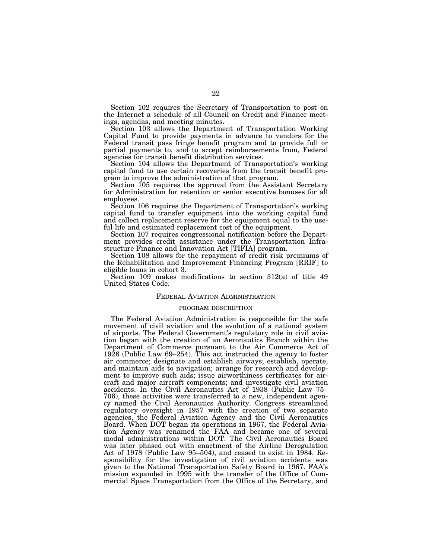Section 102 requires the Secretary of Transportation to post on the Internet a schedule of all Council on Credit and Finance meetings, agendas, and meeting minutes.

Section 103 allows the Department of Transportation Working Capital Fund to provide payments in advance to vendors for the Federal transit pass fringe benefit program and to provide full or partial payments to, and to accept reimbursements from, Federal agencies for transit benefit distribution services.

Section 104 allows the Department of Transportation's working capital fund to use certain recoveries from the transit benefit program to improve the administration of that program.

Section 105 requires the approval from the Assistant Secretary for Administration for retention or senior executive bonuses for all employees.

Section 106 requires the Department of Transportation's working capital fund to transfer equipment into the working capital fund and collect replacement reserve for the equipment equal to the useful life and estimated replacement cost of the equipment.

Section 107 requires congressional notification before the Department provides credit assistance under the Transportation Infrastructure Finance and Innovation Act [TIFIA] program.

Section 108 allows for the repayment of credit risk premiums of the Rehabilitation and Improvement Financing Program [RRIF] to eligible loans in cohort 3.

Section 109 makes modifications to section 312(a) of title 49 United States Code.

### FEDERAL AVIATION ADMINISTRATION

## PROGRAM DESCRIPTION

The Federal Aviation Administration is responsible for the safe movement of civil aviation and the evolution of a national system of airports. The Federal Government's regulatory role in civil aviation began with the creation of an Aeronautics Branch within the Department of Commerce pursuant to the Air Commerce Act of 1926 (Public Law 69–254). This act instructed the agency to foster air commerce; designate and establish airways; establish, operate, and maintain aids to navigation; arrange for research and development to improve such aids; issue airworthiness certificates for aircraft and major aircraft components; and investigate civil aviation accidents. In the Civil Aeronautics Act of 1938 (Public Law 75– 706), these activities were transferred to a new, independent agency named the Civil Aeronautics Authority. Congress streamlined regulatory oversight in 1957 with the creation of two separate agencies, the Federal Aviation Agency and the Civil Aeronautics Board. When DOT began its operations in 1967, the Federal Aviation Agency was renamed the FAA and became one of several modal administrations within DOT. The Civil Aeronautics Board was later phased out with enactment of the Airline Deregulation Act of 1978 (Public Law 95–504), and ceased to exist in 1984. Responsibility for the investigation of civil aviation accidents was given to the National Transportation Safety Board in 1967. FAA's mission expanded in 1995 with the transfer of the Office of Commercial Space Transportation from the Office of the Secretary, and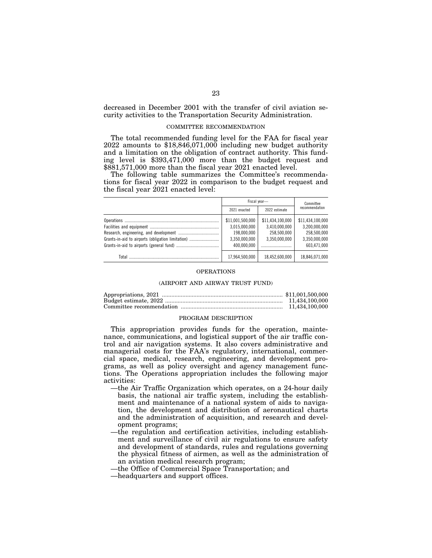decreased in December 2001 with the transfer of civil aviation security activities to the Transportation Security Administration.

## COMMITTEE RECOMMENDATION

The total recommended funding level for the FAA for fiscal year 2022 amounts to \$18,846,071,000 including new budget authority and a limitation on the obligation of contract authority. This funding level is \$393,471,000 more than the budget request and \$881,571,000 more than the fiscal year 2021 enacted level.

The following table summarizes the Committee's recommendations for fiscal year 2022 in comparison to the budget request and the fiscal year 2021 enacted level:

|                                                   | Fiscal year-     |                  | Committee        |  |
|---------------------------------------------------|------------------|------------------|------------------|--|
|                                                   | 2021 enacted     | 2022 estimate    | recommendation   |  |
|                                                   | \$11,001,500,000 | \$11,434,100,000 | \$11,434,100,000 |  |
|                                                   | 3,015,000,000    | 3,410,000,000    | 3.200.000.000    |  |
|                                                   | 198.000.000      | 258.500.000      | 258.500.000      |  |
| Grants-in-aid to airports (obligation limitation) | 3,350,000,000    | 3.350.000.000    | 3.350.000.000    |  |
|                                                   | 400.000.000      |                  | 603,471,000      |  |
| Total                                             | 17,964,500,000   | 18,452,600,000   | 18,846,071,000   |  |

# OPERATIONS

# (AIRPORT AND AIRWAY TRUST FUND)

## PROGRAM DESCRIPTION

This appropriation provides funds for the operation, maintenance, communications, and logistical support of the air traffic control and air navigation systems. It also covers administrative and managerial costs for the FAA's regulatory, international, commercial space, medical, research, engineering, and development programs, as well as policy oversight and agency management functions. The Operations appropriation includes the following major activities:

- —the Air Traffic Organization which operates, on a 24-hour daily basis, the national air traffic system, including the establishment and maintenance of a national system of aids to navigation, the development and distribution of aeronautical charts and the administration of acquisition, and research and development programs;
- —the regulation and certification activities, including establishment and surveillance of civil air regulations to ensure safety and development of standards, rules and regulations governing the physical fitness of airmen, as well as the administration of an aviation medical research program;
- —the Office of Commercial Space Transportation; and
- —headquarters and support offices.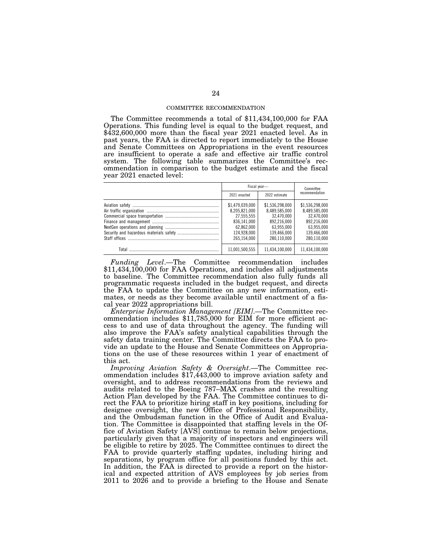### COMMITTEE RECOMMENDATION

The Committee recommends a total of \$11,434,100,000 for FAA Operations. This funding level is equal to the budget request, and \$432,600,000 more than the fiscal year 2021 enacted level. As in past years, the FAA is directed to report immediately to the House and Senate Committees on Appropriations in the event resources are insufficient to operate a safe and effective air traffic control system. The following table summarizes the Committee's recommendation in comparison to the budget estimate and the fiscal year 2021 enacted level:

|       | Fiscal year-                                                                                              |                                                                                                           | Committee                                                                                                 |  |
|-------|-----------------------------------------------------------------------------------------------------------|-----------------------------------------------------------------------------------------------------------|-----------------------------------------------------------------------------------------------------------|--|
|       | 2021 enacted                                                                                              | 2022 estimate                                                                                             | recommendation                                                                                            |  |
|       | \$1.479.039.000<br>8.205.821.000<br>27.555.555<br>836.141.000<br>62.862.000<br>124.928.000<br>265.154.000 | \$1.536.298.000<br>8.489.585.000<br>32.470.000<br>892.216.000<br>63.955.000<br>139.466.000<br>280.110.000 | \$1.536.298.000<br>8.489.585.000<br>32.470.000<br>892.216.000<br>63.955.000<br>139.466.000<br>280.110.000 |  |
| Total | 11.001.500.555                                                                                            | 11.434.100.000                                                                                            | 11,434,100,000                                                                                            |  |

*Funding Level*.—The Committee recommendation includes \$11,434,100,000 for FAA Operations, and includes all adjustments to baseline. The Committee recommendation also fully funds all programmatic requests included in the budget request, and directs the FAA to update the Committee on any new information, estimates, or needs as they become available until enactment of a fiscal year 2022 appropriations bill.

*Enterprise Information Management [EIM]*.—The Committee recommendation includes \$11,785,000 for EIM for more efficient access to and use of data throughout the agency. The funding will also improve the FAA's safety analytical capabilities through the safety data training center. The Committee directs the FAA to provide an update to the House and Senate Committees on Appropriations on the use of these resources within 1 year of enactment of this act.

*Improving Aviation Safety & Oversight*.—The Committee recommendation includes \$17,443,000 to improve aviation safety and oversight, and to address recommendations from the reviews and audits related to the Boeing 787–MAX crashes and the resulting Action Plan developed by the FAA. The Committee continues to direct the FAA to prioritize hiring staff in key positions, including for designee oversight, the new Office of Professional Responsibility, and the Ombudsman function in the Office of Audit and Evaluation. The Committee is disappointed that staffing levels in the Office of Aviation Safety [AVS] continue to remain below projections, particularly given that a majority of inspectors and engineers will be eligible to retire by 2025. The Committee continues to direct the FAA to provide quarterly staffing updates, including hiring and separations, by program office for all positions funded by this act. In addition, the FAA is directed to provide a report on the historical and expected attrition of AVS employees by job series from 2011 to 2026 and to provide a briefing to the House and Senate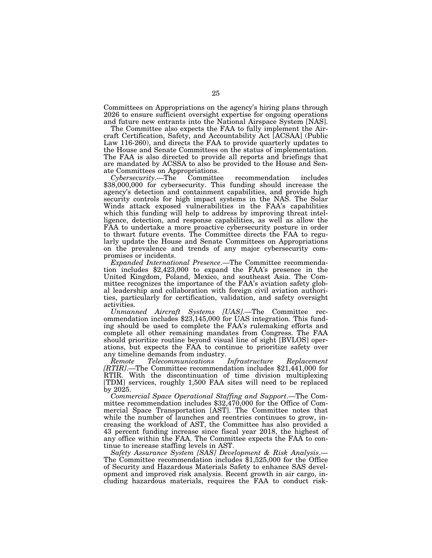Committees on Appropriations on the agency's hiring plans through 2026 to ensure sufficient oversight expertise for ongoing operations and future new entrants into the National Airspace System [NAS].

The Committee also expects the FAA to fully implement the Aircraft Certification, Safety, and Accountability Act [ACSAA] (Public Law 116-260), and directs the FAA to provide quarterly updates to the House and Senate Committees on the status of implementation. The FAA is also directed to provide all reports and briefings that are mandated by ACSSA to also be provided to the House and Senate Committees on Appropriations.

*Cybersecurity*.—The Committee recommendation includes \$38,000,000 for cybersecurity. This funding should increase the agency's detection and containment capabilities, and provide high security controls for high impact systems in the NAS. The Solar Winds attack exposed vulnerabilities in the FAA's capabilities which this funding will help to address by improving threat intelligence, detection, and response capabilities, as well as allow the FAA to undertake a more proactive cybersecurity posture in order to thwart future events. The Committee directs the FAA to regularly update the House and Senate Committees on Appropriations on the prevalence and trends of any major cybersecurity compromises or incidents.

*Expanded International Presence*.—The Committee recommendation includes \$2,423,000 to expand the FAA's presence in the United Kingdom, Poland, Mexico, and southeast Asia. The Committee recognizes the importance of the FAA's aviation safety global leadership and collaboration with foreign civil aviation authorities, particularly for certification, validation, and safety oversight activities.

*Unmanned Aircraft Systems [UAS]*.—The Committee recommendation includes \$23,145,000 for UAS integration. This funding should be used to complete the FAA's rulemaking efforts and complete all other remaining mandates from Congress. The FAA should prioritize routine beyond visual line of sight [BVLOS] operations, but expects the FAA to continue to prioritize safety over any timeline demands from industry.<br>Remote Telecommunications Infrastructure

*Remote Telecommunications Infrastructure Replacement [RTIR]*.—The Committee recommendation includes \$21,441,000 for RTIR. With the discontinuation of time division multiplexing [TDM] services, roughly 1,500 FAA sites will need to be replaced by 2025.

*Commercial Space Operational Staffing and Support*.—The Committee recommendation includes \$32,470,000 for the Office of Commercial Space Transportation [AST]. The Committee notes that while the number of launches and reentries continues to grow, increasing the workload of AST, the Committee has also provided a 43 percent funding increase since fiscal year 2018, the highest of any office within the FAA. The Committee expects the FAA to continue to increase staffing levels in AST.

*Safety Assurance System [SAS] Development & Risk Analysis*.— The Committee recommendation includes \$1,525,000 for the Office of Security and Hazardous Materials Safety to enhance SAS development and improved risk analysis. Recent growth in air cargo, including hazardous materials, requires the FAA to conduct risk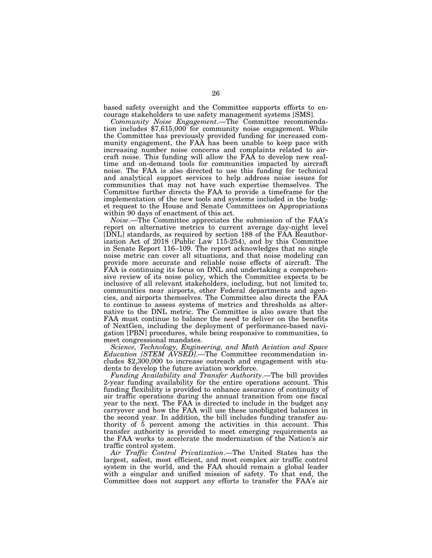based safety oversight and the Committee supports efforts to encourage stakeholders to use safety management systems [SMS].

*Community Noise Engagement*.—The Committee recommendation includes \$7,615,000 for community noise engagement. While the Committee has previously provided funding for increased community engagement, the FAA has been unable to keep pace with increasing number noise concerns and complaints related to aircraft noise. This funding will allow the FAA to develop new realtime and on-demand tools for communities impacted by aircraft noise. The FAA is also directed to use this funding for technical and analytical support services to help address noise issues for communities that may not have such expertise themselves. The Committee further directs the FAA to provide a timeframe for the implementation of the new tools and systems included in the budget request to the House and Senate Committees on Appropriations within 90 days of enactment of this act.

*Noise*.—The Committee appreciates the submission of the FAA's report on alternative metrics to current average day-night level [DNL] standards, as required by section 188 of the FAA Reauthorization Act of 2018 (Public Law 115-254), and by this Committee in Senate Report 116–109. The report acknowledges that no single noise metric can cover all situations, and that noise modeling can provide more accurate and reliable noise effects of aircraft. The FAA is continuing its focus on DNL and undertaking a comprehensive review of its noise policy, which the Committee expects to be inclusive of all relevant stakeholders, including, but not limited to, communities near airports, other Federal departments and agencies, and airports themselves. The Committee also directs the FAA to continue to assess systems of metrics and thresholds as alternative to the DNL metric. The Committee is also aware that the FAA must continue to balance the need to deliver on the benefits of NextGen, including the deployment of performance-based navigation [PBN] procedures, while being responsive to communities, to meet congressional mandates.

*Science, Technology, Engineering, and Math Aviation and Space Education [STEM AVSED]*.—The Committee recommendation includes \$2,300,000 to increase outreach and engagement with students to develop the future aviation workforce.

*Funding Availability and Transfer Authority*.—The bill provides 2-year funding availability for the entire operations account. This funding flexibility is provided to enhance assurance of continuity of air traffic operations during the annual transition from one fiscal year to the next. The FAA is directed to include in the budget any carryover and how the FAA will use these unobligated balances in the second year. In addition, the bill includes funding transfer authority of 5 percent among the activities in this account. This transfer authority is provided to meet emerging requirements as the FAA works to accelerate the modernization of the Nation's air traffic control system.

*Air Traffic Control Privatization*.—The United States has the largest, safest, most efficient, and most complex air traffic control system in the world, and the FAA should remain a global leader with a singular and unified mission of safety. To that end, the Committee does not support any efforts to transfer the FAA's air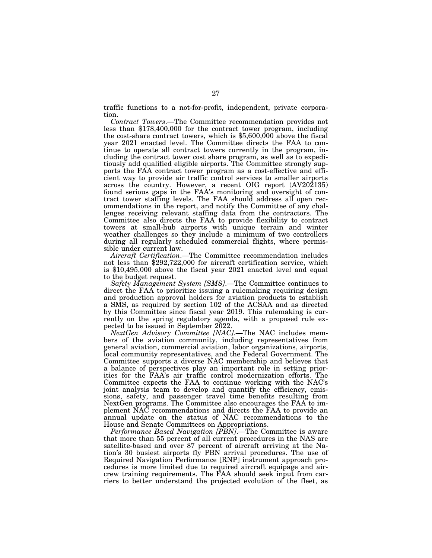traffic functions to a not-for-profit, independent, private corporation.

*Contract Towers*.—The Committee recommendation provides not less than \$178,400,000 for the contract tower program, including the cost-share contract towers, which is \$5,600,000 above the fiscal year 2021 enacted level. The Committee directs the FAA to continue to operate all contract towers currently in the program, including the contract tower cost share program, as well as to expeditiously add qualified eligible airports. The Committee strongly supports the FAA contract tower program as a cost-effective and efficient way to provide air traffic control services to smaller airports across the country. However, a recent OIG report (AV202135) found serious gaps in the FAA's monitoring and oversight of contract tower staffing levels. The FAA should address all open recommendations in the report, and notify the Committee of any challenges receiving relevant staffing data from the contractors. The Committee also directs the FAA to provide flexibility to contract towers at small-hub airports with unique terrain and winter weather challenges so they include a minimum of two controllers during all regularly scheduled commercial flights, where permissible under current law.

*Aircraft Certification*.—The Committee recommendation includes not less than \$292,722,000 for aircraft certification service, which is \$10,495,000 above the fiscal year 2021 enacted level and equal to the budget request.

*Safety Management System [SMS]*.—The Committee continues to direct the FAA to prioritize issuing a rulemaking requiring design and production approval holders for aviation products to establish a SMS, as required by section 102 of the ACSAA and as directed by this Committee since fiscal year 2019. This rulemaking is currently on the spring regulatory agenda, with a proposed rule expected to be issued in September 2022.

*NextGen Advisory Committee [NAC]*.—The NAC includes members of the aviation community, including representatives from general aviation, commercial aviation, labor organizations, airports, local community representatives, and the Federal Government. The Committee supports a diverse NAC membership and believes that a balance of perspectives play an important role in setting priorities for the FAA's air traffic control modernization efforts. The Committee expects the FAA to continue working with the NAC's joint analysis team to develop and quantify the efficiency, emissions, safety, and passenger travel time benefits resulting from NextGen programs. The Committee also encourages the FAA to implement NAC recommendations and directs the FAA to provide an annual update on the status of NAC recommendations to the House and Senate Committees on Appropriations.

*Performance Based Navigation [PBN]*.—The Committee is aware that more than 55 percent of all current procedures in the NAS are satellite-based and over 87 percent of aircraft arriving at the Nation's 30 busiest airports fly PBN arrival procedures. The use of Required Navigation Performance [RNP] instrument approach procedures is more limited due to required aircraft equipage and aircrew training requirements. The FAA should seek input from carriers to better understand the projected evolution of the fleet, as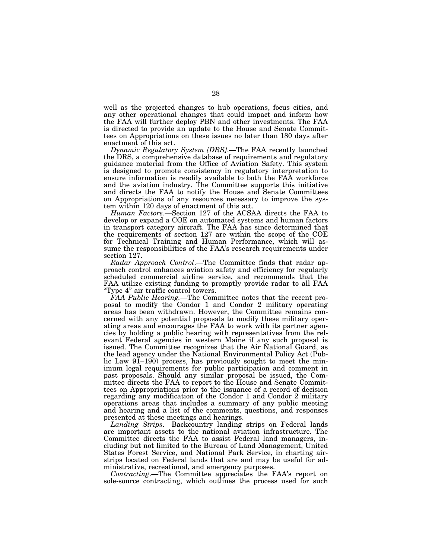well as the projected changes to hub operations, focus cities, and any other operational changes that could impact and inform how the FAA will further deploy PBN and other investments. The FAA is directed to provide an update to the House and Senate Committees on Appropriations on these issues no later than 180 days after enactment of this act.

*Dynamic Regulatory System [DRS]*.—The FAA recently launched the DRS, a comprehensive database of requirements and regulatory guidance material from the Office of Aviation Safety. This system is designed to promote consistency in regulatory interpretation to ensure information is readily available to both the FAA workforce and the aviation industry. The Committee supports this initiative and directs the FAA to notify the House and Senate Committees on Appropriations of any resources necessary to improve the system within 120 days of enactment of this act.

*Human Factors*.—Section 127 of the ACSAA directs the FAA to develop or expand a COE on automated systems and human factors in transport category aircraft. The FAA has since determined that the requirements of section 127 are within the scope of the COE for Technical Training and Human Performance, which will assume the responsibilities of the FAA's research requirements under section 127.

*Radar Approach Control*.—The Committee finds that radar approach control enhances aviation safety and efficiency for regularly scheduled commercial airline service, and recommends that the FAA utilize existing funding to promptly provide radar to all FAA "Type 4" air traffic control towers.

*FAA Public Hearing.*—The Committee notes that the recent proposal to modify the Condor 1 and Condor 2 military operating areas has been withdrawn. However, the Committee remains concerned with any potential proposals to modify these military operating areas and encourages the FAA to work with its partner agencies by holding a public hearing with representatives from the relevant Federal agencies in western Maine if any such proposal is issued. The Committee recognizes that the Air National Guard, as the lead agency under the National Environmental Policy Act (Public Law 91–190) process, has previously sought to meet the minimum legal requirements for public participation and comment in past proposals. Should any similar proposal be issued, the Committee directs the FAA to report to the House and Senate Committees on Appropriations prior to the issuance of a record of decision regarding any modification of the Condor 1 and Condor 2 military operations areas that includes a summary of any public meeting and hearing and a list of the comments, questions, and responses presented at these meetings and hearings.

*Landing Strips*.—Backcountry landing strips on Federal lands are important assets to the national aviation infrastructure. The Committee directs the FAA to assist Federal land managers, including but not limited to the Bureau of Land Management, United States Forest Service, and National Park Service, in charting airstrips located on Federal lands that are and may be useful for administrative, recreational, and emergency purposes.

*Contracting*.—The Committee appreciates the FAA's report on sole-source contracting, which outlines the process used for such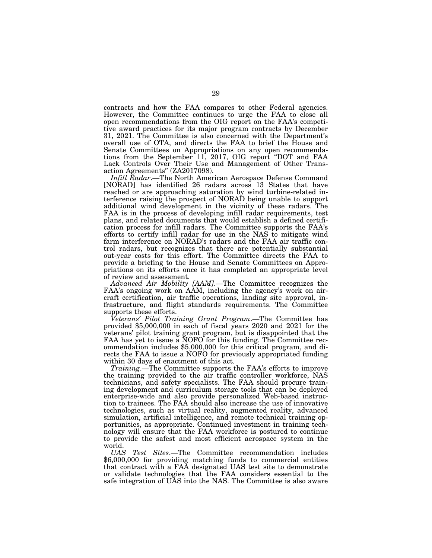contracts and how the FAA compares to other Federal agencies. However, the Committee continues to urge the FAA to close all open recommendations from the OIG report on the FAA's competitive award practices for its major program contracts by December 31, 2021. The Committee is also concerned with the Department's overall use of OTA, and directs the FAA to brief the House and Senate Committees on Appropriations on any open recommendations from the September 11, 2017, OIG report "DOT and FAA Lack Controls Over Their Use and Management of Other Transaction Agreements'' (ZA2017098).

*Infill Radar*.—The North American Aerospace Defense Command [NORAD] has identified 26 radars across 13 States that have reached or are approaching saturation by wind turbine-related interference raising the prospect of NORAD being unable to support additional wind development in the vicinity of these radars. The FAA is in the process of developing infill radar requirements, test plans, and related documents that would establish a defined certification process for infill radars. The Committee supports the FAA's efforts to certify infill radar for use in the NAS to mitigate wind farm interference on NORAD's radars and the FAA air traffic control radars, but recognizes that there are potentially substantial out-year costs for this effort. The Committee directs the FAA to provide a briefing to the House and Senate Committees on Appropriations on its efforts once it has completed an appropriate level of review and assessment.

*Advanced Air Mobility [AAM]*.—The Committee recognizes the FAA's ongoing work on AAM, including the agency's work on aircraft certification, air traffic operations, landing site approval, infrastructure, and flight standards requirements. The Committee supports these efforts.

*Veterans' Pilot Training Grant Program*.—The Committee has provided \$5,000,000 in each of fiscal years 2020 and 2021 for the veterans' pilot training grant program, but is disappointed that the FAA has yet to issue a NOFO for this funding. The Committee recommendation includes \$5,000,000 for this critical program, and directs the FAA to issue a NOFO for previously appropriated funding within 30 days of enactment of this act.

*Training*.—The Committee supports the FAA's efforts to improve the training provided to the air traffic controller workforce, NAS technicians, and safety specialists. The FAA should procure training development and curriculum storage tools that can be deployed enterprise-wide and also provide personalized Web-based instruction to trainees. The FAA should also increase the use of innovative technologies, such as virtual reality, augmented reality, advanced simulation, artificial intelligence, and remote technical training opportunities, as appropriate. Continued investment in training technology will ensure that the FAA workforce is postured to continue to provide the safest and most efficient aerospace system in the

world. Test Sites.—The Committee recommendation includes \$6,000,000 for providing matching funds to commercial entities that contract with a FAA designated UAS test site to demonstrate or validate technologies that the FAA considers essential to the safe integration of UAS into the NAS. The Committee is also aware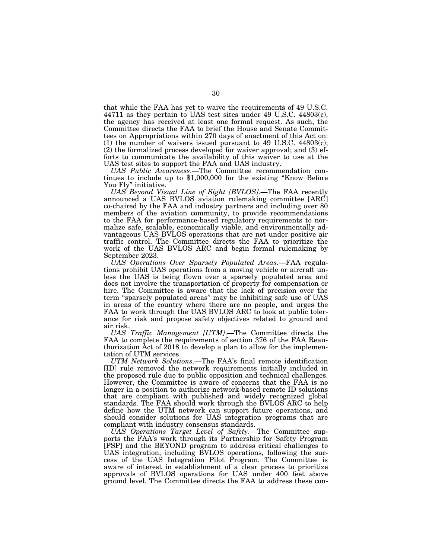that while the FAA has yet to waive the requirements of 49 U.S.C. 44711 as they pertain to UAS test sites under 49 U.S.C. 44803(c), the agency has received at least one formal request. As such, the Committee directs the FAA to brief the House and Senate Committees on Appropriations within 270 days of enactment of this Act on: (1) the number of waivers issued pursuant to 49 U.S.C. 44803(c); (2) the formalized process developed for waiver approval; and (3) efforts to communicate the availability of this waiver to use at the UAS test sites to support the FAA and UAS industry.

*UAS Public Awareness*.—The Committee recommendation continues to include up to \$1,000,000 for the existing ''Know Before You Fly'' initiative.

*UAS Beyond Visual Line of Sight [BVLOS]*.—The FAA recently announced a UAS BVLOS aviation rulemaking committee [ARC] co-chaired by the FAA and industry partners and including over 80 members of the aviation community, to provide recommendations to the FAA for performance-based regulatory requirements to normalize safe, scalable, economically viable, and environmentally advantageous UAS BVLOS operations that are not under positive air traffic control. The Committee directs the FAA to prioritize the work of the UAS BVLOS ARC and begin formal rulemaking by September 2023.

*UAS Operations Over Sparsely Populated Areas*.—FAA regulations prohibit UAS operations from a moving vehicle or aircraft unless the UAS is being flown over a sparsely populated area and does not involve the transportation of property for compensation or hire. The Committee is aware that the lack of precision over the term ''sparsely populated areas'' may be inhibiting safe use of UAS in areas of the country where there are no people, and urges the FAA to work through the UAS BVLOS ARC to look at public tolerance for risk and propose safety objectives related to ground and air risk.

*UAS Traffic Management [UTM]*.—The Committee directs the FAA to complete the requirements of section 376 of the FAA Reauthorization Act of 2018 to develop a plan to allow for the implementation of UTM services.

*UTM Network Solutions*.—The FAA's final remote identification [ID] rule removed the network requirements initially included in the proposed rule due to public opposition and technical challenges. However, the Committee is aware of concerns that the FAA is no longer in a position to authorize network-based remote ID solutions that are compliant with published and widely recognized global standards. The FAA should work through the BVLOS ARC to help define how the UTM network can support future operations, and should consider solutions for UAS integration programs that are compliant with industry consensus standards.

*UAS Operations Target Level of Safety*.—The Committee supports the FAA's work through its Partnership for Safety Program [PSP] and the BEYOND program to address critical challenges to UAS integration, including BVLOS operations, following the success of the UAS Integration Pilot Program. The Committee is aware of interest in establishment of a clear process to prioritize approvals of BVLOS operations for UAS under 400 feet above ground level. The Committee directs the FAA to address these con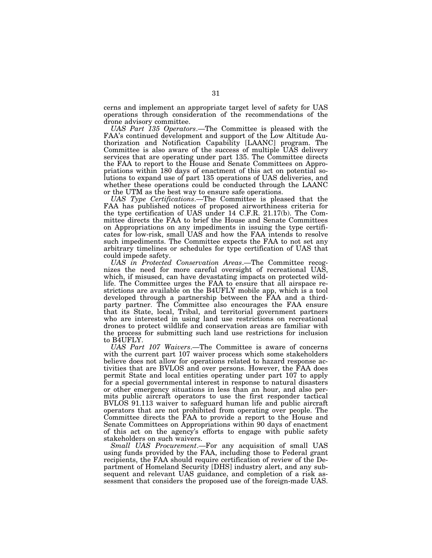cerns and implement an appropriate target level of safety for UAS operations through consideration of the recommendations of the drone advisory committee.

*UAS Part 135 Operators*.—The Committee is pleased with the FAA's continued development and support of the Low Altitude Authorization and Notification Capability [LAANC] program. The Committee is also aware of the success of multiple UAS delivery services that are operating under part 135. The Committee directs the FAA to report to the House and Senate Committees on Appropriations within 180 days of enactment of this act on potential solutions to expand use of part 135 operations of UAS deliveries, and whether these operations could be conducted through the LAANC or the UTM as the best way to ensure safe operations.

*UAS Type Certifications*.—The Committee is pleased that the FAA has published notices of proposed airworthiness criteria for the type certification of UAS under 14 C.F.R. 21.17(b). The Committee directs the FAA to brief the House and Senate Committees on Appropriations on any impediments in issuing the type certificates for low-risk, small UAS and how the FAA intends to resolve such impediments. The Committee expects the FAA to not set any arbitrary timelines or schedules for type certification of UAS that could impede safety.

*UAS in Protected Conservation Areas*.—The Committee recognizes the need for more careful oversight of recreational UAS, which, if misused, can have devastating impacts on protected wildlife. The Committee urges the FAA to ensure that all airspace restrictions are available on the B4UFLY mobile app, which is a tool developed through a partnership between the FAA and a thirdparty partner. The Committee also encourages the FAA ensure that its State, local, Tribal, and territorial government partners who are interested in using land use restrictions on recreational drones to protect wildlife and conservation areas are familiar with the process for submitting such land use restrictions for inclusion to B4UFLY.

*UAS Part 107 Waivers*.—The Committee is aware of concerns with the current part 107 waiver process which some stakeholders believe does not allow for operations related to hazard response activities that are BVLOS and over persons. However, the FAA does permit State and local entities operating under part 107 to apply for a special governmental interest in response to natural disasters or other emergency situations in less than an hour, and also permits public aircraft operators to use the first responder tactical BVLOS 91.113 waiver to safeguard human life and public aircraft operators that are not prohibited from operating over people. The Committee directs the FAA to provide a report to the House and Senate Committees on Appropriations within 90 days of enactment of this act on the agency's efforts to engage with public safety stakeholders on such waivers.

*Small UAS Procurement*.—For any acquisition of small UAS using funds provided by the FAA, including those to Federal grant recipients, the FAA should require certification of review of the Department of Homeland Security [DHS] industry alert, and any subsequent and relevant UAS guidance, and completion of a risk assessment that considers the proposed use of the foreign-made UAS.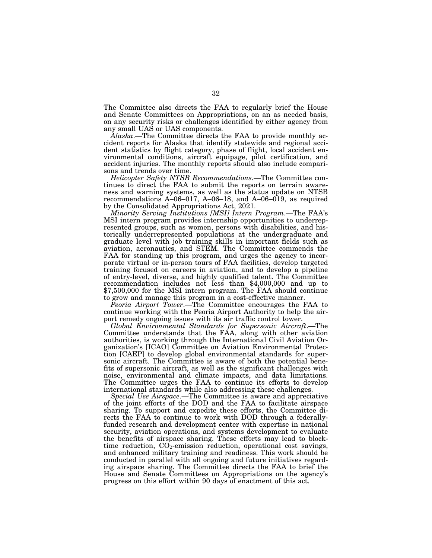The Committee also directs the FAA to regularly brief the House and Senate Committees on Appropriations, on an as needed basis, on any security risks or challenges identified by either agency from any small UAS or UAS components.

*Alaska*.—The Committee directs the FAA to provide monthly accident reports for Alaska that identify statewide and regional accident statistics by flight category, phase of flight, local accident environmental conditions, aircraft equipage, pilot certification, and accident injuries. The monthly reports should also include comparisons and trends over time.

*Helicopter Safety NTSB Recommendations*.—The Committee continues to direct the FAA to submit the reports on terrain awareness and warning systems, as well as the status update on NTSB recommendations A–06–017, A–06–18, and A–06–019, as required by the Consolidated Appropriations Act, 2021.

*Minority Serving Institutions [MSI] Intern Program*.—The FAA's MSI intern program provides internship opportunities to underrepresented groups, such as women, persons with disabilities, and historically underrepresented populations at the undergraduate and graduate level with job training skills in important fields such as aviation, aeronautics, and STEM. The Committee commends the FAA for standing up this program, and urges the agency to incorporate virtual or in-person tours of FAA facilities, develop targeted training focused on careers in aviation, and to develop a pipeline of entry-level, diverse, and highly qualified talent. The Committee recommendation includes not less than \$4,000,000 and up to \$7,500,000 for the MSI intern program. The FAA should continue to grow and manage this program in a cost-effective manner.

*Peoria Airport Tower*.—The Committee encourages the FAA to continue working with the Peoria Airport Authority to help the airport remedy ongoing issues with its air traffic control tower.

*Global Environmental Standards for Supersonic Aircraft*.—The Committee understands that the FAA, along with other aviation authorities, is working through the International Civil Aviation Organization's [ICAO] Committee on Aviation Environmental Protection [CAEP] to develop global environmental standards for supersonic aircraft. The Committee is aware of both the potential benefits of supersonic aircraft, as well as the significant challenges with noise, environmental and climate impacts, and data limitations. The Committee urges the FAA to continue its efforts to develop international standards while also addressing these challenges.

*Special Use Airspace*.—The Committee is aware and appreciative of the joint efforts of the DOD and the FAA to facilitate airspace sharing. To support and expedite these efforts, the Committee directs the FAA to continue to work with DOD through a federallyfunded research and development center with expertise in national security, aviation operations, and systems development to evaluate the benefits of airspace sharing. These efforts may lead to blocktime reduction,  $CO<sub>2</sub>$ -emission reduction, operational cost savings, and enhanced military training and readiness. This work should be conducted in parallel with all ongoing and future initiatives regarding airspace sharing. The Committee directs the FAA to brief the House and Senate Committees on Appropriations on the agency's progress on this effort within 90 days of enactment of this act.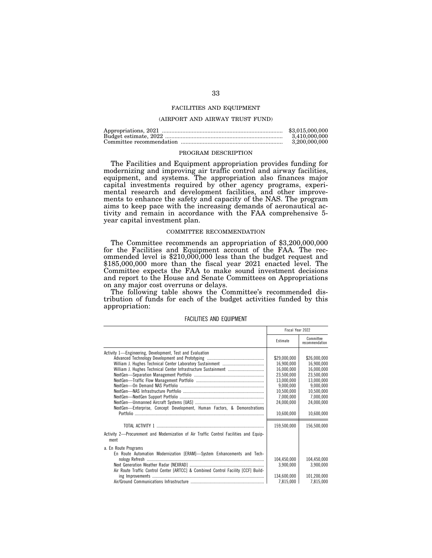## FACILITIES AND EQUIPMENT

## (AIRPORT AND AIRWAY TRUST FUND)

| \$3,015,000,000 |
|-----------------|
| 3.410.000.000   |
| 3.200.000.000   |

### PROGRAM DESCRIPTION

The Facilities and Equipment appropriation provides funding for modernizing and improving air traffic control and airway facilities, equipment, and systems. The appropriation also finances major capital investments required by other agency programs, experimental research and development facilities, and other improvements to enhance the safety and capacity of the NAS. The program aims to keep pace with the increasing demands of aeronautical activity and remain in accordance with the FAA comprehensive 5 year capital investment plan.

## COMMITTEE RECOMMENDATION

The Committee recommends an appropriation of \$3,200,000,000 for the Facilities and Equipment account of the FAA. The recommended level is \$210,000,000 less than the budget request and \$185,000,000 more than the fiscal year 2021 enacted level. The Committee expects the FAA to make sound investment decisions and report to the House and Senate Committees on Appropriations on any major cost overruns or delays.

The following table shows the Committee's recommended distribution of funds for each of the budget activities funded by this appropriation:

|                                                                                               | Fiscal Year 2022 |                             |
|-----------------------------------------------------------------------------------------------|------------------|-----------------------------|
|                                                                                               | Estimate         | Committee<br>recommendation |
| Activity 1—Engineering, Development, Test and Evaluation                                      |                  |                             |
|                                                                                               | \$29,000,000     | \$26,000,000                |
|                                                                                               | 16,900,000       | 16,900,000                  |
|                                                                                               | 16,000,000       | 16,000,000                  |
|                                                                                               | 23,500,000       | 23,500,000                  |
|                                                                                               | 13,000,000       | 13,000,000                  |
|                                                                                               | 9,000,000        | 9,000,000                   |
|                                                                                               | 10,500,000       | 10,500,000                  |
|                                                                                               | 7,000,000        | 7,000,000                   |
|                                                                                               | 24,000,000       | 24,000,000                  |
| NextGen-Enterprise, Concept Development, Human Factors, & Demonstrations                      |                  |                             |
|                                                                                               | 10,600,000       | 10,600,000                  |
|                                                                                               |                  |                             |
|                                                                                               | 159,500,000      | 156,500,000                 |
| Activity 2—Procurement and Modernization of Air Traffic Control Facilities and Equip-<br>ment |                  |                             |
| a. En Route Programs                                                                          |                  |                             |
| En Route Automation Modernization [ERAM]-System Enhancements and Tech-                        |                  |                             |
|                                                                                               | 104,450,000      | 104,450,000                 |
|                                                                                               | 3,900,000        | 3,900,000                   |
| Air Route Traffic Control Center [ARTCC] & Combined Control Facility [CCF] Build-             |                  |                             |
|                                                                                               | 134.600.000      | 101.200.000                 |
|                                                                                               | 7,815,000        | 7,815,000                   |

#### FACILITIES AND EQUIPMENT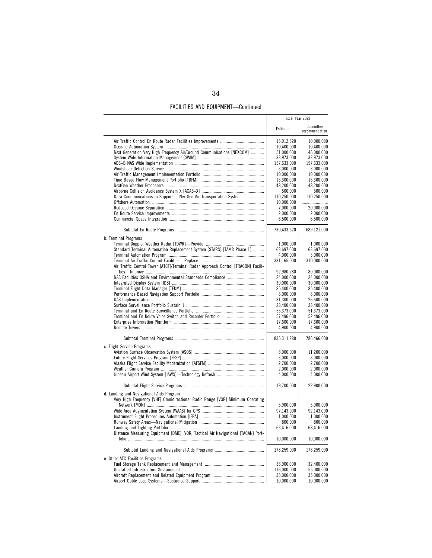| <b>FACILITIES AND EQUIPMENT-Continued</b> |  |
|-------------------------------------------|--|
|-------------------------------------------|--|

|                                                                                   | Fiscal Year 2022        |                             |
|-----------------------------------------------------------------------------------|-------------------------|-----------------------------|
|                                                                                   | Estimate                | Committee<br>recommendation |
|                                                                                   | 15,912,520              | 10,000,000                  |
|                                                                                   | 10,400,000              | 10,400,000                  |
| Next Generation Very High Frequency Air/Ground Communications [NEXCOM]            | 51,000,000              | 46,000,000                  |
|                                                                                   | 33,973,000              | 33,973,000                  |
|                                                                                   | 157,633,000             | 157,633,000                 |
|                                                                                   | 3,000,000               | 3,000,000                   |
|                                                                                   | 10,000,000              | 10,000,000                  |
|                                                                                   | 13,300,000              | 13,300,000                  |
|                                                                                   | 48,200,000              | 48,200,000                  |
|                                                                                   | 500,000                 | 500,000                     |
| Data Communications in Support of NextGen Air Transportation System               | 110,250,000             | 110,250,000                 |
|                                                                                   | 10,000,000              |                             |
|                                                                                   | 7,000,000               | 20,000,000                  |
|                                                                                   | 2,000,000               | 2,000,000                   |
|                                                                                   | 6,500,000               | 6,500,000                   |
|                                                                                   | 730,433,520             | 689,121,000                 |
| b. Terminal Programs                                                              |                         |                             |
| Standard Terminal Automation Replacement System [STARS] [TAMR Phase 1]            | 1,000,000<br>63,697,000 | 1,000,000<br>63,697,000     |
|                                                                                   | 4,000,000               | 3,000,000                   |
|                                                                                   | 331,165,000             | 310,000,000                 |
| Air Traffic Control Tower [ATCT]/Terminal Radar Approach Control [TRACON] Facili- |                         |                             |
|                                                                                   | 92,980,280              | 80,000,000                  |
|                                                                                   | 24,000,000              | 24,000,000                  |
|                                                                                   | 30,000,000              | 30,000,000                  |
|                                                                                   | 85,400,000              | 85,400,000                  |
|                                                                                   | 8,000,000               | 8,000,000                   |
|                                                                                   | 31,300,000              | 26,600,000                  |
|                                                                                   | 28,400,000              | 28,400,000                  |
|                                                                                   | 55,373,000              | 51,373,000                  |
|                                                                                   | 57,496,000              | 52,496,000                  |
|                                                                                   | 17,600,000              | 17,600,000                  |
|                                                                                   | 4,900,000               | 4,900,000                   |
|                                                                                   | 835,311,280             | 786,466,000                 |
| c. Flight Service Programs                                                        |                         |                             |
|                                                                                   | 8,000,000               | 11,200,000                  |
|                                                                                   | 3,000,000               | 3,000,000                   |
|                                                                                   | 2,700,000               | 2,700,000                   |
|                                                                                   | 2,000,000               | 2,000,000<br>4,000,000      |
|                                                                                   | 4,000,000               |                             |
|                                                                                   | 19,700,000              | 22,900,000                  |
| d. Landing and Navigational Aids Program                                          |                         |                             |
| Very High Frequency [VHF] Omnidirectional Radio Range [VOR] Minimum Operating     |                         |                             |
|                                                                                   | 5,900,000               | 5,900,000                   |
|                                                                                   | 97,143,000              | 92,143,000                  |
|                                                                                   | 1,000,000               | 1,000,000                   |
|                                                                                   | 800,000                 | 800,000                     |
|                                                                                   | 63.416.000              | 68,416,000                  |
| Distance Measuring Equipment [DME], VOR, Tactical Air Navigational [TACAN] Port-  | 10,000,000              | 10,000,000                  |
|                                                                                   | 178,259,000             | 178,259,000                 |
| e. Other ATC Facilities Programs                                                  |                         |                             |
|                                                                                   | 38,900,000              | 32,400,000                  |
|                                                                                   | 116,000,000             | 55,000,000                  |
|                                                                                   | 35,000,000              | 35,000,000                  |
|                                                                                   | 10,000,000              | 10,000,000                  |
|                                                                                   |                         |                             |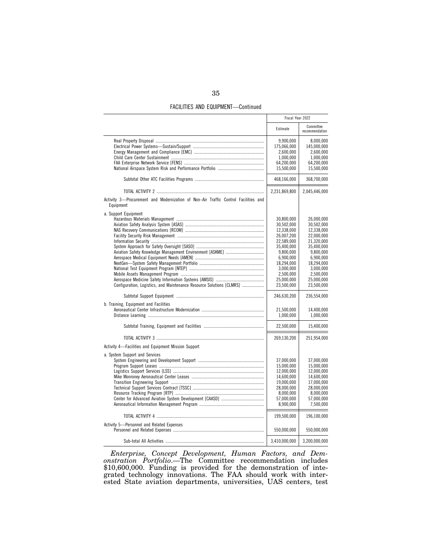| <b>FACILITIES AND EQUIPMENT-Continued</b> |  |  |  |  |
|-------------------------------------------|--|--|--|--|
|-------------------------------------------|--|--|--|--|

|                                                                                                                                       | Fiscal Year 2022                                                                                                                                                                                                                       |                                                                                                                                                                                                                                        |
|---------------------------------------------------------------------------------------------------------------------------------------|----------------------------------------------------------------------------------------------------------------------------------------------------------------------------------------------------------------------------------------|----------------------------------------------------------------------------------------------------------------------------------------------------------------------------------------------------------------------------------------|
|                                                                                                                                       | Estimate                                                                                                                                                                                                                               | Committee<br>recommendation                                                                                                                                                                                                            |
|                                                                                                                                       | 9,900,000<br>175,066,000<br>2,600,000<br>1,000,000<br>64,200,000<br>15,500,000                                                                                                                                                         | 8,000,000<br>145,000,000<br>2,600,000<br>1,000,000<br>64,200,000<br>15,500,000                                                                                                                                                         |
|                                                                                                                                       | 468,166,000                                                                                                                                                                                                                            | 368,700,000                                                                                                                                                                                                                            |
|                                                                                                                                       | 2,231,869,800                                                                                                                                                                                                                          | 2,045,446,000                                                                                                                                                                                                                          |
| Activity 3-Procurement and Modernization of Non-Air Traffic Control Facilities and<br>Equipment                                       |                                                                                                                                                                                                                                        |                                                                                                                                                                                                                                        |
| a. Support Equipment<br>Configuration, Logistics, and Maintenance Resource Solutions [CLMRS]<br>b. Training, Equipment and Facilities | 30,800,000<br>30,502,000<br>12,338,000<br>26,007,200<br>22,589,000<br>35.400.000<br>9.800.000<br>6,900,000<br>18.294.000<br>3,000,000<br>2,500,000<br>25,000,000<br>23,500,000<br>246,630,200<br>21,500,000<br>1,000,000<br>22,500,000 | 26,000,000<br>30,502,000<br>12,338,000<br>22,000,000<br>21,320,000<br>35.400.000<br>9.800.000<br>6,900,000<br>18,294,000<br>3,000,000<br>2,500,000<br>25,000,000<br>23,500,000<br>236,554,000<br>14,400,000<br>1,000,000<br>15,400,000 |
|                                                                                                                                       | 269,130,200                                                                                                                                                                                                                            | 251,954,000                                                                                                                                                                                                                            |
| Activity 4—Facilities and Equipment Mission Support<br>a. System Support and Services                                                 |                                                                                                                                                                                                                                        |                                                                                                                                                                                                                                        |
|                                                                                                                                       | 37,000,000<br>15,000,000<br>12,000,000<br>14,600,000<br>19,000,000<br>28,000,000<br>8,000,000<br>57,000,000<br>8,900,000                                                                                                               | 37,000,000<br>15,000,000<br>12,000,000<br>14,600,000<br>17,000,000<br>28,000,000<br>8,000,000<br>57,000,000<br>7,500,000                                                                                                               |
| Activity 5-Personnel and Related Expenses                                                                                             | 199,500,000                                                                                                                                                                                                                            | 196,100,000                                                                                                                                                                                                                            |
|                                                                                                                                       | 550,000,000                                                                                                                                                                                                                            | 550,000,000                                                                                                                                                                                                                            |
|                                                                                                                                       | 3,410,000,000                                                                                                                                                                                                                          | 3,200,000,000                                                                                                                                                                                                                          |

*Enterprise, Concept Development, Human Factors, and Demonstration Portfolio*.—The Committee recommendation includes \$10,600,000. Funding is provided for the demonstration of integrated technology innovations. The FAA should work with interested State aviation departments, universities, UAS centers, test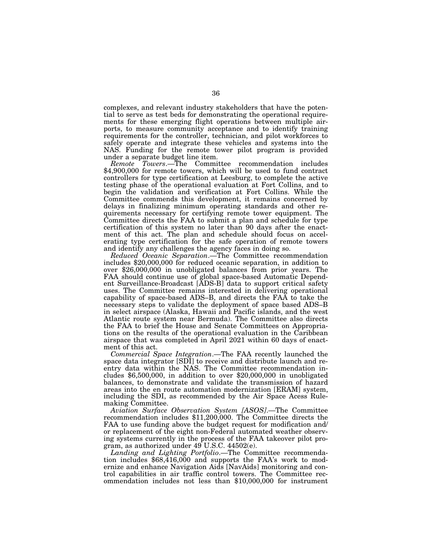complexes, and relevant industry stakeholders that have the potential to serve as test beds for demonstrating the operational requirements for these emerging flight operations between multiple airports, to measure community acceptance and to identify training requirements for the controller, technician, and pilot workforces to safely operate and integrate these vehicles and systems into the NAS. Funding for the remote tower pilot program is provided under a separate budget line item.

*Remote Towers*.—The Committee recommendation includes \$4,900,000 for remote towers, which will be used to fund contract controllers for type certification at Leesburg, to complete the active testing phase of the operational evaluation at Fort Collins, and to begin the validation and verification at Fort Collins. While the Committee commends this development, it remains concerned by delays in finalizing minimum operating standards and other requirements necessary for certifying remote tower equipment. The Committee directs the FAA to submit a plan and schedule for type certification of this system no later than 90 days after the enactment of this act. The plan and schedule should focus on accelerating type certification for the safe operation of remote towers and identify any challenges the agency faces in doing so.

*Reduced Oceanic Separation*.—The Committee recommendation includes \$20,000,000 for reduced oceanic separation, in addition to over \$26,000,000 in unobligated balances from prior years. The FAA should continue use of global space-based Automatic Dependent Surveillance-Broadcast [ADS-B] data to support critical safety uses. The Committee remains interested in delivering operational capability of space-based ADS–B, and directs the FAA to take the necessary steps to validate the deployment of space based ADS–B in select airspace (Alaska, Hawaii and Pacific islands, and the west Atlantic route system near Bermuda). The Committee also directs the FAA to brief the House and Senate Committees on Appropriations on the results of the operational evaluation in the Caribbean airspace that was completed in April 2021 within 60 days of enactment of this act.

*Commercial Space Integration*.—The FAA recently launched the space data integrator [SDI] to receive and distribute launch and reentry data within the NAS. The Committee recommendation includes \$6,500,000, in addition to over \$20,000,000 in unobligated balances, to demonstrate and validate the transmission of hazard areas into the en route automation modernization [ERAM] system, including the SDI, as recommended by the Air Space Acess Rulemaking Committee.

*Aviation Surface Observation System [ASOS]*.—The Committee recommendation includes \$11,200,000. The Committee directs the FAA to use funding above the budget request for modification and/ or replacement of the eight non-Federal automated weather observing systems currently in the process of the FAA takeover pilot program, as authorized under 49 U.S.C. 44502(e).

*Landing and Lighting Portfolio*.—The Committee recommendation includes \$68,416,000 and supports the FAA's work to modernize and enhance Navigation Aids [NavAids] monitoring and control capabilities in air traffic control towers. The Committee recommendation includes not less than \$10,000,000 for instrument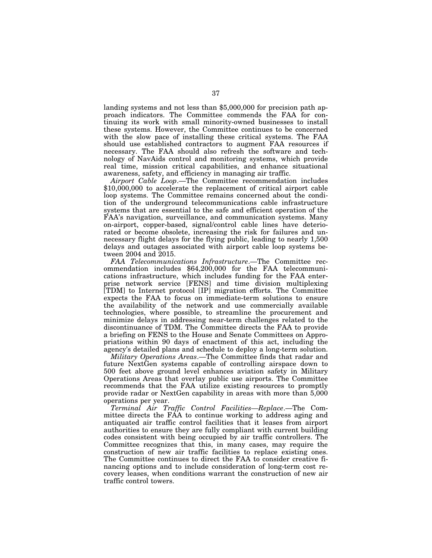landing systems and not less than \$5,000,000 for precision path approach indicators. The Committee commends the FAA for continuing its work with small minority-owned businesses to install these systems. However, the Committee continues to be concerned with the slow pace of installing these critical systems. The FAA should use established contractors to augment FAA resources if necessary. The FAA should also refresh the software and technology of NavAids control and monitoring systems, which provide real time, mission critical capabilities, and enhance situational awareness, safety, and efficiency in managing air traffic.

*Airport Cable Loop*.—The Committee recommendation includes \$10,000,000 to accelerate the replacement of critical airport cable loop systems. The Committee remains concerned about the condition of the underground telecommunications cable infrastructure systems that are essential to the safe and efficient operation of the FAA's navigation, surveillance, and communication systems. Many on-airport, copper-based, signal/control cable lines have deteriorated or become obsolete, increasing the risk for failures and unnecessary flight delays for the flying public, leading to nearly 1,500 delays and outages associated with airport cable loop systems between 2004 and 2015.

*FAA Telecommunications Infrastructure*.—The Committee recommendation includes \$64,200,000 for the FAA telecommunications infrastructure, which includes funding for the FAA enterprise network service [FENS] and time division multiplexing [TDM] to Internet protocol [IP] migration efforts. The Committee expects the FAA to focus on immediate-term solutions to ensure the availability of the network and use commercially available technologies, where possible, to streamline the procurement and minimize delays in addressing near-term challenges related to the discontinuance of TDM. The Committee directs the FAA to provide a briefing on FENS to the House and Senate Committees on Appropriations within 90 days of enactment of this act, including the agency's detailed plans and schedule to deploy a long-term solution.

*Military Operations Areas*.—The Committee finds that radar and future NextGen systems capable of controlling airspace down to 500 feet above ground level enhances aviation safety in Military Operations Areas that overlay public use airports. The Committee recommends that the FAA utilize existing resources to promptly provide radar or NextGen capability in areas with more than 5,000 operations per year.

*Terminal Air Traffic Control Facilities—Replace*.—The Committee directs the FAA to continue working to address aging and antiquated air traffic control facilities that it leases from airport authorities to ensure they are fully compliant with current building codes consistent with being occupied by air traffic controllers. The Committee recognizes that this, in many cases, may require the construction of new air traffic facilities to replace existing ones. The Committee continues to direct the FAA to consider creative financing options and to include consideration of long-term cost recovery leases, when conditions warrant the construction of new air traffic control towers.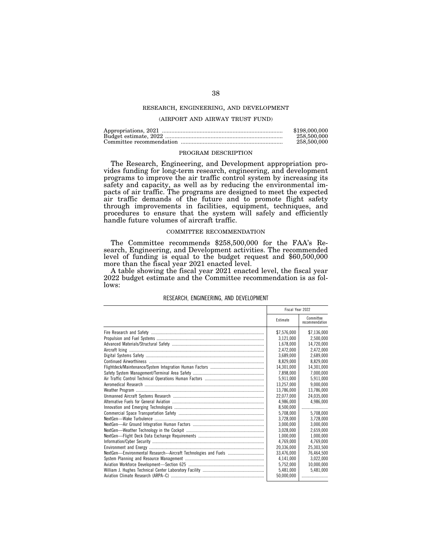# RESEARCH, ENGINEERING, AND DEVELOPMENT

# (AIRPORT AND AIRWAY TRUST FUND)

| \$198,000,000 |
|---------------|
| 258,500,000   |
| 258,500,000   |

#### PROGRAM DESCRIPTION

The Research, Engineering, and Development appropriation provides funding for long-term research, engineering, and development programs to improve the air traffic control system by increasing its safety and capacity, as well as by reducing the environmental impacts of air traffic. The programs are designed to meet the expected air traffic demands of the future and to promote flight safety through improvements in facilities, equipment, techniques, and procedures to ensure that the system will safely and efficiently handle future volumes of aircraft traffic.

# COMMITTEE RECOMMENDATION

The Committee recommends \$258,500,000 for the FAA's Research, Engineering, and Development activities. The recommended level of funding is equal to the budget request and \$60,500,000 more than the fiscal year 2021 enacted level.

A table showing the fiscal year 2021 enacted level, the fiscal year 2022 budget estimate and the Committee recommendation is as follows:

|                                                                 | Fiscal Year 2022 |                             |
|-----------------------------------------------------------------|------------------|-----------------------------|
|                                                                 | Estimate         | Committee<br>recommendation |
|                                                                 | \$7,576,000      | \$7,136,000                 |
|                                                                 | 3.121.000        | 2.500.000                   |
|                                                                 | 1.678.000        | 14.720.000                  |
|                                                                 | 2,472,000        | 2,472,000                   |
|                                                                 | 3.689.000        | 2,689,000                   |
|                                                                 | 8,829,000        | 8.829.000                   |
|                                                                 | 14.301.000       | 14.301.000                  |
|                                                                 | 7,898,000        | 7.000.000                   |
|                                                                 | 5,911,000        | 5.911.000                   |
|                                                                 | 13.257.000       | 9.000.000                   |
|                                                                 | 13.786.000       | 13.786.000                  |
|                                                                 | 22.077.000       | 24.035.000                  |
|                                                                 | 4.986.000        | 4,986,000                   |
|                                                                 | 8,500,000        |                             |
|                                                                 | 5.708.000        | 5.708.000                   |
|                                                                 | 3,728,000        | 3,728,000                   |
|                                                                 | 3.000.000        | 3.000.000                   |
|                                                                 | 3,028,000        | 2.659.000                   |
|                                                                 | 1.000.000        | 1.000.000                   |
|                                                                 | 4.769.000        | 4,769,000                   |
|                                                                 | 20.336.000       | 25,303,500                  |
| NextGen-Environmental Research--Aircraft Technologies and Fuels | 33,476,000       | 76,464,500                  |
|                                                                 | 4,141,000        | 3.022.000                   |
|                                                                 | 5.752.000        | 10.000.000                  |
|                                                                 | 5,481,000        | 5,481,000                   |
|                                                                 | 50.000.000       |                             |

# RESEARCH, ENGINEERING, AND DEVELOPMENT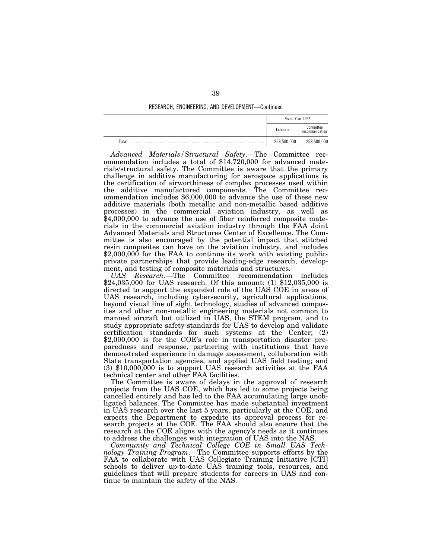# RESEARCH, ENGINEERING, AND DEVELOPMENT—Continued

|       | Fiscal Year 2022 |                             |
|-------|------------------|-----------------------------|
|       | Estimate         | Committee<br>recommendation |
| Total | 258,500,000      | 258,500,000                 |

*Advanced Materials/Structural Safety*.—The Committee recommendation includes a total of \$14,720,000 for advanced materials/structural safety. The Committee is aware that the primary challenge in additive manufacturing for aerospace applications is the certification of airworthiness of complex processes used within the additive manufactured components. The Committee recommendation includes \$6,000,000 to advance the use of these new additive materials (both metallic and non-metallic based additive processes) in the commercial aviation industry, as well as \$4,000,000 to advance the use of fiber reinforced composite materials in the commercial aviation industry through the FAA Joint Advanced Materials and Structures Center of Excellence. The Committee is also encouraged by the potential impact that stitched resin composites can have on the aviation industry, and includes \$2,000,000 for the FAA to continue its work with existing publicprivate partnerships that provide leading-edge research, development, and testing of composite materials and structures.

*UAS Research*.—The Committee recommendation includes \$24,035,000 for UAS research. Of this amount: (1) \$12,035,000 is directed to support the expanded role of the UAS COE in areas of UAS research, including cybersecurity, agricultural applications, beyond visual line of sight technology, studies of advanced composites and other non-metallic engineering materials not common to manned aircraft but utilized in UAS, the STEM program, and to study appropriate safety standards for UAS to develop and validate certification standards for such systems at the Center; (2) \$2,000,000 is for the COE's role in transportation disaster preparedness and response, partnering with institutions that have demonstrated experience in damage assessment, collaboration with State transportation agencies, and applied UAS field testing; and (3) \$10,000,000 is to support UAS research activities at the FAA technical center and other FAA facilities.

The Committee is aware of delays in the approval of research projects from the UAS COE, which has led to some projects being cancelled entirely and has led to the FAA accumulating large unobligated balances. The Committee has made substantial investment in UAS research over the last 5 years, particularly at the COE, and expects the Department to expedite its approval process for research projects at the COE. The FAA should also ensure that the research at the COE aligns with the agency's needs as it continues to address the challenges with integration of UAS into the NAS.

*Community and Technical College COE in Small UAS Technology Training Program*.—The Committee supports efforts by the FAA to collaborate with UAS Collegiate Training Initiative [CTI] schools to deliver up-to-date UAS training tools, resources, and guidelines that will prepare students for careers in UAS and continue to maintain the safety of the NAS.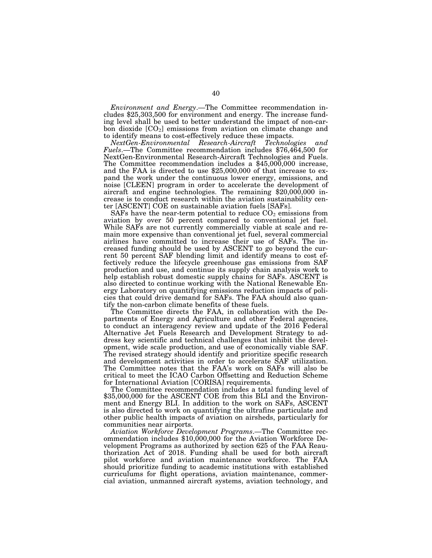*Environment and Energy*.—The Committee recommendation includes \$25,303,500 for environment and energy. The increase funding level shall be used to better understand the impact of non-carbon dioxide  $[CO_2]$  emissions from aviation on climate change and to identify means to cost-effectively reduce these impacts.

*NextGen-Environmental Research-Aircraft Technologies and Fuels*.—The Committee recommendation includes \$76,464,500 for NextGen-Environmental Research-Aircraft Technologies and Fuels. The Committee recommendation includes a \$45,000,000 increase, and the FAA is directed to use \$25,000,000 of that increase to expand the work under the continuous lower energy, emissions, and noise [CLEEN] program in order to accelerate the development of aircraft and engine technologies. The remaining \$20,000,000 increase is to conduct research within the aviation sustainability center [ASCENT] COE on sustainable aviation fuels [SAFs].

SAFs have the near-term potential to reduce  $CO<sub>2</sub>$  emissions from aviation by over 50 percent compared to conventional jet fuel. While SAFs are not currently commercially viable at scale and remain more expensive than conventional jet fuel, several commercial airlines have committed to increase their use of SAFs. The increased funding should be used by ASCENT to go beyond the current 50 percent SAF blending limit and identify means to cost effectively reduce the lifecycle greenhouse gas emissions from SAF production and use, and continue its supply chain analysis work to help establish robust domestic supply chains for SAFs. ASCENT is also directed to continue working with the National Renewable Energy Laboratory on quantifying emissions reduction impacts of policies that could drive demand for SAFs. The FAA should also quantify the non-carbon climate benefits of these fuels.

The Committee directs the FAA, in collaboration with the Departments of Energy and Agriculture and other Federal agencies, to conduct an interagency review and update of the 2016 Federal Alternative Jet Fuels Research and Development Strategy to address key scientific and technical challenges that inhibit the development, wide scale production, and use of economically viable SAF. The revised strategy should identify and prioritize specific research and development activities in order to accelerate SAF utilization. The Committee notes that the FAA's work on SAFs will also be critical to meet the ICAO Carbon Offsetting and Reduction Scheme for International Aviation [CORISA] requirements.

The Committee recommendation includes a total funding level of \$35,000,000 for the ASCENT COE from this BLI and the Environment and Energy BLI. In addition to the work on SAFs, ASCENT is also directed to work on quantifying the ultrafine particulate and other public health impacts of aviation on airsheds, particularly for communities near airports.

*Aviation Workforce Development Programs*.—The Committee recommendation includes \$10,000,000 for the Aviation Workforce Development Programs as authorized by section 625 of the FAA Reauthorization Act of 2018. Funding shall be used for both aircraft pilot workforce and aviation maintenance workforce. The FAA should prioritize funding to academic institutions with established curriculums for flight operations, aviation maintenance, commercial aviation, unmanned aircraft systems, aviation technology, and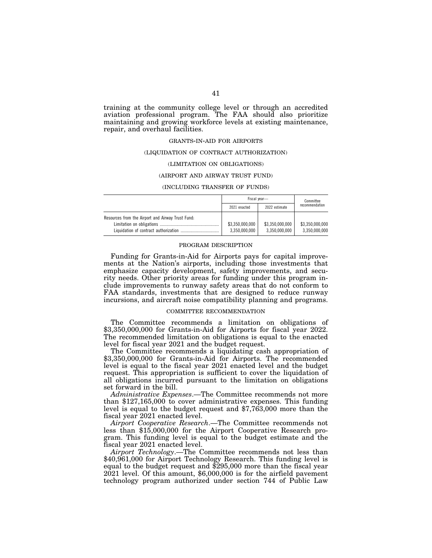training at the community college level or through an accredited aviation professional program. The FAA should also prioritize maintaining and growing workforce levels at existing maintenance, repair, and overhaul facilities.

### GRANTS-IN-AID FOR AIRPORTS

### (LIQUIDATION OF CONTRACT AUTHORIZATION)

### (LIMITATION ON OBLIGATIONS)

### (AIRPORT AND AIRWAY TRUST FUND)

### (INCLUDING TRANSFER OF FUNDS)

|                                                   | Fiscal vear-                     |                                  | Committee                        |
|---------------------------------------------------|----------------------------------|----------------------------------|----------------------------------|
|                                                   | 2021 enacted                     | 2022 estimate                    | recommendation                   |
| Resources from the Airport and Airway Trust Fund: |                                  |                                  |                                  |
|                                                   | \$3.350.000.000<br>3.350.000.000 | \$3.350.000.000<br>3.350.000.000 | \$3.350.000.000<br>3.350.000.000 |

#### PROGRAM DESCRIPTION

Funding for Grants-in-Aid for Airports pays for capital improvements at the Nation's airports, including those investments that emphasize capacity development, safety improvements, and security needs. Other priority areas for funding under this program include improvements to runway safety areas that do not conform to FAA standards, investments that are designed to reduce runway incursions, and aircraft noise compatibility planning and programs.

### COMMITTEE RECOMMENDATION

The Committee recommends a limitation on obligations of \$3,350,000,000 for Grants-in-Aid for Airports for fiscal year 2022. The recommended limitation on obligations is equal to the enacted level for fiscal year 2021 and the budget request.

The Committee recommends a liquidating cash appropriation of \$3,350,000,000 for Grants-in-Aid for Airports. The recommended level is equal to the fiscal year 2021 enacted level and the budget request. This appropriation is sufficient to cover the liquidation of all obligations incurred pursuant to the limitation on obligations set forward in the bill.

*Administrative Expenses*.—The Committee recommends not more than \$127,165,000 to cover administrative expenses. This funding level is equal to the budget request and \$7,763,000 more than the fiscal year 2021 enacted level.

*Airport Cooperative Research*.—The Committee recommends not less than \$15,000,000 for the Airport Cooperative Research program. This funding level is equal to the budget estimate and the fiscal year 2021 enacted level.

*Airport Technology*.—The Committee recommends not less than \$40,961,000 for Airport Technology Research. This funding level is equal to the budget request and \$295,000 more than the fiscal year 2021 level. Of this amount, \$6,000,000 is for the airfield pavement technology program authorized under section 744 of Public Law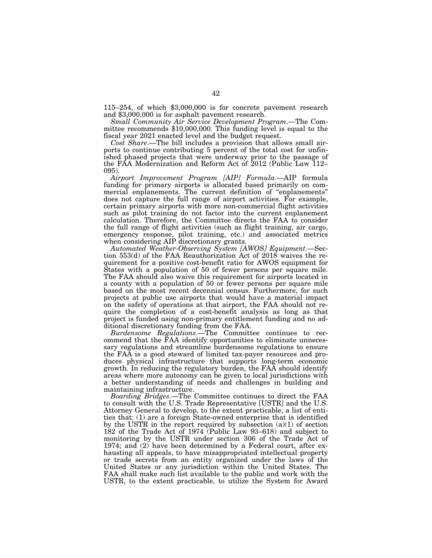115–254, of which \$3,000,000 is for concrete pavement research and \$3,000,000 is for asphalt pavement research.

*Small Community Air Service Development Program*.—The Committee recommends \$10,000,000. This funding level is equal to the fiscal year 2021 enacted level and the budget request.

*Cost Share*.—The bill includes a provision that allows small airports to continue contributing 5 percent of the total cost for unfinished phased projects that were underway prior to the passage of the FAA Modernization and Reform Act of 2012 (Public Law 112– 095).

*Airport Improvement Program [AIP] Formula*.—AIP formula funding for primary airports is allocated based primarily on commercial enplanements. The current definition of ''enplanements'' does not capture the full range of airport activities. For example, certain primary airports with more non-commercial flight activities such as pilot training do not factor into the current enplanement calculation. Therefore, the Committee directs the FAA to consider the full range of flight activities (such as flight training, air cargo, emergency response, pilot training, etc.) and associated metrics when considering AIP discretionary grants.

*Automated Weather-Observing System [AWOS] Equipment*.—Section 553(d) of the FAA Reauthorization Act of 2018 waives the requirement for a positive cost-benefit ratio for AWOS equipment for States with a population of 50 of fewer persons per square mile. The FAA should also waive this requirement for airports located in a county with a population of 50 or fewer persons per square mile based on the most recent decennial census. Furthermore, for such projects at public use airports that would have a material impact on the safety of operations at that airport, the FAA should not require the completion of a cost-benefit analysis as long as that project is funded using non-primary entitlement funding and no additional discretionary funding from the FAA.

*Burdensome Regulations*.—The Committee continues to recommend that the FAA identify opportunities to eliminate unnecessary regulations and streamline burdensome regulations to ensure the FAA is a good steward of limited tax-payer resources and produces physical infrastructure that supports long-term economic growth. In reducing the regulatory burden, the FAA should identify areas where more autonomy can be given to local jurisdictions with a better understanding of needs and challenges in building and maintaining infrastructure.

*Boarding Bridges*.—The Committee continues to direct the FAA to consult with the U.S. Trade Representative [USTR] and the U.S. Attorney General to develop, to the extent practicable, a list of entities that: (1) are a foreign State-owned enterprise that is identified by the USTR in the report required by subsection (a)(1) of section 182 of the Trade Act of 1974 (Public Law 93–618) and subject to monitoring by the USTR under section 306 of the Trade Act of 1974; and (2) have been determined by a Federal court, after exhausting all appeals, to have misappropriated intellectual property or trade secrets from an entity organized under the laws of the United States or any jurisdiction within the United States. The FAA shall make such list available to the public and work with the USTR, to the extent practicable, to utilize the System for Award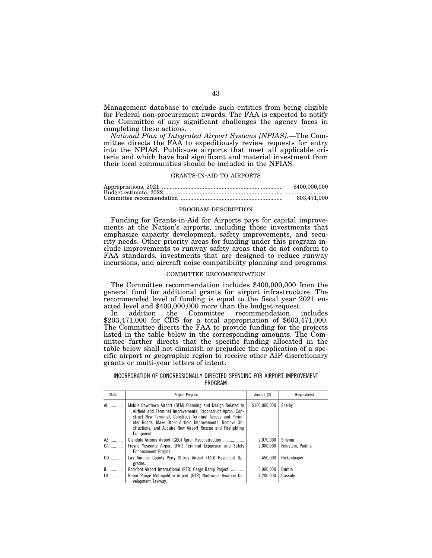Management database to exclude such entities from being eligible for Federal non-procurement awards. The FAA is expected to notify the Committee of any significant challenges the agency faces in completing these actions.

*National Plan of Integrated Airport Systems [NPIAS]*.—The Committee directs the FAA to expeditiously review requests for entry into the NPIAS. Public-use airports that meet all applicable criteria and which have had significant and material investment from their local communities should be included in the NPIAS.

# GRANTS-IN-AID TO AIRPORTS

| \$400,000,000 |
|---------------|
|               |
| 603,471,000   |

### PROGRAM DESCRIPTION

Funding for Grants-in-Aid for Airports pays for capital improvements at the Nation's airports, including those investments that emphasize capacity development, safety improvements, and security needs. Other priority areas for funding under this program include improvements to runway safety areas that do not conform to FAA standards, investments that are designed to reduce runway incursions, and aircraft noise compatibility planning and programs.

# COMMITTEE RECOMMENDATION

The Committee recommendation includes \$400,000,000 from the general fund for additional grants for airport infrastructure. The recommended level of funding is equal to the fiscal year 2021 enacted level and \$400,000,000 more than the budget request.

In addition the Committee recommendation includes \$203,471,000 for CDS for a total appropriation of \$603,471,000. The Committee directs the FAA to provide funding for the projects listed in the table below in the corresponding amounts. The Committee further directs that the specific funding allocated in the table below shall not diminish or prejudice the application of a specific airport or geographic region to receive other AIP discretionary grants or multi-year letters of intent.

# INCORPORATION OF CONGRESSIONALLY DIRECTED SPENDING FOR AIRPORT IMPROVEMENT PROGRAM

| State | Project Purpose                                                                                                                                                                                                                                                                                                                   | Amount (\$)   | Requestor(s)       |
|-------|-----------------------------------------------------------------------------------------------------------------------------------------------------------------------------------------------------------------------------------------------------------------------------------------------------------------------------------|---------------|--------------------|
| AL    | Mobile Downtown Airport (BFM) Planning and Design Related to<br>Airfield and Terminal Improvements, Reconstruct Apron, Con-<br>struct New Terminal, Construct Terminal Access and Perim-<br>eter Roads, Make Other Airfield Improvements, Remove Ob-<br>structions, and Acquire New Airport Rescue and Firefighting<br>Equipment. | \$100.000.000 | Shelby             |
| AZ    | Glendale Arizona Airport (GEU) Apron Reconstruction                                                                                                                                                                                                                                                                               | 2,070,000     | Sinema             |
| CA    | Fresno Yosemite Airport (FAT) Terminal Expansion and Safety<br>Enhancement Project.                                                                                                                                                                                                                                               | 2.000.000     | Feinstein, Padilla |
| CO    | Las Animas County Perry Stokes Airport (TAD) Pavement Up-<br>grades.                                                                                                                                                                                                                                                              | 450.000       | Hickenlooper       |
| IL    | Rockford Airport International (RFD) Cargo Ramp Project                                                                                                                                                                                                                                                                           | 5,000,000     | Durbin             |
| LA    | Baton Rouge Metropolitan Airport (BTR) Northwest Aviation De-<br>velopment Taxiway.                                                                                                                                                                                                                                               | 1.200.000     | Cassidv            |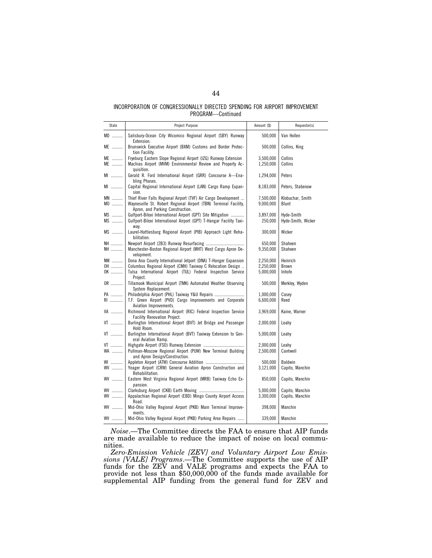# INCORPORATION OF CONGRESSIONALLY DIRECTED SPENDING FOR AIRPORT IMPROVEMENT PROGRAM—Continued

| State     | Project Purpose                                                                                                                                                        | Amount (\$)            | Requestor(s)                     |
|-----------|------------------------------------------------------------------------------------------------------------------------------------------------------------------------|------------------------|----------------------------------|
| $MD$      | Salisbury-Ocean City Wicomico Regional Airport (SBY) Runway<br>Extension.                                                                                              | 500,000                | Van Hollen                       |
| ME        | Brunswick Executive Airport (BXM) Customs and Border Protec-<br>tion Facility.                                                                                         | 500,000                | Collins, King                    |
| ME<br>ME  | Fryeburg Eastern Slope Regional Airport (IZG) Runway Extension<br>Machias Airport (MVM) Environmental Review and Property Ac-<br>quisition.                            | 3,500,000<br>1,250,000 | Collins<br>Collins               |
| MI        | Gerald R. Ford International Airport (GRR) Concourse A-Ena-<br>bling Phases.                                                                                           | 1,294,000              | Peters                           |
| MI        | Capital Regional International Airport (LAN) Cargo Ramp Expan-<br>sion.                                                                                                | 8,183,000              | Peters, Stabenow                 |
| MN<br>MO  | Thief River Falls Regional Airport (TVF) Air Cargo Development<br>Waynesville St. Robert Regional Airport (TBN) Terminal Facility,<br>Apron, and Parking Construction. | 7,500,000<br>9,000,000 | Klobuchar, Smith<br>Blunt        |
| MS<br>MS  | Gulfport-Biloxi International Airport (GPT) Site Mitigation<br>Gulfport-Biloxi International Airport (GPT) T-Hangar Facility Taxi-<br>way.                             | 3,897,000<br>250,000   | Hyde-Smith<br>Hyde-Smith, Wicker |
| MS        | Laurel-Hattiesburg Regional Airport (PIB) Approach Light Reha-<br>bilitation.                                                                                          | 300,000                | Wicker                           |
| NH        |                                                                                                                                                                        | 650.000                | Shaheen                          |
| NH        | Manchester-Boston Regional Airport (MHT) West Cargo Apron De-<br>velopment.                                                                                            | 9,350,000              | Shaheen                          |
| NM        | Dona Ana County International Jetport (DNA) T-Hanger Expansion                                                                                                         | 2,250,000              | Heinrich                         |
| 0H        | Columbus Regional Airport (CMH) Taxiway C Relocation Design                                                                                                            | 2,250,000              | <b>Brown</b>                     |
| OK        | Tulsa International Airport (TUL) Federal Inspection Service<br>Project.                                                                                               | 5,000,000              | Inhofe                           |
| OR        | Tillamook Municipal Airport (TMK) Automated Weather Observing<br>System Replacement.                                                                                   | 500,000                | Merkley, Wyden                   |
| PA        | Philadelphia Airport (PHL) Taxiway Y&U Repairs                                                                                                                         | 1,000,000              | Casey                            |
| RI        | T.F. Green Airport (PVD) Cargo Improvements and Corporate<br>Aviation Improvements.                                                                                    | 6,600,000              | Reed                             |
| VA        | Richmond International Airport (RIC) Federal Inspection Service<br><b>Facility Renovation Project.</b>                                                                 | 3,969,000              | Kaine, Warner                    |
| VT        | Burlington International Airport (BVT) Jet Bridge and Passenger<br>Hold Room.                                                                                          | 2,000,000              | Leahy                            |
| VT        | Burlington International Airport (BVT) Taxiway Extension to Gen-<br>eral Aviation Ramp.                                                                                | 5,000,000              | Leahy                            |
| VT        |                                                                                                                                                                        | 2,000,000              | Leahy                            |
| WA        | Pullman-Moscow Regional Airport (PUW) New Terminal Building<br>and Apron Design/Construction.                                                                          | 2,500,000              | Cantwell                         |
| WI        |                                                                                                                                                                        | 500,000                | Baldwin                          |
| $WW$      | Yeager Airport (CRW) General Aviation Apron Construction and<br>Rehabilitation.                                                                                        | 3,121,000              | Capito, Manchin                  |
| WV        | Eastern West Virginia Regional Airport (MRB) Taxiway Echo Ex-<br>pansion.                                                                                              | 850,000                | Capito, Manchin                  |
| <b>WV</b> |                                                                                                                                                                        | 5,000,000              | Capito, Manchin                  |
| WV        | Appalachian Regional Airport (EBD) Mingo County Airport Access<br>Road.                                                                                                | 3,300,000              | Capito, Manchin                  |
| WV        | Mid-Ohio Valley Regional Airport (PKB) Main Terminal Improve-<br>ments.                                                                                                | 398,000                | Manchin                          |
| WV        | Mid-Ohio Valley Regional Airport (PKB) Parking Area Repairs                                                                                                            | 339,000                | Manchin                          |

*Noise*.—The Committee directs the FAA to ensure that AIP funds are made available to reduce the impact of noise on local communities.

*Zero-Emission Vehicle [ZEV] and Voluntary Airport Low Emissions [VALE] Programs*.—The Committee supports the use of AIP funds for the ZEV and VALE programs and expects the FAA to provide not less than \$50,000,000 of the funds made available for supplemental AIP funding from the general fund for ZEV and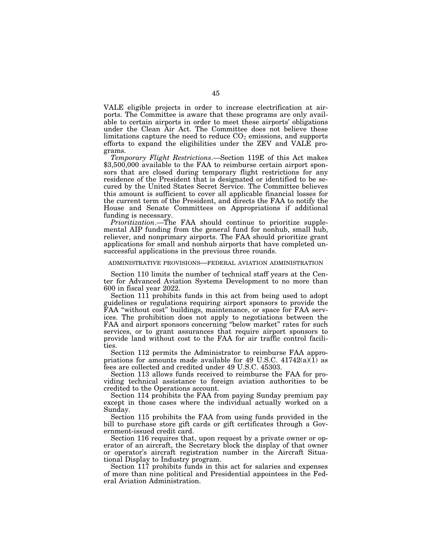VALE eligible projects in order to increase electrification at airports. The Committee is aware that these programs are only available to certain airports in order to meet these airports' obligations under the Clean Air Act. The Committee does not believe these limitations capture the need to reduce  $CO<sub>2</sub>$  emissions, and supports efforts to expand the eligibilities under the ZEV and VALE programs.

*Temporary Flight Restrictions*.—Section 119E of this Act makes \$3,500,000 available to the FAA to reimburse certain airport sponsors that are closed during temporary flight restrictions for any residence of the President that is designated or identified to be secured by the United States Secret Service. The Committee believes this amount is sufficient to cover all applicable financial losses for the current term of the President, and directs the FAA to notify the House and Senate Committees on Appropriations if additional funding is necessary.

*Prioritization*.—The FAA should continue to prioritize supplemental AIP funding from the general fund for nonhub, small hub, reliever, and nonprimary airports. The FAA should prioritize grant applications for small and nonhub airports that have completed unsuccessful applications in the previous three rounds.

### ADMINISTRATIVE PROVISIONS—FEDERAL AVIATION ADMINISTRATION

Section 110 limits the number of technical staff years at the Center for Advanced Aviation Systems Development to no more than 600 in fiscal year 2022.

Section 111 prohibits funds in this act from being used to adopt guidelines or regulations requiring airport sponsors to provide the FAA "without cost" buildings, maintenance, or space for FAA services. The prohibition does not apply to negotiations between the FAA and airport sponsors concerning "below market" rates for such services, or to grant assurances that require airport sponsors to provide land without cost to the FAA for air traffic control facilities.

Section 112 permits the Administrator to reimburse FAA appropriations for amounts made available for 49 U.S.C.  $41742(a)(1)$  as fees are collected and credited under 49 U.S.C. 45303.

Section 113 allows funds received to reimburse the FAA for providing technical assistance to foreign aviation authorities to be credited to the Operations account.

Section 114 prohibits the FAA from paying Sunday premium pay except in those cases where the individual actually worked on a Sunday.

Section 115 prohibits the FAA from using funds provided in the bill to purchase store gift cards or gift certificates through a Government-issued credit card.

Section 116 requires that, upon request by a private owner or operator of an aircraft, the Secretary block the display of that owner or operator's aircraft registration number in the Aircraft Situational Display to Industry program.

Section 117 prohibits funds in this act for salaries and expenses of more than nine political and Presidential appointees in the Federal Aviation Administration.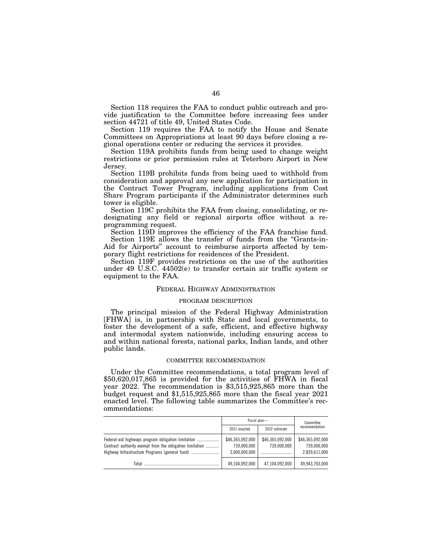Section 118 requires the FAA to conduct public outreach and provide justification to the Committee before increasing fees under section 44721 of title 49, United States Code.

Section 119 requires the FAA to notify the House and Senate Committees on Appropriations at least 90 days before closing a regional operations center or reducing the services it provides.

Section 119A prohibits funds from being used to change weight restrictions or prior permission rules at Teterboro Airport in New Jersey.

Section 119B prohibits funds from being used to withhold from consideration and approval any new application for participation in the Contract Tower Program, including applications from Cost Share Program participants if the Administrator determines such tower is eligible.

Section 119C prohibits the FAA from closing, consolidating, or redesignating any field or regional airports office without a reprogramming request.

Section 119D improves the efficiency of the FAA franchise fund. Section 119E allows the transfer of funds from the ''Grants-in-Aid for Airports'' account to reimburse airports affected by temporary flight restrictions for residences of the President.

Section 119F provides restrictions on the use of the authorities under 49 U.S.C. 44502(e) to transfer certain air traffic system or equipment to the FAA.

# FEDERAL HIGHWAY ADMINISTRATION

# PROGRAM DESCRIPTION

The principal mission of the Federal Highway Administration [FHWA] is, in partnership with State and local governments, to foster the development of a safe, efficient, and effective highway and intermodal system nationwide, including ensuring access to and within national forests, national parks, Indian lands, and other public lands.

### COMMITTEE RECOMMENDATION

Under the Committee recommendations, a total program level of \$50,620,017,865 is provided for the activities of FHWA in fiscal year 2022. The recommendation is \$3,515,925,865 more than the budget request and \$1,515,925,865 more than the fiscal year 2021 enacted level. The following table summarizes the Committee's recommendations:

|                                                          | Fiscal vear-                                     |                                 | Committee                                        |  |
|----------------------------------------------------------|--------------------------------------------------|---------------------------------|--------------------------------------------------|--|
|                                                          | 2021 enacted                                     | 2022 estimate                   | recommendation                                   |  |
| Contract authority exempt from the obligation limitation | \$46,365,092,000<br>739,000,000<br>2.000.000.000 | \$46,365,092,000<br>739.000.000 | \$46,365,092,000<br>739.000.000<br>2,839,611,000 |  |
| Total                                                    | 49,104,092,000                                   | 47,104,092,000                  | 49,943,703,000                                   |  |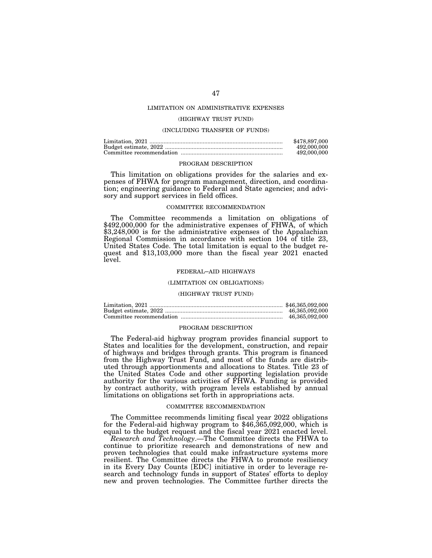# LIMITATION ON ADMINISTRATIVE EXPENSES

# (HIGHWAY TRUST FUND)

# (INCLUDING TRANSFER OF FUNDS)

| \$478.897.000 |
|---------------|
| 492,000,000   |
| 492,000,000   |

# PROGRAM DESCRIPTION

This limitation on obligations provides for the salaries and expenses of FHWA for program management, direction, and coordination; engineering guidance to Federal and State agencies; and advisory and support services in field offices.

### COMMITTEE RECOMMENDATION

The Committee recommends a limitation on obligations of \$492,000,000 for the administrative expenses of FHWA, of which \$3,248,000 is for the administrative expenses of the Appalachian Regional Commission in accordance with section 104 of title 23, United States Code. The total limitation is equal to the budget request and \$13,103,000 more than the fiscal year 2021 enacted level.

#### FEDERAL–AID HIGHWAYS

#### (LIMITATION ON OBLIGATIONS)

# (HIGHWAY TRUST FUND)

| 46.365.092.000 |
|----------------|
| 46.365.092.000 |

### PROGRAM DESCRIPTION

The Federal-aid highway program provides financial support to States and localities for the development, construction, and repair of highways and bridges through grants. This program is financed from the Highway Trust Fund, and most of the funds are distributed through apportionments and allocations to States. Title 23 of the United States Code and other supporting legislation provide authority for the various activities of FHWA. Funding is provided by contract authority, with program levels established by annual limitations on obligations set forth in appropriations acts.

### COMMITTEE RECOMMENDATION

The Committee recommends limiting fiscal year 2022 obligations for the Federal-aid highway program to \$46,365,092,000, which is equal to the budget request and the fiscal year 2021 enacted level.

*Research and Technology*.—The Committee directs the FHWA to continue to prioritize research and demonstrations of new and proven technologies that could make infrastructure systems more resilient. The Committee directs the FHWA to promote resiliency in its Every Day Counts [EDC] initiative in order to leverage research and technology funds in support of States' efforts to deploy new and proven technologies. The Committee further directs the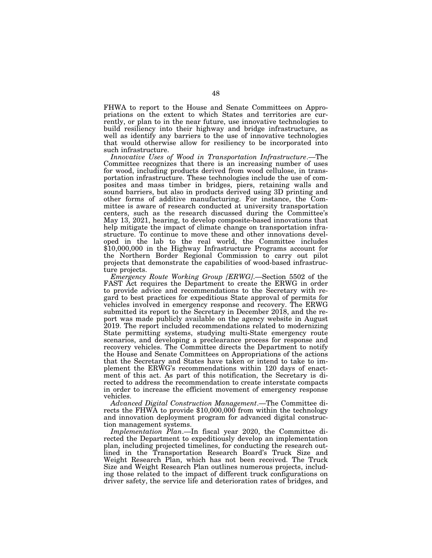FHWA to report to the House and Senate Committees on Appropriations on the extent to which States and territories are currently, or plan to in the near future, use innovative technologies to build resiliency into their highway and bridge infrastructure, as well as identify any barriers to the use of innovative technologies that would otherwise allow for resiliency to be incorporated into such infrastructure.

*Innovative Uses of Wood in Transportation Infrastructure*.—The Committee recognizes that there is an increasing number of uses for wood, including products derived from wood cellulose, in transportation infrastructure. These technologies include the use of composites and mass timber in bridges, piers, retaining walls and sound barriers, but also in products derived using 3D printing and other forms of additive manufacturing. For instance, the Committee is aware of research conducted at university transportation centers, such as the research discussed during the Committee's May 13, 2021, hearing, to develop composite-based innovations that help mitigate the impact of climate change on transportation infrastructure. To continue to move these and other innovations developed in the lab to the real world, the Committee includes \$10,000,000 in the Highway Infrastructure Programs account for the Northern Border Regional Commission to carry out pilot projects that demonstrate the capabilities of wood-based infrastructure projects.

*Emergency Route Working Group [ERWG]*.—Section 5502 of the FAST Act requires the Department to create the ERWG in order to provide advice and recommendations to the Secretary with regard to best practices for expeditious State approval of permits for vehicles involved in emergency response and recovery. The ERWG submitted its report to the Secretary in December 2018, and the report was made publicly available on the agency website in August 2019. The report included recommendations related to modernizing State permitting systems, studying multi-State emergency route scenarios, and developing a preclearance process for response and recovery vehicles. The Committee directs the Department to notify the House and Senate Committees on Appropriations of the actions that the Secretary and States have taken or intend to take to implement the ERWG's recommendations within 120 days of enactment of this act. As part of this notification, the Secretary is directed to address the recommendation to create interstate compacts in order to increase the efficient movement of emergency response vehicles.

*Advanced Digital Construction Management*.—The Committee directs the FHWA to provide \$10,000,000 from within the technology and innovation deployment program for advanced digital construction management systems.

*Implementation Plan*.—In fiscal year 2020, the Committee directed the Department to expeditiously develop an implementation plan, including projected timelines, for conducting the research outlined in the Transportation Research Board's Truck Size and Weight Research Plan, which has not been received. The Truck Size and Weight Research Plan outlines numerous projects, including those related to the impact of different truck configurations on driver safety, the service life and deterioration rates of bridges, and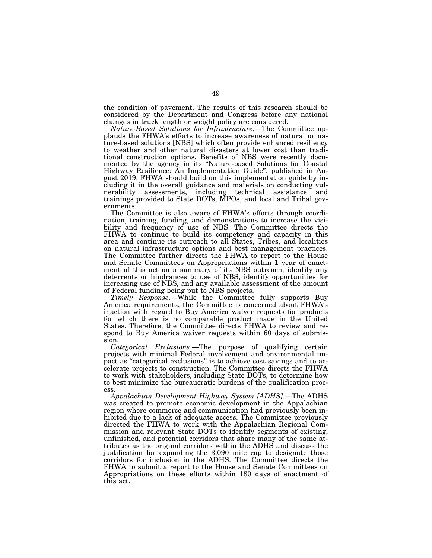the condition of pavement. The results of this research should be considered by the Department and Congress before any national changes in truck length or weight policy are considered.

*Nature-Based Solutions for Infrastructure*.—The Committee applauds the FHWA's efforts to increase awareness of natural or nature-based solutions [NBS] which often provide enhanced resiliency to weather and other natural disasters at lower cost than traditional construction options. Benefits of NBS were recently documented by the agency in its ''Nature-based Solutions for Coastal Highway Resilience: An Implementation Guide'', published in August 2019. FHWA should build on this implementation guide by including it in the overall guidance and materials on conducting vulnerability assessments, including technical assistance and trainings provided to State DOTs, MPOs, and local and Tribal governments.

The Committee is also aware of FHWA's efforts through coordination, training, funding, and demonstrations to increase the visibility and frequency of use of NBS. The Committee directs the FHWA to continue to build its competency and capacity in this area and continue its outreach to all States, Tribes, and localities on natural infrastructure options and best management practices. The Committee further directs the FHWA to report to the House and Senate Committees on Appropriations within 1 year of enactment of this act on a summary of its NBS outreach, identify any deterrents or hindrances to use of NBS, identify opportunities for increasing use of NBS, and any available assessment of the amount of Federal funding being put to NBS projects.

*Timely Response*.—While the Committee fully supports Buy America requirements, the Committee is concerned about FHWA's inaction with regard to Buy America waiver requests for products for which there is no comparable product made in the United States. Therefore, the Committee directs FHWA to review and respond to Buy America waiver requests within 60 days of submission.

*Categorical Exclusions*.—The purpose of qualifying certain projects with minimal Federal involvement and environmental impact as "categorical exclusions" is to achieve cost savings and to accelerate projects to construction. The Committee directs the FHWA to work with stakeholders, including State DOTs, to determine how to best minimize the bureaucratic burdens of the qualification process.

*Appalachian Development Highway System [ADHS]*.—The ADHS was created to promote economic development in the Appalachian region where commerce and communication had previously been inhibited due to a lack of adequate access. The Committee previously directed the FHWA to work with the Appalachian Regional Commission and relevant State DOTs to identify segments of existing, unfinished, and potential corridors that share many of the same attributes as the original corridors within the ADHS and discuss the justification for expanding the 3,090 mile cap to designate those corridors for inclusion in the ADHS. The Committee directs the FHWA to submit a report to the House and Senate Committees on Appropriations on these efforts within 180 days of enactment of this act.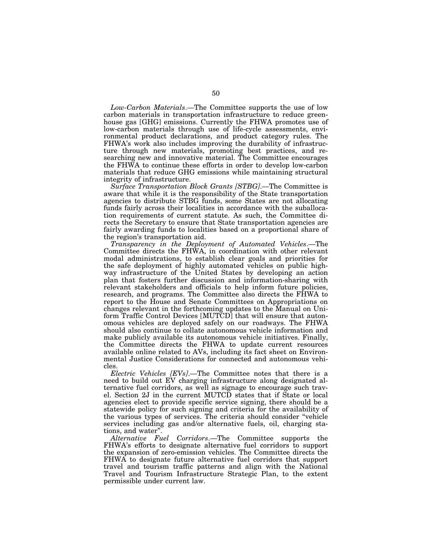*Low-Carbon Materials*.—The Committee supports the use of low carbon materials in transportation infrastructure to reduce greenhouse gas [GHG] emissions. Currently the FHWA promotes use of low-carbon materials through use of life-cycle assessments, environmental product declarations, and product category rules. The FHWA's work also includes improving the durability of infrastructure through new materials, promoting best practices, and researching new and innovative material. The Committee encourages the FHWA to continue these efforts in order to develop low-carbon materials that reduce GHG emissions while maintaining structural integrity of infrastructure.

*Surface Transportation Block Grants [STBG]*.—The Committee is aware that while it is the responsibility of the State transportation agencies to distribute STBG funds, some States are not allocating funds fairly across their localities in accordance with the suballocation requirements of current statute. As such, the Committee directs the Secretary to ensure that State transportation agencies are fairly awarding funds to localities based on a proportional share of the region's transportation aid.

*Transparency in the Deployment of Automated Vehicles*.—The Committee directs the FHWA, in coordination with other relevant modal administrations, to establish clear goals and priorities for the safe deployment of highly automated vehicles on public highway infrastructure of the United States by developing an action plan that fosters further discussion and information-sharing with relevant stakeholders and officials to help inform future policies, research, and programs. The Committee also directs the FHWA to report to the House and Senate Committees on Appropriations on changes relevant in the forthcoming updates to the Manual on Uniform Traffic Control Devices [MUTCD] that will ensure that autonomous vehicles are deployed safely on our roadways. The FHWA should also continue to collate autonomous vehicle information and make publicly available its autonomous vehicle initiatives. Finally, the Committee directs the FHWA to update current resources available online related to AVs, including its fact sheet on Environmental Justice Considerations for connected and autonomous vehicles.

*Electric Vehicles [EVs]*.—The Committee notes that there is a need to build out EV charging infrastructure along designated alternative fuel corridors, as well as signage to encourage such travel. Section 2J in the current MUTCD states that if State or local agencies elect to provide specific service signing, there should be a statewide policy for such signing and criteria for the availability of the various types of services. The criteria should consider ''vehicle services including gas and/or alternative fuels, oil, charging stations, and water''.

*Alternative Fuel Corridors*.—The Committee supports the FHWA's efforts to designate alternative fuel corridors to support the expansion of zero-emission vehicles. The Committee directs the FHWA to designate future alternative fuel corridors that support travel and tourism traffic patterns and align with the National Travel and Tourism Infrastructure Strategic Plan, to the extent permissible under current law.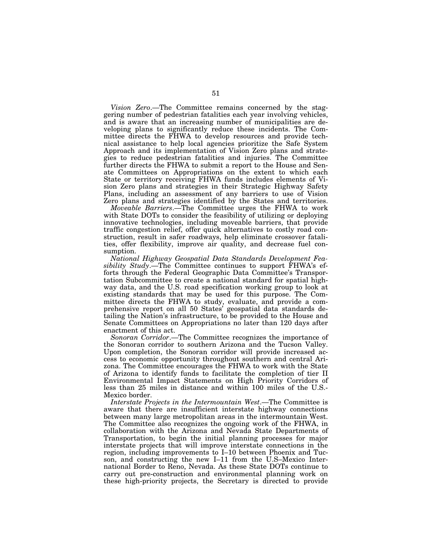*Vision Zero*.—The Committee remains concerned by the staggering number of pedestrian fatalities each year involving vehicles, and is aware that an increasing number of municipalities are developing plans to significantly reduce these incidents. The Committee directs the FHWA to develop resources and provide technical assistance to help local agencies prioritize the Safe System Approach and its implementation of Vision Zero plans and strategies to reduce pedestrian fatalities and injuries. The Committee further directs the FHWA to submit a report to the House and Senate Committees on Appropriations on the extent to which each State or territory receiving FHWA funds includes elements of Vision Zero plans and strategies in their Strategic Highway Safety Plans, including an assessment of any barriers to use of Vision Zero plans and strategies identified by the States and territories.

*Moveable Barriers*.—The Committee urges the FHWA to work with State DOTs to consider the feasibility of utilizing or deploying innovative technologies, including moveable barriers, that provide traffic congestion relief, offer quick alternatives to costly road construction, result in safer roadways, help eliminate crossover fatalities, offer flexibility, improve air quality, and decrease fuel consumption.

*National Highway Geospatial Data Standards Development Feasibility Study*.—The Committee continues to support FHWA's efforts through the Federal Geographic Data Committee's Transportation Subcommittee to create a national standard for spatial highway data, and the U.S. road specification working group to look at existing standards that may be used for this purpose. The Committee directs the FHWA to study, evaluate, and provide a comprehensive report on all 50 States' geospatial data standards detailing the Nation's infrastructure, to be provided to the House and Senate Committees on Appropriations no later than 120 days after enactment of this act.

*Sonoran Corridor*.—The Committee recognizes the importance of the Sonoran corridor to southern Arizona and the Tucson Valley. Upon completion, the Sonoran corridor will provide increased access to economic opportunity throughout southern and central Arizona. The Committee encourages the FHWA to work with the State of Arizona to identify funds to facilitate the completion of tier II Environmental Impact Statements on High Priority Corridors of less than 25 miles in distance and within 100 miles of the U.S.- Mexico border.

*Interstate Projects in the Intermountain West*.—The Committee is aware that there are insufficient interstate highway connections between many large metropolitan areas in the intermountain West. The Committee also recognizes the ongoing work of the FHWA, in collaboration with the Arizona and Nevada State Departments of Transportation, to begin the initial planning processes for major interstate projects that will improve interstate connections in the region, including improvements to I–10 between Phoenix and Tucson, and constructing the new I–11 from the U.S–Mexico International Border to Reno, Nevada. As these State DOTs continue to carry out pre-construction and environmental planning work on these high-priority projects, the Secretary is directed to provide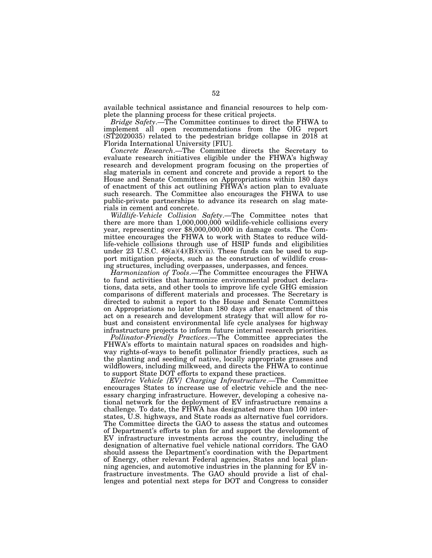available technical assistance and financial resources to help complete the planning process for these critical projects.

*Bridge Safety*.—The Committee continues to direct the FHWA to implement all open recommendations from the OIG report  $(ST2020035)$  related to the pedestrian bridge collapse in 2018 at Florida International University [FIU].

*Concrete Research*.—The Committee directs the Secretary to evaluate research initiatives eligible under the FHWA's highway research and development program focusing on the properties of slag materials in cement and concrete and provide a report to the House and Senate Committees on Appropriations within 180 days of enactment of this act outlining FHWA's action plan to evaluate such research. The Committee also encourages the FHWA to use public-private partnerships to advance its research on slag materials in cement and concrete.

*Wildlife-Vehicle Collision Safety*.—The Committee notes that there are more than 1,000,000,000 wildlife-vehicle collisions every year, representing over \$8,000,000,000 in damage costs. The Committee encourages the FHWA to work with States to reduce wildlife-vehicle collisions through use of HSIP funds and eligibilities under 23 U.S.C.  $48(a)(4)(B)$ (xvii). These funds can be used to support mitigation projects, such as the construction of wildlife crossing structures, including overpasses, underpasses, and fences.

*Harmonization of Tools*.—The Committee encourages the FHWA to fund activities that harmonize environmental product declarations, data sets, and other tools to improve life cycle GHG emission comparisons of different materials and processes. The Secretary is directed to submit a report to the House and Senate Committees on Appropriations no later than 180 days after enactment of this act on a research and development strategy that will allow for robust and consistent environmental life cycle analyses for highway infrastructure projects to inform future internal research priorities.

*Pollinator-Friendly Practices*.—The Committee appreciates the FHWA's efforts to maintain natural spaces on roadsides and highway rights-of-ways to benefit pollinator friendly practices, such as the planting and seeding of native, locally appropriate grasses and wildflowers, including milkweed, and directs the FHWA to continue to support State DOT efforts to expand these practices.

*Electric Vehicle [EV] Charging Infrastructure*.—The Committee encourages States to increase use of electric vehicle and the necessary charging infrastructure. However, developing a cohesive national network for the deployment of EV infrastructure remains a challenge. To date, the FHWA has designated more than 100 interstates, U.S. highways, and State roads as alternative fuel corridors. The Committee directs the GAO to assess the status and outcomes of Department's efforts to plan for and support the development of EV infrastructure investments across the country, including the designation of alternative fuel vehicle national corridors. The GAO should assess the Department's coordination with the Department of Energy, other relevant Federal agencies, States and local planning agencies, and automotive industries in the planning for EV infrastructure investments. The GAO should provide a list of challenges and potential next steps for DOT and Congress to consider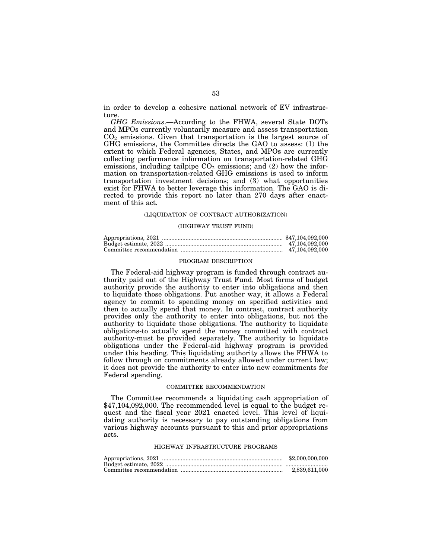in order to develop a cohesive national network of EV infrastructure.

*GHG Emissions*.—According to the FHWA, several State DOTs and MPOs currently voluntarily measure and assess transportation  $CO<sub>2</sub>$  emissions. Given that transportation is the largest source of GHG emissions, the Committee directs the GAO to assess: (1) the extent to which Federal agencies, States, and MPOs are currently collecting performance information on transportation-related GHG emissions, including tailpipe  $CO<sub>2</sub>$  emissions; and (2) how the information on transportation-related GHG emissions is used to inform transportation investment decisions; and (3) what opportunities exist for FHWA to better leverage this information. The GAO is directed to provide this report no later than 270 days after enactment of this act.

# (LIQUIDATION OF CONTRACT AUTHORIZATION)

#### (HIGHWAY TRUST FUND)

| 47.104.092.000 |
|----------------|
| 47.104.092.000 |

# PROGRAM DESCRIPTION

The Federal-aid highway program is funded through contract authority paid out of the Highway Trust Fund. Most forms of budget authority provide the authority to enter into obligations and then to liquidate those obligations. Put another way, it allows a Federal agency to commit to spending money on specified activities and then to actually spend that money. In contrast, contract authority provides only the authority to enter into obligations, but not the authority to liquidate those obligations. The authority to liquidate obligations-to actually spend the money committed with contract authority-must be provided separately. The authority to liquidate obligations under the Federal-aid highway program is provided under this heading. This liquidating authority allows the FHWA to follow through on commitments already allowed under current law; it does not provide the authority to enter into new commitments for Federal spending.

# COMMITTEE RECOMMENDATION

The Committee recommends a liquidating cash appropriation of \$47,104,092,000. The recommended level is equal to the budget request and the fiscal year 2021 enacted level. This level of liquidating authority is necessary to pay outstanding obligations from various highway accounts pursuant to this and prior appropriations acts.

# HIGHWAY INFRASTRUCTURE PROGRAMS

| \$2,000,000,000 |
|-----------------|
|                 |
| 2.839.611.000   |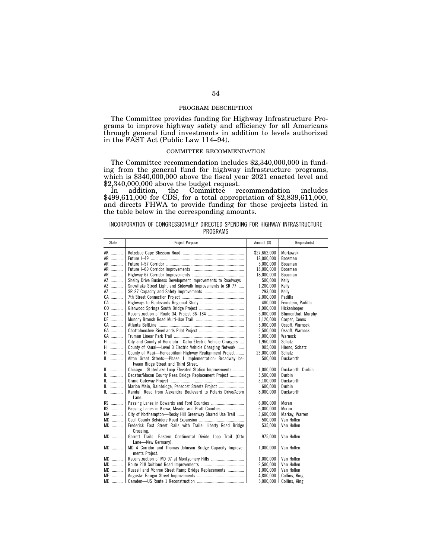### PROGRAM DESCRIPTION

The Committee provides funding for Highway Infrastructure Programs to improve highway safety and efficiency for all Americans through general fund investments in addition to levels authorized in the FAST Act (Public Law 114–94).

# COMMITTEE RECOMMENDATION

The Committee recommendation includes \$2,340,000,000 in funding from the general fund for highway infrastructure programs, which is \$340,000,000 above the fiscal year 2021 enacted level and \$2,340,000,000 above the budget request.

In addition, the Committee recommendation includes \$499,611,000 for CDS, for a total appropriation of \$2,839,611,000, and directs FHWA to provide funding for those projects listed in the table below in the corresponding amounts.

# INCORPORATION OF CONGRESSIONALLY DIRECTED SPENDING FOR HIGHWAY INFRASTRUCTURE PROGRAMS

| State        | Project Purpose                                              | Amount (\$)  | Requestor(s)              |
|--------------|--------------------------------------------------------------|--------------|---------------------------|
| AK           |                                                              | \$27.662.000 | Murkowski                 |
| AR           |                                                              | 18,000,000   | Boozman                   |
| AR           |                                                              | 5,000,000    | Boozman                   |
| AR           |                                                              | 18,000,000   | Boozman                   |
| AR           |                                                              | 18,000,000   | Boozman                   |
| AZ           | Shelby Drive Business Development Improvements to Roadways   | 500.000      | Kelly                     |
| AZ           | Snowflake Street Light and Sidewalk Improvements to SR 77    | 1,200,000    | Kelly                     |
| AZ           |                                                              | 293,000      | Kelly                     |
| CA           |                                                              | 2.000.000    | Padilla                   |
| CA           |                                                              | 480.000      | Feinstein, Padilla        |
| CO           |                                                              | 1,000,000    | Hickenlooper              |
| $CT$         |                                                              | 5,000,000    | Blumenthal, Murphy        |
| DE           |                                                              | 1.120.000    | Carper. Coons             |
| GA           |                                                              | 5,000,000    | Ossoff, Warnock           |
| GA           |                                                              | 2,500,000    | Ossoff, Warnock           |
| GA           |                                                              | 3,000,000    | Warnock                   |
| HI           | City and County of Honolulu-Oahu Electric Vehicle Chargers   | 1,960,000    | Schatz                    |
| HI           | County of Kauai-Level 3 Electric Vehicle Charging Network    | 905.000      | Hirono, Schatz            |
| HI           | County of Maui-Honoapiilani Highway Realignment Project      | 23.000.000   | Schatz                    |
| IL           | Alton Great Streets-Phase 1 Implementation: Broadway be-     | 500,000      | Duckworth                 |
|              | tween Ridge Street and Third Street.                         |              |                           |
| IL           | Chicago-State/Lake Loop Elevated Station Improvements        | 1,000,000    | Duckworth, Durbin         |
|              | Decatur/Macon County Reas Bridge Replacement Project         | 3,500,000    | Durbin                    |
| IL           |                                                              | 3,100,000    | Duckworth                 |
| IL           | Marion Main, Bainbridge, Penecost Streets Project            | 600,000      | Durbin                    |
| $\mathbb{L}$ | Randall Road from Alexandra Boulevard to Polaris Drive/Acorn | 8.000.000    | Duckworth                 |
|              | Lane.                                                        |              |                           |
| KS           |                                                              | 6,000,000    | Moran                     |
| KS           | Passing Lanes in Kiowa, Meade, and Pratt Counties            | 6.000.000    | Moran                     |
| MA           | City of Northampton-Rocky Hill Greenway Shared Use Trail     | 3,600,000    | Markey, Warren            |
| $MD$         |                                                              | 500.000      | Van Hollen                |
| MD           | Frederick East Street Rails with Trails: Liberty Road Bridge | 535,000      | Van Hollen                |
|              | Crossing.                                                    |              |                           |
| MD           | Garrett Trails-Eastern Continental Divide Loop Trail (Otto   | 975,000      | Van Hollen                |
|              | Lane-New Germany).                                           |              |                           |
| MD           | MD 4 Corridor and Thomas Johnson Bridge Capacity Improve-    | 1,000,000    | Van Hollen                |
|              | ments Project.                                               |              |                           |
| $MD$         |                                                              | 1.000.000    | Van Hollen                |
| $MD$         |                                                              | 2,500,000    | Van Hollen                |
| MD           | Russell and Monroe Street Ramp Bridge Replacements           | 1,000,000    | Van Hollen                |
| ME           |                                                              | 4,800,000    | Collins, King             |
|              |                                                              |              | 5,000,000   Collins, King |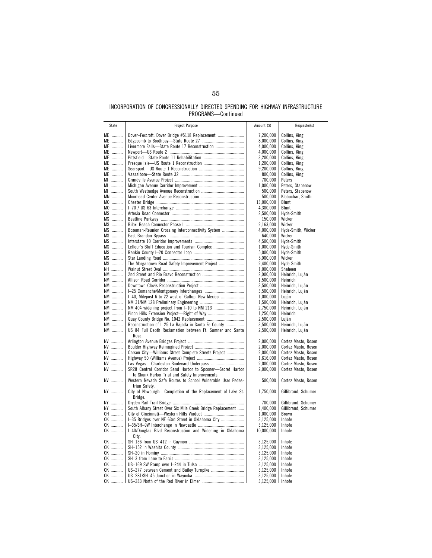# INCORPORATION OF CONGRESSIONALLY DIRECTED SPENDING FOR HIGHWAY INFRASTRUCTURE PROGRAMS—Continued

| State      | Project Purpose                                                             | Amount (\$)            | Requestor(s)         |
|------------|-----------------------------------------------------------------------------|------------------------|----------------------|
| ME         | Dover-Foxcroft, Dover Bridge #5118 Replacement                              | 7,200,000              | Collins, King        |
| ME         |                                                                             | 8,000,000              | Collins, King        |
| ME         | Livermore Falls-State Route 17 Reconstruction                               | 4,000,000              | Collins, King        |
| ME         |                                                                             | 4,000,000              | Collins, King        |
| ME         |                                                                             | 3,200,000              | Collins, King        |
| ME         |                                                                             | 1,200,000              | Collins, King        |
| ME         |                                                                             | 9,200,000              | Collins, King        |
| ME         |                                                                             | 800,000                | Collins, King        |
| MI         |                                                                             | 700,000                | Peters               |
| MI         |                                                                             | 1,000,000              | Peters, Stabenow     |
| MI         |                                                                             | 500,000                | Peters, Stabenow     |
| <b>MN</b>  |                                                                             | 500,000                | Klobuchar, Smith     |
| MO         |                                                                             | 13,000,000             | Blunt                |
| MO         |                                                                             | 4,300,000              | Blunt                |
| MS         |                                                                             | 2,500,000              | Hyde-Smith           |
| MS         |                                                                             | 150,000                | Wicker               |
| MS         |                                                                             | 2,163,000              | Wicker               |
| MS         | Bozeman-Reunion Crossing Interconnectivity System                           | 4,000,000              | Hyde-Smith, Wicker   |
| MS         |                                                                             | 640,000                | Wicker               |
| MS         |                                                                             | 4,500,000              | Hyde-Smith           |
| MS         | Lefleur's Bluff Education and Tourism Complex                               | 1,000,000              | Hyde-Smith           |
| $MS$<br>MS |                                                                             | 5,000,000<br>5,000,000 | Hyde-Smith<br>Wicker |
| MS         | The Morgantown Road Safety Improvement Project                              | 2,400,000              | Hyde-Smith           |
| NH         |                                                                             | 1,000,000              | Shaheen              |
| NM         |                                                                             | 2,000,000              | Heinrich, Luján      |
| NM         |                                                                             | 1,500,000              | Heinrich             |
| NM         |                                                                             | 3,500,000              | Heinrich, Luján      |
| NM         |                                                                             | 3,500,000              | Heinrich, Luján      |
| NM         | I-40, Milepost 6 to 22 west of Gallup, New Mexico                           | 1,000,000              | Luján                |
| NM         |                                                                             | 1,500,000              | Heinrich, Luján      |
| NM         |                                                                             | 2,750,000              | Heinrich, Luján      |
| NM         |                                                                             | 1,250,000              | Heinrich             |
| NM         |                                                                             | 2,500,000              | Luján                |
| <b>NM</b>  | Reconstruction of I-25 La Bajada in Santa Fe County                         | 3,500,000              | Heinrich, Luján      |
| NM         | US 84 Full Depth Reclamation between Ft. Sumner and Santa                   | 2,500,000              | Heinrich, Luján      |
|            | Rosa.                                                                       |                        |                      |
| NV         |                                                                             | 2,000,000              | Cortez Masto, Rosen  |
| NV         |                                                                             | 2,000,000              | Cortez Masto, Rosen  |
| NV         | Carson City—Williams Street Complete Streets Project                        | 2,000,000              | Cortez Masto, Rosen  |
| NV         |                                                                             | 1,616,000              | Cortez Masto, Rosen  |
| NV         |                                                                             | 2,000,000              | Cortez Masto, Rosen  |
| NV         | SR28 Central Corridor Sand Harbor to Spooner-Secret Harbor                  | 2,000,000              | Cortez Masto, Rosen  |
| NV         | to Skunk Harbor Trial and Safety Improvements.                              |                        |                      |
|            | Western Nevada Safe Routes to School Vulnerable User Pedes-                 | 500,000                | Cortez Masto, Rosen  |
| NY         | trian Safety.<br>City of Newburgh-Completion of the Replacement of Lake St. | 1,750,000              | Gillibrand, Schumer  |
|            | Bridge.                                                                     |                        |                      |
| NY         |                                                                             | 700,000                | Gillibrand, Schumer  |
| NY         | South Albany Street Over Six Mile Creek Bridge Replacement                  | 1,400,000              | Gillibrand, Schumer  |
| OH         |                                                                             | 1,000,000              | Brown                |
| OK         |                                                                             | 3,125,000              | Inhofe               |
| OK         |                                                                             | 3,125,000              | Inhofe               |
| OK         | I-40/Douglas Blvd Reconstruction and Widening in Oklahoma                   | 10,000,000             | Inhofe               |
|            | City.                                                                       |                        |                      |
| OK         |                                                                             | 3,125,000              | Inhofe               |
| OK         |                                                                             | 3,125,000              | Inhofe               |
| OK         |                                                                             | 3,125,000              | Inhofe               |
| OK         |                                                                             | 3,125,000              | Inhofe               |
| OK         |                                                                             | 3,125,000              | Inhofe               |
| OK         |                                                                             | 3,125,000              | Inhofe               |
| OK         |                                                                             | 3,125,000              | Inhofe               |
| OK         |                                                                             | 3,125,000   Inhofe     |                      |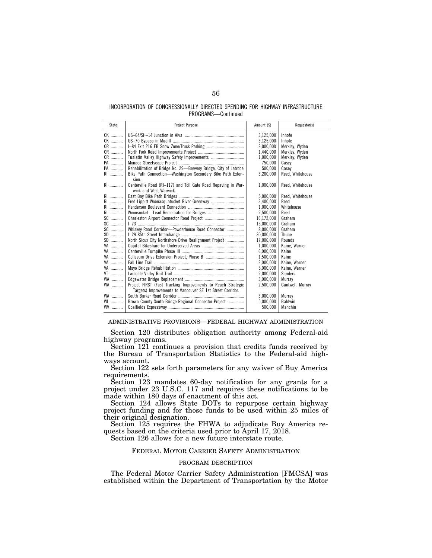# INCORPORATION OF CONGRESSIONALLY DIRECTED SPENDING FOR HIGHWAY INFRASTRUCTURE PROGRAMS—Continued

| State | Project Purpose                                                                         | Amount (\$) | Requestor(s)     |
|-------|-----------------------------------------------------------------------------------------|-------------|------------------|
| $OK$  |                                                                                         | 3,125,000   | Inhofe           |
| OK    |                                                                                         | 3,125,000   | Inhofe           |
| OR    |                                                                                         | 2.000.000   | Merkley, Wyden   |
| OR    |                                                                                         | 1.440.000   | Merklev. Wyden   |
| OR    |                                                                                         | 1,000,000   | Merkley, Wyden   |
| PA    |                                                                                         | 750,000     | Casey            |
| PA    | Rehabilitation of Bridge No. 29-Brewery Bridge, City of Latrobe                         | 500,000     | Casey            |
| RI    | Bike Path Connection-Washington Secondary Bike Path Exten-<br>sion.                     | 3,200,000   | Reed, Whitehouse |
| RI    | Centerville Road (RI-117) and Toll Gate Road Repaving in War-<br>wick and West Warwick. | 1,000,000   | Reed, Whitehouse |
| RI    |                                                                                         | 5,000,000   | Reed, Whitehouse |
| $RI$  |                                                                                         | 3,400,000   | Reed             |
| $R1$  |                                                                                         | 1.000.000   | Whitehouse       |
| RI    |                                                                                         | 2,500,000   | Reed             |
| SC    |                                                                                         | 16,172,000  | Graham           |
| SC    |                                                                                         | 15.000.000  | Graham           |
| SC    | Whiskey Road Corridor-Powderhouse Road Connector                                        | 8.000.000   | Graham           |
| $SD$  |                                                                                         | 30,000,000  | Thune            |
| $SD$  | North Sioux City Northshore Drive Realignment Project                                   | 17.000.000  | Rounds           |
| VA    |                                                                                         | 1,000,000   | Kaine, Warner    |
| VA    |                                                                                         | 6,000,000   | Kaine            |
| VA    |                                                                                         | 1.500.000   | Kaine            |
| VA    |                                                                                         | 2,000,000   | Kaine, Warner    |
| VA    |                                                                                         | 5,000,000   | Kaine, Warner    |
| VT    |                                                                                         | 2,000,000   | Sanders          |
| WA    |                                                                                         | 3,000,000   | Murray           |
| WA    | Project FIRST (Fast Tracking Improvements to Reach Strategic                            | 2.500.000   | Cantwell, Murray |
|       | Targets) Improvements to Vancouver SE 1st Street Corridor.                              |             |                  |
| WA    |                                                                                         | 3,000,000   | Murray           |
| WI    | Brown County South Bridge Regional Connector Project                                    | 5,000,000   | <b>Baldwin</b>   |
| $WV$  |                                                                                         | 500,000     | Manchin          |
|       |                                                                                         |             |                  |

### ADMINISTRATIVE PROVISIONS—FEDERAL HIGHWAY ADMINISTRATION

Section 120 distributes obligation authority among Federal-aid highway programs.

Section 121 continues a provision that credits funds received by the Bureau of Transportation Statistics to the Federal-aid highways account.

Section 122 sets forth parameters for any waiver of Buy America requirements.

Section 123 mandates 60-day notification for any grants for a project under 23 U.S.C. 117 and requires these notifications to be made within 180 days of enactment of this act.

Section 124 allows State DOTs to repurpose certain highway project funding and for those funds to be used within 25 miles of their original designation.

Section 125 requires the FHWA to adjudicate Buy America requests based on the criteria used prior to April 17, 2018.

Section 126 allows for a new future interstate route.

# FEDERAL MOTOR CARRIER SAFETY ADMINISTRATION

# PROGRAM DESCRIPTION

The Federal Motor Carrier Safety Administration [FMCSA] was established within the Department of Transportation by the Motor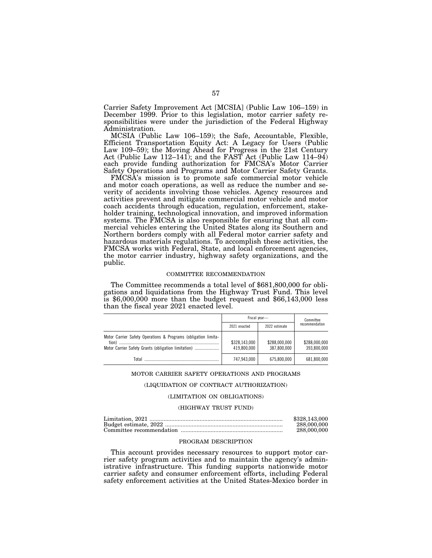Carrier Safety Improvement Act [MCSIA] (Public Law 106–159) in December 1999. Prior to this legislation, motor carrier safety responsibilities were under the jurisdiction of the Federal Highway Administration.

MCSIA (Public Law 106–159); the Safe, Accountable, Flexible, Efficient Transportation Equity Act: A Legacy for Users (Public Law 109–59); the Moving Ahead for Progress in the 21st Century Act (Public Law 112–141); and the FAST Act (Public Law 114–94) each provide funding authorization for FMCSA's Motor Carrier Safety Operations and Programs and Motor Carrier Safety Grants.

FMCSA's mission is to promote safe commercial motor vehicle and motor coach operations, as well as reduce the number and severity of accidents involving those vehicles. Agency resources and activities prevent and mitigate commercial motor vehicle and motor coach accidents through education, regulation, enforcement, stakeholder training, technological innovation, and improved information systems. The FMCSA is also responsible for ensuring that all commercial vehicles entering the United States along its Southern and Northern borders comply with all Federal motor carrier safety and hazardous materials regulations. To accomplish these activities, the FMCSA works with Federal, State, and local enforcement agencies, the motor carrier industry, highway safety organizations, and the public.

# COMMITTEE RECOMMENDATION

The Committee recommends a total level of \$681,800,000 for obligations and liquidations from the Highway Trust Fund. This level is \$6,000,000 more than the budget request and \$66,143,000 less than the fiscal year 2021 enacted level.

|                                                                         | Fiscal year-                 |                              | Committee                    |  |
|-------------------------------------------------------------------------|------------------------------|------------------------------|------------------------------|--|
|                                                                         | 2021 enacted                 | 2022 estimate                | recommendation               |  |
| Motor Carrier Safety Operations & Programs (obligation limita-<br>tion) | \$328,143,000<br>419.800.000 | \$288,000,000<br>387.800.000 | \$288,000,000<br>393.800.000 |  |
| Total                                                                   | 747.943.000                  | 675.800.000                  | 681,800,000                  |  |

#### MOTOR CARRIER SAFETY OPERATIONS AND PROGRAMS

### (LIQUIDATION OF CONTRACT AUTHORIZATION)

# (LIMITATION ON OBLIGATIONS)

### (HIGHWAY TRUST FUND)

| \$328,143,000 |
|---------------|
| 288,000,000   |
| 288,000,000   |

# PROGRAM DESCRIPTION

This account provides necessary resources to support motor carrier safety program activities and to maintain the agency's administrative infrastructure. This funding supports nationwide motor carrier safety and consumer enforcement efforts, including Federal safety enforcement activities at the United States-Mexico border in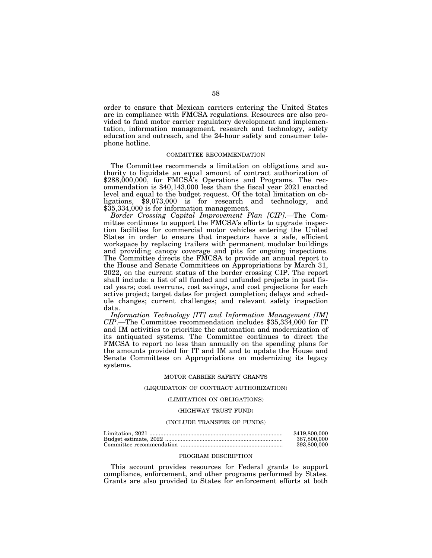order to ensure that Mexican carriers entering the United States are in compliance with FMCSA regulations. Resources are also provided to fund motor carrier regulatory development and implementation, information management, research and technology, safety education and outreach, and the 24-hour safety and consumer telephone hotline.

# COMMITTEE RECOMMENDATION

The Committee recommends a limitation on obligations and authority to liquidate an equal amount of contract authorization of \$288,000,000, for FMCSA's Operations and Programs. The recommendation is \$40,143,000 less than the fiscal year 2021 enacted level and equal to the budget request. Of the total limitation on obligations, \$9,073,000 is for research and technology, and \$35,334,000 is for information management.

*Border Crossing Capital Improvement Plan [CIP]*.—The Committee continues to support the FMCSA's efforts to upgrade inspection facilities for commercial motor vehicles entering the United States in order to ensure that inspectors have a safe, efficient workspace by replacing trailers with permanent modular buildings and providing canopy coverage and pits for ongoing inspections. The Committee directs the FMCSA to provide an annual report to the House and Senate Committees on Appropriations by March 31, 2022, on the current status of the border crossing CIP. The report shall include: a list of all funded and unfunded projects in past fiscal years; cost overruns, cost savings, and cost projections for each active project; target dates for project completion; delays and schedule changes; current challenges; and relevant safety inspection data.

*Information Technology [IT] and Information Management [IM] CIP*.—The Committee recommendation includes \$35,334,000 for IT and IM activities to prioritize the automation and modernization of its antiquated systems. The Committee continues to direct the FMCSA to report no less than annually on the spending plans for the amounts provided for IT and IM and to update the House and Senate Committees on Appropriations on modernizing its legacy systems.

# MOTOR CARRIER SAFETY GRANTS

# (LIQUIDATION OF CONTRACT AUTHORIZATION)

#### (LIMITATION ON OBLIGATIONS)

### (HIGHWAY TRUST FUND)

### (INCLUDE TRANSFER OF FUNDS)

| \$419,800,000 |
|---------------|
| 387.800.000   |
| 393,800,000   |

#### PROGRAM DESCRIPTION

This account provides resources for Federal grants to support compliance, enforcement, and other programs performed by States. Grants are also provided to States for enforcement efforts at both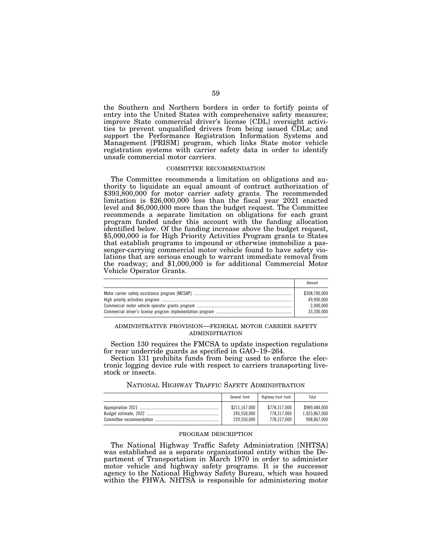the Southern and Northern borders in order to fortify points of entry into the United States with comprehensive safety measures; improve State commercial driver's license [CDL] oversight activities to prevent unqualified drivers from being issued CDLs; and support the Performance Registration Information Systems and Management [PRISM] program, which links State motor vehicle registration systems with carrier safety data in order to identify unsafe commercial motor carriers.

### COMMITTEE RECOMMENDATION

The Committee recommends a limitation on obligations and authority to liquidate an equal amount of contract authorization of \$393,800,000 for motor carrier safety grants. The recommended limitation is \$26,000,000 less than the fiscal year 2021 enacted level and \$6,000,000 more than the budget request. The Committee recommends a separate limitation on obligations for each grant program funded under this account with the funding allocation identified below. Of the funding increase above the budget request, \$5,000,000 is for High Priority Activities Program grants to States that establish programs to impound or otherwise immobilize a passenger-carrying commercial motor vehicle found to have safety violations that are serious enough to warrant immediate removal from the roadway; and \$1,000,000 is for additional Commercial Motor Vehicle Operator Grants.

| Amount                      |
|-----------------------------|
| \$308,700,000<br>49.900.000 |
| 2.000.000                   |
| 33.200.000                  |

# ADMINISTRATIVE PROVISION—FEDERAL MOTOR CARRIER SAFETY ADMINISTRATION

Section 130 requires the FMCSA to update inspection regulations for rear underride guards as specified in GAO–19–264.

Section 131 prohibits funds from being used to enforce the electronic logging device rule with respect to carriers transporting livestock or insects.

|  |  |  |  |  | NATIONAL HIGHWAY TRAFFIC SAFETY ADMINISTRATION |
|--|--|--|--|--|------------------------------------------------|
|--|--|--|--|--|------------------------------------------------|

| General fund  | Highway trust fund | Total         |
|---------------|--------------------|---------------|
| \$211.167.000 | \$778,317,000      | \$989,484,000 |
| 245.550.000   | 778.317.000        | 1.023.867.000 |
| 220.550.000   | 778,317,000        | 998.867.000   |

# PROGRAM DESCRIPTION

The National Highway Traffic Safety Administration [NHTSA] was established as a separate organizational entity within the Department of Transportation in March 1970 in order to administer motor vehicle and highway safety programs. It is the successor agency to the National Highway Safety Bureau, which was housed within the FHWA. NHTSA is responsible for administering motor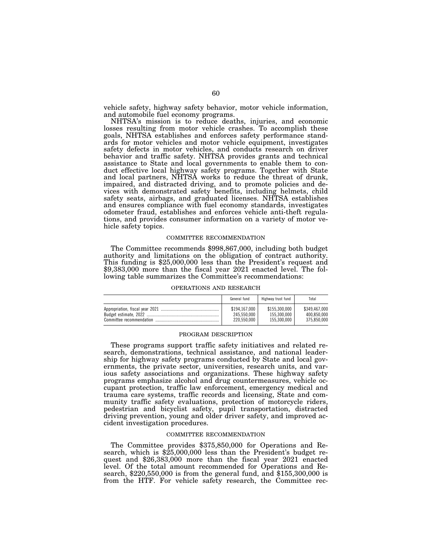vehicle safety, highway safety behavior, motor vehicle information, and automobile fuel economy programs.

NHTSA's mission is to reduce deaths, injuries, and economic losses resulting from motor vehicle crashes. To accomplish these goals, NHTSA establishes and enforces safety performance standards for motor vehicles and motor vehicle equipment, investigates safety defects in motor vehicles, and conducts research on driver behavior and traffic safety. NHTSA provides grants and technical assistance to State and local governments to enable them to conduct effective local highway safety programs. Together with State and local partners, NHTSA works to reduce the threat of drunk, impaired, and distracted driving, and to promote policies and devices with demonstrated safety benefits, including helmets, child safety seats, airbags, and graduated licenses. NHTSA establishes and ensures compliance with fuel economy standards, investigates odometer fraud, establishes and enforces vehicle anti-theft regulations, and provides consumer information on a variety of motor vehicle safety topics.

#### COMMITTEE RECOMMENDATION

The Committee recommends \$998,867,000, including both budget authority and limitations on the obligation of contract authority. This funding is \$25,000,000 less than the President's request and \$9,383,000 more than the fiscal year 2021 enacted level. The following table summarizes the Committee's recommendations:

#### OPERATIONS AND RESEARCH

|                          | General fund                                | Highway trust fund                          | Total                                       |
|--------------------------|---------------------------------------------|---------------------------------------------|---------------------------------------------|
| Committee recommendation | \$194.167.000<br>245.550.000<br>220,550,000 | \$155,300,000<br>155.300.000<br>155,300,000 | \$349.467.000<br>400.850.000<br>375.850.000 |

#### PROGRAM DESCRIPTION

These programs support traffic safety initiatives and related research, demonstrations, technical assistance, and national leadership for highway safety programs conducted by State and local governments, the private sector, universities, research units, and various safety associations and organizations. These highway safety programs emphasize alcohol and drug countermeasures, vehicle occupant protection, traffic law enforcement, emergency medical and trauma care systems, traffic records and licensing, State and community traffic safety evaluations, protection of motorcycle riders, pedestrian and bicyclist safety, pupil transportation, distracted driving prevention, young and older driver safety, and improved accident investigation procedures.

### COMMITTEE RECOMMENDATION

The Committee provides \$375,850,000 for Operations and Research, which is \$25,000,000 less than the President's budget request and \$26,383,000 more than the fiscal year 2021 enacted level. Of the total amount recommended for Operations and Research, \$220,550,000 is from the general fund, and \$155,300,000 is from the HTF. For vehicle safety research, the Committee rec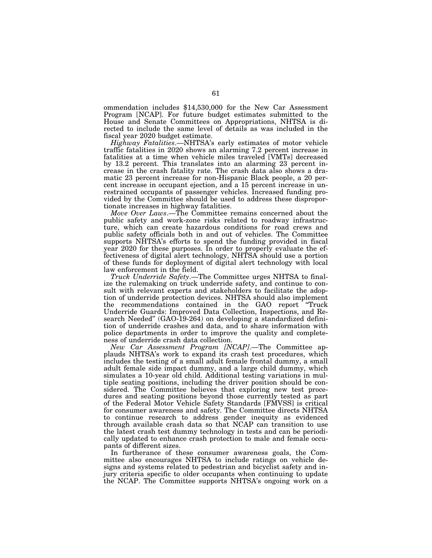ommendation includes \$14,530,000 for the New Car Assessment Program [NCAP]. For future budget estimates submitted to the House and Senate Committees on Appropriations, NHTSA is directed to include the same level of details as was included in the fiscal year 2020 budget estimate.

*Highway Fatalities*.—NHTSA's early estimates of motor vehicle traffic fatalities in 2020 shows an alarming 7.2 percent increase in fatalities at a time when vehicle miles traveled [VMTs] decreased by 13.2 percent. This translates into an alarming 23 percent increase in the crash fatality rate. The crash data also shows a dramatic 23 percent increase for non-Hispanic Black people, a 20 percent increase in occupant ejection, and a 15 percent increase in unrestrained occupants of passenger vehicles. Increased funding provided by the Committee should be used to address these disproportionate increases in highway fatalities.

*Move Over Laws*.—The Committee remains concerned about the public safety and work-zone risks related to roadway infrastructure, which can create hazardous conditions for road crews and public safety officials both in and out of vehicles. The Committee supports NHTSA's efforts to spend the funding provided in fiscal year 2020 for these purposes. In order to properly evaluate the effectiveness of digital alert technology, NHTSA should use a portion of these funds for deployment of digital alert technology with local law enforcement in the field.

*Truck Underride Safety*.—The Committee urges NHTSA to finalize the rulemaking on truck underride safety, and continue to consult with relevant experts and stakeholders to facilitate the adoption of underride protection devices. NHTSA should also implement the recommendations contained in the GAO report ''Truck Underride Guards: Improved Data Collection, Inspections, and Research Needed'' (GAO-19-264) on developing a standardized definition of underride crashes and data, and to share information with police departments in order to improve the quality and completeness of underride crash data collection.

*New Car Assessment Program [NCAP]*.—The Committee applauds NHTSA's work to expand its crash test procedures, which includes the testing of a small adult female frontal dummy, a small adult female side impact dummy, and a large child dummy, which simulates a 10-year old child. Additional testing variations in multiple seating positions, including the driver position should be considered. The Committee believes that exploring new test procedures and seating positions beyond those currently tested as part of the Federal Motor Vehicle Safety Standards [FMVSS] is critical for consumer awareness and safety. The Committee directs NHTSA to continue research to address gender inequity as evidenced through available crash data so that NCAP can transition to use the latest crash test dummy technology in tests and can be periodically updated to enhance crash protection to male and female occupants of different sizes.

In furtherance of these consumer awareness goals, the Committee also encourages NHTSA to include ratings on vehicle designs and systems related to pedestrian and bicyclist safety and injury criteria specific to older occupants when continuing to update the NCAP. The Committee supports NHTSA's ongoing work on a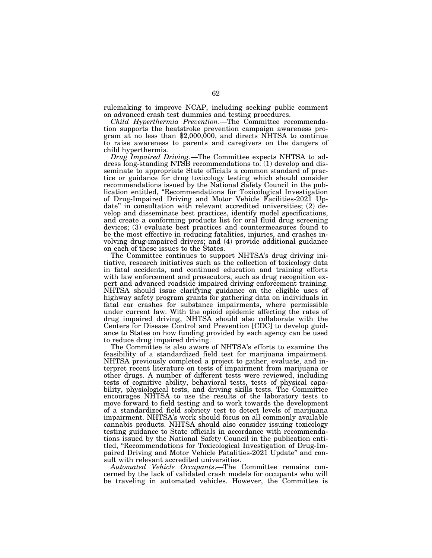rulemaking to improve NCAP, including seeking public comment on advanced crash test dummies and testing procedures.

*Child Hyperthermia Prevention*.—The Committee recommendation supports the heatstroke prevention campaign awareness program at no less than  $$2,000,000$ , and directs NHTSA to continue to raise awareness to parents and caregivers on the dangers of child hyperthermia.

*Drug Impaired Driving*.—The Committee expects NHTSA to address long-standing NTSB recommendations to: (1) develop and disseminate to appropriate State officials a common standard of practice or guidance for drug toxicology testing which should consider recommendations issued by the National Safety Council in the publication entitled, ''Recommendations for Toxicological Investigation of Drug-Impaired Driving and Motor Vehicle Facilities-2021 Update'' in consultation with relevant accredited universities; (2) develop and disseminate best practices, identify model specifications, and create a conforming products list for oral fluid drug screening devices; (3) evaluate best practices and countermeasures found to be the most effective in reducing fatalities, injuries, and crashes involving drug-impaired drivers; and (4) provide additional guidance on each of these issues to the States.

The Committee continues to support NHTSA's drug driving initiative, research initiatives such as the collection of toxicology data in fatal accidents, and continued education and training efforts with law enforcement and prosecutors, such as drug recognition expert and advanced roadside impaired driving enforcement training. NHTSA should issue clarifying guidance on the eligible uses of highway safety program grants for gathering data on individuals in fatal car crashes for substance impairments, where permissible under current law. With the opioid epidemic affecting the rates of drug impaired driving, NHTSA should also collaborate with the Centers for Disease Control and Prevention [CDC] to develop guidance to States on how funding provided by each agency can be used to reduce drug impaired driving.

The Committee is also aware of NHTSA's efforts to examine the feasibility of a standardized field test for marijuana impairment. NHTSA previously completed a project to gather, evaluate, and interpret recent literature on tests of impairment from marijuana or other drugs. A number of different tests were reviewed, including tests of cognitive ability, behavioral tests, tests of physical capability, physiological tests, and driving skills tests. The Committee encourages NHTSA to use the results of the laboratory tests to move forward to field testing and to work towards the development of a standardized field sobriety test to detect levels of marijuana impairment. NHTSA's work should focus on all commonly available cannabis products. NHTSA should also consider issuing toxicology testing guidance to State officials in accordance with recommendations issued by the National Safety Council in the publication entitled, ''Recommendations for Toxicological Investigation of Drug-Impaired Driving and Motor Vehicle Fatalities-2021 Update'' and consult with relevant accredited universities.

*Automated Vehicle Occupants*.—The Committee remains concerned by the lack of validated crash models for occupants who will be traveling in automated vehicles. However, the Committee is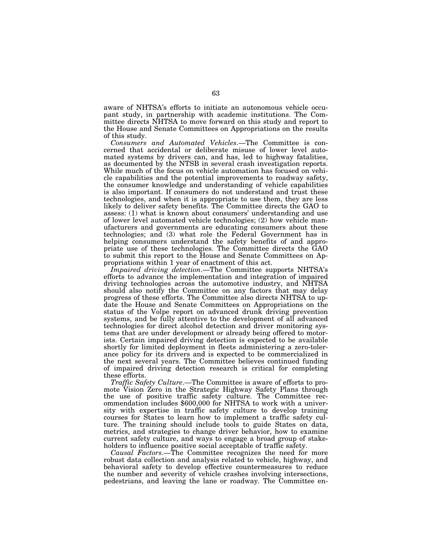aware of NHTSA's efforts to initiate an autonomous vehicle occupant study, in partnership with academic institutions. The Committee directs NHTSA to move forward on this study and report to the House and Senate Committees on Appropriations on the results of this study.

*Consumers and Automated Vehicles*.—The Committee is concerned that accidental or deliberate misuse of lower level automated systems by drivers can, and has, led to highway fatalities, as documented by the NTSB in several crash investigation reports. While much of the focus on vehicle automation has focused on vehicle capabilities and the potential improvements to roadway safety, the consumer knowledge and understanding of vehicle capabilities is also important. If consumers do not understand and trust these technologies, and when it is appropriate to use them, they are less likely to deliver safety benefits. The Committee directs the GAO to assess: (1) what is known about consumers' understanding and use of lower level automated vehicle technologies; (2) how vehicle manufacturers and governments are educating consumers about these technologies; and (3) what role the Federal Government has in helping consumers understand the safety benefits of and appropriate use of these technologies. The Committee directs the GAO to submit this report to the House and Senate Committees on Appropriations within 1 year of enactment of this act.

*Impaired driving detection*.—The Committee supports NHTSA's efforts to advance the implementation and integration of impaired driving technologies across the automotive industry, and NHTSA should also notify the Committee on any factors that may delay progress of these efforts. The Committee also directs NHTSA to update the House and Senate Committees on Appropriations on the status of the Volpe report on advanced drunk driving prevention systems, and be fully attentive to the development of all advanced technologies for direct alcohol detection and driver monitoring systems that are under development or already being offered to motorists. Certain impaired driving detection is expected to be available shortly for limited deployment in fleets administering a zero-tolerance policy for its drivers and is expected to be commercialized in the next several years. The Committee believes continued funding of impaired driving detection research is critical for completing these efforts.

*Traffic Safety Culture*.—The Committee is aware of efforts to promote Vision Zero in the Strategic Highway Safety Plans through the use of positive traffic safety culture. The Committee recommendation includes \$600,000 for NHTSA to work with a university with expertise in traffic safety culture to develop training courses for States to learn how to implement a traffic safety culture. The training should include tools to guide States on data, metrics, and strategies to change driver behavior, how to examine current safety culture, and ways to engage a broad group of stakeholders to influence positive social acceptable of traffic safety.

*Causal Factors*.—The Committee recognizes the need for more robust data collection and analysis related to vehicle, highway, and behavioral safety to develop effective countermeasures to reduce the number and severity of vehicle crashes involving intersections, pedestrians, and leaving the lane or roadway. The Committee en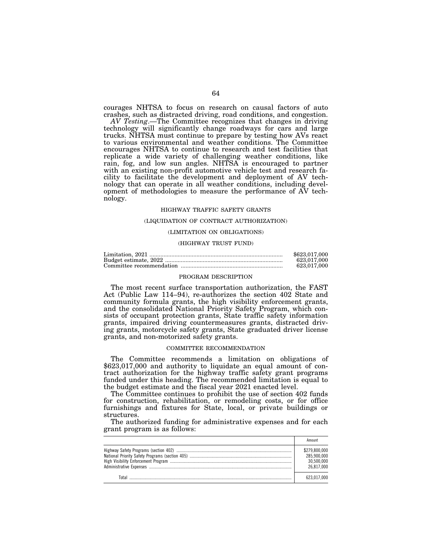courages NHTSA to focus on research on causal factors of auto crashes, such as distracted driving, road conditions, and congestion.

*AV Testing*.—The Committee recognizes that changes in driving technology will significantly change roadways for cars and large trucks. NHTSA must continue to prepare by testing how AVs react to various environmental and weather conditions. The Committee encourages NHTSA to continue to research and test facilities that replicate a wide variety of challenging weather conditions, like rain, fog, and low sun angles. NHTSA is encouraged to partner with an existing non-profit automotive vehicle test and research facility to facilitate the development and deployment of AV technology that can operate in all weather conditions, including development of methodologies to measure the performance of AV technology.

#### HIGHWAY TRAFFIC SAFETY GRANTS

### (LIQUIDATION OF CONTRACT AUTHORIZATION)

# (LIMITATION ON OBLIGATIONS)

# (HIGHWAY TRUST FUND)

| \$623,017,000 |
|---------------|
| 623.017.000   |
| 623.017.000   |

#### PROGRAM DESCRIPTION

The most recent surface transportation authorization, the FAST Act (Public Law 114–94), re-authorizes the section 402 State and community formula grants, the high visibility enforcement grants, and the consolidated National Priority Safety Program, which consists of occupant protection grants, State traffic safety information grants, impaired driving countermeasures grants, distracted driving grants, motorcycle safety grants, State graduated driver license grants, and non-motorized safety grants.

### COMMITTEE RECOMMENDATION

The Committee recommends a limitation on obligations of \$623,017,000 and authority to liquidate an equal amount of contract authorization for the highway traffic safety grant programs funded under this heading. The recommended limitation is equal to the budget estimate and the fiscal year 2021 enacted level.

The Committee continues to prohibit the use of section 402 funds for construction, rehabilitation, or remodeling costs, or for office furnishings and fixtures for State, local, or private buildings or structures.

The authorized funding for administrative expenses and for each grant program is as follows:

| \$279.800.000<br>285.900.000<br>30.500.000<br>26.817.000 |
|----------------------------------------------------------|
| 623 017 000                                              |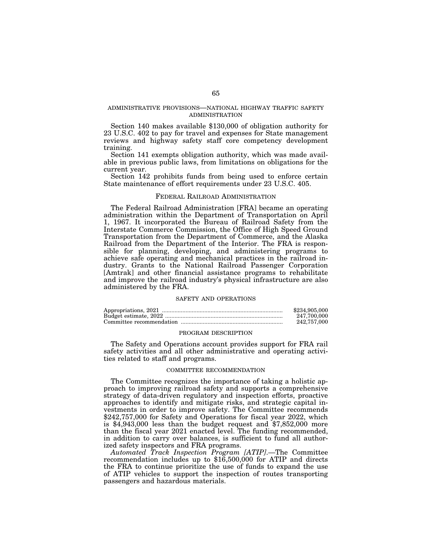# ADMINISTRATIVE PROVISIONS—NATIONAL HIGHWAY TRAFFIC SAFETY ADMINISTRATION

Section 140 makes available \$130,000 of obligation authority for 23 U.S.C. 402 to pay for travel and expenses for State management reviews and highway safety staff core competency development training.

Section 141 exempts obligation authority, which was made available in previous public laws, from limitations on obligations for the current year.

Section 142 prohibits funds from being used to enforce certain State maintenance of effort requirements under 23 U.S.C. 405.

# FEDERAL RAILROAD ADMINISTRATION

The Federal Railroad Administration [FRA] became an operating administration within the Department of Transportation on April 1, 1967. It incorporated the Bureau of Railroad Safety from the Interstate Commerce Commission, the Office of High Speed Ground Transportation from the Department of Commerce, and the Alaska Railroad from the Department of the Interior. The FRA is responsible for planning, developing, and administering programs to achieve safe operating and mechanical practices in the railroad industry. Grants to the National Railroad Passenger Corporation [Amtrak] and other financial assistance programs to rehabilitate and improve the railroad industry's physical infrastructure are also administered by the FRA.

### SAFETY AND OPERATIONS

| \$234,905,000 |
|---------------|
| 247.700.000   |
| 242,757,000   |

#### PROGRAM DESCRIPTION

The Safety and Operations account provides support for FRA rail safety activities and all other administrative and operating activities related to staff and programs.

# COMMITTEE RECOMMENDATION

The Committee recognizes the importance of taking a holistic approach to improving railroad safety and supports a comprehensive strategy of data-driven regulatory and inspection efforts, proactive approaches to identify and mitigate risks, and strategic capital investments in order to improve safety. The Committee recommends \$242,757,000 for Safety and Operations for fiscal year 2022, which is \$4,943,000 less than the budget request and \$7,852,000 more than the fiscal year 2021 enacted level. The funding recommended, in addition to carry over balances, is sufficient to fund all authorized safety inspectors and FRA programs.

*Automated Track Inspection Program [ATIP]*.—The Committee recommendation includes up to \$16,500,000 for ATIP and directs the FRA to continue prioritize the use of funds to expand the use of ATIP vehicles to support the inspection of routes transporting passengers and hazardous materials.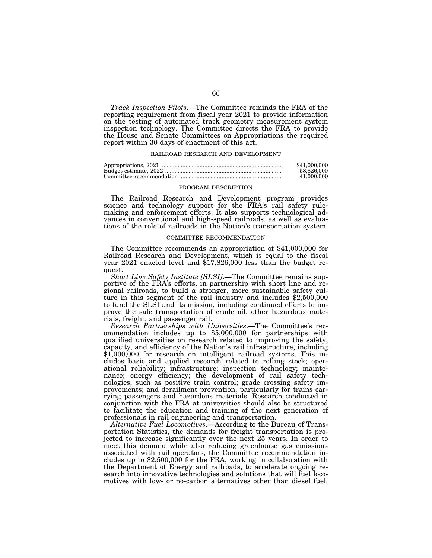*Track Inspection Pilots*.—The Committee reminds the FRA of the reporting requirement from fiscal year 2021 to provide information on the testing of automated track geometry measurement system inspection technology. The Committee directs the FRA to provide the House and Senate Committees on Appropriations the required report within 30 days of enactment of this act.

### RAILROAD RESEARCH AND DEVELOPMENT

| \$41,000,000 |
|--------------|
| 58,826,000   |
| 41,000,000   |

#### PROGRAM DESCRIPTION

The Railroad Research and Development program provides science and technology support for the FRA's rail safety rulemaking and enforcement efforts. It also supports technological advances in conventional and high-speed railroads, as well as evaluations of the role of railroads in the Nation's transportation system.

#### COMMITTEE RECOMMENDATION

The Committee recommends an appropriation of \$41,000,000 for Railroad Research and Development, which is equal to the fiscal year 2021 enacted level and \$17,826,000 less than the budget request.

*Short Line Safety Institute [SLSI]*.—The Committee remains supportive of the FRA's efforts, in partnership with short line and regional railroads, to build a stronger, more sustainable safety culture in this segment of the rail industry and includes \$2,500,000 to fund the SLSI and its mission, including continued efforts to improve the safe transportation of crude oil, other hazardous materials, freight, and passenger rail.

*Research Partnerships with Universities*.—The Committee's recommendation includes up to \$5,000,000 for partnerships with qualified universities on research related to improving the safety, capacity, and efficiency of the Nation's rail infrastructure, including \$1,000,000 for research on intelligent railroad systems. This includes basic and applied research related to rolling stock; operational reliability; infrastructure; inspection technology; maintenance; energy efficiency; the development of rail safety technologies, such as positive train control; grade crossing safety improvements; and derailment prevention, particularly for trains carrying passengers and hazardous materials. Research conducted in conjunction with the FRA at universities should also be structured to facilitate the education and training of the next generation of professionals in rail engineering and transportation.

*Alternative Fuel Locomotives*.—According to the Bureau of Transportation Statistics, the demands for freight transportation is projected to increase significantly over the next 25 years. In order to meet this demand while also reducing greenhouse gas emissions associated with rail operators, the Committee recommendation includes up to \$2,500,000 for the FRA, working in collaboration with the Department of Energy and railroads, to accelerate ongoing research into innovative technologies and solutions that will fuel locomotives with low- or no-carbon alternatives other than diesel fuel.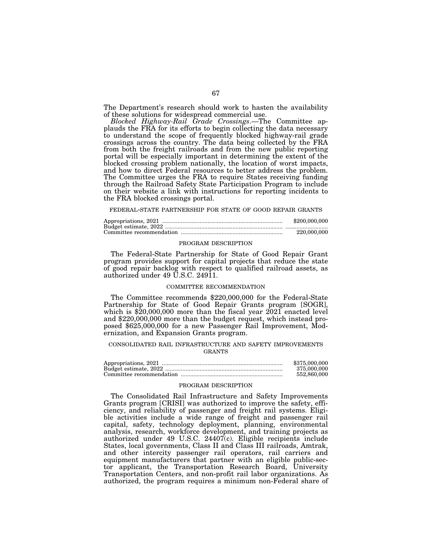The Department's research should work to hasten the availability of these solutions for widespread commercial use.

*Blocked Highway-Rail Grade Crossings*.—The Committee applauds the FRA for its efforts to begin collecting the data necessary to understand the scope of frequently blocked highway-rail grade crossings across the country. The data being collected by the FRA from both the freight railroads and from the new public reporting portal will be especially important in determining the extent of the blocked crossing problem nationally, the location of worst impacts, and how to direct Federal resources to better address the problem. The Committee urges the FRA to require States receiving funding through the Railroad Safety State Participation Program to include on their website a link with instructions for reporting incidents to the FRA blocked crossings portal.

#### FEDERAL-STATE PARTNERSHIP FOR STATE OF GOOD REPAIR GRANTS

| \$200,000,000 |
|---------------|
|               |
| 220,000,000   |

#### PROGRAM DESCRIPTION

The Federal-State Partnership for State of Good Repair Grant program provides support for capital projects that reduce the state of good repair backlog with respect to qualified railroad assets, as authorized under 49 U.S.C. 24911.

# COMMITTEE RECOMMENDATION

The Committee recommends \$220,000,000 for the Federal-State Partnership for State of Good Repair Grants program [SOGR], which is \$20,000,000 more than the fiscal year 2021 enacted level and \$220,000,000 more than the budget request, which instead proposed \$625,000,000 for a new Passenger Rail Improvement, Modernization, and Expansion Grants program.

### CONSOLIDATED RAIL INFRASTRUCTURE AND SAFETY IMPROVEMENTS GRANTS

| \$375,000,000 |
|---------------|
| 375,000,000   |
| 552,860,000   |

### PROGRAM DESCRIPTION

The Consolidated Rail Infrastructure and Safety Improvements Grants program [CRISI] was authorized to improve the safety, efficiency, and reliability of passenger and freight rail systems. Eligible activities include a wide range of freight and passenger rail capital, safety, technology deployment, planning, environmental analysis, research, workforce development, and training projects as authorized under 49 U.S.C. 24407(c). Eligible recipients include States, local governments, Class II and Class III railroads, Amtrak, and other intercity passenger rail operators, rail carriers and equipment manufacturers that partner with an eligible public-sector applicant, the Transportation Research Board, University Transportation Centers, and non-profit rail labor organizations. As authorized, the program requires a minimum non-Federal share of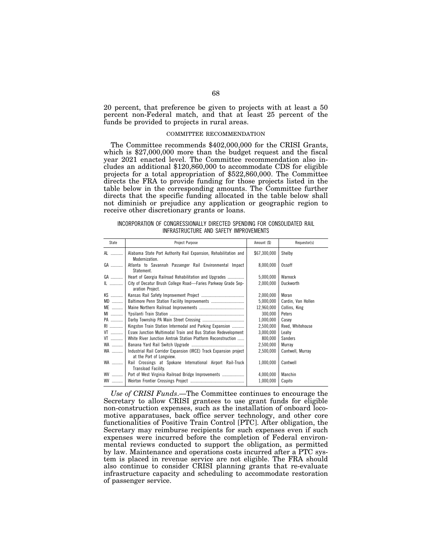20 percent, that preference be given to projects with at least a 50 percent non-Federal match, and that at least 25 percent of the funds be provided to projects in rural areas.

# COMMITTEE RECOMMENDATION

The Committee recommends \$402,000,000 for the CRISI Grants, which is \$27,000,000 more than the budget request and the fiscal year 2021 enacted level. The Committee recommendation also includes an additional \$120,860,000 to accommodate CDS for eligible projects for a total appropriation of \$522,860,000. The Committee directs the FRA to provide funding for those projects listed in the table below in the corresponding amounts. The Committee further directs that the specific funding allocated in the table below shall not diminish or prejudice any application or geographic region to receive other discretionary grants or loans.

# INCORPORATION OF CONGRESSIONALLY DIRECTED SPENDING FOR CONSOLIDATED RAIL INFRASTRUCTURE AND SAFETY IMPROVEMENTS

| State | Project Purpose                                                                               | Amount (\$)  | Requestor(s)       |
|-------|-----------------------------------------------------------------------------------------------|--------------|--------------------|
| AL    | Alabama State Port Authority Rail Expansion, Rehabilitation and<br>Modernization.             | \$67,300,000 | Shelby             |
| GA    | Atlanta to Savannah Passenger Rail Environmental Impact<br>Statement.                         | 8.000.000    | <b>Ossoff</b>      |
| GA    | Heart of Georgia Railroad Rehabilitation and Upgrades                                         | 5,000,000    | Warnock            |
|       | City of Decatur Brush College Road-Faries Parkway Grade Sep-<br>aration Project.              | 2,000,000    | Duckworth          |
| $KS$  |                                                                                               | 2,000,000    | Moran              |
| $MD$  | Baltimore Penn Station Facility Improvements                                                  | 5,000,000    | Cardin, Van Hollen |
| ME    |                                                                                               | 12,960,000   | Collins, King      |
| MI    |                                                                                               | 300,000      | Peters             |
| PA    |                                                                                               | 1,000,000    | Casey              |
| RI    | Kingston Train Station Intermodal and Parking Expansion                                       | 2,500,000    | Reed, Whitehouse   |
| $VT$  | Essex Junction Multimodal Train and Bus Station Redevelopment                                 | 3,000,000    | Leahy              |
| $VT$  | White River Junction Amtrak Station Platform Reconstruction                                   | 800,000      | <b>Sanders</b>     |
| WA    |                                                                                               | 2,500,000    | Murray             |
| WA    | Industrial Rail Corridor Expansion (IRCE) Track Expansion project<br>at the Port of Longview. | 2,500,000    | Cantwell, Murray   |
| WA    | Rail Crossings at Spokane International Airport Rail-Truck<br>Transload Facility.             | 1,000,000    | Cantwell           |
| WV    |                                                                                               | 4,000,000    | Manchin            |
| WV    |                                                                                               | 1,000,000    | Capito             |

*Use of CRISI Funds*.—The Committee continues to encourage the Secretary to allow CRISI grantees to use grant funds for eligible non-construction expenses, such as the installation of onboard locomotive apparatuses, back office server technology, and other core functionalities of Positive Train Control [PTC]. After obligation, the Secretary may reimburse recipients for such expenses even if such expenses were incurred before the completion of Federal environmental reviews conducted to support the obligation, as permitted by law. Maintenance and operations costs incurred after a PTC system is placed in revenue service are not eligible. The FRA should also continue to consider CRISI planning grants that re-evaluate infrastructure capacity and scheduling to accommodate restoration of passenger service.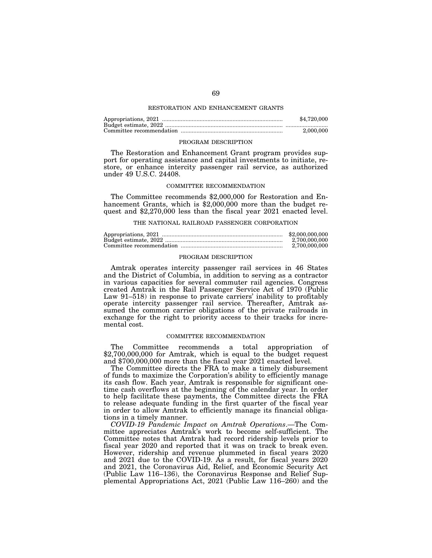# RESTORATION AND ENHANCEMENT GRANTS

| \$4,720,000 |
|-------------|
|             |
| 2,000,000   |

### PROGRAM DESCRIPTION

The Restoration and Enhancement Grant program provides support for operating assistance and capital investments to initiate, restore, or enhance intercity passenger rail service, as authorized under 49 U.S.C. 24408.

# COMMITTEE RECOMMENDATION

The Committee recommends \$2,000,000 for Restoration and Enhancement Grants, which is \$2,000,000 more than the budget request and \$2,270,000 less than the fiscal year 2021 enacted level.

### THE NATIONAL RAILROAD PASSENGER CORPORATION

| \$2,000,000,000 |
|-----------------|
| 2.700.000.000   |
| 2.700.000.000   |

### PROGRAM DESCRIPTION

Amtrak operates intercity passenger rail services in 46 States and the District of Columbia, in addition to serving as a contractor in various capacities for several commuter rail agencies. Congress created Amtrak in the Rail Passenger Service Act of 1970 (Public Law 91–518) in response to private carriers' inability to profitably operate intercity passenger rail service. Thereafter, Amtrak assumed the common carrier obligations of the private railroads in exchange for the right to priority access to their tracks for incremental cost.

# COMMITTEE RECOMMENDATION

The Committee recommends a total appropriation of \$2,700,000,000 for Amtrak, which is equal to the budget request and \$700,000,000 more than the fiscal year 2021 enacted level.

The Committee directs the FRA to make a timely disbursement of funds to maximize the Corporation's ability to efficiently manage its cash flow. Each year, Amtrak is responsible for significant onetime cash overflows at the beginning of the calendar year. In order to help facilitate these payments, the Committee directs the FRA to release adequate funding in the first quarter of the fiscal year in order to allow Amtrak to efficiently manage its financial obligations in a timely manner.

*COVID-19 Pandemic Impact on Amtrak Operations*.—The Committee appreciates Amtrak's work to become self-sufficient. The Committee notes that Amtrak had record ridership levels prior to fiscal year 2020 and reported that it was on track to break even. However, ridership and revenue plummeted in fiscal years 2020 and 2021 due to the COVID-19. As a result, for fiscal years 2020 and 2021, the Coronavirus Aid, Relief, and Economic Security Act (Public Law 116–136), the Coronavirus Response and Relief Supplemental Appropriations Act, 2021 (Public Law 116–260) and the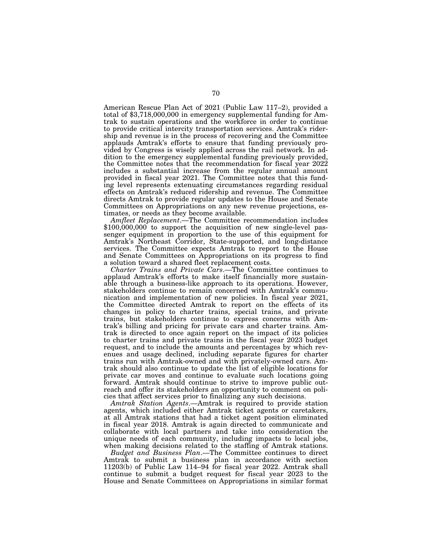American Rescue Plan Act of 2021 (Public Law 117–2), provided a total of \$3,718,000,000 in emergency supplemental funding for Amtrak to sustain operations and the workforce in order to continue to provide critical intercity transportation services. Amtrak's ridership and revenue is in the process of recovering and the Committee applauds Amtrak's efforts to ensure that funding previously provided by Congress is wisely applied across the rail network. In addition to the emergency supplemental funding previously provided, the Committee notes that the recommendation for fiscal year 2022 includes a substantial increase from the regular annual amount provided in fiscal year 2021. The Committee notes that this funding level represents extenuating circumstances regarding residual effects on Amtrak's reduced ridership and revenue. The Committee directs Amtrak to provide regular updates to the House and Senate Committees on Appropriations on any new revenue projections, estimates, or needs as they become available.

*Amfleet Replacement*.—The Committee recommendation includes \$100,000,000 to support the acquisition of new single-level passenger equipment in proportion to the use of this equipment for Amtrak's Northeast Corridor, State-supported, and long-distance services. The Committee expects Amtrak to report to the House and Senate Committees on Appropriations on its progress to find a solution toward a shared fleet replacement costs.

*Charter Trains and Private Cars*.—The Committee continues to applaud Amtrak's efforts to make itself financially more sustainable through a business-like approach to its operations. However, stakeholders continue to remain concerned with Amtrak's communication and implementation of new policies. In fiscal year 2021, the Committee directed Amtrak to report on the effects of its changes in policy to charter trains, special trains, and private trains, but stakeholders continue to express concerns with Amtrak's billing and pricing for private cars and charter trains. Amtrak is directed to once again report on the impact of its policies to charter trains and private trains in the fiscal year 2023 budget request, and to include the amounts and percentages by which revenues and usage declined, including separate figures for charter trains run with Amtrak-owned and with privately-owned cars. Amtrak should also continue to update the list of eligible locations for private car moves and continue to evaluate such locations going forward. Amtrak should continue to strive to improve public outreach and offer its stakeholders an opportunity to comment on policies that affect services prior to finalizing any such decisions.

*Amtrak Station Agents*.—Amtrak is required to provide station agents, which included either Amtrak ticket agents or caretakers, at all Amtrak stations that had a ticket agent position eliminated in fiscal year 2018. Amtrak is again directed to communicate and collaborate with local partners and take into consideration the unique needs of each community, including impacts to local jobs, when making decisions related to the staffing of Amtrak stations.

*Budget and Business Plan*.—The Committee continues to direct Amtrak to submit a business plan in accordance with section 11203(b) of Public Law 114–94 for fiscal year 2022. Amtrak shall continue to submit a budget request for fiscal year 2023 to the House and Senate Committees on Appropriations in similar format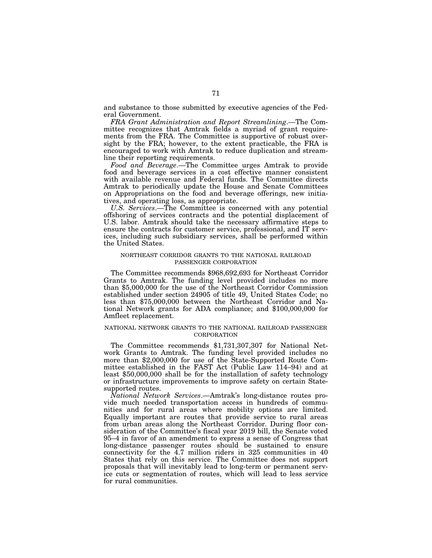and substance to those submitted by executive agencies of the Federal Government.

*FRA Grant Administration and Report Streamlining*.—The Committee recognizes that Amtrak fields a myriad of grant requirements from the FRA. The Committee is supportive of robust oversight by the FRA; however, to the extent practicable, the FRA is encouraged to work with Amtrak to reduce duplication and streamline their reporting requirements.

*Food and Beverage*.—The Committee urges Amtrak to provide food and beverage services in a cost effective manner consistent with available revenue and Federal funds. The Committee directs Amtrak to periodically update the House and Senate Committees on Appropriations on the food and beverage offerings, new initiatives, and operating loss, as appropriate.

*U.S. Services*.—The Committee is concerned with any potential offshoring of services contracts and the potential displacement of U.S. labor. Amtrak should take the necessary affirmative steps to ensure the contracts for customer service, professional, and IT services, including such subsidiary services, shall be performed within the United States.

# NORTHEAST CORRIDOR GRANTS TO THE NATIONAL RAILROAD PASSENGER CORPORATION

The Committee recommends \$968,692,693 for Northeast Corridor Grants to Amtrak. The funding level provided includes no more than \$5,000,000 for the use of the Northeast Corridor Commission established under section 24905 of title 49, United States Code; no less than \$75,000,000 between the Northeast Corridor and National Network grants for ADA compliance; and \$100,000,000 for Amfleet replacement.

# NATIONAL NETWORK GRANTS TO THE NATIONAL RAILROAD PASSENGER **CORPORATION**

The Committee recommends \$1,731,307,307 for National Network Grants to Amtrak. The funding level provided includes no more than \$2,000,000 for use of the State-Supported Route Committee established in the FAST Act (Public Law 114–94) and at least \$50,000,000 shall be for the installation of safety technology or infrastructure improvements to improve safety on certain Statesupported routes.

*National Network Services*.—Amtrak's long-distance routes provide much needed transportation access in hundreds of communities and for rural areas where mobility options are limited. Equally important are routes that provide service to rural areas from urban areas along the Northeast Corridor. During floor consideration of the Committee's fiscal year 2019 bill, the Senate voted 95–4 in favor of an amendment to express a sense of Congress that long-distance passenger routes should be sustained to ensure connectivity for the 4.7 million riders in 325 communities in 40 States that rely on this service. The Committee does not support proposals that will inevitably lead to long-term or permanent service cuts or segmentation of routes, which will lead to less service for rural communities.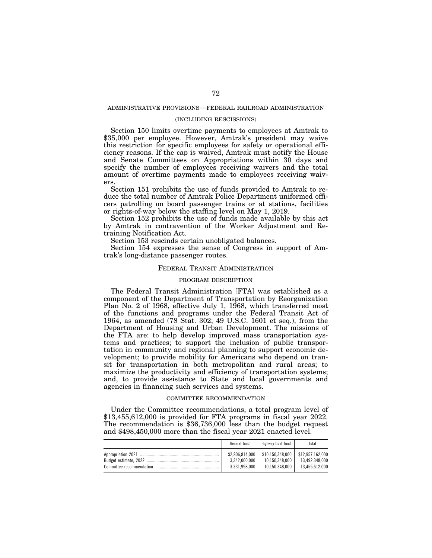# ADMINISTRATIVE PROVISIONS—FEDERAL RAILROAD ADMINISTRATION

# (INCLUDING RESCISSIONS)

Section 150 limits overtime payments to employees at Amtrak to \$35,000 per employee. However, Amtrak's president may waive this restriction for specific employees for safety or operational efficiency reasons. If the cap is waived, Amtrak must notify the House and Senate Committees on Appropriations within 30 days and specify the number of employees receiving waivers and the total amount of overtime payments made to employees receiving waivers.

Section 151 prohibits the use of funds provided to Amtrak to reduce the total number of Amtrak Police Department uniformed officers patrolling on board passenger trains or at stations, facilities or rights-of-way below the staffing level on May 1, 2019.

Section 152 prohibits the use of funds made available by this act by Amtrak in contravention of the Worker Adjustment and Retraining Notification Act.

Section 153 rescinds certain unobligated balances.

Section 154 expresses the sense of Congress in support of Amtrak's long-distance passenger routes.

# FEDERAL TRANSIT ADMINISTRATION

#### PROGRAM DESCRIPTION

The Federal Transit Administration [FTA] was established as a component of the Department of Transportation by Reorganization Plan No. 2 of 1968, effective July 1, 1968, which transferred most of the functions and programs under the Federal Transit Act of 1964, as amended (78 Stat. 302; 49 U.S.C. 1601 et seq.), from the Department of Housing and Urban Development. The missions of the FTA are: to help develop improved mass transportation systems and practices; to support the inclusion of public transportation in community and regional planning to support economic development; to provide mobility for Americans who depend on transit for transportation in both metropolitan and rural areas; to maximize the productivity and efficiency of transportation systems; and, to provide assistance to State and local governments and agencies in financing such services and systems.

# COMMITTEE RECOMMENDATION

Under the Committee recommendations, a total program level of \$13,455,612,000 is provided for FTA programs in fiscal year 2022. The recommendation is \$36,736,000 less than the budget request and \$498,450,000 more than the fiscal year 2021 enacted level.

|                          | General fund                                      | Highway trust fund                                                    | Total                            |
|--------------------------|---------------------------------------------------|-----------------------------------------------------------------------|----------------------------------|
| Committee recommendation | \$2,806.814.000<br>3.342.000.000<br>3.331.998.000 | \$10.150.348.000 \$12.957.162.000<br>10.150.348.000<br>10.150.348.000 | 13.492.348.000<br>13.455.612.000 |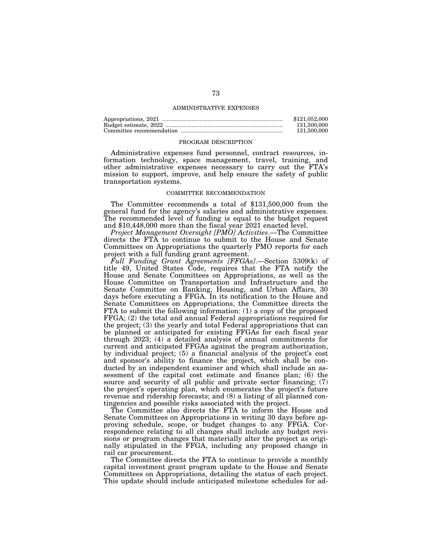### ADMINISTRATIVE EXPENSES

| \$121.052.000 |
|---------------|
| 131.500.000   |
| 131,500,000   |

#### PROGRAM DESCRIPTION

Administrative expenses fund personnel, contract resources, information technology, space management, travel, training, and other administrative expenses necessary to carry out the FTA's mission to support, improve, and help ensure the safety of public transportation systems.

# COMMITTEE RECOMMENDATION

The Committee recommends a total of \$131,500,000 from the general fund for the agency's salaries and administrative expenses. The recommended level of funding is equal to the budget request and \$10,448,000 more than the fiscal year 2021 enacted level.

*Project Management Oversight [PMO] Activities*.—The Committee directs the FTA to continue to submit to the House and Senate Committees on Appropriations the quarterly PMO reports for each project with a full funding grant agreement.

*Full Funding Grant Agreements [FFGAs]*.—Section 5309(k) of title 49, United States Code, requires that the FTA notify the House and Senate Committees on Appropriations, as well as the House Committee on Transportation and Infrastructure and the Senate Committee on Banking, Housing, and Urban Affairs, 30 days before executing a FFGA. In its notification to the House and Senate Committees on Appropriations, the Committee directs the FTA to submit the following information: (1) a copy of the proposed FFGA; (2) the total and annual Federal appropriations required for the project; (3) the yearly and total Federal appropriations that can be planned or anticipated for existing FFGAs for each fiscal year through 2023; (4) a detailed analysis of annual commitments for current and anticipated FFGAs against the program authorization, by individual project; (5) a financial analysis of the project's cost and sponsor's ability to finance the project, which shall be conducted by an independent examiner and which shall include an assessment of the capital cost estimate and finance plan; (6) the source and security of all public and private sector financing; (7) the project's operating plan, which enumerates the project's future revenue and ridership forecasts; and (8) a listing of all planned contingencies and possible risks associated with the project.

The Committee also directs the FTA to inform the House and Senate Committees on Appropriations in writing 30 days before approving schedule, scope, or budget changes to any FFGA. Correspondence relating to all changes shall include any budget revisions or program changes that materially alter the project as originally stipulated in the FFGA, including any proposed change in rail car procurement.

The Committee directs the FTA to continue to provide a monthly capital investment grant program update to the House and Senate Committees on Appropriations, detailing the status of each project. This update should include anticipated milestone schedules for ad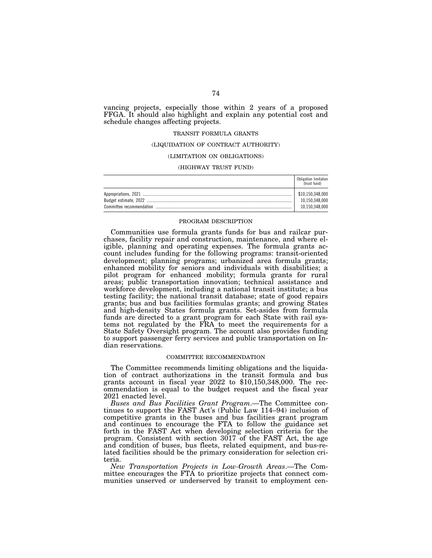vancing projects, especially those within 2 years of a proposed FFGA. It should also highlight and explain any potential cost and schedule changes affecting projects.

# TRANSIT FORMULA GRANTS

### (LIQUIDATION OF CONTRACT AUTHORITY)

# (LIMITATION ON OBLIGATIONS)

### (HIGHWAY TRUST FUND)

|                          | Obligation limitation<br>(trust fund) |
|--------------------------|---------------------------------------|
|                          | \$10.150.348.000<br>10.150.348.000    |
|                          |                                       |
| Committee recommendation | 10.150.348.000                        |

### PROGRAM DESCRIPTION

Communities use formula grants funds for bus and railcar purchases, facility repair and construction, maintenance, and where eligible, planning and operating expenses. The formula grants account includes funding for the following programs: transit-oriented development; planning programs; urbanized area formula grants; enhanced mobility for seniors and individuals with disabilities; a pilot program for enhanced mobility; formula grants for rural areas; public transportation innovation; technical assistance and workforce development, including a national transit institute; a bus testing facility; the national transit database; state of good repairs grants; bus and bus facilities formulas grants; and growing States and high-density States formula grants. Set-asides from formula funds are directed to a grant program for each State with rail systems not regulated by the FRA to meet the requirements for a State Safety Oversight program. The account also provides funding to support passenger ferry services and public transportation on Indian reservations.

### COMMITTEE RECOMMENDATION

The Committee recommends limiting obligations and the liquidation of contract authorizations in the transit formula and bus grants account in fiscal year 2022 to \$10,150,348,000. The recommendation is equal to the budget request and the fiscal year 2021 enacted level.

*Buses and Bus Facilities Grant Program*.—The Committee continues to support the FAST Act's (Public Law 114–94) inclusion of competitive grants in the buses and bus facilities grant program and continues to encourage the FTA to follow the guidance set forth in the FAST Act when developing selection criteria for the program. Consistent with section 3017 of the FAST Act, the age and condition of buses, bus fleets, related equipment, and bus-related facilities should be the primary consideration for selection criteria.

*New Transportation Projects in Low-Growth Areas*.—The Committee encourages the FTA to prioritize projects that connect communities unserved or underserved by transit to employment cen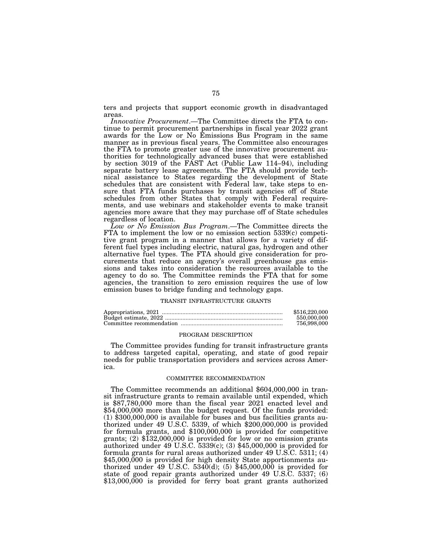ters and projects that support economic growth in disadvantaged areas.

*Innovative Procurement*.—The Committee directs the FTA to continue to permit procurement partnerships in fiscal year 2022 grant awards for the Low or No Emissions Bus Program in the same manner as in previous fiscal years. The Committee also encourages the FTA to promote greater use of the innovative procurement authorities for technologically advanced buses that were established by section 3019 of the FAST Act (Public Law 114–94), including separate battery lease agreements. The FTA should provide technical assistance to States regarding the development of State schedules that are consistent with Federal law, take steps to ensure that FTA funds purchases by transit agencies off of State schedules from other States that comply with Federal requirements, and use webinars and stakeholder events to make transit agencies more aware that they may purchase off of State schedules regardless of location.

*Low or No Emission Bus Program*.—The Committee directs the FTA to implement the low or no emission section 5339(c) competitive grant program in a manner that allows for a variety of different fuel types including electric, natural gas, hydrogen and other alternative fuel types. The FTA should give consideration for procurements that reduce an agency's overall greenhouse gas emissions and takes into consideration the resources available to the agency to do so. The Committee reminds the FTA that for some agencies, the transition to zero emission requires the use of low emission buses to bridge funding and technology gaps.

#### TRANSIT INFRASTRUCTURE GRANTS

| \$516,220,000 |
|---------------|
| 550,000,000   |
| 756.998.000   |

#### PROGRAM DESCRIPTION

The Committee provides funding for transit infrastructure grants to address targeted capital, operating, and state of good repair needs for public transportation providers and services across America.

#### COMMITTEE RECOMMENDATION

The Committee recommends an additional \$604,000,000 in transit infrastructure grants to remain available until expended, which is \$87,780,000 more than the fiscal year 2021 enacted level and \$54,000,000 more than the budget request. Of the funds provided: (1) \$300,000,000 is available for buses and bus facilities grants authorized under 49 U.S.C. 5339, of which \$200,000,000 is provided for formula grants, and \$100,000,000 is provided for competitive grants; (2) \$132,000,000 is provided for low or no emission grants authorized under 49 U.S.C. 5339(c); (3) \$45,000,000 is provided for formula grants for rural areas authorized under 49 U.S.C. 5311; (4) \$45,000,000 is provided for high density State apportionments authorized under 49 U.S.C.  $5340(d)$ ; (5) \$45,000,000 is provided for state of good repair grants authorized under 49 U.S.C. 5337; (6) \$13,000,000 is provided for ferry boat grant grants authorized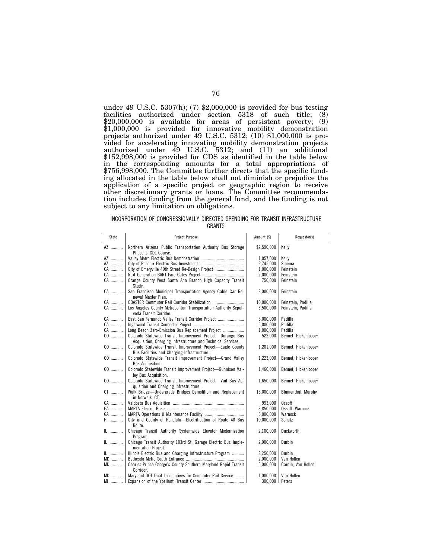under 49 U.S.C. 5307(h); (7) \$2,000,000 is provided for bus testing facilities authorized under section 5318 of such title; (8) \$20,000,000 is available for areas of persistent poverty; (9) \$1,000,000 is provided for innovative mobility demonstration projects authorized under 49 U.S.C. 5312; (10) \$1,000,000 is provided for accelerating innovating mobility demonstration projects authorized under 49 U.S.C. 5312; and (11) an additional \$152,998,000 is provided for CDS as identified in the table below in the corresponding amounts for a total appropriations of \$756,998,000. The Committee further directs that the specific funding allocated in the table below shall not diminish or prejudice the application of a specific project or geographic region to receive other discretionary grants or loans. The Committee recommendation includes funding from the general fund, and the funding is not subject to any limitation on obligations.

# INCORPORATION OF CONGRESSIONALLY DIRECTED SPENDING FOR TRANSIT INFRASTRUCTURE GRANTS

| State | Project Purpose                                                                     | Amount (\$)    | Requestor(s)         |
|-------|-------------------------------------------------------------------------------------|----------------|----------------------|
| AZ    | Northern Arizona Public Transportation Authority Bus Storage<br>Phase 1-CDL Course. | \$2,590,000    | Kelly                |
| AZ    |                                                                                     | 1,057,000      | Kelly                |
| AZ    |                                                                                     | 2,745,000      | Sinema               |
| CA    | City of Emeryville 40th Street Re-Design Project                                    | 1,000,000      | Feinstein            |
| CA    |                                                                                     | 2,000,000      | Feinstein            |
| CA    | Orange County West Santa Ana Branch High Capacity Transit                           | 750,000        | Feinstein            |
|       | Study.                                                                              |                |                      |
| CA    | San Francisco Municipal Transportation Agency Cable Car Re-<br>newal Master Plan.   | 2,000,000      | Feinstein            |
| CA    |                                                                                     | 10,000,000     | Feinstein, Padilla   |
| CA    | Los Angeles County Metropolitan Transportation Authority Sepul-                     | 3,500,000      | Feinstein, Padilla   |
|       | veda Transit Corridor.                                                              |                |                      |
| CA    | East San Fernando Valley Transit Corridor Project                                   | 5,000,000      | Padilla              |
| CA    |                                                                                     | 5,000,000      | Padilla              |
| CA    | Long Beach Zero-Emission Bus Replacement Project                                    | 1,000,000      | Padilla              |
| CO    | Colorado Statewide Transit Improvement Project-Durango Bus                          | 522,000        | Bennet, Hickenlooper |
|       | Acquisition, Charging Infrastructure and Technical Services.                        |                |                      |
| CO    | Colorado Statewide Transit Improvement Project-Eagle County                         | 1,201,000      | Bennet, Hickenlooper |
|       | Bus Facilities and Charging Infrastructure.                                         |                |                      |
| $CO$  | Colorado Statewide Transit Improvement Project-Grand Valley                         | 1,223,000      | Bennet, Hickenlooper |
|       | Bus Acquisition.                                                                    |                |                      |
| CO    | Colorado Statewide Transit Improvement Project-Gunnison Val-                        | 1,460,000      | Bennet, Hickenlooper |
|       | ley Bus Acquisition.                                                                |                |                      |
| $CO$  | Colorado Statewide Transit Improvement Project-Vail Bus Ac-                         | 1,650,000      | Bennet, Hickenlooper |
|       | quisition and Charging Infrastructure.                                              |                |                      |
| CT    | Walk Bridge-Undergrade Bridges Demolition and Replacement                           | 15.000.000     | Blumenthal, Murphy   |
|       | in Norwalk, CT.                                                                     |                |                      |
| GA    |                                                                                     | 993.000        | <b>Ossoff</b>        |
| GA    |                                                                                     | 3,850,000      | Ossoff, Warnock      |
| GA    |                                                                                     | 5,000,000      | Warnock              |
| HI    | City and County of Honolulu-Electrification of Route 40 Bus                         | 10,000,000     | Schatz               |
|       | Route.                                                                              |                |                      |
| IL    | Chicago Transit Authority Systemwide Elevator Modernization                         | 2,100,000      | Duckworth            |
|       | Program.                                                                            |                |                      |
| IL    | Chicago Transit Authority 103rd St. Garage Electric Bus Imple-                      | 2,000,000      | Durbin               |
|       | mentation Project.                                                                  |                |                      |
| IL    | Illinois Electric Bus and Charging Infrastructure Program                           | 8,250,000      | Durbin               |
| MD    |                                                                                     | 2.000.000      | Van Hollen           |
| MD    | Charles-Prince George's County Southern Maryland Rapid Transit                      | 5,000,000      | Cardin, Van Hollen   |
|       | Corridor.                                                                           |                |                      |
| $MD$  | Maryland DOT Dual Locomotives for Commuter Rail Service                             | 1,000,000      | Van Hollen           |
|       |                                                                                     | 300,000 Peters |                      |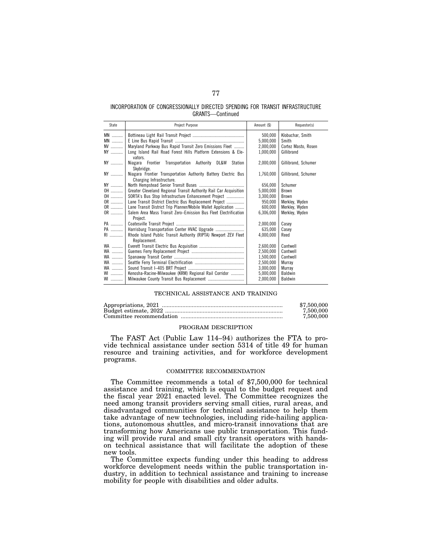# INCORPORATION OF CONGRESSIONALLY DIRECTED SPENDING FOR TRANSIT INFRASTRUCTURE GRANTS—Continued

| State                 | Project Purpose                                                                            | Amount (\$)                       | Requestor(s)                                     |
|-----------------------|--------------------------------------------------------------------------------------------|-----------------------------------|--------------------------------------------------|
| MN<br><b>MN</b><br>NV | Maryland Parkway Bus Rapid Transit Zero Emissions Fleet                                    | 500,000<br>5,000,000<br>2,000,000 | Klobuchar, Smith<br>Smith<br>Cortez Masto, Rosen |
| NY                    | Long Island Rail Road Forest Hills Platform Extensions & Ele-<br>vators.                   | 1,000,000                         | Gillibrand                                       |
| NY                    | Niagara Frontier Transportation Authority DL&W Station<br>Skybridge.                       | 2,000,000                         | Gillibrand, Schumer                              |
| NY                    | Niagara Frontier Transportation Authority Battery Electric Bus<br>Charging Infrastructure. | 1,760,000                         | Gillibrand, Schumer                              |
| NY                    |                                                                                            | 656,000                           | Schumer                                          |
| OH                    | Greater Cleveland Regional Transit Authority Rail Car Acquisition                          | 5,000,000                         | <b>Brown</b>                                     |
| OH                    | SORTA's Bus Stop Infrastructure Enhancement Project                                        | 3,300,000                         | <b>Brown</b>                                     |
| OR                    | Lane Transit District Electric Bus Replacement Project                                     | 950,000                           | Merkley, Wyden                                   |
| OR                    | Lane Transit District Trip Planner/Mobile Wallet Application                               | 600.000                           | Merkley, Wyden                                   |
| OR                    | Salem Area Mass Transit Zero-Emission Bus Fleet Electrification<br>Project.                | 6,306,000                         | Merkley, Wyden                                   |
| <b>PA</b>             |                                                                                            | 2,000,000                         | Casev                                            |
| PA                    | Harrisburg Transportation Center HVAC Upgrade                                              | 635.000                           | Casev                                            |
| RI                    | Rhode Island Public Transit Authority (RIPTA) Newport ZEV Fleet<br>Replacement.            | 4.000.000                         | Reed                                             |
| <b>WA</b>             |                                                                                            | 2,600,000                         | Cantwell                                         |
| <b>WA</b>             |                                                                                            | 2.500.000                         | Cantwell                                         |
| WA                    |                                                                                            | 1,500,000                         | Cantwell                                         |
| WA                    |                                                                                            | 2,500,000                         | Murrav                                           |
| WA                    |                                                                                            | 3,000,000                         | Murray                                           |
| <b>WI</b>             | Kenosha-Racine-Milwaukee (KRM) Regional Rail Corridor                                      | 5,000,000                         | <b>Baldwin</b>                                   |
| <b>WI</b>             |                                                                                            | 2,000,000                         | Baldwin                                          |

### TECHNICAL ASSISTANCE AND TRAINING

| \$7,500,000 |
|-------------|
| 7.500.000   |
| 7.500.000   |

### PROGRAM DESCRIPTION

The FAST Act (Public Law 114–94) authorizes the FTA to provide technical assistance under section 5314 of title 49 for human resource and training activities, and for workforce development programs.

# COMMITTEE RECOMMENDATION

The Committee recommends a total of \$7,500,000 for technical assistance and training, which is equal to the budget request and the fiscal year 2021 enacted level. The Committee recognizes the need among transit providers serving small cities, rural areas, and disadvantaged communities for technical assistance to help them take advantage of new technologies, including ride-hailing applications, autonomous shuttles, and micro-transit innovations that are transforming how Americans use public transportation. This funding will provide rural and small city transit operators with handson technical assistance that will facilitate the adoption of these new tools.

The Committee expects funding under this heading to address workforce development needs within the public transportation industry, in addition to technical assistance and training to increase mobility for people with disabilities and older adults.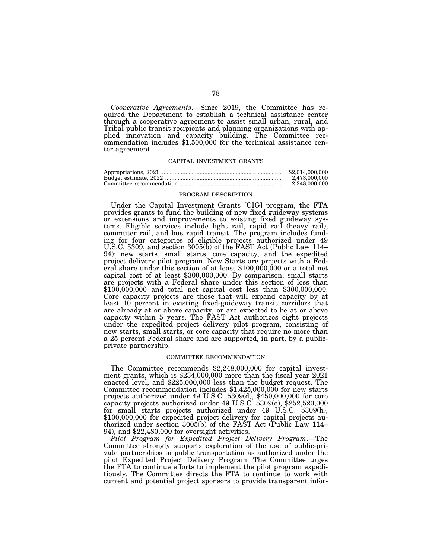*Cooperative Agreements*.—Since 2019, the Committee has required the Department to establish a technical assistance center through a cooperative agreement to assist small urban, rural, and Tribal public transit recipients and planning organizations with applied innovation and capacity building. The Committee recommendation includes \$1,500,000 for the technical assistance center agreement.

# CAPITAL INVESTMENT GRANTS

| \$2,014,000,000 |
|-----------------|
| 2.473.000.000   |
| 2.248.000.000   |

### PROGRAM DESCRIPTION

Under the Capital Investment Grants [CIG] program, the FTA provides grants to fund the building of new fixed guideway systems or extensions and improvements to existing fixed guideway systems. Eligible services include light rail, rapid rail (heavy rail), commuter rail, and bus rapid transit. The program includes funding for four categories of eligible projects authorized under 49 U.S.C. 5309, and section 3005(b) of the FAST Act (Public Law 114– 94): new starts, small starts, core capacity, and the expedited project delivery pilot program. New Starts are projects with a Federal share under this section of at least \$100,000,000 or a total net capital cost of at least \$300,000,000. By comparison, small starts are projects with a Federal share under this section of less than \$100,000,000 and total net capital cost less than \$300,000,000. Core capacity projects are those that will expand capacity by at least 10 percent in existing fixed-guideway transit corridors that are already at or above capacity, or are expected to be at or above capacity within 5 years. The FAST Act authorizes eight projects under the expedited project delivery pilot program, consisting of new starts, small starts, or core capacity that require no more than a 25 percent Federal share and are supported, in part, by a publicprivate partnership.

# COMMITTEE RECOMMENDATION

The Committee recommends \$2,248,000,000 for capital invest- ment grants, which is \$234,000,000 more than the fiscal year 2021 enacted level, and \$225,000,000 less than the budget request. The Committee recommendation includes \$1,425,000,000 for new starts projects authorized under 49 U.S.C. 5309(d), \$450,000,000 for core capacity projects authorized under 49 U.S.C. 5309(e), \$252,520,000 for small starts projects authorized under 49 U.S.C. 5309(h), \$100,000,000 for expedited project delivery for capital projects authorized under section 3005(b) of the FAST Act (Public Law 114– 94), and \$22,480,000 for oversight activities.

*Pilot Program for Expedited Project Delivery Program*.—The Committee strongly supports exploration of the use of public-private partnerships in public transportation as authorized under the pilot Expedited Project Delivery Program. The Committee urges the FTA to continue efforts to implement the pilot program expeditiously. The Committee directs the FTA to continue to work with current and potential project sponsors to provide transparent infor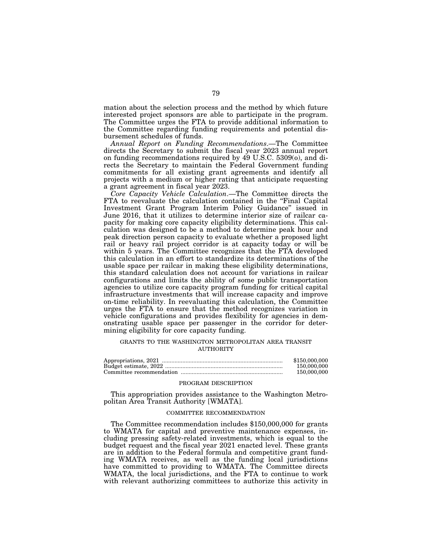mation about the selection process and the method by which future interested project sponsors are able to participate in the program. The Committee urges the FTA to provide additional information to the Committee regarding funding requirements and potential disbursement schedules of funds.

*Annual Report on Funding Recommendations*.—The Committee directs the Secretary to submit the fiscal year 2023 annual report on funding recommendations required by 49 U.S.C. 5309(o), and directs the Secretary to maintain the Federal Government funding commitments for all existing grant agreements and identify all projects with a medium or higher rating that anticipate requesting a grant agreement in fiscal year 2023.

*Core Capacity Vehicle Calculation*.—The Committee directs the FTA to reevaluate the calculation contained in the "Final Capital Investment Grant Program Interim Policy Guidance'' issued in June 2016, that it utilizes to determine interior size of railcar capacity for making core capacity eligibility determinations. This calculation was designed to be a method to determine peak hour and peak direction person capacity to evaluate whether a proposed light rail or heavy rail project corridor is at capacity today or will be within 5 years. The Committee recognizes that the FTA developed this calculation in an effort to standardize its determinations of the usable space per railcar in making these eligibility determinations, this standard calculation does not account for variations in railcar configurations and limits the ability of some public transportation agencies to utilize core capacity program funding for critical capital infrastructure investments that will increase capacity and improve on-time reliability. In reevaluating this calculation, the Committee urges the FTA to ensure that the method recognizes variation in vehicle configurations and provides flexibility for agencies in demonstrating usable space per passenger in the corridor for determining eligibility for core capacity funding.

# GRANTS TO THE WASHINGTON METROPOLITAN AREA TRANSIT AUTHORITY

| \$150,000,000 |
|---------------|
| 150,000,000   |
| 150,000,000   |

# PROGRAM DESCRIPTION

This appropriation provides assistance to the Washington Metropolitan Area Transit Authority [WMATA].

## COMMITTEE RECOMMENDATION

The Committee recommendation includes \$150,000,000 for grants to WMATA for capital and preventive maintenance expenses, including pressing safety-related investments, which is equal to the budget request and the fiscal year 2021 enacted level. These grants are in addition to the Federal formula and competitive grant funding WMATA receives, as well as the funding local jurisdictions have committed to providing to WMATA. The Committee directs WMATA, the local jurisdictions, and the FTA to continue to work with relevant authorizing committees to authorize this activity in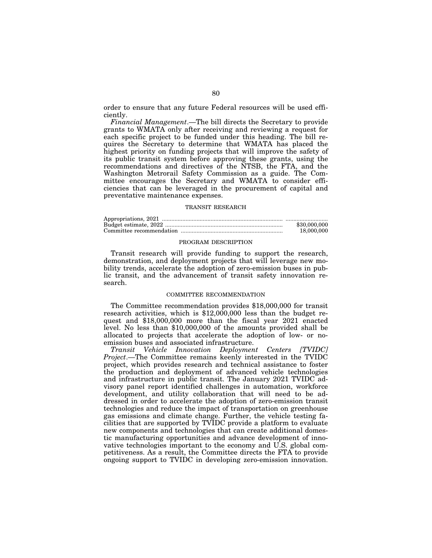order to ensure that any future Federal resources will be used efficiently.

*Financial Management*.—The bill directs the Secretary to provide grants to WMATA only after receiving and reviewing a request for each specific project to be funded under this heading. The bill requires the Secretary to determine that WMATA has placed the highest priority on funding projects that will improve the safety of its public transit system before approving these grants, using the recommendations and directives of the NTSB, the FTA, and the Washington Metrorail Safety Commission as a guide. The Committee encourages the Secretary and WMATA to consider efficiencies that can be leveraged in the procurement of capital and preventative maintenance expenses.

# TRANSIT RESEARCH

| \$30,000,000 |
|--------------|
| 18,000,000   |

### PROGRAM DESCRIPTION

Transit research will provide funding to support the research, demonstration, and deployment projects that will leverage new mobility trends, accelerate the adoption of zero-emission buses in public transit, and the advancement of transit safety innovation research.

# COMMITTEE RECOMMENDATION

The Committee recommendation provides \$18,000,000 for transit research activities, which is \$12,000,000 less than the budget request and \$18,000,000 more than the fiscal year 2021 enacted level. No less than \$10,000,000 of the amounts provided shall be allocated to projects that accelerate the adoption of low- or noemission buses and associated infrastructure.

*Transit Vehicle Innovation Deployment Centers [TVIDC] Project*.—The Committee remains keenly interested in the TVIDC project, which provides research and technical assistance to foster the production and deployment of advanced vehicle technologies and infrastructure in public transit. The January 2021 TVIDC advisory panel report identified challenges in automation, workforce development, and utility collaboration that will need to be addressed in order to accelerate the adoption of zero-emission transit technologies and reduce the impact of transportation on greenhouse gas emissions and climate change. Further, the vehicle testing facilities that are supported by TVIDC provide a platform to evaluate new components and technologies that can create additional domestic manufacturing opportunities and advance development of innovative technologies important to the economy and U.S. global competitiveness. As a result, the Committee directs the FTA to provide ongoing support to TVIDC in developing zero-emission innovation.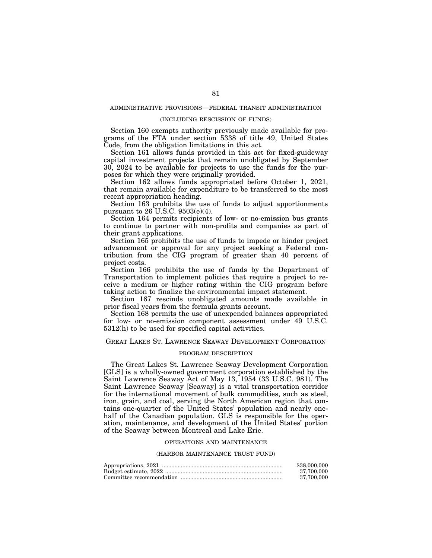# ADMINISTRATIVE PROVISIONS—FEDERAL TRANSIT ADMINISTRATION

# (INCLUDING RESCISSION OF FUNDS)

Section 160 exempts authority previously made available for programs of the FTA under section 5338 of title 49, United States Code, from the obligation limitations in this act.

Section 161 allows funds provided in this act for fixed-guideway capital investment projects that remain unobligated by September 30, 2024 to be available for projects to use the funds for the purposes for which they were originally provided.

Section 162 allows funds appropriated before October 1, 2021, that remain available for expenditure to be transferred to the most recent appropriation heading.

Section 163 prohibits the use of funds to adjust apportionments pursuant to 26 U.S.C. 9503(e)(4).

Section 164 permits recipients of low- or no-emission bus grants to continue to partner with non-profits and companies as part of their grant applications.

Section 165 prohibits the use of funds to impede or hinder project advancement or approval for any project seeking a Federal contribution from the CIG program of greater than 40 percent of project costs.

Section 166 prohibits the use of funds by the Department of Transportation to implement policies that require a project to receive a medium or higher rating within the CIG program before taking action to finalize the environmental impact statement.

Section 167 rescinds unobligated amounts made available in prior fiscal years from the formula grants account.

Section 168 permits the use of unexpended balances appropriated for low- or no-emission component assessment under 49 U.S.C. 5312(h) to be used for specified capital activities.

# GREAT LAKES ST. LAWRENCE SEAWAY DEVELOPMENT CORPORATION

# PROGRAM DESCRIPTION

The Great Lakes St. Lawrence Seaway Development Corporation [GLS] is a wholly-owned government corporation established by the Saint Lawrence Seaway Act of May 13, 1954 (33 U.S.C. 981). The Saint Lawrence Seaway [Seaway] is a vital transportation corridor for the international movement of bulk commodities, such as steel, iron, grain, and coal, serving the North American region that contains one-quarter of the United States' population and nearly onehalf of the Canadian population. GLS is responsible for the operation, maintenance, and development of the United States' portion of the Seaway between Montreal and Lake Erie.

### OPERATIONS AND MAINTENANCE

### (HARBOR MAINTENANCE TRUST FUND)

| \$38,000,000 |
|--------------|
| 37.700.000   |
| 37.700.000   |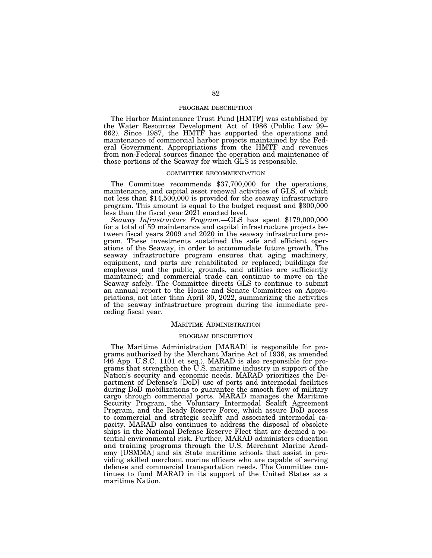## PROGRAM DESCRIPTION

The Harbor Maintenance Trust Fund [HMTF] was established by the Water Resources Development Act of 1986 (Public Law 99– 662). Since 1987, the HMTF has supported the operations and maintenance of commercial harbor projects maintained by the Federal Government. Appropriations from the HMTF and revenues from non-Federal sources finance the operation and maintenance of those portions of the Seaway for which GLS is responsible.

# COMMITTEE RECOMMENDATION

The Committee recommends \$37,700,000 for the operations, maintenance, and capital asset renewal activities of GLS, of which not less than \$14,500,000 is provided for the seaway infrastructure program. This amount is equal to the budget request and \$300,000 less than the fiscal year 2021 enacted level.

*Seaway Infrastructure Program*.—GLS has spent \$179,000,000 for a total of 59 maintenance and capital infrastructure projects between fiscal years 2009 and 2020 in the seaway infrastructure program. These investments sustained the safe and efficient operations of the Seaway, in order to accommodate future growth. The seaway infrastructure program ensures that aging machinery, equipment, and parts are rehabilitated or replaced; buildings for employees and the public, grounds, and utilities are sufficiently maintained; and commercial trade can continue to move on the Seaway safely. The Committee directs GLS to continue to submit an annual report to the House and Senate Committees on Appropriations, not later than April 30, 2022, summarizing the activities of the seaway infrastructure program during the immediate preceding fiscal year.

# MARITIME ADMINISTRATION

### PROGRAM DESCRIPTION

The Maritime Administration [MARAD] is responsible for programs authorized by the Merchant Marine Act of 1936, as amended (46 App. U.S.C. 1101 et seq.). MARAD is also responsible for programs that strengthen the U.S. maritime industry in support of the Nation's security and economic needs. MARAD prioritizes the Department of Defense's [DoD] use of ports and intermodal facilities during DoD mobilizations to guarantee the smooth flow of military cargo through commercial ports. MARAD manages the Maritime Security Program, the Voluntary Intermodal Sealift Agreement Program, and the Ready Reserve Force, which assure DoD access to commercial and strategic sealift and associated intermodal capacity. MARAD also continues to address the disposal of obsolete ships in the National Defense Reserve Fleet that are deemed a potential environmental risk. Further, MARAD administers education and training programs through the U.S. Merchant Marine Academy [USMMA] and six State maritime schools that assist in providing skilled merchant marine officers who are capable of serving defense and commercial transportation needs. The Committee continues to fund MARAD in its support of the United States as a maritime Nation.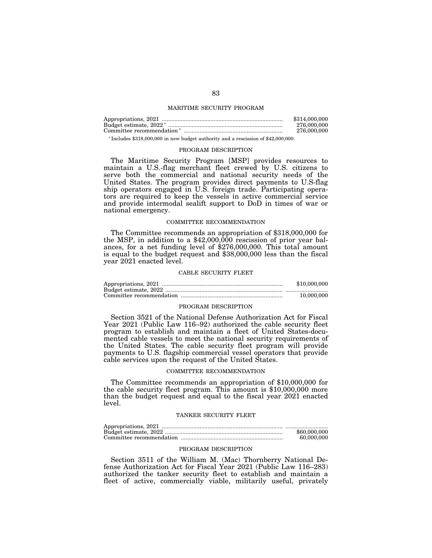# MARITIME SECURITY PROGRAM

| \$314,000,000 |
|---------------|
| 276,000,000   |
| 276,000,000   |
|               |

\* Includes \$318,000,000 in new budget authority and a rescission of \$42,000,000.

### PROGRAM DESCRIPTION

The Maritime Security Program [MSP] provides resources to maintain a U.S.-flag merchant fleet crewed by U.S. citizens to serve both the commercial and national security needs of the United States. The program provides direct payments to U.S-flag ship operators engaged in U.S. foreign trade. Participating operators are required to keep the vessels in active commercial service and provide intermodal sealift support to DoD in times of war or national emergency.

# COMMITTEE RECOMMENDATION

The Committee recommends an appropriation of \$318,000,000 for the MSP, in addition to a  $$42,000,000$  rescission of prior year balances, for a net funding level of \$276,000,000. This total amount is equal to the budget request and \$38,000,000 less than the fiscal year 2021 enacted level.

#### CABLE SECURITY FLEET

| \$10,000,000 |
|--------------|
|              |
| 10.000.000   |

### PROGRAM DESCRIPTION

Section 3521 of the National Defense Authorization Act for Fiscal Year 2021 (Public Law 116–92) authorized the cable security fleet program to establish and maintain a fleet of United States-documented cable vessels to meet the national security requirements of the United States. The cable security fleet program will provide payments to U.S. flagship commercial vessel operators that provide cable services upon the request of the United States.

#### COMMITTEE RECOMMENDATION

The Committee recommends an appropriation of \$10,000,000 for the cable security fleet program. This amount is \$10,000,000 more than the budget request and equal to the fiscal year 2021 enacted level.

# TANKER SECURITY FLEET

| \$60,000,000 |
|--------------|
| 60,000,000   |

### PROGRAM DESCRIPTION

Section 3511 of the William M. (Mac) Thornberry National Defense Authorization Act for Fiscal Year 2021 (Public Law 116–283) authorized the tanker security fleet to establish and maintain a fleet of active, commercially viable, militarily useful, privately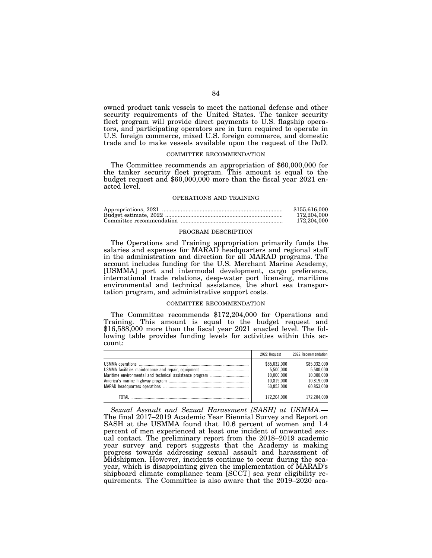owned product tank vessels to meet the national defense and other security requirements of the United States. The tanker security fleet program will provide direct payments to U.S. flagship operators, and participating operators are in turn required to operate in U.S. foreign commerce, mixed U.S. foreign commerce, and domestic trade and to make vessels available upon the request of the DoD.

### COMMITTEE RECOMMENDATION

The Committee recommends an appropriation of \$60,000,000 for the tanker security fleet program. This amount is equal to the budget request and \$60,000,000 more than the fiscal year 2021 enacted level.

### OPERATIONS AND TRAINING

| \$155,616,000 |
|---------------|
| 172,204,000   |
| 172.204.000   |

### PROGRAM DESCRIPTION

The Operations and Training appropriation primarily funds the salaries and expenses for MARAD headquarters and regional staff in the administration and direction for all MARAD programs. The account includes funding for the U.S. Merchant Marine Academy, [USMMA] port and intermodal development, cargo preference, international trade relations, deep-water port licensing, maritime environmental and technical assistance, the short sea transportation program, and administrative support costs.

### COMMITTEE RECOMMENDATION

The Committee recommends \$172,204,000 for Operations and Training. This amount is equal to the budget request and \$16,588,000 more than the fiscal year 2021 enacted level. The following table provides funding levels for activities within this account:

|       | 2022 Request                                                        | 2022 Recommendation                                                 |
|-------|---------------------------------------------------------------------|---------------------------------------------------------------------|
|       | \$85,032,000<br>5.500.000<br>10,000,000<br>10.819.000<br>60.853.000 | \$85.032.000<br>5.500.000<br>10.000.000<br>10.819.000<br>60.853.000 |
| ΤΩΤΑΙ | 172,204,000                                                         | 172.204.000                                                         |

*Sexual Assault and Sexual Harassment [SASH] at USMMA*.— The final 2017–2019 Academic Year Biennial Survey and Report on SASH at the USMMA found that 10.6 percent of women and 1.4 percent of men experienced at least one incident of unwanted sexual contact. The preliminary report from the 2018–2019 academic year survey and report suggests that the Academy is making progress towards addressing sexual assault and harassment of Midshipmen. However, incidents continue to occur during the seayear, which is disappointing given the implementation of MARAD's shipboard climate compliance team [SCCT] sea year eligibility requirements. The Committee is also aware that the 2019–2020 aca-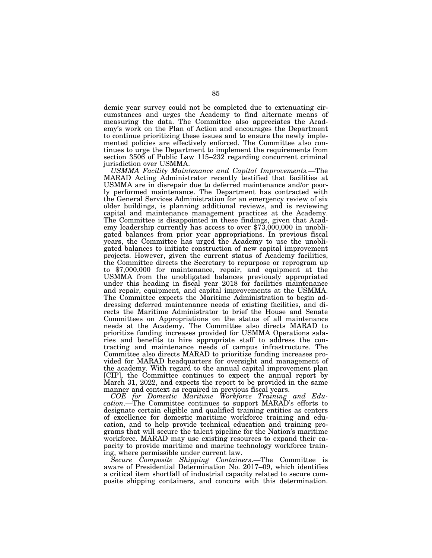demic year survey could not be completed due to extenuating circumstances and urges the Academy to find alternate means of measuring the data. The Committee also appreciates the Academy's work on the Plan of Action and encourages the Department to continue prioritizing these issues and to ensure the newly implemented policies are effectively enforced. The Committee also continues to urge the Department to implement the requirements from section 3506 of Public Law 115–232 regarding concurrent criminal jurisdiction over USMMA.

*USMMA Facility Maintenance and Capital Improvements.*—The MARAD Acting Administrator recently testified that facilities at USMMA are in disrepair due to deferred maintenance and/or poorly performed maintenance. The Department has contracted with the General Services Administration for an emergency review of six older buildings, is planning additional reviews, and is reviewing capital and maintenance management practices at the Academy. The Committee is disappointed in these findings, given that Academy leadership currently has access to over \$73,000,000 in unobligated balances from prior year appropriations. In previous fiscal years, the Committee has urged the Academy to use the unobligated balances to initiate construction of new capital improvement projects. However, given the current status of Academy facilities, the Committee directs the Secretary to repurpose or reprogram up to \$7,000,000 for maintenance, repair, and equipment at the USMMA from the unobligated balances previously appropriated under this heading in fiscal year 2018 for facilities maintenance and repair, equipment, and capital improvements at the USMMA. The Committee expects the Maritime Administration to begin addressing deferred maintenance needs of existing facilities, and directs the Maritime Administrator to brief the House and Senate Committees on Appropriations on the status of all maintenance needs at the Academy. The Committee also directs MARAD to prioritize funding increases provided for USMMA Operations salaries and benefits to hire appropriate staff to address the contracting and maintenance needs of campus infrastructure. The Committee also directs MARAD to prioritize funding increases provided for MARAD headquarters for oversight and management of the academy. With regard to the annual capital improvement plan [CIP], the Committee continues to expect the annual report by March 31, 2022, and expects the report to be provided in the same manner and context as required in previous fiscal years.

*COE for Domestic Maritime Workforce Training and Education*.—The Committee continues to support MARAD's efforts to designate certain eligible and qualified training entities as centers of excellence for domestic maritime workforce training and education, and to help provide technical education and training programs that will secure the talent pipeline for the Nation's maritime workforce. MARAD may use existing resources to expand their capacity to provide maritime and marine technology workforce training, where permissible under current law.

*Secure Composite Shipping Containers*.—The Committee is aware of Presidential Determination No. 2017–09, which identifies a critical item shortfall of industrial capacity related to secure composite shipping containers, and concurs with this determination.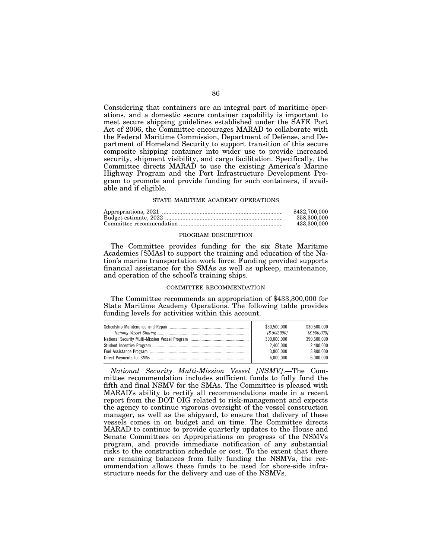Considering that containers are an integral part of maritime operations, and a domestic secure container capability is important to meet secure shipping guidelines established under the SAFE Port Act of 2006, the Committee encourages MARAD to collaborate with the Federal Maritime Commission, Department of Defense, and Department of Homeland Security to support transition of this secure composite shipping container into wider use to provide increased security, shipment visibility, and cargo facilitation. Specifically, the Committee directs MARAD to use the existing America's Marine Highway Program and the Port Infrastructure Development Program to promote and provide funding for such containers, if available and if eligible.

### STATE MARITIME ACADEMY OPERATIONS

| \$432,700,000 |
|---------------|
| 358.300.000   |
| 433,300,000   |

### PROGRAM DESCRIPTION

The Committee provides funding for the six State Maritime Academies [SMAs] to support the training and education of the Nation's marine transportation work force. Funding provided supports financial assistance for the SMAs as well as upkeep, maintenance, and operation of the school's training ships.

# COMMITTEE RECOMMENDATION

The Committee recommends an appropriation of \$433,300,000 for State Maritime Academy Operations. The following table provides funding levels for activities within this account.

| \$30.500.000 | \$30,500,000 |
|--------------|--------------|
| [8,500,000]  | [8.500.000]  |
| 390,000,000  | 390.600.000  |
| 2.400.000    | 2.400.000    |
| 3.800.000    | 3.800.000    |
| 6.000.000    | 6.000.000    |

*National Security Multi-Mission Vessel [NSMV]*.—The Committee recommendation includes sufficient funds to fully fund the fifth and final NSMV for the SMAs. The Committee is pleased with MARAD's ability to rectify all recommendations made in a recent report from the DOT OIG related to risk-management and expects the agency to continue vigorous oversight of the vessel construction manager, as well as the shipyard, to ensure that delivery of these vessels comes in on budget and on time. The Committee directs MARAD to continue to provide quarterly updates to the House and Senate Committees on Appropriations on progress of the NSMVs program, and provide immediate notification of any substantial risks to the construction schedule or cost. To the extent that there are remaining balances from fully funding the NSMVs, the recommendation allows these funds to be used for shore-side infrastructure needs for the delivery and use of the NSMVs.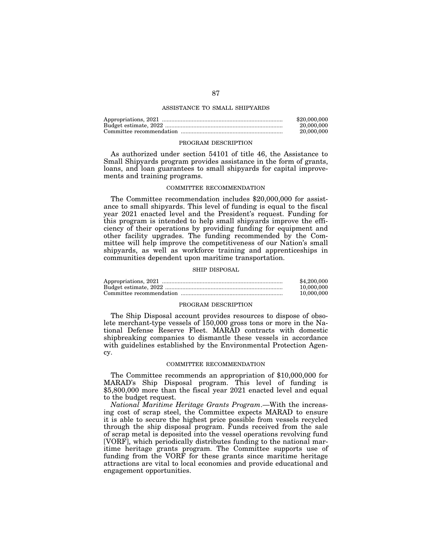# ASSISTANCE TO SMALL SHIPYARDS

| \$20,000,000 |
|--------------|
| 20.000.000   |
| 20,000,000   |

#### PROGRAM DESCRIPTION

As authorized under section 54101 of title 46, the Assistance to Small Shipyards program provides assistance in the form of grants, loans, and loan guarantees to small shipyards for capital improvements and training programs.

### COMMITTEE RECOMMENDATION

The Committee recommendation includes \$20,000,000 for assistance to small shipyards. This level of funding is equal to the fiscal year 2021 enacted level and the President's request. Funding for this program is intended to help small shipyards improve the efficiency of their operations by providing funding for equipment and other facility upgrades. The funding recommended by the Committee will help improve the competitiveness of our Nation's small shipyards, as well as workforce training and apprenticeships in communities dependent upon maritime transportation.

### SHIP DISPOSAL

| \$4,200,000 |
|-------------|
| 10,000,000  |
| 10.000.000  |

### PROGRAM DESCRIPTION

The Ship Disposal account provides resources to dispose of obsolete merchant-type vessels of 150,000 gross tons or more in the National Defense Reserve Fleet. MARAD contracts with domestic shipbreaking companies to dismantle these vessels in accordance with guidelines established by the Environmental Protection Agency.

#### COMMITTEE RECOMMENDATION

The Committee recommends an appropriation of \$10,000,000 for MARAD's Ship Disposal program. This level of funding is \$5,800,000 more than the fiscal year 2021 enacted level and equal to the budget request.

*National Maritime Heritage Grants Program*.—With the increasing cost of scrap steel, the Committee expects MARAD to ensure it is able to secure the highest price possible from vessels recycled through the ship disposal program. Funds received from the sale of scrap metal is deposited into the vessel operations revolving fund [VORF], which periodically distributes funding to the national maritime heritage grants program. The Committee supports use of funding from the VORF for these grants since maritime heritage attractions are vital to local economies and provide educational and engagement opportunities.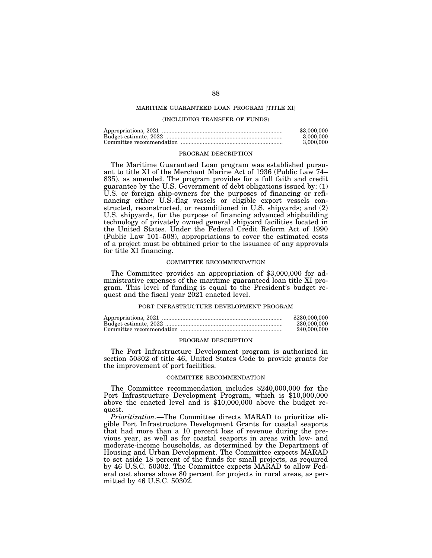# MARITIME GUARANTEED LOAN PROGRAM [TITLE XI]

# (INCLUDING TRANSFER OF FUNDS)

| \$3,000,000 |
|-------------|
| 3.000.000   |
| 3.000.000   |

#### PROGRAM DESCRIPTION

The Maritime Guaranteed Loan program was established pursuant to title XI of the Merchant Marine Act of 1936 (Public Law 74– 835), as amended. The program provides for a full faith and credit guarantee by the U.S. Government of debt obligations issued by: (1) U.S. or foreign ship-owners for the purposes of financing or refinancing either U.S.-flag vessels or eligible export vessels constructed, reconstructed, or reconditioned in U.S. shipyards; and (2) U.S. shipyards, for the purpose of financing advanced shipbuilding technology of privately owned general shipyard facilities located in the United States. Under the Federal Credit Reform Act of 1990 (Public Law 101–508), appropriations to cover the estimated costs of a project must be obtained prior to the issuance of any approvals for title XI financing.

### COMMITTEE RECOMMENDATION

The Committee provides an appropriation of \$3,000,000 for administrative expenses of the maritime guaranteed loan title XI program. This level of funding is equal to the President's budget request and the fiscal year 2021 enacted level.

#### PORT INFRASTRUCTURE DEVELOPMENT PROGRAM

| \$230,000,000 |
|---------------|
| 230,000,000   |
| 240,000,000   |

### PROGRAM DESCRIPTION

The Port Infrastructure Development program is authorized in section 50302 of title 46, United States Code to provide grants for the improvement of port facilities.

#### COMMITTEE RECOMMENDATION

The Committee recommendation includes \$240,000,000 for the Port Infrastructure Development Program, which is \$10,000,000 above the enacted level and is \$10,000,000 above the budget request.

*Prioritization*.—The Committee directs MARAD to prioritize eligible Port Infrastructure Development Grants for coastal seaports that had more than a 10 percent loss of revenue during the previous year, as well as for coastal seaports in areas with low- and moderate-income households, as determined by the Department of Housing and Urban Development. The Committee expects MARAD to set aside 18 percent of the funds for small projects, as required by 46 U.S.C. 50302. The Committee expects MARAD to allow Federal cost shares above 80 percent for projects in rural areas, as permitted by 46 U.S.C. 50302.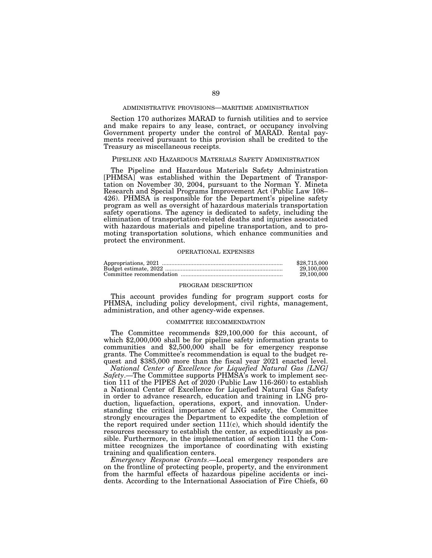## ADMINISTRATIVE PROVISIONS—MARITIME ADMINISTRATION

Section 170 authorizes MARAD to furnish utilities and to service and make repairs to any lease, contract, or occupancy involving Government property under the control of MARAD. Rental payments received pursuant to this provision shall be credited to the Treasury as miscellaneous receipts.

# PIPELINE AND HAZARDOUS MATERIALS SAFETY ADMINISTRATION

The Pipeline and Hazardous Materials Safety Administration [PHMSA] was established within the Department of Transportation on November 30, 2004, pursuant to the Norman Y. Mineta Research and Special Programs Improvement Act (Public Law 108– 426). PHMSA is responsible for the Department's pipeline safety program as well as oversight of hazardous materials transportation safety operations. The agency is dedicated to safety, including the elimination of transportation-related deaths and injuries associated with hazardous materials and pipeline transportation, and to promoting transportation solutions, which enhance communities and protect the environment.

### OPERATIONAL EXPENSES

| \$28,715,000 |
|--------------|
| 29,100,000   |
| 29,100,000   |

### PROGRAM DESCRIPTION

This account provides funding for program support costs for PHMSA, including policy development, civil rights, management, administration, and other agency-wide expenses.

# COMMITTEE RECOMMENDATION

The Committee recommends \$29,100,000 for this account, of which \$2,000,000 shall be for pipeline safety information grants to communities and \$2,500,000 shall be for emergency response grants. The Committee's recommendation is equal to the budget request and \$385,000 more than the fiscal year 2021 enacted level.

*National Center of Excellence for Liquefied Natural Gas [LNG] Safety*.—The Committee supports PHMSA's work to implement section 111 of the PIPES Act of 2020 (Public Law 116-260) to establish a National Center of Excellence for Liquefied Natural Gas Safety in order to advance research, education and training in LNG production, liquefaction, operations, export, and innovation. Understanding the critical importance of LNG safety, the Committee strongly encourages the Department to expedite the completion of the report required under section 111(c), which should identify the resources necessary to establish the center, as expeditiously as possible. Furthermore, in the implementation of section 111 the Committee recognizes the importance of coordinating with existing training and qualification centers.

*Emergency Response Grants*.—Local emergency responders are on the frontline of protecting people, property, and the environment from the harmful effects of hazardous pipeline accidents or incidents. According to the International Association of Fire Chiefs, 60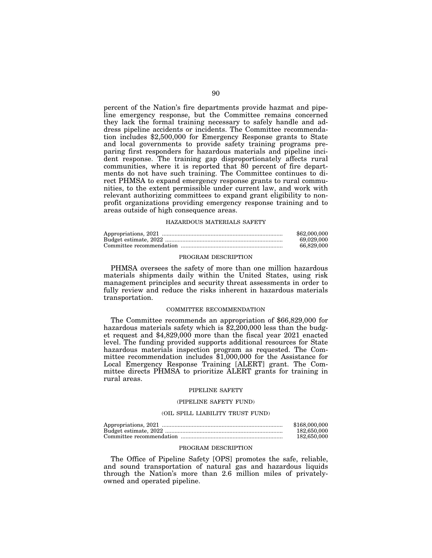percent of the Nation's fire departments provide hazmat and pipeline emergency response, but the Committee remains concerned they lack the formal training necessary to safely handle and address pipeline accidents or incidents. The Committee recommendation includes \$2,500,000 for Emergency Response grants to State and local governments to provide safety training programs preparing first responders for hazardous materials and pipeline incident response. The training gap disproportionately affects rural communities, where it is reported that 80 percent of fire departments do not have such training. The Committee continues to direct PHMSA to expand emergency response grants to rural communities, to the extent permissible under current law, and work with relevant authorizing committees to expand grant eligibility to nonprofit organizations providing emergency response training and to areas outside of high consequence areas.

## HAZARDOUS MATERIALS SAFETY

| \$62,000,000 |
|--------------|
| 69.029.000   |
| 66.829.000   |

## PROGRAM DESCRIPTION

PHMSA oversees the safety of more than one million hazardous materials shipments daily within the United States, using risk management principles and security threat assessments in order to fully review and reduce the risks inherent in hazardous materials transportation.

# COMMITTEE RECOMMENDATION

The Committee recommends an appropriation of \$66,829,000 for hazardous materials safety which is \$2,200,000 less than the budget request and \$4,829,000 more than the fiscal year 2021 enacted level. The funding provided supports additional resources for State hazardous materials inspection program as requested. The Committee recommendation includes \$1,000,000 for the Assistance for Local Emergency Response Training [ALERT] grant. The Committee directs PHMSA to prioritize ALERT grants for training in rural areas.

# PIPELINE SAFETY

### (PIPELINE SAFETY FUND)

## (OIL SPILL LIABILITY TRUST FUND)

| \$168,000,000 |
|---------------|
| 182,650,000   |
| 182,650,000   |

### PROGRAM DESCRIPTION

The Office of Pipeline Safety [OPS] promotes the safe, reliable, and sound transportation of natural gas and hazardous liquids through the Nation's more than 2.6 million miles of privatelyowned and operated pipeline.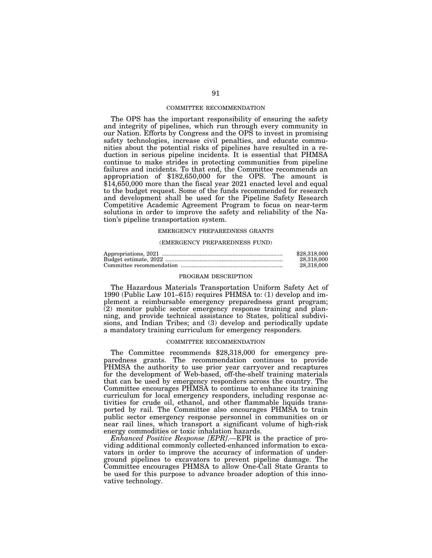### COMMITTEE RECOMMENDATION

The OPS has the important responsibility of ensuring the safety and integrity of pipelines, which run through every community in our Nation. Efforts by Congress and the OPS to invest in promising safety technologies, increase civil penalties, and educate communities about the potential risks of pipelines have resulted in a reduction in serious pipeline incidents. It is essential that PHMSA continue to make strides in protecting communities from pipeline failures and incidents. To that end, the Committee recommends an appropriation of \$182,650,000 for the OPS. The amount is \$14,650,000 more than the fiscal year 2021 enacted level and equal to the budget request. Some of the funds recommended for research and development shall be used for the Pipeline Safety Research Competitive Academic Agreement Program to focus on near-term solutions in order to improve the safety and reliability of the Nation's pipeline transportation system.

# EMERGENCY PREPAREDNESS GRANTS

#### (EMERGENCY PREPAREDNESS FUND)

| \$28,318,000 |
|--------------|
| 28.318.000   |
| 28.318.000   |

#### PROGRAM DESCRIPTION

The Hazardous Materials Transportation Uniform Safety Act of 1990 (Public Law 101–615) requires PHMSA to: (1) develop and implement a reimbursable emergency preparedness grant program; (2) monitor public sector emergency response training and planning, and provide technical assistance to States, political subdivisions, and Indian Tribes; and (3) develop and periodically update a mandatory training curriculum for emergency responders.

### COMMITTEE RECOMMENDATION

The Committee recommends \$28,318,000 for emergency preparedness grants. The recommendation continues to provide PHMSA the authority to use prior year carryover and recaptures for the development of Web-based, off-the-shelf training materials that can be used by emergency responders across the country. The Committee encourages PHMSA to continue to enhance its training curriculum for local emergency responders, including response activities for crude oil, ethanol, and other flammable liquids transported by rail. The Committee also encourages PHMSA to train public sector emergency response personnel in communities on or near rail lines, which transport a significant volume of high-risk energy commodities or toxic inhalation hazards.

*Enhanced Positive Response [EPR]*.—EPR is the practice of providing additional commonly collected-enhanced information to excavators in order to improve the accuracy of information of underground pipelines to excavators to prevent pipeline damage. The Committee encourages PHMSA to allow One-Call State Grants to be used for this purpose to advance broader adoption of this innovative technology.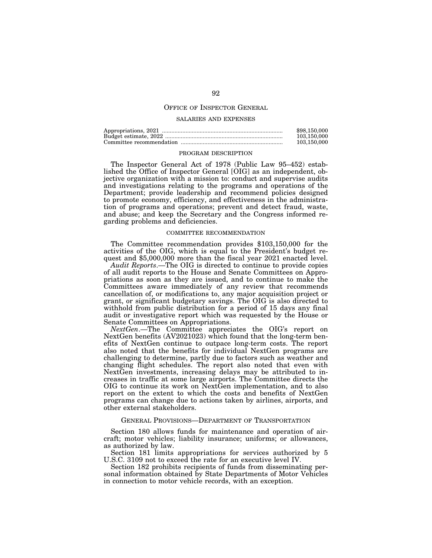# OFFICE OF INSPECTOR GENERAL

### SALARIES AND EXPENSES

| \$98,150,000 |
|--------------|
| 103.150.000  |
| 103.150.000  |

#### PROGRAM DESCRIPTION

The Inspector General Act of 1978 (Public Law 95–452) established the Office of Inspector General [OIG] as an independent, objective organization with a mission to: conduct and supervise audits and investigations relating to the programs and operations of the Department; provide leadership and recommend policies designed to promote economy, efficiency, and effectiveness in the administration of programs and operations; prevent and detect fraud, waste, and abuse; and keep the Secretary and the Congress informed regarding problems and deficiencies.

### COMMITTEE RECOMMENDATION

The Committee recommendation provides \$103,150,000 for the activities of the OIG, which is equal to the President's budget request and \$5,000,000 more than the fiscal year 2021 enacted level.

*Audit Reports*.—The OIG is directed to continue to provide copies of all audit reports to the House and Senate Committees on Appropriations as soon as they are issued, and to continue to make the Committees aware immediately of any review that recommends cancellation of, or modifications to, any major acquisition project or grant, or significant budgetary savings. The OIG is also directed to withhold from public distribution for a period of 15 days any final audit or investigative report which was requested by the House or Senate Committees on Appropriations.

*NextGen*.—The Committee appreciates the OIG's report on NextGen benefits (AV2021023) which found that the long-term benefits of NextGen continue to outpace long-term costs. The report also noted that the benefits for individual NextGen programs are challenging to determine, partly due to factors such as weather and changing flight schedules. The report also noted that even with NextGen investments, increasing delays may be attributed to increases in traffic at some large airports. The Committee directs the OIG to continue its work on NextGen implementation, and to also report on the extent to which the costs and benefits of NextGen programs can change due to actions taken by airlines, airports, and other external stakeholders.

# GENERAL PROVISIONS—DEPARTMENT OF TRANSPORTATION

Section 180 allows funds for maintenance and operation of aircraft; motor vehicles; liability insurance; uniforms; or allowances, as authorized by law.

Section 181 limits appropriations for services authorized by 5 U.S.C. 3109 not to exceed the rate for an executive level IV.

Section 182 prohibits recipients of funds from disseminating personal information obtained by State Departments of Motor Vehicles in connection to motor vehicle records, with an exception.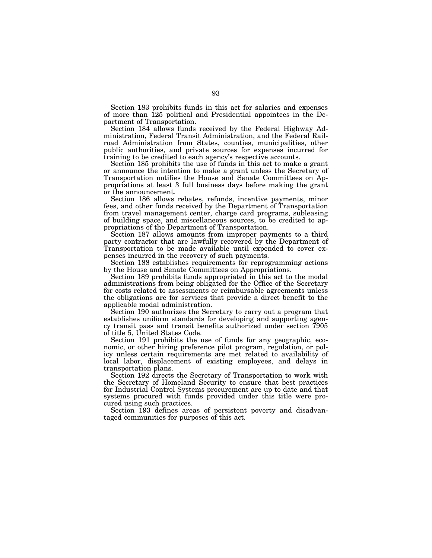Section 183 prohibits funds in this act for salaries and expenses of more than 125 political and Presidential appointees in the Department of Transportation.

Section 184 allows funds received by the Federal Highway Administration, Federal Transit Administration, and the Federal Railroad Administration from States, counties, municipalities, other public authorities, and private sources for expenses incurred for training to be credited to each agency's respective accounts.

Section 185 prohibits the use of funds in this act to make a grant or announce the intention to make a grant unless the Secretary of Transportation notifies the House and Senate Committees on Appropriations at least 3 full business days before making the grant or the announcement.

Section 186 allows rebates, refunds, incentive payments, minor fees, and other funds received by the Department of Transportation from travel management center, charge card programs, subleasing of building space, and miscellaneous sources, to be credited to appropriations of the Department of Transportation.

Section 187 allows amounts from improper payments to a third party contractor that are lawfully recovered by the Department of Transportation to be made available until expended to cover expenses incurred in the recovery of such payments.

Section 188 establishes requirements for reprogramming actions by the House and Senate Committees on Appropriations.

Section 189 prohibits funds appropriated in this act to the modal administrations from being obligated for the Office of the Secretary for costs related to assessments or reimbursable agreements unless the obligations are for services that provide a direct benefit to the applicable modal administration.

Section 190 authorizes the Secretary to carry out a program that establishes uniform standards for developing and supporting agency transit pass and transit benefits authorized under section 7905 of title 5, United States Code.

Section 191 prohibits the use of funds for any geographic, economic, or other hiring preference pilot program, regulation, or policy unless certain requirements are met related to availability of local labor, displacement of existing employees, and delays in transportation plans.

Section 192 directs the Secretary of Transportation to work with the Secretary of Homeland Security to ensure that best practices for Industrial Control Systems procurement are up to date and that systems procured with funds provided under this title were procured using such practices.

Section 193 defines areas of persistent poverty and disadvantaged communities for purposes of this act.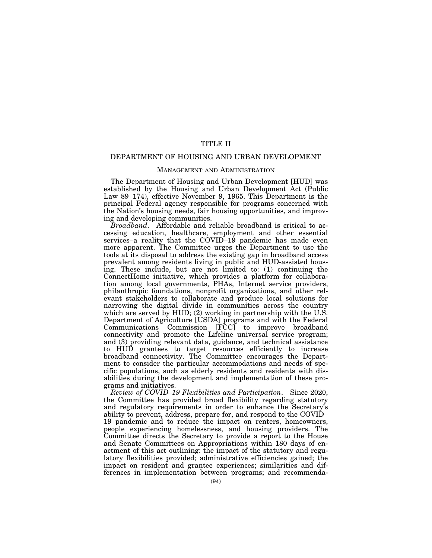# TITLE II

# DEPARTMENT OF HOUSING AND URBAN DEVELOPMENT

# MANAGEMENT AND ADMINISTRATION

The Department of Housing and Urban Development [HUD] was established by the Housing and Urban Development Act (Public Law 89–174), effective November 9, 1965. This Department is the principal Federal agency responsible for programs concerned with the Nation's housing needs, fair housing opportunities, and improving and developing communities.

*Broadband*.—Affordable and reliable broadband is critical to accessing education, healthcare, employment and other essential services–a reality that the COVID–19 pandemic has made even more apparent. The Committee urges the Department to use the tools at its disposal to address the existing gap in broadband access prevalent among residents living in public and HUD-assisted housing. These include, but are not limited to: (1) continuing the ConnectHome initiative, which provides a platform for collaboration among local governments, PHAs, Internet service providers, philanthropic foundations, nonprofit organizations, and other relevant stakeholders to collaborate and produce local solutions for narrowing the digital divide in communities across the country which are served by HUD; (2) working in partnership with the U.S. Department of Agriculture [USDA] programs and with the Federal Communications Commission [FCC] to improve broadband connectivity and promote the Lifeline universal service program; and (3) providing relevant data, guidance, and technical assistance to HUD grantees to target resources efficiently to increase broadband connectivity. The Committee encourages the Department to consider the particular accommodations and needs of specific populations, such as elderly residents and residents with disabilities during the development and implementation of these programs and initiatives.

*Review of COVID–19 Flexibilities and Participation*.—Since 2020, the Committee has provided broad flexibility regarding statutory and regulatory requirements in order to enhance the Secretary's ability to prevent, address, prepare for, and respond to the COVID– 19 pandemic and to reduce the impact on renters, homeowners, people experiencing homelessness, and housing providers. The Committee directs the Secretary to provide a report to the House and Senate Committees on Appropriations within 180 days of enactment of this act outlining: the impact of the statutory and regulatory flexibilities provided; administrative efficiencies gained; the impact on resident and grantee experiences; similarities and differences in implementation between programs; and recommenda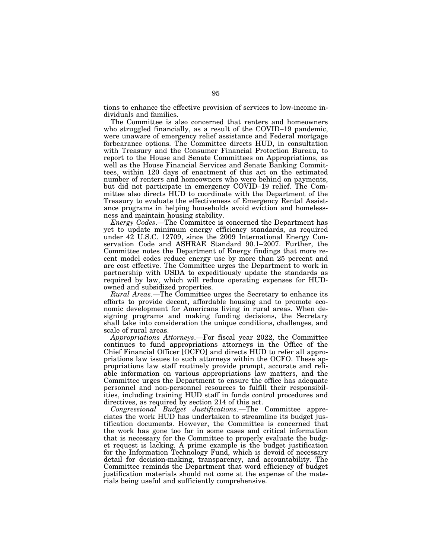tions to enhance the effective provision of services to low-income individuals and families.

The Committee is also concerned that renters and homeowners who struggled financially, as a result of the COVID–19 pandemic, were unaware of emergency relief assistance and Federal mortgage forbearance options. The Committee directs HUD, in consultation with Treasury and the Consumer Financial Protection Bureau, to report to the House and Senate Committees on Appropriations, as well as the House Financial Services and Senate Banking Committees, within 120 days of enactment of this act on the estimated number of renters and homeowners who were behind on payments, but did not participate in emergency COVID–19 relief. The Committee also directs HUD to coordinate with the Department of the Treasury to evaluate the effectiveness of Emergency Rental Assistance programs in helping households avoid eviction and homelessness and maintain housing stability.

*Energy Codes*.—The Committee is concerned the Department has yet to update minimum energy efficiency standards, as required under 42 U.S.C. 12709, since the 2009 International Energy Conservation Code and ASHRAE Standard 90.1–2007. Further, the Committee notes the Department of Energy findings that more recent model codes reduce energy use by more than 25 percent and are cost effective. The Committee urges the Department to work in partnership with USDA to expeditiously update the standards as required by law, which will reduce operating expenses for HUDowned and subsidized properties.

*Rural Areas*.—The Committee urges the Secretary to enhance its efforts to provide decent, affordable housing and to promote economic development for Americans living in rural areas. When designing programs and making funding decisions, the Secretary shall take into consideration the unique conditions, challenges, and scale of rural areas.

*Appropriations Attorneys*.—For fiscal year 2022, the Committee continues to fund appropriations attorneys in the Office of the Chief Financial Officer [OCFO] and directs HUD to refer all appropriations law issues to such attorneys within the OCFO. These appropriations law staff routinely provide prompt, accurate and reliable information on various appropriations law matters, and the Committee urges the Department to ensure the office has adequate personnel and non-personnel resources to fulfill their responsibilities, including training HUD staff in funds control procedures and directives, as required by section 214 of this act.

*Congressional Budget Justifications*.—The Committee appreciates the work HUD has undertaken to streamline its budget justification documents. However, the Committee is concerned that the work has gone too far in some cases and critical information that is necessary for the Committee to properly evaluate the budget request is lacking. A prime example is the budget justification for the Information Technology Fund, which is devoid of necessary detail for decision-making, transparency, and accountability. The Committee reminds the Department that word efficiency of budget justification materials should not come at the expense of the materials being useful and sufficiently comprehensive.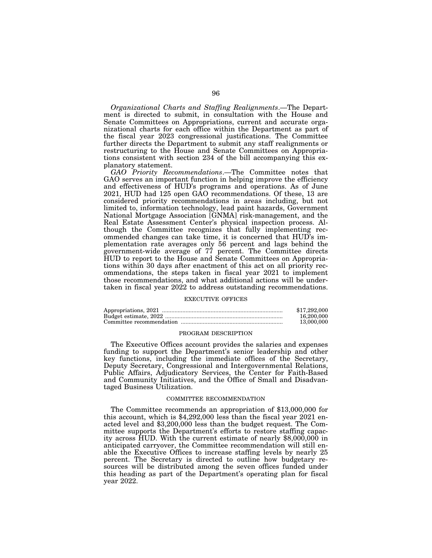*Organizational Charts and Staffing Realignments*.—The Department is directed to submit, in consultation with the House and Senate Committees on Appropriations, current and accurate organizational charts for each office within the Department as part of the fiscal year 2023 congressional justifications. The Committee further directs the Department to submit any staff realignments or restructuring to the House and Senate Committees on Appropriations consistent with section 234 of the bill accompanying this explanatory statement.

*GAO Priority Recommendations*.—The Committee notes that GAO serves an important function in helping improve the efficiency and effectiveness of HUD's programs and operations. As of June 2021, HUD had 125 open GAO recommendations. Of these, 13 are considered priority recommendations in areas including, but not limited to, information technology, lead paint hazards, Government National Mortgage Association [GNMA] risk-management, and the Real Estate Assessment Center's physical inspection process. Although the Committee recognizes that fully implementing recommended changes can take time, it is concerned that HUD's implementation rate averages only 56 percent and lags behind the government-wide average of 77 percent. The Committee directs HUD to report to the House and Senate Committees on Appropriations within 30 days after enactment of this act on all priority recommendations, the steps taken in fiscal year 2021 to implement those recommendations, and what additional actions will be undertaken in fiscal year 2022 to address outstanding recommendations.

## EXECUTIVE OFFICES

| \$17.292,000 |
|--------------|
| 16,200,000   |
| 13,000,000   |

## PROGRAM DESCRIPTION

The Executive Offices account provides the salaries and expenses funding to support the Department's senior leadership and other key functions, including the immediate offices of the Secretary, Deputy Secretary, Congressional and Intergovernmental Relations, Public Affairs, Adjudicatory Services, the Center for Faith-Based and Community Initiatives, and the Office of Small and Disadvantaged Business Utilization.

### COMMITTEE RECOMMENDATION

The Committee recommends an appropriation of \$13,000,000 for this account, which is \$4,292,000 less than the fiscal year 2021 enacted level and \$3,200,000 less than the budget request. The Committee supports the Department's efforts to restore staffing capacity across HUD. With the current estimate of nearly \$8,000,000 in anticipated carryover, the Committee recommendation will still enable the Executive Offices to increase staffing levels by nearly 25 percent. The Secretary is directed to outline how budgetary resources will be distributed among the seven offices funded under this heading as part of the Department's operating plan for fiscal year 2022.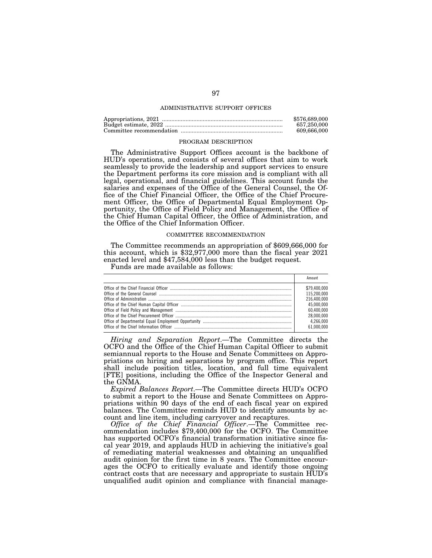### ADMINISTRATIVE SUPPORT OFFICES

| \$576,689,000 |
|---------------|
| 657.250.000   |
| 609.666.000   |

### PROGRAM DESCRIPTION

The Administrative Support Offices account is the backbone of HUD's operations, and consists of several offices that aim to work seamlessly to provide the leadership and support services to ensure the Department performs its core mission and is compliant with all legal, operational, and financial guidelines. This account funds the salaries and expenses of the Office of the General Counsel, the Office of the Chief Financial Officer, the Office of the Chief Procurement Officer, the Office of Departmental Equal Employment Opportunity, the Office of Field Policy and Management, the Office of the Chief Human Capital Officer, the Office of Administration, and the Office of the Chief Information Officer.

#### COMMITTEE RECOMMENDATION

The Committee recommends an appropriation of \$609,666,000 for this account, which is \$32,977,000 more than the fiscal year 2021 enacted level and \$47,584,000 less than the budget request.

Funds are made available as follows:

| Amount       |
|--------------|
| \$79,400,000 |
| 115,200,000  |
| 216.400.000  |
| 45.000.000   |
| 60.400.000   |
| 28.000.000   |
| 4.266.000    |
| 61.000.000   |
|              |

*Hiring and Separation Report*.—The Committee directs the OCFO and the Office of the Chief Human Capital Officer to submit semiannual reports to the House and Senate Committees on Appropriations on hiring and separations by program office. This report shall include position titles, location, and full time equivalent [FTE] positions, including the Office of the Inspector General and the GNMA.

*Expired Balances Report*.—The Committee directs HUD's OCFO to submit a report to the House and Senate Committees on Appropriations within 90 days of the end of each fiscal year on expired balances. The Committee reminds HUD to identify amounts by account and line item, including carryover and recaptures.

*Office of the Chief Financial Officer*.—The Committee recommendation includes \$79,400,000 for the OCFO. The Committee has supported OCFO's financial transformation initiative since fiscal year 2019, and applauds HUD in achieving the initiative's goal of remediating material weaknesses and obtaining an unqualified audit opinion for the first time in 8 years. The Committee encourages the OCFO to critically evaluate and identify those ongoing contract costs that are necessary and appropriate to sustain HUD's unqualified audit opinion and compliance with financial manage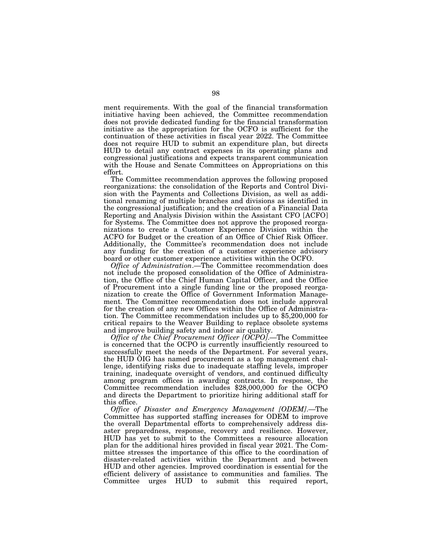ment requirements. With the goal of the financial transformation initiative having been achieved, the Committee recommendation does not provide dedicated funding for the financial transformation initiative as the appropriation for the OCFO is sufficient for the continuation of these activities in fiscal year 2022. The Committee does not require HUD to submit an expenditure plan, but directs HUD to detail any contract expenses in its operating plans and congressional justifications and expects transparent communication with the House and Senate Committees on Appropriations on this effort.

The Committee recommendation approves the following proposed reorganizations: the consolidation of the Reports and Control Division with the Payments and Collections Division, as well as additional renaming of multiple branches and divisions as identified in the congressional justification; and the creation of a Financial Data Reporting and Analysis Division within the Assistant CFO [ACFO] for Systems. The Committee does not approve the proposed reorganizations to create a Customer Experience Division within the ACFO for Budget or the creation of an Office of Chief Risk Officer. Additionally, the Committee's recommendation does not include any funding for the creation of a customer experience advisory board or other customer experience activities within the OCFO.

*Office of Administration*.—The Committee recommendation does not include the proposed consolidation of the Office of Administration, the Office of the Chief Human Capital Officer, and the Office of Procurement into a single funding line or the proposed reorganization to create the Office of Government Information Management. The Committee recommendation does not include approval for the creation of any new Offices within the Office of Administration. The Committee recommendation includes up to \$5,200,000 for critical repairs to the Weaver Building to replace obsolete systems and improve building safety and indoor air quality.

*Office of the Chief Procurement Officer [OCPO]*.—The Committee is concerned that the OCPO is currently insufficiently resourced to successfully meet the needs of the Department. For several years, the HUD OIG has named procurement as a top management challenge, identifying risks due to inadequate staffing levels, improper training, inadequate oversight of vendors, and continued difficulty among program offices in awarding contracts. In response, the Committee recommendation includes \$28,000,000 for the OCPO and directs the Department to prioritize hiring additional staff for this office.

*Office of Disaster and Emergency Management [ODEM]*.—The Committee has supported staffing increases for ODEM to improve the overall Departmental efforts to comprehensively address disaster preparedness, response, recovery and resilience. However, HUD has yet to submit to the Committees a resource allocation plan for the additional hires provided in fiscal year 2021. The Committee stresses the importance of this office to the coordination of disaster-related activities within the Department and between HUD and other agencies. Improved coordination is essential for the efficient delivery of assistance to communities and families. The Committee urges HUD to submit this required report,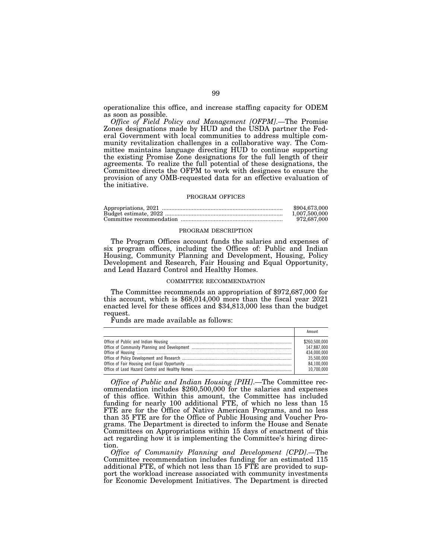operationalize this office, and increase staffing capacity for ODEM as soon as possible.

*Office of Field Policy and Management [OFPM]*.—The Promise Zones designations made by HUD and the USDA partner the Federal Government with local communities to address multiple community revitalization challenges in a collaborative way. The Committee maintains language directing HUD to continue supporting the existing Promise Zone designations for the full length of their agreements. To realize the full potential of these designations, the Committee directs the OFPM to work with designees to ensure the provision of any OMB-requested data for an effective evaluation of the initiative.

### PROGRAM OFFICES

| \$904,673,000 |
|---------------|
| 1.007.500.000 |
| 972.687.000   |

#### PROGRAM DESCRIPTION

The Program Offices account funds the salaries and expenses of six program offices, including the Offices of: Public and Indian Housing, Community Planning and Development, Housing, Policy Development and Research, Fair Housing and Equal Opportunity, and Lead Hazard Control and Healthy Homes.

#### COMMITTEE RECOMMENDATION

The Committee recommends an appropriation of \$972,687,000 for this account, which is \$68,014,000 more than the fiscal year 2021 enacted level for these offices and \$34,813,000 less than the budget request.

Funds are made available as follows:

| Amount        |
|---------------|
| \$260,500,000 |
| 147.887.000   |
| 434.000.000   |
| 35.500.000    |
| 84.100.000    |
| 10.700.000    |

*Office of Public and Indian Housing [PIH]*.—The Committee recommendation includes \$260,500,000 for the salaries and expenses of this office. Within this amount, the Committee has included funding for nearly 100 additional FTE, of which no less than 15 FTE are for the Office of Native American Programs, and no less than 35 FTE are for the Office of Public Housing and Voucher Programs. The Department is directed to inform the House and Senate Committees on Appropriations within 15 days of enactment of this act regarding how it is implementing the Committee's hiring direction.

*Office of Community Planning and Development [CPD]*.—The Committee recommendation includes funding for an estimated 115 additional FTE, of which not less than 15 FTE are provided to support the workload increase associated with community investments for Economic Development Initiatives. The Department is directed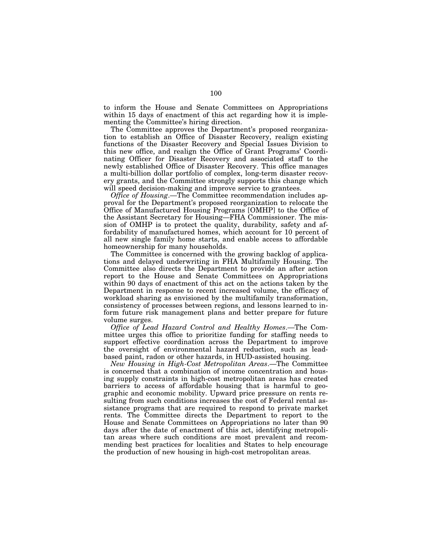to inform the House and Senate Committees on Appropriations within 15 days of enactment of this act regarding how it is implementing the Committee's hiring direction.

The Committee approves the Department's proposed reorganization to establish an Office of Disaster Recovery, realign existing functions of the Disaster Recovery and Special Issues Division to this new office, and realign the Office of Grant Programs' Coordinating Officer for Disaster Recovery and associated staff to the newly established Office of Disaster Recovery. This office manages a multi-billion dollar portfolio of complex, long-term disaster recovery grants, and the Committee strongly supports this change which will speed decision-making and improve service to grantees.

*Office of Housing*.—The Committee recommendation includes approval for the Department's proposed reorganization to relocate the Office of Manufactured Housing Programs [OMHP] to the Office of the Assistant Secretary for Housing—FHA Commissioner. The mission of OMHP is to protect the quality, durability, safety and affordability of manufactured homes, which account for 10 percent of all new single family home starts, and enable access to affordable homeownership for many households.

The Committee is concerned with the growing backlog of applications and delayed underwriting in FHA Multifamily Housing. The Committee also directs the Department to provide an after action report to the House and Senate Committees on Appropriations within 90 days of enactment of this act on the actions taken by the Department in response to recent increased volume, the efficacy of workload sharing as envisioned by the multifamily transformation, consistency of processes between regions, and lessons learned to inform future risk management plans and better prepare for future volume surges.

*Office of Lead Hazard Control and Healthy Homes*.—The Committee urges this office to prioritize funding for staffing needs to support effective coordination across the Department to improve the oversight of environmental hazard reduction, such as leadbased paint, radon or other hazards, in HUD-assisted housing.

*New Housing in High-Cost Metropolitan Areas*.—The Committee is concerned that a combination of income concentration and housing supply constraints in high-cost metropolitan areas has created barriers to access of affordable housing that is harmful to geographic and economic mobility. Upward price pressure on rents resulting from such conditions increases the cost of Federal rental assistance programs that are required to respond to private market rents. The Committee directs the Department to report to the House and Senate Committees on Appropriations no later than 90 days after the date of enactment of this act, identifying metropolitan areas where such conditions are most prevalent and recommending best practices for localities and States to help encourage the production of new housing in high-cost metropolitan areas.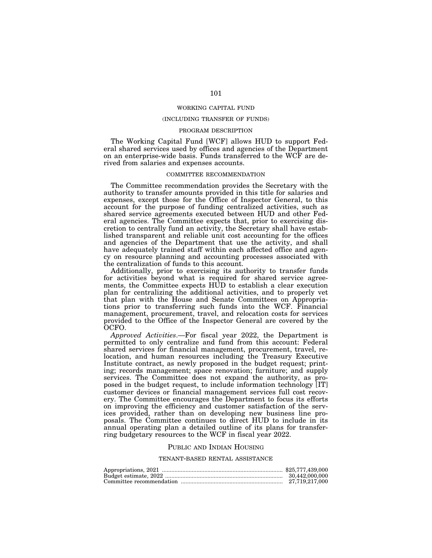### WORKING CAPITAL FUND

# (INCLUDING TRANSFER OF FUNDS)

## PROGRAM DESCRIPTION

The Working Capital Fund [WCF] allows HUD to support Federal shared services used by offices and agencies of the Department on an enterprise-wide basis. Funds transferred to the WCF are derived from salaries and expenses accounts.

### COMMITTEE RECOMMENDATION

The Committee recommendation provides the Secretary with the authority to transfer amounts provided in this title for salaries and expenses, except those for the Office of Inspector General, to this account for the purpose of funding centralized activities, such as shared service agreements executed between HUD and other Federal agencies. The Committee expects that, prior to exercising discretion to centrally fund an activity, the Secretary shall have established transparent and reliable unit cost accounting for the offices and agencies of the Department that use the activity, and shall have adequately trained staff within each affected office and agency on resource planning and accounting processes associated with the centralization of funds to this account.

Additionally, prior to exercising its authority to transfer funds for activities beyond what is required for shared service agreements, the Committee expects HUD to establish a clear execution plan for centralizing the additional activities, and to properly vet that plan with the House and Senate Committees on Appropriations prior to transferring such funds into the WCF. Financial management, procurement, travel, and relocation costs for services provided to the Office of the Inspector General are covered by the OCFO.

*Approved Activities*.—For fiscal year 2022, the Department is permitted to only centralize and fund from this account: Federal shared services for financial management, procurement, travel, relocation, and human resources including the Treasury Executive Institute contract, as newly proposed in the budget request; printing; records management; space renovation; furniture; and supply services. The Committee does not expand the authority, as proposed in the budget request, to include information technology [IT] customer devices or financial management services full cost recovery. The Committee encourages the Department to focus its efforts on improving the efficiency and customer satisfaction of the services provided, rather than on developing new business line proposals. The Committee continues to direct HUD to include in its annual operating plan a detailed outline of its plans for transferring budgetary resources to the WCF in fiscal year 2022.

#### PUBLIC AND INDIAN HOUSING

# TENANT-BASED RENTAL ASSISTANCE

| 30.442.000.000 |
|----------------|
|                |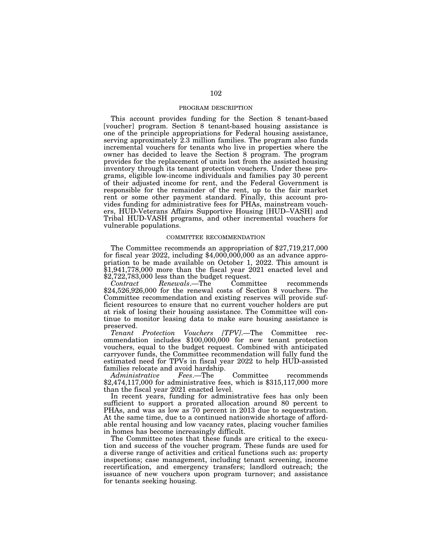## PROGRAM DESCRIPTION

This account provides funding for the Section 8 tenant-based [voucher] program. Section 8 tenant-based housing assistance is one of the principle appropriations for Federal housing assistance, serving approximately  $2.3$  million families. The program also funds incremental vouchers for tenants who live in properties where the owner has decided to leave the Section 8 program. The program provides for the replacement of units lost from the assisted housing inventory through its tenant protection vouchers. Under these programs, eligible low-income individuals and families pay 30 percent of their adjusted income for rent, and the Federal Government is responsible for the remainder of the rent, up to the fair market rent or some other payment standard. Finally, this account provides funding for administrative fees for PHAs, mainstream vouchers, HUD-Veterans Affairs Supportive Housing [HUD–VASH] and Tribal HUD-VASH programs, and other incremental vouchers for vulnerable populations.

### COMMITTEE RECOMMENDATION

The Committee recommends an appropriation of \$27,719,217,000 for fiscal year 2022, including  $$4,000,000,000$  as an advance appropriation to be made available on October 1, 2022. This amount is \$1,941,778,000 more than the fiscal year 2021 enacted level and \$2,722,783,000 less than the budget request.

*Contract Renewals*.—The Committee recommends \$24,526,926,000 for the renewal costs of Section 8 vouchers. The Committee recommendation and existing reserves will provide sufficient resources to ensure that no current voucher holders are put at risk of losing their housing assistance. The Committee will continue to monitor leasing data to make sure housing assistance is preserved.<br>Tenant

*Protection Vouchers [TPV]*.—The Committee recommendation includes \$100,000,000 for new tenant protection vouchers, equal to the budget request. Combined with anticipated carryover funds, the Committee recommendation will fully fund the estimated need for TPVs in fiscal year 2022 to help HUD-assisted families relocate and avoid hardship.<br>Administrative Fees.—The

*Administrative Fees*.—The Committee recommends \$2,474,117,000 for administrative fees, which is \$315,117,000 more than the fiscal year 2021 enacted level.

In recent years, funding for administrative fees has only been sufficient to support a prorated allocation around 80 percent to PHAs, and was as low as 70 percent in 2013 due to sequestration. At the same time, due to a continued nationwide shortage of affordable rental housing and low vacancy rates, placing voucher families in homes has become increasingly difficult.

The Committee notes that these funds are critical to the execution and success of the voucher program. These funds are used for a diverse range of activities and critical functions such as: property inspections; case management, including tenant screening, income recertification, and emergency transfers; landlord outreach; the issuance of new vouchers upon program turnover; and assistance for tenants seeking housing.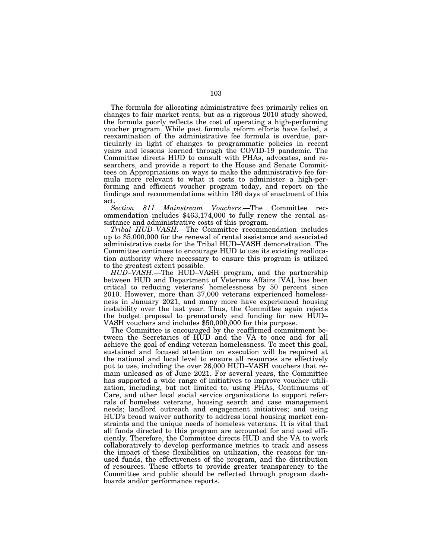The formula for allocating administrative fees primarily relies on changes to fair market rents, but as a rigorous 2010 study showed, the formula poorly reflects the cost of operating a high-performing voucher program. While past formula reform efforts have failed, a reexamination of the administrative fee formula is overdue, particularly in light of changes to programmatic policies in recent years and lessons learned through the COVID-19 pandemic. The Committee directs HUD to consult with PHAs, advocates, and researchers, and provide a report to the House and Senate Committees on Appropriations on ways to make the administrative fee formula more relevant to what it costs to administer a high-performing and efficient voucher program today, and report on the findings and recommendations within 180 days of enactment of this act.

*Section 811 Mainstream Vouchers*.—The Committee recommendation includes \$463,174,000 to fully renew the rental assistance and administrative costs of this program.

*Tribal HUD–VASH*.—The Committee recommendation includes up to \$5,000,000 for the renewal of rental assistance and associated administrative costs for the Tribal HUD–VASH demonstration. The Committee continues to encourage HUD to use its existing reallocation authority where necessary to ensure this program is utilized to the greatest extent possible.

*HUD–VASH*.—The HUD–VASH program, and the partnership between HUD and Department of Veterans Affairs [VA], has been critical to reducing veterans' homelessness by 50 percent since 2010. However, more than 37,000 veterans experienced homelessness in January 2021, and many more have experienced housing instability over the last year. Thus, the Committee again rejects the budget proposal to prematurely end funding for new HUD– VASH vouchers and includes \$50,000,000 for this purpose.

The Committee is encouraged by the reaffirmed commitment between the Secretaries of HUD and the VA to once and for all achieve the goal of ending veteran homelessness. To meet this goal, sustained and focused attention on execution will be required at the national and local level to ensure all resources are effectively put to use, including the over 26,000 HUD–VASH vouchers that remain unleased as of June 2021. For several years, the Committee has supported a wide range of initiatives to improve voucher utilization, including, but not limited to, using PHAs, Continuums of Care, and other local social service organizations to support referrals of homeless veterans, housing search and case management needs; landlord outreach and engagement initiatives; and using HUD's broad waiver authority to address local housing market constraints and the unique needs of homeless veterans. It is vital that all funds directed to this program are accounted for and used efficiently. Therefore, the Committee directs HUD and the VA to work collaboratively to develop performance metrics to track and assess the impact of these flexibilities on utilization, the reasons for unused funds, the effectiveness of the program, and the distribution of resources. These efforts to provide greater transparency to the Committee and public should be reflected through program dashboards and/or performance reports.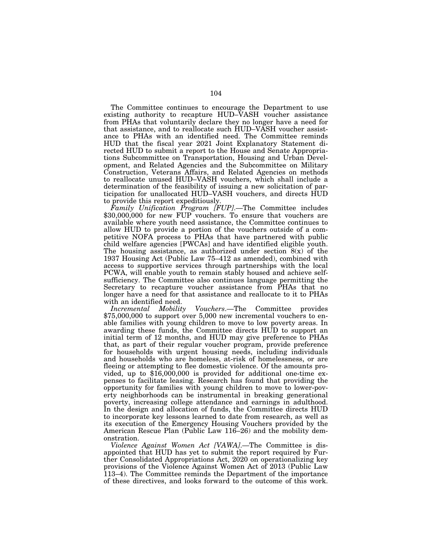The Committee continues to encourage the Department to use existing authority to recapture HUD–VASH voucher assistance from PHAs that voluntarily declare they no longer have a need for that assistance, and to reallocate such HUD–VASH voucher assistance to PHAs with an identified need. The Committee reminds HUD that the fiscal year 2021 Joint Explanatory Statement directed HUD to submit a report to the House and Senate Appropriations Subcommittee on Transportation, Housing and Urban Development, and Related Agencies and the Subcommittee on Military Construction, Veterans Affairs, and Related Agencies on methods to reallocate unused HUD–VASH vouchers, which shall include a determination of the feasibility of issuing a new solicitation of participation for unallocated HUD–VASH vouchers, and directs HUD to provide this report expeditiously.

*Family Unification Program [FUP]*.—The Committee includes \$30,000,000 for new FUP vouchers. To ensure that vouchers are available where youth need assistance, the Committee continues to allow HUD to provide a portion of the vouchers outside of a competitive NOFA process to PHAs that have partnered with public child welfare agencies [PWCAs] and have identified eligible youth. The housing assistance, as authorized under section  $8(x)$  of the 1937 Housing Act (Public Law 75–412 as amended), combined with access to supportive services through partnerships with the local PCWA, will enable youth to remain stably housed and achieve selfsufficiency. The Committee also continues language permitting the Secretary to recapture voucher assistance from PHAs that no longer have a need for that assistance and reallocate to it to PHAs with an identified need.

*Incremental Mobility Vouchers*.—The Committee provides \$75,000,000 to support over 5,000 new incremental vouchers to enable families with young children to move to low poverty areas. In awarding these funds, the Committee directs HUD to support an initial term of 12 months, and HUD may give preference to PHAs that, as part of their regular voucher program, provide preference for households with urgent housing needs, including individuals and households who are homeless, at-risk of homelessness, or are fleeing or attempting to flee domestic violence. Of the amounts provided, up to \$16,000,000 is provided for additional one-time expenses to facilitate leasing. Research has found that providing the opportunity for families with young children to move to lower-poverty neighborhoods can be instrumental in breaking generational poverty, increasing college attendance and earnings in adulthood. In the design and allocation of funds, the Committee directs HUD to incorporate key lessons learned to date from research, as well as its execution of the Emergency Housing Vouchers provided by the American Rescue Plan (Public Law 116–26) and the mobility demonstration.

*Violence Against Women Act [VAWA]*.—The Committee is disappointed that HUD has yet to submit the report required by Further Consolidated Appropriations Act, 2020 on operationalizing key provisions of the Violence Against Women Act of 2013 (Public Law 113–4). The Committee reminds the Department of the importance of these directives, and looks forward to the outcome of this work.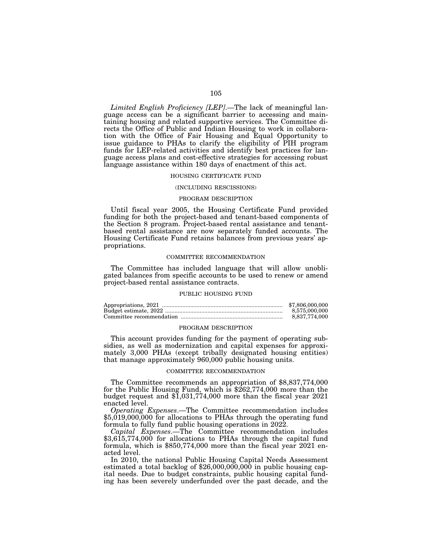*Limited English Proficiency [LEP]*.—The lack of meaningful language access can be a significant barrier to accessing and maintaining housing and related supportive services. The Committee directs the Office of Public and Indian Housing to work in collaboration with the Office of Fair Housing and Equal Opportunity to issue guidance to PHAs to clarify the eligibility of PIH program funds for LEP-related activities and identify best practices for language access plans and cost-effective strategies for accessing robust language assistance within 180 days of enactment of this act.

### HOUSING CERTIFICATE FUND

### (INCLUDING RESCISSIONS)

#### PROGRAM DESCRIPTION

Until fiscal year 2005, the Housing Certificate Fund provided funding for both the project-based and tenant-based components of the Section 8 program. Project-based rental assistance and tenantbased rental assistance are now separately funded accounts. The Housing Certificate Fund retains balances from previous years' appropriations.

## COMMITTEE RECOMMENDATION

The Committee has included language that will allow unobligated balances from specific accounts to be used to renew or amend project-based rental assistance contracts.

### PUBLIC HOUSING FUND

| \$7,806,000,000 |
|-----------------|
| 8.575.000.000   |
| 8.837.774.000   |

### PROGRAM DESCRIPTION

This account provides funding for the payment of operating subsidies, as well as modernization and capital expenses for approximately 3,000 PHAs (except tribally designated housing entities) that manage approximately 960,000 public housing units.

#### COMMITTEE RECOMMENDATION

The Committee recommends an appropriation of \$8,837,774,000 for the Public Housing Fund, which is \$262,774,000 more than the budget request and \$1,031,774,000 more than the fiscal year 2021 enacted level.

*Operating Expenses*.—The Committee recommendation includes \$5,019,000,000 for allocations to PHAs through the operating fund formula to fully fund public housing operations in 2022.

*Capital Expenses*.—The Committee recommendation includes \$3,615,774,000 for allocations to PHAs through the capital fund formula, which is \$850,774,000 more than the fiscal year 2021 enacted level.

In 2010, the national Public Housing Capital Needs Assessment estimated a total backlog of \$26,000,000,000 in public housing capital needs. Due to budget constraints, public housing capital funding has been severely underfunded over the past decade, and the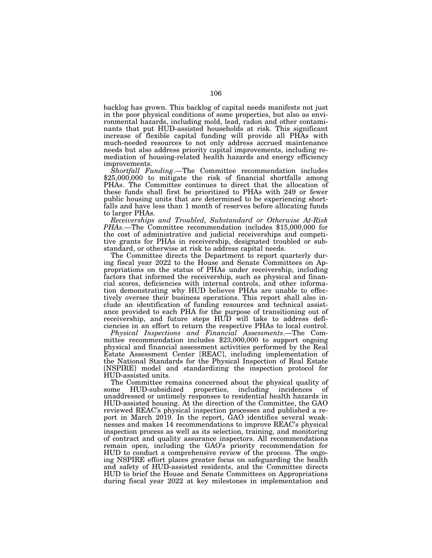backlog has grown. This backlog of capital needs manifests not just in the poor physical conditions of some properties, but also as environmental hazards, including mold, lead, radon and other contaminants that put HUD-assisted households at risk. This significant increase of flexible capital funding will provide all PHAs with much-needed resources to not only address accrued maintenance needs but also address priority capital improvements, including remediation of housing-related health hazards and energy efficiency improvements.

*Shortfall Funding*.—The Committee recommendation includes \$25,000,000 to mitigate the risk of financial shortfalls among PHAs. The Committee continues to direct that the allocation of these funds shall first be prioritized to PHAs with 249 or fewer public housing units that are determined to be experiencing shortfalls and have less than 1 month of reserves before allocating funds to larger PHAs.

*Receiverships and Troubled, Substandard or Otherwise At-Risk PHAs*.—The Committee recommendation includes \$15,000,000 for the cost of administrative and judicial receiverships and competitive grants for PHAs in receivership, designated troubled or substandard, or otherwise at risk to address capital needs.

The Committee directs the Department to report quarterly during fiscal year 2022 to the House and Senate Committees on Appropriations on the status of PHAs under receivership, including factors that informed the receivership, such as physical and financial scores, deficiencies with internal controls, and other information demonstrating why HUD believes PHAs are unable to effectively oversee their business operations. This report shall also include an identification of funding resources and technical assistance provided to each PHA for the purpose of transitioning out of receivership, and future steps HUD will take to address deficiencies in an effort to return the respective PHAs to local control.

*Physical Inspections and Financial Assessments*.—The Committee recommendation includes \$23,000,000 to support ongoing physical and financial assessment activities performed by the Real Estate Assessment Center [REAC], including implementation of the National Standards for the Physical Inspection of Real Estate [NSPIRE] model and standardizing the inspection protocol for HUD-assisted units.

The Committee remains concerned about the physical quality of some HUD-subsidized properties, including incidences of unaddressed or untimely responses to residential health hazards in HUD-assisted housing. At the direction of the Committee, the GAO reviewed REAC's physical inspection processes and published a report in March 2019. In the report, GAO identifies several weaknesses and makes 14 recommendations to improve REAC's physical inspection process as well as its selection, training, and monitoring of contract and quality assurance inspectors. All recommendations remain open, including the GAO's priority recommendation for HUD to conduct a comprehensive review of the process. The ongoing NSPIRE effort places greater focus on safeguarding the health and safety of HUD-assisted residents, and the Committee directs HUD to brief the House and Senate Committees on Appropriations during fiscal year 2022 at key milestones in implementation and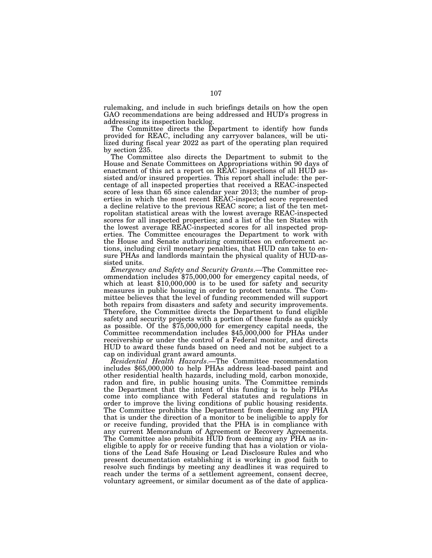rulemaking, and include in such briefings details on how the open GAO recommendations are being addressed and HUD's progress in addressing its inspection backlog.

The Committee directs the Department to identify how funds provided for REAC, including any carryover balances, will be utilized during fiscal year 2022 as part of the operating plan required by section 235.

The Committee also directs the Department to submit to the House and Senate Committees on Appropriations within 90 days of enactment of this act a report on REAC inspections of all HUD assisted and/or insured properties. This report shall include: the percentage of all inspected properties that received a REAC-inspected score of less than 65 since calendar year 2013; the number of properties in which the most recent REAC-inspected score represented a decline relative to the previous REAC score; a list of the ten metropolitan statistical areas with the lowest average REAC-inspected scores for all inspected properties; and a list of the ten States with the lowest average REAC-inspected scores for all inspected properties. The Committee encourages the Department to work with the House and Senate authorizing committees on enforcement actions, including civil monetary penalties, that HUD can take to ensure PHAs and landlords maintain the physical quality of HUD-assisted units.

*Emergency and Safety and Security Grants*.—The Committee recommendation includes \$75,000,000 for emergency capital needs, of which at least \$10,000,000 is to be used for safety and security measures in public housing in order to protect tenants. The Committee believes that the level of funding recommended will support both repairs from disasters and safety and security improvements. Therefore, the Committee directs the Department to fund eligible safety and security projects with a portion of these funds as quickly as possible. Of the \$75,000,000 for emergency capital needs, the Committee recommendation includes \$45,000,000 for PHAs under receivership or under the control of a Federal monitor, and directs HUD to award these funds based on need and not be subject to a cap on individual grant award amounts.

*Residential Health Hazards*.—The Committee recommendation includes \$65,000,000 to help PHAs address lead-based paint and other residential health hazards, including mold, carbon monoxide, radon and fire, in public housing units. The Committee reminds the Department that the intent of this funding is to help PHAs come into compliance with Federal statutes and regulations in order to improve the living conditions of public housing residents. The Committee prohibits the Department from deeming any PHA that is under the direction of a monitor to be ineligible to apply for or receive funding, provided that the PHA is in compliance with any current Memorandum of Agreement or Recovery Agreements. The Committee also prohibits HUD from deeming any PHA as ineligible to apply for or receive funding that has a violation or violations of the Lead Safe Housing or Lead Disclosure Rules and who present documentation establishing it is working in good faith to resolve such findings by meeting any deadlines it was required to reach under the terms of a settlement agreement, consent decree, voluntary agreement, or similar document as of the date of applica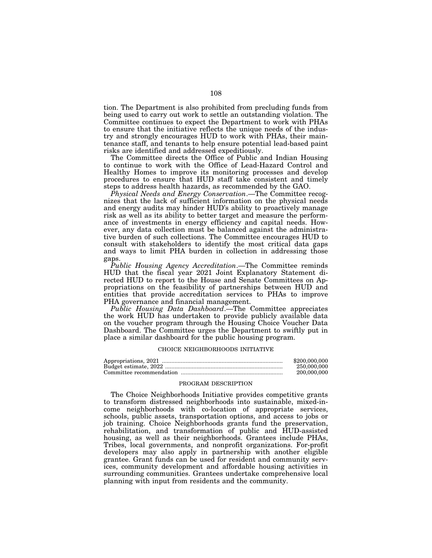tion. The Department is also prohibited from precluding funds from being used to carry out work to settle an outstanding violation. The Committee continues to expect the Department to work with PHAs to ensure that the initiative reflects the unique needs of the industry and strongly encourages HUD to work with PHAs, their maintenance staff, and tenants to help ensure potential lead-based paint risks are identified and addressed expeditiously.

The Committee directs the Office of Public and Indian Housing to continue to work with the Office of Lead-Hazard Control and Healthy Homes to improve its monitoring processes and develop procedures to ensure that HUD staff take consistent and timely steps to address health hazards, as recommended by the GAO.

*Physical Needs and Energy Conservation*.—The Committee recognizes that the lack of sufficient information on the physical needs and energy audits may hinder HUD's ability to proactively manage risk as well as its ability to better target and measure the performance of investments in energy efficiency and capital needs. However, any data collection must be balanced against the administrative burden of such collections. The Committee encourages HUD to consult with stakeholders to identify the most critical data gaps and ways to limit PHA burden in collection in addressing those gaps.

*Public Housing Agency Accreditation*.—The Committee reminds HUD that the fiscal year 2021 Joint Explanatory Statement directed HUD to report to the House and Senate Committees on Appropriations on the feasibility of partnerships between HUD and entities that provide accreditation services to PHAs to improve PHA governance and financial management.

*Public Housing Data Dashboard*.—The Committee appreciates the work HUD has undertaken to provide publicly available data on the voucher program through the Housing Choice Voucher Data Dashboard. The Committee urges the Department to swiftly put in place a similar dashboard for the public housing program.

#### CHOICE NEIGHBORHOODS INITIATIVE

| \$200,000,000 |
|---------------|
| 250,000,000   |
| 200,000,000   |

# PROGRAM DESCRIPTION

The Choice Neighborhoods Initiative provides competitive grants to transform distressed neighborhoods into sustainable, mixed-income neighborhoods with co-location of appropriate services, schools, public assets, transportation options, and access to jobs or job training. Choice Neighborhoods grants fund the preservation, rehabilitation, and transformation of public and HUD-assisted housing, as well as their neighborhoods. Grantees include PHAs, Tribes, local governments, and nonprofit organizations. For-profit developers may also apply in partnership with another eligible grantee. Grant funds can be used for resident and community services, community development and affordable housing activities in surrounding communities. Grantees undertake comprehensive local planning with input from residents and the community.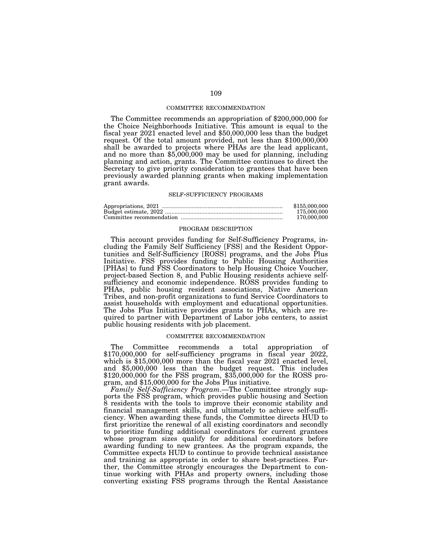### COMMITTEE RECOMMENDATION

The Committee recommends an appropriation of \$200,000,000 for the Choice Neighborhoods Initiative. This amount is equal to the fiscal year 2021 enacted level and \$50,000,000 less than the budget request. Of the total amount provided, not less than \$100,000,000 shall be awarded to projects where PHAs are the lead applicant, and no more than \$5,000,000 may be used for planning, including planning and action, grants. The Committee continues to direct the Secretary to give priority consideration to grantees that have been previously awarded planning grants when making implementation grant awards.

# SELF-SUFFICIENCY PROGRAMS

| \$155,000,000 |
|---------------|
| 175,000,000   |
| 170,000,000   |

## PROGRAM DESCRIPTION

This account provides funding for Self-Sufficiency Programs, including the Family Self Sufficiency [FSS] and the Resident Opportunities and Self-Sufficiency [ROSS] programs, and the Jobs Plus Initiative. FSS provides funding to Public Housing Authorities [PHAs] to fund FSS Coordinators to help Housing Choice Voucher, project-based Section 8, and Public Housing residents achieve selfsufficiency and economic independence. ROSS provides funding to PHAs, public housing resident associations, Native American Tribes, and non-profit organizations to fund Service Coordinators to assist households with employment and educational opportunities. The Jobs Plus Initiative provides grants to PHAs, which are required to partner with Department of Labor jobs centers, to assist public housing residents with job placement.

## COMMITTEE RECOMMENDATION

The Committee recommends a total appropriation of \$170,000,000 for self-sufficiency programs in fiscal year 2022, which is \$15,000,000 more than the fiscal year 2021 enacted level, and \$5,000,000 less than the budget request. This includes \$120,000,000 for the FSS program, \$35,000,000 for the ROSS program, and \$15,000,000 for the Jobs Plus initiative.

*Family Self-Sufficiency Program*.—The Committee strongly supports the FSS program, which provides public housing and Section 8 residents with the tools to improve their economic stability and financial management skills, and ultimately to achieve self-sufficiency. When awarding these funds, the Committee directs HUD to first prioritize the renewal of all existing coordinators and secondly to prioritize funding additional coordinators for current grantees whose program sizes qualify for additional coordinators before awarding funding to new grantees. As the program expands, the Committee expects HUD to continue to provide technical assistance and training as appropriate in order to share best-practices. Further, the Committee strongly encourages the Department to continue working with PHAs and property owners, including those converting existing FSS programs through the Rental Assistance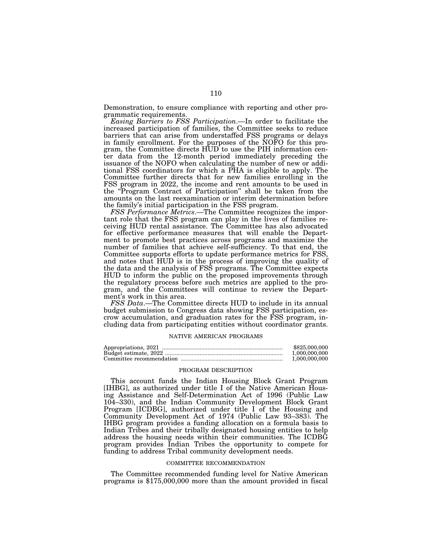Demonstration, to ensure compliance with reporting and other programmatic requirements.

*Easing Barriers to FSS Participation*.—In order to facilitate the increased participation of families, the Committee seeks to reduce barriers that can arise from understaffed FSS programs or delays in family enrollment. For the purposes of the NOFO for this program, the Committee directs HUD to use the PIH information center data from the 12-month period immediately preceding the issuance of the NOFO when calculating the number of new or additional FSS coordinators for which a PHA is eligible to apply. The Committee further directs that for new families enrolling in the FSS program in 2022, the income and rent amounts to be used in the ''Program Contract of Participation'' shall be taken from the amounts on the last reexamination or interim determination before the family's initial participation in the FSS program.

*FSS Performance Metrics*.—The Committee recognizes the important role that the FSS program can play in the lives of families receiving HUD rental assistance. The Committee has also advocated for effective performance measures that will enable the Department to promote best practices across programs and maximize the number of families that achieve self-sufficiency. To that end, the Committee supports efforts to update performance metrics for FSS, and notes that HUD is in the process of improving the quality of the data and the analysis of FSS programs. The Committee expects HUD to inform the public on the proposed improvements through the regulatory process before such metrics are applied to the program, and the Committees will continue to review the Department's work in this area.

*FSS Data*.—The Committee directs HUD to include in its annual budget submission to Congress data showing FSS participation, escrow accumulation, and graduation rates for the FSS program, including data from participating entities without coordinator grants.

#### NATIVE AMERICAN PROGRAMS

| \$825,000,000 |
|---------------|
| 1.000.000.000 |
| 1.000.000.000 |

# PROGRAM DESCRIPTION

This account funds the Indian Housing Block Grant Program [IHBG], as authorized under title I of the Native American Housing Assistance and Self-Determination Act of 1996 (Public Law 104–330), and the Indian Community Development Block Grant Program [ICDBG], authorized under title I of the Housing and Community Development Act of 1974 (Public Law 93–383). The IHBG program provides a funding allocation on a formula basis to Indian Tribes and their tribally designated housing entities to help address the housing needs within their communities. The ICDBG program provides Indian Tribes the opportunity to compete for funding to address Tribal community development needs.

#### COMMITTEE RECOMMENDATION

The Committee recommended funding level for Native American programs is \$175,000,000 more than the amount provided in fiscal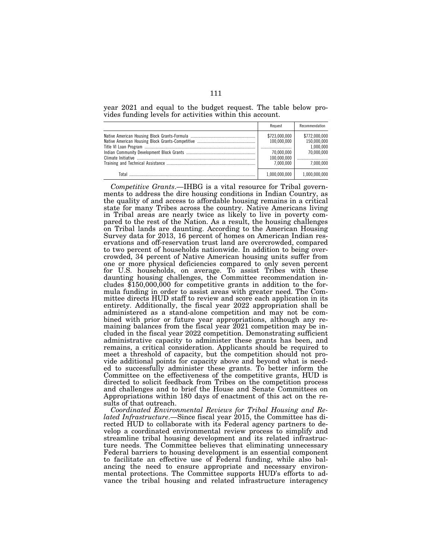year 2021 and equal to the budget request. The table below provides funding levels for activities within this account.

|       | Request                                                                | Recommendation                                                       |
|-------|------------------------------------------------------------------------|----------------------------------------------------------------------|
|       | \$723,000,000<br>100.000.000<br>70.000.000<br>100.000.000<br>7.000.000 | \$772,000,000<br>150.000.000<br>1.000.000<br>70.000.000<br>7.000.000 |
| Total | 1,000,000,000                                                          | 1,000,000,000                                                        |

*Competitive Grants*.—IHBG is a vital resource for Tribal governments to address the dire housing conditions in Indian Country, as the quality of and access to affordable housing remains in a critical state for many Tribes across the country. Native Americans living in Tribal areas are nearly twice as likely to live in poverty compared to the rest of the Nation. As a result, the housing challenges on Tribal lands are daunting. According to the American Housing Survey data for 2013, 16 percent of homes on American Indian reservations and off-reservation trust land are overcrowded, compared to two percent of households nationwide. In addition to being overcrowded, 34 percent of Native American housing units suffer from one or more physical deficiencies compared to only seven percent for U.S. households, on average. To assist Tribes with these daunting housing challenges, the Committee recommendation includes  $$150,000,000$  for competitive grants in addition to the formula funding in order to assist areas with greater need. The Committee directs HUD staff to review and score each application in its entirety. Additionally, the fiscal year 2022 appropriation shall be administered as a stand-alone competition and may not be combined with prior or future year appropriations, although any remaining balances from the fiscal year 2021 competition may be included in the fiscal year 2022 competition. Demonstrating sufficient administrative capacity to administer these grants has been, and remains, a critical consideration. Applicants should be required to meet a threshold of capacity, but the competition should not provide additional points for capacity above and beyond what is needed to successfully administer these grants. To better inform the Committee on the effectiveness of the competitive grants, HUD is directed to solicit feedback from Tribes on the competition process and challenges and to brief the House and Senate Committees on Appropriations within 180 days of enactment of this act on the results of that outreach.

*Coordinated Environmental Reviews for Tribal Housing and Related Infrastructure*.—Since fiscal year 2015, the Committee has directed HUD to collaborate with its Federal agency partners to develop a coordinated environmental review process to simplify and streamline tribal housing development and its related infrastructure needs. The Committee believes that eliminating unnecessary Federal barriers to housing development is an essential component to facilitate an effective use of Federal funding, while also balancing the need to ensure appropriate and necessary environmental protections. The Committee supports HUD's efforts to advance the tribal housing and related infrastructure interagency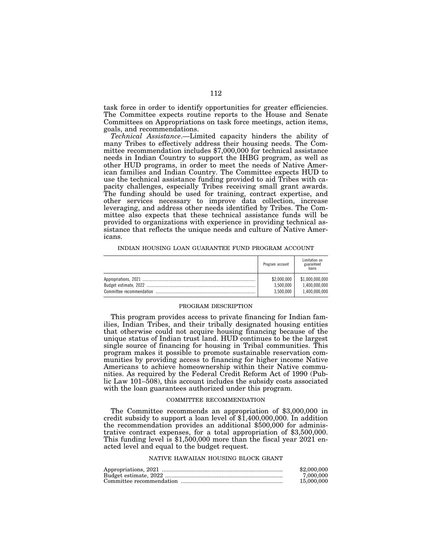task force in order to identify opportunities for greater efficiencies. The Committee expects routine reports to the House and Senate Committees on Appropriations on task force meetings, action items, goals, and recommendations.

*Technical Assistance*.—Limited capacity hinders the ability of many Tribes to effectively address their housing needs. The Committee recommendation includes \$7,000,000 for technical assistance needs in Indian Country to support the IHBG program, as well as other HUD programs, in order to meet the needs of Native American families and Indian Country. The Committee expects HUD to use the technical assistance funding provided to aid Tribes with capacity challenges, especially Tribes receiving small grant awards. The funding should be used for training, contract expertise, and other services necessary to improve data collection, increase leveraging, and address other needs identified by Tribes. The Committee also expects that these technical assistance funds will be provided to organizations with experience in providing technical assistance that reflects the unique needs and culture of Native Americans.

| Program account | Limitation on<br>guaranteed<br>loans |
|-----------------|--------------------------------------|
| \$2,000,000     | \$1,000,000,000                      |
| 3.500.000       | 1.400.000.000                        |
| 3,500,000       | 1.400.000.000                        |

### INDIAN HOUSING LOAN GUARANTEE FUND PROGRAM ACCOUNT

#### PROGRAM DESCRIPTION

This program provides access to private financing for Indian families, Indian Tribes, and their tribally designated housing entities that otherwise could not acquire housing financing because of the unique status of Indian trust land. HUD continues to be the largest single source of financing for housing in Tribal communities. This program makes it possible to promote sustainable reservation communities by providing access to financing for higher income Native Americans to achieve homeownership within their Native communities. As required by the Federal Credit Reform Act of 1990 (Public Law 101–508), this account includes the subsidy costs associated with the loan guarantees authorized under this program.

### COMMITTEE RECOMMENDATION

The Committee recommends an appropriation of \$3,000,000 in credit subsidy to support a loan level of \$1,400,000,000. In addition the recommendation provides an additional \$500,000 for administrative contract expenses, for a total appropriation of \$3,500,000. This funding level is \$1,500,000 more than the fiscal year 2021 enacted level and equal to the budget request.

## NATIVE HAWAIIAN HOUSING BLOCK GRANT

| \$2,000,000 |
|-------------|
| 7.000.000   |
| 15,000,000  |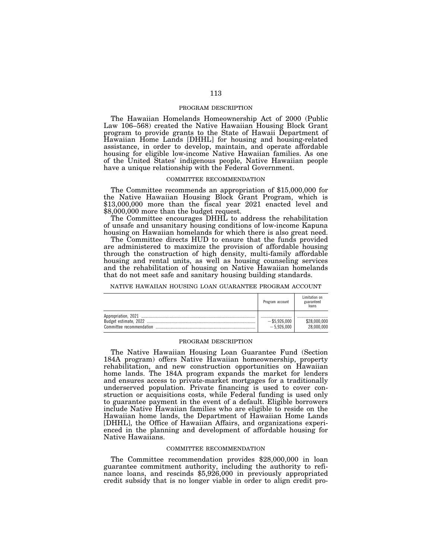## PROGRAM DESCRIPTION

The Hawaiian Homelands Homeownership Act of 2000 (Public Law 106–568) created the Native Hawaiian Housing Block Grant program to provide grants to the State of Hawaii Department of Hawaiian Home Lands [DHHL] for housing and housing-related assistance, in order to develop, maintain, and operate affordable housing for eligible low-income Native Hawaiian families. As one of the United States' indigenous people, Native Hawaiian people have a unique relationship with the Federal Government.

## COMMITTEE RECOMMENDATION

The Committee recommends an appropriation of \$15,000,000 for the Native Hawaiian Housing Block Grant Program, which is \$13,000,000 more than the fiscal year 2021 enacted level and \$8,000,000 more than the budget request.

The Committee encourages DHHL to address the rehabilitation of unsafe and unsanitary housing conditions of low-income Kapuna housing on Hawaiian homelands for which there is also great need.

The Committee directs HUD to ensure that the funds provided are administered to maximize the provision of affordable housing through the construction of high density, multi-family affordable housing and rental units, as well as housing counseling services and the rehabilitation of housing on Native Hawaiian homelands that do not meet safe and sanitary housing building standards.

### NATIVE HAWAIIAN HOUSING LOAN GUARANTEE PROGRAM ACCOUNT

|                          | Program account                     | Limitation on<br>guaranteed<br>loans |
|--------------------------|-------------------------------------|--------------------------------------|
| Committee recommendation | <br>$-$ \$5,926,000<br>$-5.926.000$ | <br>\$28,000,000<br>28,000,000       |

## PROGRAM DESCRIPTION

The Native Hawaiian Housing Loan Guarantee Fund (Section 184A program) offers Native Hawaiian homeownership, property rehabilitation, and new construction opportunities on Hawaiian home lands. The 184A program expands the market for lenders and ensures access to private-market mortgages for a traditionally underserved population. Private financing is used to cover construction or acquisitions costs, while Federal funding is used only to guarantee payment in the event of a default. Eligible borrowers include Native Hawaiian families who are eligible to reside on the Hawaiian home lands, the Department of Hawaiian Home Lands [DHHL], the Office of Hawaiian Affairs, and organizations experienced in the planning and development of affordable housing for Native Hawaiians.

## COMMITTEE RECOMMENDATION

The Committee recommendation provides \$28,000,000 in loan guarantee commitment authority, including the authority to refinance loans, and rescinds \$5,926,000 in previously appropriated credit subsidy that is no longer viable in order to align credit pro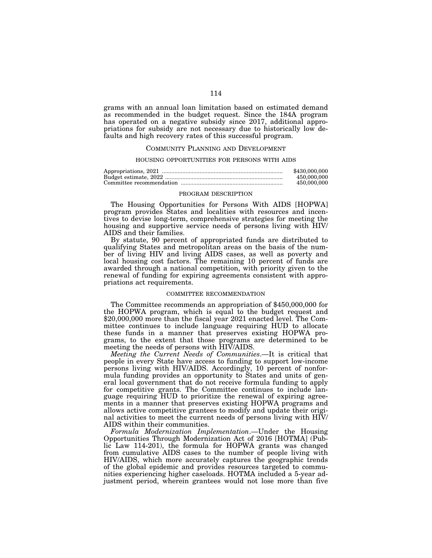grams with an annual loan limitation based on estimated demand as recommended in the budget request. Since the 184A program has operated on a negative subsidy since 2017, additional appropriations for subsidy are not necessary due to historically low defaults and high recovery rates of this successful program.

### COMMUNITY PLANNING AND DEVELOPMENT

# HOUSING OPPORTUNITIES FOR PERSONS WITH AIDS

| \$430,000,000 |
|---------------|
| 450,000,000   |
| 450.000.000   |

### PROGRAM DESCRIPTION

The Housing Opportunities for Persons With AIDS [HOPWA] program provides States and localities with resources and incentives to devise long-term, comprehensive strategies for meeting the housing and supportive service needs of persons living with HIV/ AIDS and their families.

By statute, 90 percent of appropriated funds are distributed to qualifying States and metropolitan areas on the basis of the number of living HIV and living AIDS cases, as well as poverty and local housing cost factors. The remaining 10 percent of funds are awarded through a national competition, with priority given to the renewal of funding for expiring agreements consistent with appropriations act requirements.

### COMMITTEE RECOMMENDATION

The Committee recommends an appropriation of \$450,000,000 for the HOPWA program, which is equal to the budget request and \$20,000,000 more than the fiscal year 2021 enacted level. The Committee continues to include language requiring HUD to allocate these funds in a manner that preserves existing HOPWA programs, to the extent that those programs are determined to be meeting the needs of persons with HIV/AIDS.

*Meeting the Current Needs of Communities*.—It is critical that people in every State have access to funding to support low-income persons living with HIV/AIDS. Accordingly, 10 percent of nonformula funding provides an opportunity to States and units of general local government that do not receive formula funding to apply for competitive grants. The Committee continues to include language requiring HUD to prioritize the renewal of expiring agreements in a manner that preserves existing HOPWA programs and allows active competitive grantees to modify and update their original activities to meet the current needs of persons living with HIV/ AIDS within their communities.

*Formula Modernization Implementation*.—Under the Housing Opportunities Through Modernization Act of 2016 [HOTMA] (Public Law 114-201), the formula for HOPWA grants was changed from cumulative AIDS cases to the number of people living with HIV/AIDS, which more accurately captures the geographic trends of the global epidemic and provides resources targeted to communities experiencing higher caseloads. HOTMA included a 5-year adjustment period, wherein grantees would not lose more than five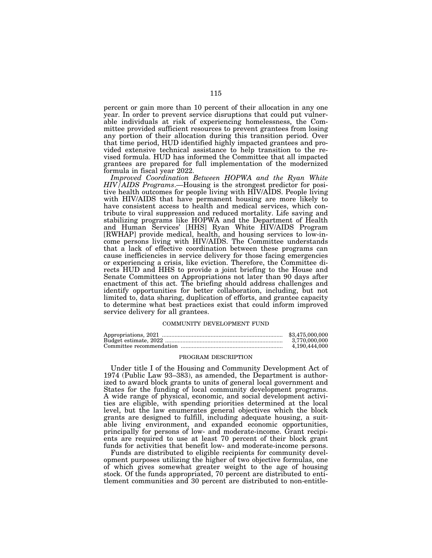percent or gain more than 10 percent of their allocation in any one year. In order to prevent service disruptions that could put vulnerable individuals at risk of experiencing homelessness, the Committee provided sufficient resources to prevent grantees from losing any portion of their allocation during this transition period. Over that time period, HUD identified highly impacted grantees and provided extensive technical assistance to help transition to the revised formula. HUD has informed the Committee that all impacted grantees are prepared for full implementation of the modernized formula in fiscal year 2022.

*Improved Coordination Between HOPWA and the Ryan White HIV/AIDS Programs*.—Housing is the strongest predictor for positive health outcomes for people living with HIV/AIDS. People living with HIV/AIDS that have permanent housing are more likely to have consistent access to health and medical services, which contribute to viral suppression and reduced mortality. Life saving and stabilizing programs like HOPWA and the Department of Health and Human Services' [HHS] Ryan White HIV/AIDS Program [RWHAP] provide medical, health, and housing services to low-income persons living with HIV/AIDS. The Committee understands that a lack of effective coordination between these programs can cause inefficiencies in service delivery for those facing emergencies or experiencing a crisis, like eviction. Therefore, the Committee directs HUD and HHS to provide a joint briefing to the House and Senate Committees on Appropriations not later than 90 days after enactment of this act. The briefing should address challenges and identify opportunities for better collaboration, including, but not limited to, data sharing, duplication of efforts, and grantee capacity to determine what best practices exist that could inform improved service delivery for all grantees.

### COMMUNITY DEVELOPMENT FUND

| \$3.475,000,000 |
|-----------------|
| 3.770.000.000   |
| 4.190.444.000   |

# PROGRAM DESCRIPTION

Under title I of the Housing and Community Development Act of 1974 (Public Law 93–383), as amended, the Department is authorized to award block grants to units of general local government and States for the funding of local community development programs. A wide range of physical, economic, and social development activities are eligible, with spending priorities determined at the local level, but the law enumerates general objectives which the block grants are designed to fulfill, including adequate housing, a suitable living environment, and expanded economic opportunities, principally for persons of low- and moderate-income. Grant recipients are required to use at least 70 percent of their block grant funds for activities that benefit low- and moderate-income persons.

Funds are distributed to eligible recipients for community development purposes utilizing the higher of two objective formulas, one of which gives somewhat greater weight to the age of housing stock. Of the funds appropriated, 70 percent are distributed to entitlement communities and 30 percent are distributed to non-entitle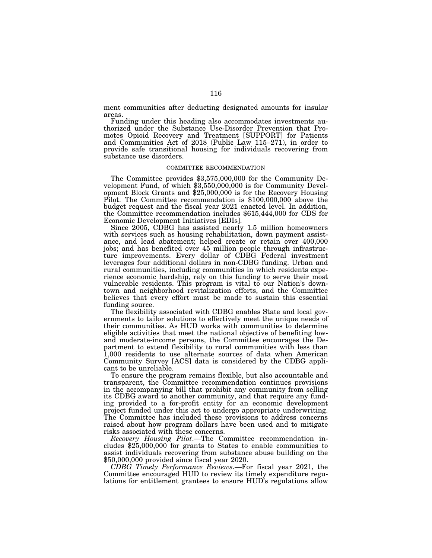ment communities after deducting designated amounts for insular areas.

Funding under this heading also accommodates investments authorized under the Substance Use-Disorder Prevention that Promotes Opioid Recovery and Treatment [SUPPORT] for Patients and Communities Act of 2018 (Public Law 115–271), in order to provide safe transitional housing for individuals recovering from substance use disorders.

## COMMITTEE RECOMMENDATION

The Committee provides \$3,575,000,000 for the Community De- velopment Fund, of which \$3,550,000,000 is for Community Development Block Grants and \$25,000,000 is for the Recovery Housing Pilot. The Committee recommendation is \$100,000,000 above the budget request and the fiscal year 2021 enacted level. In addition, the Committee recommendation includes \$615,444,000 for CDS for Economic Development Initiatives [EDIs].

Since 2005, CDBG has assisted nearly 1.5 million homeowners with services such as housing rehabilitation, down payment assistance, and lead abatement; helped create or retain over 400,000 jobs; and has benefited over 45 million people through infrastructure improvements. Every dollar of CDBG Federal investment leverages four additional dollars in non-CDBG funding. Urban and rural communities, including communities in which residents experience economic hardship, rely on this funding to serve their most vulnerable residents. This program is vital to our Nation's downtown and neighborhood revitalization efforts, and the Committee believes that every effort must be made to sustain this essential funding source.

The flexibility associated with CDBG enables State and local governments to tailor solutions to effectively meet the unique needs of their communities. As HUD works with communities to determine eligible activities that meet the national objective of benefiting lowand moderate-income persons, the Committee encourages the Department to extend flexibility to rural communities with less than 1,000 residents to use alternate sources of data when American Community Survey [ACS] data is considered by the CDBG applicant to be unreliable.

To ensure the program remains flexible, but also accountable and transparent, the Committee recommendation continues provisions in the accompanying bill that prohibit any community from selling its CDBG award to another community, and that require any funding provided to a for-profit entity for an economic development project funded under this act to undergo appropriate underwriting. The Committee has included these provisions to address concerns raised about how program dollars have been used and to mitigate risks associated with these concerns.

*Recovery Housing Pilot*.—The Committee recommendation includes \$25,000,000 for grants to States to enable communities to assist individuals recovering from substance abuse building on the \$50,000,000 provided since fiscal year 2020.

*CDBG Timely Performance Reviews*.—For fiscal year 2021, the Committee encouraged HUD to review its timely expenditure regulations for entitlement grantees to ensure HUD's regulations allow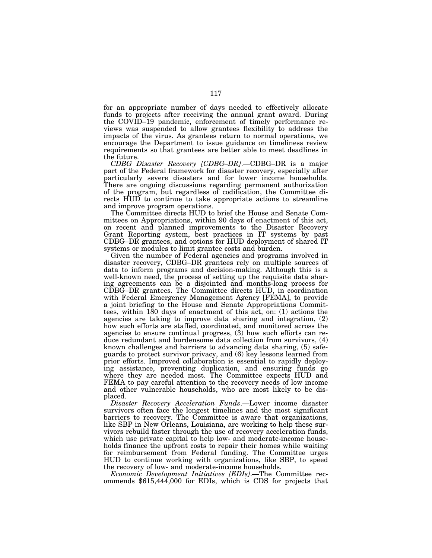for an appropriate number of days needed to effectively allocate funds to projects after receiving the annual grant award. During the COVID–19 pandemic, enforcement of timely performance reviews was suspended to allow grantees flexibility to address the impacts of the virus. As grantees return to normal operations, we encourage the Department to issue guidance on timeliness review requirements so that grantees are better able to meet deadlines in the future.

*CDBG Disaster Recovery [CDBG–DR]*.—CDBG–DR is a major part of the Federal framework for disaster recovery, especially after particularly severe disasters and for lower income households. There are ongoing discussions regarding permanent authorization of the program, but regardless of codification, the Committee directs HUD to continue to take appropriate actions to streamline and improve program operations.

The Committee directs HUD to brief the House and Senate Committees on Appropriations, within 90 days of enactment of this act, on recent and planned improvements to the Disaster Recovery Grant Reporting system, best practices in IT systems by past CDBG–DR grantees, and options for HUD deployment of shared IT systems or modules to limit grantee costs and burden.

Given the number of Federal agencies and programs involved in disaster recovery, CDBG–DR grantees rely on multiple sources of data to inform programs and decision-making. Although this is a well-known need, the process of setting up the requisite data sharing agreements can be a disjointed and months-long process for CDBG–DR grantees. The Committee directs HUD, in coordination with Federal Emergency Management Agency [FEMA], to provide a joint briefing to the House and Senate Appropriations Committees, within 180 days of enactment of this act, on: (1) actions the agencies are taking to improve data sharing and integration, (2) how such efforts are staffed, coordinated, and monitored across the agencies to ensure continual progress, (3) how such efforts can reduce redundant and burdensome data collection from survivors, (4) known challenges and barriers to advancing data sharing, (5) safeguards to protect survivor privacy, and (6) key lessons learned from prior efforts. Improved collaboration is essential to rapidly deploying assistance, preventing duplication, and ensuring funds go where they are needed most. The Committee expects HUD and FEMA to pay careful attention to the recovery needs of low income and other vulnerable households, who are most likely to be displaced.

*Disaster Recovery Acceleration Funds*.—Lower income disaster survivors often face the longest timelines and the most significant barriers to recovery. The Committee is aware that organizations, like SBP in New Orleans, Louisiana, are working to help these survivors rebuild faster through the use of recovery acceleration funds, which use private capital to help low- and moderate-income households finance the upfront costs to repair their homes while waiting for reimbursement from Federal funding. The Committee urges HUD to continue working with organizations, like SBP, to speed the recovery of low- and moderate-income households.

*Economic Development Initiatives [EDIs]*.—The Committee recommends \$615,444,000 for EDIs, which is CDS for projects that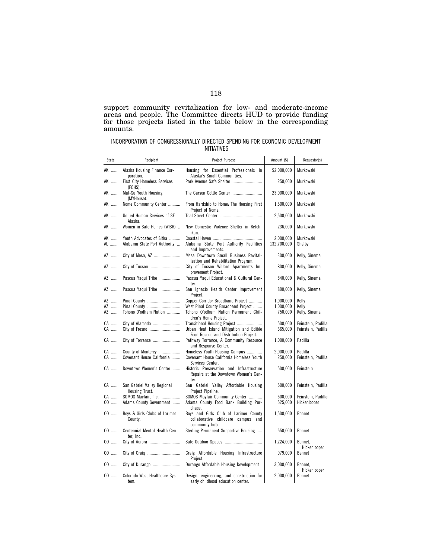support community revitalization for low- and moderate-income areas and people. The Committee directs HUD to provide funding for those projects listed in the table below in the corresponding amounts.

|  | INCORPORATION OF CONGRESSIONALLY DIRECTED SPENDING FOR ECONOMIC DEVELOPMENT |             |  |  |
|--|-----------------------------------------------------------------------------|-------------|--|--|
|  |                                                                             | INITIATIVES |  |  |

| State    | Recipient                                                   | Project Purpose                                                                          | Amount (\$)              | Requestor(s)            |
|----------|-------------------------------------------------------------|------------------------------------------------------------------------------------------|--------------------------|-------------------------|
| AK       | Alaska Housing Finance Cor-                                 | Housing for Essential Professionals In                                                   | \$2,000,000              | Murkowski               |
| AK       | poration.<br><b>First City Homeless Services</b><br>(FCHS). | Alaska's Small Communities.<br>Park Avenue Safe Shelter                                  | 250,000                  | Murkowski               |
| AK       | Mat-Su Youth Housing<br>(MYHouse).                          | The Carson Cottle Center                                                                 | 23,000,000               | Murkowski               |
| AK       | Nome Community Center                                       | From Hardship to Home: The Housing First<br>Project of Nome.                             | 1,500,000                | Murkowski               |
| AK       | United Human Services of SE<br>Alaska.                      |                                                                                          | 2,500,000                | Murkowski               |
| AK       | Women in Safe Homes (WISH)                                  | New Domestic Violence Shelter in Ketch-<br>ikan.                                         | 236,000                  | Murkowski               |
| AK<br>AL | Youth Advocates of Sitka<br>Alabama State Port Authority    | Alabama State Port Authority Facilities<br>and Improvements.                             | 2,000,000<br>132,700,000 | Murkowski<br>Shelby     |
| AZ       | City of Mesa, AZ                                            | Mesa Downtown Small Business Revital-<br>ization and Rehabilitation Program.             | 300,000                  | Kelly, Sinema           |
| AZ       | City of Tucson                                              | City of Tucson Willard Apartments Im-<br>provement Project.                              | 800,000                  | Kelly, Sinema           |
| AZ       | Pascua Yaqui Tribe                                          | Pascua Yaqui Educational & Cultural Cen-<br>ter.                                         | 840,000                  | Kelly, Sinema           |
| AZ       | Pascua Yaqui Tribe                                          | San Ignacio Health Center Improvement<br>Project.                                        | 890,000                  | Kelly, Sinema           |
| AZ       | Pinal County                                                | Copper Corridor Broadband Project                                                        | 1,000,000                | Kelly                   |
| AZ       | Pinal County                                                | West Pinal County Broadband Project                                                      | 1,000,000                | Kelly                   |
| AZ       | Tohono O'odham Nation                                       | Tohono O'odham Nation Permanent Chil-<br>dren's Home Project.                            | 750,000                  | Kelly, Sinema           |
| CA       | City of Alameda                                             | Transitional Housing Project                                                             | 500.000                  | Feinstein, Padilla      |
| CA       | City of Fresno                                              | Urban Heat Island Mitigation and Edible<br>Food Rescue and Distribution Project.         | 665,000                  | Feinstein, Padilla      |
| CA       | City of Torrance                                            | Pathway Torrance, A Community Resource<br>and Response Center.                           | 1,000,000                | Padilla                 |
| CA       | County of Monterey                                          | Homeless Youth Housing Campus                                                            | 2,000,000                | Padilla                 |
| CA       | Covenant House California                                   | Covenant House California Homeless Youth<br>Services Center.                             | 250,000                  | Feinstein, Padilla      |
| CA       | Downtown Women's Center                                     | Historic Preservation and Infrastructure<br>Repairs at the Downtown Women's Cen-<br>ter. | 500,000                  | Feinstein               |
| CA       | San Gabriel Valley Regional<br>Housing Trust.               | San Gabriel Valley Affordable Housing<br>Project Pipeline.                               | 500,000                  | Feinstein, Padilla      |
| CA       | SOMOS Mayfair, Inc.                                         | SOMOS Mayfair Community Center                                                           | 500,000                  | Feinstein, Padilla      |
| $CO$     | Adams County Government                                     | Adams County Food Bank Building Pur-<br>chase.                                           | 525,000                  | Hickenlooper            |
| $CO$     | Boys & Girls Clubs of Larimer<br>County.                    | Boys and Girls Club of Larimer County<br>collaborative childcare campus and              | 1,500,000                | Bennet                  |
| $CO$     | Centennial Mental Health Cen-                               | community hub.<br>Sterling Permanent Supportive Housing                                  | 550,000                  | Bennet                  |
| $CO$     | ter, Inc<br>City of Aurora                                  |                                                                                          | 1,224,000                | Bennet,<br>Hickenlooper |
| $CO$     | City of Craig                                               | Craig Affordable Housing Infrastructure<br>Project.                                      | 979,000                  | Bennet                  |
| $CO$     | City of Durango                                             | Durango Affordable Housing Development                                                   | 3,000,000                | Bennet,<br>Hickenlooper |
| $CO$     | Colorado West Healthcare Sys-<br>tem.                       | Design, engineering, and construction for<br>early childhood education center.           | 2,000,000                | Bennet                  |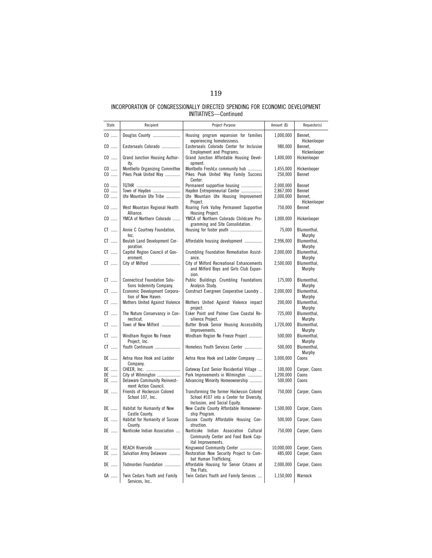| State                | Recipient                                                       | Project Purpose                                                                                                        | Amount (\$)                         | Requestor(s)                                |
|----------------------|-----------------------------------------------------------------|------------------------------------------------------------------------------------------------------------------------|-------------------------------------|---------------------------------------------|
| $CO$                 | Douglas County                                                  | Housing program expansion for families                                                                                 | 1,000,000                           | Bennet,                                     |
| $CO$                 | Easterseals Colorado                                            | experiencing homelessness.<br>Easterseals Colorado Center for Inclusive                                                | 980,000                             | Hickenlooper<br>Bennet,                     |
| $CO$                 | Grand Junction Housing Author-                                  | <b>Employment and Programs.</b><br>Grand Junction Affordable Housing Devel-<br>opment.                                 | 1,400,000                           | Hickenlooper<br>Hickenlooper                |
| $CO$<br>$CO$         | ity.<br>Montbello Organizing Committee<br>Pikes Peak United Way | Montbello FreshLo community hub<br>Pikes Peak United Way Family Success<br>Center.                                     | 1,455,000<br>250,000                | Hickenlooper<br>Bennet                      |
| $CO$<br>$CO$<br>$CO$ | Town of Hayden<br>Ute Mountain Ute Tribe                        | Permanent supportive housing<br>Hayden Entrepreneurial Center<br>Ute Mountain Ute Housing Improvement<br>Project.      | 2.000.000<br>2,867,000<br>2,000,000 | Bennet<br>Bennet<br>Bennet,<br>Hickenlooper |
| $CO$                 | West Mountain Regional Health<br>Alliance.                      | Roaring Fork Valley Permanent Supportive<br>Housing Project.                                                           | 750,000                             | Bennet                                      |
| $CO$                 | YMCA of Northern Colorado                                       | YMCA of Northern Colorado Childcare Pro-<br>gramming and Site Consolidation.                                           | 1,000,000                           | Hickenlooper                                |
| $CT$                 | Annie C Courtney Foundation,<br>Inc.                            | Housing for foster youth                                                                                               | 75,000                              | Blumenthal,<br>Murphy                       |
| $CT$                 | Beulah Land Development Cor-<br>poration.                       | Affordable housing development                                                                                         | 2,996,000                           | Blumenthal,<br>Murphy                       |
| $CT$                 | Capitol Region Council of Gov-<br>ernment.                      | Crumbling Foundation Remediation Assist-<br>ance.                                                                      | 2,000,000                           | Blumenthal,<br>Murphy                       |
| $CT$                 | City of Milford                                                 | City of Milford Recreational Enhancements<br>and Milford Boys and Girls Club Expan-<br>sion.                           | 2,500,000                           | Blumenthal,<br>Murphy                       |
| $CT$                 | <b>Connecticut Foundation Solu-</b><br>tions Indemnity Company. | Public Buildings Crumbling Foundations<br>Analysis Study.                                                              | 175,000                             | Blumenthal,<br>Murphy                       |
| $CT$                 | Economic Development Corpora-<br>tion of New Haven.             | Construct Evergreen Cooperative Laundry                                                                                | 2,000,000                           | Blumenthal,<br>Murphy                       |
| $CT$                 | Mothers United Against Violence                                 | Mothers United Against Violence impact<br>project.                                                                     | 200,000                             | Blumenthal,<br>Murphy                       |
| $CT$                 | The Nature Conservancy in Con-<br>necticut.                     | Esker Point and Palmer Cove Coastal Re-<br>silience Proiect.                                                           | 725,000                             | Blumenthal,<br>Murphy                       |
| $CT$                 | Town of New Milford                                             | Butter Brook Senior Housing Accessibility<br>Improvements.                                                             | 1,720,000                           | Blumenthal,<br>Murphy                       |
| $CT$                 | Windham Region No Freeze<br>Project. Inc.                       | Windham Region No Freeze Project                                                                                       | 500,000                             | Blumenthal,<br>Murphy                       |
| $CT$                 | Youth Continuum                                                 | Homeless Youth Services Center                                                                                         | 500,000                             | Blumenthal,<br>Murphy                       |
| DE                   | Aetna Hose Hook and Ladder<br>Company.                          | Aetna Hose Hook and Ladder Company                                                                                     | 3,000,000                           | Coons                                       |
| DE<br>DE             | City of Wilmington                                              | Gateway East Senior Residential Village<br>Park Improvements in Wilmington                                             | 100,000<br>1,200,000                | Carper, Coons<br>Coons                      |
| DE                   | <b>Delaware Community Reinvest-</b><br>ment Action Council.     | Advancing Minority Homeownership                                                                                       | 500,000                             | Coons                                       |
| DE                   | Friends of Hockessin Colored<br>School 107, Inc                 | Transforming the former Hockessin Colored<br>School #107 into a Center for Diversity,<br>Inclusion, and Social Equity. | 750,000                             | Carper, Coons                               |
| DE                   | Habitat for Humanity of New<br>Castle County.                   | New Castle County Affordable Homeowner-<br>ship Program.                                                               | 1,500,000                           | Carper, Coons                               |
| DE                   | Habitat for Humanity of Sussex<br>County.                       | Sussex County Affordable Housing Con-<br>struction.                                                                    | 500,000                             | Carper, Coons                               |
| DE                   | Nanticoke Indian Association                                    | Nanticoke Indian Association Cultural<br>Community Center and Food Bank Cap-<br>ital Improvements.                     | 750,000                             | Carper, Coons                               |
| DE<br>DE             | REACH Riverside<br>Salvation Army Delaware                      | Kingswood Community Center<br>Restoration Now Security Project to Com-                                                 | 10,000,000<br>485,000               | Carper, Coons<br>Carper, Coons              |
|                      |                                                                 | bat Human Trafficking.                                                                                                 |                                     |                                             |
| DE                   | Todmorden Foundation                                            | Affordable Housing for Senior Citizens at<br>The Flats.                                                                | 2,000,000                           | Carper, Coons                               |
| GA                   | Twin Cedars Youth and Family<br>Services, Inc                   | Twin Cedars Youth and Family Services                                                                                  | 1,150,000                           | Warnock                                     |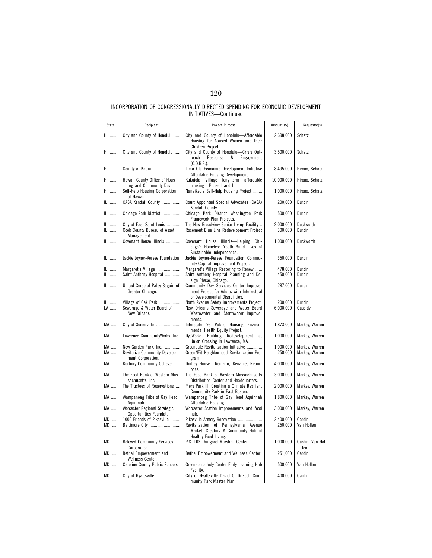| State         | Recipient                                                                   | Project Purpose                                                                                                                                                    | Amount (\$)          | Requestor(s)                     |
|---------------|-----------------------------------------------------------------------------|--------------------------------------------------------------------------------------------------------------------------------------------------------------------|----------------------|----------------------------------|
| HI            | City and County of Honolulu                                                 | City and County of Honolulu-Affordable<br>Housing for Abused Women and their<br>Children Project.                                                                  | 2,698,000            | Schatz                           |
| HI            | City and County of Honolulu                                                 | City and County of Honolulu-Crisis Out-<br>reach<br>Response<br>&<br>Engagement<br>(C.0.R.E.).                                                                     | 3,500,000            | Schatz                           |
| HI            | County of Kauai                                                             | Lima Ola Economic Development Initiative<br>Affordable Housing Development.                                                                                        | 8,495,000            | Hirono, Schatz                   |
| HI            | Hawaii County Office of Hous-<br>ing and Community Dev                      | Kukuiola Village long-term affordable<br>housing-Phase I and II.                                                                                                   | 10,000,000           | Hirono, Schatz                   |
| HI            | Self-Help Housing Corporation<br>of Hawaii.                                 | Nanaikeola Self-Help Housing Project                                                                                                                               | 1,000,000            | Hirono, Schatz                   |
| IL            | CASA Kendall County                                                         | Court Appointed Special Advocates (CASA)<br>Kendall County.                                                                                                        | 200,000              | Durbin                           |
| IL            | Chicago Park District                                                       | Chicago Park District Washington Park<br>Framework Plan Projects.                                                                                                  | 500,000              | Durbin                           |
| IL<br>IL      | City of East Saint Louis<br>Cook County Bureau of Asset<br>Management.      | The New Broadview Senior Living Facility<br>Rosemont Blue Line Redevelopment Project                                                                               | 2,000,000<br>300,000 | Duckworth<br><b>Durbin</b>       |
| IL            | Covenant House Illinois                                                     | Covenant House Illinois-Helping Chi-<br>cago's Homeless Youth Build Lives of<br>Sustainable Independence.                                                          | 1,000,000            | Duckworth                        |
| IL            | Jackie Joyner-Kersee Foundation                                             | Jackie Joyner-Kersee Foundation Commu-<br>nity Capital Improvement Project.                                                                                        | 350,000              | Durbin                           |
| IL<br>IL      | Margaret's Village<br>Saint Anthony Hospital                                | Margaret's Village Restoring to Renew<br>Saint Anthony Hospital Planning and De-<br>sign Phase, Chicago.                                                           | 478,000<br>450,000   | Durbin<br><b>Durbin</b>          |
| $\mathsf{IL}$ | United Cerebral Palsy Seguin of<br>Greater Chicago.                         | Community Day Services Center Improve-<br>ment Project for Adults with Intellectual                                                                                | 287,000              | Durbin                           |
| IL<br>LA      | Village of Oak Park<br>Sewerage & Water Board of<br>New Orleans.            | or Developmental Disabilities.<br>North Avenue Safety Improvements Project<br>New Orleans Sewerage and Water Board<br>Wastewater and Stormwater Improve-<br>ments. | 200,000<br>6,000,000 | Durbin<br>Cassidy                |
| MA            | City of Somerville                                                          | Interstate 93 Public Housing Environ-<br>mental Health Equity Project.                                                                                             | 1,873,000            | Markey, Warren                   |
| MA            | Lawrence CommunityWorks, Inc.                                               | DyeWorks Building Redevelopment at<br>Union Crossing in Lawrence, MA.                                                                                              | 1,000,000            | Markey, Warren                   |
| MA<br>MA      | New Garden Park, Inc.<br>Revitalize Community Develop-<br>ment Corporation. | Greendale Revitalization Initiative<br>GreenNFit Neighborhood Revitalization Pro-<br>gram.                                                                         | 1,000,000<br>250,000 | Markey, Warren<br>Markey, Warren |
| MA            | Roxbury Community College                                                   | Dudley House-Reclaim, Rename, Repur-<br>pose.                                                                                                                      | 4,000,000            | Markey, Warren                   |
| MA            | The Food Bank of Western Mas-<br>sachusetts. Inc                            | The Food Bank of Western Massachusetts<br>Distribution Center and Headquarters.                                                                                    | 3,000,000            | Markey, Warren                   |
| MA            | The Trustees of Reservations                                                | Piers Park III, Creating a Climate Resilient<br>Community Park in East Boston.                                                                                     | 2,000,000            | Markey, Warren                   |
| MA            | Wampanoag Tribe of Gay Head<br>Aquinnah.                                    | Wampanoag Tribe of Gay Head Aquinnah<br>Affordable Housing.                                                                                                        | 1,800,000            | Markey, Warren                   |
| MA            | Worcester Regional Strategic<br>Opportunities Foundat.                      | Worcester Station Improvements and food<br>hub.                                                                                                                    | 3,000,000            | Markey, Warren                   |
| $MD$<br>MD    | 1000 Friends of Pikesville<br>Baltimore City                                | Pikesville Armory Renovation<br>Revitalization of Pennsylvania Avenue<br>Market: Creating A Community Hub of<br>Healthy Food Living.                               | 2,400,000<br>250,000 | Cardin<br>Van Hollen             |
| MD            | <b>Beloved Community Services</b><br>Corporation.                           | P.S. 103 Thurgood Marshall Center                                                                                                                                  | 1,000,000            | Cardin, Van Hol-<br>len          |
| MD            | Bethel Empowerment and<br>Wellness Center.                                  | Bethel Empowerment and Wellness Center                                                                                                                             | 251,000              | Cardin                           |
| $MD$          | <b>Caroline County Public Schools</b>                                       | Greensboro Judy Center Early Learning Hub<br>Facility.                                                                                                             | 500,000              | Van Hollen                       |
| MD            | City of Hyattsville                                                         | City of Hyattsville David C. Driscoll Com-<br>munity Park Master Plan.                                                                                             | 400,000              | Cardin                           |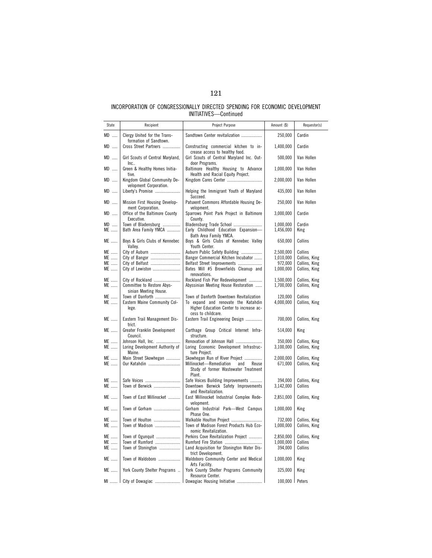| State      | Recipient                                              | Project Purpose                                                                             | Amount (\$)            | Requestor(s)             |
|------------|--------------------------------------------------------|---------------------------------------------------------------------------------------------|------------------------|--------------------------|
| MD         | Clergy United for the Trans-                           | Sandtown Center revitalization                                                              | 250,000                | Cardin                   |
| $MD$       | formation of Sandtown.<br>Cross Street Partners        | Constructing commercial kitchen to in-                                                      | 1,400,000              | Cardin                   |
| $MD$       | Girl Scouts of Central Maryland,                       | crease access to healthy food.<br>Girl Scouts of Central Maryland Inc. Out-                 | 500,000                | Van Hollen               |
| $MD$       | Inc<br>Green & Healthy Homes Initia-<br>tive.          | door Programs.<br>Baltimore Healthy Housing to Advance<br>Health and Racial Equity Project. | 1,000,000              | Van Hollen               |
| $MD$       | Kingdom Global Community De-<br>velopment Corporation. | Kingdom Cares Center                                                                        | 2,000,000              | Van Hollen               |
| MD         | Liberty's Promise                                      | Helping the Immigrant Youth of Maryland<br>Succeed.                                         | 435,000                | Van Hollen               |
| $MD$       | Mission First Housing Develop-<br>ment Corporation.    | Patuxent Commons Affordable Housing De-<br>velopment.                                       | 250,000                | Van Hollen               |
| $MD$       | Office of the Baltimore County<br>Executive.           | Sparrows Point Park Project in Baltimore<br>Countv.                                         | 3,000,000              | Cardin                   |
| MD<br>ME   | Town of Bladensburg<br>Bath Area Family YMCA           | Bladensburg Trade School<br>Early Childhood Education Expansion-                            | 1,000,000<br>1,456,000 | Cardin<br>King           |
| ME         | Boys & Girls Clubs of Kennebec                         | Bath Area Family YMCA.<br>Boys & Girls Clubs of Kennebec Valley                             | 650,000                | Collins                  |
| ME         | Valley.<br>City of Auburn                              | Youth Center.<br>Auburn Public Safety Building                                              | 2,500,000              | Collins                  |
| ME         | City of Bangor                                         | Bangor Commercial Kitchen Incubator                                                         | 1,010,000              | Collins, King            |
| $ME$       | City of Belfast                                        | Belfast Street Improvements                                                                 | 972,000                | Collins, King            |
| ME         | City of Lewiston                                       | Bates Mill #5 Brownfields Cleanup and<br>renovations.                                       | 1,000,000              | Collins, King            |
| ME         | City of Rockland                                       | Rockland Fish Pier Redevelopment                                                            | 1,500,000              | Collins, King            |
| ME         | Committee to Restore Abys-<br>sinian Meeting House.    | Abyssinian Meeting House Restoration                                                        | 1,700,000              | Collins, King            |
| ME         | Town of Danforth                                       | Town of Danforth Downtown Revitalization                                                    | 120,000                | Collins                  |
| ME         | Eastern Maine Community Col-                           | To expand and renovate the Katahdin                                                         | 4,000,000              | Collins, King            |
|            | lege.                                                  | Higher Education Center to increase ac-<br>cess to childcare.                               |                        |                          |
| ME         | Eastern Trail Management Dis-<br>trict.                | Eastern Trail Engineering Design                                                            | 700,000                | Collins, King            |
| ME         | Greater Franklin Development<br>Council.               | Carthage Group Critical Internet Infra-<br>structure.                                       | 514,000                | King                     |
| ME         | Johnson Hall, Inc.                                     | Renovation of Johnson Hall                                                                  | 350,000                | Collins, King            |
| ME         | Loring Development Authority of<br>Maine.              | Loring Economic Development Infrastruc-<br>ture Project.                                    | 3,100,000              | Collins, King            |
| ME         | Main Street Skowhegan                                  | Skowhegan Run of River Project                                                              | 2,000,000              | Collins, King            |
| ME         | Our Katahdin                                           | Millinocket-Remediation<br>and<br>Reuse<br>Study of former Wastewater Treatment             | 671,000                | Collins, King            |
|            |                                                        | Plant.                                                                                      | 394,000                |                          |
| ME<br>$ME$ | Safe Voices<br>Town of Berwick                         | Safe Voices Building Improvements<br>Downtown Berwick Safety Improvements                   | 3,142,000              | Collins, King<br>Collins |
|            |                                                        | and Revitalization.                                                                         |                        |                          |
| ME         | Town of East Millinocket                               | East Millinocket Industrial Complex Rede-<br>velopment.                                     | 2,851,000              | Collins, King            |
| ME         | Town of Gorham                                         | Gorham Industrial Park-West Campus<br>Phase One.                                            | 1,000,000              | King                     |
| ME         | Town of Houlton                                        | Walkable Houlton Project                                                                    | 732,000                | Collins, King            |
| ME         | Town of Madison                                        | Town of Madison Forest Products Hub Eco-<br>nomic Revitalization.                           | 1,000,000              | Collins, King            |
| ME         | Town of Ogunquit                                       | Perkins Cove Revitalization Project                                                         | 2,850,000              | Collins, King            |
| ME         | Town of Rumford                                        |                                                                                             | 1,000,000              | Collins                  |
| ME         | Town of Stonington                                     | Land Acquisition for Stonington Water Dis-<br>trict Development.                            | 394,000                | Collins                  |
| ME         | Town of Waldoboro                                      | Waldoboro Community Center and Medical<br>Arts Facility.                                    | 1,000,000              | King                     |
| ME         | York County Shelter Programs                           | York County Shelter Programs Community<br>Resource Center.                                  | 325,000                | King                     |
|            |                                                        | MI    City of Dowagiac    Dowagiac Housing Initiative                                       | 100,000   Peters       |                          |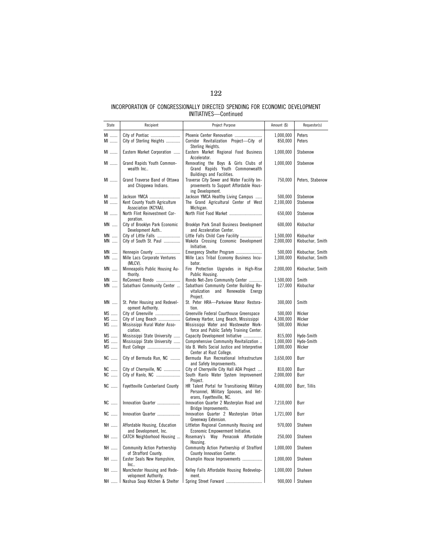| State                              | Recipient                                                             | Project Purpose                                                                                                               | Amount (\$)            | Requestor(s)                         |
|------------------------------------|-----------------------------------------------------------------------|-------------------------------------------------------------------------------------------------------------------------------|------------------------|--------------------------------------|
|                                    |                                                                       |                                                                                                                               |                        |                                      |
| MI<br>MI                           | City of Pontiac<br>City of Sterling Heights                           | Phoenix Center Renovation<br>Corridor Revitalization Project-City of<br>Sterling Heights.                                     | 1,000,000<br>850,000   | Peters<br>Peters                     |
| MI                                 | Eastern Market Corporation                                            | Eastern Market Regional Food Business<br>Accelerator.                                                                         | 1,000,000              | Stabenow                             |
| MI                                 | Grand Rapids Youth Common-<br>wealth Inc                              | Renovating the Boys & Girls Clubs of<br>Grand Rapids Youth Commonwealth<br>Buildings and Facilities.                          | 1,000,000              | Stabenow                             |
| MI                                 | Grand Traverse Band of Ottawa<br>and Chippewa Indians.                | Traverse City Sewer and Water Facility Im-<br>provements to Support Affordable Hous-<br>ing Development.                      | 750,000                | Peters, Stabenow                     |
| MI<br>MI                           | Jackson YMCA<br>Kent County Youth Agriculture<br>Association (KCYAA). | Jackson YMCA Healthy Living Campus<br>The Grand Agricultural Center of West<br>Michigan.                                      | 500,000<br>2,100,000   | Stabenow<br>Stabenow                 |
| MI                                 | North Flint Reinvestment Cor-<br>poration.                            | North Flint Food Market                                                                                                       | 650,000                | Stabenow                             |
| $MN$                               | City of Brooklyn Park Economic<br>Development Auth                    | Brooklyn Park Small Business Development<br>and Acceleration Center.                                                          | 600,000                | Klobuchar                            |
| $\textsf{MN}\ \dots\ldots$<br>$MN$ | City of Little Falls<br>City of South St. Paul                        | Little Falls Child Care Facility<br>Wakota Crossing Economic Development<br>Initiative.                                       | 1,500,000<br>2,000,000 | Klobuchar<br>Klobuchar, Smith        |
| $MN$<br>$MN$                       | Hennepin County<br>Mille Lacs Corporate Ventures<br>(MLCV).           | Emergency Shelter Program<br>Mille Lacs Tribal Economy Business Incu-<br>bator.                                               | 500,000<br>1,300,000   | Klobuchar, Smith<br>Klobuchar, Smith |
| $MN$                               | Minneapolis Public Housing Au-<br>thority.                            | Fire Protection Upgrades in High-Rise<br>Public Housing.                                                                      | 2,000,000              | Klobuchar, Smith                     |
| $MN$<br>$MN$                       | ReConnect Rondo<br>Sabathani Community Center                         | Rondo Net-Zero Community Center<br>Sabathani Community Center Building Re-<br>vitalization and Renewable Energy<br>Project.   | 1,500,000<br>127,000   | Smith<br>Klobuchar                   |
| $MN$                               | St. Peter Housing and Redevel-<br>opment Authority.                   | St. Peter HRA-Parkview Manor Restora-<br>tion.                                                                                | 300,000                | Smith                                |
| MS                                 | City of Greenville                                                    | Greenville Federal Courthouse Greenspace                                                                                      | 500,000                | Wicker                               |
| $MS$<br>MS                         | City of Long Beach<br>Mississippi Rural Water Asso-<br>ciation.       | Gateway Harbor, Long Beach, Mississippi<br>Mississippi Water and Wastewater Work-<br>force and Public Safety Training Center. | 4,300,000<br>500,000   | Wicker<br>Wicker                     |
| $MS$                               | Mississippi State University                                          | Capacity Development Initiative                                                                                               | 815,000                | Hyde-Smith                           |
| MS<br>MS                           | Mississippi State University<br>Rust College                          | Comprehensive Community Revitalization<br>Ida B. Wells Social Justice and Interpretive                                        | 1,000,000<br>1,000,000 | Hyde-Smith<br>Wicker                 |
| NC                                 | City of Bermuda Run, NC                                               | Center at Rust College.<br>Bermuda Run Recreational Infrastructure<br>and Safety Improvements.                                | 3,650,000              | Burr                                 |
| NC                                 | City of Cherryville, NC                                               | City of Cherryville City Hall ADA Project                                                                                     | 810,000                | Burr                                 |
| NC                                 | City of Ranlo, NC                                                     | South Ranlo Water System Improvement<br>Project.                                                                              | 2,000,000              | Burr                                 |
| <b>NC</b>                          | <b>Fayetteville Cumberland County</b>                                 | HR Talent Portal for Transitioning Military<br>Personnel, Military Spouses, and Vet-<br>erans, Fayetteville, NC.              | 4,000,000              | Burr, Tillis                         |
| $\mathsf{NC}$                      | Innovation Quarter                                                    | Innovation Quarter 2 Masterplan Road and<br>Bridge Improvements.                                                              | 7,210,000              | Burr                                 |
| $NC$                               | Innovation Quarter                                                    | Innovation Quarter 2 Masterplan Urban<br>Greenway Extension.                                                                  | 1,721,000              | Burr                                 |
| NH                                 | Affordable Housing, Education                                         | Littleton Regional Community Housing and                                                                                      | 970,000                | Shaheen                              |
| NH                                 | and Development, Inc.<br>CATCH Neighborhood Housing                   | Economic Empowerment Initiative.<br>Rosemary's Way Penacook Affordable<br>Housing.                                            | 250,000                | Shaheen                              |
| NH                                 | <b>Community Action Partnership</b><br>of Strafford County.           | Community Action Partnership of Strafford<br>County Innovation Center.                                                        | 1,000,000              | Shaheen                              |
| NH                                 | Easter Seals New Hampshire,<br>Inc                                    | Champlin House Improvements                                                                                                   | 1,000,000              | Shaheen                              |
| NH                                 | Manchester Housing and Rede-<br>velopment Authority.                  | Kelley Falls Affordable Housing Redevelop-<br>ment.                                                                           | 1,000,000              | Shaheen                              |
|                                    | NH    Nashua Soup Kitchen & Shelter                                   | Spring Street Forward                                                                                                         |                        | 900,000 Shaheen                      |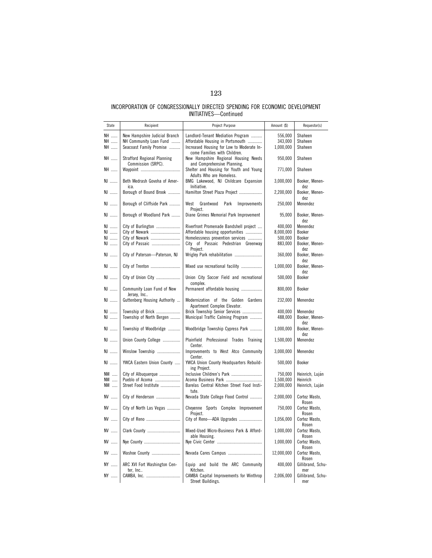| State          | Recipient                                                                          | Project Purpose                                                                                                                                    | Amount (\$)                     | Requestor(s)                      |
|----------------|------------------------------------------------------------------------------------|----------------------------------------------------------------------------------------------------------------------------------------------------|---------------------------------|-----------------------------------|
| NH<br>NH<br>NH | New Hampshire Judicial Branch<br>NH Community Loan Fund<br>Seacoast Family Promise | Landlord-Tenant Mediation Program<br>Affordable Housing in Portsmouth<br>Increased Housing for Low to Moderate In-<br>come Families with Children. | 556,000<br>343,000<br>1,000,000 | Shaheen<br>Shaheen<br>Shaheen     |
| NH             | <b>Strafford Regional Planning</b><br>Commission (SRPC).                           | New Hampshire Regional Housing Needs<br>and Comprehensive Planning.                                                                                | 950,000                         | Shaheen                           |
| NH             |                                                                                    | Shelter and Housing for Youth and Young<br>Adults Who are Homeless.                                                                                | 771,000                         | Shaheen                           |
| NJ             | Beth Medrash Govoha of Amer-<br>ica.                                               | BMG Lakewood, NJ Childcare Expansion<br>Initiative.                                                                                                | 3,000,000                       | Booker, Menen-<br>dez             |
| NJ             | Borough of Bound Brook                                                             | Hamilton Street Plaza Project                                                                                                                      | 2,200,000                       | Booker, Menen-<br>dez             |
| NJ             | Borough of Cliffside Park                                                          | West<br>Grantwood<br>Park<br>Improvements<br>Project.                                                                                              | 250,000                         | Menendez                          |
| NJ             | Borough of Woodland Park                                                           | Diane Grimes Memorial Park Improvement                                                                                                             | 95,000                          | Booker, Menen-<br>dez             |
| NJ<br>NJ       | City of Burlington<br>City of Newark                                               | Riverfront Promenade Bandshell project<br>Affordable housing opportunities                                                                         | 400,000<br>8,000,000            | Menendez<br>Booker                |
| NJ             | City of Newark                                                                     | Homelessness prevention services                                                                                                                   | 500,000                         | Booker                            |
| NJ             | City of Passaic                                                                    | City of Passaic Pedestrian Greenway                                                                                                                | 883,000                         | Booker, Menen-                    |
| NJ             | City of Paterson-Paterson, NJ                                                      | Project.<br>Wrigley Park rehabilitation                                                                                                            | 360,000                         | dez<br>Booker, Menen-<br>dez      |
| NJ             | City of Trenton                                                                    | Mixed use recreational facility                                                                                                                    | 1,000,000                       | Booker, Menen-<br>dez             |
| NJ             | City of Union City                                                                 | Union City Soccer Field and recreational<br>complex.                                                                                               | 500,000                         | Booker                            |
| NJ             | Community Loan Fund of New<br>Jersey, Inc                                          | Permanent affordable housing                                                                                                                       | 800,000                         | Booker                            |
| NJ             | Guttenberg Housing Authority                                                       | Modernization of the Golden Gardens<br>Apartment Complex Elevator.                                                                                 | 232,000                         | Menendez                          |
| NJ<br>NJ       | Township of Brick<br>Township of North Bergen                                      | Brick Township Senior Services<br>Municipal Traffic Calming Program                                                                                | 400,000<br>488,000              | Menendez<br>Booker, Menen-<br>dez |
| NJ             | Township of Woodbridge                                                             | Woodbridge Township Cypress Park                                                                                                                   | 1,000,000                       | Booker, Menen-<br>dez             |
| NJ             | Union County College                                                               | Plainfield Professional Trades Training<br>Center.                                                                                                 | 1,500,000                       | Menendez                          |
| NJ             | Winslow Township                                                                   | Improvements to West Atco Community<br>Center.                                                                                                     | 3,000,000                       | Menendez                          |
| NJ             | YWCA Eastern Union County                                                          | YWCA Union County Headquarters Rebuild-<br>ing Project.                                                                                            | 500,000                         | Booker                            |
| NM             | City of Albuquerque                                                                | Inclusive Children's Park                                                                                                                          | 750,000                         | Heinrich, Luján                   |
| NM             | Pueblo of Acoma                                                                    | Acoma Business Park                                                                                                                                | 1,500,000                       | Heinrich                          |
| NM             | Street Food Institute                                                              | Barelas Central Kitchen Street Food Insti-<br>tute.                                                                                                | 2,000,000                       | Heinrich, Luján                   |
| NV             | City of Henderson                                                                  | Nevada State College Flood Control                                                                                                                 | 2,000,000                       | Cortez Masto,<br>Rosen            |
| NV             | City of North Las Vegas                                                            | Cheyenne Sports Complex Improvement<br>Project.                                                                                                    | 750,000                         | Cortez Masto,<br>Rosen            |
| NV             |                                                                                    | City of Reno-ADA Upgrades                                                                                                                          | 1,056,000                       | Cortez Masto,<br>Rosen            |
| NV             | Clark County                                                                       | Mixed-Used Micro-Business Park & Afford-<br>able Housing.                                                                                          | 1,000,000                       | Cortez Masto,<br>Rosen            |
| NV             | Nye County                                                                         |                                                                                                                                                    | 1,000,000                       | Cortez Masto,<br>Rosen            |
| NV             | Washoe County                                                                      | Nevada Cares Campus                                                                                                                                | 12,000,000                      | Cortez Masto,<br>Rosen            |
| NY             | ARC XVI Fort Washington Cen-<br>ter, Inc                                           | Equip and build the ARC Community<br>Kitchen.                                                                                                      | 400,000                         | Gillibrand, Schu-<br>mer          |
| NY             | CAMBA, Inc.                                                                        | CAMBA Capital Improvements for Winthrop<br>Street Buildings.                                                                                       | 2,006,000                       | Gillibrand, Schu-<br>mer          |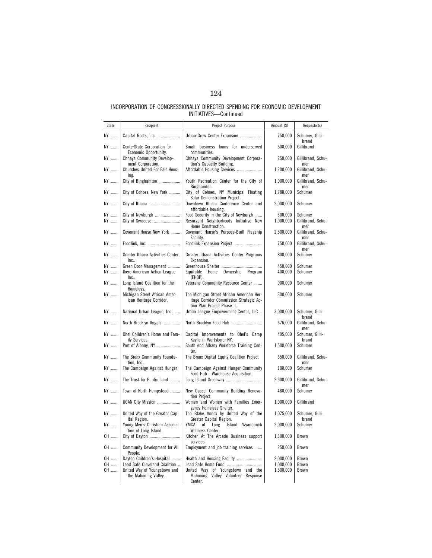| State          | Recipient                                                                                                           | Project Purpose                                                                                                                         | Amount (\$)                         | Requestor(s)                          |
|----------------|---------------------------------------------------------------------------------------------------------------------|-----------------------------------------------------------------------------------------------------------------------------------------|-------------------------------------|---------------------------------------|
| NY             | Capital Roots, Inc.                                                                                                 | Urban Grow Center Expansion                                                                                                             | 750,000                             | Schumer, Gilli-                       |
| NY             | CenterState Corporation for                                                                                         | Small business loans for underserved                                                                                                    | 500,000                             | brand<br>Gillibrand                   |
| NY             | Economic Opportunity.<br>Chhaya Community Develop-                                                                  | communities.<br>Chhaya Community Development Corpora-                                                                                   | 250,000                             | Gillibrand, Schu-                     |
| NY             | ment Corporation.<br>Churches United For Fair Hous-<br>ing.                                                         | tion's Capacity Building.<br>Affordable Housing Services                                                                                | 1,200,000                           | mer<br>Gillibrand, Schu-<br>mer       |
| NY             | City of Binghamton                                                                                                  | Youth Recreation Center for the City of<br>Binghamton.                                                                                  | 1,000,000                           | Gillibrand, Schu-<br>mer              |
| NY             | City of Cohoes, New York                                                                                            | City of Cohoes, NY Municipal Floating<br>Solar Demonstration Project.                                                                   | 1,788,000                           | Schumer                               |
| NY             | City of Ithaca                                                                                                      | Downtown Ithaca Conference Center and<br>affordable housing.                                                                            | 2,000,000                           | Schumer                               |
| NY<br>NY       | City of Newburgh<br>City of Syracuse                                                                                | Food Security in the City of Newburgh<br>Resurgent Neighborhoods Initiative New<br>Home Construction.                                   | 300,000<br>1,000,000                | Schumer<br>Gillibrand, Schu-<br>mer   |
| NY             | Covenant House New York                                                                                             | Covenant House's Purpose-Built Flagship<br>Facility.                                                                                    | 2,500,000                           | Gillibrand, Schu-<br>mer              |
| NY             | Foodlink, Inc.                                                                                                      | Foodlink Expansion Project                                                                                                              | 750,000                             | Gillibrand, Schu-<br>mer              |
| NY             | Greater Ithaca Activities Center,<br>Inc.                                                                           | Greater Ithaca Activities Center Programs<br>Expansion.                                                                                 | 800,000                             | Schumer                               |
| NY<br>NY       | Green Door Management<br>Ibero-American Action League<br>Inc.                                                       | Home Ownership Program<br>Equitable<br>(EHOP).                                                                                          | 450,000<br>400,000                  | Schumer<br>Schumer                    |
| NY             | Long Island Coalition for the<br>Homeless.                                                                          | Veterans Community Resource Center                                                                                                      | 900,000                             | Schumer                               |
| NY             | Michigan Street African Amer-<br>ican Heritage Corridor.                                                            | The Michigan Street African American Her-<br>itage Corridor Commission Strategic Ac-<br>tion Plan Project Phase II.                     | 300,000                             | Schumer                               |
| NY             | National Urban League, Inc.                                                                                         | Urban League Empowerment Center, LLC                                                                                                    | 3,000,000                           | Schumer, Gilli-<br>brand              |
| NY             | North Brooklyn Angels                                                                                               | North Brooklyn Food Hub                                                                                                                 | 676,000                             | Gillibrand, Schu-<br>mer              |
| NY             | Ohel Children's Home and Fam-<br>ily Services.                                                                      | Capital Improvements to Ohel's Camp<br>Kaylie in Wurtsboro, NY.                                                                         | 495,000                             | Schumer, Gilli-<br>brand              |
| NY             | Port of Albany, NY                                                                                                  | South end Albany Workforce Training Cen-<br>ter.                                                                                        | 1,500,000                           | Schumer                               |
| NY             | The Bronx Community Founda-<br>tion. Inc                                                                            | The Bronx Digital Equity Coalition Project                                                                                              | 650,000                             | Gillibrand, Schu-<br>mer              |
| NY             | The Campaign Against Hunger                                                                                         | The Campaign Against Hunger Community<br>Food Hub-Warehouse Acquisition.                                                                | 100,000                             | Schumer                               |
| NY             | The Trust for Public Land                                                                                           |                                                                                                                                         | 2,500,000                           | Gillibrand, Schu-<br>mer              |
| NY             | Town of North Hempstead                                                                                             | New Cassel Community Building Renova-<br>tion Project.                                                                                  | 480,000                             | Schumer                               |
| NY             | UCAN City Mission                                                                                                   | Women and Women with Families Emer-<br>gency Homeless Shelter.                                                                          | 1,000,000                           | Gillibrand                            |
| NY             | United Way of the Greater Cap-<br>ital Region.                                                                      | The Blake Annex by United Way of the<br>Greater Capital Region.                                                                         | 1,075,000                           | Schumer, Gilli-<br>brand              |
| NY             | Young Men's Christian Associa-<br>tion of Long Island.                                                              | YMCA<br>of<br>Long<br>Island-Wyandanch<br>Wellness Center.                                                                              | 2,000,000                           | Schumer                               |
| OH             | City of Dayton                                                                                                      | Kitchen At The Arcade Business support<br>services.                                                                                     | 1,300,000                           | Brown                                 |
| OH             | Community Development for All<br>People.                                                                            | Employment and job training services                                                                                                    | 250,000                             | Brown                                 |
| OH<br>OH<br>OH | Dayton Children's Hospital<br>Lead Safe Cleveland Coalition<br>United Way of Youngstown and<br>the Mahoning Valley. | Health and Housing Facility<br>Lead Safe Home Fund<br>United Way of Youngstown and the<br>Mahoning Valley Volunteer Response<br>Center. | 2.000.000<br>1,000,000<br>1,500,000 | <b>Brown</b><br>Brown<br><b>Brown</b> |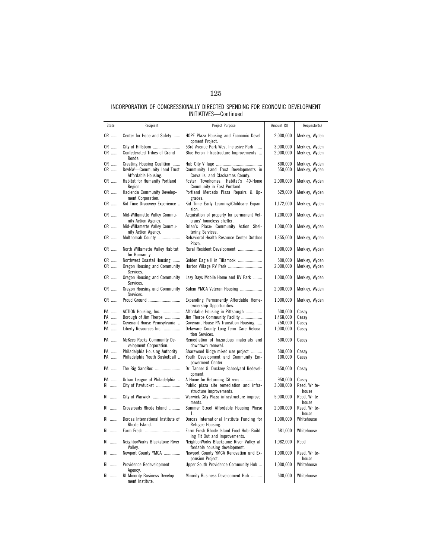| State    | Recipient                                                              | Project Purpose                                                            | Amount (\$)          | Requestor(s)                     |
|----------|------------------------------------------------------------------------|----------------------------------------------------------------------------|----------------------|----------------------------------|
| OR       | Center for Hope and Safety                                             | HOPE Plaza Housing and Economic Devel-                                     | 2,000,000            | Merkley, Wyden                   |
| OR       |                                                                        | opment Project.<br>53rd Avenue Park West Inclusive Park                    | 3.000.000            | Merkley, Wyden                   |
| OR       | Confederated Tribes of Grand<br>Ronde.                                 | Blue Heron Infrastructure Improvements                                     | 2,000,000            | Merkley, Wyden                   |
| OR       | Creating Housing Coalition                                             |                                                                            | 800,000              | Merkley, Wyden                   |
| OR       | DevNW-Community Land Trust<br>Affordable Housing.                      | Community Land Trust Developments in<br>Corvallis, and Clackamas County.   | 550,000              | Merkley, Wyden                   |
| OR       | Habitat for Humanity Portland<br>Region.                               | Foster Townhomes: Habitat's 40-Home<br>Community in East Portland.         | 2,000,000            | Merkley, Wyden                   |
| OR       | Hacienda Community Develop-<br>ment Corporation.                       | Portland Mercado Plaza Repairs & Up-<br>grades.                            | 529,000              | Merkley, Wyden                   |
| OR       | Kid Time Discovery Experience                                          | Kid Time Early Learning/Childcare Expan-<br>sion.                          | 1,172,000            | Merkley, Wyden                   |
| OR       | Mid-Willamette Valley Commu-<br>nity Action Agency.                    | Acquisition of property for permanent Vet-<br>erans' homeless shelter.     | 1,200,000            | Merkley, Wyden                   |
| OR       | Mid-Willamette Valley Commu-<br>nity Action Agency.                    | Brian's Place: Community Action Shel-<br>tering Services.                  | 1,000,000            | Merkley, Wyden                   |
| OR       | Multnomah County                                                       | Behavioral Health Resource Center Outdoor<br>Plaza.                        | 1,355,000            | Merkley, Wyden                   |
| OR       | North Willamette Valley Habitat<br>for Humanity.                       | Rural Resident Development                                                 | 1,000,000            | Merkley, Wyden                   |
| OR<br>OR | Northwest Coastal Housing<br>Oregon Housing and Community<br>Services. | Golden Eagle II in Tillamook<br>Harbor Village RV Park                     | 500,000<br>2,000,000 | Merkley, Wyden<br>Merkley, Wyden |
| OR       | Oregon Housing and Community<br>Services.                              | Lazy Days Mobile Home and RV Park                                          | 1,000,000            | Merkley, Wyden                   |
| OR       | Oregon Housing and Community<br>Services.                              | Salem YMCA Veteran Housing                                                 | 2,000,000            | Merkley, Wyden                   |
| OR       | Proud Ground                                                           | Expanding Permanently Affordable Home-<br>ownership Opportunities.         | 1,000,000            | Merkley, Wyden                   |
| PA       | ACTION-Housing, Inc.                                                   | Affordable Housing in Pittsburgh                                           | 500,000              | Casey                            |
| PA       | Borough of Jim Thorpe                                                  | Jim Thorpe Community Facility                                              | 1,468,000            | Casey                            |
| PA       | Covenant House Pennsylvania                                            | Covenant House PA Transition Housing                                       | 750,000              | Casey                            |
| PA       | Liberty Resources Inc.                                                 | Delaware County Long-Term Care Reloca-<br>tion Services.                   | 1,000,000            | Casey                            |
| PA       | <b>McKees Rocks Community De-</b><br>velopment Corporation.            | Remediation of hazardous materials and<br>downtown renewal.                | 500,000              | Casey                            |
| PA       | Philadelphia Housing Authority                                         | Sharswood Ridge mixed use project                                          | 500,000              | Casey                            |
| PA       | Philadelphia Youth Basketball                                          | Youth Development and Community Em-<br>powerment Center.                   | 100,000              | Casey                            |
| PA       | The Big SandBox                                                        | Dr. Tanner G. Duckrey Schoolyard Redevel-<br>opment.                       | 650,000              | Casey                            |
| PA       | Urban League of Philadelphia                                           | A Home for Returning Citizens                                              | 950,000              | Casey                            |
| RI       | City of Pawtucket                                                      | Public plaza site remediation and infra-<br>structure improvements.        | 3,000,000            | Reed, White-<br>house            |
| RI       | City of Warwick                                                        | Warwick City Plaza infrastructure improve-<br>ments.                       | 5,000,000            | Reed, White-<br>house            |
| RI       | Crossroads Rhode Island                                                | Summer Street Affordable Housing Phase<br>1.                               | 2,000,000            | Reed, White-<br>house            |
| RI       | Dorcas International Institute of<br>Rhode Island.                     | Dorcas International Institute Funding for<br>Refugee Housing.             | 1,000,000            | Whitehouse                       |
| RI       | Farm Fresh                                                             | Farm Fresh Rhode Island Food Hub: Build-<br>ing Fit Out and Improvements.  | 581,000              | Whitehouse                       |
| RI       | NeighborWorks Blackstone River<br>Vallev.                              | NeighborWorks Blackstone River Valley af-<br>fordable housing development. | 1,082,000            | Reed                             |
| RI       | Newport County YMCA                                                    | Newport County YMCA Renovation and Ex-<br>pansion Project.                 | 1,000,000            | Reed, White-<br>house            |
| RI       | Providence Redevelopment<br>Agency.                                    | Upper South Providence Community Hub                                       | 1,000,000            | Whitehouse                       |
| RI       | <b>RI Minority Business Develop-</b><br>ment Institute.                | Minority Business Development Hub                                          | 500,000              | Whitehouse                       |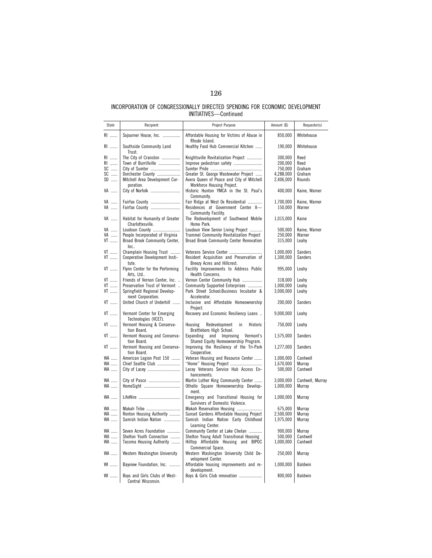| State                      | Recipient                                           | Project Purpose                                                                    | Amount (\$) | Requestor(s)     |
|----------------------------|-----------------------------------------------------|------------------------------------------------------------------------------------|-------------|------------------|
| RI                         | Sojourner House, Inc.                               | Affordable Housing for Victims of Abuse in                                         | 850,000     | Whitehouse       |
| RI                         | Southside Community Land<br>Trust.                  | Rhode Island.<br>Healthy Food Hub Commercial Kitchen                               | 190,000     | Whitehouse       |
| RI                         | The City of Cranston                                | Knightsville Revitalization Project                                                | 300,000     | Reed             |
| RI                         | Town of Burrillville                                | Improve pedestrian safety                                                          | 200.000     | Reed             |
| SC                         | City of Sumter                                      |                                                                                    | 750,000     | Graham           |
| $\ensuremath{\mathsf{SC}}$ | Dorchester County                                   | Greater St. George Wastewater Project                                              | 4,288,000   | Graham           |
| $\textsf{SD}$              | Mitchell Area Development Cor-<br>poration.         | Avera Queen of Peace and City of Mitchell<br>Workforce Housing Project.            | 2,406,000   | Rounds           |
| VA                         | City of Norfolk                                     | Historic Hunton YMCA in the St. Paul's<br>Community.                               | 400,000     | Kaine, Warner    |
| VA                         | Fairfax County                                      | Fair Ridge at West Ox Residential                                                  | 1,700,000   | Kaine, Warner    |
| VA                         | Fairfax County                                      | Residences at Government Center II-                                                | 150,000     | Warner           |
|                            |                                                     | Community Facility.                                                                |             |                  |
| VA                         | Habitat for Humanity of Greater<br>Charlottesville. | The Redevelopment of Southwood Mobile<br>Home Park.                                | 1,015,000   | Kaine            |
| VA                         | Loudoun County                                      | Loudoun View Senior Living Project                                                 | 500,000     | Kaine, Warner    |
| VA                         | People Incorporated of Virginia                     | <b>Trammel Community Revitalization Project</b>                                    | 250,000     | Warner           |
| VT                         | Broad Brook Community Center,<br>Inc.               | Broad Brook Community Center Renovation                                            | 315,000     | Leahy            |
| VT                         | Champlain Housing Trust                             | Veterans Service Center                                                            | 1,000,000   | Sanders          |
| VT                         | Cooperative Development Insti-                      | Resident Acquisition and Preservation of                                           | 1,300,000   | Sanders          |
|                            | tute.                                               | Breezy Acres and Hillcrest.                                                        |             |                  |
| $\mathsf{V}\mathsf{T}$     | Flynn Center for the Performing<br>Arts, Ltd        | Facility Improvements to Address Public<br>Health Concerns.                        | 995,000     | Leahy            |
| VT                         | Friends of Vernon Center, Inc.                      | Vernon Center Community Hub                                                        | 318,000     | Leahy            |
| VT                         | Preservation Trust of Vermont                       | Community Supported Enterprises                                                    | 1,000,000   | Leahy            |
| $\mathsf{V}\mathsf{T}$     | Springfield Regional Develop-<br>ment Corporation.  | Park Street School:Business Incubator &<br>Accelerator.                            | 3,000,000   | Leahy            |
| VT                         | United Church of Underhill                          | Inclusive and Affordable Homeownership<br>Project.                                 | 200,000     | Sanders          |
| VT                         | Vermont Center for Emerging<br>Technologies (VCET). | Recovery and Economic Resiliency Loans                                             | 9,000,000   | Leahy            |
| VT                         | Vermont Housing & Conserva-<br>tion Board.          | in.<br>Historic<br>Housing<br>Redevelopment<br>Brattleboro High School.            | 750,000     | Leahy            |
| VT                         | Vermont Housing and Conserva-<br>tion Board.        | Expanding<br>and<br>Improving<br>Vermont's<br>Shared Equity Homeownership Program. | 1,575,000   | Sanders          |
| VT                         | Vermont Housing and Conserva-<br>tion Board.        | Improving the Resiliency of the Tri-Park<br>Cooperative.                           | 1,277,000   | Sanders          |
| WA                         | American Legion Post 150                            | Veteran Housing and Resource Center                                                | 1,000,000   | Cantwell         |
| WA                         | Chief Seattle Club                                  | "Home" Housing Project                                                             | 1,670,000   | Murray           |
| WA                         |                                                     | Lacey Veterans Service Hub Access En-<br>hancements.                               | 500,000     | Cantwell         |
| WA                         | City of Pasco                                       | Martin Luther King Community Center                                                | 3.000.000   | Cantwell, Murray |
| WA                         | HomeSight                                           | Othello Square Homeownership Develop-                                              | 1,000,000   | Murray           |
| WA                         |                                                     | ment.<br>Emergency and Transitional Housing for                                    | 1,000,000   | Murray           |
| WA                         | Makah Tribe                                         | Survivors of Domestic Violence.<br>Makah Reservation Housing                       | 675,000     | Murray           |
| WA                         | Renton Housing Authority                            | Sunset Gardens Affordable Housing Project                                          | 2,500,000   | Murray           |
| WA                         | Samish Indian Nation                                | Samish Indian Nation Early Childhood                                               | 1,975,000   | Murray           |
|                            |                                                     | Learning Center.                                                                   |             |                  |
| WA                         | Seven Acres Foundation                              | Community Center at Lake Chelan                                                    | 900,000     | Murray           |
| WA                         | Shelton Youth Connection                            | Shelton Young Adult Transitional Housing                                           | 500,000     | Cantwell         |
| WA                         | Tacoma Housing Authority                            | Hilltop Affordable Housing and BIPOC                                               | 1,000,000   | Cantwell         |
| WA                         | Western Washington University                       | Commercial Space.<br>Western Washington University Child De-                       | 250,000     | Murray           |
|                            |                                                     | velopment Center.                                                                  |             |                  |
| <b>WI</b>                  | Bayview Foundation, Inc.                            | Affordable housing improvements and re-<br>development.                            | 1,000,000   | Baldwin          |
| <b>WI</b>                  | Boys and Girls Clubs of West-<br>Central Wisconsin. | Boys & Girls Club renovation                                                       | 800,000     | Baldwin          |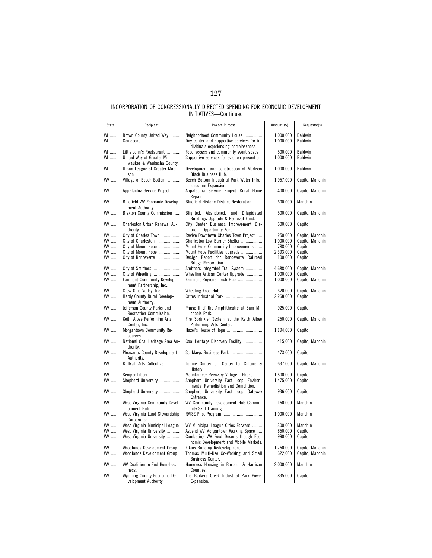| State                        | Recipient                                                  | Project Purpose                                                          | Amount (\$)          | Requestor(s)              |
|------------------------------|------------------------------------------------------------|--------------------------------------------------------------------------|----------------------|---------------------------|
| WI                           | Brown County United Way                                    | Neighborhood Community House                                             | 1,000,000            | Baldwin                   |
|                              |                                                            | Day center and supportive services for in-                               | 1,000,000            | Baldwin                   |
| $\mathsf{W}1$                |                                                            | dividuals experiencing homelessness.                                     |                      |                           |
| <b>WI</b>                    | Little John's Restaurant                                   | Food access and community event space                                    | 500,000              | Baldwin                   |
| WI                           | United Way of Greater Mil-                                 | Supportive services for eviction prevention                              | 1,000,000            | <b>Baldwin</b>            |
|                              | waukee & Waukesha County.                                  |                                                                          |                      |                           |
| WI                           | Urban League of Greater Madi-                              | Development and construction of Madison                                  | 1,000,000            | Baldwin                   |
|                              | son.                                                       | Black Business Hub.                                                      |                      |                           |
| $WW$                         | Village of Beech Bottom                                    | Beech Bottom Industrial Park Water Infra-                                | 1,957,000            | Capito, Manchin           |
|                              |                                                            | structure Expansion.                                                     |                      |                           |
| $WV$                         | Appalachia Service Project                                 | Appalachia Service Project Rural Home                                    | 400,000              | Capito, Manchin           |
|                              |                                                            | Repair.                                                                  |                      |                           |
| WV                           | Bluefield WV Economic Develop-                             | Bluefield Historic District Restoration                                  | 600,000              | Manchin                   |
|                              | ment Authority.                                            |                                                                          |                      |                           |
| WV                           | Braxton County Commission                                  | Blighted, Abandoned, and Dilapidated                                     | 500,000              | Capito, Manchin           |
|                              |                                                            | Buildings Upgrade & Removal Fund.                                        |                      |                           |
| WV                           | Charleston Urban Renewal Au-                               | City Center Business Improvement Dis-                                    | 600,000              | Capito                    |
|                              | thority.                                                   | trict-Opportunity Zone.                                                  |                      |                           |
| WV                           | City of Charles Town                                       | Revive Downtown Charles Town Project                                     | 250,000              | Capito, Manchin           |
| WV<br>WV                     | City of Charleston<br>City of Mount Hope                   | Charleston Low Barrier Shelter<br>Mount Hope Community Improvements      | 1,000,000<br>788,000 | Capito, Manchin<br>Capito |
| WV                           | City of Mount Hope                                         | Mount Hope Facilities upgrade                                            | 2,393,000            | Capito                    |
| WV                           | City of Ronceverte                                         | Design Report for Ronceverte Railroad                                    | 100,000              | Capito                    |
|                              |                                                            | Bridge Restoration.                                                      |                      |                           |
| WV                           | City of Smithers                                           | Smithers Integrated Trail System                                         | 4,688,000            | Capito, Manchin           |
| WV                           | City of Wheeling                                           | Wheeling Artisan Center Upgrade                                          | 1,000,000            | Capito                    |
| WV                           | <b>Fairmont Community Develop-</b>                         | Fairmont Regional Tech Hub                                               | 1,000,000            | Capito, Manchin           |
|                              | ment Partnership, Inc                                      |                                                                          |                      |                           |
| WV                           | Grow Ohio Valley, Inc.                                     |                                                                          | 620,000              | Capito, Manchin           |
| WV                           | Hardy County Rural Develop-                                |                                                                          | 2,268,000            | Capito                    |
|                              | ment Authority.                                            |                                                                          |                      |                           |
| $WV$                         | Jefferson County Parks and                                 | Phase II of the Amphitheatre at Sam Mi-                                  | 925,000              | Capito                    |
|                              | Recreation Commission.                                     | chaels Park.                                                             |                      |                           |
| WV                           | Keith Albee Performing Arts                                | Fire Sprinkler System at the Keith Albee                                 | 250,000              | Capito, Manchin           |
| WV                           | Center, Inc.                                               | Performing Arts Center.                                                  |                      |                           |
|                              | Morgantown Community Re-<br>sources.                       |                                                                          | 1,194,000            | Capito                    |
| $WW$                         | National Coal Heritage Area Au-                            | Coal Heritage Discovery Facility                                         | 415,000              | Capito, Manchin           |
|                              | thority.                                                   |                                                                          |                      |                           |
| WV                           | <b>Pleasants County Development</b>                        | St. Marys Business Park                                                  | 473,000              | Capito                    |
|                              | Authority.                                                 |                                                                          |                      |                           |
| WV                           | RiffRaff Arts Collective                                   | Lonnie Gunter, Jr. Center for Culture &                                  | 637,000              | Capito, Manchin           |
|                              |                                                            | History.                                                                 |                      |                           |
| WV                           | Semper Liberi                                              | Mountaineer Recovery Village-Phase 1                                     | 1,500,000            | Capito                    |
| $WV$                         | Shepherd University                                        | Shepherd University East Loop: Environ-                                  | 1,475,000            | Capito                    |
|                              |                                                            | mental Remediation and Demolition.                                       |                      |                           |
| $WV$                         | Shepherd University                                        | Shepherd University East Loop: Gateway                                   | 936,000              | Capito                    |
|                              |                                                            | Entrance.                                                                |                      |                           |
| $W \dots$                    | West Virginia Community Devel-                             | WV Community Development Hub Commu-                                      | 150,000              | Manchin                   |
|                              | opment Hub.                                                | nity Skill Training.                                                     |                      |                           |
| WV                           | West Virginia Land Stewardship                             |                                                                          | 1,000,000            | Manchin                   |
|                              | Corporation.                                               |                                                                          |                      |                           |
| $\mathsf{W}\mathsf{V}$<br>WV | West Virginia Municipal League<br>West Virginia University | WV Municipal League Cities Forward<br>Ascend WV Morgantown Working Space | 300,000<br>850,000   | Manchin                   |
| WV                           | West Virginia University                                   | Combating WV Food Deserts though Eco-                                    | 990,000              | Capito<br>Capito          |
|                              |                                                            | nomic Development and Mobile Markets.                                    |                      |                           |
| WV                           | Woodlands Development Group                                | Elkins Building Redevelopment                                            | 1,750,000            | Capito, Manchin           |
| WV                           | Woodlands Development Group                                | Thomas Multi-Use Co-Working and Small                                    | 622,000              | Capito, Manchin           |
|                              |                                                            | <b>Business Center.</b>                                                  |                      |                           |
| WV                           | WV Coalition to End Homeless-                              | Homeless Housing in Barbour & Harrison                                   | 2,000,000            | Manchin                   |
|                              | ness.                                                      | Counties.                                                                |                      |                           |
| WV                           | Wyoming County Economic De-                                | The Barkers Creek Industrial Park Power                                  | 835,000              | Capito                    |
|                              | velopment Authority.                                       | Expansion.                                                               |                      |                           |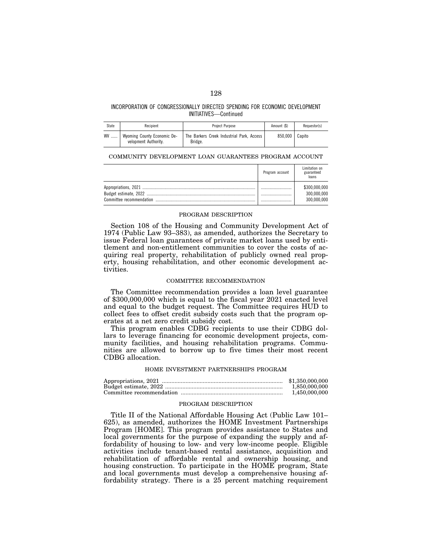| State | Recipient                                           | Project Purpose                                      | Amount (\$) | Requestor(s) |
|-------|-----------------------------------------------------|------------------------------------------------------|-------------|--------------|
| WV    | Wyoming County Economic De-<br>velopment Authority. | The Barkers Creek Industrial Park. Access<br>Bridge. | 850.000     | Capito       |

# COMMUNITY DEVELOPMENT LOAN GUARANTEES PROGRAM ACCOUNT

| Program account | Limitation on<br>guaranteed<br>loans        |
|-----------------|---------------------------------------------|
| <br>            | \$300,000,000<br>300,000,000<br>300.000.000 |
|                 |                                             |

## PROGRAM DESCRIPTION

Section 108 of the Housing and Community Development Act of 1974 (Public Law 93–383), as amended, authorizes the Secretary to issue Federal loan guarantees of private market loans used by entitlement and non-entitlement communities to cover the costs of acquiring real property, rehabilitation of publicly owned real property, housing rehabilitation, and other economic development activities.

## COMMITTEE RECOMMENDATION

The Committee recommendation provides a loan level guarantee of \$300,000,000 which is equal to the fiscal year 2021 enacted level and equal to the budget request. The Committee requires HUD to collect fees to offset credit subsidy costs such that the program operates at a net zero credit subsidy cost.

This program enables CDBG recipients to use their CDBG dollars to leverage financing for economic development projects, community facilities, and housing rehabilitation programs. Communities are allowed to borrow up to five times their most recent CDBG allocation.

#### HOME INVESTMENT PARTNERSHIPS PROGRAM

| \$1,350,000,000 |
|-----------------|
| 1.850.000.000   |
| 1.450.000.000   |

## PROGRAM DESCRIPTION

Title II of the National Affordable Housing Act (Public Law 101– 625), as amended, authorizes the HOME Investment Partnerships Program [HOME]. This program provides assistance to States and local governments for the purpose of expanding the supply and affordability of housing to low- and very low-income people. Eligible activities include tenant-based rental assistance, acquisition and rehabilitation of affordable rental and ownership housing, and housing construction. To participate in the HOME program, State and local governments must develop a comprehensive housing affordability strategy. There is a 25 percent matching requirement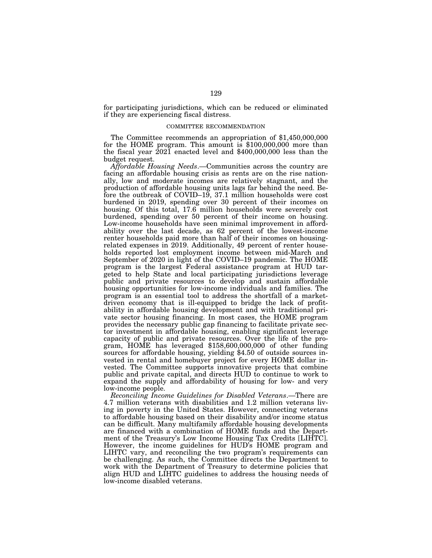for participating jurisdictions, which can be reduced or eliminated if they are experiencing fiscal distress.

### COMMITTEE RECOMMENDATION

The Committee recommends an appropriation of \$1,450,000,000 for the HOME program. This amount is \$100,000,000 more than the fiscal year 2021 enacted level and \$400,000,000 less than the budget request.

*Affordable Housing Needs*.—Communities across the country are facing an affordable housing crisis as rents are on the rise nationally, low and moderate incomes are relatively stagnant, and the production of affordable housing units lags far behind the need. Before the outbreak of COVID–19, 37.1 million households were cost burdened in 2019, spending over 30 percent of their incomes on housing. Of this total, 17.6 million households were severely cost burdened, spending over 50 percent of their income on housing. Low-income households have seen minimal improvement in affordability over the last decade, as 62 percent of the lowest-income renter households paid more than half of their incomes on housingrelated expenses in 2019. Additionally, 49 percent of renter households reported lost employment income between mid-March and September of 2020 in light of the COVID–19 pandemic. The HOME program is the largest Federal assistance program at HUD targeted to help State and local participating jurisdictions leverage public and private resources to develop and sustain affordable housing opportunities for low-income individuals and families. The program is an essential tool to address the shortfall of a marketdriven economy that is ill-equipped to bridge the lack of profitability in affordable housing development and with traditional private sector housing financing. In most cases, the HOME program provides the necessary public gap financing to facilitate private sector investment in affordable housing, enabling significant leverage capacity of public and private resources. Over the life of the program, HOME has leveraged \$158,600,000,000 of other funding sources for affordable housing, yielding \$4.50 of outside sources invested in rental and homebuyer project for every HOME dollar invested. The Committee supports innovative projects that combine public and private capital, and directs HUD to continue to work to expand the supply and affordability of housing for low- and very low-income people.

*Reconciling Income Guidelines for Disabled Veterans*.—There are 4.7 million veterans with disabilities and 1.2 million veterans living in poverty in the United States. However, connecting veterans to affordable housing based on their disability and/or income status can be difficult. Many multifamily affordable housing developments are financed with a combination of HOME funds and the Department of the Treasury's Low Income Housing Tax Credits [LIHTC]. However, the income guidelines for HUD's HOME program and LIHTC vary, and reconciling the two program's requirements can be challenging. As such, the Committee directs the Department to work with the Department of Treasury to determine policies that align HUD and LIHTC guidelines to address the housing needs of low-income disabled veterans.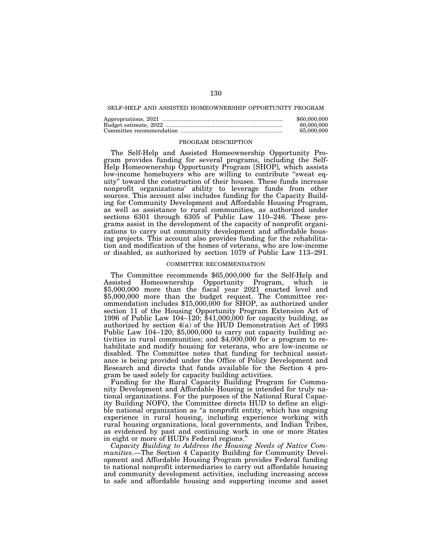### SELF-HELP AND ASSISTED HOMEOWNERSHIP OPPORTUNITY PROGRAM

| \$60,000,000 |
|--------------|
| 60.000.000   |
| 65,000,000   |

### PROGRAM DESCRIPTION

The Self-Help and Assisted Homeownership Opportunity Program provides funding for several programs, including the Self-Help Homeownership Opportunity Program [SHOP], which assists low-income homebuyers who are willing to contribute ''sweat equity'' toward the construction of their houses. These funds increase nonprofit organizations' ability to leverage funds from other sources. This account also includes funding for the Capacity Building for Community Development and Affordable Housing Program, as well as assistance to rural communities, as authorized under sections 6301 through 6305 of Public Law 110–246. These programs assist in the development of the capacity of nonprofit organizations to carry out community development and affordable housing projects. This account also provides funding for the rehabilitation and modification of the homes of veterans, who are low-income or disabled, as authorized by section 1079 of Public Law 113–291.

## COMMITTEE RECOMMENDATION

The Committee recommends \$65,000,000 for the Self-Help and Assisted Homeownership Opportunity Program, which is \$5,000,000 more than the fiscal year 2021 enacted level and \$5,000,000 more than the budget request. The Committee recommendation includes \$15,000,000 for SHOP, as authorized under section 11 of the Housing Opportunity Program Extension Act of 1996 of Public Law  $104-\tilde{1}20$ ; \$41,000,000 for capacity building, as authorized by section 4(a) of the HUD Demonstration Act of 1993 Public Law 104–120; \$5,000,000 to carry out capacity building activities in rural communities; and \$4,000,000 for a program to rehabilitate and modify housing for veterans, who are low-income or disabled. The Committee notes that funding for technical assistance is being provided under the Office of Policy Development and Research and directs that funds available for the Section 4 program be used solely for capacity building activities.

Funding for the Rural Capacity Building Program for Community Development and Affordable Housing is intended for truly national organizations. For the purposes of the National Rural Capacity Building NOFO, the Committee directs HUD to define an eligible national organization as ''a nonprofit entity, which has ongoing experience in rural housing, including experience working with rural housing organizations, local governments, and Indian Tribes, as evidenced by past and continuing work in one or more States in eight or more of HUD's Federal regions.''

*Capacity Building to Address the Housing Needs of Native Communities*.—The Section 4 Capacity Building for Community Development and Affordable Housing Program provides Federal funding to national nonprofit intermediaries to carry out affordable housing and community development activities, including increasing access to safe and affordable housing and supporting income and asset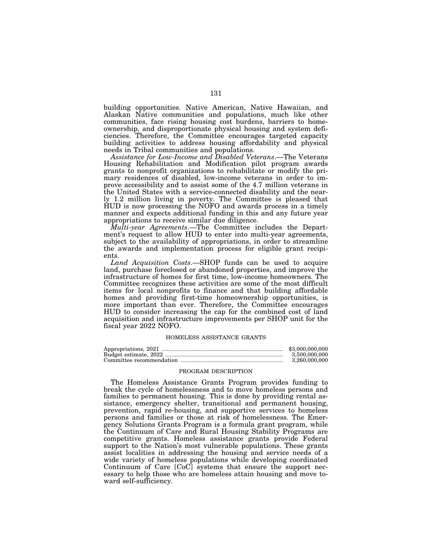building opportunities. Native American, Native Hawaiian, and Alaskan Native communities and populations, much like other communities, face rising housing cost burdens, barriers to homeownership, and disproportionate physical housing and system deficiencies. Therefore, the Committee encourages targeted capacity building activities to address housing affordability and physical needs in Tribal communities and populations.

*Assistance for Low-Income and Disabled Veterans*.—The Veterans Housing Rehabilitation and Modification pilot program awards grants to nonprofit organizations to rehabilitate or modify the primary residences of disabled, low-income veterans in order to improve accessibility and to assist some of the 4.7 million veterans in the United States with a service-connected disability and the nearly 1.2 million living in poverty. The Committee is pleased that HUD is now processing the NOFO and awards process in a timely manner and expects additional funding in this and any future year appropriations to receive similar due diligence.

*Multi-year Agreements*.—The Committee includes the Department's request to allow HUD to enter into multi-year agreements, subject to the availability of appropriations, in order to streamline the awards and implementation process for eligible grant recipients.

*Land Acquisition Costs*.—SHOP funds can be used to acquire land, purchase foreclosed or abandoned properties, and improve the infrastructure of homes for first time, low-income homeowners. The Committee recognizes these activities are some of the most difficult items for local nonprofits to finance and that building affordable homes and providing first-time homeownership opportunities, is more important than ever. Therefore, the Committee encourages HUD to consider increasing the cap for the combined cost of land acquisition and infrastructure improvements per SHOP unit for the fiscal year 2022 NOFO.

### HOMELESS ASSISTANCE GRANTS

| \$3,000,000,000 |
|-----------------|
| 3.500.000.000   |
| 3.260.000.000   |

#### PROGRAM DESCRIPTION

The Homeless Assistance Grants Program provides funding to break the cycle of homelessness and to move homeless persons and families to permanent housing. This is done by providing rental assistance, emergency shelter, transitional and permanent housing, prevention, rapid re-housing, and supportive services to homeless persons and families or those at risk of homelessness. The Emergency Solutions Grants Program is a formula grant program, while the Continuum of Care and Rural Housing Stability Programs are competitive grants. Homeless assistance grants provide Federal support to the Nation's most vulnerable populations. These grants assist localities in addressing the housing and service needs of a wide variety of homeless populations while developing coordinated Continuum of Care [CoC] systems that ensure the support necessary to help those who are homeless attain housing and move toward self-sufficiency.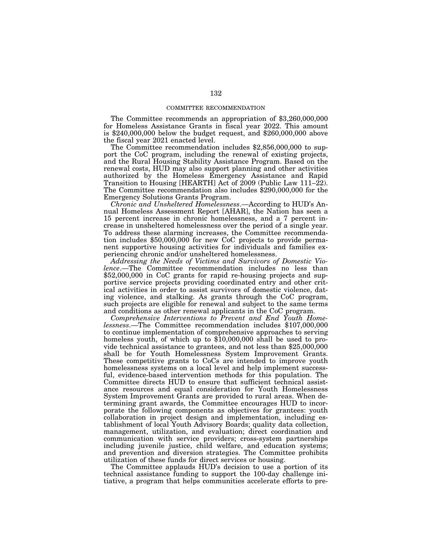### COMMITTEE RECOMMENDATION

The Committee recommends an appropriation of \$3,260,000,000 for Homeless Assistance Grants in fiscal year 2022. This amount is \$240,000,000 below the budget request, and \$260,000,000 above the fiscal year 2021 enacted level.

The Committee recommendation includes \$2,856,000,000 to support the CoC program, including the renewal of existing projects, and the Rural Housing Stability Assistance Program. Based on the renewal costs, HUD may also support planning and other activities authorized by the Homeless Emergency Assistance and Rapid Transition to Housing [HEARTH] Act of 2009 (Public Law 111–22). The Committee recommendation also includes \$290,000,000 for the Emergency Solutions Grants Program.

*Chronic and Unsheltered Homelessness*.—According to HUD's Annual Homeless Assessment Report [AHAR], the Nation has seen a 15 percent increase in chronic homelessness, and a 7 percent increase in unsheltered homelessness over the period of a single year. To address these alarming increases, the Committee recommendation includes \$50,000,000 for new CoC projects to provide permanent supportive housing activities for individuals and families experiencing chronic and/or unsheltered homelessness.

*Addressing the Needs of Victims and Survivors of Domestic Violence*.—The Committee recommendation includes no less than \$52,000,000 in CoC grants for rapid re-housing projects and supportive service projects providing coordinated entry and other critical activities in order to assist survivors of domestic violence, dating violence, and stalking. As grants through the CoC program, such projects are eligible for renewal and subject to the same terms and conditions as other renewal applicants in the CoC program.

*Comprehensive Interventions to Prevent and End Youth Homelessness*.—The Committee recommendation includes \$107,000,000 to continue implementation of comprehensive approaches to serving homeless youth, of which up to \$10,000,000 shall be used to provide technical assistance to grantees, and not less than \$25,000,000 shall be for Youth Homelessness System Improvement Grants. These competitive grants to CoCs are intended to improve youth homelessness systems on a local level and help implement successful, evidence-based intervention methods for this population. The Committee directs HUD to ensure that sufficient technical assistance resources and equal consideration for Youth Homelessness System Improvement Grants are provided to rural areas. When determining grant awards, the Committee encourages HUD to incorporate the following components as objectives for grantees: youth collaboration in project design and implementation, including establishment of local Youth Advisory Boards; quality data collection, management, utilization, and evaluation; direct coordination and communication with service providers; cross-system partnerships including juvenile justice, child welfare, and education systems; and prevention and diversion strategies. The Committee prohibits utilization of these funds for direct services or housing.

The Committee applauds HUD's decision to use a portion of its technical assistance funding to support the 100-day challenge initiative, a program that helps communities accelerate efforts to pre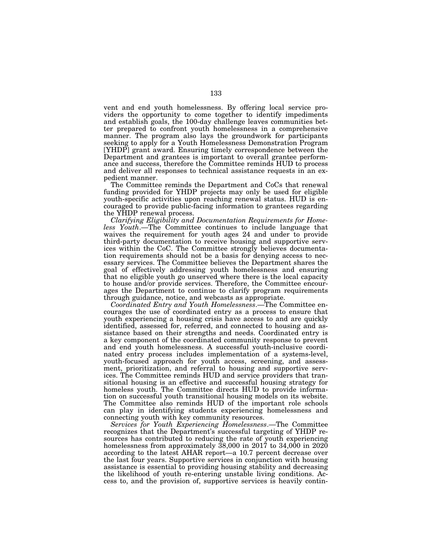vent and end youth homelessness. By offering local service providers the opportunity to come together to identify impediments and establish goals, the 100-day challenge leaves communities better prepared to confront youth homelessness in a comprehensive manner. The program also lays the groundwork for participants seeking to apply for a Youth Homelessness Demonstration Program [YHDP] grant award. Ensuring timely correspondence between the Department and grantees is important to overall grantee performance and success, therefore the Committee reminds HUD to process and deliver all responses to technical assistance requests in an expedient manner.

The Committee reminds the Department and CoCs that renewal funding provided for YHDP projects may only be used for eligible youth-specific activities upon reaching renewal status. HUD is encouraged to provide public-facing information to grantees regarding the YHDP renewal process.

*Clarifying Eligibility and Documentation Requirements for Homeless Youth*.—The Committee continues to include language that waives the requirement for youth ages 24 and under to provide third-party documentation to receive housing and supportive services within the CoC. The Committee strongly believes documentation requirements should not be a basis for denying access to necessary services. The Committee believes the Department shares the goal of effectively addressing youth homelessness and ensuring that no eligible youth go unserved where there is the local capacity to house and/or provide services. Therefore, the Committee encourages the Department to continue to clarify program requirements through guidance, notice, and webcasts as appropriate.

*Coordinated Entry and Youth Homelessness*.—The Committee encourages the use of coordinated entry as a process to ensure that youth experiencing a housing crisis have access to and are quickly identified, assessed for, referred, and connected to housing and assistance based on their strengths and needs. Coordinated entry is a key component of the coordinated community response to prevent and end youth homelessness. A successful youth-inclusive coordinated entry process includes implementation of a systems-level, youth-focused approach for youth access, screening, and assessment, prioritization, and referral to housing and supportive services. The Committee reminds HUD and service providers that transitional housing is an effective and successful housing strategy for homeless youth. The Committee directs HUD to provide information on successful youth transitional housing models on its website. The Committee also reminds HUD of the important role schools can play in identifying students experiencing homelessness and connecting youth with key community resources.

*Services for Youth Experiencing Homelessness*.—The Committee recognizes that the Department's successful targeting of YHDP resources has contributed to reducing the rate of youth experiencing homelessness from approximately 38,000 in 2017 to 34,000 in 2020 according to the latest AHAR report—a 10.7 percent decrease over the last four years. Supportive services in conjunction with housing assistance is essential to providing housing stability and decreasing the likelihood of youth re-entering unstable living conditions. Access to, and the provision of, supportive services is heavily contin-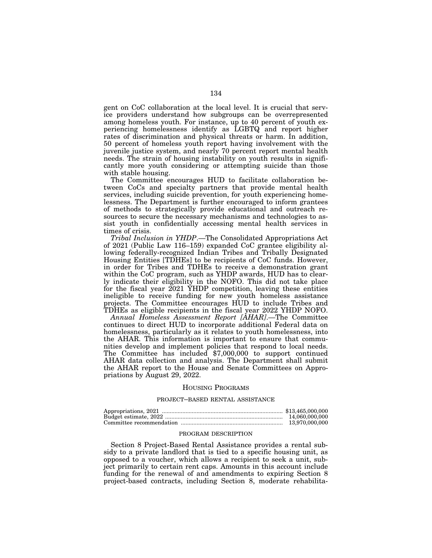gent on CoC collaboration at the local level. It is crucial that service providers understand how subgroups can be overrepresented among homeless youth. For instance, up to 40 percent of youth experiencing homelessness identify as LGBTQ and report higher rates of discrimination and physical threats or harm. In addition, 50 percent of homeless youth report having involvement with the juvenile justice system, and nearly 70 percent report mental health needs. The strain of housing instability on youth results in significantly more youth considering or attempting suicide than those with stable housing.

The Committee encourages HUD to facilitate collaboration between CoCs and specialty partners that provide mental health services, including suicide prevention, for youth experiencing homelessness. The Department is further encouraged to inform grantees of methods to strategically provide educational and outreach resources to secure the necessary mechanisms and technologies to assist youth in confidentially accessing mental health services in times of crisis.

*Tribal Inclusion in YHDP*.—The Consolidated Appropriations Act of 2021 (Public Law 116–159) expanded CoC grantee eligibility allowing federally-recognized Indian Tribes and Tribally Designated Housing Entities [TDHEs] to be recipients of CoC funds. However, in order for Tribes and TDHEs to receive a demonstration grant within the CoC program, such as YHDP awards, HUD has to clearly indicate their eligibility in the NOFO. This did not take place for the fiscal year 2021 YHDP competition, leaving these entities ineligible to receive funding for new youth homeless assistance projects. The Committee encourages HUD to include Tribes and TDHEs as eligible recipients in the fiscal year 2022 YHDP NOFO.

*Annual Homeless Assessment Report [AHAR]*.—The Committee continues to direct HUD to incorporate additional Federal data on homelessness, particularly as it relates to youth homelessness, into the AHAR. This information is important to ensure that communities develop and implement policies that respond to local needs. The Committee has included \$7,000,000 to support continued AHAR data collection and analysis. The Department shall submit the AHAR report to the House and Senate Committees on Appropriations by August 29, 2022.

## HOUSING PROGRAMS

### PROJECT–BASED RENTAL ASSISTANCE

| 14.060.000.000 |
|----------------|
| 13.970.000.000 |

### PROGRAM DESCRIPTION

Section 8 Project-Based Rental Assistance provides a rental subsidy to a private landlord that is tied to a specific housing unit, as opposed to a voucher, which allows a recipient to seek a unit, subject primarily to certain rent caps. Amounts in this account include funding for the renewal of and amendments to expiring Section 8 project-based contracts, including Section 8, moderate rehabilita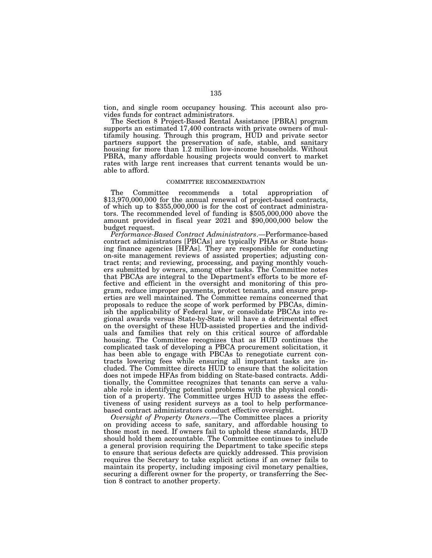tion, and single room occupancy housing. This account also provides funds for contract administrators.

The Section 8 Project-Based Rental Assistance [PBRA] program supports an estimated 17,400 contracts with private owners of multifamily housing. Through this program, HUD and private sector partners support the preservation of safe, stable, and sanitary housing for more than 1.2 million low-income households. Without PBRA, many affordable housing projects would convert to market rates with large rent increases that current tenants would be unable to afford.

### COMMITTEE RECOMMENDATION

The Committee recommends a total appropriation of \$13,970,000,000 for the annual renewal of project-based contracts, of which up to \$355,000,000 is for the cost of contract administrators. The recommended level of funding is \$505,000,000 above the amount provided in fiscal year 2021 and \$90,000,000 below the budget request.

*Performance-Based Contract Administrators*.—Performance-based contract administrators [PBCAs] are typically PHAs or State housing finance agencies [HFAs]. They are responsible for conducting on-site management reviews of assisted properties; adjusting contract rents; and reviewing, processing, and paying monthly vouchers submitted by owners, among other tasks. The Committee notes that PBCAs are integral to the Department's efforts to be more effective and efficient in the oversight and monitoring of this program, reduce improper payments, protect tenants, and ensure properties are well maintained. The Committee remains concerned that proposals to reduce the scope of work performed by PBCAs, diminish the applicability of Federal law, or consolidate PBCAs into regional awards versus State-by-State will have a detrimental effect on the oversight of these HUD-assisted properties and the individuals and families that rely on this critical source of affordable housing. The Committee recognizes that as HUD continues the complicated task of developing a PBCA procurement solicitation, it has been able to engage with PBCAs to renegotiate current contracts lowering fees while ensuring all important tasks are included. The Committee directs HUD to ensure that the solicitation does not impede HFAs from bidding on State-based contracts. Additionally, the Committee recognizes that tenants can serve a valuable role in identifying potential problems with the physical condition of a property. The Committee urges HUD to assess the effectiveness of using resident surveys as a tool to help performancebased contract administrators conduct effective oversight.

*Oversight of Property Owners*.—The Committee places a priority on providing access to safe, sanitary, and affordable housing to those most in need. If owners fail to uphold these standards, HUD should hold them accountable. The Committee continues to include a general provision requiring the Department to take specific steps to ensure that serious defects are quickly addressed. This provision requires the Secretary to take explicit actions if an owner fails to maintain its property, including imposing civil monetary penalties, securing a different owner for the property, or transferring the Section 8 contract to another property.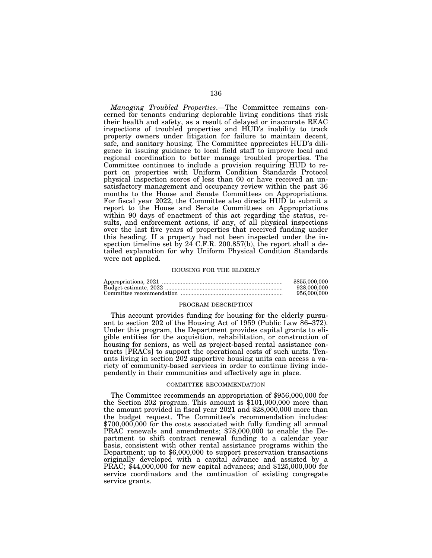*Managing Troubled Properties*.—The Committee remains concerned for tenants enduring deplorable living conditions that risk their health and safety, as a result of delayed or inaccurate REAC inspections of troubled properties and HUD's inability to track property owners under litigation for failure to maintain decent, safe, and sanitary housing. The Committee appreciates HUD's diligence in issuing guidance to local field staff to improve local and regional coordination to better manage troubled properties. The Committee continues to include a provision requiring HUD to report on properties with Uniform Condition Standards Protocol physical inspection scores of less than 60 or have received an unsatisfactory management and occupancy review within the past 36 months to the House and Senate Committees on Appropriations. For fiscal year 2022, the Committee also directs HUD to submit a report to the House and Senate Committees on Appropriations within 90 days of enactment of this act regarding the status, results, and enforcement actions, if any, of all physical inspections over the last five years of properties that received funding under this heading. If a property had not been inspected under the inspection timeline set by  $24$  C.F.R. 200.857(b), the report shall a detailed explanation for why Uniform Physical Condition Standards were not applied.

### HOUSING FOR THE ELDERLY

| \$855,000,000 |
|---------------|
| 928,000,000   |
| 956,000,000   |

### PROGRAM DESCRIPTION

This account provides funding for housing for the elderly pursuant to section 202 of the Housing Act of 1959 (Public Law 86–372). Under this program, the Department provides capital grants to eligible entities for the acquisition, rehabilitation, or construction of housing for seniors, as well as project-based rental assistance contracts [PRACs] to support the operational costs of such units. Tenants living in section 202 supportive housing units can access a variety of community-based services in order to continue living independently in their communities and effectively age in place.

#### COMMITTEE RECOMMENDATION

The Committee recommends an appropriation of \$956,000,000 for the Section 202 program. This amount is \$101,000,000 more than the amount provided in fiscal year 2021 and \$28,000,000 more than the budget request. The Committee's recommendation includes: \$700,000,000 for the costs associated with fully funding all annual PRAC renewals and amendments; \$78,000,000 to enable the Department to shift contract renewal funding to a calendar year basis, consistent with other rental assistance programs within the Department; up to \$6,000,000 to support preservation transactions originally developed with a capital advance and assisted by a PRAC; \$44,000,000 for new capital advances; and \$125,000,000 for service coordinators and the continuation of existing congregate service grants.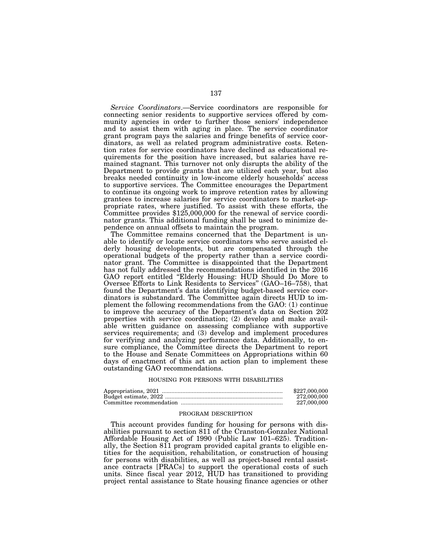*Service Coordinators*.—Service coordinators are responsible for connecting senior residents to supportive services offered by community agencies in order to further those seniors' independence and to assist them with aging in place. The service coordinator grant program pays the salaries and fringe benefits of service coordinators, as well as related program administrative costs. Retention rates for service coordinators have declined as educational requirements for the position have increased, but salaries have remained stagnant. This turnover not only disrupts the ability of the Department to provide grants that are utilized each year, but also breaks needed continuity in low-income elderly households' access to supportive services. The Committee encourages the Department to continue its ongoing work to improve retention rates by allowing grantees to increase salaries for service coordinators to market-appropriate rates, where justified. To assist with these efforts, the Committee provides \$125,000,000 for the renewal of service coordinator grants. This additional funding shall be used to minimize dependence on annual offsets to maintain the program.

The Committee remains concerned that the Department is unable to identify or locate service coordinators who serve assisted elderly housing developments, but are compensated through the operational budgets of the property rather than a service coordinator grant. The Committee is disappointed that the Department has not fully addressed the recommendations identified in the 2016 GAO report entitled ''Elderly Housing: HUD Should Do More to Oversee Efforts to Link Residents to Services'' (GAO–16–758), that found the Department's data identifying budget-based service coordinators is substandard. The Committee again directs HUD to implement the following recommendations from the GAO: (1) continue to improve the accuracy of the Department's data on Section 202 properties with service coordination; (2) develop and make available written guidance on assessing compliance with supportive services requirements; and (3) develop and implement procedures for verifying and analyzing performance data. Additionally, to ensure compliance, the Committee directs the Department to report to the House and Senate Committees on Appropriations within 60 days of enactment of this act an action plan to implement these outstanding GAO recommendations.

## HOUSING FOR PERSONS WITH DISABILITIES

| \$227,000,000 |
|---------------|
| 272,000,000   |
| 227.000.000   |

## PROGRAM DESCRIPTION

This account provides funding for housing for persons with disabilities pursuant to section 811 of the Cranston-Gonzalez National Affordable Housing Act of 1990 (Public Law 101–625). Traditionally, the Section 811 program provided capital grants to eligible entities for the acquisition, rehabilitation, or construction of housing for persons with disabilities, as well as project-based rental assistance contracts [PRACs] to support the operational costs of such units. Since fiscal year 2012, HUD has transitioned to providing project rental assistance to State housing finance agencies or other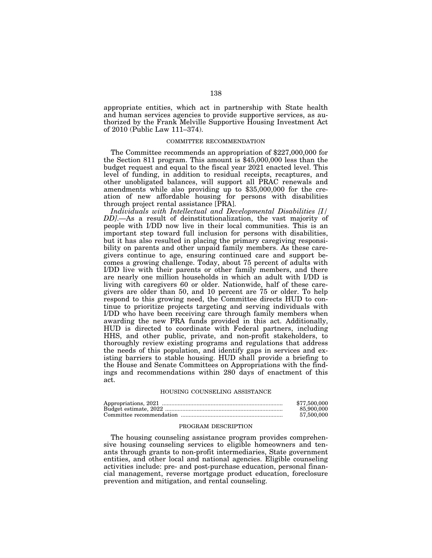appropriate entities, which act in partnership with State health and human services agencies to provide supportive services, as authorized by the Frank Melville Supportive Housing Investment Act of 2010 (Public Law 111–374).

### COMMITTEE RECOMMENDATION

The Committee recommends an appropriation of \$227,000,000 for the Section 811 program. This amount is \$45,000,000 less than the budget request and equal to the fiscal year 2021 enacted level. This level of funding, in addition to residual receipts, recaptures, and other unobligated balances, will support all PRAC renewals and amendments while also providing up to \$35,000,000 for the creation of new affordable housing for persons with disabilities through project rental assistance [PRA].

*Individuals with Intellectual and Developmental Disabilities [I/ DD]*.—As a result of deinstitutionalization, the vast majority of people with I/DD now live in their local communities. This is an important step toward full inclusion for persons with disabilities, but it has also resulted in placing the primary caregiving responsibility on parents and other unpaid family members. As these caregivers continue to age, ensuring continued care and support becomes a growing challenge. Today, about 75 percent of adults with I/DD live with their parents or other family members, and there are nearly one million households in which an adult with I/DD is living with caregivers 60 or older. Nationwide, half of these caregivers are older than 50, and 10 percent are 75 or older. To help respond to this growing need, the Committee directs HUD to continue to prioritize projects targeting and serving individuals with I/DD who have been receiving care through family members when awarding the new PRA funds provided in this act. Additionally, HUD is directed to coordinate with Federal partners, including HHS, and other public, private, and non-profit stakeholders, to thoroughly review existing programs and regulations that address the needs of this population, and identify gaps in services and existing barriers to stable housing. HUD shall provide a briefing to the House and Senate Committees on Appropriations with the findings and recommendations within 280 days of enactment of this act.

### HOUSING COUNSELING ASSISTANCE

| \$77,500,000 |
|--------------|
| 85,900,000   |
| 57.500.000   |

### PROGRAM DESCRIPTION

The housing counseling assistance program provides comprehensive housing counseling services to eligible homeowners and tenants through grants to non-profit intermediaries, State government entities, and other local and national agencies. Eligible counseling activities include: pre- and post-purchase education, personal financial management, reverse mortgage product education, foreclosure prevention and mitigation, and rental counseling.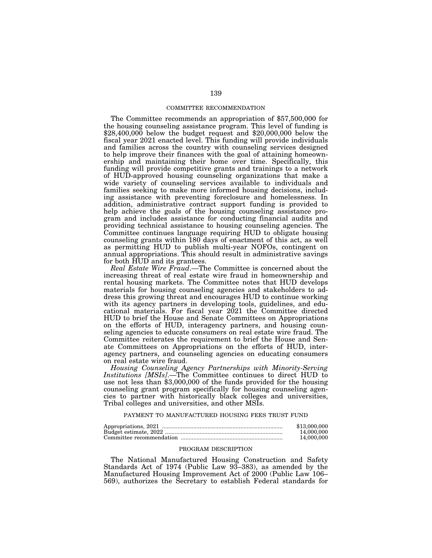## COMMITTEE RECOMMENDATION

The Committee recommends an appropriation of \$57,500,000 for the housing counseling assistance program. This level of funding is \$28,400,000 below the budget request and \$20,000,000 below the fiscal year 2021 enacted level. This funding will provide individuals and families across the country with counseling services designed to help improve their finances with the goal of attaining homeownership and maintaining their home over time. Specifically, this funding will provide competitive grants and trainings to a network of HUD-approved housing counseling organizations that make a wide variety of counseling services available to individuals and families seeking to make more informed housing decisions, including assistance with preventing foreclosure and homelessness. In addition, administrative contract support funding is provided to help achieve the goals of the housing counseling assistance program and includes assistance for conducting financial audits and providing technical assistance to housing counseling agencies. The Committee continues language requiring HUD to obligate housing counseling grants within 180 days of enactment of this act, as well as permitting HUD to publish multi-year NOFOs, contingent on annual appropriations. This should result in administrative savings for both HUD and its grantees.

*Real Estate Wire Fraud*.—The Committee is concerned about the increasing threat of real estate wire fraud in homeownership and rental housing markets. The Committee notes that HUD develops materials for housing counseling agencies and stakeholders to address this growing threat and encourages HUD to continue working with its agency partners in developing tools, guidelines, and educational materials. For fiscal year 2021 the Committee directed HUD to brief the House and Senate Committees on Appropriations on the efforts of HUD, interagency partners, and housing counseling agencies to educate consumers on real estate wire fraud. The Committee reiterates the requirement to brief the House and Senate Committees on Appropriations on the efforts of HUD, interagency partners, and counseling agencies on educating consumers on real estate wire fraud.

*Housing Counseling Agency Partnerships with Minority-Serving Institutions [MSIs]*.—The Committee continues to direct HUD to use not less than \$3,000,000 of the funds provided for the housing counseling grant program specifically for housing counseling agencies to partner with historically black colleges and universities, Tribal colleges and universities, and other MSIs.

# PAYMENT TO MANUFACTURED HOUSING FEES TRUST FUND

| \$13,000,000 |
|--------------|
| 14.000.000   |
| 14,000,000   |

# PROGRAM DESCRIPTION

The National Manufactured Housing Construction and Safety Standards Act of 1974 (Public Law 93–383), as amended by the Manufactured Housing Improvement Act of 2000 (Public Law 106– 569), authorizes the Secretary to establish Federal standards for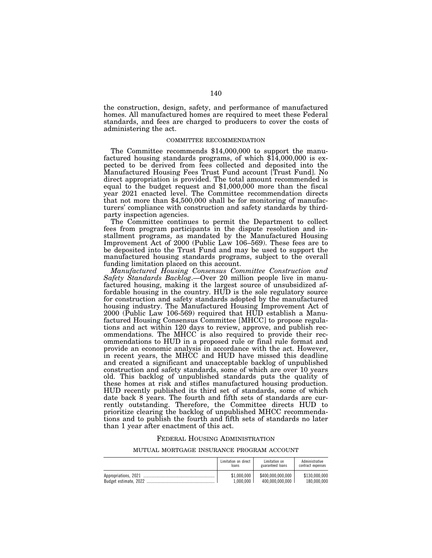the construction, design, safety, and performance of manufactured homes. All manufactured homes are required to meet these Federal standards, and fees are charged to producers to cover the costs of administering the act.

# COMMITTEE RECOMMENDATION

The Committee recommends \$14,000,000 to support the manufactured housing standards programs, of which  $$14,000,000$  is expected to be derived from fees collected and deposited into the Manufactured Housing Fees Trust Fund account [Trust Fund]. No direct appropriation is provided. The total amount recommended is equal to the budget request and \$1,000,000 more than the fiscal year 2021 enacted level. The Committee recommendation directs that not more than \$4,500,000 shall be for monitoring of manufacturers' compliance with construction and safety standards by thirdparty inspection agencies.

The Committee continues to permit the Department to collect fees from program participants in the dispute resolution and installment programs, as mandated by the Manufactured Housing Improvement Act of 2000 (Public Law 106–569). These fees are to be deposited into the Trust Fund and may be used to support the manufactured housing standards programs, subject to the overall funding limitation placed on this account.

*Manufactured Housing Consensus Committee Construction and Safety Standards Backlog*.—Over 20 million people live in manufactured housing, making it the largest source of unsubsidized affordable housing in the country. HUD is the sole regulatory source for construction and safety standards adopted by the manufactured housing industry. The Manufactured Housing Improvement Act of 2000 (Public Law 106-569) required that HUD establish a Manufactured Housing Consensus Committee [MHCC] to propose regulations and act within 120 days to review, approve, and publish recommendations. The MHCC is also required to provide their recommendations to HUD in a proposed rule or final rule format and provide an economic analysis in accordance with the act. However, in recent years, the MHCC and HUD have missed this deadline and created a significant and unacceptable backlog of unpublished construction and safety standards, some of which are over 10 years old. This backlog of unpublished standards puts the quality of these homes at risk and stifles manufactured housing production. HUD recently published its third set of standards, some of which date back 8 years. The fourth and fifth sets of standards are currently outstanding. Therefore, the Committee directs HUD to prioritize clearing the backlog of unpublished MHCC recommendations and to publish the fourth and fifth sets of standards no later than 1 year after enactment of this act.

## FEDERAL HOUSING ADMINISTRATION

#### MUTUAL MORTGAGE INSURANCE PROGRAM ACCOUNT

|                      | Limitation on direct     | Limitation on                        | Administrative               |
|----------------------|--------------------------|--------------------------------------|------------------------------|
|                      | loans                    | guaranteed loans                     | contract expenses            |
| Appropriations, 2021 | \$1,000,000<br>1.000.000 | \$400.000.000.000<br>400.000.000.000 | \$130.000.000<br>180.000.000 |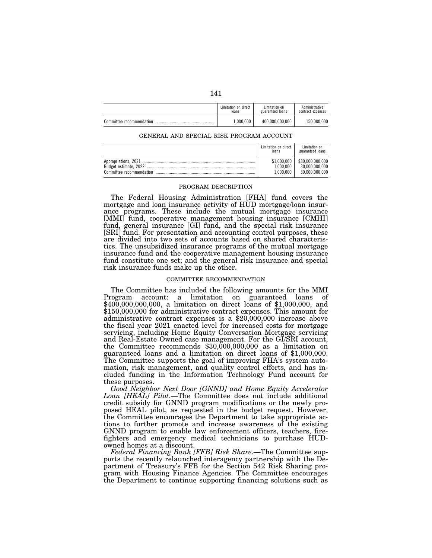|                          | Limitation on direct | Limitation on    | Administrative    |
|--------------------------|----------------------|------------------|-------------------|
|                          | loans                | guaranteed loans | contract expenses |
| Committee recommendation | 1,000,000            | 400.000.000.000  | 150.000.000       |

### GENERAL AND SPECIAL RISK PROGRAM ACCOUNT

| Limitation on direct<br>loans | Limitation on<br>guaranteed loans |
|-------------------------------|-----------------------------------|
| \$1.000.000                   | \$30,000,000,000                  |
| 1.000.000                     | 30.000.000.000                    |
| L.000.000                     | 30.000.000.000                    |

# PROGRAM DESCRIPTION

The Federal Housing Administration [FHA] fund covers the mortgage and loan insurance activity of HUD mortgage/loan insurance programs. These include the mutual mortgage insurance [MMI] fund, cooperative management housing insurance [CMHI] fund, general insurance [GI] fund, and the special risk insurance [SRI] fund. For presentation and accounting control purposes, these are divided into two sets of accounts based on shared characteristics. The unsubsidized insurance programs of the mutual mortgage insurance fund and the cooperative management housing insurance fund constitute one set; and the general risk insurance and special risk insurance funds make up the other.

## COMMITTEE RECOMMENDATION

The Committee has included the following amounts for the MMI Program account: a limitation on guaranteed loans of  $$400,000,000,000$ , a limitation on direct loans of \$1,000,000, and \$150,000,000 for administrative contract expenses. This amount for administrative contract expenses is a \$20,000,000 increase above the fiscal year 2021 enacted level for increased costs for mortgage servicing, including Home Equity Conversation Mortgage servicing and Real-Estate Owned case management. For the GI/SRI account, the Committee recommends  $$30,000,000,000$  as a limitation on guaranteed loans and a limitation on direct loans of \$1,000,000. The Committee supports the goal of improving FHA's system automation, risk management, and quality control efforts, and has included funding in the Information Technology Fund account for these purposes.

*Good Neighbor Next Door [GNND] and Home Equity Accelerator Loan [HEAL] Pilot*.—The Committee does not include additional credit subsidy for GNND program modifications or the newly proposed HEAL pilot, as requested in the budget request. However, the Committee encourages the Department to take appropriate actions to further promote and increase awareness of the existing GNND program to enable law enforcement officers, teachers, firefighters and emergency medical technicians to purchase HUDowned homes at a discount.

*Federal Financing Bank [FFB] Risk Share*.—The Committee supports the recently relaunched interagency partnership with the Department of Treasury's FFB for the Section 542 Risk Sharing program with Housing Finance Agencies. The Committee encourages the Department to continue supporting financing solutions such as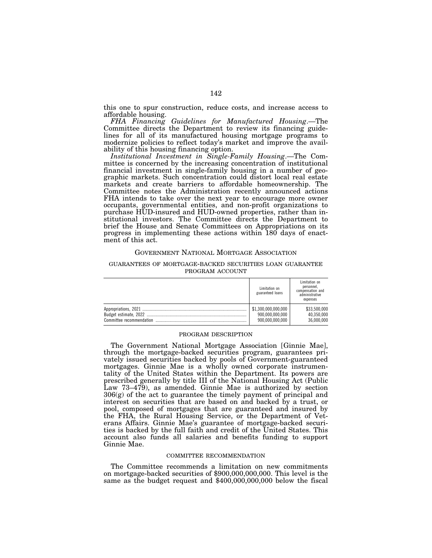this one to spur construction, reduce costs, and increase access to affordable housing.

*FHA Financing Guidelines for Manufactured Housing*.—The Committee directs the Department to review its financing guidelines for all of its manufactured housing mortgage programs to modernize policies to reflect today's market and improve the availability of this housing financing option.

*Institutional Investment in Single-Family Housing*.—The Committee is concerned by the increasing concentration of institutional financial investment in single-family housing in a number of geographic markets. Such concentration could distort local real estate markets and create barriers to affordable homeownership. The Committee notes the Administration recently announced actions FHA intends to take over the next year to encourage more owner occupants, governmental entities, and non-profit organizations to purchase HUD-insured and HUD-owned properties, rather than institutional investors. The Committee directs the Department to brief the House and Senate Committees on Appropriations on its progress in implementing these actions within 180 days of enactment of this act.

### GOVERNMENT NATIONAL MORTGAGE ASSOCIATION

# GUARANTEES OF MORTGAGE-BACKED SECURITIES LOAN GUARANTEE PROGRAM ACCOUNT

| Limitation on<br>guaranteed loans | Limitation on<br>personnel,<br>compensation and<br>administrative<br>expenses |
|-----------------------------------|-------------------------------------------------------------------------------|
| \$1,300,000,000,000               | \$33,500,000                                                                  |
| 900,000,000,000                   | 40.350.000                                                                    |
| 900.000.000.000                   | 36.000.000                                                                    |

#### PROGRAM DESCRIPTION

The Government National Mortgage Association [Ginnie Mae], through the mortgage-backed securities program, guarantees privately issued securities backed by pools of Government-guaranteed mortgages. Ginnie Mae is a wholly owned corporate instrumentality of the United States within the Department. Its powers are prescribed generally by title III of the National Housing Act (Public Law 73–479), as amended. Ginnie Mae is authorized by section 306(g) of the act to guarantee the timely payment of principal and interest on securities that are based on and backed by a trust, or pool, composed of mortgages that are guaranteed and insured by the FHA, the Rural Housing Service, or the Department of Veterans Affairs. Ginnie Mae's guarantee of mortgage-backed securities is backed by the full faith and credit of the United States. This account also funds all salaries and benefits funding to support Ginnie Mae.

### COMMITTEE RECOMMENDATION

The Committee recommends a limitation on new commitments on mortgage-backed securities of \$900,000,000,000. This level is the same as the budget request and \$400,000,000,000 below the fiscal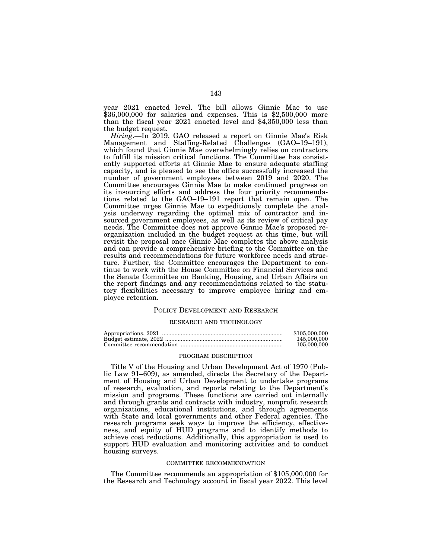year 2021 enacted level. The bill allows Ginnie Mae to use \$36,000,000 for salaries and expenses. This is \$2,500,000 more than the fiscal year 2021 enacted level and \$4,350,000 less than the budget request.

*Hiring*.—In 2019, GAO released a report on Ginnie Mae's Risk Management and Staffing-Related Challenges (GAO–19–191), which found that Ginnie Mae overwhelmingly relies on contractors to fulfill its mission critical functions. The Committee has consistently supported efforts at Ginnie Mae to ensure adequate staffing capacity, and is pleased to see the office successfully increased the number of government employees between 2019 and 2020. The Committee encourages Ginnie Mae to make continued progress on its insourcing efforts and address the four priority recommendations related to the GAO–19–191 report that remain open. The Committee urges Ginnie Mae to expeditiously complete the analysis underway regarding the optimal mix of contractor and insourced government employees, as well as its review of critical pay needs. The Committee does not approve Ginnie Mae's proposed reorganization included in the budget request at this time, but will revisit the proposal once Ginnie Mae completes the above analysis and can provide a comprehensive briefing to the Committee on the results and recommendations for future workforce needs and structure. Further, the Committee encourages the Department to continue to work with the House Committee on Financial Services and the Senate Committee on Banking, Housing, and Urban Affairs on the report findings and any recommendations related to the statutory flexibilities necessary to improve employee hiring and employee retention.

# POLICY DEVELOPMENT AND RESEARCH

### RESEARCH AND TECHNOLOGY

| \$105,000,000 |
|---------------|
| 145,000,000   |
| 105,000,000   |

## PROGRAM DESCRIPTION

Title V of the Housing and Urban Development Act of 1970 (Public Law 91–609), as amended, directs the Secretary of the Department of Housing and Urban Development to undertake programs of research, evaluation, and reports relating to the Department's mission and programs. These functions are carried out internally and through grants and contracts with industry, nonprofit research organizations, educational institutions, and through agreements with State and local governments and other Federal agencies. The research programs seek ways to improve the efficiency, effectiveness, and equity of HUD programs and to identify methods to achieve cost reductions. Additionally, this appropriation is used to support HUD evaluation and monitoring activities and to conduct housing surveys.

#### COMMITTEE RECOMMENDATION

The Committee recommends an appropriation of \$105,000,000 for the Research and Technology account in fiscal year 2022. This level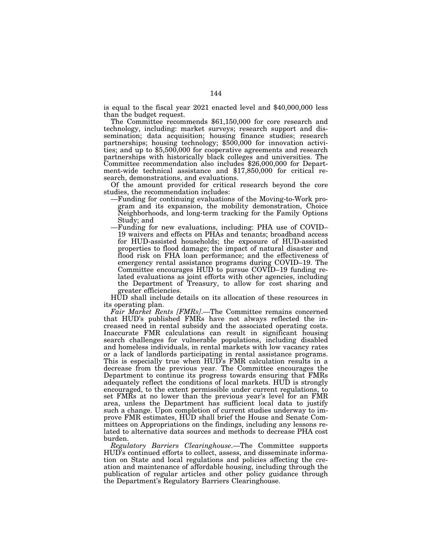is equal to the fiscal year 2021 enacted level and \$40,000,000 less

than the budget request. The Committee recommends \$61,150,000 for core research and technology, including: market surveys; research support and dissemination; data acquisition; housing finance studies; research partnerships; housing technology; \$500,000 for innovation activities; and up to \$5,500,000 for cooperative agreements and research partnerships with historically black colleges and universities. The Committee recommendation also includes \$26,000,000 for Department-wide technical assistance and \$17,850,000 for critical research, demonstrations, and evaluations.

Of the amount provided for critical research beyond the core studies, the recommendation includes:

- —Funding for continuing evaluations of the Moving-to-Work program and its expansion, the mobility demonstration, Choice Neighborhoods, and long-term tracking for the Family Options Study; and
- —Funding for new evaluations, including: PHA use of COVID– 19 waivers and effects on PHAs and tenants; broadband access for HUD-assisted households; the exposure of HUD-assisted properties to flood damage; the impact of natural disaster and flood risk on FHA loan performance; and the effectiveness of emergency rental assistance programs during COVID–19. The Committee encourages HUD to pursue COVID–19 funding related evaluations as joint efforts with other agencies, including the Department of Treasury, to allow for cost sharing and greater efficiencies.

HUD shall include details on its allocation of these resources in its operating plan.

*Fair Market Rents [FMRs]*.—The Committee remains concerned that HUD's published FMRs have not always reflected the increased need in rental subsidy and the associated operating costs. Inaccurate FMR calculations can result in significant housing search challenges for vulnerable populations, including disabled and homeless individuals, in rental markets with low vacancy rates or a lack of landlords participating in rental assistance programs. This is especially true when HUD's FMR calculation results in a decrease from the previous year. The Committee encourages the Department to continue its progress towards ensuring that FMRs adequately reflect the conditions of local markets. HUD is strongly encouraged, to the extent permissible under current regulations, to set FMRs at no lower than the previous year's level for an FMR area, unless the Department has sufficient local data to justify such a change. Upon completion of current studies underway to improve FMR estimates, HUD shall brief the House and Senate Committees on Appropriations on the findings, including any lessons related to alternative data sources and methods to decrease PHA cost burden.

*Regulatory Barriers Clearinghouse*.—The Committee supports HUD's continued efforts to collect, assess, and disseminate information on State and local regulations and policies affecting the creation and maintenance of affordable housing, including through the publication of regular articles and other policy guidance through the Department's Regulatory Barriers Clearinghouse.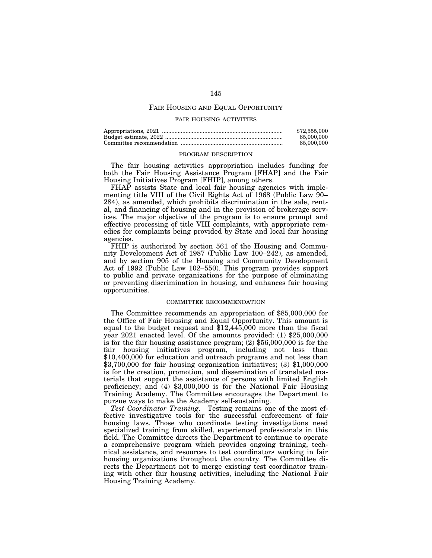## FAIR HOUSING AND EQUAL OPPORTUNITY

### FAIR HOUSING ACTIVITIES

| \$72,555,000 |
|--------------|
| 85,000,000   |
| 85,000,000   |

### PROGRAM DESCRIPTION

The fair housing activities appropriation includes funding for both the Fair Housing Assistance Program [FHAP] and the Fair Housing Initiatives Program [FHIP], among others.

FHAP assists State and local fair housing agencies with implementing title VIII of the Civil Rights Act of 1968 (Public Law 90– 284), as amended, which prohibits discrimination in the sale, rental, and financing of housing and in the provision of brokerage services. The major objective of the program is to ensure prompt and effective processing of title VIII complaints, with appropriate remedies for complaints being provided by State and local fair housing agencies.

FHIP is authorized by section 561 of the Housing and Community Development Act of 1987 (Public Law 100–242), as amended, and by section 905 of the Housing and Community Development Act of 1992 (Public Law 102–550). This program provides support to public and private organizations for the purpose of eliminating or preventing discrimination in housing, and enhances fair housing opportunities.

### COMMITTEE RECOMMENDATION

The Committee recommends an appropriation of \$85,000,000 for the Office of Fair Housing and Equal Opportunity. This amount is equal to the budget request and \$12,445,000 more than the fiscal year 2021 enacted level. Of the amounts provided: (1) \$25,000,000 is for the fair housing assistance program;  $(2)$  \$56,000,000 is for the fair housing initiatives program, including not less than \$10,400,000 for education and outreach programs and not less than \$3,700,000 for fair housing organization initiatives; (3) \$1,000,000 is for the creation, promotion, and dissemination of translated materials that support the assistance of persons with limited English proficiency; and (4) \$3,000,000 is for the National Fair Housing Training Academy. The Committee encourages the Department to pursue ways to make the Academy self-sustaining.

*Test Coordinator Training*.—Testing remains one of the most effective investigative tools for the successful enforcement of fair housing laws. Those who coordinate testing investigations need specialized training from skilled, experienced professionals in this field. The Committee directs the Department to continue to operate a comprehensive program which provides ongoing training, technical assistance, and resources to test coordinators working in fair housing organizations throughout the country. The Committee directs the Department not to merge existing test coordinator training with other fair housing activities, including the National Fair Housing Training Academy.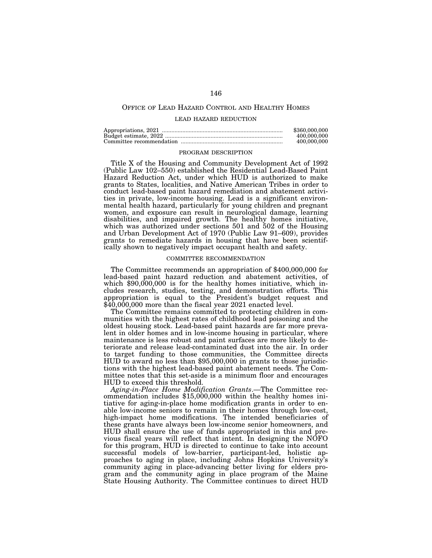## OFFICE OF LEAD HAZARD CONTROL AND HEALTHY HOMES

#### LEAD HAZARD REDUCTION

| \$360,000,000 |
|---------------|
| 400,000,000   |
| 400,000,000   |

#### PROGRAM DESCRIPTION

Title X of the Housing and Community Development Act of 1992 (Public Law 102–550) established the Residential Lead-Based Paint Hazard Reduction Act, under which HUD is authorized to make grants to States, localities, and Native American Tribes in order to conduct lead-based paint hazard remediation and abatement activities in private, low-income housing. Lead is a significant environmental health hazard, particularly for young children and pregnant women, and exposure can result in neurological damage, learning disabilities, and impaired growth. The healthy homes initiative, which was authorized under sections 501 and 502 of the Housing and Urban Development Act of 1970 (Public Law 91–609), provides grants to remediate hazards in housing that have been scientifically shown to negatively impact occupant health and safety.

#### COMMITTEE RECOMMENDATION

The Committee recommends an appropriation of \$400,000,000 for lead-based paint hazard reduction and abatement activities, of which \$90,000,000 is for the healthy homes initiative, which includes research, studies, testing, and demonstration efforts. This appropriation is equal to the President's budget request and \$40,000,000 more than the fiscal year 2021 enacted level.

The Committee remains committed to protecting children in communities with the highest rates of childhood lead poisoning and the oldest housing stock. Lead-based paint hazards are far more prevalent in older homes and in low-income housing in particular, where maintenance is less robust and paint surfaces are more likely to deteriorate and release lead-contaminated dust into the air. In order to target funding to those communities, the Committee directs HUD to award no less than \$95,000,000 in grants to those jurisdictions with the highest lead-based paint abatement needs. The Committee notes that this set-aside is a minimum floor and encourages HUD to exceed this threshold.

*Aging-in-Place Home Modification Grants*.—The Committee recommendation includes \$15,000,000 within the healthy homes initiative for aging-in-place home modification grants in order to enable low-income seniors to remain in their homes through low-cost, high-impact home modifications. The intended beneficiaries of these grants have always been low-income senior homeowners, and HUD shall ensure the use of funds appropriated in this and previous fiscal years will reflect that intent. In designing the NOFO for this program, HUD is directed to continue to take into account successful models of low-barrier, participant-led, holistic approaches to aging in place, including Johns Hopkins University's community aging in place-advancing better living for elders program and the community aging in place program of the Maine State Housing Authority. The Committee continues to direct HUD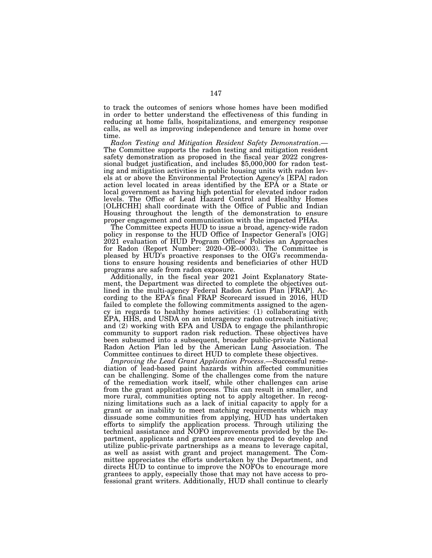to track the outcomes of seniors whose homes have been modified in order to better understand the effectiveness of this funding in reducing at home falls, hospitalizations, and emergency response calls, as well as improving independence and tenure in home over time.<br>Radon Testing and Mitigation Resident Safety Demonstration.—

The Committee supports the radon testing and mitigation resident safety demonstration as proposed in the fiscal year 2022 congressional budget justification, and includes \$5,000,000 for radon testing and mitigation activities in public housing units with radon levels at or above the Environmental Protection Agency's [EPA] radon action level located in areas identified by the EPA or a State or local government as having high potential for elevated indoor radon levels. The Office of Lead Hazard Control and Healthy Homes [OLHCHH] shall coordinate with the Office of Public and Indian Housing throughout the length of the demonstration to ensure proper engagement and communication with the impacted PHAs.

The Committee expects HUD to issue a broad, agency-wide radon policy in response to the HUD Office of Inspector General's [OIG] 2021 evaluation of HUD Program Offices' Policies an Approaches for Radon (Report Number: 2020–OE–0003). The Committee is pleased by HUD's proactive responses to the OIG's recommendations to ensure housing residents and beneficiaries of other HUD programs are safe from radon exposure.

Additionally, in the fiscal year 2021 Joint Explanatory Statement, the Department was directed to complete the objectives outlined in the multi-agency Federal Radon Action Plan [FRAP]. According to the EPA's final FRAP Scorecard issued in 2016, HUD failed to complete the following commitments assigned to the agency in regards to healthy homes activities: (1) collaborating with EPA, HHS, and USDA on an interagency radon outreach initiative; and  $(2)$  working with EPA and USDA to engage the philanthropic community to support radon risk reduction. These objectives have been subsumed into a subsequent, broader public-private National Radon Action Plan led by the American Lung Association. The Committee continues to direct HUD to complete these objectives.

*Improving the Lead Grant Application Process*.—Successful remediation of lead-based paint hazards within affected communities can be challenging. Some of the challenges come from the nature of the remediation work itself, while other challenges can arise from the grant application process. This can result in smaller, and more rural, communities opting not to apply altogether. In recognizing limitations such as a lack of initial capacity to apply for a grant or an inability to meet matching requirements which may dissuade some communities from applying, HUD has undertaken efforts to simplify the application process. Through utilizing the technical assistance and NOFO improvements provided by the Department, applicants and grantees are encouraged to develop and utilize public-private partnerships as a means to leverage capital, as well as assist with grant and project management. The Committee appreciates the efforts undertaken by the Department, and directs HUD to continue to improve the NOFOs to encourage more grantees to apply, especially those that may not have access to professional grant writers. Additionally, HUD shall continue to clearly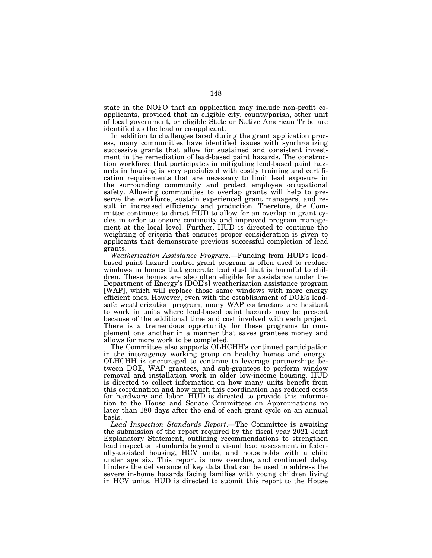state in the NOFO that an application may include non-profit coapplicants, provided that an eligible city, county/parish, other unit of local government, or eligible State or Native American Tribe are identified as the lead or co-applicant.

In addition to challenges faced during the grant application process, many communities have identified issues with synchronizing successive grants that allow for sustained and consistent investment in the remediation of lead-based paint hazards. The construction workforce that participates in mitigating lead-based paint hazards in housing is very specialized with costly training and certification requirements that are necessary to limit lead exposure in the surrounding community and protect employee occupational safety. Allowing communities to overlap grants will help to preserve the workforce, sustain experienced grant managers, and result in increased efficiency and production. Therefore, the Committee continues to direct HUD to allow for an overlap in grant cycles in order to ensure continuity and improved program management at the local level. Further, HUD is directed to continue the weighting of criteria that ensures proper consideration is given to applicants that demonstrate previous successful completion of lead grants.

*Weatherization Assistance Program*.—Funding from HUD's leadbased paint hazard control grant program is often used to replace windows in homes that generate lead dust that is harmful to children. These homes are also often eligible for assistance under the Department of Energy's [DOE's] weatherization assistance program [WAP], which will replace those same windows with more energy efficient ones. However, even with the establishment of DOE's leadsafe weatherization program, many WAP contractors are hesitant to work in units where lead-based paint hazards may be present because of the additional time and cost involved with each project. There is a tremendous opportunity for these programs to complement one another in a manner that saves grantees money and allows for more work to be completed.

The Committee also supports OLHCHH's continued participation in the interagency working group on healthy homes and energy. OLHCHH is encouraged to continue to leverage partnerships between DOE, WAP grantees, and sub-grantees to perform window removal and installation work in older low-income housing. HUD is directed to collect information on how many units benefit from this coordination and how much this coordination has reduced costs for hardware and labor. HUD is directed to provide this information to the House and Senate Committees on Appropriations no later than 180 days after the end of each grant cycle on an annual basis.

*Lead Inspection Standards Report*.—The Committee is awaiting the submission of the report required by the fiscal year 2021 Joint Explanatory Statement, outlining recommendations to strengthen lead inspection standards beyond a visual lead assessment in federally-assisted housing, HCV units, and households with a child under age six. This report is now overdue, and continued delay hinders the deliverance of key data that can be used to address the severe in-home hazards facing families with young children living in HCV units. HUD is directed to submit this report to the House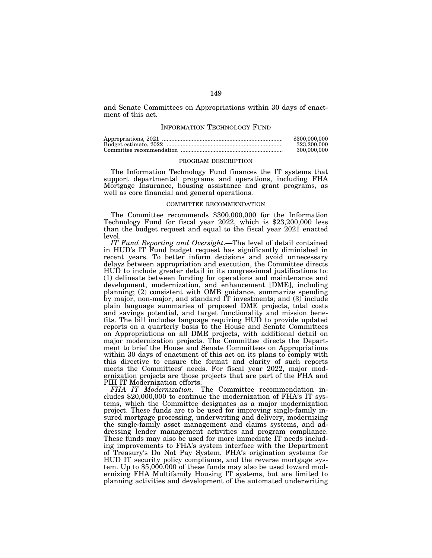and Senate Committees on Appropriations within 30 days of enactment of this act.

## INFORMATION TECHNOLOGY FUND

| \$300,000,000 |
|---------------|
| 323.200.000   |
| 300,000,000   |

### PROGRAM DESCRIPTION

The Information Technology Fund finances the IT systems that support departmental programs and operations, including FHA Mortgage Insurance, housing assistance and grant programs, as well as core financial and general operations.

### COMMITTEE RECOMMENDATION

The Committee recommends \$300,000,000 for the Information Technology Fund for fiscal year 2022, which is \$23,200,000 less than the budget request and equal to the fiscal year 2021 enacted level.

*IT Fund Reporting and Oversight*.—The level of detail contained in HUD's IT Fund budget request has significantly diminished in recent years. To better inform decisions and avoid unnecessary delays between appropriation and execution, the Committee directs HUD to include greater detail in its congressional justifications to: (1) delineate between funding for operations and maintenance and development, modernization, and enhancement [DME], including planning; (2) consistent with OMB guidance, summarize spending by major, non-major, and standard IT investments; and (3) include plain language summaries of proposed DME projects, total costs and savings potential, and target functionality and mission benefits. The bill includes language requiring HUD to provide updated reports on a quarterly basis to the House and Senate Committees on Appropriations on all DME projects, with additional detail on major modernization projects. The Committee directs the Department to brief the House and Senate Committees on Appropriations within 30 days of enactment of this act on its plans to comply with this directive to ensure the format and clarity of such reports meets the Committees' needs. For fiscal year 2022, major modernization projects are those projects that are part of the FHA and PIH IT Modernization efforts.

*FHA IT Modernization*.—The Committee recommendation includes \$20,000,000 to continue the modernization of FHA's IT systems, which the Committee designates as a major modernization project. These funds are to be used for improving single-family insured mortgage processing, underwriting and delivery, modernizing the single-family asset management and claims systems, and addressing lender management activities and program compliance. These funds may also be used for more immediate IT needs including improvements to FHA's system interface with the Department of Treasury's Do Not Pay System, FHA's origination systems for HUD IT security policy compliance, and the reverse mortgage system. Up to \$5,000,000 of these funds may also be used toward modernizing FHA Multifamily Housing IT systems, but are limited to planning activities and development of the automated underwriting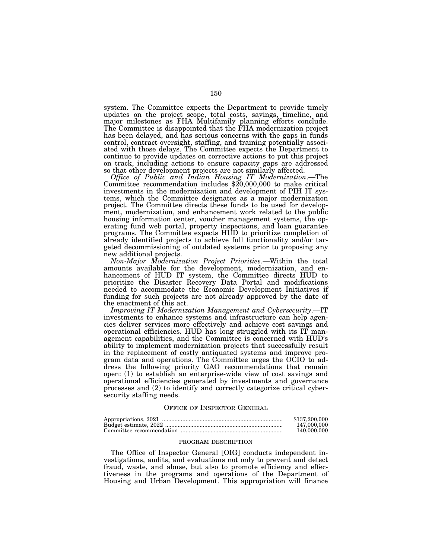system. The Committee expects the Department to provide timely updates on the project scope, total costs, savings, timeline, and major milestones as FHA Multifamily planning efforts conclude. The Committee is disappointed that the FHA modernization project has been delayed, and has serious concerns with the gaps in funds control, contract oversight, staffing, and training potentially associated with those delays. The Committee expects the Department to continue to provide updates on corrective actions to put this project on track, including actions to ensure capacity gaps are addressed so that other development projects are not similarly affected.

*Office of Public and Indian Housing IT Modernization*.—The Committee recommendation includes \$20,000,000 to make critical investments in the modernization and development of PIH IT systems, which the Committee designates as a major modernization project. The Committee directs these funds to be used for development, modernization, and enhancement work related to the public housing information center, voucher management systems, the operating fund web portal, property inspections, and loan guarantee programs. The Committee expects HUD to prioritize completion of already identified projects to achieve full functionality and/or targeted decommissioning of outdated systems prior to proposing any new additional projects.

*Non-Major Modernization Project Priorities*.—Within the total amounts available for the development, modernization, and enhancement of HUD IT system, the Committee directs HUD to prioritize the Disaster Recovery Data Portal and modifications needed to accommodate the Economic Development Initiatives if funding for such projects are not already approved by the date of the enactment of this act.

*Improving IT Modernization Management and Cybersecurity*.—IT investments to enhance systems and infrastructure can help agencies deliver services more effectively and achieve cost savings and operational efficiencies. HUD has long struggled with its IT management capabilities, and the Committee is concerned with HUD's ability to implement modernization projects that successfully result in the replacement of costly antiquated systems and improve program data and operations. The Committee urges the OCIO to address the following priority GAO recommendations that remain open: (1) to establish an enterprise-wide view of cost savings and operational efficiencies generated by investments and governance processes and (2) to identify and correctly categorize critical cybersecurity staffing needs.

### OFFICE OF INSPECTOR GENERAL

| \$137,200,000 |
|---------------|
| 147,000,000   |
| 140,000,000   |

## PROGRAM DESCRIPTION

The Office of Inspector General [OIG] conducts independent investigations, audits, and evaluations not only to prevent and detect fraud, waste, and abuse, but also to promote efficiency and effectiveness in the programs and operations of the Department of Housing and Urban Development. This appropriation will finance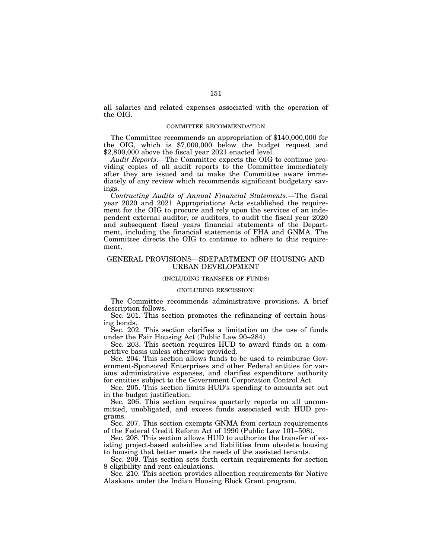all salaries and related expenses associated with the operation of the OIG.

#### COMMITTEE RECOMMENDATION

The Committee recommends an appropriation of \$140,000,000 for the OIG, which is \$7,000,000 below the budget request and \$2,800,000 above the fiscal year 2021 enacted level.

*Audit Reports*.—The Committee expects the OIG to continue providing copies of all audit reports to the Committee immediately after they are issued and to make the Committee aware immediately of any review which recommends significant budgetary savings.

*Contracting Audits of Annual Financial Statements*.—The fiscal year 2020 and 2021 Appropriations Acts established the requirement for the OIG to procure and rely upon the services of an independent external auditor, or auditors, to audit the fiscal year 2020 and subsequent fiscal years financial statements of the Department, including the financial statements of FHA and GNMA. The Committee directs the OIG to continue to adhere to this requirement.

## GENERAL PROVISIONS—SDEPARTMENT OF HOUSING AND URBAN DEVELOPMENT

#### (INCLUDING TRANSFER OF FUNDS)

### (INCLUDING RESCISSION)

The Committee recommends administrative provisions. A brief description follows.

Sec. 201. This section promotes the refinancing of certain housing bonds.

Sec. 202. This section clarifies a limitation on the use of funds under the Fair Housing Act (Public Law 90–284).

Sec. 203. This section requires HUD to award funds on a competitive basis unless otherwise provided.

Sec. 204. This section allows funds to be used to reimburse Government-Sponsored Enterprises and other Federal entities for various administrative expenses, and clarifies expenditure authority for entities subject to the Government Corporation Control Act.

Sec. 205. This section limits HUD's spending to amounts set out in the budget justification.

Sec. 206. This section requires quarterly reports on all uncommitted, unobligated, and excess funds associated with HUD programs.

Sec. 207. This section exempts GNMA from certain requirements of the Federal Credit Reform Act of 1990 (Public Law 101–508).

Sec. 208. This section allows HUD to authorize the transfer of existing project-based subsidies and liabilities from obsolete housing to housing that better meets the needs of the assisted tenants.

Sec. 209. This section sets forth certain requirements for section 8 eligibility and rent calculations.

Sec. 210. This section provides allocation requirements for Native Alaskans under the Indian Housing Block Grant program.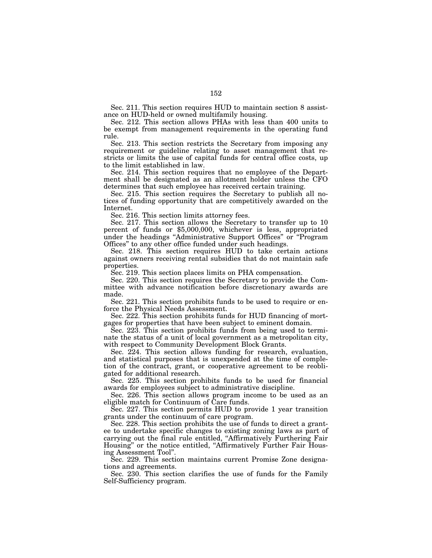Sec. 211. This section requires HUD to maintain section 8 assistance on HUD-held or owned multifamily housing.

Sec. 212. This section allows PHAs with less than 400 units to be exempt from management requirements in the operating fund rule.

Sec. 213. This section restricts the Secretary from imposing any requirement or guideline relating to asset management that restricts or limits the use of capital funds for central office costs, up to the limit established in law.

Sec. 214. This section requires that no employee of the Department shall be designated as an allotment holder unless the CFO determines that such employee has received certain training.

Sec. 215. This section requires the Secretary to publish all notices of funding opportunity that are competitively awarded on the Internet.

Sec. 216. This section limits attorney fees.

Sec. 217. This section allows the Secretary to transfer up to 10 percent of funds or \$5,000,000, whichever is less, appropriated under the headings ''Administrative Support Offices'' or ''Program Offices'' to any other office funded under such headings.

Sec. 218. This section requires HUD to take certain actions against owners receiving rental subsidies that do not maintain safe properties.

Sec. 219. This section places limits on PHA compensation.

Sec. 220. This section requires the Secretary to provide the Committee with advance notification before discretionary awards are made.

Sec. 221. This section prohibits funds to be used to require or enforce the Physical Needs Assessment.

Sec. 222. This section prohibits funds for HUD financing of mortgages for properties that have been subject to eminent domain.

Sec. 223. This section prohibits funds from being used to terminate the status of a unit of local government as a metropolitan city, with respect to Community Development Block Grants.

Sec. 224. This section allows funding for research, evaluation, and statistical purposes that is unexpended at the time of completion of the contract, grant, or cooperative agreement to be reobligated for additional research.

Sec. 225. This section prohibits funds to be used for financial awards for employees subject to administrative discipline.

Sec. 226. This section allows program income to be used as an eligible match for Continuum of Care funds.

Sec. 227. This section permits HUD to provide 1 year transition grants under the continuum of care program.

Sec. 228. This section prohibits the use of funds to direct a grantee to undertake specific changes to existing zoning laws as part of carrying out the final rule entitled, ''Affirmatively Furthering Fair Housing'' or the notice entitled, ''Affirmatively Further Fair Housing Assessment Tool''.

Sec. 229. This section maintains current Promise Zone designations and agreements.

Sec. 230. This section clarifies the use of funds for the Family Self-Sufficiency program.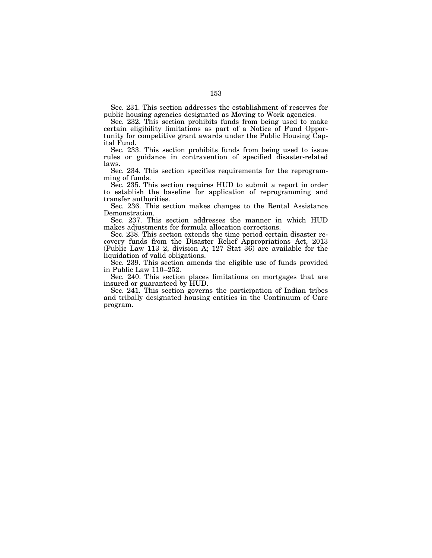Sec. 231. This section addresses the establishment of reserves for public housing agencies designated as Moving to Work agencies.

Sec. 232. This section prohibits funds from being used to make certain eligibility limitations as part of a Notice of Fund Opportunity for competitive grant awards under the Public Housing Capital Fund.

Sec. 233. This section prohibits funds from being used to issue rules or guidance in contravention of specified disaster-related laws.

Sec. 234. This section specifies requirements for the reprogramming of funds.

Sec. 235. This section requires HUD to submit a report in order to establish the baseline for application of reprogramming and transfer authorities.

Sec. 236. This section makes changes to the Rental Assistance Demonstration.

Sec. 237. This section addresses the manner in which HUD makes adjustments for formula allocation corrections.

Sec. 238. This section extends the time period certain disaster recovery funds from the Disaster Relief Appropriations Act, 2013 (Public Law 113–2, division A; 127 Stat 36) are available for the liquidation of valid obligations.

Sec. 239. This section amends the eligible use of funds provided in Public Law 110–252.

Sec. 240. This section places limitations on mortgages that are insured or guaranteed by HUD.

Sec. 241. This section governs the participation of Indian tribes and tribally designated housing entities in the Continuum of Care program.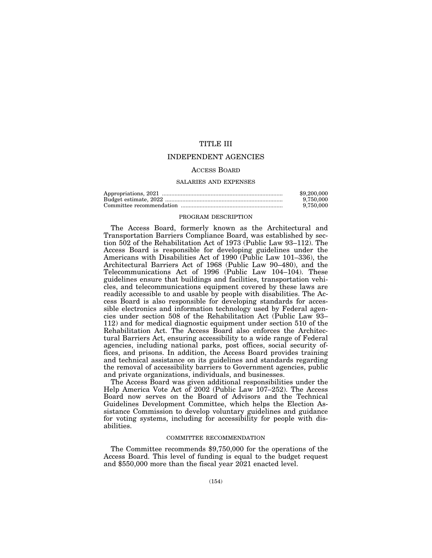## TITLE III

## INDEPENDENT AGENCIES

## ACCESS BOARD

#### SALARIES AND EXPENSES

| \$9,200,000 |
|-------------|
| 9.750.000   |
| 9.750,000   |

### PROGRAM DESCRIPTION

The Access Board, formerly known as the Architectural and Transportation Barriers Compliance Board, was established by section 502 of the Rehabilitation Act of 1973 (Public Law 93–112). The Access Board is responsible for developing guidelines under the Americans with Disabilities Act of 1990 (Public Law 101–336), the Architectural Barriers Act of 1968 (Public Law 90–480), and the Telecommunications Act of 1996 (Public Law 104–104). These guidelines ensure that buildings and facilities, transportation vehicles, and telecommunications equipment covered by these laws are readily accessible to and usable by people with disabilities. The Access Board is also responsible for developing standards for accessible electronics and information technology used by Federal agencies under section 508 of the Rehabilitation Act (Public Law 93– 112) and for medical diagnostic equipment under section 510 of the Rehabilitation Act. The Access Board also enforces the Architectural Barriers Act, ensuring accessibility to a wide range of Federal agencies, including national parks, post offices, social security offices, and prisons. In addition, the Access Board provides training and technical assistance on its guidelines and standards regarding the removal of accessibility barriers to Government agencies, public and private organizations, individuals, and businesses.

The Access Board was given additional responsibilities under the Help America Vote Act of 2002 (Public Law 107–252). The Access Board now serves on the Board of Advisors and the Technical Guidelines Development Committee, which helps the Election Assistance Commission to develop voluntary guidelines and guidance for voting systems, including for accessibility for people with disabilities.

### COMMITTEE RECOMMENDATION

The Committee recommends \$9,750,000 for the operations of the Access Board. This level of funding is equal to the budget request and \$550,000 more than the fiscal year 2021 enacted level.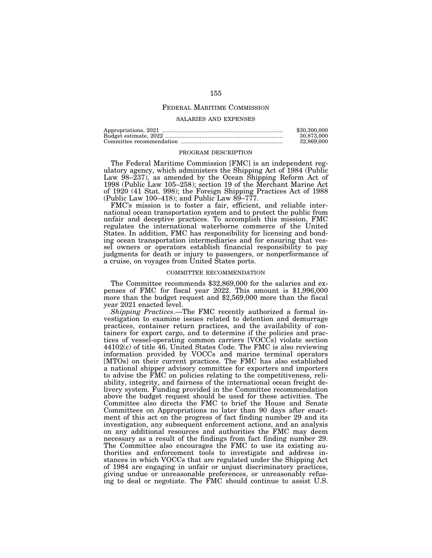## FEDERAL MARITIME COMMISSION

### SALARIES AND EXPENSES

| \$30,300,000 |
|--------------|
| 30.873.000   |
| 32.869.000   |

#### PROGRAM DESCRIPTION

The Federal Maritime Commission [FMC] is an independent regulatory agency, which administers the Shipping Act of 1984 (Public Law 98–237), as amended by the Ocean Shipping Reform Act of 1998 (Public Law 105–258); section 19 of the Merchant Marine Act of 1920 (41 Stat. 998); the Foreign Shipping Practices Act of 1988 (Public Law 100–418); and Public Law  $89-777$ .

FMC's mission is to foster a fair, efficient, and reliable international ocean transportation system and to protect the public from unfair and deceptive practices. To accomplish this mission, FMC regulates the international waterborne commerce of the United States. In addition, FMC has responsibility for licensing and bonding ocean transportation intermediaries and for ensuring that vessel owners or operators establish financial responsibility to pay judgments for death or injury to passengers, or nonperformance of a cruise, on voyages from United States ports.

#### COMMITTEE RECOMMENDATION

The Committee recommends \$32,869,000 for the salaries and expenses of FMC for fiscal year 2022. This amount is \$1,996,000 more than the budget request and \$2,569,000 more than the fiscal year 2021 enacted level.

*Shipping Practices*.—The FMC recently authorized a formal investigation to examine issues related to detention and demurrage practices, container return practices, and the availability of containers for export cargo, and to determine if the policies and practices of vessel-operating common carriers [VOCCs] violate section 44102(c) of title 46, United States Code. The FMC is also reviewing information provided by VOCCs and marine terminal operators [MTOs] on their current practices. The FMC has also established a national shipper advisory committee for exporters and importers to advise the FMC on policies relating to the competitiveness, reliability, integrity, and fairness of the international ocean freight delivery system. Funding provided in the Committee recommendation above the budget request should be used for these activities. The Committee also directs the FMC to brief the House and Senate Committees on Appropriations no later than 90 days after enactment of this act on the progress of fact finding number 29 and its investigation, any subsequent enforcement actions, and an analysis on any additional resources and authorities the FMC may deem necessary as a result of the findings from fact finding number 29. The Committee also encourages the FMC to use its existing authorities and enforcement tools to investigate and address instances in which VOCCs that are regulated under the Shipping Act of 1984 are engaging in unfair or unjust discriminatory practices, giving undue or unreasonable preferences, or unreasonably refusing to deal or negotiate. The FMC should continue to assist U.S.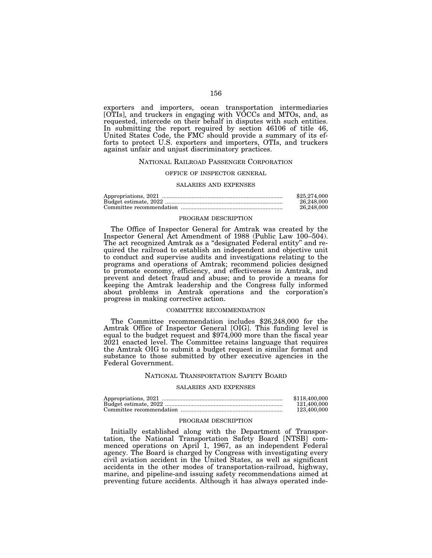exporters and importers, ocean transportation intermediaries [OTIs], and truckers in engaging with VOCCs and MTOs, and, as requested, intercede on their behalf in disputes with such entities. In submitting the report required by section 46106 of title 46, United States Code, the FMC should provide a summary of its efforts to protect U.S. exporters and importers, OTIs, and truckers against unfair and unjust discriminatory practices.

### NATIONAL RAILROAD PASSENGER CORPORATION

## OFFICE OF INSPECTOR GENERAL

#### SALARIES AND EXPENSES

| \$25,274,000 |
|--------------|
| 26,248,000   |
| 26.248.000   |

### PROGRAM DESCRIPTION

The Office of Inspector General for Amtrak was created by the Inspector General Act Amendment of 1988 (Public Law 100–504). The act recognized Amtrak as a ''designated Federal entity'' and required the railroad to establish an independent and objective unit to conduct and supervise audits and investigations relating to the programs and operations of Amtrak; recommend policies designed to promote economy, efficiency, and effectiveness in Amtrak, and prevent and detect fraud and abuse; and to provide a means for keeping the Amtrak leadership and the Congress fully informed about problems in Amtrak operations and the corporation's progress in making corrective action.

## COMMITTEE RECOMMENDATION

The Committee recommendation includes \$26,248,000 for the Amtrak Office of Inspector General [OIG]. This funding level is equal to the budget request and \$974,000 more than the fiscal year 2021 enacted level. The Committee retains language that requires the Amtrak OIG to submit a budget request in similar format and substance to those submitted by other executive agencies in the Federal Government.

### NATIONAL TRANSPORTATION SAFETY BOARD

## SALARIES AND EXPENSES

| \$118,400,000 |
|---------------|
| 121.400.000   |
| 123,400,000   |

#### PROGRAM DESCRIPTION

Initially established along with the Department of Transportation, the National Transportation Safety Board [NTSB] commenced operations on April 1, 1967, as an independent Federal agency. The Board is charged by Congress with investigating every civil aviation accident in the United States, as well as significant accidents in the other modes of transportation-railroad, highway, marine, and pipeline-and issuing safety recommendations aimed at preventing future accidents. Although it has always operated inde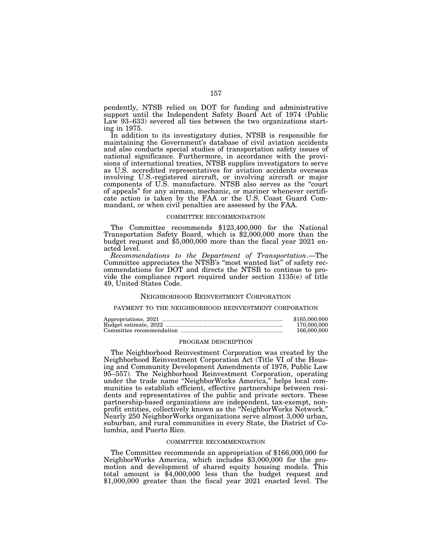pendently, NTSB relied on DOT for funding and administrative support until the Independent Safety Board Act of 1974 (Public Law 93–633) severed all ties between the two organizations starting in 1975.

In addition to its investigatory duties, NTSB is responsible for maintaining the Government's database of civil aviation accidents and also conducts special studies of transportation safety issues of national significance. Furthermore, in accordance with the provisions of international treaties, NTSB supplies investigators to serve as U.S. accredited representatives for aviation accidents overseas involving U.S.-registered aircraft, or involving aircraft or major components of U.S. manufacture. NTSB also serves as the ''court of appeals'' for any airman, mechanic, or mariner whenever certificate action is taken by the FAA or the U.S. Coast Guard Commandant, or when civil penalties are assessed by the FAA.

### COMMITTEE RECOMMENDATION

The Committee recommends \$123,400,000 for the National Transportation Safety Board, which is \$2,000,000 more than the budget request and \$5,000,000 more than the fiscal year 2021 enacted level.

*Recommendations to the Department of Transportation*.—The Committee appreciates the NTSB's ''most wanted list'' of safety recommendations for DOT and directs the NTSB to continue to provide the compliance report required under section 1135(e) of title 49, United States Code.

### NEIGHBORHOOD REINVESTMENT CORPORATION

## PAYMENT TO THE NEIGHBORHOOD REINVESTMENT CORPORATION

| \$165,000,000 |
|---------------|
| 170,000,000   |
| 166,000,000   |

#### PROGRAM DESCRIPTION

The Neighborhood Reinvestment Corporation was created by the Neighborhood Reinvestment Corporation Act (Title VI of the Housing and Community Development Amendments of 1978, Public Law 95–557). The Neighborhood Reinvestment Corporation, operating under the trade name ''NeighborWorks America,'' helps local communities to establish efficient, effective partnerships between residents and representatives of the public and private sectors. These partnership-based organizations are independent, tax-exempt, nonprofit entities, collectively known as the ''NeighborWorks Network.'' Nearly 250 NeighborWorks organizations serve almost 3,000 urban, suburban, and rural communities in every State, the District of Columbia, and Puerto Rico.

## COMMITTEE RECOMMENDATION

The Committee recommends an appropriation of \$166,000,000 for NeighborWorks America, which includes \$3,000,000 for the promotion and development of shared equity housing models. This total amount is \$4,000,000 less than the budget request and \$1,000,000 greater than the fiscal year 2021 enacted level. The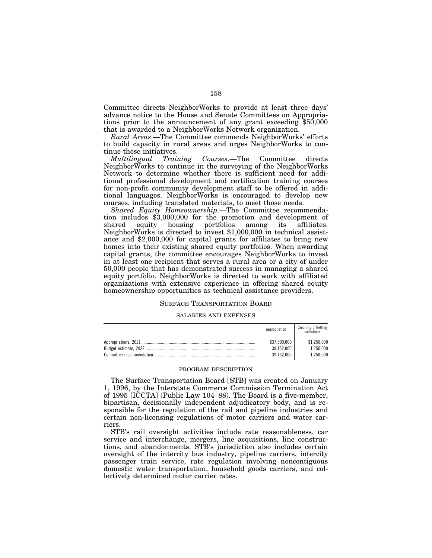Committee directs NeighborWorks to provide at least three days' advance notice to the House and Senate Committees on Appropriations prior to the announcement of any grant exceeding \$50,000 that is awarded to a NeighborWorks Network organization.

*Rural Areas*.—The Committee commends NeighborWorks' efforts to build capacity in rural areas and urges NeighborWorks to continue those initiatives.<br> *Multilingual* Train

*Multilingual Training Courses*.—The Committee directs NeighborWorks to continue in the surveying of the NeighborWorks Network to determine whether there is sufficient need for additional professional development and certification training courses for non-profit community development staff to be offered in additional languages. NeighborWorks is encouraged to develop new courses, including translated materials, to meet those needs.

*Shared Equity Homeownership*.—The Committee recommendation includes \$3,000,000 for the promotion and development of shared equity housing portfolios among its affiliates. NeighborWorks is directed to invest \$1,000,000 in technical assistance and \$2,000,000 for capital grants for affiliates to bring new homes into their existing shared equity portfolios. When awarding capital grants, the committee encourages NeighborWorks to invest in at least one recipient that serves a rural area or a city of under 50,000 people that has demonstrated success in managing a shared equity portfolio. NeighborWorks is directed to work with affiliated organizations with extensive experience in offering shared equity homeownership opportunities as technical assistance providers.

## SURFACE TRANSPORTATION BOARD

#### SALARIES AND EXPENSES

| Appropriation | Crediting offsetting<br>collections |
|---------------|-------------------------------------|
| \$37,500,000  | \$1,250,000                         |
| 39.152.000    | 1,250,000                           |
| 39,152,000    | 1.250.000                           |

#### PROGRAM DESCRIPTION

The Surface Transportation Board [STB] was created on January 1, 1996, by the Interstate Commerce Commission Termination Act of 1995 [ICCTA] (Public Law 104–88). The Board is a five-member, bipartisan, decisionally independent adjudicatory body, and is responsible for the regulation of the rail and pipeline industries and certain non-licensing regulations of motor carriers and water carriers.

STB's rail oversight activities include rate reasonableness, car service and interchange, mergers, line acquisitions, line constructions, and abandonments. STB's jurisdiction also includes certain oversight of the intercity bus industry, pipeline carriers, intercity passenger train service, rate regulation involving noncontiguous domestic water transportation, household goods carriers, and collectively determined motor carrier rates.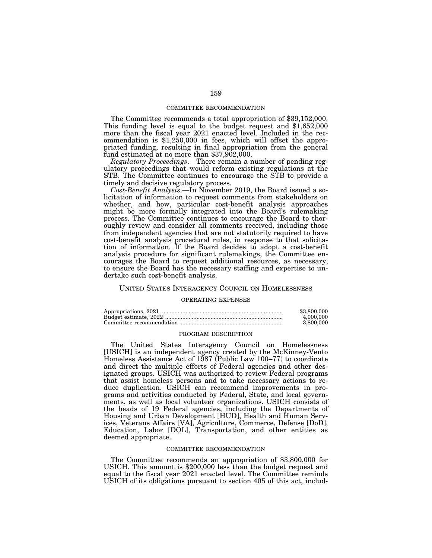### COMMITTEE RECOMMENDATION

The Committee recommends a total appropriation of \$39,152,000. This funding level is equal to the budget request and \$1,652,000 more than the fiscal year 2021 enacted level. Included in the recommendation is \$1,250,000 in fees, which will offset the appropriated funding, resulting in final appropriation from the general fund estimated at no more than \$37,902,000.

*Regulatory Proceedings*.—There remain a number of pending regulatory proceedings that would reform existing regulations at the STB. The Committee continues to encourage the STB to provide a timely and decisive regulatory process.

*Cost-Benefit Analysis*.—In November 2019, the Board issued a solicitation of information to request comments from stakeholders on whether, and how, particular cost-benefit analysis approaches might be more formally integrated into the Board's rulemaking process. The Committee continues to encourage the Board to thoroughly review and consider all comments received, including those from independent agencies that are not statutorily required to have cost-benefit analysis procedural rules, in response to that solicitation of information. If the Board decides to adopt a cost-benefit analysis procedure for significant rulemakings, the Committee encourages the Board to request additional resources, as necessary, to ensure the Board has the necessary staffing and expertise to undertake such cost-benefit analysis.

## UNITED STATES INTERAGENCY COUNCIL ON HOMELESSNESS

#### OPERATING EXPENSES

| \$3,800,000 |
|-------------|
| 4.000.000   |
| 3.800.000   |

#### PROGRAM DESCRIPTION

The United States Interagency Council on Homelessness [USICH] is an independent agency created by the McKinney-Vento Homeless Assistance Act of 1987 (Public Law 100–77) to coordinate and direct the multiple efforts of Federal agencies and other designated groups. USICH was authorized to review Federal programs that assist homeless persons and to take necessary actions to reduce duplication. USICH can recommend improvements in programs and activities conducted by Federal, State, and local governments, as well as local volunteer organizations. USICH consists of the heads of 19 Federal agencies, including the Departments of Housing and Urban Development [HUD], Health and Human Services, Veterans Affairs [VA], Agriculture, Commerce, Defense [DoD], Education, Labor [DOL], Transportation, and other entities as deemed appropriate.

### COMMITTEE RECOMMENDATION

The Committee recommends an appropriation of \$3,800,000 for USICH. This amount is \$200,000 less than the budget request and equal to the fiscal year 2021 enacted level. The Committee reminds USICH of its obligations pursuant to section 405 of this act, includ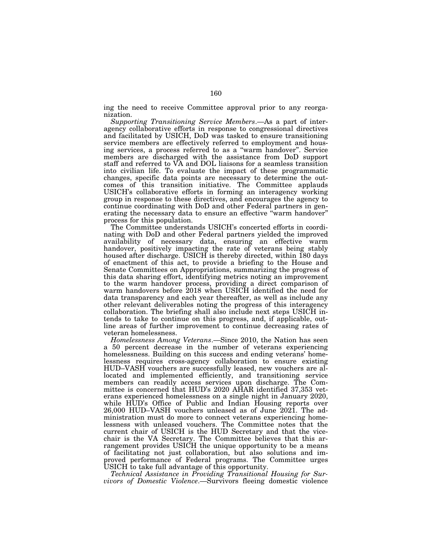ing the need to receive Committee approval prior to any reorganization.

*Supporting Transitioning Service Members*.—As a part of interagency collaborative efforts in response to congressional directives and facilitated by USICH, DoD was tasked to ensure transitioning service members are effectively referred to employment and housing services, a process referred to as a ''warm handover''. Service members are discharged with the assistance from DoD support staff and referred to VA and DOL liaisons for a seamless transition into civilian life. To evaluate the impact of these programmatic changes, specific data points are necessary to determine the outcomes of this transition initiative. The Committee applauds USICH's collaborative efforts in forming an interagency working group in response to these directives, and encourages the agency to continue coordinating with DoD and other Federal partners in generating the necessary data to ensure an effective "warm handover" process for this population.

The Committee understands USICH's concerted efforts in coordinating with DoD and other Federal partners yielded the improved availability of necessary data, ensuring an effective warm handover, positively impacting the rate of veterans being stably housed after discharge. USICH is thereby directed, within 180 days of enactment of this act, to provide a briefing to the House and Senate Committees on Appropriations, summarizing the progress of this data sharing effort, identifying metrics noting an improvement to the warm handover process, providing a direct comparison of warm handovers before 2018 when USICH identified the need for data transparency and each year thereafter, as well as include any other relevant deliverables noting the progress of this interagency collaboration. The briefing shall also include next steps USICH intends to take to continue on this progress, and, if applicable, outline areas of further improvement to continue decreasing rates of veteran homelessness.

*Homelessness Among Veterans*.—Since 2010, the Nation has seen a 50 percent decrease in the number of veterans experiencing homelessness. Building on this success and ending veterans' homelessness requires cross-agency collaboration to ensure existing HUD–VASH vouchers are successfully leased, new vouchers are allocated and implemented efficiently, and transitioning service members can readily access services upon discharge. The Committee is concerned that HUD's 2020 AHAR identified 37,353 veterans experienced homelessness on a single night in January 2020, while HUD's Office of Public and Indian Housing reports over 26,000 HUD–VASH vouchers unleased as of June 2021. The administration must do more to connect veterans experiencing homelessness with unleased vouchers. The Committee notes that the current chair of USICH is the HUD Secretary and that the vicechair is the VA Secretary. The Committee believes that this arrangement provides USICH the unique opportunity to be a means of facilitating not just collaboration, but also solutions and improved performance of Federal programs. The Committee urges USICH to take full advantage of this opportunity.

*Technical Assistance in Providing Transitional Housing for Survivors of Domestic Violence*.—Survivors fleeing domestic violence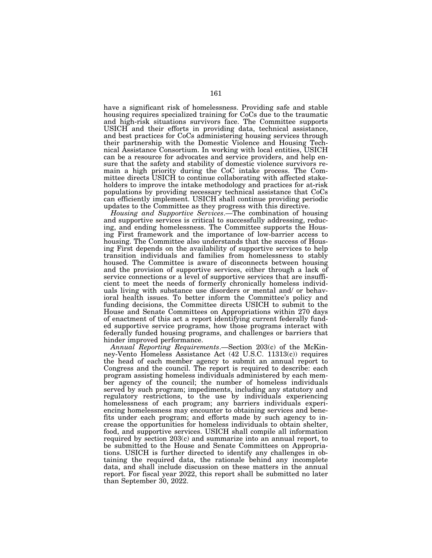have a significant risk of homelessness. Providing safe and stable housing requires specialized training for CoCs due to the traumatic and high-risk situations survivors face. The Committee supports USICH and their efforts in providing data, technical assistance, and best practices for CoCs administering housing services through their partnership with the Domestic Violence and Housing Technical Assistance Consortium. In working with local entities, USICH can be a resource for advocates and service providers, and help ensure that the safety and stability of domestic violence survivors remain a high priority during the CoC intake process. The Committee directs USICH to continue collaborating with affected stakeholders to improve the intake methodology and practices for at-risk populations by providing necessary technical assistance that CoCs can efficiently implement. USICH shall continue providing periodic updates to the Committee as they progress with this directive.

*Housing and Supportive Services*.—The combination of housing and supportive services is critical to successfully addressing, reducing, and ending homelessness. The Committee supports the Housing First framework and the importance of low-barrier access to housing. The Committee also understands that the success of Housing First depends on the availability of supportive services to help transition individuals and families from homelessness to stably housed. The Committee is aware of disconnects between housing and the provision of supportive services, either through a lack of service connections or a level of supportive services that are insufficient to meet the needs of formerly chronically homeless individuals living with substance use disorders or mental and/ or behavioral health issues. To better inform the Committee's policy and funding decisions, the Committee directs USICH to submit to the House and Senate Committees on Appropriations within 270 days of enactment of this act a report identifying current federally funded supportive service programs, how those programs interact with federally funded housing programs, and challenges or barriers that hinder improved performance.

*Annual Reporting Requirements*.—Section 203(c) of the McKinney-Vento Homeless Assistance Act (42 U.S.C. 11313(c)) requires the head of each member agency to submit an annual report to Congress and the council. The report is required to describe: each program assisting homeless individuals administered by each member agency of the council; the number of homeless individuals served by such program; impediments, including any statutory and regulatory restrictions, to the use by individuals experiencing homelessness of each program; any barriers individuals experiencing homelessness may encounter to obtaining services and benefits under each program; and efforts made by such agency to increase the opportunities for homeless individuals to obtain shelter, food, and supportive services. USICH shall compile all information required by section 203(c) and summarize into an annual report, to be submitted to the House and Senate Committees on Appropriations. USICH is further directed to identify any challenges in obtaining the required data, the rationale behind any incomplete data, and shall include discussion on these matters in the annual report. For fiscal year 2022, this report shall be submitted no later than September 30, 2022.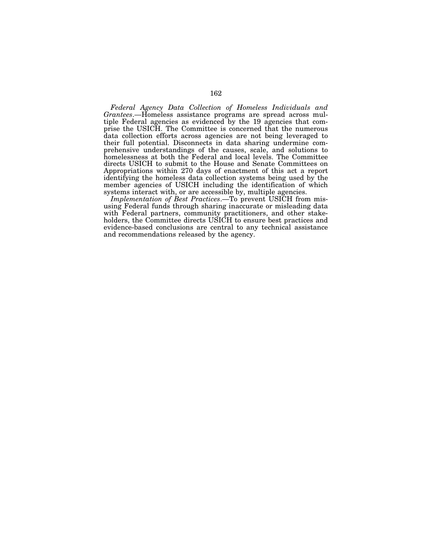*Federal Agency Data Collection of Homeless Individuals and Grantees*.—Homeless assistance programs are spread across multiple Federal agencies as evidenced by the 19 agencies that comprise the USICH. The Committee is concerned that the numerous data collection efforts across agencies are not being leveraged to their full potential. Disconnects in data sharing undermine comprehensive understandings of the causes, scale, and solutions to homelessness at both the Federal and local levels. The Committee directs USICH to submit to the House and Senate Committees on Appropriations within 270 days of enactment of this act a report identifying the homeless data collection systems being used by the member agencies of USICH including the identification of which systems interact with, or are accessible by, multiple agencies.

*Implementation of Best Practices*.—To prevent USICH from misusing Federal funds through sharing inaccurate or misleading data with Federal partners, community practitioners, and other stakeholders, the Committee directs USICH to ensure best practices and evidence-based conclusions are central to any technical assistance and recommendations released by the agency.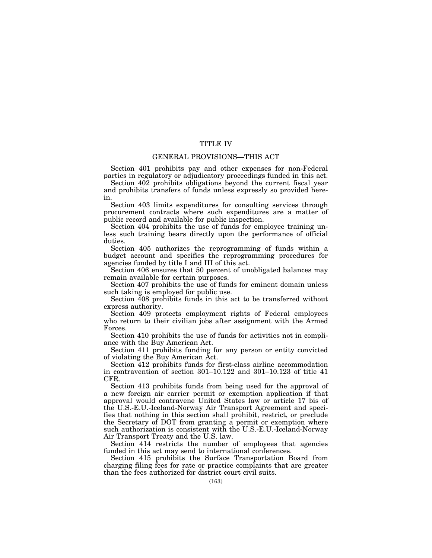## TITLE IV

## GENERAL PROVISIONS—THIS ACT

Section 401 prohibits pay and other expenses for non-Federal parties in regulatory or adjudicatory proceedings funded in this act.

Section 402 prohibits obligations beyond the current fiscal year and prohibits transfers of funds unless expressly so provided herein.

Section 403 limits expenditures for consulting services through procurement contracts where such expenditures are a matter of public record and available for public inspection.

Section 404 prohibits the use of funds for employee training unless such training bears directly upon the performance of official duties.

Section 405 authorizes the reprogramming of funds within a budget account and specifies the reprogramming procedures for agencies funded by title I and III of this act.

Section 406 ensures that 50 percent of unobligated balances may remain available for certain purposes.

Section 407 prohibits the use of funds for eminent domain unless such taking is employed for public use.

Section 408 prohibits funds in this act to be transferred without express authority.

Section 409 protects employment rights of Federal employees who return to their civilian jobs after assignment with the Armed Forces.

Section 410 prohibits the use of funds for activities not in compliance with the Buy American Act.

Section 411 prohibits funding for any person or entity convicted of violating the Buy American Act.

Section 412 prohibits funds for first-class airline accommodation in contravention of section 301–10.122 and 301–10.123 of title 41 CFR.

Section 413 prohibits funds from being used for the approval of a new foreign air carrier permit or exemption application if that approval would contravene United States law or article 17 bis of the U.S.-E.U.-Iceland-Norway Air Transport Agreement and specifies that nothing in this section shall prohibit, restrict, or preclude the Secretary of DOT from granting a permit or exemption where such authorization is consistent with the U.S.-E.U.-Iceland-Norway Air Transport Treaty and the U.S. law.

Section 414 restricts the number of employees that agencies funded in this act may send to international conferences.

Section 415 prohibits the Surface Transportation Board from charging filing fees for rate or practice complaints that are greater than the fees authorized for district court civil suits.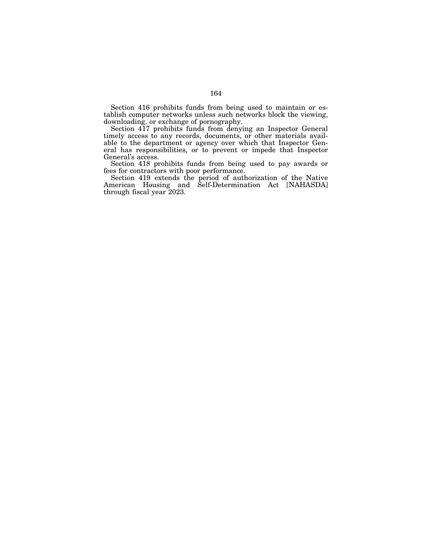Section 416 prohibits funds from being used to maintain or establish computer networks unless such networks block the viewing, downloading, or exchange of pornography.

Section 417 prohibits funds from denying an Inspector General timely access to any records, documents, or other materials available to the department or agency over which that Inspector General has responsibilities, or to prevent or impede that Inspector General's access.

Section 418 prohibits funds from being used to pay awards or fees for contractors with poor performance.

Section 419 extends the period of authorization of the Native American Housing and Self-Determination Act [NAHASDA] through fiscal year 2023.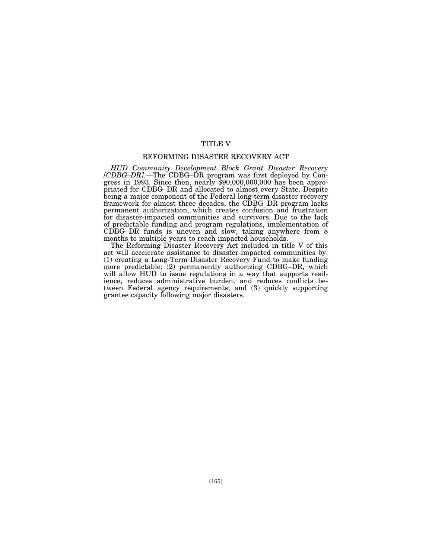## TITLE V

## REFORMING DISASTER RECOVERY ACT

*HUD Community Development Block Grant Disaster Recovery [CDBG–DR]*.—The CDBG–DR program was first deployed by Congress in 1993. Since then, nearly \$90,000,000,000 has been appropriated for CDBG–DR and allocated to almost every State. Despite being a major component of the Federal long-term disaster recovery framework for almost three decades, the CDBG-DR program lacks permanent authorization, which creates confusion and frustration for disaster-impacted communities and survivors. Due to the lack of predictable funding and program regulations, implementation of CDBG–DR funds is uneven and slow, taking anywhere from 8 months to multiple years to reach impacted households.

The Reforming Disaster Recovery Act included in title V of this act will accelerate assistance to disaster-impacted communities by: (1) creating a Long-Term Disaster Recovery Fund to make funding more predictable; (2) permanently authorizing CDBG–DR, which will allow HUD to issue regulations in a way that supports resilience, reduces administrative burden, and reduces conflicts between Federal agency requirements; and (3) quickly supporting grantee capacity following major disasters.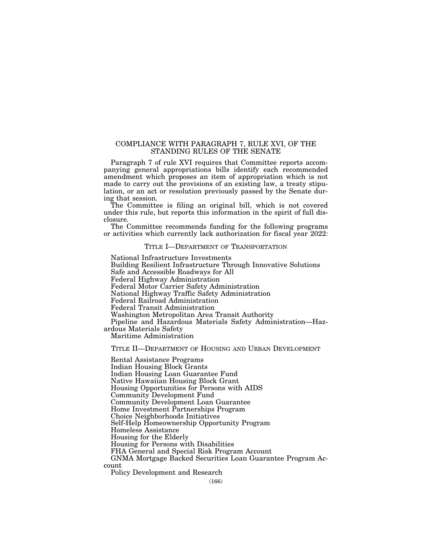## COMPLIANCE WITH PARAGRAPH 7, RULE XVI, OF THE STANDING RULES OF THE SENATE

Paragraph 7 of rule XVI requires that Committee reports accompanying general appropriations bills identify each recommended amendment which proposes an item of appropriation which is not made to carry out the provisions of an existing law, a treaty stipulation, or an act or resolution previously passed by the Senate during that session.

The Committee is filing an original bill, which is not covered under this rule, but reports this information in the spirit of full disclosure.

The Committee recommends funding for the following programs or activities which currently lack authorization for fiscal year 2022:

## TITLE I-DEPARTMENT OF TRANSPORTATION

National Infrastructure Investments Building Resilient Infrastructure Through Innovative Solutions Safe and Accessible Roadways for All Federal Highway Administration Federal Motor Carrier Safety Administration National Highway Traffic Safety Administration Federal Railroad Administration Federal Transit Administration Washington Metropolitan Area Transit Authority Pipeline and Hazardous Materials Safety Administration—Hazardous Materials Safety Maritime Administration

TITLE II—DEPARTMENT OF HOUSING AND URBAN DEVELOPMENT

Rental Assistance Programs Indian Housing Block Grants Indian Housing Loan Guarantee Fund Native Hawaiian Housing Block Grant Housing Opportunities for Persons with AIDS Community Development Fund Community Development Loan Guarantee Home Investment Partnerships Program Choice Neighborhoods Initiatives Self-Help Homeownership Opportunity Program Homeless Assistance Housing for the Elderly Housing for Persons with Disabilities FHA General and Special Risk Program Account GNMA Mortgage Backed Securities Loan Guarantee Program Account

Policy Development and Research

(166)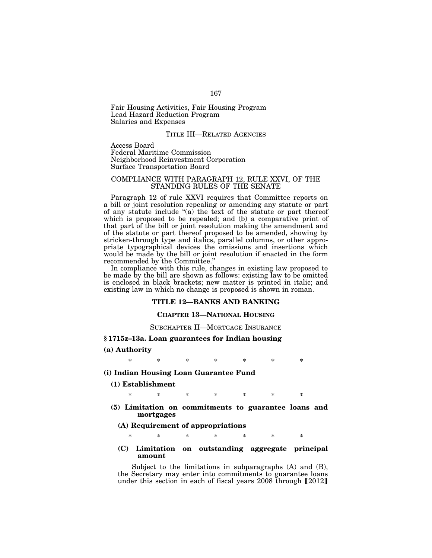Fair Housing Activities, Fair Housing Program Lead Hazard Reduction Program Salaries and Expenses

## TITLE III—RELATED AGENCIES

Access Board Federal Maritime Commission Neighborhood Reinvestment Corporation Surface Transportation Board

## COMPLIANCE WITH PARAGRAPH 12, RULE XXVI, OF THE STANDING RULES OF THE SENATE

Paragraph 12 of rule XXVI requires that Committee reports on a bill or joint resolution repealing or amending any statute or part of any statute include " $(a)$  the text of the statute or part thereof which is proposed to be repealed; and (b) a comparative print of that part of the bill or joint resolution making the amendment and of the statute or part thereof proposed to be amended, showing by stricken-through type and italics, parallel columns, or other appropriate typographical devices the omissions and insertions which would be made by the bill or joint resolution if enacted in the form recommended by the Committee.''

In compliance with this rule, changes in existing law proposed to be made by the bill are shown as follows: existing law to be omitted is enclosed in black brackets; new matter is printed in italic; and existing law in which no change is proposed is shown in roman.

## **TITLE 12—BANKS AND BANKING**

## **CHAPTER 13—NATIONAL HOUSING**

### SUBCHAPTER II—MORTGAGE INSURANCE

## **§ 1715z–13a. Loan guarantees for Indian housing**

### **(a) Authority**

\* \* \* \* \* \* \*

## **(i) Indian Housing Loan Guarantee Fund**

### **(1) Establishment**

\* \* \* \* \* \* \*

- **(5) Limitation on commitments to guarantee loans and mortgages** 
	- **(A) Requirement of appropriations**

\* \* \* \* \* \* \*

## **(C) Limitation on outstanding aggregate principal amount**

Subject to the limitations in subparagraphs (A) and (B), the Secretary may enter into commitments to guarantee loans under this section in each of fiscal years  $2008$  through  $[2012]$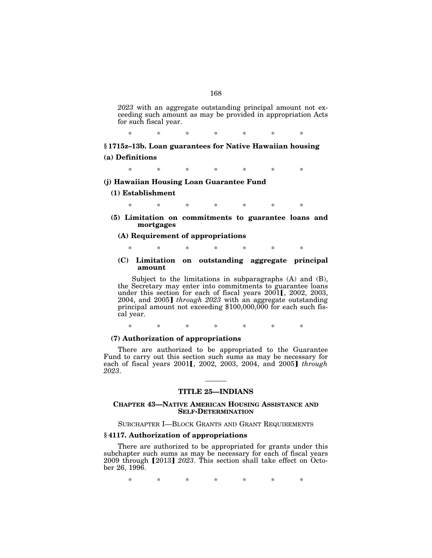*2023* with an aggregate outstanding principal amount not exceeding such amount as may be provided in appropriation Acts for such fiscal year.

\* \* \* \* \* \* \*

**§ 1715z–13b. Loan guarantees for Native Hawaiian housing (a) Definitions** 

\* \* \* \* \* \* \*

**(j) Hawaiian Housing Loan Guarantee Fund** 

## **(1) Establishment**

\* \* \* \* \* \* \*

**(5) Limitation on commitments to guarantee loans and mortgages** 

## **(A) Requirement of appropriations**

\* \* \* \* \* \* \*

**(C) Limitation on outstanding aggregate principal amount** 

Subject to the limitations in subparagraphs (A) and (B), the Secretary may enter into commitments to guarantee loans under this section for each of fiscal years  $2001$ ,  $2002$ ,  $2003$ , 2004, and 2005] *through 2023* with an aggregate outstanding principal amount not exceeding \$100,000,000 for each such fiscal year.

\* \* \* \* \* \* \*

## **(7) Authorization of appropriations**

There are authorized to be appropriated to the Guarantee Fund to carry out this section such sums as may be necessary for each of fiscal years 2001**[**, 2002, 2003, 2004, and 2005**]** *through 2023*.

## **TITLE 25—INDIANS**

## **CHAPTER 43—NATIVE AMERICAN HOUSING ASSISTANCE AND SELF-DETERMINATION**

## SUBCHAPTER I—BLOCK GRANTS AND GRANT REQUIREMENTS

## **§ 4117. Authorization of appropriations**

There are authorized to be appropriated for grants under this subchapter such sums as may be necessary for each of fiscal years 2009 through [2013] 2023. This section shall take effect on October 26, 1996.

\* \* \* \* \* \* \*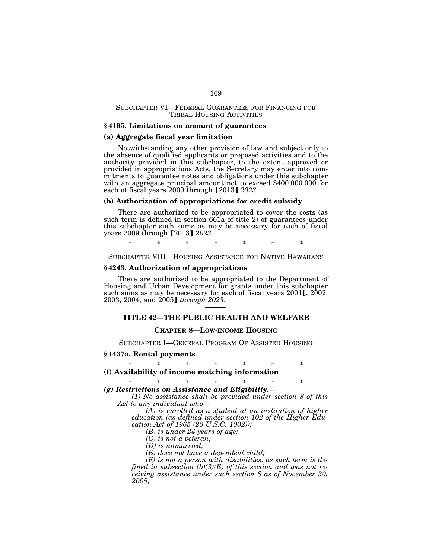## SUBCHAPTER VI—FEDERAL GUARANTEES FOR FINANCING FOR TRIBAL HOUSING ACTIVITIES

### **§ 4195. Limitations on amount of guarantees**

### **(a) Aggregate fiscal year limitation**

Notwithstanding any other provision of law and subject only to the absence of qualified applicants or proposed activities and to the authority provided in this subchapter, to the extent approved or provided in appropriations Acts, the Secretary may enter into commitments to guarantee notes and obligations under this subchapter with an aggregate principal amount not to exceed \$400,000,000 for each of fiscal years 2009 through [2013] 2023.

## **(b) Authorization of appropriations for credit subsidy**

There are authorized to be appropriated to cover the costs (as such term is defined in section 661a of title 2) of guarantees under this subchapter such sums as may be necessary for each of fiscal years 2009 through [2013] *2023*.

\* \* \* \* \* \* \*

SUBCHAPTER VIII—HOUSING ASSISTANCE FOR NATIVE HAWAIIANS

## **§ 4243. Authorization of appropriations**

There are authorized to be appropriated to the Department of Housing and Urban Development for grants under this subchapter such sums as may be necessary for each of fiscal years 2001 [, 2002, 2003, 2004, and 2005] *through 2023*.

## **TITLE 42—THE PUBLIC HEALTH AND WELFARE**

## **CHAPTER 8—LOW-INCOME HOUSING**

SUBCHAPTER I—GENERAL PROGRAM OF ASSISTED HOUSING

### **§ 1437a. Rental payments**

\* \* \* \* \* \* \* **(f) Availability of income matching information** 

# \* \* \* \* \* \* \*

*(g) Restrictions on Assistance and Eligibility.— (1) No assistance shall be provided under section 8 of this* 

*Act to any individual who—* 

*(A) is enrolled as a student at an institution of higher education (as defined under section 102 of the Higher Education Act of 1965 (20 U.S.C. 1002));* 

*(B) is under 24 years of age;* 

*(C) is not a veteran;* 

*(D) is unmarried;* 

*(E) does not have a dependent child;* 

*(F) is not a person with disabilities, as such term is defined in subsection (b)(3)(E) of this section and was not receiving assistance under such section 8 as of November 30, 2005;*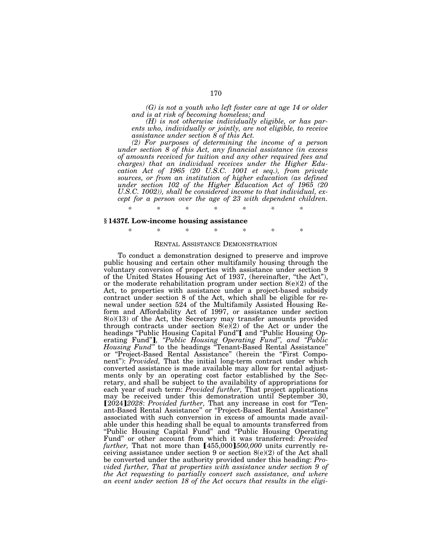*(G) is not a youth who left foster care at age 14 or older and is at risk of becoming homeless; and* 

*(H) is not otherwise individually eligible, or has parents who, individually or jointly, are not eligible, to receive assistance under section 8 of this Act.* 

*(2) For purposes of determining the income of a person under section 8 of this Act, any financial assistance (in excess of amounts received for tuition and any other required fees and charges) that an individual receives under the Higher Education Act of 1965 (20 U.S.C. 1001 et seq.), from private sources, or from an institution of higher education (as defined under section 102 of the Higher Education Act of 1965 (20 U.S.C. 1002)), shall be considered income to that individual, except for a person over the age of 23 with dependent children.* 

## **§ 1437f. Low-income housing assistance**

\* \* \* \* \* \* \*

*\* \* \* \* \* \* \** 

## RENTAL ASSISTANCE DEMONSTRATION

To conduct a demonstration designed to preserve and improve public housing and certain other multifamily housing through the voluntary conversion of properties with assistance under section 9 of the United States Housing Act of 1937, (hereinafter, ''the Act''), or the moderate rehabilitation program under section  $8(e)(2)$  of the Act, to properties with assistance under a project-based subsidy contract under section 8 of the Act, which shall be eligible for renewal under section 524 of the Multifamily Assisted Housing Reform and Affordability Act of 1997, or assistance under section 8(o)(13) of the Act, the Secretary may transfer amounts provided through contracts under section 8(e)(2) of the Act or under the headings "Public Housing Capital Fund" [ and "Public Housing Operating Fund"], "Public Housing Operating Fund", and "Public *Housing Fund''* to the headings ''Tenant-Based Rental Assistance'' or "Project-Based Rental Assistance" (herein the "First Component''): *Provided,* That the initial long-term contract under which converted assistance is made available may allow for rental adjustments only by an operating cost factor established by the Secretary, and shall be subject to the availability of appropriations for each year of such term: *Provided further,* That project applications may be received under this demonstration until September 30, [2024] 2028: *Provided further*, That any increase in cost for "Tenant-Based Rental Assistance'' or ''Project-Based Rental Assistance'' associated with such conversion in excess of amounts made available under this heading shall be equal to amounts transferred from "Public Housing Capital Fund" and "Public Housing Operating Fund" or other account from which it was transferred: *Provided* further, That not more than [455,000]*500,000* units currently receiving assistance under section 9 or section  $8(e)(2)$  of the Act shall be converted under the authority provided under this heading: *Provided further, That at properties with assistance under section 9 of the Act requesting to partially convert such assistance, and where an event under section 18 of the Act occurs that results in the eligi-*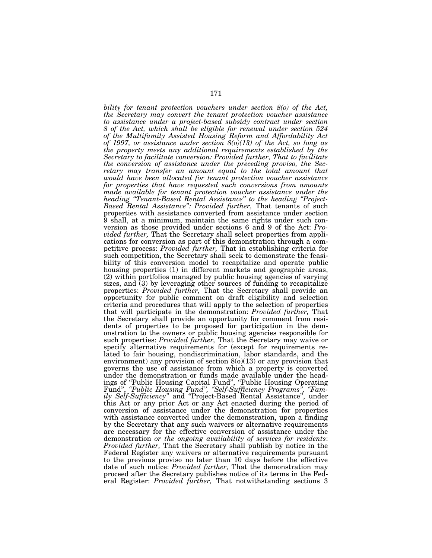*bility for tenant protection vouchers under section 8(o) of the Act, the Secretary may convert the tenant protection voucher assistance to assistance under a project-based subsidy contract under section 8 of the Act, which shall be eligible for renewal under section 524 of the Multifamily Assisted Housing Reform and Affordability Act of 1997, or assistance under section 8(o)(13) of the Act, so long as the property meets any additional requirements established by the Secretary to facilitate conversion: Provided further, That to facilitate the conversion of assistance under the preceding proviso, the Secretary may transfer an amount equal to the total amount that would have been allocated for tenant protection voucher assistance for properties that have requested such conversions from amounts made available for tenant protection voucher assistance under the heading ''Tenant-Based Rental Assistance'' to the heading ''Project-Based Rental Assistance'': Provided further,* That tenants of such properties with assistance converted from assistance under section 9 shall, at a minimum, maintain the same rights under such conversion as those provided under sections 6 and 9 of the Act: *Provided further,* That the Secretary shall select properties from applications for conversion as part of this demonstration through a competitive process: *Provided further,* That in establishing criteria for such competition, the Secretary shall seek to demonstrate the feasibility of this conversion model to recapitalize and operate public housing properties (1) in different markets and geographic areas, (2) within portfolios managed by public housing agencies of varying sizes, and (3) by leveraging other sources of funding to recapitalize properties: *Provided further,* That the Secretary shall provide an opportunity for public comment on draft eligibility and selection criteria and procedures that will apply to the selection of properties that will participate in the demonstration: *Provided further,* That the Secretary shall provide an opportunity for comment from residents of properties to be proposed for participation in the demonstration to the owners or public housing agencies responsible for such properties: *Provided further,* That the Secretary may waive or specify alternative requirements for (except for requirements related to fair housing, nondiscrimination, labor standards, and the environment) any provision of section  $8(0)(13)$  or any provision that governs the use of assistance from which a property is converted under the demonstration or funds made available under the headings of ''Public Housing Capital Fund'', ''Public Housing Operating Fund'', *''Public Housing Fund'', ''Self-Sufficiency Programs'', ''Family Self-Sufficiency''* and ''Project-Based Rental Assistance'', under this Act or any prior Act or any Act enacted during the period of conversion of assistance under the demonstration for properties with assistance converted under the demonstration, upon a finding by the Secretary that any such waivers or alternative requirements are necessary for the effective conversion of assistance under the demonstration *or the ongoing availability of services for residents*: *Provided further*, That the Secretary shall publish by notice in the Federal Register any waivers or alternative requirements pursuant to the previous proviso no later than 10 days before the effective date of such notice: *Provided further,* That the demonstration may proceed after the Secretary publishes notice of its terms in the Federal Register: *Provided further,* That notwithstanding sections 3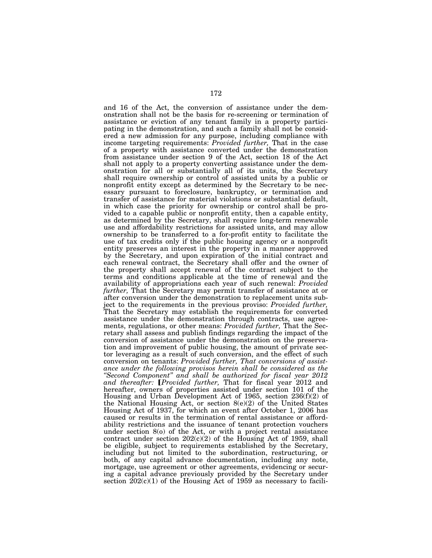and 16 of the Act, the conversion of assistance under the demonstration shall not be the basis for re-screening or termination of assistance or eviction of any tenant family in a property participating in the demonstration, and such a family shall not be considered a new admission for any purpose, including compliance with income targeting requirements: *Provided further,* That in the case of a property with assistance converted under the demonstration from assistance under section 9 of the Act, section 18 of the Act shall not apply to a property converting assistance under the demonstration for all or substantially all of its units, the Secretary shall require ownership or control of assisted units by a public or nonprofit entity except as determined by the Secretary to be necessary pursuant to foreclosure, bankruptcy, or termination and transfer of assistance for material violations or substantial default, in which case the priority for ownership or control shall be provided to a capable public or nonprofit entity, then a capable entity, as determined by the Secretary, shall require long-term renewable use and affordability restrictions for assisted units, and may allow ownership to be transferred to a for-profit entity to facilitate the use of tax credits only if the public housing agency or a nonprofit entity preserves an interest in the property in a manner approved by the Secretary, and upon expiration of the initial contract and each renewal contract, the Secretary shall offer and the owner of the property shall accept renewal of the contract subject to the terms and conditions applicable at the time of renewal and the availability of appropriations each year of such renewal: *Provided further,* That the Secretary may permit transfer of assistance at or after conversion under the demonstration to replacement units subject to the requirements in the previous proviso: *Provided further,*  That the Secretary may establish the requirements for converted assistance under the demonstration through contracts, use agreements, regulations, or other means: *Provided further,* That the Secretary shall assess and publish findings regarding the impact of the conversion of assistance under the demonstration on the preservation and improvement of public housing, the amount of private sector leveraging as a result of such conversion, and the effect of such conversion on tenants: *Provided further, That conversions of assistance under the following provisos herein shall be considered as the ''Second Component'' and shall be authorized for fiscal year 2012*  and thereafter: *[Provided further*, That for fiscal year 2012 and hereafter, owners of properties assisted under section 101 of the Housing and Urban Development Act of 1965, section 236(f)(2) of the National Housing Act, or section 8(e)(2) of the United States Housing Act of 1937, for which an event after October 1, 2006 has caused or results in the termination of rental assistance or affordability restrictions and the issuance of tenant protection vouchers under section 8(o) of the Act, or with a project rental assistance contract under section  $202(c)(2)$  of the Housing Act of 1959, shall be eligible, subject to requirements established by the Secretary, including but not limited to the subordination, restructuring, or both, of any capital advance documentation, including any note, mortgage, use agreement or other agreements, evidencing or securing a capital advance previously provided by the Secretary under section  $202(c)(1)$  of the Housing Act of 1959 as necessary to facili-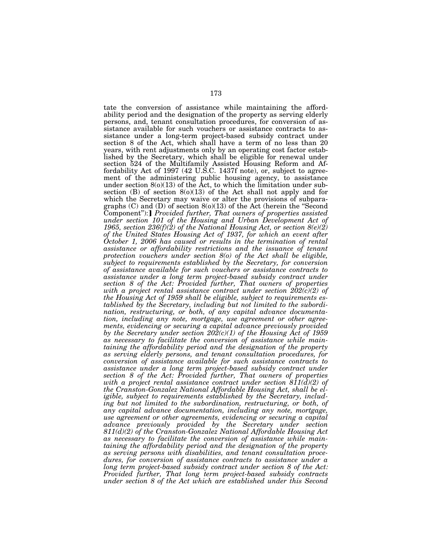tate the conversion of assistance while maintaining the affordability period and the designation of the property as serving elderly persons, and, tenant consultation procedures, for conversion of assistance available for such vouchers or assistance contracts to assistance under a long-term project-based subsidy contract under section 8 of the Act, which shall have a term of no less than 20 years, with rent adjustments only by an operating cost factor established by the Secretary, which shall be eligible for renewal under section 524 of the Multifamily Assisted Housing Reform and Affordability Act of 1997 (42 U.S.C. 1437f note), or, subject to agreement of the administering public housing agency, to assistance under section  $8(0)(13)$  of the Act, to which the limitation under subsection  $(B)$  of section  $8(0)(13)$  of the Act shall not apply and for which the Secretary may waive or alter the provisions of subparagraphs (C) and (D) of section 8(o)(13) of the Act (herein the ''Second Component"): *Provided further, That owners of properties assisted under section 101 of the Housing and Urban Development Act of 1965, section 236(f)(2) of the National Housing Act, or section 8(e)(2) of the United States Housing Act of 1937, for which an event after October 1, 2006 has caused or results in the termination of rental assistance or affordability restrictions and the issuance of tenant protection vouchers under section 8(o) of the Act shall be eligible, subject to requirements established by the Secretary, for conversion of assistance available for such vouchers or assistance contracts to assistance under a long term project-based subsidy contract under section 8 of the Act: Provided further, That owners of properties with a project rental assistance contract under section 202(c)(2) of the Housing Act of 1959 shall be eligible, subject to requirements established by the Secretary, including but not limited to the subordination, restructuring, or both, of any capital advance documentation, including any note, mortgage, use agreement or other agreements, evidencing or securing a capital advance previously provided by the Secretary under section 202(c)(1) of the Housing Act of 1959 as necessary to facilitate the conversion of assistance while maintaining the affordability period and the designation of the property as serving elderly persons, and tenant consultation procedures, for conversion of assistance available for such assistance contracts to assistance under a long term project-based subsidy contract under section 8 of the Act: Provided further, That owners of properties with a project rental assistance contract under section 811(d)(2) of the Cranston-Gonzalez National Affordable Housing Act, shall be eligible, subject to requirements established by the Secretary, including but not limited to the subordination, restructuring, or both, of any capital advance documentation, including any note, mortgage, use agreement or other agreements, evidencing or securing a capital advance previously provided by the Secretary under section 811(d)(2) of the Cranston-Gonzalez National Affordable Housing Act as necessary to facilitate the conversion of assistance while maintaining the affordability period and the designation of the property as serving persons with disabilities, and tenant consultation procedures, for conversion of assistance contracts to assistance under a long term project-based subsidy contract under section 8 of the Act: Provided further, That long term project-based subsidy contracts under section 8 of the Act which are established under this Second*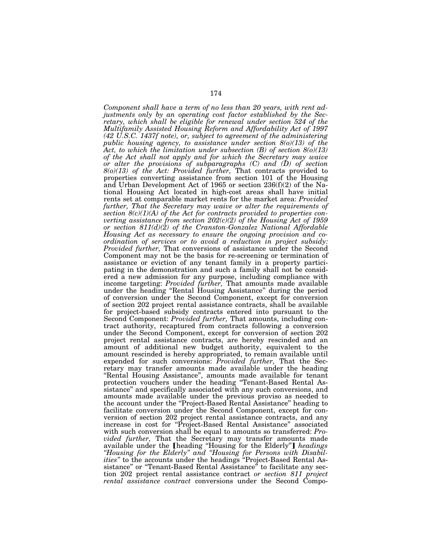*Component shall have a term of no less than 20 years, with rent adjustments only by an operating cost factor established by the Secretary, which shall be eligible for renewal under section 524 of the Multifamily Assisted Housing Reform and Affordability Act of 1997 (42 U.S.C. 1437f note), or, subject to agreement of the administering public housing agency, to assistance under section 8(o)(13) of the Act, to which the limitation under subsection (B) of section 8(o)(13) of the Act shall not apply and for which the Secretary may waive or alter the provisions of subparagraphs (C) and (D) of section 8(o)(13) of the Act: Provided further,* That contracts provided to properties converting assistance from section 101 of the Housing and Urban Development Act of 1965 or section 236(f)(2) of the National Housing Act located in high-cost areas shall have initial rents set at comparable market rents for the market area: *Provided further, That the Secretary may waive or alter the requirements of section 8(c)(1)(A) of the Act for contracts provided to properties converting assistance from section 202(c)(2) of the Housing Act of 1959 or section 811(d)(2) of the Cranston-Gonzalez National Affordable Housing Act as necessary to ensure the ongoing provision and coordination of services or to avoid a reduction in project subsidy: Provided further,* That conversions of assistance under the Second Component may not be the basis for re-screening or termination of assistance or eviction of any tenant family in a property participating in the demonstration and such a family shall not be considered a new admission for any purpose, including compliance with income targeting: *Provided further,* That amounts made available under the heading ''Rental Housing Assistance'' during the period of conversion under the Second Component, except for conversion of section 202 project rental assistance contracts, shall be available for project-based subsidy contracts entered into pursuant to the Second Component: *Provided further*, That amounts, including contract authority, recaptured from contracts following a conversion under the Second Component, except for conversion of section 202 project rental assistance contracts, are hereby rescinded and an amount of additional new budget authority, equivalent to the amount rescinded is hereby appropriated, to remain available until expended for such conversions: *Provided further,* That the Secretary may transfer amounts made available under the heading ''Rental Housing Assistance'', amounts made available for tenant protection vouchers under the heading ''Tenant-Based Rental Assistance'' and specifically associated with any such conversions, and amounts made available under the previous proviso as needed to the account under the ''Project-Based Rental Assistance'' heading to facilitate conversion under the Second Component, except for conversion of section 202 project rental assistance contracts, and any increase in cost for ''Project-Based Rental Assistance'' associated with such conversion shall be equal to amounts so transferred: *Provided further, That the Secretary may transfer amounts made*<br>available under the *[heading "Housing for the Elderly"] <i>headings ''Housing for the Elderly'' and ''Housing for Persons with Disabilities''* to the accounts under the headings ''Project-Based Rental Assistance'' or ''Tenant-Based Rental Assistance'' to facilitate any section 202 project rental assistance contract *or section 811 project rental assistance contract* conversions under the Second Compo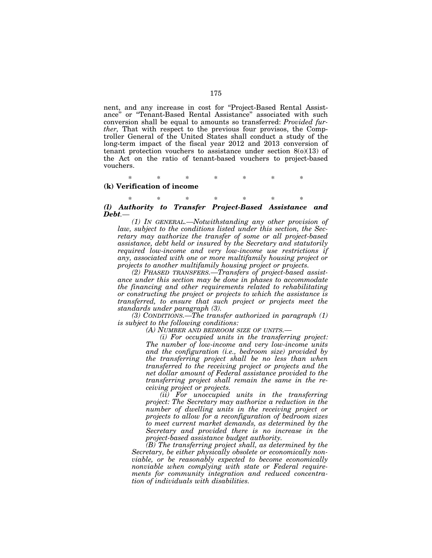nent, and any increase in cost for "Project-Based Rental Assistance'' or ''Tenant-Based Rental Assistance'' associated with such conversion shall be equal to amounts so transferred: *Provided further,* That with respect to the previous four provisos, the Comptroller General of the United States shall conduct a study of the long-term impact of the fiscal year 2012 and 2013 conversion of tenant protection vouchers to assistance under section 8(o)(13) of the Act on the ratio of tenant-based vouchers to project-based vouchers.

\* \* \* \* \* \* \* **(k) Verification of income** 

\* \* \* \* \* \* \* *(l) Authority to Transfer Project-Based Assistance and Debt.—* 

*(1) IN GENERAL.—Notwithstanding any other provision of law, subject to the conditions listed under this section, the Secretary may authorize the transfer of some or all project-based assistance, debt held or insured by the Secretary and statutorily required low-income and very low-income use restrictions if any, associated with one or more multifamily housing project or projects to another multifamily housing project or projects.* 

*(2) PHASED TRANSFERS.—Transfers of project-based assistance under this section may be done in phases to accommodate the financing and other requirements related to rehabilitating or constructing the project or projects to which the assistance is transferred, to ensure that such project or projects meet the standards under paragraph (3).* 

*(3) CONDITIONS.—The transfer authorized in paragraph (1) is subject to the following conditions:* 

*(A) NUMBER AND BEDROOM SIZE OF UNITS.—* 

*(i) For occupied units in the transferring project: The number of low-income and very low-income units and the configuration (i.e., bedroom size) provided by the transferring project shall be no less than when transferred to the receiving project or projects and the net dollar amount of Federal assistance provided to the transferring project shall remain the same in the receiving project or projects.* 

*(ii) For unoccupied units in the transferring project: The Secretary may authorize a reduction in the number of dwelling units in the receiving project or projects to allow for a reconfiguration of bedroom sizes to meet current market demands, as determined by the Secretary and provided there is no increase in the project-based assistance budget authority.* 

*(B) The transferring project shall, as determined by the Secretary, be either physically obsolete or economically nonviable, or be reasonably expected to become economically nonviable when complying with state or Federal requirements for community integration and reduced concentration of individuals with disabilities.*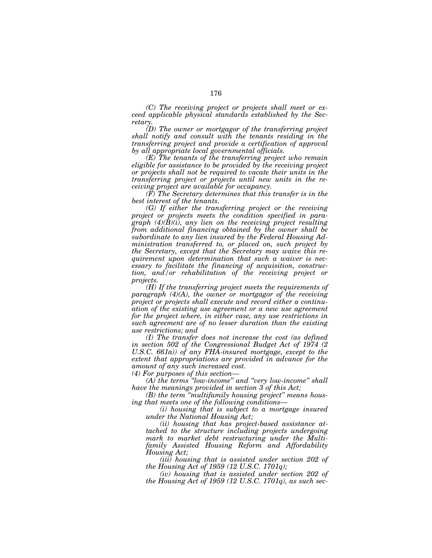*(C) The receiving project or projects shall meet or exceed applicable physical standards established by the Secretary.* 

*(D) The owner or mortgagor of the transferring project shall notify and consult with the tenants residing in the transferring project and provide a certification of approval by all appropriate local governmental officials.* 

*(E) The tenants of the transferring project who remain eligible for assistance to be provided by the receiving project or projects shall not be required to vacate their units in the transferring project or projects until new units in the receiving project are available for occupancy.* 

*(F) The Secretary determines that this transfer is in the best interest of the tenants.* 

*(G) If either the transferring project or the receiving project or projects meets the condition specified in paragraph (4)(B)(i), any lien on the receiving project resulting from additional financing obtained by the owner shall be subordinate to any lien insured by the Federal Housing Administration transferred to, or placed on, such project by the Secretary, except that the Secretary may waive this requirement upon determination that such a waiver is necessary to facilitate the financing of acquisition, construction, and/or rehabilitation of the receiving project or projects.* 

*(H) If the transferring project meets the requirements of paragraph (4)(A), the owner or mortgagor of the receiving project or projects shall execute and record either a continuation of the existing use agreement or a new use agreement for the project where, in either case, any use restrictions in such agreement are of no lesser duration than the existing use restrictions; and* 

*(I) The transfer does not increase the cost (as defined in section 502 of the Congressional Budget Act of 1974 (2 U.S.C. 661a)) of any FHA-insured mortgage, except to the extent that appropriations are provided in advance for the amount of any such increased cost.* 

*(4) For purposes of this section—* 

*(A) the terms ''low-income'' and ''very low-income'' shall have the meanings provided in section 3 of this Act;* 

*(B) the term ''multifamily housing project'' means housing that meets one of the following conditions—* 

*(i) housing that is subject to a mortgage insured under the National Housing Act;* 

*(ii) housing that has project-based assistance attached to the structure including projects undergoing mark to market debt restructuring under the Multifamily Assisted Housing Reform and Affordability Housing Act;* 

*(iii) housing that is assisted under section 202 of the Housing Act of 1959 (12 U.S.C. 1701q);* 

*(iv) housing that is assisted under section 202 of the Housing Act of 1959 (12 U.S.C. 1701q), as such sec-*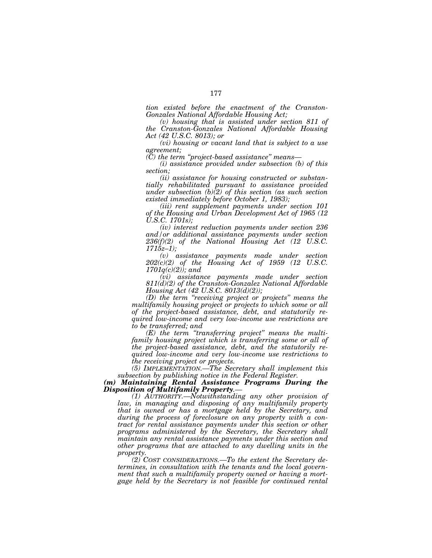*tion existed before the enactment of the Cranston-Gonzales National Affordable Housing Act;* 

*(v) housing that is assisted under section 811 of the Cranston-Gonzales National Affordable Housing Act (42 U.S.C. 8013); or* 

*(vi) housing or vacant land that is subject to a use agreement;* 

*(C) the term ''project-based assistance'' means—* 

*(i) assistance provided under subsection (b) of this section;* 

*(ii) assistance for housing constructed or substantially rehabilitated pursuant to assistance provided under subsection (b)(2) of this section (as such section existed immediately before October 1, 1983);* 

*(iii) rent supplement payments under section 101 of the Housing and Urban Development Act of 1965 (12 U.S.C. 1701s);* 

*(iv) interest reduction payments under section 236 and/or additional assistance payments under section 236(f)(2) of the National Housing Act (12 U.S.C. 1715z–1);* 

*(v) assistance payments made under section 202(c)(2) of the Housing Act of 1959 (12 U.S.C. 1701q(c)(2)); and* 

*(vi) assistance payments made under section 811(d)(2) of the Cranston-Gonzalez National Affordable Housing Act (42 U.S.C. 8013(d)(2));* 

*(D) the term ''receiving project or projects'' means the multifamily housing project or projects to which some or all of the project-based assistance, debt, and statutorily required low-income and very low-income use restrictions are to be transferred; and* 

*(E) the term ''transferring project'' means the multifamily housing project which is transferring some or all of the project-based assistance, debt, and the statutorily required low-income and very low-income use restrictions to the receiving project or projects.* 

*(5) IMPLEMENTATION.—The Secretary shall implement this subsection by publishing notice in the Federal Register.* 

*(m) Maintaining Rental Assistance Programs During the Disposition of Multifamily Property.— (1) AUTHORITY.—Notwithstanding any other provision of* 

*law, in managing and disposing of any multifamily property that is owned or has a mortgage held by the Secretary, and during the process of foreclosure on any property with a contract for rental assistance payments under this section or other programs administered by the Secretary, the Secretary shall maintain any rental assistance payments under this section and other programs that are attached to any dwelling units in the property.* 

*(2) COST CONSIDERATIONS.—To the extent the Secretary determines, in consultation with the tenants and the local government that such a multifamily property owned or having a mortgage held by the Secretary is not feasible for continued rental*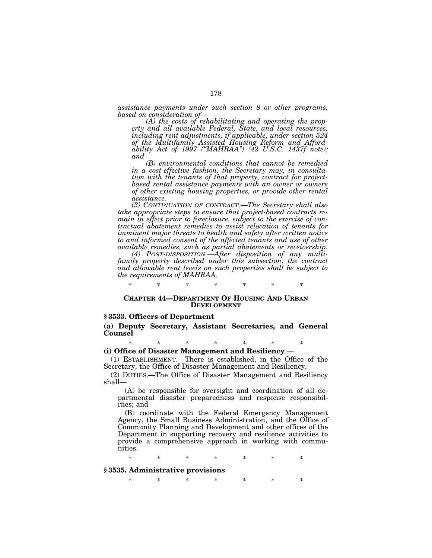*assistance payments under such section 8 or other programs, based on consideration of—* 

*(A) the costs of rehabilitating and operating the property and all available Federal, State, and local resources, including rent adjustments, if applicable, under section 524 of the Multifamily Assisted Housing Reform and Affordability Act of 1997 (''MAHRAA'') (42 U.S.C. 1437f note); and* 

*(B) environmental conditions that cannot be remedied in a cost-effective fashion, the Secretary may, in consultation with the tenants of that property, contract for projectbased rental assistance payments with an owner or owners of other existing housing properties, or provide other rental assistance.* 

*(3) CONTINUATION OF CONTRACT.—The Secretary shall also take appropriate steps to ensure that project-based contracts remain in effect prior to foreclosure, subject to the exercise of contractual abatement remedies to assist relocation of tenants for imminent major threats to health and safety after written notice to and informed consent of the affected tenants and use of other available remedies, such as partial abatements or receivership.* 

*(4) POST-DISPOSITION.—After disposition of any multifamily property described under this subsection, the contract and allowable rent levels on such properties shall be subject to the requirements of MAHRAA.* 

\* \* \* \* \* \* \*

## **CHAPTER 44—DEPARTMENT OF HOUSING AND URBAN DEVELOPMENT**

## **§ 3533. Officers of Department**

**(a) Deputy Secretary, Assistant Secretaries, and General Counsel** 

\* \* \* \* \* \* \*

**(i) Office of Disaster Management and Resiliency**.—

(1) ESTABLISHMENT.—There is established, in the Office of the Secretary, the Office of Disaster Management and Resiliency.

(2) DUTIES.—The Office of Disaster Management and Resiliency shall—

(A) be responsible for oversight and coordination of all departmental disaster preparedness and response responsibilities; and

(B) coordinate with the Federal Emergency Management Agency, the Small Business Administration, and the Office of Community Planning and Development and other offices of the Department in supporting recovery and resilience activities to provide a comprehensive approach in working with communities.

\* \* \* \* \* \* \*

## **§ 3535. Administrative provisions**

\* \* \* \* \* \* \*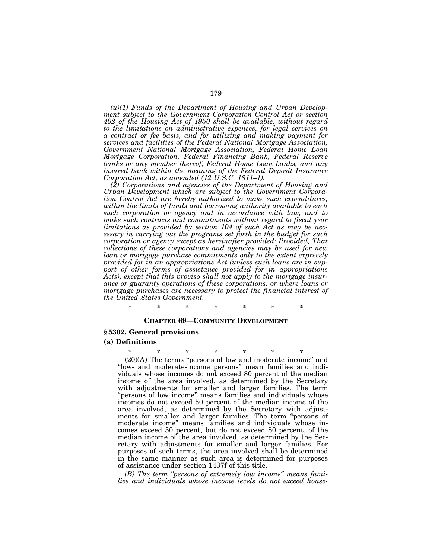*(u)(1) Funds of the Department of Housing and Urban Development subject to the Government Corporation Control Act or section 402 of the Housing Act of 1950 shall be available, without regard to the limitations on administrative expenses, for legal services on a contract or fee basis, and for utilizing and making payment for services and facilities of the Federal National Mortgage Association, Government National Mortgage Association, Federal Home Loan Mortgage Corporation, Federal Financing Bank, Federal Reserve banks or any member thereof, Federal Home Loan banks, and any insured bank within the meaning of the Federal Deposit Insurance Corporation Act, as amended (12 U.S.C. 1811–1).* 

*(2) Corporations and agencies of the Department of Housing and Urban Development which are subject to the Government Corporation Control Act are hereby authorized to make such expenditures, within the limits of funds and borrowing authority available to each such corporation or agency and in accordance with law, and to make such contracts and commitments without regard to fiscal year limitations as provided by section 104 of such Act as may be necessary in carrying out the programs set forth in the budget for such corporation or agency except as hereinafter provided: Provided, That collections of these corporations and agencies may be used for new loan or mortgage purchase commitments only to the extent expressly provided for in an appropriations Act (unless such loans are in support of other forms of assistance provided for in appropriations Acts), except that this proviso shall not apply to the mortgage insurance or guaranty operations of these corporations, or where loans or mortgage purchases are necessary to protect the financial interest of the United States Government.* 

\* \* \* \* \* \* \*

## **CHAPTER 69—COMMUNITY DEVELOPMENT**

## **§ 5302. General provisions**

### **(a) Definitions**

\* \* \* \* \* \* \* (20)(A) The terms ''persons of low and moderate income'' and ''low- and moderate-income persons'' mean families and individuals whose incomes do not exceed 80 percent of the median income of the area involved, as determined by the Secretary with adjustments for smaller and larger families. The term "persons of low income" means families and individuals whose incomes do not exceed 50 percent of the median income of the area involved, as determined by the Secretary with adjustments for smaller and larger families. The term "persons of moderate income'' means families and individuals whose incomes exceed 50 percent, but do not exceed 80 percent, of the median income of the area involved, as determined by the Secretary with adjustments for smaller and larger families. For purposes of such terms, the area involved shall be determined in the same manner as such area is determined for purposes of assistance under section 1437f of this title.

*(B) The term ''persons of extremely low income'' means families and individuals whose income levels do not exceed house-*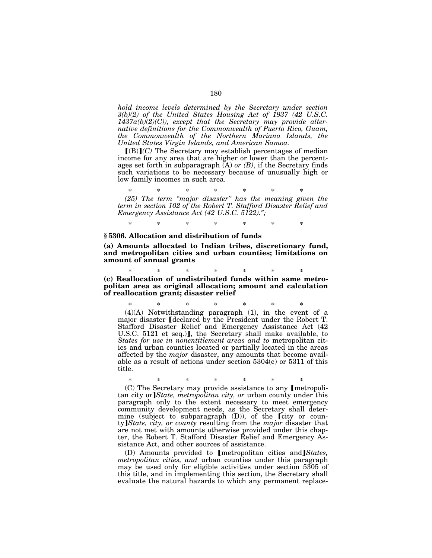*hold income levels determined by the Secretary under section 3(b)(2) of the United States Housing Act of 1937 (42 U.S.C. 1437a(b)(2)(C)), except that the Secretary may provide alternative definitions for the Commonwealth of Puerto Rico, Guam, the Commonwealth of the Northern Mariana Islands, the United States Virgin Islands, and American Samoa.* 

 $[(B)](C)$  The Secretary may establish percentages of median income for any area that are higher or lower than the percentages set forth in subparagraph (A) *or (B)*, if the Secretary finds such variations to be necessary because of unusually high or low family incomes in such area.

\* \* \* \* \* \* \* *(25) The term ''major disaster'' has the meaning given the term in section 102 of the Robert T. Stafford Disaster Relief and Emergency Assistance Act (42 U.S.C. 5122).'';* 

\* \* \* \* \* \* \*

## **§ 5306. Allocation and distribution of funds**

**(a) Amounts allocated to Indian tribes, discretionary fund, and metropolitan cities and urban counties; limitations on amount of annual grants** 

\* \* \* \* \* \* \* **(c) Reallocation of undistributed funds within same metropolitan area as original allocation; amount and calculation of reallocation grant; disaster relief** 

\* \* \* \* \* \* \* (4)(A) Notwithstanding paragraph (1), in the event of a major disaster *declared* by the President under the Robert T. Stafford Disaster Relief and Emergency Assistance Act (42 U.S.C. 5121 et seq.)], the Secretary shall make available, to *States for use in nonentitlement areas and to* metropolitan cities and urban counties located or partially located in the areas affected by the *major* disaster, any amounts that become available as a result of actions under section 5304(e) or 5311 of this title.

\* \* \* \* \* \* \*  $(C)$  The Secretary may provide assistance to any [metropolitan city or *State, metropolitan city, or urban county under this* paragraph only to the extent necessary to meet emergency community development needs, as the Secretary shall determine (subject to subparagraph  $(D)$ ), of the  $[$ city or county¿*State, city, or county* resulting from the *major* disaster that are not met with amounts otherwise provided under this chapter, the Robert T. Stafford Disaster Relief and Emergency Assistance Act, and other sources of assistance.

(D) Amounts provided to *[metropolitan cities and]States, metropolitan cities, and* urban counties under this paragraph may be used only for eligible activities under section 5305 of this title, and in implementing this section, the Secretary shall evaluate the natural hazards to which any permanent replace-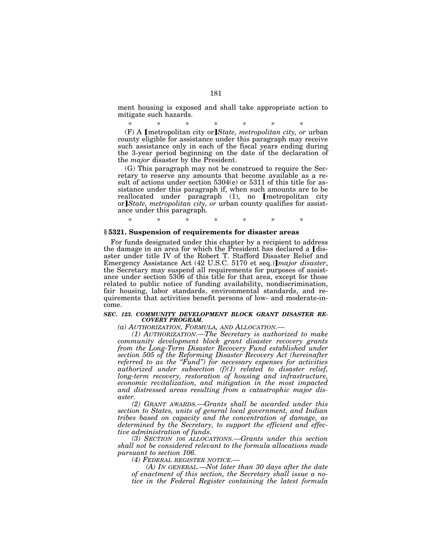ment housing is exposed and shall take appropriate action to mitigate such hazards.

\* \* \* \* \* \* \* (F) A *[metropolitan city or]State, metropolitan city, or urban* county eligible for assistance under this paragraph may receive such assistance only in each of the fiscal years ending during the 3-year period beginning on the date of the declaration of the *major* disaster by the President.

(G) This paragraph may not be construed to require the Secretary to reserve any amounts that become available as a result of actions under section 5304(e) or 5311 of this title for assistance under this paragraph if, when such amounts are to be<br>reallocated under paragraph (1), no [metropolitan city or]*State, metropolitan city, or urban county qualifies for assist*ance under this paragraph.

# **§ 5321. Suspension of requirements for disaster areas**

For funds designated under this chapter by a recipient to address the damage in an area for which the President has declared a *[dis*aster under title IV of the Robert T. Stafford Disaster Relief and Emergency Assistance Act (42 U.S.C. 5170 et seq.)*]major disaster*, the Secretary may suspend all requirements for purposes of assistance under section 5306 of this title for that area, except for those related to public notice of funding availability, nondiscrimination, fair housing, labor standards, environmental standards, and requirements that activities benefit persons of low- and moderate-income.

\* \* \* \* \* \* \*

#### *SEC. 123. COMMUNITY DEVELOPMENT BLOCK GRANT DISASTER RE-COVERY PROGRAM.*

*(a) AUTHORIZATION, FORMULA, AND ALLOCATION.— (1) AUTHORIZATION.—The Secretary is authorized to make community development block grant disaster recovery grants from the Long-Term Disaster Recovery Fund established under section 505 of the Reforming Disaster Recovery Act (hereinafter referred to as the ''Fund'') for necessary expenses for activities authorized under subsection (f)(1) related to disaster relief, long-term recovery, restoration of housing and infrastructure, economic revitalization, and mitigation in the most impacted and distressed areas resulting from a catastrophic major disaster.* 

*(2) GRANT AWARDS.—Grants shall be awarded under this section to States, units of general local government, and Indian tribes based on capacity and the concentration of damage, as determined by the Secretary, to support the efficient and effective administration of funds.* 

*(3) SECTION 106 ALLOCATIONS.—Grants under this section shall not be considered relevant to the formula allocations made pursuant to section 106.* 

*(4) FEDERAL REGISTER NOTICE.—* 

*(A) IN GENERAL.—Not later than 30 days after the date of enactment of this section, the Secretary shall issue a notice in the Federal Register containing the latest formula*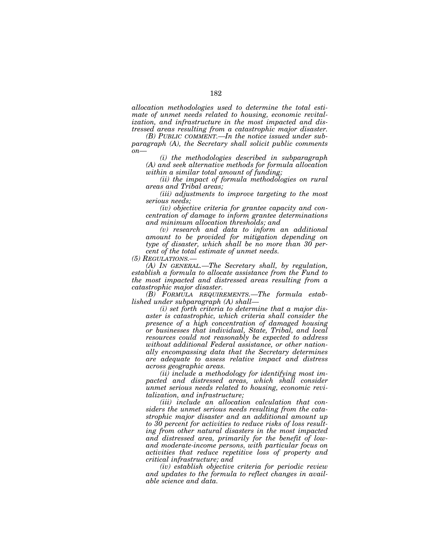*allocation methodologies used to determine the total estimate of unmet needs related to housing, economic revitalization, and infrastructure in the most impacted and distressed areas resulting from a catastrophic major disaster.* 

*(B) PUBLIC COMMENT.—In the notice issued under subparagraph (A), the Secretary shall solicit public comments on—* 

*(i) the methodologies described in subparagraph (A) and seek alternative methods for formula allocation within a similar total amount of funding;* 

*(ii) the impact of formula methodologies on rural areas and Tribal areas;* 

*(iii) adjustments to improve targeting to the most serious needs;* 

*(iv) objective criteria for grantee capacity and concentration of damage to inform grantee determinations and minimum allocation thresholds; and* 

*(v) research and data to inform an additional amount to be provided for mitigation depending on type of disaster, which shall be no more than 30 percent of the total estimate of unmet needs.* 

*(5) REGULATIONS.—* 

*(A) IN GENERAL.—The Secretary shall, by regulation, establish a formula to allocate assistance from the Fund to the most impacted and distressed areas resulting from a catastrophic major disaster.* 

*(B) FORMULA REQUIREMENTS.—The formula established under subparagraph (A) shall—* 

*(i) set forth criteria to determine that a major disaster is catastrophic, which criteria shall consider the presence of a high concentration of damaged housing or businesses that individual, State, Tribal, and local resources could not reasonably be expected to address without additional Federal assistance, or other nationally encompassing data that the Secretary determines are adequate to assess relative impact and distress across geographic areas.* 

*(ii) include a methodology for identifying most impacted and distressed areas, which shall consider unmet serious needs related to housing, economic revitalization, and infrastructure;* 

*(iii) include an allocation calculation that considers the unmet serious needs resulting from the catastrophic major disaster and an additional amount up to 30 percent for activities to reduce risks of loss resulting from other natural disasters in the most impacted and distressed area, primarily for the benefit of lowand moderate-income persons, with particular focus on activities that reduce repetitive loss of property and critical infrastructure; and* 

*(iv) establish objective criteria for periodic review and updates to the formula to reflect changes in available science and data.*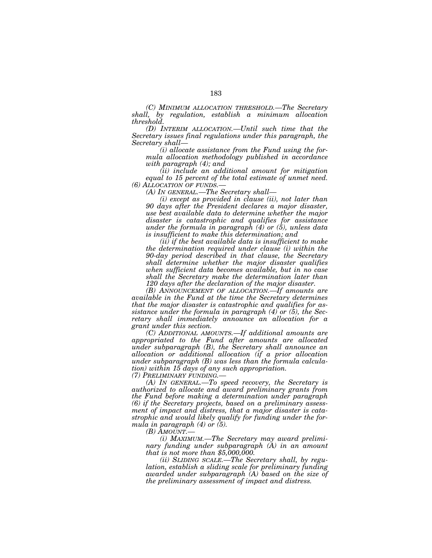*(C) MINIMUM ALLOCATION THRESHOLD.—The Secretary shall, by regulation, establish a minimum allocation threshold.* 

*(D) INTERIM ALLOCATION.—Until such time that the Secretary issues final regulations under this paragraph, the Secretary shall—* 

*(i) allocate assistance from the Fund using the formula allocation methodology published in accordance with paragraph (4); and* 

*(ii) include an additional amount for mitigation equal to 15 percent of the total estimate of unmet need. (6) ALLOCATION OF FUNDS.— (A) IN GENERAL.—The Secretary shall—* 

*(i) except as provided in clause (ii), not later than 90 days after the President declares a major disaster, use best available data to determine whether the major disaster is catastrophic and qualifies for assistance under the formula in paragraph (4) or (5), unless data is insufficient to make this determination; and* 

*(ii) if the best available data is insufficient to make the determination required under clause (i) within the 90-day period described in that clause, the Secretary shall determine whether the major disaster qualifies when sufficient data becomes available, but in no case shall the Secretary make the determination later than 120 days after the declaration of the major disaster.* 

*(B) ANNOUNCEMENT OF ALLOCATION.—If amounts are available in the Fund at the time the Secretary determines that the major disaster is catastrophic and qualifies for assistance under the formula in paragraph (4) or (5), the Secretary shall immediately announce an allocation for a grant under this section.* 

*(C) ADDITIONAL AMOUNTS.—If additional amounts are appropriated to the Fund after amounts are allocated under subparagraph (B), the Secretary shall announce an allocation or additional allocation (if a prior allocation under subparagraph (B) was less than the formula calculation) within 15 days of any such appropriation.* 

*(7) PRELIMINARY FUNDING.—* 

*(A) IN GENERAL.—To speed recovery, the Secretary is authorized to allocate and award preliminary grants from the Fund before making a determination under paragraph (6) if the Secretary projects, based on a preliminary assessment of impact and distress, that a major disaster is catastrophic and would likely qualify for funding under the formula in paragraph (4) or (5).* 

*(B) AMOUNT.—* 

*(i) MAXIMUM.—The Secretary may award preliminary funding under subparagraph (A) in an amount that is not more than \$5,000,000.* 

*(ii) SLIDING SCALE.—The Secretary shall, by regulation, establish a sliding scale for preliminary funding awarded under subparagraph (A) based on the size of the preliminary assessment of impact and distress.*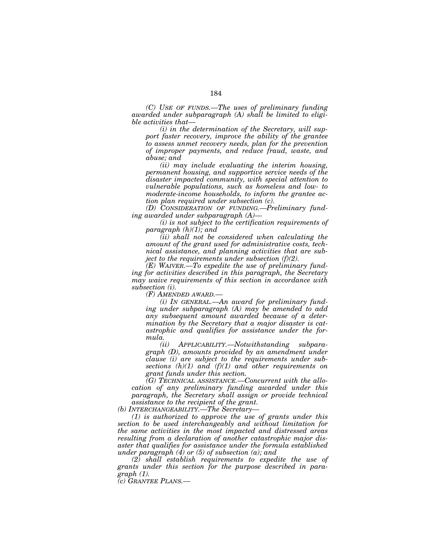*(C) USE OF FUNDS.—The uses of preliminary funding awarded under subparagraph (A) shall be limited to eligible activities that—* 

*(i) in the determination of the Secretary, will support faster recovery, improve the ability of the grantee to assess unmet recovery needs, plan for the prevention of improper payments, and reduce fraud, waste, and abuse; and* 

*(ii) may include evaluating the interim housing, permanent housing, and supportive service needs of the disaster impacted community, with special attention to vulnerable populations, such as homeless and low- to moderate-income households, to inform the grantee action plan required under subsection (c).* 

*(D) CONSIDERATION OF FUNDING.—Preliminary funding awarded under subparagraph (A)—* 

*(i) is not subject to the certification requirements of paragraph (h)(1); and* 

*(ii) shall not be considered when calculating the amount of the grant used for administrative costs, technical assistance, and planning activities that are subject to the requirements under subsection (f)(2).* 

*(E) WAIVER.—To expedite the use of preliminary funding for activities described in this paragraph, the Secretary may waive requirements of this section in accordance with subsection (i).* 

*(F) AMENDED AWARD.—* 

*(i) IN GENERAL.—An award for preliminary funding under subparagraph (A) may be amended to add any subsequent amount awarded because of a determination by the Secretary that a major disaster is catastrophic and qualifies for assistance under the formula.* 

*(ii) APPLICABILITY.—Notwithstanding subparagraph (D), amounts provided by an amendment under clause (i) are subject to the requirements under subsections (h)(1) and (f)(1) and other requirements on grant funds under this section.* 

*(G) TECHNICAL ASSISTANCE.—Concurrent with the allocation of any preliminary funding awarded under this paragraph, the Secretary shall assign or provide technical assistance to the recipient of the grant.* 

*(b) INTERCHANGEABILITY.—The Secretary—* 

*(1) is authorized to approve the use of grants under this section to be used interchangeably and without limitation for the same activities in the most impacted and distressed areas resulting from a declaration of another catastrophic major disaster that qualifies for assistance under the formula established under paragraph (4) or (5) of subsection (a); and* 

*(2) shall establish requirements to expedite the use of grants under this section for the purpose described in paragraph (1).* 

*(c) GRANTEE PLANS.—*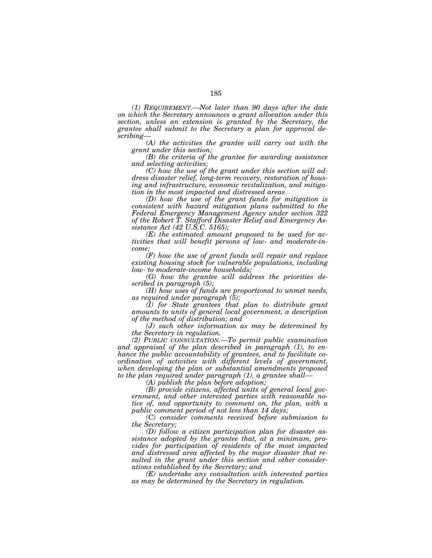*(1) REQUIREMENT.—Not later than 90 days after the date on which the Secretary announces a grant allocation under this section, unless an extension is granted by the Secretary, the grantee shall submit to the Secretary a plan for approval describing—* 

*(A) the activities the grantee will carry out with the grant under this section;* 

*(B) the criteria of the grantee for awarding assistance and selecting activities;* 

*(C) how the use of the grant under this section will address disaster relief, long-term recovery, restoration of housing and infrastructure, economic revitalization, and mitigation in the most impacted and distressed areas* 

*(D) how the use of the grant funds for mitigation is consistent with hazard mitigation plans submitted to the Federal Emergency Management Agency under section 322 of the Robert T. Stafford Disaster Relief and Emergency Assistance Act (42 U.S.C. 5165);* 

*(E) the estimated amount proposed to be used for activities that will benefit persons of low- and moderate-income;* 

*(F) how the use of grant funds will repair and replace existing housing stock for vulnerable populations, including low- to moderate-income households;* 

*(G) how the grantee will address the priorities described in paragraph (5);* 

*(H) how uses of funds are proportional to unmet needs, as required under paragraph (5);* 

*(I) for State grantees that plan to distribute grant amounts to units of general local government, a description of the method of distribution; and* 

*(J) such other information as may be determined by the Secretary in regulation.* 

*(2) PUBLIC CONSULTATION.—To permit public examination and appraisal of the plan described in paragraph (1), to enhance the public accountability of grantees, and to facilitate coordination of activities with different levels of government, when developing the plan or substantial amendments proposed to the plan required under paragraph (1), a grantee shall—* 

*(A) publish the plan before adoption;* 

*(B) provide citizens, affected units of general local government, and other interested parties with reasonable notice of, and opportunity to comment on, the plan, with a public comment period of not less than 14 days;* 

*(C) consider comments received before submission to the Secretary;* 

*(D) follow a citizen participation plan for disaster assistance adopted by the grantee that, at a minimum, provides for participation of residents of the most impacted and distressed area affected by the major disaster that resulted in the grant under this section and other considerations established by the Secretary; and* 

*(E) undertake any consultation with interested parties as may be determined by the Secretary in regulation.*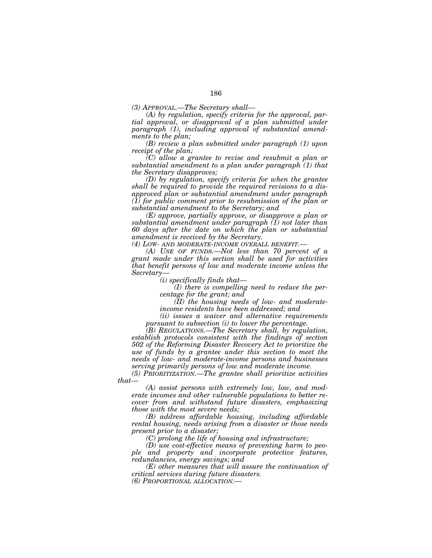*(A) by regulation, specify criteria for the approval, partial approval, or disapproval of a plan submitted under paragraph (1), including approval of substantial amendments to the plan;* 

*(B) review a plan submitted under paragraph (1) upon receipt of the plan;* 

*(C) allow a grantee to revise and resubmit a plan or substantial amendment to a plan under paragraph (1) that the Secretary disapproves;* 

*(D) by regulation, specify criteria for when the grantee shall be required to provide the required revisions to a disapproved plan or substantial amendment under paragraph (1) for public comment prior to resubmission of the plan or substantial amendment to the Secretary; and* 

*(E) approve, partially approve, or disapprove a plan or substantial amendment under paragraph (1) not later than 60 days after the date on which the plan or substantial amendment is received by the Secretary.* 

*(4) LOW- AND MODERATE-INCOME OVERALL BENEFIT.—* 

*(A) USE OF FUNDS.—Not less than 70 percent of a grant made under this section shall be used for activities that benefit persons of low and moderate income unless the Secretary—* 

*(i) specifically finds that—* 

*(I) there is compelling need to reduce the percentage for the grant; and* 

*(II) the housing needs of low- and moderateincome residents have been addressed; and* 

*(ii) issues a waiver and alternative requirements pursuant to subsection (i) to lower the percentage.* 

*(B) REGULATIONS.—The Secretary shall, by regulation, establish protocols consistent with the findings of section 502 of the Reforming Disaster Recovery Act to prioritize the use of funds by a grantee under this section to meet the needs of low- and moderate-income persons and businesses serving primarily persons of low and moderate income.* 

*(5) PRIORITIZATION.—The grantee shall prioritize activities that—* 

*(A) assist persons with extremely low, low, and moderate incomes and other vulnerable populations to better recover from and withstand future disasters, emphasizing those with the most severe needs;* 

*(B) address affordable housing, including affordable rental housing, needs arising from a disaster or those needs present prior to a disaster;* 

*(C) prolong the life of housing and infrastructure;* 

*(D) use cost-effective means of preventing harm to people and property and incorporate protective features, redundancies, energy savings; and* 

*(E) other measures that will assure the continuation of critical services during future disasters.* 

*(6) PROPORTIONAL ALLOCATION.—*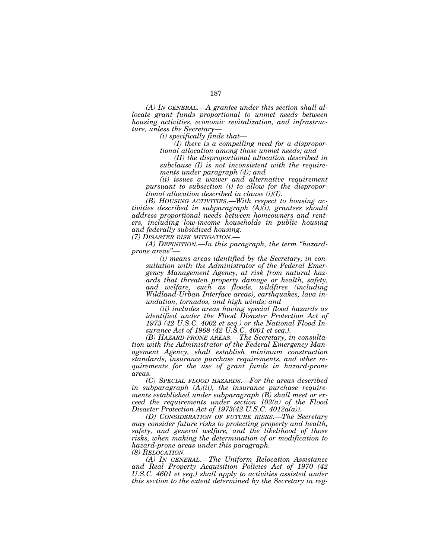*(A) IN GENERAL.—A grantee under this section shall allocate grant funds proportional to unmet needs between housing activities, economic revitalization, and infrastructure, unless the Secretary—* 

*(i) specifically finds that—* 

*(I) there is a compelling need for a disproportional allocation among those unmet needs; and* 

*(II) the disproportional allocation described in subclause (I) is not inconsistent with the requirements under paragraph (4); and* 

*(ii) issues a waiver and alternative requirement pursuant to subsection (i) to allow for the disproportional allocation described in clause (i)(I).* 

*(B) HOUSING ACTIVITIES.—With respect to housing activities described in subparagraph (A)(i), grantees should address proportional needs between homeowners and renters, including low-income households in public housing and federally subsidized housing.* 

*(7) DISASTER RISK MITIGATION.—* 

*(A) DEFINITION.—In this paragraph, the term ''hazardprone areas''—* 

*(i) means areas identified by the Secretary, in consultation with the Administrator of the Federal Emergency Management Agency, at risk from natural hazards that threaten property damage or health, safety, and welfare, such as floods, wildfires (including Wildland-Urban Interface areas), earthquakes, lava inundation, tornados, and high winds; and* 

*(ii) includes areas having special flood hazards as identified under the Flood Disaster Protection Act of 1973 (42 U.S.C. 4002 et seq.) or the National Flood Insurance Act of 1968 (42 U.S.C. 4001 et seq.).* 

*(B) HAZARD-PRONE AREAS.—The Secretary, in consultation with the Administrator of the Federal Emergency Management Agency, shall establish minimum construction standards, insurance purchase requirements, and other requirements for the use of grant funds in hazard-prone areas.* 

*(C) SPECIAL FLOOD HAZARDS.—For the areas described in subparagraph (A)(ii), the insurance purchase requirements established under subparagraph (B) shall meet or exceed the requirements under section 102(a) of the Flood Disaster Protection Act of 1973(42 U.S.C. 4012a(a)).* 

*(D) CONSIDERATION OF FUTURE RISKS.—The Secretary may consider future risks to protecting property and health, safety, and general welfare, and the likelihood of those risks, when making the determination of or modification to hazard-prone areas under this paragraph. (8) RELOCATION.—* 

*(A) IN GENERAL.—The Uniform Relocation Assistance and Real Property Acquisition Policies Act of 1970 (42 U.S.C. 4601 et seq.) shall apply to activities assisted under this section to the extent determined by the Secretary in reg-*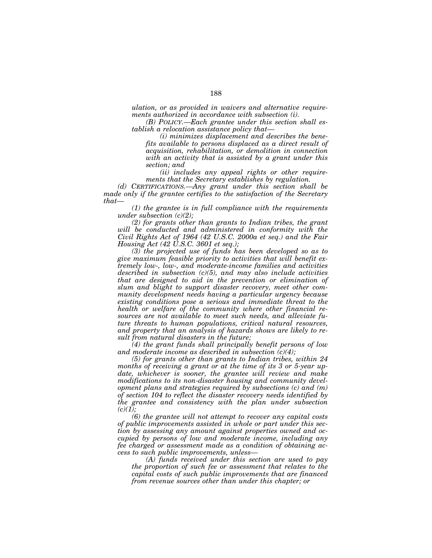*ulation, or as provided in waivers and alternative requirements authorized in accordance with subsection (i).* 

*(B) POLICY.—Each grantee under this section shall establish a relocation assistance policy that—* 

*(i) minimizes displacement and describes the benefits available to persons displaced as a direct result of acquisition, rehabilitation, or demolition in connection with an activity that is assisted by a grant under this section; and* 

*(ii) includes any appeal rights or other requirements that the Secretary establishes by regulation.* 

*(d) CERTIFICATIONS.—Any grant under this section shall be made only if the grantee certifies to the satisfaction of the Secretary that—* 

*(1) the grantee is in full compliance with the requirements under subsection (c)(2);* 

*(2) for grants other than grants to Indian tribes, the grant will be conducted and administered in conformity with the Civil Rights Act of 1964 (42 U.S.C. 2000a et seq.) and the Fair Housing Act (42 U.S.C. 3601 et seq.);* 

*(3) the projected use of funds has been developed so as to give maximum feasible priority to activities that will benefit extremely low-, low-, and moderate-income families and activities described in subsection (c)(5), and may also include activities that are designed to aid in the prevention or elimination of slum and blight to support disaster recovery, meet other community development needs having a particular urgency because existing conditions pose a serious and immediate threat to the health or welfare of the community where other financial resources are not available to meet such needs, and alleviate future threats to human populations, critical natural resources, and property that an analysis of hazards shows are likely to result from natural disasters in the future;* 

*(4) the grant funds shall principally benefit persons of low and moderate income as described in subsection (c)(4);* 

*(5) for grants other than grants to Indian tribes, within 24 months of receiving a grant or at the time of its 3 or 5-year update, whichever is sooner, the grantee will review and make modifications to its non-disaster housing and community development plans and strategies required by subsections (c) and (m) of section 104 to reflect the disaster recovery needs identified by the grantee and consistency with the plan under subsection*   $(c)(1);$ 

*(6) the grantee will not attempt to recover any capital costs of public improvements assisted in whole or part under this section by assessing any amount against properties owned and occupied by persons of low and moderate income, including any fee charged or assessment made as a condition of obtaining access to such public improvements, unless—* 

*(A) funds received under this section are used to pay the proportion of such fee or assessment that relates to the capital costs of such public improvements that are financed from revenue sources other than under this chapter; or*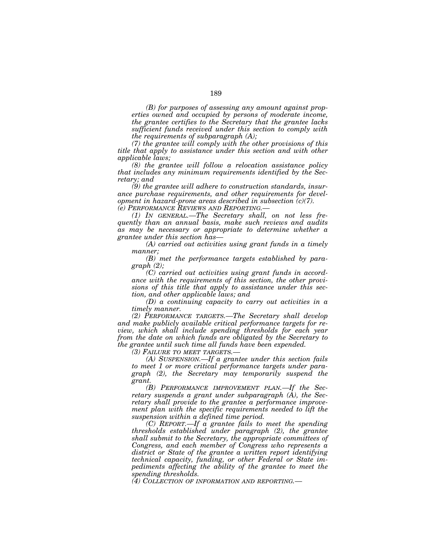*(B) for purposes of assessing any amount against properties owned and occupied by persons of moderate income, the grantee certifies to the Secretary that the grantee lacks sufficient funds received under this section to comply with the requirements of subparagraph (A);* 

*(7) the grantee will comply with the other provisions of this title that apply to assistance under this section and with other applicable laws;* 

*(8) the grantee will follow a relocation assistance policy that includes any minimum requirements identified by the Secretary; and* 

*(9) the grantee will adhere to construction standards, insurance purchase requirements, and other requirements for development in hazard-prone areas described in subsection (c)(7). (e) PERFORMANCE REVIEWS AND REPORTING.—* 

*(1) IN GENERAL.—The Secretary shall, on not less frequently than an annual basis, make such reviews and audits as may be necessary or appropriate to determine whether a grantee under this section has—* 

*(A) carried out activities using grant funds in a timely manner;* 

*(B) met the performance targets established by paragraph (2);* 

*(C) carried out activities using grant funds in accordance with the requirements of this section, the other provisions of this title that apply to assistance under this section, and other applicable laws; and* 

*(D) a continuing capacity to carry out activities in a timely manner.* 

*(2) PERFORMANCE TARGETS.—The Secretary shall develop and make publicly available critical performance targets for review, which shall include spending thresholds for each year from the date on which funds are obligated by the Secretary to the grantee until such time all funds have been expended.* 

*(3) FAILURE TO MEET TARGETS.—* 

*(A) SUSPENSION.—If a grantee under this section fails to meet 1 or more critical performance targets under paragraph (2), the Secretary may temporarily suspend the grant.* 

*(B) PERFORMANCE IMPROVEMENT PLAN.—If the Secretary suspends a grant under subparagraph (A), the Secretary shall provide to the grantee a performance improvement plan with the specific requirements needed to lift the suspension within a defined time period.* 

*(C) REPORT.—If a grantee fails to meet the spending thresholds established under paragraph (2), the grantee shall submit to the Secretary, the appropriate committees of Congress, and each member of Congress who represents a district or State of the grantee a written report identifying technical capacity, funding, or other Federal or State impediments affecting the ability of the grantee to meet the spending thresholds.* 

*(4) COLLECTION OF INFORMATION AND REPORTING.—*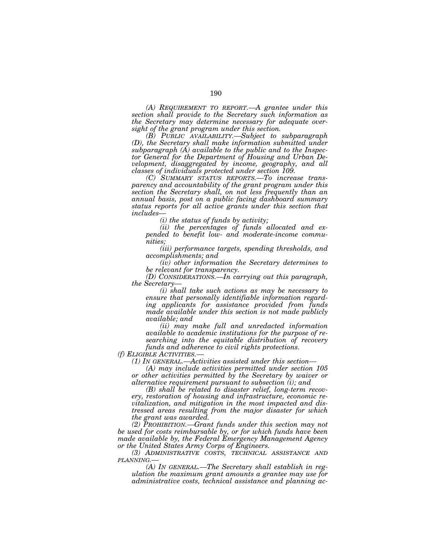*(A) REQUIREMENT TO REPORT.—A grantee under this section shall provide to the Secretary such information as the Secretary may determine necessary for adequate oversight of the grant program under this section.* 

*(B) PUBLIC AVAILABILITY.—Subject to subparagraph (D), the Secretary shall make information submitted under subparagraph (A) available to the public and to the Inspector General for the Department of Housing and Urban Development, disaggregated by income, geography, and all classes of individuals protected under section 109.* 

*(C) SUMMARY STATUS REPORTS.—To increase transparency and accountability of the grant program under this section the Secretary shall, on not less frequently than an annual basis, post on a public facing dashboard summary status reports for all active grants under this section that includes—* 

*(i) the status of funds by activity;* 

*(ii) the percentages of funds allocated and expended to benefit low- and moderate-income communities;* 

*(iii) performance targets, spending thresholds, and accomplishments; and* 

*(iv) other information the Secretary determines to be relevant for transparency.* 

*(D) CONSIDERATIONS.—In carrying out this paragraph, the Secretary—* 

*(i) shall take such actions as may be necessary to ensure that personally identifiable information regarding applicants for assistance provided from funds made available under this section is not made publicly available; and* 

*(ii) may make full and unredacted information available to academic institutions for the purpose of researching into the equitable distribution of recovery funds and adherence to civil rights protections.* 

*(f) ELIGIBLE ACTIVITIES.— (1) IN GENERAL.—Activities assisted under this section—* 

*(A) may include activities permitted under section 105 or other activities permitted by the Secretary by waiver or alternative requirement pursuant to subsection (i); and* 

*(B) shall be related to disaster relief, long-term recovery, restoration of housing and infrastructure, economic revitalization, and mitigation in the most impacted and distressed areas resulting from the major disaster for which the grant was awarded.* 

*(2) PROHIBITION.—Grant funds under this section may not be used for costs reimbursable by, or for which funds have been made available by, the Federal Emergency Management Agency or the United States Army Corps of Engineers.* 

*(3) ADMINISTRATIVE COSTS, TECHNICAL ASSISTANCE AND*  $PLANNING$ 

*(A) IN GENERAL.—The Secretary shall establish in regulation the maximum grant amounts a grantee may use for administrative costs, technical assistance and planning ac-*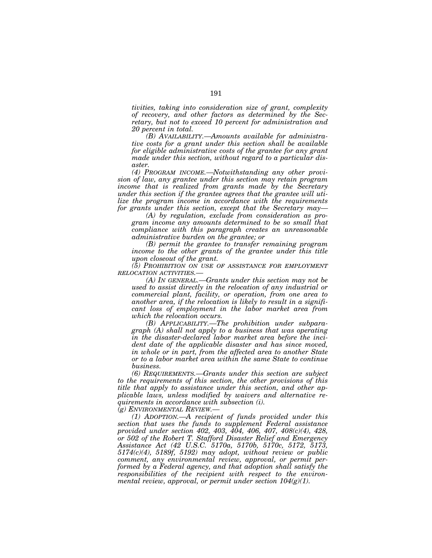*tivities, taking into consideration size of grant, complexity of recovery, and other factors as determined by the Secretary, but not to exceed 10 percent for administration and 20 percent in total.* 

*(B) AVAILABILITY.—Amounts available for administrative costs for a grant under this section shall be available for eligible administrative costs of the grantee for any grant made under this section, without regard to a particular disaster.* 

*(4) PROGRAM INCOME.—Notwithstanding any other provision of law, any grantee under this section may retain program income that is realized from grants made by the Secretary under this section if the grantee agrees that the grantee will utilize the program income in accordance with the requirements for grants under this section, except that the Secretary may—* 

*(A) by regulation, exclude from consideration as program income any amounts determined to be so small that compliance with this paragraph creates an unreasonable administrative burden on the grantee; or* 

*(B) permit the grantee to transfer remaining program*  income to the other grants of the grantee under this title *upon closeout of the grant.* 

*(5) PROHIBITION ON USE OF ASSISTANCE FOR EMPLOYMENT RELOCATION ACTIVITIES.—* 

*(A) IN GENERAL.—Grants under this section may not be used to assist directly in the relocation of any industrial or commercial plant, facility, or operation, from one area to another area, if the relocation is likely to result in a significant loss of employment in the labor market area from which the relocation occurs.* 

*(B) APPLICABILITY.—The prohibition under subparagraph (A) shall not apply to a business that was operating in the disaster-declared labor market area before the incident date of the applicable disaster and has since moved, in whole or in part, from the affected area to another State or to a labor market area within the same State to continue business.* 

*(6) REQUIREMENTS.—Grants under this section are subject to the requirements of this section, the other provisions of this title that apply to assistance under this section, and other applicable laws, unless modified by waivers and alternative requirements in accordance with subsection (i).* 

*(g) ENVIRONMENTAL REVIEW.—* 

*(1) ADOPTION.—A recipient of funds provided under this section that uses the funds to supplement Federal assistance provided under section 402, 403, 404, 406, 407, 408(c)(4), 428, or 502 of the Robert T. Stafford Disaster Relief and Emergency Assistance Act (42 U.S.C. 5170a, 5170b, 5170c, 5172, 5173, 5174(c)(4), 5189f, 5192) may adopt, without review or public comment, any environmental review, approval, or permit performed by a Federal agency, and that adoption shall satisfy the responsibilities of the recipient with respect to the environmental review, approval, or permit under section 104(g)(1).*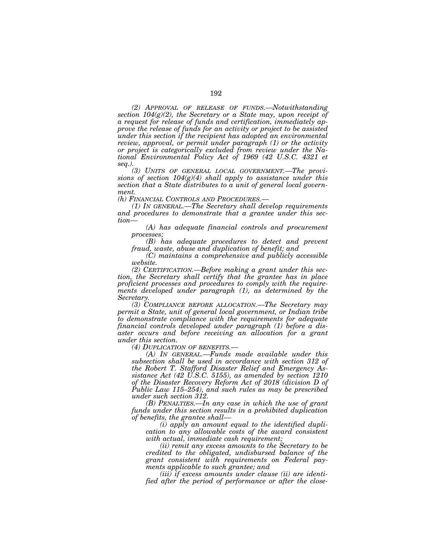*(2) APPROVAL OF RELEASE OF FUNDS.—Notwithstanding section 104(g)(2), the Secretary or a State may, upon receipt of a request for release of funds and certification, immediately approve the release of funds for an activity or project to be assisted under this section if the recipient has adopted an environmental review, approval, or permit under paragraph (1) or the activity or project is categorically excluded from review under the National Environmental Policy Act of 1969 (42 U.S.C. 4321 et seq.).* 

*(3) UNITS OF GENERAL LOCAL GOVERNMENT.—The provisions of section 104(g)(4) shall apply to assistance under this section that a State distributes to a unit of general local govern*ment.<br>(h) Financial Controls and Procedures.—

*(1) IN GENERAL.—The Secretary shall develop requirements and procedures to demonstrate that a grantee under this section—* 

*(A) has adequate financial controls and procurement processes;* 

*(B) has adequate procedures to detect and prevent fraud, waste, abuse and duplication of benefit; and* 

*(C) maintains a comprehensive and publicly accessible website.* 

*(2) CERTIFICATION.—Before making a grant under this section, the Secretary shall certify that the grantee has in place proficient processes and procedures to comply with the requirements developed under paragraph (1), as determined by the Secretary.* 

*(3) COMPLIANCE BEFORE ALLOCATION.—The Secretary may permit a State, unit of general local government, or Indian tribe to demonstrate compliance with the requirements for adequate financial controls developed under paragraph (1) before a disaster occurs and before receiving an allocation for a grant under this section.* 

*(4) DUPLICATION OF BENEFITS.— (A) IN GENERAL.—Funds made available under this subsection shall be used in accordance with section 312 of the Robert T. Stafford Disaster Relief and Emergency Assistance Act (42 U.S.C. 5155), as amended by section 1210 of the Disaster Recovery Reform Act of 2018 (division D of Public Law 115–254), and such rules as may be prescribed under such section 312.* 

*(B) PENALTIES.—In any case in which the use of grant funds under this section results in a prohibited duplication of benefits, the grantee shall—* 

*(i) apply an amount equal to the identified duplication to any allowable costs of the award consistent with actual, immediate cash requirement;* 

*(ii) remit any excess amounts to the Secretary to be credited to the obligated, undisbursed balance of the grant consistent with requirements on Federal payments applicable to such grantee; and* 

*(iii) if excess amounts under clause (ii) are identified after the period of performance or after the close-*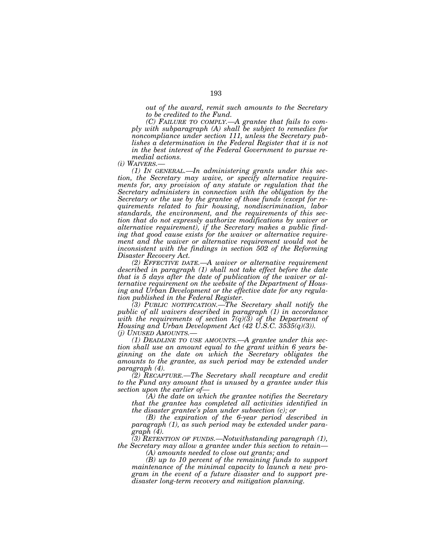*out of the award, remit such amounts to the Secretary to be credited to the Fund.* 

*(C) FAILURE TO COMPLY.—A grantee that fails to comply with subparagraph (A) shall be subject to remedies for noncompliance under section 111, unless the Secretary publishes a determination in the Federal Register that it is not in the best interest of the Federal Government to pursue re-*

*medial actions.* 

*(1) In GENERAL.—In administering grants under this section, the Secretary may waive, or specify alternative requirements for, any provision of any statute or regulation that the Secretary administers in connection with the obligation by the Secretary or the use by the grantee of those funds (except for requirements related to fair housing, nondiscrimination, labor standards, the environment, and the requirements of this section that do not expressly authorize modifications by waiver or alternative requirement), if the Secretary makes a public finding that good cause exists for the waiver or alternative requirement and the waiver or alternative requirement would not be inconsistent with the findings in section 502 of the Reforming Disaster Recovery Act.* 

*(2) EFFECTIVE DATE.—A waiver or alternative requirement described in paragraph (1) shall not take effect before the date that is 5 days after the date of publication of the waiver or alternative requirement on the website of the Department of Housing and Urban Development or the effective date for any regulation published in the Federal Register.* 

*(3) PUBLIC NOTIFICATION.—The Secretary shall notify the public of all waivers described in paragraph (1) in accordance with the requirements of section 7(q)(3) of the Department of Housing and Urban Development Act (42 U.S.C. 3535(q)(3)). (j) UNUSED AMOUNTS.—* 

*(1) DEADLINE TO USE AMOUNTS.—A grantee under this section shall use an amount equal to the grant within 6 years beginning on the date on which the Secretary obligates the*  amounts to the grantee, as such period may be extended under *paragraph (4).* 

*(2) RECAPTURE.—The Secretary shall recapture and credit to the Fund any amount that is unused by a grantee under this section upon the earlier of—* 

*(A) the date on which the grantee notifies the Secretary that the grantee has completed all activities identified in the disaster grantee's plan under subsection (c); or* 

*(B) the expiration of the 6-year period described in paragraph (1), as such period may be extended under paragraph (4).* 

*(3) RETENTION OF FUNDS.—Notwithstanding paragraph (1), the Secretary may allow a grantee under this section to retain—* 

*(A) amounts needed to close out grants; and* 

*(B) up to 10 percent of the remaining funds to support maintenance of the minimal capacity to launch a new program in the event of a future disaster and to support predisaster long-term recovery and mitigation planning.*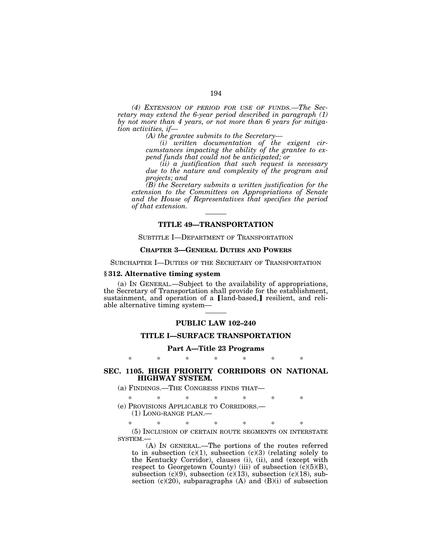*(4) EXTENSION OF PERIOD FOR USE OF FUNDS.—The Secretary may extend the 6-year period described in paragraph (1) by not more than 4 years, or not more than 6 years for mitigation activities, if—* 

*(A) the grantee submits to the Secretary—* 

*(i) written documentation of the exigent circumstances impacting the ability of the grantee to expend funds that could not be anticipated; or* 

*(ii) a justification that such request is necessary due to the nature and complexity of the program and projects; and* 

*(B) the Secretary submits a written justification for the extension to the Committees on Appropriations of Senate and the House of Representatives that specifies the period of that extension.* 

# **TITLE 49—TRANSPORTATION**

SUBTITLE I—DEPARTMENT OF TRANSPORTATION

# **CHAPTER 3—GENERAL DUTIES AND POWERS**

SUBCHAPTER I—DUTIES OF THE SECRETARY OF TRANSPORTATION

### **§ 312. Alternative timing system**

(a) IN GENERAL.—Subject to the availability of appropriations, the Secretary of Transportation shall provide for the establishment, sustainment, and operation of a [land-based,] resilient, and reliable alternative timing system—

#### **PUBLIC LAW 102–240**

## **TITLE I—SURFACE TRANSPORTATION**

**Part A—Title 23 Programs** 

\* \* \* \* \* \* \*

## **SEC. 1105. HIGH PRIORITY CORRIDORS ON NATIONAL HIGHWAY SYSTEM.**

(a) FINDINGS.—THE CONGRESS FINDS THAT—

\* \* \* \* \* \* \*

(e) PROVISIONS APPLICABLE TO CORRIDORS.—

(1) LONG-RANGE PLAN.—

\* \* \* \* \* \* \* (5) INCLUSION OF CERTAIN ROUTE SEGMENTS ON INTERSTATE SYSTEM.—

(A) IN GENERAL.—The portions of the routes referred to in subsection  $(c)(1)$ , subsection  $(c)(3)$  (relating solely to the Kentucky Corridor), clauses (i), (ii), and (except with respect to Georgetown County) (iii) of subsection  $(c)(5)(B)$ , subsection (c)(9), subsection (c)(13), subsection (c)(18), subsection  $(c)(20)$ , subparagraphs  $(A)$  and  $(B)(i)$  of subsection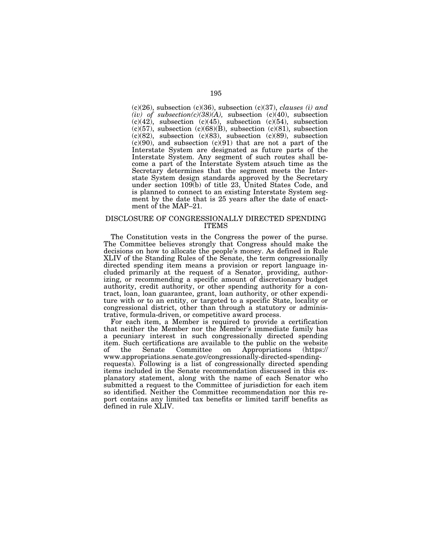(c)(26), subsection (c)(36), subsection (c)(37), *clauses (i) and*   $(iv)$  of subsection(c)(38)(A), subsection (c)(40), subsection  $(c)(42)$ , subsection  $(c)(45)$ , subsection  $(c)(54)$ , subsection  $(c)(57)$ , subsection  $(c)(68)(B)$ , subsection  $(c)(81)$ , subsection (c)(82), subsection (c)(83), subsection (c)(89), subsection  $(c)(90)$ , and subsection  $(c)(91)$  that are not a part of the Interstate System are designated as future parts of the Interstate System. Any segment of such routes shall become a part of the Interstate System atsuch time as the Secretary determines that the segment meets the Interstate System design standards approved by the Secretary under section 109(b) of title 23, United States Code, and is planned to connect to an existing Interstate System segment by the date that is 25 years after the date of enactment of the MAP–21.

#### DISCLOSURE OF CONGRESSIONALLY DIRECTED SPENDING ITEMS

The Constitution vests in the Congress the power of the purse. The Committee believes strongly that Congress should make the decisions on how to allocate the people's money. As defined in Rule XLIV of the Standing Rules of the Senate, the term congressionally directed spending item means a provision or report language included primarily at the request of a Senator, providing, authorizing, or recommending a specific amount of discretionary budget authority, credit authority, or other spending authority for a contract, loan, loan guarantee, grant, loan authority, or other expenditure with or to an entity, or targeted to a specific State, locality or congressional district, other than through a statutory or administrative, formula-driven, or competitive award process.

For each item, a Member is required to provide a certification that neither the Member nor the Member's immediate family has a pecuniary interest in such congressionally directed spending item. Such certifications are available to the public on the website the Senate Committee on www.appropriations.senate.gov/congressionally-directed-spendingrequests). Following is a list of congressionally directed spending items included in the Senate recommendation discussed in this explanatory statement, along with the name of each Senator who submitted a request to the Committee of jurisdiction for each item so identified. Neither the Committee recommendation nor this report contains any limited tax benefits or limited tariff benefits as defined in rule XLIV.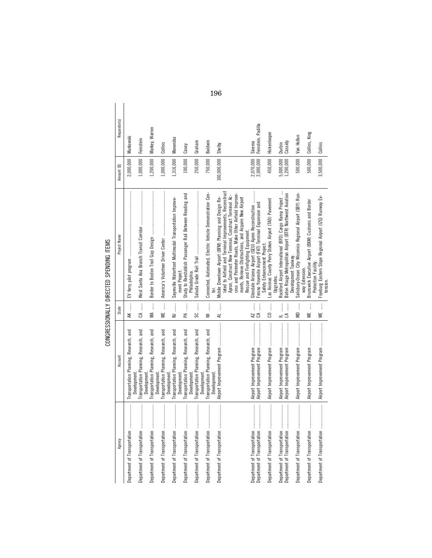Requestor(s) Agency Account (\$) | Amount State | Amount State Project Name Amount (\$) Requestor(s); | Requestor(s); | Requestor(s); | 2,000,000 Feinstein, Padilla Feinstein, Padilla MA ...... Border to Boston Trail Gap Design ........................................ 1,200,000 Markey, Warren Markey, Warren 500,000 Collins, King Hickenlooper 450,000 Hickenlooper Collins, King isbury-Ocean City Wicomico Regional Airport (SBY) Run- |<br>way Extension. AK ....... EV ferry pilot program ............................................................ 2,000,000 Murkowski Van Hollen Murkowski ment Project. 1,316,000 Menendez Menendez Feinstein CA ....... West Santa Ana Branch Transit Corridor ............................... 1,000,000 Feinstein Graham Baldwin Durbin<br>Cassidy SC ....... Saluda Grade Rail Trail .......................................................... 250,000 Graham ter. 750,000 Baldwin Sinema 1,200,000 Cassidy Department of Transportation ...................... Airport Improvement Program ..................... AZ ....... Glendale Arizona Airport (GEU) Apron Reconstruction ........... 2,070,000 Sinema Collins ME ...... America's Volunteer Driver Center ......................................... 1,000,000 Collins Casey Shelby Collins tension. 3,500,000 Collins 100,000,000 Shelby Department of Transportation ...................... Airport Improvement Program ..................... IL ........ Rockford Airport International (RFD) Cargo Ramp Project .... 5,000,000 Durbin 100,000 Casey 2,070,000 500,000 3,500,000  $.200,000$ 100,000 250,000 750,000  $5,000,000$ <br> $1,200,000$  $.000,000$  $.316,000$  $100,000,000$ 450,000  $500,000$ 2,000,000 1,000,000 Amount (\$) ter.<br>Mobile Downtown Airport (BFM) Planning and Design Re-<br>lated to Airfield and Terminal Improvements, Reconstruct<br>Apron, Construct New Terminal, Construct Terminal Ac-<br>cess and Perimeter Roads, Make Other Airfield Improv lated to Airfield and Terminal Improvements, Reconstruct PA ....... Study to Reestablish Passenger Rail Between Reading and Upgrades.<br>Rockford Airport International (RFD) Cargo Ramp Project ...<br>Baton Rouge Metropolitan Airport (BTR) Northwest Aviation Department of Transportation ...................... Airport Improvement Program ..................... LA ....... Baton Rouge Metropolitan Airport (BTR) Northwest Aviation Development Taxiway.<br>Salisbury-Ocean City Wicomico Regional Airport (SBY) Run-Connected, Automated, Electric Vehicle Demonstration Cen-WI ....... Connected, Automated, Electric Vehicle Demonstration Cencess and Perimeter Roads, Make Other Airfield Improve-Department of Transportation ...................... Airport Improvement Program ..................... MD ...... Salisbury-Ocean City Wicomico Regional Airport (SBY) Run-Study to Reestablish Passenger Rail Between Reading and Protection Facility.<br>Fryeburg Eastern Slope Regional Airport (IZG) Runway Ex-Apron, Construct New Terminal, Construct Terminal Acments, Remove Obstructions, and Acquire New Airport Department of Transportation ...................... Airport Improvement Program ..................... ME ...... Fryeburg Eastern Slope Regional Airport (IZG) Runway Ex-Department of Transportation ...................... Airport Improvement Program ..................... AL ....... Mobile Downtown Airport (BFM) Planning and Design Rements, Remove Obstructions, and Acquire New Airport Sayreville Waterfront Multimodal Transportation Improve-NJ ........ Sayreville Waterfront Multimodal Transportation Improve-Department of Transportation ...................... Airport Improvement Program ..................... CO ....... Las Animas County Perry Stokes Airport (TAD) Pavement Las Animas County Perry Stokes Airport (TAD) Pavement Department of Transportation ...................... Airport Improvement Program ..................... ME ...... Brunswick Executive Airport (BXM) Customs and Border Brunswick Executive Airport (BXM) Customs and Border Glendale Arizona Airport (GEU) Apron Reconstruction ..<br>Fresno Yosemite Airport (FAT) Terminal Expansion and Department of Transportation ...................... Airport Improvement Program ..................... CA ....... Fresno Yosemite Airport (FAT) Terminal Expansion and West Santa Ana Branch Transit Corridor Rescue and Firefighting Equipment. Rescue and Firefighting Equipment. Project Name Border to Boston Trail Gap Design CONGRESSIONALLY DIRECTED SPENDING ITEMS America's Volunteer Driver Center CONGRESSIONALLY DIRECTED SPENDING ITEMS Safety Enhancement Project. Safety Enhancement Project. Saluda Grade Rail Trail Development Taxiway. EV ferry pilot program Protection Facility. way Extension. ment Project. Philadelphia. Philadelphia tension.  $\vdots$ State  $\frac{\mathsf{K}}{\mathsf{K}}$  $\mathfrak{S}$ ŃМ  $\equiv$  $\mathbb{E}$  $\mathsf{S}$ ΨĖ ₩ SC  $\overline{\phantom{a}}$  $\overline{a}$ **ZS**  $\rm ^{c}$  $\preceq$   $\preceq$  $\equiv$ fransportation Planning, Research, and Department of Transportation ...................... Transportation Planning, Research, and Transportation Planning, Research, and<br>Development. Department of Transportation ...................... Transportation Planning, Research, and Transportation Planning, Research, and Department of Transportation ...................... Transportation Planning, Research, and Transportation Planning, Research, and Department of Transportation ...................... Transportation Planning, Research, and Transportation Planning, Research, and Department of Transportation ...................... Transportation Planning, Research, and fransportation Planning, Research, and Department of Transportation ...................... Transportation Planning, Research, and Transportation Planning, Research, and Department of Transportation ...................... Transportation Planning, Research, and Transportation Planning, Research, and Department of Transportation ...................... Transportation Planning, Research, and Airport Improvement Program<br>Airport Improvement Program Development.<br>Airport Improvement Program Airport Improvement Program<br>Airport Improvement Program Airport Improvement Program Airport Improvement Program Airport Improvement Program Airport Improvement Program Account Development Development. Development. Development Development. Development. Development. Development. Development. Development Development. Development. Development. Development. Department of Transportation Department of Transportation Department of Transportation Department of Transportation<br>Department of Transportation Department of Transportation Department of Transportation<br>Department of Transportation Department of Transportation Department of Transportation Department of Transportation Department of Transportation Department of Transportation Department of Transportation Department of Transportation Department of Transportation Department of Transportation Agency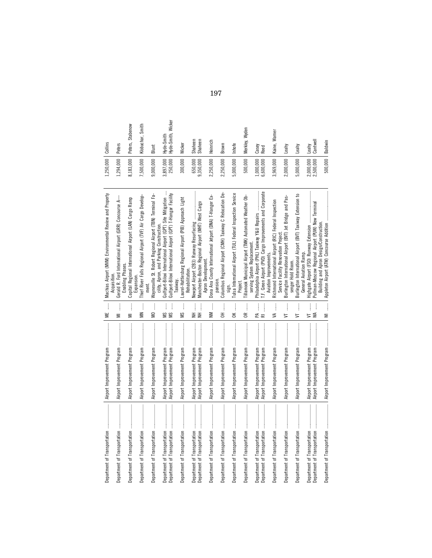|                                                                                                                                                                                                                                                                                                                                                                                                                                                                                                                                                                             | $\begin{minipage}{0.5\textwidth} \centering \begin{tabular}{ l l l } \hline \multicolumn{1}{ l l l } \hline \multicolumn{1}{ l l } \multicolumn{1}{ l l } \multicolumn{1}{ l l } \multicolumn{1}{ l } \multicolumn{1}{ l } \multicolumn{1}{ l } \multicolumn{1}{ l } \multicolumn{1}{ l } \multicolumn{1}{ l } \multicolumn{1}{ l } \multicolumn{1}{ l } \multicolumn{1}{ l } \multicolumn{1}{ l } \multicolumn{1}{ l } \multicolumn{1}{ $<br>Airport Improvement Program | ME                                           | Machias Airport (MVM) Environmental Review and Property<br>Acquisition.                                                      | 1,250,000 Collins     |                                  |
|-----------------------------------------------------------------------------------------------------------------------------------------------------------------------------------------------------------------------------------------------------------------------------------------------------------------------------------------------------------------------------------------------------------------------------------------------------------------------------------------------------------------------------------------------------------------------------|---------------------------------------------------------------------------------------------------------------------------------------------------------------------------------------------------------------------------------------------------------------------------------------------------------------------------------------------------------------------------------------------------------------------------------------------------------------------------|----------------------------------------------|------------------------------------------------------------------------------------------------------------------------------|-----------------------|----------------------------------|
|                                                                                                                                                                                                                                                                                                                                                                                                                                                                                                                                                                             |                                                                                                                                                                                                                                                                                                                                                                                                                                                                           | ļ<br>Ξ                                       | Gerald R. Ford International Airport (GRR) Concourse A-<br>Enabling Phases                                                   | 1,294,000             | <b>Peters</b>                    |
|                                                                                                                                                                                                                                                                                                                                                                                                                                                                                                                                                                             |                                                                                                                                                                                                                                                                                                                                                                                                                                                                           | $\vdots$<br>Ξ                                | Capital Regional International Airport (LAN) Cargo Ramp<br>Expansion.                                                        | 8,183,000             | Peters, Stabenow                 |
|                                                                                                                                                                                                                                                                                                                                                                                                                                                                                                                                                                             |                                                                                                                                                                                                                                                                                                                                                                                                                                                                           | Î<br>Š                                       | Thief River Falls Regional Airport (TVF) Air Cargo Develop-<br>ment                                                          | 7,500,000             | Klobuchar, Smith                 |
| Department of Transportation                                                                                                                                                                                                                                                                                                                                                                                                                                                                                                                                                | Airport Improvement Program                                                                                                                                                                                                                                                                                                                                                                                                                                               | Î<br>QM                                      | Waynesville St. Robert Regional Airport (TBN) Terminal Fa-<br>cility, Apron, and Parking Construction.                       | 9,000,000             | Blunt                            |
| Department of Transportation<br>Department of Transportation                                                                                                                                                                                                                                                                                                                                                                                                                                                                                                                | Airport Improvement Program                                                                                                                                                                                                                                                                                                                                                                                                                                               | $\vdots$<br>j<br>ΜŚ<br>ΣM                    | Gulfport-Biloxi International Airport (GPT) Site Mitigation<br>Gulfport-Biloxi International Airport (GPT) T-Hangar Facility | 250,000<br>3,897,000  | Hyde-Smith, Wicker<br>Hyde-Smith |
| Department of Transportation                                                                                                                                                                                                                                                                                                                                                                                                                                                                                                                                                | Airport Improvement Program                                                                                                                                                                                                                                                                                                                                                                                                                                               | $\vdots$<br>SW                               | Laurel-Hattiesburg Regional Airport (PIB) Approach Light<br><b>Rehabilitation</b><br><b>Taxiway</b>                          | 300,000               | Wicker                           |
| Department of Transportation<br>Department of Transportation                                                                                                                                                                                                                                                                                                                                                                                                                                                                                                                | Airport Improvement Program<br>Airport Improvement Program                                                                                                                                                                                                                                                                                                                                                                                                                | $\vdots$<br>$\vdots$<br>ΞĐ                   | Manchester-Boston Regional Airport (MHT) West Cargo<br><b>Vewport Airport (2B3) Runway Resurfacing</b>                       | 650,000<br>9,350,000  | Shaheen<br>Shaheen               |
| Department of Transportation                                                                                                                                                                                                                                                                                                                                                                                                                                                                                                                                                | Airport Improvement Program                                                                                                                                                                                                                                                                                                                                                                                                                                               | $\vdots$<br>≧                                | Dona Ana County International Jetport (DNA) T-Hanger Ex-<br>Apron Development.                                               | 2,250,000             | Heinrich                         |
|                                                                                                                                                                                                                                                                                                                                                                                                                                                                                                                                                                             |                                                                                                                                                                                                                                                                                                                                                                                                                                                                           | $\vdots$<br>H                                | Columbus Regional Airport (CMH) Taxiway C Relocation De-<br>pansion.                                                         | 2,250,000             | Brown                            |
|                                                                                                                                                                                                                                                                                                                                                                                                                                                                                                                                                                             | Airport Improvement Program                                                                                                                                                                                                                                                                                                                                                                                                                                               | $\vdots$<br>$\geq$                           | Tulsa International Airport (TUL) Federal Inspection Service<br>Project.<br>sign.                                            | 5,000,000             | Inhofe                           |
| $\label{def:1} \begin{minipage}{0.9\linewidth} \begin{minipage}{0.9\linewidth} \begin{minipage}{0.9\linewidth} \begin{minipage}{0.9\linewidth} \end{minipage} \begin{minipage}{0.9\linewidth} \begin{minipage}{0.9\linewidth} \end{minipage} \end{minipage} \begin{minipage}{0.9\linewidth} \begin{minipage}{0.9\linewidth} \begin{minipage}{0.9\linewidth} \end{minipage} \end{minipage} \begin{minipage}{0.9\linewidth} \begin{minipage}{0.9\linewidth} \end{minipage} \end{minipage} \begin{minipage}{0.9\linewidth} \begin{minipage}{0$<br>Department of Transportation |                                                                                                                                                                                                                                                                                                                                                                                                                                                                           | $\frac{1}{2}$<br>$\approx$                   | Tillamook Municipal Airport (TMK) Automated Weather Ob-<br>serving System Replacement.                                       | 500,000               | Merkley, Wyden                   |
| Department of Transportation<br>Department of Transportation                                                                                                                                                                                                                                                                                                                                                                                                                                                                                                                | Airport Improvement Program<br>Airport Improvement Program                                                                                                                                                                                                                                                                                                                                                                                                                | İ<br>E<br>굳                                  | Philadelphia Airport (PHL) Taxiway Y&U Repairs<br>T.F. Green Airport (PVD) Cargo Improvements and Corporate                  | 000,000,<br>6,600,000 | Casey<br>Reed                    |
| Department of Transportation                                                                                                                                                                                                                                                                                                                                                                                                                                                                                                                                                | Airport Improvement Program                                                                                                                                                                                                                                                                                                                                                                                                                                               | ļ<br>₹                                       | Richmond International Airport (RIC) Federal Inspection<br>Service Facility Renovation Project<br>Aviation Improvements.     | 3,969,000             | Kaine, Warner                    |
| Department of Transportation                                                                                                                                                                                                                                                                                                                                                                                                                                                                                                                                                | Airport Improvement Program                                                                                                                                                                                                                                                                                                                                                                                                                                               | ļ<br>$\overline{=}$                          | Burlington International Airport (BVT) Jet Bridge and Pas-<br>senger Hold Room.                                              | 2,000,000             | Leahy                            |
| Department of Transportation                                                                                                                                                                                                                                                                                                                                                                                                                                                                                                                                                | Airport Improvement Program                                                                                                                                                                                                                                                                                                                                                                                                                                               | I<br>5                                       | ₽,<br>Burlington International Airport (BVT) Taxiway Extension<br>General Aviation Ramp.                                     | 5,000,000             | Leahy                            |
| Department of Transportation                                                                                                                                                                                                                                                                                                                                                                                                                                                                                                                                                | Airport Improvement Program                                                                                                                                                                                                                                                                                                                                                                                                                                               | $\vdots$<br>$\vdots$<br>ЖW<br>$\overline{z}$ | Pullman-Moscow Regional Airport (PUW) New Terminal<br>Highgate Airport (FSO) Runway Extension                                | 2,000,000             | Cantwell<br>Leahy                |
| Department of Transportation                                                                                                                                                                                                                                                                                                                                                                                                                                                                                                                                                | Airport Improvement Program                                                                                                                                                                                                                                                                                                                                                                                                                                               | $\overline{\mathsf{z}}$                      | Appleton Airport (ATW) Concourse Addition<br>Building and Apron Design/Construction                                          | 500,000   Baldwin     |                                  |

197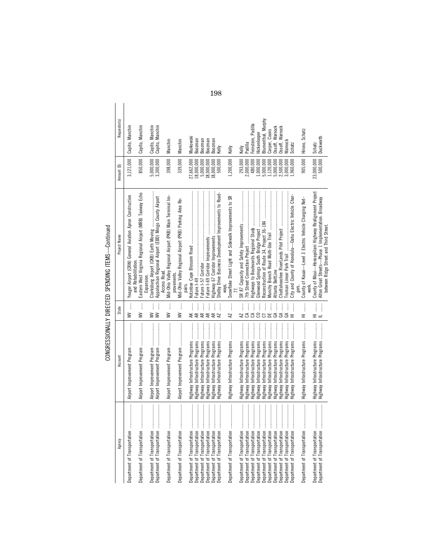| i<br>:<br>}<br>]<br>-<br>-<br>-<br>-<br>Ć<br>יה ומדי<br><b>CHARGES</b><br>١<br>J<br>$\ddot{\phantom{0}}$<br>:<br>$-200$ |  |  |
|-------------------------------------------------------------------------------------------------------------------------|--|--|
|                                                                                                                         |  |  |
|                                                                                                                         |  |  |
|                                                                                                                         |  |  |
|                                                                                                                         |  |  |

|                                                                                                                                                                                                                                                                                                                                                                                                                                                                                                                |                                                                    |                                                                                                                                                                                                                                                                                                           | CONGRESSIONALLY DIRECTED SPENDING ITEMS--Continued                                             |                          |                                    |
|----------------------------------------------------------------------------------------------------------------------------------------------------------------------------------------------------------------------------------------------------------------------------------------------------------------------------------------------------------------------------------------------------------------------------------------------------------------------------------------------------------------|--------------------------------------------------------------------|-----------------------------------------------------------------------------------------------------------------------------------------------------------------------------------------------------------------------------------------------------------------------------------------------------------|------------------------------------------------------------------------------------------------|--------------------------|------------------------------------|
| Agency                                                                                                                                                                                                                                                                                                                                                                                                                                                                                                         | Account                                                            | State                                                                                                                                                                                                                                                                                                     | Project Name                                                                                   | Amount (\$)              | Requestor(s)                       |
|                                                                                                                                                                                                                                                                                                                                                                                                                                                                                                                | Airport Improvement Program                                        | Ì<br>$\geq$                                                                                                                                                                                                                                                                                               | Yeager Airport (CRW) General Aviation Apron Construction<br>and Rehabilitation.                | 3,121,000                | Capito, Manchin                    |
|                                                                                                                                                                                                                                                                                                                                                                                                                                                                                                                |                                                                    | Ĵ<br>$\geq$                                                                                                                                                                                                                                                                                               | Eastern West Virginia Regional Airport (MRB) Taxiway Echo                                      | 850,000                  | Capito, Manchin                    |
| $\frac{1}{2}$<br>Department of Transportation                                                                                                                                                                                                                                                                                                                                                                                                                                                                  |                                                                    | ĺ<br>$\geq$<br>$\geq$                                                                                                                                                                                                                                                                                     | Appalachian Regional Airport (EBD) Mingo County Airport<br>Expansion.                          | 5,000,000<br>3,300,000   | Capito, Manchin<br>Capito, Manchin |
|                                                                                                                                                                                                                                                                                                                                                                                                                                                                                                                |                                                                    | $\vdots$<br>ļ<br>$\geq$                                                                                                                                                                                                                                                                                   | Mid-Ohio Valley Regional Airport (PKB) Main Terminal Im-<br>Access Road.                       | 398,000                  | Manchin                            |
|                                                                                                                                                                                                                                                                                                                                                                                                                                                                                                                |                                                                    | ļ<br>$\geq$                                                                                                                                                                                                                                                                                               | Mid-Ohio Valley Regional Airport (PKB) Parking Area Re-<br>provements.                         | 339,000                  | Manchin                            |
|                                                                                                                                                                                                                                                                                                                                                                                                                                                                                                                |                                                                    |                                                                                                                                                                                                                                                                                                           | pairs.                                                                                         |                          |                                    |
|                                                                                                                                                                                                                                                                                                                                                                                                                                                                                                                | Highway Infrastructure Programs<br>Highway Infrastructure Programs | ļ<br>¥∉                                                                                                                                                                                                                                                                                                   |                                                                                                | 27,662,000<br>18,000,000 | Murkowski<br>Boozman               |
|                                                                                                                                                                                                                                                                                                                                                                                                                                                                                                                | Highway Infrastructure Programs                                    | $\vdots$                                                                                                                                                                                                                                                                                                  |                                                                                                | 5.000.000                | Boozman                            |
|                                                                                                                                                                                                                                                                                                                                                                                                                                                                                                                | Programs<br>ghway Infrastructure                                   |                                                                                                                                                                                                                                                                                                           |                                                                                                | 18,000,000               | Boozman                            |
|                                                                                                                                                                                                                                                                                                                                                                                                                                                                                                                | Highway Infrastructure Programs                                    | $\begin{array}{c}\nAR \\ AR \\ AR \\ \hline\nR\n\end{array}$                                                                                                                                                                                                                                              | Highway 67 Corridor Improvements                                                               | 18,000,000               | Boozman                            |
| $\begin{minipage}{0.9\linewidth} \begin{tabular}{ c c c } \hline & \multicolumn{3}{ c }{\textbf{r}} & \multicolumn{3}{ c }{\textbf{r}} & \multicolumn{3}{ c }{\textbf{r}} & \multicolumn{3}{ c }{\textbf{r}} & \multicolumn{3}{ c }{\textbf{r}} & \multicolumn{3}{ c }{\textbf{r}} & \multicolumn{3}{ c }{\textbf{r}} & \multicolumn{3}{ c }{\textbf{r}} & \multicolumn{3}{ c }{\textbf{r}} & \multicolumn{3}{ c }{\textbf{r}} & \multicolumn{3}{ c$<br>Department of Transportation                           | Highway Infrastructure Programs                                    |                                                                                                                                                                                                                                                                                                           | Shelby Drive Business Development Improvements to Road-                                        | 500,000                  | Kelly                              |
|                                                                                                                                                                                                                                                                                                                                                                                                                                                                                                                | Highway Infrastructure Programs                                    | $\overline{M}$                                                                                                                                                                                                                                                                                            | Snowflake Street Light and Sidewalk Improvements to SR<br>ways.                                | 1,200,000                | Kelly                              |
|                                                                                                                                                                                                                                                                                                                                                                                                                                                                                                                |                                                                    |                                                                                                                                                                                                                                                                                                           |                                                                                                |                          |                                    |
| İ<br>Department of Transportation                                                                                                                                                                                                                                                                                                                                                                                                                                                                              | Highway Infrastructure Programs                                    | $\frac{1}{64}$                                                                                                                                                                                                                                                                                            |                                                                                                | 293,000                  | Kelly                              |
|                                                                                                                                                                                                                                                                                                                                                                                                                                                                                                                | Highway Infrastructure Programs<br>Highway Infrastructure          |                                                                                                                                                                                                                                                                                                           |                                                                                                | 2,000,000<br>480,000     | Feinstein, Padilla<br>Padilla      |
| Department of Transportation                                                                                                                                                                                                                                                                                                                                                                                                                                                                                   | Highway Infrastructure                                             |                                                                                                                                                                                                                                                                                                           |                                                                                                | 1,000,000                | Hickenlooper                       |
| $\label{def:1} \begin{array}{lllllllllllllllll} \multicolumn{3}{l}{} & \multicolumn{3}{l}{} & \multicolumn{3}{l}{} & \multicolumn{3}{l}{} & \multicolumn{3}{l}{} & \multicolumn{3}{l}{} & \multicolumn{3}{l}{} & \multicolumn{3}{l}{} & \multicolumn{3}{l}{} & \multicolumn{3}{l}{} & \multicolumn{3}{l}{} & \multicolumn{3}{l}{} & \multicolumn{3}{l}{} & \multicolumn{3}{l}{} & \multicolumn{3}{l}{} & \multicolumn{3}{l}{} & \multicolumn{3}{l}{} & \multicolumn{3}{l}{} &$<br>Department of Transportation | Programs<br>Highway Infrastructure                                 |                                                                                                                                                                                                                                                                                                           |                                                                                                | 5,000,000                | Blumenthal, Murphy                 |
|                                                                                                                                                                                                                                                                                                                                                                                                                                                                                                                | Highway Infrastructure                                             | $rac{1}{5}$ $rac{1}{5}$ $rac{1}{5}$ $rac{1}{5}$ $rac{1}{5}$ $rac{1}{5}$ $rac{1}{5}$ $rac{1}{5}$ $rac{1}{5}$ $rac{1}{5}$ $rac{1}{5}$ $rac{1}{5}$ $rac{1}{5}$ $rac{1}{5}$ $rac{1}{5}$ $rac{1}{5}$ $rac{1}{5}$ $rac{1}{5}$ $rac{1}{5}$ $rac{1}{5}$ $rac{1}{5}$ $rac{1}{5}$ $rac{1}{5}$ $rac{1}{5}$ $rac{1}{$ |                                                                                                | 1,120,000                | Carper, Coons                      |
| Department of Transportation                                                                                                                                                                                                                                                                                                                                                                                                                                                                                   | Highway Infrastructure Programs                                    |                                                                                                                                                                                                                                                                                                           |                                                                                                | 5,000,000                | Ossoff, Warnock                    |
|                                                                                                                                                                                                                                                                                                                                                                                                                                                                                                                | Highway Infrastructure Programs                                    | $GA$                                                                                                                                                                                                                                                                                                      |                                                                                                | 2,500,000                | Ossoff, Warnock                    |
|                                                                                                                                                                                                                                                                                                                                                                                                                                                                                                                | Highway Infrastructure Programs                                    |                                                                                                                                                                                                                                                                                                           |                                                                                                | 3,000,000                | Narnock                            |
|                                                                                                                                                                                                                                                                                                                                                                                                                                                                                                                | Highway Infrastructure Programs                                    | $\begin{array}{c}\n\mathsf{GA} & \dots \\ \mathsf{H1} & \dots\n\end{array}$                                                                                                                                                                                                                               | City and County of Honolulu-Oahu Electric Vehicle Char-                                        | 1,960,000                | Schatz                             |
|                                                                                                                                                                                                                                                                                                                                                                                                                                                                                                                |                                                                    |                                                                                                                                                                                                                                                                                                           |                                                                                                |                          |                                    |
|                                                                                                                                                                                                                                                                                                                                                                                                                                                                                                                | Highway Infrastructure Programs                                    | İ<br>도                                                                                                                                                                                                                                                                                                    | County of Kauai-Level 3 Electric Vehicle Charging Net-<br>work.                                | 905,000                  | Hirono, Schatz                     |
|                                                                                                                                                                                                                                                                                                                                                                                                                                                                                                                | Highway Infrastructure Programs                                    | $\begin{array}{c}\n\vdots \\ \hline\n\vdots \\ \hline\n\end{array}$                                                                                                                                                                                                                                       | County of Maui-Honoapiilani Highway Realignment Project                                        |                          |                                    |
|                                                                                                                                                                                                                                                                                                                                                                                                                                                                                                                | Highway Infrastructure Programs                                    | $\begin{array}{ccc}\n & \cdots & \cdots \\  & \cdots & \cdots\n\end{array}$                                                                                                                                                                                                                               | Alton Great Streets-Phase 1 Implementation: Broadway<br>between Ridge Street and Third Street. | 23,000,000               | Schatz<br>Duckworth                |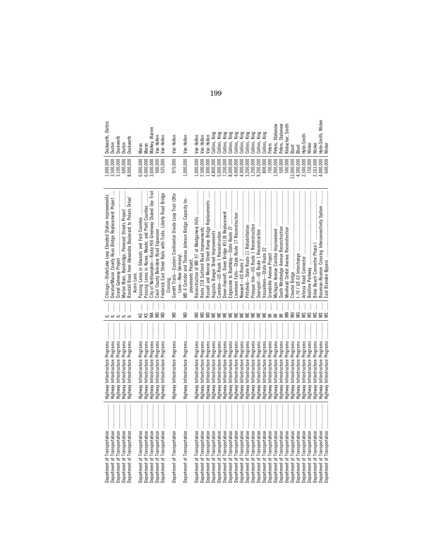| Department of Transportation<br>Department of Transportation                                                                                                                                                                                                                                                                                                                                                                                               | Highway Infrastructure Programs<br>Highway Infrastructure Programs                                    | İ<br>$\vdots$          | Chicago-State/Lake Loop Elevated Station Improvements<br>Decatur/Macon County Reas Bridge Replacement Project | $\begin{array}{c} 1,000,000 \ 3,500,000 \ 3,100,000 \end{array}$                       | Durbin<br>Duckworth,<br>Durbin                  |
|------------------------------------------------------------------------------------------------------------------------------------------------------------------------------------------------------------------------------------------------------------------------------------------------------------------------------------------------------------------------------------------------------------------------------------------------------------|-------------------------------------------------------------------------------------------------------|------------------------|---------------------------------------------------------------------------------------------------------------|----------------------------------------------------------------------------------------|-------------------------------------------------|
| Department of Transportation<br>Department of Transportation<br>Department of Transportation                                                                                                                                                                                                                                                                                                                                                               | lighway Infrastructure Programs<br>Highway Infrastructure Programs<br>Highway Infrastructure Programs | $\vdots$<br>$\ddot{}}$ | Marion Main, Bainbridge, Penecost Streets Project<br>Randall Road from Alexandra Boulevard to Polaris Drive/  | 3,000,000<br>600,000                                                                   | Duckworth<br>Duckworth<br>Durbin                |
| Department of Transportation                                                                                                                                                                                                                                                                                                                                                                                                                               | Highway Infrastructure Programs                                                                       | ļ                      | Acorn Lane                                                                                                    |                                                                                        | Moran                                           |
| Department of Transportation                                                                                                                                                                                                                                                                                                                                                                                                                               | Highway Infrastructure Programs                                                                       | $\vdots$<br>ss₹        | Passing Lanes in Kiowa, Meade, and Pratt Counties                                                             | 6,000,000<br>6,000,000                                                                 | Moran                                           |
| Department of Transportation<br>Department of Transportation                                                                                                                                                                                                                                                                                                                                                                                               | Highway Infrastructure Programs<br>Highway Infrastructure Programs                                    | ļ<br>ļ                 | City of Northampton-Rocky Hill Greenway Shared Use Trai                                                       | 3,600,000<br>500,000                                                                   | Markey, Warren<br>Van Hollen                    |
| Department of Transportation                                                                                                                                                                                                                                                                                                                                                                                                                               | Highway Infrastructure Programs                                                                       | $\vdots$<br>§§         | Frederick East Street Rails with Trails: Liberty Road Bridge                                                  | 535,000                                                                                | Van Hollen                                      |
|                                                                                                                                                                                                                                                                                                                                                                                                                                                            |                                                                                                       |                        |                                                                                                               |                                                                                        |                                                 |
| $\begin{minipage}{0.9\linewidth} \begin{tabular}{l} \hline \textbf{1} & \textbf{2} & \textbf{3} & \textbf{4} & \textbf{5} & \textbf{6} & \textbf{8} & \textbf{9} & \textbf{10} & \textbf{10} & \textbf{10} & \textbf{10} & \textbf{10} & \textbf{10} & \textbf{10} & \textbf{10} & \textbf{10} & \textbf{10} & \textbf{10} & \textbf{10} & \textbf{10} & \textbf{10} & \textbf{10} & \textbf{10} & \textbf{10} & \textbf{$<br>Department of Transportation | Highway Infrastructure Programs                                                                       | ļ<br>WD                | Garrett Trails—Eastern Continental Divide Loop Trail (Otto<br>Lane—New Germany)                               | 975,000                                                                                | Van Hollen                                      |
| Department of Transportation                                                                                                                                                                                                                                                                                                                                                                                                                               | Highway Infrastructure Programs                                                                       | ļ<br>S                 | MD 4 Corridor and Thomas Johnson Bridge Capacity Im-                                                          | ,000,000,                                                                              | Van Hollen                                      |
|                                                                                                                                                                                                                                                                                                                                                                                                                                                            |                                                                                                       |                        | provements Project.                                                                                           |                                                                                        |                                                 |
| Department of Transportation                                                                                                                                                                                                                                                                                                                                                                                                                               | Highway Infrastructure Programs                                                                       | ļ<br>€                 | Reconstruction of MD 97 at Montgomery Hills                                                                   | ,000,000                                                                               | Van Hollen                                      |
| Department of Transportation                                                                                                                                                                                                                                                                                                                                                                                                                               | Highway Infrastructure Programs                                                                       | €                      |                                                                                                               | .500,000                                                                               | Van Hollen                                      |
| Department of Transportation                                                                                                                                                                                                                                                                                                                                                                                                                               | Programs<br><b>Highway Infrastructure</b>                                                             | €                      | Russell and Monroe Street Ramp Bridge Replacements                                                            | ,000,000,                                                                              | Van Hollen                                      |
| Department of Transportation                                                                                                                                                                                                                                                                                                                                                                                                                               | Programs<br>Highway Infrastructure                                                                    | ¥                      | Augusta: Bangor Street Improvements                                                                           | 1,800,000                                                                              | Collins, King                                   |
| Department of Transportation                                                                                                                                                                                                                                                                                                                                                                                                                               | Programs<br>Highway Infrastructure                                                                    |                        |                                                                                                               | 5,000,000<br>7,200,000<br>8,000,000                                                    | Collins, King                                   |
| Department of Transportation                                                                                                                                                                                                                                                                                                                                                                                                                               | <b>Highway Infrastructure Programs</b>                                                                |                        | Dover-Foxcroft, Dover Bridge #5118 Replacemen                                                                 |                                                                                        | Collins, H                                      |
| Department of Transportation                                                                                                                                                                                                                                                                                                                                                                                                                               | Programs<br>Highway Infrastructure                                                                    |                        | Edgecomb to Boothbay-State Route 27                                                                           |                                                                                        | <b>KER SEE SEE</b><br>KER SEE SEE<br>Collins, I |
| Department of Transportation                                                                                                                                                                                                                                                                                                                                                                                                                               | lighway Infrastructure Programs                                                                       |                        | ivermore Falls-State Route 17 Reconstruction                                                                  | $1,000,000$<br>$1,000,000$                                                             | Collins,                                        |
| Department of Transportation                                                                                                                                                                                                                                                                                                                                                                                                                               | Programs<br>Highway Infrastructure                                                                    |                        |                                                                                                               |                                                                                        | Collins, I                                      |
| Department of Transportation                                                                                                                                                                                                                                                                                                                                                                                                                               | Programs<br>lighway Infrastructure                                                                    |                        | Pittsfield-State Route 11 Rehabilitation                                                                      |                                                                                        | Collins, I                                      |
| Department of Transportation                                                                                                                                                                                                                                                                                                                                                                                                                               | Programs<br>Highway Infrastructure                                                                    | 光                      | Presque Isle-US Route 1 Reconstruction                                                                        |                                                                                        | Collins, <b>H</b>                               |
| Department of Transportation                                                                                                                                                                                                                                                                                                                                                                                                                               | Programs<br>Highway Infrastructure                                                                    |                        | Searsport-US Route 1 Reconstruction                                                                           | $\begin{array}{c} 3,200,000 \\ 1,200,000 \\ 9,200,000 \\ \mathbf{8}00,000 \end{array}$ | King<br>King<br>Collins, I<br>Collins, I        |
| Department of Transportation                                                                                                                                                                                                                                                                                                                                                                                                                               | Programs<br>Highway Infrastructure                                                                    |                        |                                                                                                               |                                                                                        |                                                 |
| Department of Transportation                                                                                                                                                                                                                                                                                                                                                                                                                               | <b>Highway Infrastructure Programs</b>                                                                |                        |                                                                                                               | 700,000                                                                                | <b>Peters</b>                                   |
| Department of Transportation                                                                                                                                                                                                                                                                                                                                                                                                                               | lighway Infrastructure Programs                                                                       |                        | Vichigan Avenue Corridor Improvement                                                                          | 1,000,000                                                                              | Peters, Stabenow                                |
| Department of Transportation                                                                                                                                                                                                                                                                                                                                                                                                                               | Highway Infrastructure Programs                                                                       | $\equiv$               |                                                                                                               | 500,000                                                                                | Peters, Stabenow                                |
| Department of Transportation                                                                                                                                                                                                                                                                                                                                                                                                                               | Programs<br>Highway Infrastructure                                                                    | ļ                      | Moorhead Center Avenue Reconstruction                                                                         | 500,000                                                                                | Klobuchar, Smith                                |
| Department of Transportation                                                                                                                                                                                                                                                                                                                                                                                                                               | Programs<br><b>Highway Infrastructure</b>                                                             | ļ<br>S                 | Chester Bridge                                                                                                | 3,000,000                                                                              | Blunt                                           |
| Department of Transportation                                                                                                                                                                                                                                                                                                                                                                                                                               | Programs<br><b>Highway Infrastructure</b>                                                             | ļ<br>Š                 | -70 / US 63 Interchange                                                                                       | 4,300,000<br>2,500,000                                                                 | Blunt                                           |
| Department of Transportation                                                                                                                                                                                                                                                                                                                                                                                                                               | <b>Highway Infrastructure Programs</b>                                                                | ζŠ                     |                                                                                                               |                                                                                        | lyde-Smith                                      |
| Department of Transportation                                                                                                                                                                                                                                                                                                                                                                                                                               | Highway Infrastructure Programs                                                                       | $\leq$                 | Beatline Parkway                                                                                              | 150,000<br>2,163,000                                                                   | Wicker                                          |
| Department of Transportation                                                                                                                                                                                                                                                                                                                                                                                                                               | <b>Highway Infrastructure Programs</b>                                                                | S                      |                                                                                                               |                                                                                        | Wicker                                          |
| Department of Transportation                                                                                                                                                                                                                                                                                                                                                                                                                               | Highway Infrastructure Programs                                                                       | SM                     | Bozeman-Reunion Crossing Interconnectivity System                                                             | 000,000.                                                                               | lyde-Smith, Wicker                              |
| Department of Transportation                                                                                                                                                                                                                                                                                                                                                                                                                               | <b>Highway Infrastructure Programs</b>                                                                |                        | East Brandon Bypass                                                                                           | 640.000                                                                                | Wicker                                          |

199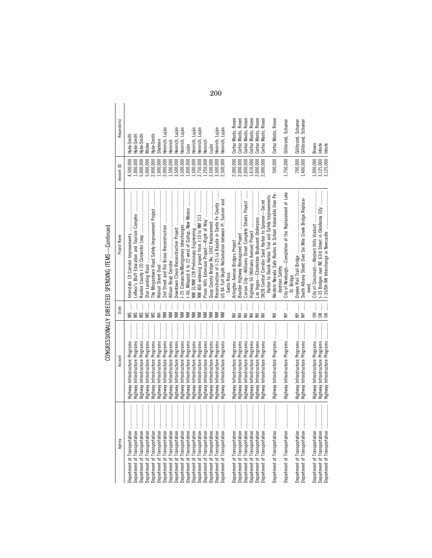| <b>Contract</b><br>١                             |
|--------------------------------------------------|
| :<br>l<br>l<br>Ï                                 |
| Ĺ<br>ļ<br>i<br>ï                                 |
| $\ddot{\phantom{a}}$<br>i<br>$\frac{1}{3}$<br>ໍ່ |

| Agency                                                                                                                                                                                                                                                                                                                                                                                                                                                                  | Account                                                            | State                                                                               | Project Name                                             | Amount (\$)            | Requestor(s)                               |
|-------------------------------------------------------------------------------------------------------------------------------------------------------------------------------------------------------------------------------------------------------------------------------------------------------------------------------------------------------------------------------------------------------------------------------------------------------------------------|--------------------------------------------------------------------|-------------------------------------------------------------------------------------|----------------------------------------------------------|------------------------|--------------------------------------------|
| Department of Transportation                                                                                                                                                                                                                                                                                                                                                                                                                                            | Highway Infrastructure Programs                                    | $\vdots$<br>SM                                                                      | Interstate 10 Corridor Improvements                      | 4,500,000              | Hyde-Smith                                 |
| bepartment of Transportation                                                                                                                                                                                                                                                                                                                                                                                                                                            | Highway Infrastructure Programs                                    | χø                                                                                  |                                                          | 000,000,               | lyde-Smith                                 |
| Department of Transportation                                                                                                                                                                                                                                                                                                                                                                                                                                            | Highway Infrastructure Programs                                    |                                                                                     |                                                          | 5,000,000              | łyde-Smith                                 |
| Department of Transportation                                                                                                                                                                                                                                                                                                                                                                                                                                            | Highway Infrastructure Programs                                    | M.S.                                                                                |                                                          | 5,000,000              | Wicker                                     |
| Department of Transportation                                                                                                                                                                                                                                                                                                                                                                                                                                            | Highway Infrastructure Programs                                    |                                                                                     | The Morgantown Road Safety Improvement Project           | 2,400,000              | lyde-Smith                                 |
| Department of Transportation                                                                                                                                                                                                                                                                                                                                                                                                                                            | Highway Infrastructure Programs                                    | $\begin{array}{cccc}\n\mathbf{N} & \mathbf{H} & \dots & \dots & \dots\n\end{array}$ |                                                          | 1,000,000              | Shaheen                                    |
| Department of Transportation                                                                                                                                                                                                                                                                                                                                                                                                                                            | Highway Infrastructure Programs                                    | ļ<br>Š                                                                              |                                                          | 2,000,000              | Luján<br>Heinrich,                         |
| Department of Transportation                                                                                                                                                                                                                                                                                                                                                                                                                                            | Highway Infrastructure Programs                                    | ļ<br>Š                                                                              |                                                          | 1,500,000              | Heinrich                                   |
| Department of Transportation                                                                                                                                                                                                                                                                                                                                                                                                                                            | Highway Infrastructure Programs                                    | ļ<br>$\geq$                                                                         |                                                          | 3,500,000              | Heinrich, Lujár                            |
| Department of Transportation                                                                                                                                                                                                                                                                                                                                                                                                                                            | Highway Infrastructure Programs                                    | $\vdots$<br>$\geq$                                                                  |                                                          | 3,500,000              | Heinrich, Luján                            |
| Department of Transportation                                                                                                                                                                                                                                                                                                                                                                                                                                            | Highway Infrastructure Programs                                    | ļ<br>$\geq$                                                                         |                                                          | 1,000,000              | uian                                       |
| Department of Transportation                                                                                                                                                                                                                                                                                                                                                                                                                                            | Highway Infrastructure Programs                                    | ļ<br>$\geq$                                                                         |                                                          | .500,000.              | Heinrich, Lujár                            |
| Department of Transportation                                                                                                                                                                                                                                                                                                                                                                                                                                            | Highway Infrastructure Programs                                    | ļ<br>≷                                                                              |                                                          | 2,750,000              | Heinrich, Luján                            |
|                                                                                                                                                                                                                                                                                                                                                                                                                                                                         | Highway Infrastructure Programs                                    | ļ<br>$\geq$                                                                         |                                                          | 1,250,000              | Heinrich                                   |
| Department of Transportation<br>Department of Transportation                                                                                                                                                                                                                                                                                                                                                                                                            | Highway Infrastructure Programs                                    | ļ<br>Š                                                                              |                                                          | 2,500,000              | Luján                                      |
| Department of Transportation                                                                                                                                                                                                                                                                                                                                                                                                                                            | Highway Infrastructure Programs                                    | $\vdots$<br>Š                                                                       | Reconstruction of I-25 La Bajada in Santa Fe County      | 3,500,000              | Heinrich, Lujár                            |
| Department of Transportation                                                                                                                                                                                                                                                                                                                                                                                                                                            | Highway Infrastructure Programs                                    | ļ<br>M                                                                              | US 84 Full Depth Reclamation between Ft. Sumner and      | 2,500,000              | Heinrich, Luján                            |
|                                                                                                                                                                                                                                                                                                                                                                                                                                                                         |                                                                    |                                                                                     | Santa Rosa.                                              |                        |                                            |
|                                                                                                                                                                                                                                                                                                                                                                                                                                                                         | Highway Infrastructure Programs                                    | $W$                                                                                 |                                                          | 2,000,000              | Rosen<br>Cortez Masto,                     |
|                                                                                                                                                                                                                                                                                                                                                                                                                                                                         | Highway Infrastructure Programs                                    | $\vdots$<br>$\geq$                                                                  |                                                          | 2,000,000              | Rosen<br>Cortez Masto,                     |
|                                                                                                                                                                                                                                                                                                                                                                                                                                                                         | Highway Infrastructure Programs                                    | $W$                                                                                 | Carson City-Williams Street Complete Streets Project     | 2,000,000              | Rosen<br>Cortez Masto,                     |
|                                                                                                                                                                                                                                                                                                                                                                                                                                                                         | Highway Infrastructure Programs                                    | Î<br>$\geq$                                                                         |                                                          | .616,000               | Rosen<br>Cortez Masto,                     |
|                                                                                                                                                                                                                                                                                                                                                                                                                                                                         | Highway Infrastructure Programs                                    | ļ<br>$\geq$                                                                         | Las Vegas—Charleston Boulevard Underpass                 | 2,000,000              | Rosen<br>Cortez Masto,                     |
| Department of Transportation                                                                                                                                                                                                                                                                                                                                                                                                                                            | Highway Infrastructure Programs                                    | ļ<br>$\geq$                                                                         | SR28 Central Corridor Sand Harbor to Spooner-Secret      | 2,000,000              | Rosen<br>Cortez Masto,                     |
|                                                                                                                                                                                                                                                                                                                                                                                                                                                                         |                                                                    |                                                                                     | Harbor to Skunk Harbor Trial and Safety Improvements.    |                        |                                            |
|                                                                                                                                                                                                                                                                                                                                                                                                                                                                         | Highway Infrastructure Programs                                    | $\frac{1}{2}$<br>$\geq$                                                             | Western Nevada Safe Routes to School Vulnerable User Pe- | 500,000                | Cortez Masto, Rosen                        |
|                                                                                                                                                                                                                                                                                                                                                                                                                                                                         |                                                                    |                                                                                     | destrian Safety                                          |                        |                                            |
|                                                                                                                                                                                                                                                                                                                                                                                                                                                                         | Highway Infrastructure Programs                                    | $\mathbf{W}$                                                                        | City of Newburgh-Completion of the Replacement of Lake   | 1,750,000              | Gillibrand, Schumer                        |
|                                                                                                                                                                                                                                                                                                                                                                                                                                                                         |                                                                    |                                                                                     | St. Bridge.                                              |                        |                                            |
| :<br>:<br>:<br>Department of Transportation<br>Department of Transportation                                                                                                                                                                                                                                                                                                                                                                                             | Highway Infrastructure Programs<br>Highway Infrastructure Programs | $\mathbb{N}$<br>$\mathbf{N}$                                                        | South Albany Street Over Six Mile Creek Bridge Replace-  | 700,000<br>1,400,000   | Gillibrand, Schumer<br>Gillibrand, Schumer |
| $\begin{minipage}{0.9\linewidth} \begin{tabular}{l} \hline \textbf{1} & \textbf{2} & \textbf{3} & \textbf{4} & \textbf{5} & \textbf{6} & \textbf{6} & \textbf{7} & \textbf{8} & \textbf{9} & \textbf{10} & \textbf{10} & \textbf{10} & \textbf{10} & \textbf{10} & \textbf{10} & \textbf{10} & \textbf{10} & \textbf{10} & \textbf{10} & \textbf{10} & \textbf{10} & \textbf{10} & \textbf{10} & \textbf{10} & \textbf{10$                                              |                                                                    |                                                                                     | men                                                      |                        |                                            |
|                                                                                                                                                                                                                                                                                                                                                                                                                                                                         | Highway Infrastructure Programs                                    | $\begin{array}{c}\n\mathbf{0} \\ \mathbf{H} \\ \mathbf{0}\n\end{array}$             |                                                          | 1,000,000              | Brown                                      |
| Department of Transportation                                                                                                                                                                                                                                                                                                                                                                                                                                            | Highway Infrastructure Programs                                    | $0K$                                                                                | 1-35 Bridges over NE 63rd Street in Oklahoma City        | 3,125,000<br>3,125,000 | Inhofe                                     |
| $\begin{minipage}{0.9\linewidth} \begin{tabular}{l} \hline \textbf{1} & \textbf{1} & \textbf{1} & \textbf{1} & \textbf{1} & \textbf{1} & \textbf{1} & \textbf{1} & \textbf{1} & \textbf{1} & \textbf{1} & \textbf{1} & \textbf{1} & \textbf{1} & \textbf{1} & \textbf{1} & \textbf{1} & \textbf{1} & \textbf{1} & \textbf{1} & \textbf{1} & \textbf{1} & \textbf{1} & \textbf{1} & \textbf{1} & \textbf{1} & \textbf{1} & \textbf{1} &$<br>Department of Transportation |                                                                    | OK                                                                                  |                                                          |                        | Inhofe                                     |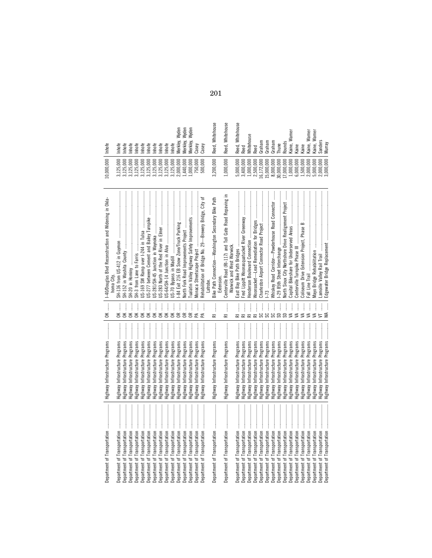| $\begin{minipage}{0.9\linewidth} \begin{tabular}{l} \toprule \multicolumn{3}{c}{\textbf{0.9\linewidth}} \begin{tabular}{l} \multicolumn{3}{c}{\textbf{0.9\linewidth}} \end{tabular} \end{minipage} \end{minipage} \begin{minipage}{0.9\linewidth} \begin{tabular}{l} \multicolumn{3}{c}{\textbf{0.9\linewidth}} \end{tabular} \end{minipage} \end{minipage} \begin{minipage}{0.9\linewidth} \begin{tabular}{l} \multicolumn{3}{c}{\textbf{0.9\linewidth}} \end{tabular} \end{minipage} \end{minipage} \begin{minipage}{0.9$<br>Department of Transportation | Highway Infrastructure Programs        | Î<br>$\breve{\phantom{a}}$     | 1-40/Douglas Blvd Reconstruction and Widening in Okla-                            | 10,000,000                              | Inhofe              |
|-------------------------------------------------------------------------------------------------------------------------------------------------------------------------------------------------------------------------------------------------------------------------------------------------------------------------------------------------------------------------------------------------------------------------------------------------------------------------------------------------------------------------------------------------------------|----------------------------------------|--------------------------------|-----------------------------------------------------------------------------------|-----------------------------------------|---------------------|
|                                                                                                                                                                                                                                                                                                                                                                                                                                                                                                                                                             |                                        |                                | noma City                                                                         |                                         |                     |
| Department of Transportation                                                                                                                                                                                                                                                                                                                                                                                                                                                                                                                                | Highway Infrastructure Programs        | ļ<br>$\leq$                    |                                                                                   | 3,125,000                               | nhofe               |
|                                                                                                                                                                                                                                                                                                                                                                                                                                                                                                                                                             | Highway Infrastructure Programs        | $\check{\epsilon}$             |                                                                                   | 3,125,000                               | nhofe               |
| Department of Transportation                                                                                                                                                                                                                                                                                                                                                                                                                                                                                                                                | lighway Infrastructure Programs        | $\vdots$<br>$\mathsf{K}$       |                                                                                   | 3,125,000                               | nhofe               |
| Department of Transportation                                                                                                                                                                                                                                                                                                                                                                                                                                                                                                                                |                                        | $\vdots$<br>$\check{\epsilon}$ |                                                                                   | 3,125,000                               | nhofe               |
| Department of Transportation                                                                                                                                                                                                                                                                                                                                                                                                                                                                                                                                |                                        | İ<br>$\check{\epsilon}$        |                                                                                   | 3,125,000                               | nhofe               |
| Department of Transportation                                                                                                                                                                                                                                                                                                                                                                                                                                                                                                                                | Highway Infrastructure Programs        | İ<br>$\check{\epsilon}$        | US-277 between Cement and Bailey Turnpike                                         | 3,125,000                               | nhofe               |
| Department of Transportation                                                                                                                                                                                                                                                                                                                                                                                                                                                                                                                                | lighway Infrastructure Programs        | ļ<br>$\check{\epsilon}$        | US-281/SH-45 Junction in Waynoka                                                  | 3,125,000                               | Inhofe              |
| Department of Transportation                                                                                                                                                                                                                                                                                                                                                                                                                                                                                                                                | lighway Infrastructure Programs        | $\vdots$<br>$\mathsf{K}$       |                                                                                   | 3,125,000                               | Inhofe              |
| Department of Transportation                                                                                                                                                                                                                                                                                                                                                                                                                                                                                                                                | lighway Infrastructure Programs        | j<br>$\mathsf{X}$              |                                                                                   | 3,125,000                               | nhofe               |
| Department of Transportation                                                                                                                                                                                                                                                                                                                                                                                                                                                                                                                                | Highway Infrastructure Programs        | $\frac{1}{2}$<br>$\mathsf{K}$  |                                                                                   | 3,125,000                               | nhofe               |
| Department of Transportation                                                                                                                                                                                                                                                                                                                                                                                                                                                                                                                                | lighway Infrastructure Programs        | ļ<br>$\mathfrak{g}$            |                                                                                   | 2,000,000                               | Wyden<br>Merkley,   |
| Department of Transportation                                                                                                                                                                                                                                                                                                                                                                                                                                                                                                                                | lighway Infrastructure Programs        | Î<br>$\epsilon$                |                                                                                   | ,440,000                                | Wyden<br>Merkley,   |
| Department of Transportation                                                                                                                                                                                                                                                                                                                                                                                                                                                                                                                                | lighway Infrastructure Programs        | ļ<br>$\epsilon$                | Tualatin Valley Highway Safety Improvements                                       | 000,000.                                | Wyden<br>Merkley,   |
| Department of Transportation                                                                                                                                                                                                                                                                                                                                                                                                                                                                                                                                | lighway Infrastructure Programs        | Æ                              | Monaca Streetscape Project                                                        | 750,000                                 | Casey               |
| Department of Transportation                                                                                                                                                                                                                                                                                                                                                                                                                                                                                                                                | ghway Infrastructure Programs          | ļ                              | Rehabilitation of Bridge No. 29-Brewery Bridge, City                              | 500,000                                 | Casey               |
| ļ<br>Department of Transportation                                                                                                                                                                                                                                                                                                                                                                                                                                                                                                                           | Highway Infrastructure Programs        | İ<br>ᇎ                         | Path<br>Bike Path Connection-Washington Secondary Bike                            | 3,200,000                               | Reed, Whitehouse    |
|                                                                                                                                                                                                                                                                                                                                                                                                                                                                                                                                                             |                                        |                                | Extension                                                                         |                                         |                     |
| İ<br>Department of Transportation                                                                                                                                                                                                                                                                                                                                                                                                                                                                                                                           | Highway Infrastructure Programs        | İ<br>굳                         | Centerville Road (RI-117) and Toll Gate Road Repaving<br>Narwick and West Warwick | 1,000,000                               | Reed, Whitehouse    |
| Department of Transportation                                                                                                                                                                                                                                                                                                                                                                                                                                                                                                                                | <b>Highway Infrastructure Programs</b> | İ                              | East Bay Bike Path Bridges                                                        | 5,000,000                               | Whitehouse<br>Reed, |
| Department of Transportation                                                                                                                                                                                                                                                                                                                                                                                                                                                                                                                                | <b>Highway Infrastructure Programs</b> |                                | Fred Lippitt Woonasquatucket River Greenway                                       | 3,400,000                               | Reed                |
| Department of Transportation                                                                                                                                                                                                                                                                                                                                                                                                                                                                                                                                | ghway Infrastructure Programs          | j                              | Henderson Boulevard Connection                                                    | 1,000,000                               | Vhitehouse          |
| Department of Transportation                                                                                                                                                                                                                                                                                                                                                                                                                                                                                                                                | ghway Infrastructure Programs          |                                | Noonsocket-Lead Remediation for Bridges                                           | 2,500,000<br>16,172,000                 | Peed                |
| Department of Transportation                                                                                                                                                                                                                                                                                                                                                                                                                                                                                                                                | ghway Infrastructure Programs          |                                |                                                                                   |                                         | Graham              |
| Department of Transportation                                                                                                                                                                                                                                                                                                                                                                                                                                                                                                                                | ghway Infrastructure Programs          |                                |                                                                                   |                                         | Graham              |
| Department of Transportation                                                                                                                                                                                                                                                                                                                                                                                                                                                                                                                                | ghway Infrastructure Programs          | <b>포포포포용용용용</b>                | Whiskey Road Corridor-Powderhouse Road Connector                                  | $15,000,000$<br>8,000,000<br>30,000,000 | Graham              |
| Department of Transportation                                                                                                                                                                                                                                                                                                                                                                                                                                                                                                                                | Highway Infrastructure Programs        |                                |                                                                                   |                                         | hune                |
| Department of Transportation                                                                                                                                                                                                                                                                                                                                                                                                                                                                                                                                | lighway Infrastructure Programs        |                                | North Sioux City Northshore Drive Realignment Project                             | 17,000,000                              | Rounds              |
| Department of Transportation                                                                                                                                                                                                                                                                                                                                                                                                                                                                                                                                | ghway Infrastructure Programs          |                                |                                                                                   | $1,000,000$<br>$6,000,000$              | Kaine, Warner       |
| Department of Transportation                                                                                                                                                                                                                                                                                                                                                                                                                                                                                                                                | lighway Infrastructure Programs        | ₹                              |                                                                                   |                                         | <b>Gaine</b>        |
| Department of Transportation                                                                                                                                                                                                                                                                                                                                                                                                                                                                                                                                | lighway Infrastructure Programs        | ₹                              |                                                                                   | 1,500,000                               | (aine)              |
| Department of Transportation                                                                                                                                                                                                                                                                                                                                                                                                                                                                                                                                | lighway Infrastructure Programs        | ₹                              |                                                                                   | 2,000,000                               | (aine, Warner       |
| Department of Transportation                                                                                                                                                                                                                                                                                                                                                                                                                                                                                                                                | lighway Infrastructure Programs        | ≤                              |                                                                                   | 5,000,000                               | Kaine, Warner       |
| Department of Transportation                                                                                                                                                                                                                                                                                                                                                                                                                                                                                                                                | lighway Infrastructure Programs        |                                |                                                                                   | 2,000,000                               | Sanders             |
| Department of Transportation                                                                                                                                                                                                                                                                                                                                                                                                                                                                                                                                | Highway Infrastructure Programs        |                                | Edgewater Bridge Replacement                                                      | 000,000,                                | Murray              |

201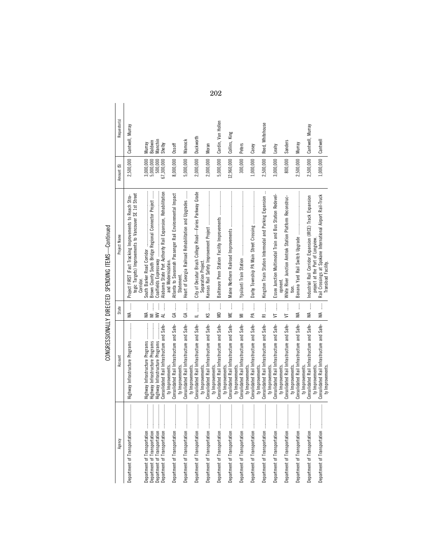| く・・・・<br>ı       |
|------------------|
| .<br>.<br>.<br>Ï |
| l<br>י           |
| ı<br>ໍ           |

| Agency                                   | Account                                                                             | State                                                                                                            | Project Name                                                                                                                       | Amount (\$)            | Requestor(s)       |
|------------------------------------------|-------------------------------------------------------------------------------------|------------------------------------------------------------------------------------------------------------------|------------------------------------------------------------------------------------------------------------------------------------|------------------------|--------------------|
| $\vdots$<br>Department of Transportation | Highway Infrastructure Programs                                                     | M                                                                                                                | tegic Targets) Improvements to Vancouver SE 1st Street<br>Stra-<br>Project FIRST (Fast Tracking Improvements to Reach<br>Corridor. | 2,500,000              | Cantwell, Murray   |
| $\vdots$<br>Department of Transportation | Highway Infrastructure Programs<br>$\frac{1}{2}$<br>Highway Infrastructure Programs | Ì<br>$WA$<br>$\geq$                                                                                              | Brown County South Bridge Regional Connector Project                                                                               | 3,000,000<br>5,000,000 | Baldwin<br>Murray  |
| Department of Transportation             | Consolidated Rail Infrastructure and Safe-<br>Highway Infrastructure Programs       | Ì<br>AL $\ldots$<br>$\geq$                                                                                       | Alabama State Port Authority Rail Expansion, Rehabilitation<br>Coalfields Expressway                                               | 67,300,000<br>500,000  | Manchin<br>Shelby  |
|                                          | Consolidated Rail Infrastructure and Safe-<br>ty Improvements.                      | $GA$                                                                                                             | Atlanta to Savannah Passenger Rail Environmental Impact<br>and Modernization.                                                      | 8,000,000              | Ossoff             |
|                                          | Consolidated Rail Infrastructure and Safe-<br>ty Improvements.                      |                                                                                                                  | Heart of Georgia Railroad Rehabilitation and Upgrades<br>Statement.                                                                | 5,000,000              | Warnock            |
| İ<br>Department of Transportation        | Consolidated Rail Infrastructure and Safe-<br>ty Improvements.                      | $\ddot{\ddot{\phantom{a}}}\,$<br>$\equiv$                                                                        | City of Decatur Brush College Road-Faries Parkway Grade                                                                            | 2,000,000              | Duckworth          |
| İ<br>Department of Transportation        | Consolidated Rail Infrastructure and Safe-<br>ty Improvements.                      | İ<br>ΚŚ                                                                                                          | Separation Project.                                                                                                                | 2,000,000              | Moran              |
| İ<br>Department of Transportation        | Consolidated Rail Infrastructure and Safe-<br>ty Improvements                       | $\frac{1}{2}$<br>ΜD                                                                                              | Baltimore Penn Station Facility Improvements                                                                                       | 5,000,000              | Cardin, Van Hollen |
|                                          | Consolidated Rail Infrastructure and Safe-<br>ty Improvements.                      | <b>ME</b>                                                                                                        |                                                                                                                                    | 12,960,000             | Collins, King      |
| ļ<br>Department of Transportation        | Consolidated Rail Infrastructure and Safe-<br>ty Improvements.                      | $\begin{array}{c} \begin{array}{c} 1 \\ 1 \end{array} \\ \begin{array}{c} 1 \end{array} \end{array}$<br>$\equiv$ |                                                                                                                                    | 300,000                | Peters             |
| İ<br>Department of Transportation        | Consolidated Rail Infrastructure and Safe-<br>ty Improvements.                      | $\vdots$<br>Æ                                                                                                    |                                                                                                                                    | 1,000,000              | Casey              |
| İ<br>Department of Transportation        | Consolidated Rail Infrastructure and Safe-<br>ty Improvements.                      | $\begin{array}{c} \vdots \\ \vdots \\ \vdots \\ \vdots \end{array}$<br>$\overline{\mathbf{r}}$                   | Kingston Train Station Intermodal and Parking Expansion                                                                            | 2,500,000              | Reed, Whitehouse   |
| l<br>Department of Transportation        | Consolidated Rail Infrastructure and Safe-<br>ty Improvements.                      | $\frac{1}{2}$<br>$\overline{5}$                                                                                  | Essex Junction Multimodal Train and Bus Station Redevel-                                                                           | 3,000,000              | Leahy              |
|                                          | Consolidated Rail Infrastructure and Safe-<br>ty Improvements.                      | $\vdots$<br>$\overline{5}$                                                                                       | White River Junction Amtrak Station Platform Reconstruc-<br>opment.                                                                | 800,000                | Sanders            |
| İ<br>Department of Transportation        | Consolidated Rail Infrastructure and Safe-<br>ty Improvements.                      | ļ<br>≸                                                                                                           |                                                                                                                                    | 2,500,000              | Murray             |
| Department of Transportation             | Consolidated Rail Infrastructure and Safe-<br>ty Improvements.                      | $\vdots$<br>УÃ                                                                                                   | Industrial Rail Corridor Expansion (IRCE) Track Expansion                                                                          | 2,500,000              | Cantwell, Murray   |
|                                          | Consolidated Rail Infrastructure and Safe-<br>ty Improvements.<br>ty Improvements   | $WA$                                                                                                             | Rail Crossings at Spokane International Airport Rail-Truck<br>project at the Port of Longview.<br>Transload Facility.              | 1,000,000              | Cantwell           |
|                                          |                                                                                     |                                                                                                                  |                                                                                                                                    |                        |                    |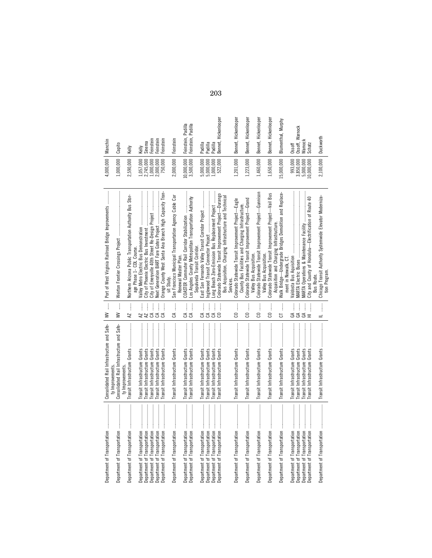| Department of Transportation                                 |                                                                                                                                                                                                                                                                                                                                                                                                                            | Consolidated Rail Infrastructure and Safe-                     | $\overline{\mathbf{a}}$<br>$\geq$                                                                                                                                                                                                                                       | Port of West Virginia Railroad Bridge Improvements                                          | 4,000,000                | Manchin                |
|--------------------------------------------------------------|----------------------------------------------------------------------------------------------------------------------------------------------------------------------------------------------------------------------------------------------------------------------------------------------------------------------------------------------------------------------------------------------------------------------------|----------------------------------------------------------------|-------------------------------------------------------------------------------------------------------------------------------------------------------------------------------------------------------------------------------------------------------------------------|---------------------------------------------------------------------------------------------|--------------------------|------------------------|
| Department of Transportation                                 |                                                                                                                                                                                                                                                                                                                                                                                                                            | Consolidated Rail Infrastructure and Safe-<br>ty Improvement:  | $\frac{1}{2}$<br>≩                                                                                                                                                                                                                                                      | Weirton Frontier Crossings Project                                                          | 1,000,000                | Capito                 |
| Department of Transportation                                 |                                                                                                                                                                                                                                                                                                                                                                                                                            | Transit Infrastructure Grants<br>ty Improvements               | R                                                                                                                                                                                                                                                                       | Northern Arizona Public Transportation Authority Bus Stor-<br>age Phase 1- CDL Course.      | 2,590,000                | Kelly                  |
| Department of Transportation                                 |                                                                                                                                                                                                                                                                                                                                                                                                                            | Transit Infrastructure Grants                                  |                                                                                                                                                                                                                                                                         | Valley Metro Electric Bus Demonstration                                                     | .057,000                 | Kelly                  |
| Department of Transportation                                 |                                                                                                                                                                                                                                                                                                                                                                                                                            | Transit Infrastructure Grants                                  |                                                                                                                                                                                                                                                                         | City of Phoenix Electric Bus Investment                                                     | 2,745,000                | Sinema                 |
| Department of Transportation<br>Department of Transportation |                                                                                                                                                                                                                                                                                                                                                                                                                            | Transit Infrastructure Grants<br>Transit Infrastructure Grants | $\begin{array}{c} \mathbf{A} \mathbf{Z} \\ \mathbf{A} \mathbf{Z} \\ \mathbf{A} \mathbf{A} \\ \mathbf{A} \mathbf{A} \end{array}$                                                                                                                                         | City of Emeryville 40th Street Re-Design Project                                            | 000,000<br>2,000,000     | Feinstein<br>Feinstein |
| Department of Transportation                                 |                                                                                                                                                                                                                                                                                                                                                                                                                            | Transit Infrastructure Grants                                  | S                                                                                                                                                                                                                                                                       | Orange County West Santa Ana Branch High Capacity Tran-                                     | 750,000                  | Feinstein              |
| Department of Transportation                                 | $\begin{minipage}{0.9\linewidth} \begin{tabular}{l} \hline \textbf{1} & \textbf{2} & \textbf{3} & \textbf{4} & \textbf{5} & \textbf{6} & \textbf{8} & \textbf{9} & \textbf{10} & \textbf{10} & \textbf{10} & \textbf{10} & \textbf{10} & \textbf{10} & \textbf{10} & \textbf{10} & \textbf{10} & \textbf{10} & \textbf{10} & \textbf{10} & \textbf{10} & \textbf{10} & \textbf{10} & \textbf{10} & \textbf{10} & \textbf{$ | Transit Infrastructure Grants                                  | ļ<br>E                                                                                                                                                                                                                                                                  | San Francisco Municipal Transportation Agency Cable Car<br>sit Study.                       | 2,000,000                | Feinstein              |
|                                                              |                                                                                                                                                                                                                                                                                                                                                                                                                            |                                                                |                                                                                                                                                                                                                                                                         | Renewal Master Plan.                                                                        |                          |                        |
| Department of Transportation                                 |                                                                                                                                                                                                                                                                                                                                                                                                                            | Transit Infrastructure Grants                                  | Î<br>E                                                                                                                                                                                                                                                                  | COASTER Commuter Rail Corridor Stabilization                                                | 10,000,000               | Feinstein, Padilla     |
| Department of Transportation                                 |                                                                                                                                                                                                                                                                                                                                                                                                                            | Transit Infrastructure Grants                                  | $\vdots$<br>E                                                                                                                                                                                                                                                           | Los Angeles County Metropolitan Transportation Authority<br>Sepulveda Transit Corridor.     | 3,500,000                | Feinstein, Padilla     |
| Department of Transportation                                 |                                                                                                                                                                                                                                                                                                                                                                                                                            | Transit Infrastructure Grants                                  | l<br>E                                                                                                                                                                                                                                                                  | East San Fernando Valley Transit Corridor Project                                           | 5,000,000                | Padilla                |
| Department of Transportation                                 |                                                                                                                                                                                                                                                                                                                                                                                                                            | Transit Infrastructure Grants                                  |                                                                                                                                                                                                                                                                         | Inglewood Transit Connector Project                                                         | 5,000,000                | Padilla                |
| Department of Transportation                                 |                                                                                                                                                                                                                                                                                                                                                                                                                            | Transit Infrastructure Grants                                  | $\begin{array}{c} \begin{array}{c} \begin{array}{c} \end{array} \\ \end{array} \\ \begin{array}{c} \begin{array}{c} \end{array} \\ \end{array} \\ \begin{array}{c} \end{array} \\ \begin{array}{c} \end{array} \\ \begin{array}{c} \end{array} \end{array} \end{array}$ | Long Beach Zero-Emission Bus Replacement Project                                            | $1,000,000$<br>$522,000$ | Padilla                |
| Department of Transportation                                 |                                                                                                                                                                                                                                                                                                                                                                                                                            | Transit Infrastructure Grants                                  |                                                                                                                                                                                                                                                                         | Colorado Statewide Transit Improvement Project-Durango                                      |                          | Bennet, Hickenlooper   |
|                                                              |                                                                                                                                                                                                                                                                                                                                                                                                                            |                                                                |                                                                                                                                                                                                                                                                         | Bus Acquisition, Charging Infrastructure and Technical                                      |                          |                        |
|                                                              |                                                                                                                                                                                                                                                                                                                                                                                                                            | Transit Infrastructure Grants                                  | 8                                                                                                                                                                                                                                                                       | Colorado Statewide Transit Improvement Project-Eagle<br>Services.                           | 1,201,000                | Bennet, Hickenlooper   |
|                                                              |                                                                                                                                                                                                                                                                                                                                                                                                                            |                                                                |                                                                                                                                                                                                                                                                         | County Bus Facilities and Charging Infrastructure.                                          |                          |                        |
| Department of Transportation                                 | $\begin{minipage}{0.9\linewidth} \begin{tabular}{l} \hline \textbf{1} & \textbf{2} & \textbf{3} & \textbf{4} & \textbf{5} & \textbf{6} & \textbf{6} & \textbf{7} & \textbf{8} & \textbf{9} & \textbf{10} & \textbf{10} & \textbf{10} & \textbf{10} & \textbf{10} & \textbf{10} & \textbf{10} & \textbf{10} & \textbf{10} & \textbf{10} & \textbf{10} & \textbf{10} & \textbf{10} & \textbf{10} & \textbf{10} & \textbf{10$ | Transit Infrastructure Grants                                  | j<br>S                                                                                                                                                                                                                                                                  | Colorado Statewide Transit Improvement Project-Grand<br>Valley Bus Acquisition              | 1,223,000                | Bennet, Hickenlooper   |
| Department of Transportation                                 |                                                                                                                                                                                                                                                                                                                                                                                                                            | Transit Infrastructure Grants                                  | 8                                                                                                                                                                                                                                                                       | Improvement Project—Gunnison<br>Colorado Statewide Transit                                  | 1,460,000                | Bennet, Hickenlooper   |
| Department of Transportation                                 |                                                                                                                                                                                                                                                                                                                                                                                                                            | Transit Infrastructure Grants                                  | 3                                                                                                                                                                                                                                                                       | Colorado Statewide Transit Improvement Project-Vail Bus<br>Valley Bus Acquisition.          | 1,650,000                | Bennet, Hickenlooper   |
|                                                              |                                                                                                                                                                                                                                                                                                                                                                                                                            |                                                                |                                                                                                                                                                                                                                                                         | Acquisition and Charging Infrastructure.                                                    |                          |                        |
| Department of Transportation                                 |                                                                                                                                                                                                                                                                                                                                                                                                                            | Transit Infrastructure Grants                                  | İ<br>5                                                                                                                                                                                                                                                                  | Replace-<br><b>Bridges Demolition and</b><br>Walk Bridge-Undergrade<br>ment in Norwalk, CT. | 15,000,000               | Blumenthal, Murphy     |
| Department of Transportation                                 |                                                                                                                                                                                                                                                                                                                                                                                                                            | Transit Infrastructure Grants                                  | İ                                                                                                                                                                                                                                                                       | Valdosta Bus Aquisition                                                                     | 993,000                  | Ossoff                 |
| Department of Transportation                                 |                                                                                                                                                                                                                                                                                                                                                                                                                            | Transit Infrastructure Grants                                  | న్ చే                                                                                                                                                                                                                                                                   | <b>MARTA Electric Buses</b>                                                                 | 3,850,000                | Ossoff, Warnock        |
| Department of Transportation<br>Department of Transportation |                                                                                                                                                                                                                                                                                                                                                                                                                            | Transit Infrastructure Grants<br>Transit Infrastructure Grants | $\mathfrak{S}$ =                                                                                                                                                                                                                                                        | <b>MARTA Operations &amp; Maintenance Facility</b>                                          | 5,000,000<br>10,000,000  | Narnock<br>Schatz      |
|                                                              |                                                                                                                                                                                                                                                                                                                                                                                                                            |                                                                | j                                                                                                                                                                                                                                                                       | City and County of Honolulu-Electrification of Route 40<br>Bus Route.                       |                          |                        |
|                                                              |                                                                                                                                                                                                                                                                                                                                                                                                                            |                                                                | $\frac{1}{2}$                                                                                                                                                                                                                                                           | Chicago Transit Authority Systemwide Elevator Moderniza-<br>tion Program                    | 2,100,000                | Duckworth              |
|                                                              |                                                                                                                                                                                                                                                                                                                                                                                                                            |                                                                |                                                                                                                                                                                                                                                                         |                                                                                             |                          |                        |

203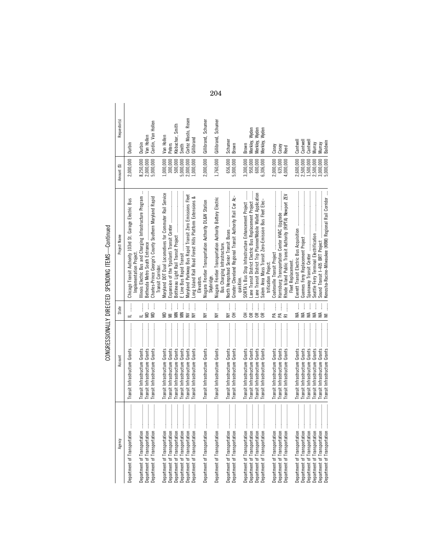CONGRESSIONALLY DIRECTED SPENDING ITEMS-Continued CONGRESSIONALLY DIRECTED SPENDING ITEMS—Continued

| Agency                                                                                                                                                                                                                                                                                                                                                                                                                                                                                                                                                                                     | Account                       | State                                                               | Project Name                                                                      | Amount (\$) | Requestor(s)                   |  |
|--------------------------------------------------------------------------------------------------------------------------------------------------------------------------------------------------------------------------------------------------------------------------------------------------------------------------------------------------------------------------------------------------------------------------------------------------------------------------------------------------------------------------------------------------------------------------------------------|-------------------------------|---------------------------------------------------------------------|-----------------------------------------------------------------------------------|-------------|--------------------------------|--|
| $\cdots$<br>Department of Transportation                                                                                                                                                                                                                                                                                                                                                                                                                                                                                                                                                   |                               | $\frac{1}{2}$                                                       | Chicago Transit Authority 103rd St. Garage Electric Bus<br>Implementation Project | 2,000,000   | Durbin                         |  |
| $\ddot{\phantom{a}}$<br>Department of Transportation                                                                                                                                                                                                                                                                                                                                                                                                                                                                                                                                       |                               | $\frac{1}{2}$                                                       | $\vdots$<br>Illinois Electric Bus and Charging Infrastructure Program             | 8,250,000   | Durbin                         |  |
| $\ddot{\phantom{a}}$<br>Department of Transportation                                                                                                                                                                                                                                                                                                                                                                                                                                                                                                                                       |                               | $\frac{1}{2}$<br>ΩÑ                                                 |                                                                                   | 2,000,000   | Van Hollen                     |  |
|                                                                                                                                                                                                                                                                                                                                                                                                                                                                                                                                                                                            |                               | ļ<br>$\mathbf{a}$                                                   | Charles-Prince George's County Southern Maryland Rapid                            | 5,000,000   | Cardin, Van Hollen             |  |
|                                                                                                                                                                                                                                                                                                                                                                                                                                                                                                                                                                                            |                               |                                                                     | Transit Corridor.                                                                 |             |                                |  |
| $\ddot{\phantom{a}}$<br>Department of Transportation                                                                                                                                                                                                                                                                                                                                                                                                                                                                                                                                       |                               | ļ<br>WD                                                             | Maryland DOT Dual Locomotives for Commuter Rail Service                           | 1,000,000   | Van Hollen                     |  |
| $\frac{1}{2}$<br>Department of Transportation                                                                                                                                                                                                                                                                                                                                                                                                                                                                                                                                              |                               | Ì<br>Ξ                                                              |                                                                                   | 300,000     | <b>Peters</b>                  |  |
| $\ddot{\phantom{a}}$<br>Department of Transportation                                                                                                                                                                                                                                                                                                                                                                                                                                                                                                                                       |                               | $M_N$                                                               |                                                                                   | 500,000     | Klobuchar, Smith               |  |
| Department of Transportation                                                                                                                                                                                                                                                                                                                                                                                                                                                                                                                                                               |                               |                                                                     |                                                                                   | 5,000,000   | Smith                          |  |
|                                                                                                                                                                                                                                                                                                                                                                                                                                                                                                                                                                                            |                               | $\vdots$<br>$\geq$                                                  | Maryland Parkway Bus Rapid Transit Zero Emissions Fleet                           | 2,000,000   | Cortez Masto, Rosen            |  |
| Department of Transportation                                                                                                                                                                                                                                                                                                                                                                                                                                                                                                                                                               |                               | j<br>$\geq$                                                         | Long Island Rail Road Forest Hills Platform Extensions &                          | 1,000,000   | Gillibrand                     |  |
|                                                                                                                                                                                                                                                                                                                                                                                                                                                                                                                                                                                            |                               |                                                                     | Elevators.                                                                        |             |                                |  |
| $\begin{minipage}{0.5\textwidth} \centering \begin{minipage}{0.5\textwidth} \centering \end{minipage} \begin{minipage}{0.5\textwidth} \centering \begin{minipage}{0.5\textwidth} \centering \end{minipage} \begin{minipage}{0.5\textwidth} \centering \end{minipage} \begin{minipage}{0.5\textwidth} \centering \end{minipage} \begin{minipage}{0.5\textwidth} \centering \end{minipage} \begin{minipage}{0.5\textwidth} \centering \end{minipage} \begin{minipage}{0.5\textwidth} \centering \end{minipage} \begin{minipage}{0.5\textwidth} \centering \$<br>Department of Transportation |                               | j<br>≧                                                              | Niagara Frontier Transportation Authority DL&W Station<br>Skybridge.              | 2,000,000   | Gillibrand, Schumer            |  |
| Department of Transportation                                                                                                                                                                                                                                                                                                                                                                                                                                                                                                                                                               |                               | Ì<br>$\geq$                                                         | Niagara Frontier Transportation Authority Battery Electric                        | 1,760,000   | Gillibrand, Schumer            |  |
|                                                                                                                                                                                                                                                                                                                                                                                                                                                                                                                                                                                            |                               |                                                                     | Bus Charging Infrastructure.                                                      |             |                                |  |
| $\begin{array}{c} \begin{array}{c} \bullet & \bullet \\ \bullet & \bullet \end{array} \\ \begin{array}{c} \bullet & \bullet \\ \bullet & \bullet \end{array} \end{array}$<br>Department of Transportation                                                                                                                                                                                                                                                                                                                                                                                  |                               | $\vdots$<br>$\geq$                                                  | North Hempstead Senior Transit Buses                                              | 656,000     | Schumer                        |  |
| $\begin{array}{ccccccccccccc} \multicolumn{2}{c}{} & \multicolumn{2}{c}{} & \multicolumn{2}{c}{} & \multicolumn{2}{c}{} & \multicolumn{2}{c}{} & \multicolumn{2}{c}{} & \multicolumn{2}{c}{} & \multicolumn{2}{c}{} & \multicolumn{2}{c}{} & \multicolumn{2}{c}{} & \multicolumn{2}{c}{} & \multicolumn{2}{c}{} & \multicolumn{2}{c}{} & \multicolumn{2}{c}{} & \multicolumn{2}{c}{} & \multicolumn{2}{c}{} & \multicolumn{2}{c}{} & \multicolumn{2}{c}{} & \multicolumn{2}{c}{} & \$<br>Department of Transportation                                                                      |                               | $\begin{bmatrix} 1 & 1 & 1 \\ 0 & 1 & 1 \\ 0 & 0 & 1 \end{bmatrix}$ | Greater Cleveland Regional Transit Authority Rail Car Ac-                         | 5,000,000   | Brown                          |  |
|                                                                                                                                                                                                                                                                                                                                                                                                                                                                                                                                                                                            |                               |                                                                     | auisition.                                                                        |             |                                |  |
| $\frac{1}{2}$<br>Department of Transportation                                                                                                                                                                                                                                                                                                                                                                                                                                                                                                                                              |                               | ļ<br>종                                                              | SORTA's Bus Stop Infrastructure Enhancement Project                               | 3,300,000   | Brown                          |  |
| $\frac{1}{2}$<br>Department of Transportation                                                                                                                                                                                                                                                                                                                                                                                                                                                                                                                                              |                               | $\frac{1}{2}$<br>$\approx$                                          | ane Transit District Electric Bus Replacement Project                             | 950,000     | Wyden<br>Merkley, <sup>\</sup> |  |
|                                                                                                                                                                                                                                                                                                                                                                                                                                                                                                                                                                                            |                               | $\vdots$<br>$\approx$                                               | Lane Transit District Trip Planner/Mobile Wallet Application                      | 600,000     | Merkley, Wyden                 |  |
| Department of Transportation                                                                                                                                                                                                                                                                                                                                                                                                                                                                                                                                                               |                               | j<br>$\approx$                                                      | Salem Area Mass Transit Zero-Emission Bus Fleet Elec                              | 6,306,000   | Wyden<br>Merkley,              |  |
|                                                                                                                                                                                                                                                                                                                                                                                                                                                                                                                                                                                            |                               |                                                                     | trification Project                                                               |             |                                |  |
| <br>Department of Transportation                                                                                                                                                                                                                                                                                                                                                                                                                                                                                                                                                           |                               | PA                                                                  |                                                                                   | 2,000,000   | Casey                          |  |
| Department of Transportation                                                                                                                                                                                                                                                                                                                                                                                                                                                                                                                                                               |                               | PA                                                                  | Harrisburg Transportation Center HVAC Upgrade                                     | 635,000     | Casey                          |  |
|                                                                                                                                                                                                                                                                                                                                                                                                                                                                                                                                                                                            |                               | $\ddot{\ddot{\phantom{a}}}\,$<br>$\bar{a}$                          | Rhode Island Public Transit Authority (RIPTA) Newport ZEV                         | 4,000,000   | Reed                           |  |
|                                                                                                                                                                                                                                                                                                                                                                                                                                                                                                                                                                                            |                               |                                                                     | Fleet Replacement.                                                                |             |                                |  |
| :<br>:<br>:<br>Department of Transportation                                                                                                                                                                                                                                                                                                                                                                                                                                                                                                                                                |                               | $MA$                                                                |                                                                                   | 2,600,000   | Cantwel                        |  |
| $\frac{1}{2}$<br>Department of Transportation                                                                                                                                                                                                                                                                                                                                                                                                                                                                                                                                              | Transit Infrastructure Grants | $WA$                                                                |                                                                                   | 2,500,000   | Cantwel                        |  |
| Department of Transportation                                                                                                                                                                                                                                                                                                                                                                                                                                                                                                                                                               | Transit Infrastructure Grants | $W$ A                                                               |                                                                                   | 1,500,000   | Cantwel                        |  |
| Department of Transportation                                                                                                                                                                                                                                                                                                                                                                                                                                                                                                                                                               | Transit Infrastructure Grants | $MA$                                                                |                                                                                   | 2,500,000   | Murray                         |  |
| Department of Transportation                                                                                                                                                                                                                                                                                                                                                                                                                                                                                                                                                               |                               |                                                                     |                                                                                   | 3,000,000   | Murray                         |  |
| Department of Transportation                                                                                                                                                                                                                                                                                                                                                                                                                                                                                                                                                               |                               | ▔                                                                   | Kenosha-Racine-Milwaukee (KRM) Regional Rail Corridor                             | 5,000,000   | Baldwin                        |  |
|                                                                                                                                                                                                                                                                                                                                                                                                                                                                                                                                                                                            |                               |                                                                     |                                                                                   |             |                                |  |

204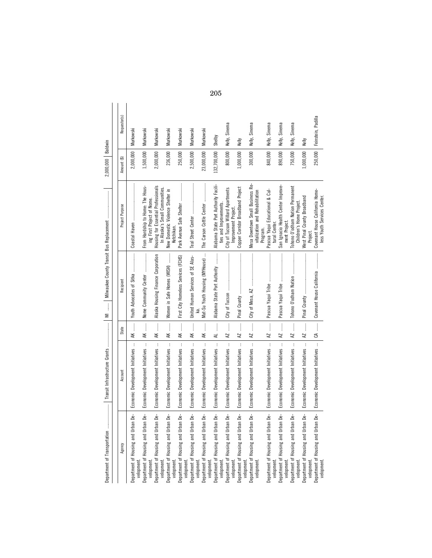| ׇ֚֬֕<br>i                                    |
|----------------------------------------------|
| ֠<br>j                                       |
|                                              |
| ֖֖֖֪ׅ֪ׅ֪ׅ֖֚֚֚֚֚֚֚֚֚֚֚֚֚֚֚֡֝֬֝֝֝֝֝<br>֘֒<br>f |
| i<br>š                                       |
| $\ddot{}}$<br>֚֬֕<br>i<br>ï                  |
| i<br>                                        |
| J<br>١<br>i<br>ı<br>ı<br>þ<br>j<br>í         |

| $\label{def:1}$<br>Department of Transportation   |                                        |                | Milwaukee County Transit Bus Replacement<br>$\begin{array}{c} \begin{array}{c} 1 \\ 1 \end{array} \\ \begin{array}{c} 1 \end{array} \end{array}$<br>$\equiv$ |                                                                                 | 2,000,000   | Baldwin            |
|---------------------------------------------------|----------------------------------------|----------------|--------------------------------------------------------------------------------------------------------------------------------------------------------------|---------------------------------------------------------------------------------|-------------|--------------------|
|                                                   |                                        |                |                                                                                                                                                              |                                                                                 |             |                    |
| Agency                                            | Account                                | State          | Recipient                                                                                                                                                    | Project Purpose                                                                 | Amount (\$) | Requestor(s)       |
| Department of Housing and Urban De-<br>velopment. | Economic Development Initiatives       | AK             | Youth Advocates of Sitka                                                                                                                                     |                                                                                 | 2,000,000   | Murkowski          |
| Department of Housing and Urban De-<br>velopment. | Economic Development Initiatives       | AK             | Nome Community Center                                                                                                                                        | From Hardship to Home: The Hous-<br>ing First Project of Nome.                  | 1,500,000   | Murkowski          |
| Department of Housing and Urban De-<br>velopment  | Economic Development Initiatives       | AK             | Alaska Housing Finance Corporation                                                                                                                           | Housing for Essential Professionals<br>In Alaska's Small Communities.           | 2,000,000   | Murkowski          |
| Department of Housing and Urban De-<br>velopment. | Economic Development Initiatives       | AK             | Women in Safe Homes (WISH)                                                                                                                                   | New Domestic Violence Shelter in<br>Ketchikan                                   | 236,000     | Murkowski          |
| Department of Housing and Urban De-<br>velopment. | Economic Development Initiatives       | AK             | First City Homeless Services (FCHS)                                                                                                                          | Park Avenue Safe Shelter                                                        | 250,000     | Murkowski          |
| Department of Housing and Urban De-<br>velopment. | Economic Development Initiatives       | AK             | United Human Services of SE Alas-                                                                                                                            |                                                                                 | 2,500,000   | Murkowski          |
| Department of Housing and Urban De-<br>velopment. | Economic Development Initiatives       | AK             | Mat-Su Youth Housing (MYHouse)                                                                                                                               | The Carson Cottle Center                                                        | 23,000,000  | Murkowski          |
| Department of Housing and Urban De-<br>velopment. | Economic Development Initiatives       | $\vdots$<br>₹  | Alabama State Port Authority                                                                                                                                 | Alabama State Port Authority Facili-<br>ties and Improvements.                  | 132,700,000 | Shelby             |
| Department of Housing and Urban De-<br>velopment. | Economic Development Initiatives       | <b>RZ</b>      |                                                                                                                                                              | City of Tucson Willard Apartments<br>Improvement Project.                       | 800,000     | Kelly, Sinema      |
| Department of Housing and Urban De-<br>velopment. | Economic Development Initiatives       | $\overline{M}$ |                                                                                                                                                              | Copper Corridor Broadband Project                                               | 1,000,000   | Kelly              |
| Department of Housing and Urban De-<br>velopment  | Economic Development Initiatives       | $\overline{M}$ |                                                                                                                                                              | Mesa Downtown Small Business Re-<br>vitalization and Rehabilitation<br>Program. | 300,000     | Kelly, Sinema      |
| Department of Housing and Urban De-<br>velopment. | Economic Development Initiatives       | AZ             |                                                                                                                                                              | Pascua Yaqui Educational & Cul-<br>tural Center.                                | 840,000     | Kelly, Sinema      |
| Department of Housing and Urban De-<br>velopment  | Economic Development Initiatives       | <b>RZ</b>      |                                                                                                                                                              | San Ignacio Health Center Improve-<br>ment Project.                             | 890,000     | Kelly, Sinema      |
| Department of Housing and Urban De-<br>velopment  | Economic Development Initiatives       | <b>RZ</b>      | Tohono O'odham Nation                                                                                                                                        | Tohono O'odham Nation Permanent<br>Children's Home Project.                     | 750,000     | Kelly, Sinema      |
| Department of Housing and Urban De-<br>velopment  | Economic Development Initiatives       | <b>RZ</b>      |                                                                                                                                                              | West Pinal County Broadband<br>Project                                          | 1,000,000   | Kelly              |
| Department of Housing and Urban De-<br>velopment. | Economic Development Initiatives    CA |                | Covenant House California                                                                                                                                    | Covenant House California Home-<br>less Youth Services Center.                  | 250,000     | Feinstein, Padilla |

205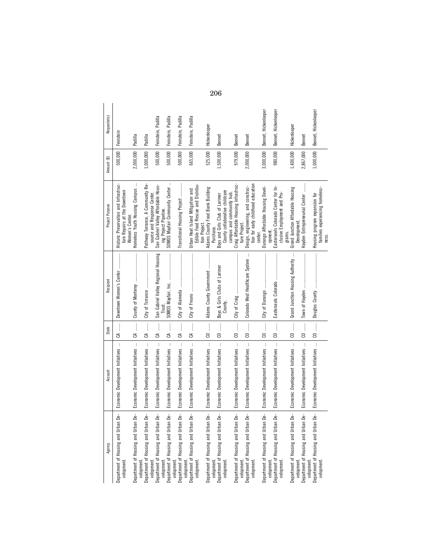| Agency                                                          | Account                                                  | State                                         | Recipient                                                                                                                                                                                                                                                                                                                                                                                                                                                 | Project Purpose                                                                             | Amount (\$) | Requestor(s)         |
|-----------------------------------------------------------------|----------------------------------------------------------|-----------------------------------------------|-----------------------------------------------------------------------------------------------------------------------------------------------------------------------------------------------------------------------------------------------------------------------------------------------------------------------------------------------------------------------------------------------------------------------------------------------------------|---------------------------------------------------------------------------------------------|-------------|----------------------|
| Department of Housing and Urban De-<br>velopment                | $\vdots$<br>Economic Development Initiatives             |                                               | Downtown Women's Center                                                                                                                                                                                                                                                                                                                                                                                                                                   | Historic Preservation and Infrastruc-<br>ture Repairs at the Downtown<br>Women's Center.    | 500,000     | Feinstein            |
| Department of Housing and Urban De-<br>velopment.               | Economic Development Initiatives                         | $(A_1, \ldots, A_n)$                          |                                                                                                                                                                                                                                                                                                                                                                                                                                                           | Homeless Youth Housing Campus                                                               | 2,000,000   | Padilla              |
| Department of Housing and Urban De-                             | Economic Development Initiatives                         | CA                                            |                                                                                                                                                                                                                                                                                                                                                                                                                                                           | Pathway Torrance, A Community Re-                                                           | 1,000,000   | Padilla              |
| Department of Housing and Urban De-<br>velopment.               | Economic Development Initiatives                         | $CA$                                          | San Gabriel Valley Regional Housing                                                                                                                                                                                                                                                                                                                                                                                                                       | San Gabriel Valley Affordable Hous-<br>source and Response Center.<br>ing Project Pipeline. | 500,000     | Feinstein, Padilla   |
| Department of Housing and Urban De-<br>velopment.               | $\ddot{\phantom{a}}$<br>Economic Development Initiatives | j<br>ౘ                                        | SOMOS Mayfair, Inc.<br>Trust                                                                                                                                                                                                                                                                                                                                                                                                                              | SOMOS Mayfair Community Center                                                              | 500,000     | Feinstein, Padilla   |
| Department of Housing and Urban De-<br>velopment.               | $\vdots$<br>Economic Development Initiatives             | $\vdots$<br>ౘ                                 | City of Alameda                                                                                                                                                                                                                                                                                                                                                                                                                                           | Transitional Housing Project                                                                | 500,000     | Feinstein, Padilla   |
| Department of Housing and Urban De-<br>velopment.<br>velopment  | Economic Development Initiatives                         |                                               |                                                                                                                                                                                                                                                                                                                                                                                                                                                           | Edible Food Rescue and Distribu-<br><b>Urban Heat Island Mitigation and</b>                 | 665,000     | Feinstein, Padilla   |
| Department of Housing and Urban De-                             | Economic Development Initiatives                         | $\begin{array}{c} 0 \end{array}$              | Adams County Government                                                                                                                                                                                                                                                                                                                                                                                                                                   | Adams County Food Bank Building<br>tion Project.                                            | 525,000     | Hickenlooper         |
| Department of Housing and Urban De-<br>velopment.<br>velopment. | Economic Development Initiatives                         | $\begin{array}{c} 0 \end{array}$              | Boys & Girls Clubs of Larimer<br>County.                                                                                                                                                                                                                                                                                                                                                                                                                  | County collaborative childcare<br>Boys and Girls Club of Larimer<br>Purchase.               | 1,500,000   | Bennet               |
| Department of Housing and Urban De-                             | $\vdots$<br>Economic Development Initiatives             | $\begin{array}{c} 0 \end{array}$              |                                                                                                                                                                                                                                                                                                                                                                                                                                                           | Craig Affordable Housing Infrastruc-<br>campus and community hub.                           | 979,000     | Bennet               |
| Department of Housing and Urban De-<br>velopment.<br>velopment. | Economic Development Initiatives                         | $\begin{array}{c} 0 \ \cdots \end{array}$     | ŧ<br>Colorado West Healthcare System                                                                                                                                                                                                                                                                                                                                                                                                                      | tion for early childhood education<br>Design, engineering, and construc-<br>ture Project.   | 2,000,000   | Bennet               |
| Department of Housing and Urban De-                             | Economic Development Initiatives                         |                                               |                                                                                                                                                                                                                                                                                                                                                                                                                                                           | Durango Affordable Housing Devel-<br>center.                                                | 3,000,000   | Bennet, Hickenlooper |
| Department of Housing and Urban De-<br>velopment.<br>velopment. | Economic Development Initiatives                         | $\begin{array}{c} 0 \end{array}$              |                                                                                                                                                                                                                                                                                                                                                                                                                                                           | Easterseals Colorado Center for In-<br>clusive Employment and Pro-<br>opment.               | 980,000     | Bennet, Hickenlooper |
| Department of Housing and Urban De-<br>velopment.               | Economic Development Initiatives                         |                                               | ĵ<br>Grand Junction Housing Authority                                                                                                                                                                                                                                                                                                                                                                                                                     | Grand Junction Affordable Housing<br>Development.<br>grams.                                 | 1,400,000   | Hickenlooper         |
| Department of Housing and Urban De-<br>velopment                | $\colon$<br>Economic Development Initiatives             | $\begin{array}{c} 0 \dots \end{array}$        | Town of Hayden                                                                                                                                                                                                                                                                                                                                                                                                                                            | Hayden Entrepreneurial Center                                                               | 2,867,000   | Bennet               |
| Department of Housing and Urban De-<br>velopment                | Economic Development Initiatives                         | $\begin{bmatrix} 0 & \dots & 0 \end{bmatrix}$ | $\begin{minipage}{0.9\linewidth} \begin{tabular}{l} \hline \textbf{1} & \textbf{2} & \textbf{3} & \textbf{4} & \textbf{5} & \textbf{6} & \textbf{6} & \textbf{7} & \textbf{8} & \textbf{9} & \textbf{9} & \textbf{9} & \textbf{9} & \textbf{9} & \textbf{9} & \textbf{9} & \textbf{9} & \textbf{9} & \textbf{9} & \textbf{9} & \textbf{9} & \textbf{9} & \textbf{9} & \textbf{9} & \textbf{9} & \textbf{9} & \textbf{9} & \textbf{9} &$<br>Douglas County | families experiencing homeless-<br>Housing program expansion for<br>ness.                   | 1,000,000   | Bennet, Hickenlooper |

206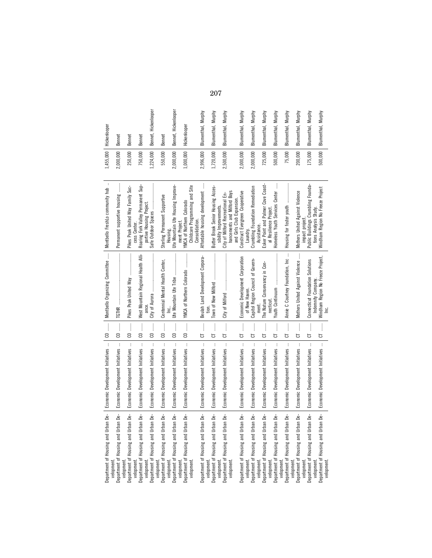| an De-<br>Department of Housing and Urba                           | Economic Development Initiatives                 |                                               | Montbello Organizing Committee                                                                                                                                                                                                                                                                                                                                                                                                                                                                                                                       | Montbello FreshLo community hub                                                           |           | 1,455,000 Hickenlooper |
|--------------------------------------------------------------------|--------------------------------------------------|-----------------------------------------------|------------------------------------------------------------------------------------------------------------------------------------------------------------------------------------------------------------------------------------------------------------------------------------------------------------------------------------------------------------------------------------------------------------------------------------------------------------------------------------------------------------------------------------------------------|-------------------------------------------------------------------------------------------|-----------|------------------------|
| an De-<br>Department of Housing and Urba<br>velopment<br>velopment | $\,$ i<br>Economic Development Initiatives       |                                               | <b>TGTHR</b>                                                                                                                                                                                                                                                                                                                                                                                                                                                                                                                                         | j<br>Permanent supportive housing                                                         | 2,000,000 | Bennet                 |
| Department of Housing and Urban De-<br>velopment.                  | $\vdots$<br>Economic Development Initiatives     | $\begin{array}{c} 0 \ \cdots \end{array}$     | $\begin{minipage}{0.9\linewidth} \begin{tabular}{l} \toprule \multicolumn{3}{c}{\textbf{0.9\linewidth}} \begin{tabular}{l} \multicolumn{3}{c}{\textbf{0.9\linewidth}} \end{tabular} \end{minipage} \end{minipage} \begin{minipage}{0.9\linewidth} \begin{tabular}{l} \multicolumn{3}{c}{\textbf{0.9\linewidth}} \end{tabular} \end{minipage} \end{minipage} \begin{minipage}{0.9\linewidth} \begin{tabular}{l} \multicolumn{3}{c}{\textbf{0.9\linewidth}} \end{tabular} \end{minipage} \end{minipage} \begin{minipage}{0.9$<br>Pikes Peak United Way | Pikes Peak United Way Family Suc-<br>cess Center.                                         | 250,000   | Bennet                 |
| Department of Housing and Urban De-<br>velopment.                  | Economic Development Initiatives                 | $\begin{array}{c} \hline \end{array}$         | West Mountain Regional Health Alli-                                                                                                                                                                                                                                                                                                                                                                                                                                                                                                                  | Roaring Fork Valley Permanent Sup-                                                        | 750,000   | Bennet                 |
| Department of Housing and Urban De-<br>velopment.                  | $\vdots$<br>Economic Development Initiatives     | $\begin{array}{c} 0 \end{array}$              | City of Aurora                                                                                                                                                                                                                                                                                                                                                                                                                                                                                                                                       | Safe Outdoor Spaces<br>portive Housing Project.                                           | 1,224,000 | Bennet, Hickenlooper   |
| Department of Housing and Urban De-<br>velopment.                  | $\vdots$<br>Economic Development Initiatives     |                                               | Centennial Mental Health Center,                                                                                                                                                                                                                                                                                                                                                                                                                                                                                                                     | Sterling Permanent Supportive<br>Housing.                                                 | 550,000   | Bennet                 |
| an De-<br>Department of Housing and Urba                           | $\vdots$<br>Economic Development Initiatives     | $\begin{array}{c} 0 \ \cdots \end{array}$     | Ute Mountain Ute Tribe                                                                                                                                                                                                                                                                                                                                                                                                                                                                                                                               | Ute Mountain Ute Housing Improve-                                                         | 2,000,000 | Bennet, Hickenlooper   |
| Department of Housing and Urban De-<br>velopment.<br>velopment.    | Economic Development Initiatives                 | $\begin{bmatrix} 0 & \dots & 0 \end{bmatrix}$ | YMCA of Northern Colorado                                                                                                                                                                                                                                                                                                                                                                                                                                                                                                                            | Childcare Programming and Site<br>YMCA of Northern Colorado<br>ment Project.              | 1,000,000 | Hickenlooper           |
| an De-<br>Department of Housing and Urb:<br>velopment.             | Economic Development Initiatives                 | $\overline{G}$                                | Beulah Land Development Corpora-                                                                                                                                                                                                                                                                                                                                                                                                                                                                                                                     | Affordable housing development<br>Consolidation.                                          | 2,996,000 | Blumenthal, Murphy     |
| an De-<br>Department of Housing and Urba                           | $\mathbf{i}$<br>Economic Development Initiatives | ្ញ<br>ប                                       |                                                                                                                                                                                                                                                                                                                                                                                                                                                                                                                                                      | Butter Brook Senior Housing Acces-                                                        | 1,720,000 | Blumenthal, Murphy     |
| Department of Housing and Urban De-<br>velopment.<br>velopment.    | $\mathbf{i}$<br>Economic Development Initiatives | $\frac{1}{2}$<br>5                            |                                                                                                                                                                                                                                                                                                                                                                                                                                                                                                                                                      | hancements and Milford Boys<br>City of Milford Recreational En-<br>sibility Improvements. | 2,500,000 | Blumenthal, Murphy     |
| Department of Housing and Urban De-                                | Economic Development Initiatives                 | $\mathbf{r}$<br>5                             | Economic Development Corporation<br>of New Haven.                                                                                                                                                                                                                                                                                                                                                                                                                                                                                                    | Construct Evergreen Cooperative<br>and Girls Club Expansion<br>Laundry.                   | 2,000,000 | Blumenthal, Murphy     |
| Department of Housing and Urban De-<br>velopment.<br>velopment.    | $\vdots$<br>Economic Development Initiatives     | ļ<br>5                                        | Capitol Region Council of Govern-<br>ment.                                                                                                                                                                                                                                                                                                                                                                                                                                                                                                           | Crumbling Foundation Remediation<br>Assistance.                                           | 2,000,000 | Blumenthal, Murphy     |
| Department of Housing and Urban De-<br>velopment.                  | $\vdots$<br>Economic Development Initiatives     | ļ<br>5                                        | The Nature Conservancy in Con-<br>necticut                                                                                                                                                                                                                                                                                                                                                                                                                                                                                                           | Esker Point and Palmer Cove Coast-<br>al Resilience Project                               | 725,000   | Blumenthal, Murphy     |
| Department of Housing and Urban De-<br>velopment.                  | $\vdots$<br>Economic Development Initiatives     | $\frac{1}{2}$<br>5                            | Youth Continuum                                                                                                                                                                                                                                                                                                                                                                                                                                                                                                                                      | Homeless Youth Services Center                                                            | 500,000   | Blumenthal, Murphy     |
| an De-<br>Department of Housing and Urba<br>velopment.             | $\mathbf{i}$<br>Economic Development Initiatives | $\overline{G}$                                | Annie C Courtney Foundation, Inc                                                                                                                                                                                                                                                                                                                                                                                                                                                                                                                     |                                                                                           | 75,000    | Blumenthal, Murphy     |
| Department of Housing and Urban De-<br>velopment.                  | $\vdots$<br>Economic Development Initiatives     | ព<br>=<br>=                                   | Mothers United Against Violence                                                                                                                                                                                                                                                                                                                                                                                                                                                                                                                      | Mothers United Against Violence<br>impact project.                                        | 200,000   | Blumenthal, Murphy     |
| Department of Housing and Urban De-<br>velopment                   | $\vdots$<br>Economic Development Initiatives     | ļ<br>5                                        | Connecticut Foundation Solutions<br>Indemnity Company.                                                                                                                                                                                                                                                                                                                                                                                                                                                                                               | Public Buildings Crumbling Founda-<br>tions Analysis Study.                               | 175,000   | Blumenthal, Murphy     |
| an De-<br>Department of Housing and Urb-<br>velopment              | Economic Development Initiatives                 | ļ<br>5                                        | Windham Region No Freeze Project,<br>ن<br>أ                                                                                                                                                                                                                                                                                                                                                                                                                                                                                                          | Windham Region No Freeze Project                                                          | 500,000   | Blumenthal, Murphy     |
|                                                                    |                                                  |                                               |                                                                                                                                                                                                                                                                                                                                                                                                                                                                                                                                                      |                                                                                           |           |                        |

207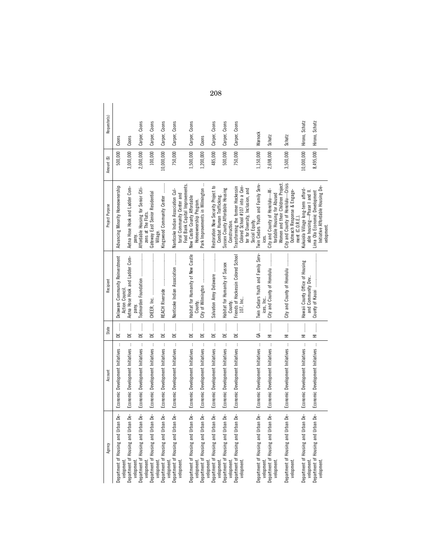| Agency                                                         | Account                          | State                                                     | Recipient                                         | Project Purpose                                                         | Amount (\$) | Requestor(s)   |
|----------------------------------------------------------------|----------------------------------|-----------------------------------------------------------|---------------------------------------------------|-------------------------------------------------------------------------|-------------|----------------|
| Department of Housing and Urban De-<br>velopment               | Economic Development Initiatives | DE                                                        | Delaware Community Reinvestment<br>Action Council | Advancing Minority Homeownership                                        | 500,000     | Coons          |
| Department of Housing and Urban De-                            | Economic Development Initiatives | ļ<br>F                                                    | Aetna Hose Hook and Ladder Com-                   | Aetna Hose Hook and Ladder Com-                                         | 3,000,000   | Coons          |
| Department of Housing and Urban De-<br>velopment.              | Economic Development Initiatives | DE                                                        | pany.                                             | Affordable Housing for Senior Citi-<br>pany.                            | 2,000,000   | Carper, Coons  |
| Department of Housing and Urban De-<br>velopment               | Economic Development Initiatives | DE                                                        |                                                   | Gateway East Senior Residential<br>zens at The Flats.                   | 100,000     | Carper, Coons  |
| Department of Housing and Urban De-<br>velopment               | Economic Development Initiatives | ……<br>BE                                                  |                                                   | Kingswood Community Center                                              | 10,000,000  | Carper, Coons  |
| Department of Housing and Urban De-<br>velopment.<br>velopment | Economic Development Initiatives | $\begin{array}{c} \mathbb{D} \mathbb{E} \end{array}$      | Nanticoke Indian Association                      | Nanticoke Indian Association Cul-<br>tural Community Center and         | 750,000     | Carper, Coons  |
| Department of Housing and Urban De-                            | Economic Development Initiatives | DE                                                        | Habitat for Humanity of New Castle                | Food Bank Capital Improvements.<br>New Castle County Affordable         | 1,500,000   | Carper, Coons  |
| velopment                                                      |                                  |                                                           | County.                                           | Homeownership Program.                                                  |             |                |
| Department of Housing and Urban De-<br>velopment.              | Economic Development Initiatives | DE                                                        |                                                   | Park Improvements in Wilmington                                         | 1,200,000   | Coons          |
| Department of Housing and Urban De-<br>velopment.              | Economic Development Initiatives | DE                                                        | Salvation Army Delaware                           | Restoration Now Security Project to<br>Combat Human Trafficking.        | 485,000     | Carper, Coons  |
| Department of Housing and Urban De-                            | Economic Development Initiatives | ▁                                                         | Habitat for Humanity of Sussex                    | Sussex County Affordable Housing                                        | 500,000     | Carper, Coons  |
| Department of Housing and Urban De-<br>velopment.              | Economic Development Initiatives | 매<br>먹                                                    | County.<br>Friends of Hockessin Colored School    | Transforming the former Hockessin<br>Construction.                      | 750,000     | Carper, Coons  |
| velopment                                                      |                                  |                                                           | 107, Inc                                          | Colored School #107 into a Cen-<br>ter for Diversity, Inclusion, and    |             |                |
|                                                                |                                  |                                                           | Twin Cedars Youth and Family Serv-                | Twin Cedars Youth and Family Serv-<br>Social Equity.                    | 1,150,000   | Warnock        |
| Department of Housing and Urban De-<br>velopment.              | Economic Development Initiatives | $G \rightarrow \cdots$                                    | ices, Inc                                         |                                                                         |             |                |
| Department of Housing and Urban De-<br>velopment.              | Economic Development Initiatives |                                                           | City and County of Honolulu                       | City and County of Honolulu-Af-<br>fordable Housing for Abused          | 2,698,000   | Schatz         |
| Department of Housing and Urban De-                            | Economic Development Initiatives |                                                           | City and County of Honolulu                       | Women and their Children Project.<br>City and County of Honolulu-Crisis | 3,500,000   | Schatz         |
| velopment                                                      |                                  | $\begin{array}{c}\n\hline\n\vdots \\ \hline\n\end{array}$ |                                                   | Outreach Response & Engage-                                             |             |                |
| Department of Housing and Urban De-                            | Economic Development Initiatives | 亖                                                         | Hawaii County Office of Housing                   | Kukuiola Village long-term afford-<br>ment (C.O.R.E.).                  | 10,000,000  | Hirono, Schatz |
| velopment                                                      |                                  |                                                           | and Community Dev.                                | able housing-Phase I and II.                                            |             |                |
| Department of Housing and Urban De-<br>velopment               | Economic Development Initiatives | $\begin{bmatrix} 1 \\ 1 \\ 1 \\ 1 \end{bmatrix}$          | County of Kauai                                   | Initiative Affordable Housing De-<br>Lima Ola Economic Development      | 8,495,000   | Hirono, Schatz |
|                                                                |                                  |                                                           |                                                   | velopment.                                                              |             |                |

208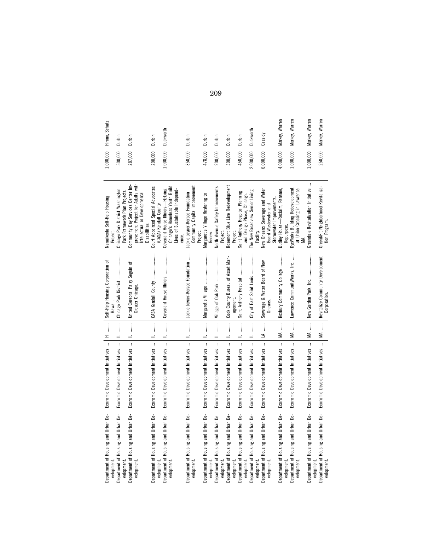| Department of Housing and Urban De-   Economic Development Initiatives<br>Economic Development Initiatives                           | $\begin{array}{c}\n\hline\n\end{array}$<br>l<br>$\equiv$ | Self-Help Housing Corporation of<br>Chicago Park District<br>Hawall. | Chicago Park District Washington<br>Nanaikeola Self-Help Housing<br>Project                         | 500,000   | 1,000,000   Hirono, Schatz<br>Durbin |
|--------------------------------------------------------------------------------------------------------------------------------------|----------------------------------------------------------|----------------------------------------------------------------------|-----------------------------------------------------------------------------------------------------|-----------|--------------------------------------|
| $\begin{array}{c} \begin{array}{c} \bullet \\ \bullet \\ \bullet \end{array} \end{array}$<br>$=$<br>Economic Development Initiatives |                                                          | United Cerebral Palsy Seguin of                                      | Community Day Services Center Im-<br>Park Framework Plan Projects.                                  | 287,000   | Durbin                               |
|                                                                                                                                      |                                                          | Greater Chicago.                                                     | provement Project for Adults with<br>Intellectual or Developmental<br>Disabilities.                 |           |                                      |
| $\begin{array}{c} \vdots \\ \vdots \\ \vdots \end{array}$<br>$\equiv$<br>Economic Development Initiatives                            |                                                          | CASA Kendall County                                                  | Court Appointed Special Advocates<br>(CASA) Kendall County.                                         | 200,000   | Durbin                               |
| $\begin{array}{c} \vdots \\ \vdots \\ \vdots \end{array}$<br>$=$<br>$\colon$                                                         |                                                          | Covenant House Illinois                                              | Chicago's Homeless Youth Build<br>Covenant House Illinois-Helping<br>Lives of Sustainable Independ- | 1,000,000 | Duckworth                            |
| $\frac{1}{2}$<br>Economic Development Initiatives                                                                                    |                                                          | ļ<br>Jackie Joyner-Kersee Foundation                                 | Community Capital Improvement<br>Jackie Joyner-Kersee Foundation<br>Project.                        | 350,000   | Durbin                               |
| $\ddot{\ddot{\phantom{a}}}\,$<br>$\equiv$<br>Economic Development Initiatives                                                        |                                                          | Margaret's Village                                                   | Margaret's Village Restoring to<br>Renew.                                                           | 478,000   | Durbin                               |
| $\frac{1}{2}$<br>$\equiv$<br>Economic Development Initiatives                                                                        |                                                          |                                                                      | North Avenue Safety Improvements<br>Project.                                                        | 200,000   | Durbin                               |
| $\vdots$<br>$\equiv$<br>$\mathbf{i}$                                                                                                 |                                                          | Cook County Bureau of Asset Man-<br>agement.                         | Rosemont Blue Line Redevelopment<br>Project.                                                        | 300,000   | Durbin                               |
| j<br>$=$<br>$\mathbf{I}$                                                                                                             |                                                          | Saint Anthony Hospital                                               | Saint Anthony Hospital Planning<br>and Design Phase, Chicago.                                       | 450,000   | Durbin                               |
| $\ddot{\phantom{a}}$<br>$\equiv$<br>$\overline{\mathbf{r}}$                                                                          |                                                          | City of East Saint Louis                                             | The New Broadview Senior Living<br>Facility.                                                        | 2,000,000 | Duckworth                            |
| $\frac{1}{2}$<br>≤<br>$\overline{\phantom{a}}$                                                                                       |                                                          | Sewerage & Water Board of New<br>Orleans.                            | New Orleans Sewerage and Water<br>Stormwater Improvements.<br>Board Wastewater and                  | 6,000,000 | Cassidy                              |
| $\vdots$<br>⋚<br>$\mathbf{i}$                                                                                                        |                                                          | Roxbury Community College                                            | Dudley House-Reclaim, Rename,<br>Repurpose.                                                         | 4,000,000 | Markey, Warren                       |
| $\frac{1}{2}$<br>≸<br>$\mathbf{i}$                                                                                                   |                                                          | Lawrence CommunityWorks, Inc.                                        | at Union Crossing in Lawrence,<br>DyeWorks Building Redevelopment                                   | 1,000,000 | Markey, Warren                       |
| $\vdots$<br>≸<br>$\ddot{\phantom{a}}$                                                                                                |                                                          |                                                                      | đ<br>Greendale Revitalization Initiative                                                            | 1,000,000 | Markey, Warren                       |
| MA<br>Economic Development Initiatives                                                                                               |                                                          | Revitalize Community Development<br>Corporation                      | GreenNFit Neighborhood Revitaliza-<br>tion Program.                                                 | 250,000   | Markey, Warren                       |

209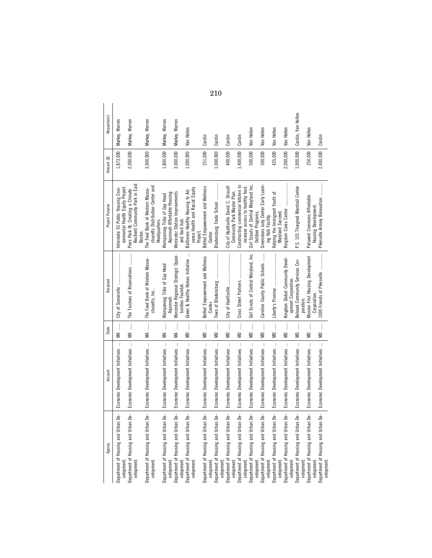| Agency                                            | Account                                          | State                                     | Recipient                                                | Project Purpose                                                                      | Amount (\$)      | Requestor(s)         |
|---------------------------------------------------|--------------------------------------------------|-------------------------------------------|----------------------------------------------------------|--------------------------------------------------------------------------------------|------------------|----------------------|
| Department of Housing and Urban De-<br>velopment. | $\vdots$<br>Economic Development Initiatives     | MA ……                                     |                                                          | ronmental Health Equity Project.<br>Interstate 93 Public Housing Envi-               | 1,873,000        | Markey, Warren       |
| Department of Housing and Urban De-<br>velopment. | Economic Development Initiatives                 | $M_A$                                     | The Trustees of Reservations                             | Resilient Community Park in East<br>Piers Park III, Creating a Climate<br>Boston.    | 2,000,000        | Markey, Warren       |
| Department of Housing and Urban De-<br>velopment  | Economic Development Initiatives                 | MA                                        | The Food Bank of Western Massa-<br>chusetts, Inc.        | chusetts Distribution Center and<br>The Food Bank of Western Massa-<br>Headquarters. | 3,000,000        | Markey, Warren       |
| Department of Housing and Urban De-<br>velopment  | Economic Development Initiatives                 | ļ<br>≸                                    | Wampanoag Tribe of Gay Head<br>Aquinnah.                 | Aquinnah Affordable Housing.<br>Wampanoag Tribe of Gay Head                          | 1,800,000        | Markey, Warren       |
| Department of Housing and Urban De-<br>velopment. | $\mathbf{i}$<br>Economic Development Initiatives | ļ<br>≸                                    | Worcester Regional Strategic Oppor-<br>tunities Foundat. | Worcester Station Improvements<br>and food hub.                                      | 3,000,000        | Markey, Warren       |
| Department of Housing and Urban De-<br>velopment. | Economic Development Initiatives                 | $\frac{1}{2}$<br>€                        | ÷<br>Green & Healthy Homes Initiative                    | vance Health and Racial Equity<br>Baltimore Healthy Housing to Ad-<br>Project.       | 1,000,000        | Van Hollen           |
| Department of Housing and Urban De-<br>velopment. | Economic Development Initiatives                 |                                           | Bethel Empowerment and Wellness<br>Center.               | Bethel Empowerment and Wellness<br>Center.                                           | 251,000          | Cardin               |
| Department of Housing and Urban De-<br>velopment. | Economic Development Initiatives                 | $\begin{array}{c} \mathbf{M} \end{array}$ |                                                          | Bladensburg Trade School                                                             | 1,000,000        | Cardin               |
| Department of Housing and Urban De-<br>velopment. | $\vdots$<br>Economic Development Initiatives     | MD ……                                     |                                                          | City of Hyattsville David C. Driscoll<br>Community Park Master Plan.                 | 400,000          | Cardin               |
| Department of Housing and Urban De-<br>velopment. | $\vdots$<br>Economic Development Initiatives     | MD                                        |                                                          | Constructing commercial kitchen to<br>increase access to healthy food.               | 1,400,000        | Cardin               |
| Department of Housing and Urban De-<br>velopment. | $\mathbf{i}$<br>Economic Development Initiatives | <b>MD</b> ……                              | Girl Scouts of Central Maryland, Inc.                    | Girl Scouts of Central Maryland Inc.<br>Outdoor Programs.                            | 500,000          | Van Hollen           |
| Department of Housing and Urban De-<br>velopment. | $\vdots$<br>Economic Development Initiatives     | $\vdots$<br>€                             | Caroline County Public Schools                           | Greensboro Judy Center Early Learn-<br>ing Hub Facility.                             | 500,000          | Hollen<br>Van        |
| Department of Housing and Urban De-<br>velopment. | $\vdots$<br>Economic Development Initiatives     | $\frac{1}{2}$<br>€                        |                                                          | 눙<br>Helping the Immigrant Youth<br>Maryland Succeed.                                | 435,000          | Hollen<br>Van        |
| Department of Housing and Urban De-<br>velopment. | $\vdots$<br>Economic Development Initiatives     | $\vdots$<br>€                             | Kingdom Global Community Devel-<br>opment Corporation.   | Kingdom Cares Center                                                                 | 2,000,000        | Van Hollen           |
| Department of Housing and Urban De-<br>velopment. | $\vdots$<br>Economic Development Initiatives     | ļ<br>€                                    | Beloved Community Services Cor-<br>poration.             | P.S. 103 Thurgood Marshall Center                                                    | 1,000,000        | Cardin, Van Hollen   |
| Department of Housing and Urban De-<br>velopment. | Economic Development Initiatives                 | ļ<br>€                                    | Mission First Housing Development<br>Corporation.        | Patuxent Commons Affordable<br>Housing Development.                                  |                  | 250,000   Van Hollen |
| Department of Housing and Urban De-<br>velopment  | Economic Development Initiatives                 | MD                                        |                                                          | Pikesville Armory Renovation                                                         | 2,400,000 Cardin |                      |

210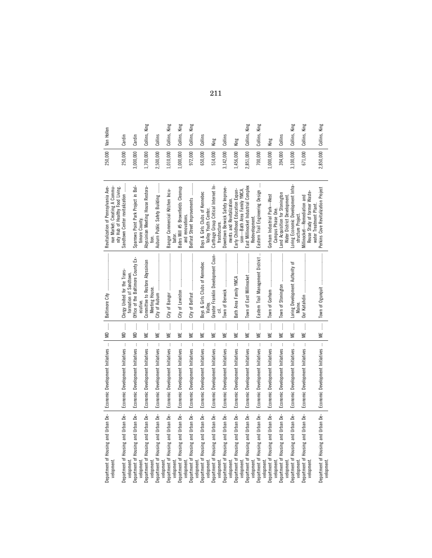|                                                               |                                                  |                    |                                                              | Revitalization of Pennsylvania Ave-                                |           | Van Hollen    |
|---------------------------------------------------------------|--------------------------------------------------|--------------------|--------------------------------------------------------------|--------------------------------------------------------------------|-----------|---------------|
| Department of Housing and Urban De-<br>velopment              | Economic Development Initiatives                 | MD                 |                                                              | nue Market: Creating A Commu-                                      | 250,000   |               |
| Department of Housing and Urban De-                           | $\vdots$<br>Economic Development Initiatives     | $\vdots$<br>S      | Clergy United for the Trans-                                 | Sandtown Center revitalization<br>nity Hub of Healthy Food Living. | 250,000   | Cardin        |
| Department of Housing and Urban De-<br>velopment              | $\vdots$<br>Economic Development Initiatives     | $\vdots$<br>€      | Office of the Baltimore County Ex-<br>formation of Sandtown. | Sparrows Point Park Project in Bal                                 | 3,000,000 | Cardin        |
| Housing and Urban De-<br>Department of<br>velopment           | $\cdot$<br>Economic Development Initiatives      | $\vdots$<br>¥      | Committee to Restore Abyssinian<br>ecutive.                  | Abyssinian Meeting House Restora-<br>timore County.                | .700,000  | Collins, King |
| Housing and Urban De-<br>Department of<br>velopment           | $\vdots$<br>Economic Development Initiatives     | $\frac{1}{2}$<br>₩ | Meeting House.                                               | Auburn Public Safety Building<br>tion.                             | 2,500,000 | Collins       |
| Department of Housing and Urban De-<br>velopment              | $\mathbf{i}$<br>Economic Development Initiatives | $\frac{1}{2}$<br>¥ |                                                              | Bangor Commercial Kitchen Incu-                                    | 0.010,000 | Collins, King |
| Housing and Urban De-<br>Department of<br>velopment           | $\vdots$<br>Economic Development Initiatives     | $\vdots$<br>₩      |                                                              | Bates Mill #5 Brownfields Cleanup<br>bator.                        | 1,000,000 | Collins, King |
| Housing and Urban De-<br>Department of<br>velopment           | $\cdot$<br>Economic Development Initiatives      | $\vdots$<br>₩      |                                                              | Belfast Street Improvements<br>and renovations.                    | 972,000   | Collins, King |
| Department of Housing and Urban De-<br>velopment              | $\,$ i<br>Economic Development Initiatives       | $\frac{1}{2}$<br>₩ | Boys & Girls Clubs of Kennebec                               | Boys & Girls Clubs of Kennebec                                     | 650,000   | Collins       |
| Housing and Urban De-<br>Department of<br>velopment           | $\vdots$<br>Economic Development Initiatives     | $\vdots$<br>₩      | Greater Franklin Development Coun-<br>Valley.                | Carthage Group Critical Internet In-<br>Valley Youth Center.       | 514,000   | King          |
| Department of Housing and Urban De-<br>velopment              | $\cdot$<br>Economic Development Initiatives      | $\vdots$<br>¥      | Town of Berwick                                              | Downtown Berwick Safety Improve-<br>frastructure.                  | 3,142,000 | Collins       |
| Housing and Urban De-<br>Department of<br>velopment           | $\,$ i<br>Economic Development Initiatives       | $\frac{1}{3}$<br>¥ | Bath Area Family YMCA                                        | Early Childhood Education Expan-<br>ments and Revitalization.      | 1,456,000 | King          |
| Department of Housing and Urban De-<br>velopment              | $\cdot$<br>Economic Development Initiatives      | $\vdots$<br>≝      |                                                              | East Millinocket Industrial Complex<br>sion-Bath Area Family YMCA. | 2,851,000 | Collins, King |
| Department of Housing and Urban De-<br>velopment<br>velopment | $\cdot$<br>Economic Development Initiatives      | $\frac{1}{2}$<br>¥ | Eastern Trail Management District                            | ŧ<br>Eastern Trail Engineering Design<br>Redevelopment.            | 700,000   | Collins, King |
| Housing and Urban De-<br>Department of<br>velopment           | $\cdot$<br>Economic Development Initiatives      | $\vdots$<br>≝      |                                                              | Gorham Industrial Park—West<br>Campus Phase One.                   | 1,000,000 | King          |
| Department of Housing and Urban De-<br>velopment              | $\vdots$<br>Economic Development Initiatives     | $\vdots$<br>₩      | Town of Stonington                                           | Land Acquisition for Stonington<br>Water District Development      | 394,000   | Collins       |
| Housing and Urban De-<br>Department of<br>velopment           | $\colon$<br>Economic Development Initiatives     | $\vdots$<br>W      | Loring Development Authority of<br>Maine,                    | Loring Economic Development Infra-<br>structure Project.           | 3,100,000 | Collins, King |
| Housing and Urban De-<br>Department of<br>velopment           | $\mathbf{i}$<br>Economic Development Initiatives | $\frac{1}{2}$<br>₩ |                                                              | Reuse Study of former Waste-<br>Millinocket-Remediation and        | 671,000   | Collins, King |
| Department of Housing and Urban De-<br>velopment              | Economic Development Initiatives                 | $\frac{1}{2}$<br>≝ |                                                              | Perkins Cove Revitalization Project<br>water Treatment Plant       | 2,850,000 | Collins, King |
|                                                               |                                                  |                    |                                                              |                                                                    |           |               |

211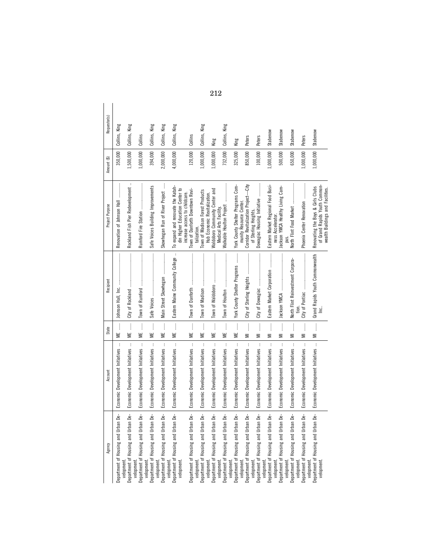| Agency                                                          | Account                                          | State                                                | Recipient                                  | Project Purpose                                                                                                                                                                                                                                                                                                                           | Amount (\$) | Requestor(s)     |
|-----------------------------------------------------------------|--------------------------------------------------|------------------------------------------------------|--------------------------------------------|-------------------------------------------------------------------------------------------------------------------------------------------------------------------------------------------------------------------------------------------------------------------------------------------------------------------------------------------|-------------|------------------|
| Department of Housing and Urban De-<br>velopment.               | $\,$ i<br>Economic Development Initiatives       | ME                                                   |                                            | $\begin{minipage}{0.9\linewidth} \begin{tabular}{l} \toprule \multicolumn{2}{c}{\textbf{0.9\linewidth}} \begin{tabular}{l} \multicolumn{2}{c}{\textbf{0.9\linewidth}} \end{tabular} \end{minipage} \end{minipage} \end{minipage} \caption{A system of the model and the model of the model.} \label{fig:1}$<br>Renovation of Johnson Hall | 350,000     | King<br>Collins, |
| Department of Housing and Urban De-<br>velopment.               | $\vdots$<br>Economic Development Initiatives     | $\vdots$<br>₩                                        |                                            | Rockland Fish Pier Redevelopment                                                                                                                                                                                                                                                                                                          | 1,500,000   | King<br>Collins, |
| Department of Housing and Urban De-<br>velopment.               | Economic Development Initiatives                 | $\frac{1}{2}$<br>≝                                   |                                            |                                                                                                                                                                                                                                                                                                                                           | 1,000,000   | Collins          |
| Department of Housing and Urban De-                             | Economic Development Initiatives                 | ME                                                   |                                            | Safe Voices Building Improvements                                                                                                                                                                                                                                                                                                         | 394,000     | Collins, King    |
| velopment.<br>Department of Housing and Urban De-<br>velopment. | $\mathbf{I}$<br>Economic Development Initiatives | $\frac{1}{2}$<br>₩                                   |                                            | Skowhegan Run of River Project                                                                                                                                                                                                                                                                                                            | 2,000,000   | King<br>Collins, |
| Department of Housing and Urban De-<br>velopment.               | Economic Development Initiatives                 | $\frac{1}{2}$<br>₩                                   | $\cdot$<br>Eastern Maine Community College | To expand and renovate the Katah-<br>din Higher Education Center to<br>increase access to childcare.                                                                                                                                                                                                                                      | 4,000,000   | King<br>Collins, |
| Department of Housing and Urban De-                             | Economic Development Initiatives                 | ME                                                   |                                            | Town of Danforth Downtown Revi-<br>talization.                                                                                                                                                                                                                                                                                            | 120,000     | Collins          |
| velopment.<br>Department of Housing and Urban De-<br>velopment. | Economic Development Initiatives                 | ME                                                   |                                            | Town of Madison Forest Products                                                                                                                                                                                                                                                                                                           | 1,000,000   | King<br>Collins, |
| Department of Housing and Urban De-<br>velopment.               | $\vdots$<br>Economic Development Initiatives     | $\frac{1}{2}$<br>₩                                   |                                            | Waldoboro Community Center and<br>Hub Economic Revitalization.<br>Medical Arts Facility.                                                                                                                                                                                                                                                  | 1,000,000   | King             |
| Department of Housing and Urban De-<br>velopment.               | Economic Development Initiatives                 | $\begin{array}{c} \vdots \\ \vdots \end{array}$<br>₩ |                                            | Walkable Houlton Project                                                                                                                                                                                                                                                                                                                  | 732,000     | King<br>Collins, |
| Department of Housing and Urban De-<br>velopment.               | Economic Development Initiatives                 | $\vdots$<br>₩                                        | York County Shelter Programs               | York County Shelter Programs Com-<br>munity Resource Center.                                                                                                                                                                                                                                                                              | 325,000     | King             |
| Department of Housing and Urban De-                             | Economic Development Initiatives                 | $M = \ldots$                                         |                                            | Corridor Revitalization Project-City                                                                                                                                                                                                                                                                                                      | 850,000     | Peters           |
| velopment.<br>Department of Housing and Urban De-<br>velopment. | $\vdots$<br>Economic Development Initiatives     | ļ<br>Ξ                                               |                                            | Dowagiac Housing Initiative<br>of Sterling Heights.                                                                                                                                                                                                                                                                                       | 100,000     | Peters           |
| Department of Housing and Urban De-<br>velopment.               | Economic Development Initiatives                 | $\begin{array}{c} \vdots \\ \vdots \end{array}$<br>Ξ | Eastern Market Corporation                 | Eastern Market Regional Food Busi-<br>ness Accelerator.                                                                                                                                                                                                                                                                                   | 1,000,000   | Stabenow         |
| Department of Housing and Urban De-                             | Economic Development Initiatives                 | $\frac{1}{2}$<br>Ξ                                   |                                            | lackson YMCA Healthy Living Cam-                                                                                                                                                                                                                                                                                                          | 500,000     | Stabenow         |
| Department of Housing and Urban De-<br>velopment.<br>velopment. | Economic Development Initiatives                 | ▔                                                    | North Flint Reinvestment Corpora-          | North Flint Food Market<br>pus.                                                                                                                                                                                                                                                                                                           | 650,000     | Stabenow         |
| Department of Housing and Urban De-<br>velopment.               | $\vdots$<br>Economic Development Initiatives     | $\frac{1}{2}$<br>Ξ                                   |                                            | Phoenix Center Renovation                                                                                                                                                                                                                                                                                                                 | 1,000,000   | Peters           |
| Department of Housing and Urban De-<br>velopment                | Economic Development Initiatives                 | MI                                                   | Grand Rapids Youth Commonwealth            | of Grand Rapids Youth Common-<br>Renovating the Boys & Girls Clubs<br>wealth Buildings and Facilities.                                                                                                                                                                                                                                    | 1,000,000   | Stabenow         |
|                                                                 |                                                  |                                                      |                                            |                                                                                                                                                                                                                                                                                                                                           |             |                  |

212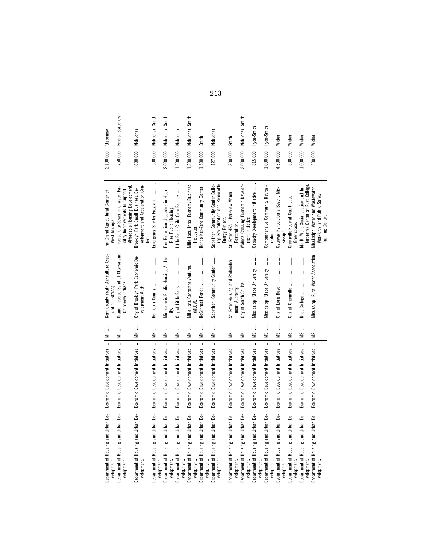| Department of Housing and Urban De-   | Economic Development Initiatives                         | $\frac{1}{2}$<br>$\equiv$ | Kent County Youth Agriculture Asso-<br>ciation (KCYAA) | The Grand Agricultural Center of<br>West Michigan.                                                    | 2,100,000 | Stabenow         |
|---------------------------------------|----------------------------------------------------------|---------------------------|--------------------------------------------------------|-------------------------------------------------------------------------------------------------------|-----------|------------------|
| Department of Housing and Urban De-   | $\cdot$<br>Economic Development Initiatives              | $\frac{1}{2}$<br>₹        | Grand Traverse Band of Ottawa and<br>Chippewa Indians. | Affordable Housing Development<br>Traverse City Sewer and Water Fa-<br>cility Improvements to Support | 750,000   | Peters, Stabenow |
| Department of Housing and Urban De-   | Economic Development Initiatives                         | $\vdots$<br>š             | City of Brooklyn Park Economic De-<br>velopment Auth   | velopment and Acceleration Cen-<br>Brooklyn Park Small Business De-<br>ter.                           | 600,000   | Klobuchar        |
| Department of Housing and Urban De-   | Economic Development Initiatives                         | $\frac{1}{2}$<br>š        |                                                        | Emergency Shelter Program                                                                             | 500,000   | Klobuchar, Smith |
| Housing and Urban De-                 | $\vdots$<br>Economic Development Initiatives             | $\vdots$<br>$\leq$        | Minneapolis Public Housing Author-                     | Fire Protection Upgrades in High-<br>Rise Public Housing.                                             | 2,000,000 | Klobuchar, Smith |
| Housing and Urban De-                 | $\vdots$<br>Economic Development Initiatives             | $\vdots$<br>š             | City of Little Falls                                   | $\cdots$<br>Little Falls Child Care Facility                                                          | 1,500,000 | Klobuchar        |
| Ьė<br>Department of Housing and Urban | $\mathbf i$<br>Economic Development Initiatives          | $\frac{1}{2}$<br>⋚        | Mille Lacs Corporate Ventures<br>(MLCV).               | <b>Mille Lacs Tribal Economy Business</b><br>Incubator.                                               | 1,300,000 | Klobuchar, Smith |
| Housing and Urban De-                 | ŧ<br>Economic Development Initiatives                    | $\vdots$<br>$\leq$        | ReConnect Rondo                                        | Rondo Net-Zero Community Center                                                                       | 1,500,000 | Smith            |
| Department of Housing and Urban De-   | $\mathbf{I}$<br>Economic Development Initiatives         | $\frac{1}{2}$<br>$\leq$   | Sabathani Community Center                             | ing Revitalization and Renewable<br>Sabathani Community Center Build-<br>Energy Project               | 127,000   | Klobuchar        |
| Department of Housing and Urban De-   | Economic Development Initiatives                         | $\frac{1}{2}$<br>š        | St. Peter Housing and Redevelop-<br>nent Authority     | St. Peter HRA-Parkview Manor<br>Restoration.                                                          | 300,000   | Smith            |
| Department of Housing and Urban De-   | $\cdot$<br>Economic Development Initiatives              | $\frac{1}{2}$<br>$\leq$   | City of South St. Paul                                 | Wakota Crossing Economic Develop-<br>ment Initiative.                                                 | 2,000,000 | Klobuchar, Smith |
| ഉ<br>Department of Housing and Urban  | ŧ<br>Economic Development Initiatives                    | $\vdots$<br>S             | Mississippi State University                           | Capacity Development Initiative                                                                       | 815,000   | Hyde-Smith       |
| Housing and Urban De-                 | þ<br>Economic Development Initiatives                    | $\frac{1}{2}$<br>w        | Mississippi State University                           | Comprehensive Community Revital-<br>ization.                                                          | 1,000,000 | Hyde-Smith       |
| Department of Housing and Urban De-   | $\cdot$<br>Economic Development Initiatives              | $\frac{1}{2}$<br>w        | City of Long Beach                                     | Gateway Harbor, Long Beach, Mis-<br>sissippi.                                                         | 4,300,000 | Wicker           |
| Housing and Urban De-                 | $\ddot{\phantom{a}}$<br>Economic Development Initiatives | $\vdots$<br>S             |                                                        | Greenville Federal Courthouse<br>Greenspace.                                                          | 500,000   | Wicker           |
| Housing and Urban De-                 | $\mathbf{i}$<br>Economic Development Initiatives         | $\frac{1}{2}$<br>SM       |                                                        | terpretive Center at Rust College.<br>Ida B. Wells Social Justice and In-                             | 1,000,000 | Wicker           |
| Department of Housing and Urban De-   | Economic Development Initiatives                         | $\frac{1}{2}$<br>ΜS       | Mississippi Rural Water Association                    | Mississippi Water and Wastewater<br>Workforce and Public Safety<br>Training Center.                   | 500,000   | Wicker           |

213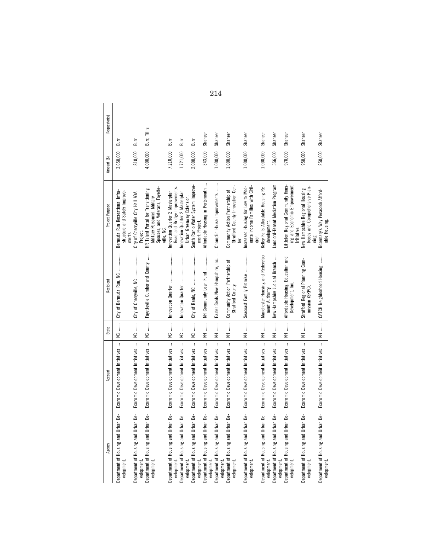| Agency                                            | Account                                      | State                                             | Recipient                                              | Project Purpose                                                                                                     | Amount (\$) | Requestor(s) |
|---------------------------------------------------|----------------------------------------------|---------------------------------------------------|--------------------------------------------------------|---------------------------------------------------------------------------------------------------------------------|-------------|--------------|
| Department of Housing and Urban De-<br>velopment. | Economic Development Initiatives             | NC                                                |                                                        | Bermuda Run Recreational Infra-<br>structure and Safety Improve-<br>ments.                                          | 3,650,000   | Burr         |
| Department of Housing and Urban De-<br>velopment. | $\vdots$<br>Economic Development Initiatives | NC                                                | City of Cherryville, NC                                | City of Cherryville City Hall ADA<br>Project                                                                        | 810,000     | Burr         |
| Department of Housing and Urban De-<br>velopment. | Economic Development Initiatives             | NC                                                | Fayetteville Cumberland County                         | Spouses, and Veterans, Fayette-<br>HR Talent Portal for Transitioning<br>Military Personnel, Military<br>ville, NC. | 4,000,000   | Burr, Tillis |
| Department of Housing and Urban De-<br>velopment. | Economic Development Initiatives             | NC                                                | Innovation Quarter                                     | Road and Bridge Improvements.<br>Innovation Quarter 2 Masterplan                                                    | 7,210,000   | Burr         |
| Department of Housing and Urban De-<br>velopment. | Economic Development Initiatives             | NC                                                |                                                        | Innovation Quarter 2 Masterplan<br>Urban Greenway Extension.                                                        | 1,721,000   | Burr         |
| Department of Housing and Urban De-<br>velopment. | Economic Development Initiatives             |                                                   |                                                        | South Ranlo Water System Improve-<br>ment Project.                                                                  | 2,000,000   | Burr         |
| Department of Housing and Urban De-<br>velopment. | Economic Development Initiatives             |                                                   | NH Community Loan Fund                                 | Affordable Housing in Portsmouth                                                                                    | 343,000     | Shaheen      |
| Department of Housing and Urban De-<br>velopment. | Economic Development Initiatives             | $\begin{array}{c}\n\vdots \\ \hline\n\end{array}$ | Easter Seals New Hampshire, Inc.                       | Champlin House Improvements                                                                                         | 1,000,000   | Shaheen      |
| Department of Housing and Urban De-<br>velopment. | Economic Development Initiatives             |                                                   | Community Action Partnership of<br>Strafford County    | Strafford County Innovation Cen-<br>Community Action Partnership of<br>ter.                                         | 1,000,000   | Shaheen      |
| Department of Housing and Urban De-<br>velopment. | Economic Development Initiatives             | —<br>, , , , , , , , ,                            |                                                        | Increased Housing for Low to Mod-<br>erate Income Families with Chil-<br>dren.                                      | 1,000,000   | Shaheen      |
| Department of Housing and Urban De-<br>velopment. | Economic Development Initiatives             | $\frac{1}{2}$<br>¥                                | Manchester Housing and Redevelop-<br>ment Authority    | Kelley Falls Affordable Housing Re-<br>development                                                                  | 1,000,000   | Shaheen      |
| Department of Housing and Urban De-<br>velopment. | Economic Development Initiatives             | $\ddot{\phantom{a}}$<br>¥                         | New Hampshire Judicial Branch                          | Landlord-Tenant Mediation Program                                                                                   | 556,000     | Shaheen      |
| Department of Housing and Urban De-<br>velopment. | Economic Development Initiatives             | ……<br>H<br>N                                      | Affordable Housing, Education and<br>Development, Inc. | Littleton Regional Community Hous-<br>ing and Economic Empowerment<br>Initiative.                                   | 970,000     | Shaheen      |
| Department of Housing and Urban De-<br>velopment. | Economic Development Initiatives             | $\frac{1}{\mathbf{E}}$                            | Strafford Regional Planning Com-<br>mission (SRPC)     | Needs and Comprehensive Plan-<br>New Hampshire Regional Housing                                                     | 950,000     | Shaheen      |
| Department of Housing and Urban De-<br>velopment  | Economic Development Initiatives             |                                                   | NH  CATCH Neighborhood Housing                         | Rosemary's Way Penacook Afford-<br>able Housing.                                                                    | 250,000     | Shaheen      |

214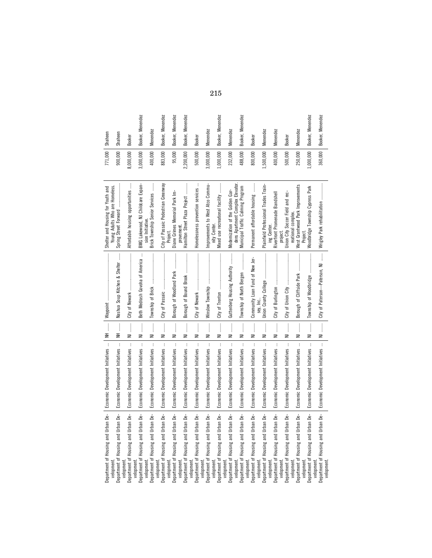| ₹<br>$\mathbf{i}$<br>Economic Development Initiatives<br>Housing and Urban De-    | ļ<br>Nashua Soup Kitchen & Shelter<br>▕<br>$\frac{1}{2}$       | Shelter and Housing for Youth and<br>Young Adults Who are Homeless.  | 771,000<br>900,000 | Shaheen<br>Shaheen |
|-----------------------------------------------------------------------------------|----------------------------------------------------------------|----------------------------------------------------------------------|--------------------|--------------------|
| Ξ<br>$\mathbf{i}$<br>Economic Development Initiatives                             | of Newark<br>City<br>İ                                         | Affordable housing opportunities                                     | 8,000,000          |                    |
| ₹<br>t<br>Economic Development Initiatives                                        | Beth Medrash Govoha of America<br>j                            | BMG Lakewood, NJ Childcare Expan-<br>sion Initiative.                | 3,000,000          | Booker, Menendez   |
| ₹<br>ł<br>Economic Development Initiatives                                        | Township of Brick<br>$\vdots$                                  | İ<br>Brick Township Senior Services                                  | 400,000            | Menendez           |
| Ξ<br>þ<br>Economic Development Initiatives                                        | City of Passaic<br>İ                                           | City of Passaic Pedestrian Greenway<br>Project.                      | 883,000            | Booker, Menendez   |
| ₹<br>þ<br>Economic Development Initiatives                                        | Borough of Woodland Park<br>İ                                  | Diane Grimes Memorial Park Im-                                       | 95,000             | Booker, Menendez   |
| Ξ<br>$\vdots$<br>Economic Development Initiatives                                 | Borough of Bound Brook<br>$\vdots$                             | Hamilton Street Plaza Project<br>provement                           | 2,200,000          | Booker, Menendez   |
| ₹<br>$\mathbf{i}$<br>Economic Development Initiatives                             | of Newark<br>_ٰ<br>İ                                           | Homelessness prevention services                                     | 500,000            | <b>Booker</b>      |
| ₹<br>÷<br>Economic Development Initiatives                                        | Winslow Township<br>İ                                          | Improvements to West Atco Commu-<br>nity Center                      | 3,000,000          | <b>Menendez</b>    |
| Ξ<br>t<br>Economic Development Initiatives                                        | City of Trenton<br>$\ddot{}}$                                  | Viixed use recreational facility                                     | 1,000,000          | Booker, Menendez   |
| ₹<br>$\vdots$<br>Economic Development Initiatives                                 | Guttenberg Housing Authority<br>$\vdots$                       | dens Apartment Complex Elevator.<br>Modernization of the Golden Gar- | 232,000            | Menendez           |
| R<br>þ<br>Economic Development Initiatives                                        | Township of North Bergen<br>j                                  | Municipal Traffic Calming Program                                    | 488,000            | Booker, Menendez   |
| ₹<br>ł<br>Economic Development Initiatives                                        | Community Loan Fund of New Jer-<br>sey,<br>j                   | j<br>Permanent affordable housing                                    | 800,000            | Booker             |
| Ξ<br>$\cdot$<br>Economic Development Initiatives                                  | Union County College<br>$\vdots$                               | Plainfield Professional Trades Train-                                | 1,500,000          | Menendez           |
| ₹<br>t<br>Economic Development Initiatives                                        | Burlington<br>۵Ť<br>Čity                                       | Riverfront Promenade Bandshell<br>ing Center.<br>project.            | 400,000            | Menendez           |
| ₹<br>ŧ<br>Economic Development Initiatives                                        | of Union City<br>_ٰ<br>İ                                       | Union City Soccer Field and rec-<br>reational complex.               | 500,000            | <b>Booker</b>      |
| Ξ<br>$\vdots$<br>Economic Development Initiatives                                 | Borough of Cliffside Park<br>$\vdots$                          | <b>Nest Grantwood Park Improvements</b><br>Project                   | 250,000            | <b>Menendez</b>    |
| Ξ<br>Economic Development Initiatives                                             | Township of Woodbridge<br>İ                                    | Woodbridge Township Cypress Park                                     | 1,000,000          | Booker, Menendez   |
| $\geq$<br>Economic Development Initiatives<br>Department of Housing and Urban De- | $\mathbf{r}$<br>City of Paterson-Paterson, NJ<br>$\frac{1}{2}$ | Wrigley Park rehabilitation                                          | 360,000            | Booker, Menendez   |

215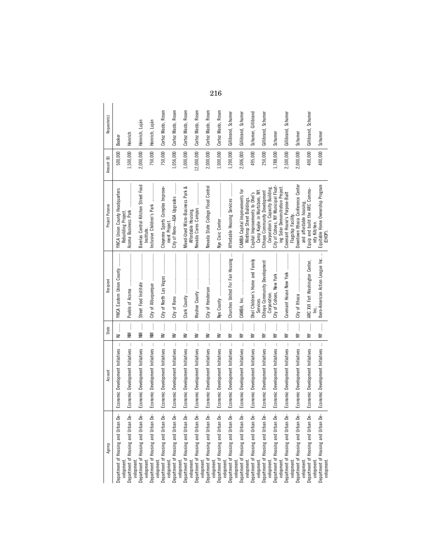| Agency                                                          | Account                                          | State                                                                                                                                                      | Recipient                                                | Project Purpose                                                                                   | Amount (\$) | Requestor(s)        |
|-----------------------------------------------------------------|--------------------------------------------------|------------------------------------------------------------------------------------------------------------------------------------------------------------|----------------------------------------------------------|---------------------------------------------------------------------------------------------------|-------------|---------------------|
| Department of Housing and Urban De-                             | Economic Development Initiatives                 | j<br>Ξ                                                                                                                                                     | YWCA Eastern Union County                                | YWCA Union County Headquarters                                                                    | 500,000     | <b>Booker</b>       |
| Department of Housing and Urban De-<br>velopment.               | $\vdots$<br>Economic Development Initiatives     | $NN$                                                                                                                                                       |                                                          | Acoma Business Park<br>Rebuilding Project.                                                        | 1,500,000   | Heinrich            |
| velopment.<br>Department of Housing and Urban De-<br>velopment. | $\mathbf{I}$<br>Economic Development Initiatives | $\frac{1}{2}$<br>Š                                                                                                                                         | Street Food Institute                                    | Barelas Central Kitchen Street Food<br>Institute.                                                 | 2,000,000   | Heinrich, Luján     |
| Department of Housing and Urban De-<br>velopment.               | $\mathbf{i}$<br>Economic Development Initiatives | $\frac{1}{2}$<br>Š                                                                                                                                         | City of Albuquerque                                      | Inclusive Children's Park                                                                         | 750,000     | Heinrich, Luján     |
| Department of Housing and Urban De-<br>velopment.               | $\mathbf i$<br>Economic Development Initiatives  | $\frac{1}{2}$<br>≧                                                                                                                                         | City of North Las Vegas                                  | Cheyenne Sports Complex Improve-<br>ment Project                                                  | 750,000     | Cortez Masto, Rosen |
| Department of Housing and Urban De-                             | $\cdot$<br>Economic Development Initiatives      | $\frac{1}{2}$<br>≧                                                                                                                                         | City of Reno                                             | City of Reno-ADA Upgrades                                                                         | 1,056,000   | Cortez Masto, Rosen |
| Department of Housing and Urban De-<br>velopment.               | $\vdots$<br>Economic Development Initiatives     | $W$                                                                                                                                                        |                                                          | ంర<br>Mixed-Used Micro-Business Park                                                              | 1,000,000   | Cortez Masto, Rosen |
| velopment.<br>Department of Housing and Urban De-               | $\vdots$<br>Economic Development Initiatives     | $W$                                                                                                                                                        |                                                          | Nevada Cares Campus<br>Affordable Housing.                                                        | 12,000,000  | Cortez Masto, Rosen |
| velopment.<br>Department of Housing and Urban De-               | $\cdot$<br>Economic Development Initiatives      | $\begin{array}{c} \begin{array}{c} 1 \\ 1 \end{array} \\ \begin{array}{c} 1 \end{array} \end{array}$<br>≧                                                  |                                                          | Nevada State College Flood Control                                                                | 2,000,000   | Cortez Masto, Rosen |
| Department of Housing and Urban De-<br>velopment.               | $\mathbf i$<br>Economic Development Initiatives  | $\frac{1}{2}$<br>≧                                                                                                                                         | Nye County                                               | Nye Civic Center                                                                                  | 1,000,000   | Cortez Masto, Rosen |
| velopment.<br>Department of Housing and Urban De-               | ł<br>Economic Development Initiatives            | $\frac{1}{2}$<br>≧                                                                                                                                         | Churches United For Fair Housing                         | Affordable Housing Services                                                                       | 1,200,000   | Gillibrand, Schumer |
| Department of Housing and Urban De-<br>velopment.               | $\vdots$<br>Economic Development Initiatives     | $\begin{array}{c} \begin{array}{c} \begin{array}{c} \begin{array}{c} \end{array} \end{array} \\ \begin{array}{c} \end{array} \end{array} \end{array}$<br>≩ |                                                          | CAMBA Capital Improvements for                                                                    | 2,006,000   | Gillibrand, Schumer |
| Department of Housing and Urban De-<br>velopment.               | Economic Development Initiatives                 | NY                                                                                                                                                         | Ohel Children's Home and Family                          | Capital Improvements to Ohel's<br>Winthrop Street Buildings.                                      | 495,000     | Schumer, Gillibrand |
| velopment.<br>Department of Housing and Urban De-<br>velopment. | $\vdots$<br>Economic Development Initiatives     | NY                                                                                                                                                         | Chhava Community Development<br>Corporation<br>Services. | Corporation's Capacity Building.<br>Camp Kaylie in Wurtsboro, NY.<br>Chhaya Community Development | 250,000     | Gillibrand, Schumer |
| Department of Housing and Urban De-                             | $\mathbf{I}$<br>Economic Development Initiatives | ļ<br>≩                                                                                                                                                     | City of Cohoes, New York                                 | City of Cohoes, NY Municipal Float-                                                               | 1,788,000   | Schumer             |
| Department of Housing and Urban De-<br>velopment.<br>velopment. | $\vdots$<br>Economic Development Initiatives     | ļ<br>≧                                                                                                                                                     | Covenant House New York                                  | ing Solar Demonstration Project.<br>Covenant House's Purpose-Built                                | 2,500,000   | Gillibrand, Schumer |
| Department of Housing and Urban De-<br>velopment.               | $\mathbf i$<br>Economic Development Initiatives  | $\frac{1}{2}$<br>≧                                                                                                                                         | City of Ithaca                                           | Downtown Ithaca Conference Center<br>and affordable housing<br>Flagship Facility.                 | 2,000,000   | Schumer             |
| Department of Housing and Urban De-                             | $\cdot$<br>Economic Development Initiatives      | Î<br>≧                                                                                                                                                     | ARC XVI Fort Washington Center,                          | Equip and build the ARC Commu-                                                                    | 400,000     | Gillibrand, Schumer |
| Department of Housing and Urban De-<br>velopment.<br>velopment. | Economic Development Initiatives                 | $W$                                                                                                                                                        | Ibero-American Action League Inc.                        | Equitable Home Ownership Program<br>nity Kitchen.<br>(EHOP)                                       | 400,000     | Schumer             |

216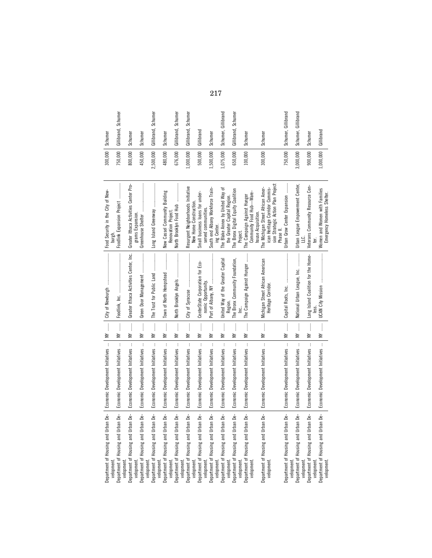| Department of Housing and Urban De-<br>velopment.                  | Economic Development Initiatives                            | $\mathbf{W}$       | $\label{def:conformal} \begin{minipage}{0.9\linewidth} \begin{minipage}{0.9\linewidth} \begin{minipage}{0.9\linewidth} \begin{minipage}{0.9\linewidth} \end{minipage} \begin{minipage}{0.9\linewidth} \begin{minipage}{0.9\linewidth} \end{minipage} \end{minipage} \begin{minipage}{0.9\linewidth} \begin{minipage}{0.9\linewidth} \begin{minipage}{0.9\linewidth} \end{minipage} \end{minipage} \end{minipage} \begin{minipage}{0.9\linewidth} \begin{minipage}{0.9\linewidth} \end{minipage} \end{minipage} \begin{minipage}{0.9\linewidth$<br>City of Newburgh | Food Security in the City of New-<br>burgh.                                                                                     | 300,000 Schumer |                     |
|--------------------------------------------------------------------|-------------------------------------------------------------|--------------------|--------------------------------------------------------------------------------------------------------------------------------------------------------------------------------------------------------------------------------------------------------------------------------------------------------------------------------------------------------------------------------------------------------------------------------------------------------------------------------------------------------------------------------------------------------------------|---------------------------------------------------------------------------------------------------------------------------------|-----------------|---------------------|
| De-<br>Department of Housing and Urban<br>velopment.               | $\overline{\mathbf{a}}$<br>Economic Development Initiatives | $\frac{1}{2}$<br>≧ |                                                                                                                                                                                                                                                                                                                                                                                                                                                                                                                                                                    | Foodlink Expansion Project                                                                                                      | 750,000         | Gillibrand, Schumer |
| ₫<br>Department of Housing and Urban<br>velopment.                 | $\ddot{\phantom{a}}$<br>Economic Development Initiatives    | Ì<br>≧             | Greater Ithaca Activities Center, Inc.                                                                                                                                                                                                                                                                                                                                                                                                                                                                                                                             | Greater Ithaca Activities Center Pro-<br>grams Expansion.                                                                       | 800,000         | Schumer             |
| Ьe<br>Department of Housing and Urban<br>velopment                 | $\vdots$<br>Economic Development Initiatives                | $\vdots$<br>≧      | Green Door Management                                                                                                                                                                                                                                                                                                                                                                                                                                                                                                                                              |                                                                                                                                 | 450,000         | Schumer             |
| Ďe-<br>Department of Housing and Urban<br>velopment                | $\cdot$<br>Economic Development Initiatives                 | ļ<br>≧             | The Trust for Public Land                                                                                                                                                                                                                                                                                                                                                                                                                                                                                                                                          | Long Island Greenway                                                                                                            | 2,500,000       | Gillibrand, Schumer |
| ഉ<br>Department of Housing and Urban                               | $\cdot$<br>Economic Development Initiatives                 | ļ<br>≩             | Town of North Hempstead                                                                                                                                                                                                                                                                                                                                                                                                                                                                                                                                            | New Cassel Community Building                                                                                                   | 480,000         | Schumer             |
| ₫<br>Department of Housing and Urban<br>velopment.                 | $\vdots$<br>Economic Development Initiatives                | j<br>≧             | Brooklyn Angels<br>North                                                                                                                                                                                                                                                                                                                                                                                                                                                                                                                                           | North Brooklyn Food Hub<br>Renovation Project                                                                                   | 676,000         | Gillibrand, Schumer |
| Ьe<br>Department of Housing and Urban<br>velopment.<br>velopment.  | $\mathbf i$<br>Economic Development Initiatives             | ļ<br>≧             |                                                                                                                                                                                                                                                                                                                                                                                                                                                                                                                                                                    | Resurgent Neighborhoods Initiative<br>New Home Construction.                                                                    | 1,000,000       | Gillibrand, Schumer |
| Ďė-<br>Department of Housing and Urban<br>velopment.               | $\mathbf{i}$<br>Economic Development Initiatives            | ļ<br>≧             | CenterState Corporation for Eco-<br>nomic Opportunity                                                                                                                                                                                                                                                                                                                                                                                                                                                                                                              | Small business loans for under-                                                                                                 | 500,000         | Gillibrand          |
| Ьė<br>Department of Housing and Urban                              | $\mathbf{i}$<br>Economic Development Initiatives            | ≧                  |                                                                                                                                                                                                                                                                                                                                                                                                                                                                                                                                                                    | South end Albany Workforce Train-<br>served communities.                                                                        | 1,500,000       | Schumer             |
| Ďė-<br>Department of Housing and Urban<br>velopment.<br>velopment. | $\vdots$<br>Economic Development Initiatives                | ļ<br>≧             | United Way of the Greater Capital<br>Region.                                                                                                                                                                                                                                                                                                                                                                                                                                                                                                                       | The Blake Annex by United Way of<br>the Greater Capital Region.<br>ing Center.                                                  | 1,075,000       | Schumer, Gillibrand |
| Ďe-<br>Department of Housing and Urban                             | đ<br>Economic Development Initiatives                       | ļ<br>≧             | The Bronx Community Foundation,                                                                                                                                                                                                                                                                                                                                                                                                                                                                                                                                    | The Bronx Digital Equity Coalition                                                                                              | 650,000         | Gillibrand, Schumer |
| ₫<br>Department of Housing and Urban<br>velopment.<br>velopment.   | $\mathbf{I}$<br>Economic Development Initiatives            | $\frac{1}{2}$<br>≧ | The Campaign Against Hunger<br><u>ن</u><br>ا                                                                                                                                                                                                                                                                                                                                                                                                                                                                                                                       | Community Food Hub-Ware-<br>The Campaign Against Hunger<br>Project.                                                             | 100,000         | Schumer             |
| ഉ<br>Department of Housing and Urban<br>velopment.                 | Economic Development Initiatives                            | ļ<br>≧             | Michigan Street African American<br>Heritage Corridor                                                                                                                                                                                                                                                                                                                                                                                                                                                                                                              | sion Strategic Action Plan Project<br>The Michigan Street African Amer-<br>ican Heritage Corridor Commis-<br>house Acquisition. | 300,000         | Schumer             |
| Ьe<br>Department of Housing and Urban<br>velopment.                | Economic Development Initiatives                            | ļ<br>≧             |                                                                                                                                                                                                                                                                                                                                                                                                                                                                                                                                                                    | Urban Grow Center Expansion<br>Phase II.                                                                                        | 750,000         | Schumer, Gillibrand |
| Ďe-<br>Department of Housing and Urban<br>velopment.               | $\vdots$<br>Economic Development Initiatives                | j<br>≧             | National Urban League, Inc.                                                                                                                                                                                                                                                                                                                                                                                                                                                                                                                                        | Urban League Empowerment Center,                                                                                                | 3,000,000       | Schumer, Gillibrand |
| ₽ę−<br>Department of Housing and Urban<br>velopment.               | Economic Development Initiatives                            | $W$                | Long Island Coalition for the Home-                                                                                                                                                                                                                                                                                                                                                                                                                                                                                                                                | Veterans Community Resource Cen-<br>ter.                                                                                        | 900,000         | Schumer             |
| De-<br>Department of Housing and Urban<br>velopment                | Economic Development Initiatives                            | $W$                |                                                                                                                                                                                                                                                                                                                                                                                                                                                                                                                                                                    | Women and Women with Families<br>Emergency Homeless Shelter.                                                                    | 1,000,000       | Gillibrand          |

217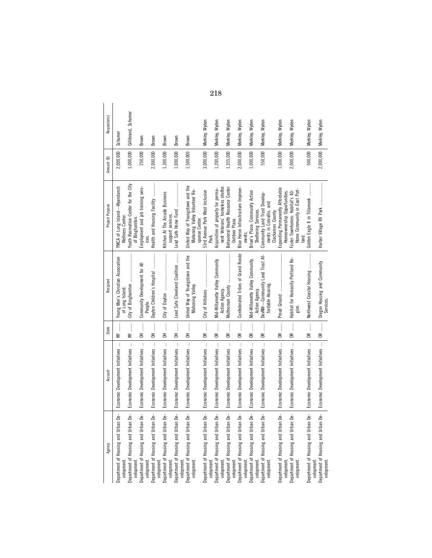| Agency                                            | Account                                          | State              | Recipient                                            | Project Purpose                                                                     | Amount (\$) | Requestor(s)        |
|---------------------------------------------------|--------------------------------------------------|--------------------|------------------------------------------------------|-------------------------------------------------------------------------------------|-------------|---------------------|
| Department of Housing and Urban De-<br>velopment. | Economic Development Initiatives                 | $\mathbf{W}$       | Young Men's Christian Association<br>of Long Island. | YMCA of Long Island-Wyandanch<br>Wellness Center.                                   | 2,000,000   | Schumer             |
| Department of Housing and Urban De-<br>velopment. | $\,$ i<br>Economic Development Initiatives       | NY                 |                                                      | Youth Recreation Center for the City<br>of Binghamton                               | 1,000,000   | Gillibrand, Schumer |
| Department of Housing and Urban De-<br>velopment. | $\cdot$<br>Economic Development Initiatives      | j<br>종             | Community Development for All<br>People.             | Employment and job training serv-                                                   | 250,000     | Brown               |
| Department of Housing and Urban De-<br>velopment. | $\vdots$<br>Economic Development Initiatives     | ļ<br>Ξ             | Dayton Children's Hospital                           | Health and Housing Facility                                                         | 2,000,000   | Brown               |
| Department of Housing and Urban De-<br>velopment. | $\mathbf i$<br>Economic Development Initiatives  | $\frac{1}{2}$<br>종 | City of Dayton                                       | Kitchen At The Arcade Business<br>support services.                                 | 1,300,000   | Brown               |
| Department of Housing and Urban De-<br>velopment. | $\colon$<br>Economic Development Initiatives     | $\vdots$<br>동      | Lead Safe Cleveland Coalition                        |                                                                                     | 1,000,000   | Brown               |
| Department of Housing and Urban De-<br>velopment. | Economic Development Initiatives                 |                    | United Way of Youngstown and the<br>Mahoning Valley  | United Way of Youngstown and the<br>Mahoning Valley Volunteer Re-<br>sponse Center. | 1,500,000   | Brown               |
| Department of Housing and Urban De-<br>velopment. | Economic Development Initiatives                 | OR                 |                                                      | 53rd Avenue Park West Inclusive                                                     | 3,000,000   | Merkley, Wyden      |
| Department of Housing and Urban De-<br>velopment. | Economic Development Initiatives                 | ር<br>መ             | Mid-Willamette Valley Community<br>Action Agency.    | nent Veterans' homeless shelter.<br>Acquisition of property for perma-              | 1,200,000   | Merkley, Wyden      |
| Department of Housing and Urban De-<br>velopment. | $\vdots$<br>Economic Development Initiatives     | 0R                 | Multnomah County                                     | Behavioral Health Resource Center<br>Outdoor Plaza.                                 | 1,355,000   | Merkley, Wyden      |
| Department of Housing and Urban De-<br>velopment. | $\vdots$<br>Economic Development Initiatives     | OR                 | Confederated Tribes of Grand Ronde                   | Blue Heron Infrastructure Improve-<br>ments.                                        | 2,000,000   | Merkley, Wyden      |
| Department of Housing and Urban De-<br>velopment. | $\mathbf{i}$<br>Economic Development Initiatives | ļ<br>$\approx$     | Mid-Willamette Valley Community<br>Action Agency.    | Brian's Place: Community Action<br>Sheltering Services.                             | 1,000,000   | Merkley, Wyden      |
| Department of Housing and Urban De-<br>velopment. | $\cdot$<br>Economic Development Initiatives      | OR                 | DevNW—Community Land Trust Af-<br>fordable Housing.  | Community Land Trust Develop-<br>ments in Corvallis, and<br>Clackamas County.       | 550,000     | Merkley, Wyden      |
| Department of Housing and Urban De-<br>velopment. | Economic Development Initiatives                 | 0R                 | Proud Ground                                         | Expanding Permanently Affordable<br>Homeownership Opportunities.                    | 1,000,000   | Merkley, Wyden      |
| Department of Housing and Urban De-<br>velopment. | $\vdots$<br>Economic Development Initiatives     | ļ<br>$\approx$     | Habitat for Humanity Portland Re-<br>gion.           | Home Community in East Port-<br>Foster Townhomes: Habitat's 40-<br>land.            | 2,000,000   | Merkley, Wyden      |
| Department of Housing and Urban De-<br>velopment. | Economic Development Initiatives                 | OR                 | Northwest Coastal Housing                            | Golden Eagle II in Tillamook                                                        | 500,000     | Merkley, Wyden      |
| Department of Housing and Urban De-<br>velopment. | Economic Development Initiatives    OR           |                    | Oregon Housing and Community<br>Services.            | Harbor Village RV Park                                                              | 2,000,000   | Merkley, Wyden      |

218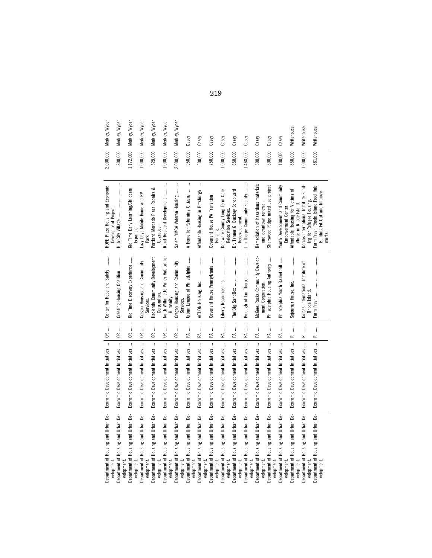| Merkley, Wyden                                                                      | Merkley, Wyden                                      | Wyden<br>Merkley,                                                  | Wyden<br>Merkley,                                 | Wyden<br>Merkley,                                 | Wyden<br>Merkley,                                 | Wyden<br>Merkley,                                   | Casey                                                                                                                     | Casey                                                | Casey                                             | Casey                                                  | Casey                                               | Casey                                                | Casey                                                      | Casey                                             | Casey                                                  | Whitehouse                                                    | Whitehouse                                                       | Whitehouse                                                                   |
|-------------------------------------------------------------------------------------|-----------------------------------------------------|--------------------------------------------------------------------|---------------------------------------------------|---------------------------------------------------|---------------------------------------------------|-----------------------------------------------------|---------------------------------------------------------------------------------------------------------------------------|------------------------------------------------------|---------------------------------------------------|--------------------------------------------------------|-----------------------------------------------------|------------------------------------------------------|------------------------------------------------------------|---------------------------------------------------|--------------------------------------------------------|---------------------------------------------------------------|------------------------------------------------------------------|------------------------------------------------------------------------------|
| 2,000,000                                                                           | 800,000                                             | 1,172,000                                                          | 000,000,                                          | 529,000                                           | 000,000,                                          | 2,000,000                                           | 950,000                                                                                                                   | 500,000                                              | 750,000                                           | 1,000,000                                              | 650,000                                             | 1,468,000                                            | 500,000                                                    | 500,000                                           | 100,000                                                | 850,000                                                       | 1,000,000                                                        | 581,000                                                                      |
| HOPE Plaza Housing and Economic<br>Development Project.                             | Hub City Village                                    | Kid Time Early Learning/Childcare<br>Expansion                     | ⋧<br>Lazy Days Mobile Home and<br>Park.           | ంర<br>Portland Mercado Plaza Repairs<br>Upgrades. | Rural Resident Development                        | Salem YMCA Veteran Housing                          | İ<br>A Home for Returning Citizens                                                                                        | ŧ<br>Affordable Housing in Pittsburgh                | Covenant House PA Transition<br>Housing.          | Delaware County Long-Term Care<br>Relocation Services. | Dr. Tanner G. Duckrey Schoolyard<br>Redevelopment   | lim Thorpe Community Facility                        | Remediation of hazardous materials<br>and downtown renewal | Sharswood Ridge mixed use project                 | Youth Development and Community<br>Empowerment Center. | 눙<br>Affordable Housing for Victims<br>Abuse in Rhode Island. | Dorcas International Institute Fund-<br>ing for Refugee Housing. | Farm Fresh Rhode Island Food Hub:<br>Building Fit Out and Improve-<br>ments. |
| OR  Center for Hope and Safety                                                      | Creating Housing Coalition                          | Kid Time Discovery Experience                                      | Oregon Housing and Community<br>Services.         | Hacienda Community Development<br>Corporation     | 후<br>North Willamette Valley Habitat<br>Humanity. | Oregon Housing and Community<br>Services.           | $\begin{array}{c} \begin{array}{c} \bullet \\ \bullet \\ \bullet \end{array} \end{array}$<br>Urban League of Philadelphia | ACTION-Housing, Inc.                                 | Covenant House Pennsylvania                       |                                                        |                                                     | Borough of Jim Thorpe                                | McKees Rocks Community Develop-<br>ment Corporation.       | Philadelphia Housing Authority                    | Philadelphia Youth Basketball                          | Sojourner House, Inc.                                         | Dorcas International Institute of<br>Rhode Island.               | Farm Fresh                                                                   |
|                                                                                     | $\vdots$<br>$\approx$                               | $\begin{array}{c} \vdots \\ \vdots \\ \vdots \end{array}$<br>$\in$ | $\frac{1}{2}$<br>$\epsilon$                       | ļ<br>g                                            | ļ<br>g                                            | $\vdots$<br>g                                       | $\vdots$<br>£                                                                                                             | $\begin{array}{c} \vdots \\ \vdots \end{array}$<br>£ | $\frac{1}{2}$<br>£                                | $\frac{1}{2}$<br>£                                     | $\frac{1}{2}$<br>£                                  | $\vdots$<br>£                                        | ļ<br>£                                                     | ļ<br>£                                            | ļ<br>£                                                 | j<br>ᇎ                                                        | ļ<br>ᄒ                                                           | j<br>$\overline{\mathbf{r}}$                                                 |
|                                                                                     | $\mathbf{I}$<br>Economic Development Initiatives    | $\colon$<br>Economic Development Initiatives                       | $\mathbf{r}$<br>Economic Development Initiatives  | þ<br>Economic Development Initiatives             | Economic Development Initiatives                  | t<br>Economic Development Initiatives               | ŧ<br>Economic Development Initiatives                                                                                     | $\vdots$<br>Economic Development Initiatives         | $\mathbf i$<br>Economic Development Initiatives   | $\mathbf{i}$<br>Economic Development Initiatives       | $\mathbf{I}$<br>Economic Development Initiatives    | $\mathbf{I}$<br>Economic Development Initiatives     | t<br>Economic Development Initiatives                      | ŧ<br>Economic Development Initiatives             | ŧ<br>Economic Development Initiatives                  | Economic Development Initiatives                              | Economic Development Initiatives                                 | Economic Development Initiatives                                             |
| Department of Housing and Urban De-   Economic Development Initiatives<br>velopment | Housing and Urban De-<br>Department of<br>velopment | Housing and Urban De-<br>Department of<br>velopment                | Department of Housing and Urban De-<br>velopment. | Department of Housing and Urban De-<br>velopment. | Department of Housing and Urban De-<br>velopment  | Housing and Urban De-<br>Department of<br>velopment | Department of Housing and Urban De-<br>velopment.                                                                         | Department of Housing and Urban De-<br>velopment.    | Department of Housing and Urban De-<br>velopment. | Housing and Urban De-<br>Department of<br>velopment    | Housing and Urban De-<br>Department of<br>velopment | Housing and Urban De-<br>Department of<br>velopment. | Department of Housing and Urban De-<br>velopment.          | Department of Housing and Urban De-<br>velopment. | Housing and Urban De-<br>Department of<br>velopment    | Housing and Urban De-<br>Department of<br>velopment           | Department of Housing and Urban De-<br>velopment.                | Department of Housing and Urban De-<br>velopment                             |

219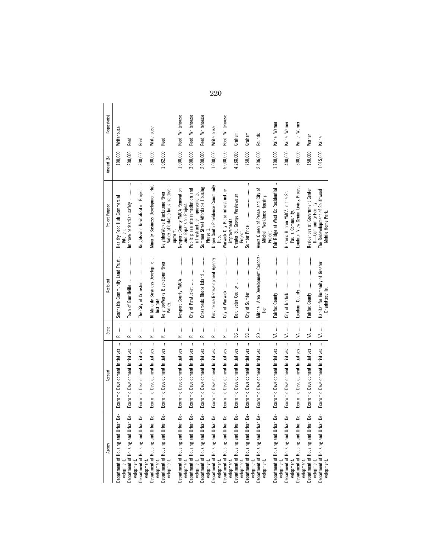| Agency                                                          | Account                                                  | State                                                                                                             | Recipient                                           | Project Purpose                                                                                                                                                                                                                                                                                                                                                                                                                                                                                                                 | Amount (\$) | Requestor(s)     |
|-----------------------------------------------------------------|----------------------------------------------------------|-------------------------------------------------------------------------------------------------------------------|-----------------------------------------------------|---------------------------------------------------------------------------------------------------------------------------------------------------------------------------------------------------------------------------------------------------------------------------------------------------------------------------------------------------------------------------------------------------------------------------------------------------------------------------------------------------------------------------------|-------------|------------------|
| Department of Housing and Urban De-                             | $\vdots$<br>Economic Development Initiatives             | $R = 1$                                                                                                           | Southside Community Land Trust                      | Healthy Food Hub Commercial                                                                                                                                                                                                                                                                                                                                                                                                                                                                                                     | 190,000     | Whitehouse       |
| Department of Housing and Urban De-<br>velopment.               | $\vdots$<br>Economic Development Initiatives             | $\begin{array}{c} \vdots \\ \vdots \\ \vdots \end{array}$<br>ᇎ                                                    |                                                     | $[ \begin{array}{cccccccccccc} \multicolumn{3}{c}{} & \multicolumn{3}{c}{} & \multicolumn{3}{c}{} & \multicolumn{3}{c}{} & \multicolumn{3}{c}{} & \multicolumn{3}{c}{} & \multicolumn{3}{c}{} & \multicolumn{3}{c}{} & \multicolumn{3}{c}{} & \multicolumn{3}{c}{} & \multicolumn{3}{c}{} & \multicolumn{3}{c}{} & \multicolumn{3}{c}{} & \multicolumn{3}{c}{} & \multicolumn{3}{c}{} & \multicolumn{3}{c}{} & \multicolumn{3}{c}{} & \multicolumn{3}{c}{} & \multicolumn{3}{c}{} & \$<br>Improve pedestrian safety<br>Kitchen. | 200,000     | Reed             |
| Department of Housing and Urban De-<br>velopment.               | $\vdots$<br>Economic Development Initiatives             | $\ddot{\phantom{a}}$<br>ᄒ                                                                                         |                                                     | $\ddot{\cdot}$<br>Knightsville Revitalization Project                                                                                                                                                                                                                                                                                                                                                                                                                                                                           | 300,000     | Reed             |
| Department of Housing and Urban De-<br>velopment.<br>velopment. | $\vdots$<br>Economic Development Initiatives             | $\overline{\approx}$                                                                                              | RI Minority Business Development<br>Institute.      | Minority Business Development Hub                                                                                                                                                                                                                                                                                                                                                                                                                                                                                               | 500,000     | Whitehouse       |
| Department of Housing and Urban De-<br>velopment.               | $\frac{1}{3}$<br>Economic Development Initiatives        | $\frac{1}{2}$<br>ᄒ                                                                                                | NeighborWorks Blackstone River<br>Valley.           | Valley affordable housing devel<br>NeighborWorks Blackstone River                                                                                                                                                                                                                                                                                                                                                                                                                                                               | 1,082,000   | Reed             |
| Department of Housing and Urban De-                             | $\vdots$<br>Economic Development Initiatives             | RI                                                                                                                |                                                     | Newport County YMCA Renovation<br>opment.                                                                                                                                                                                                                                                                                                                                                                                                                                                                                       | 1,000,000   | Reed, Whitehouse |
| Department of Housing and Urban De-<br>velopment.               | Economic Development Initiatives                         | $\ddot{\ddot{\phantom{a}}}\,$<br>$\overline{\mathbb{R}}$                                                          |                                                     | Public plaza site remediation and<br>and Expansion Project.                                                                                                                                                                                                                                                                                                                                                                                                                                                                     | 3,000,000   | Reed, Whitehouse |
| Department of Housing and Urban De-<br>velopment.               | $\ddot{\phantom{a}}$<br>Economic Development Initiatives | $\begin{array}{c} \vdots \\ \vdots \\ \vdots \end{array}$<br>$\overline{\approx}$                                 | Crossroads Rhode Island                             | Summer Street Affordable Housing<br>infrastructure improvements.                                                                                                                                                                                                                                                                                                                                                                                                                                                                | 2,000,000   | Reed, Whitehouse |
| Department of Housing and Urban De-<br>velopment.               | $\colon$<br>Economic Development Initiatives             | j<br>ᇎ                                                                                                            | Providence Redevelopment Agency                     | Upper South Providence Community<br>Phase 1.                                                                                                                                                                                                                                                                                                                                                                                                                                                                                    | 1,000,000   | Whitehouse       |
| Department of Housing and Urban De-<br>velopment.               | $\vdots$<br>Economic Development Initiatives             | $\begin{array}{c} \begin{array}{c} \bullet \\ \bullet \\ \bullet \end{array} \end{array}$<br>$\overline{\approx}$ | City of Warwick                                     | Warwick City Plaza infrastructure                                                                                                                                                                                                                                                                                                                                                                                                                                                                                               | 5,000,000   | Reed, Whitehouse |
| Department of Housing and Urban De-<br>velopment.               | Economic Development Initiatives                         |                                                                                                                   | Dorchester County                                   | Greater St. George Wastewater<br>improvements.                                                                                                                                                                                                                                                                                                                                                                                                                                                                                  | 4,288,000   | Graham           |
| Department of Housing and Urban De-<br>velopment.               | Economic Development Initiatives                         |                                                                                                                   |                                                     | Project.                                                                                                                                                                                                                                                                                                                                                                                                                                                                                                                        | 750,000     | Graham           |
| Department of Housing and Urban De-<br>velopment.<br>velopment. | Economic Development Initiatives                         | $\frac{1}{2}$ = 00                                                                                                | Mitchell Area Development Corpora-<br>tion.         | Avera Queen of Peace and City of<br>Mitchell Workforce Housing                                                                                                                                                                                                                                                                                                                                                                                                                                                                  | 2,406,000   | Rounds           |
| Department of Housing and Urban De-                             | Economic Development Initiatives                         | $\frac{1}{2}$<br>≶                                                                                                | Fairfax County                                      | $\colon$<br>Fair Ridge at West Ox Residential<br>Project.                                                                                                                                                                                                                                                                                                                                                                                                                                                                       | 1,700,000   | Kaine, Warner    |
| Department of Housing and Urban De-<br>velopment.               | $\vdots$<br>Economic Development Initiatives             | $\vdots$<br>≶                                                                                                     | City of Norfolk                                     | ಕ<br>Historic Hunton YMCA in the<br>Paul's Community.                                                                                                                                                                                                                                                                                                                                                                                                                                                                           | 400,000     | Kaine, Warner    |
| Department of Housing and Urban De-<br>velopment.<br>velopment. | Economic Development Initiatives                         | $\vdots$<br>≸                                                                                                     |                                                     | Loudoun View Senior Living Project                                                                                                                                                                                                                                                                                                                                                                                                                                                                                              | 500,000     | Kaine, Warner    |
| Department of Housing and Urban De-                             | Economic Development Initiatives                         | VA                                                                                                                |                                                     | Residences at Government Center                                                                                                                                                                                                                                                                                                                                                                                                                                                                                                 | 150,000     | Warner           |
| Department of Housing and Urban De-<br>velopment.<br>velopment  | Economic Development Initiatives                         |                                                                                                                   | Habitat for Humanity of Greater<br>Charlottesville. | The Redevelopment of Southwood<br>II-Community Facility.<br>Mobile Home Park.                                                                                                                                                                                                                                                                                                                                                                                                                                                   | 1,015,000   | Kaine            |

220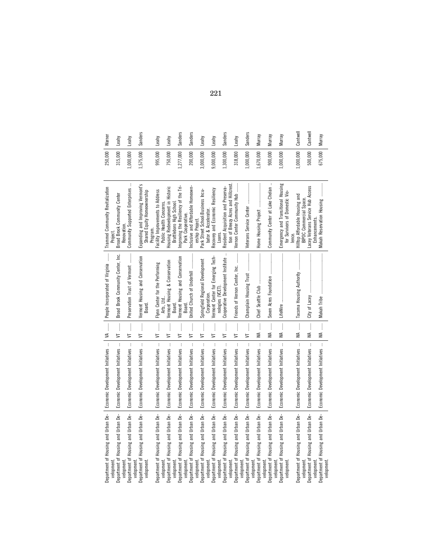| Warner                                                       | Leahy                                       | Leahy                            | Sanders                                                          | Leahy                                                                 | Leahy                                                         | Sanders                                   | Sanders                                                                   | Leahy                             | Leahy                                                                | Sanders                                      | Leahy                                                             | Sanders                          | Murray                                 | Murray                                     | Murray                                                               | Cantwell                                                            | Cantwell                                          | Murray                              |
|--------------------------------------------------------------|---------------------------------------------|----------------------------------|------------------------------------------------------------------|-----------------------------------------------------------------------|---------------------------------------------------------------|-------------------------------------------|---------------------------------------------------------------------------|-----------------------------------|----------------------------------------------------------------------|----------------------------------------------|-------------------------------------------------------------------|----------------------------------|----------------------------------------|--------------------------------------------|----------------------------------------------------------------------|---------------------------------------------------------------------|---------------------------------------------------|-------------------------------------|
| 250,000                                                      | 315,000                                     | 1,000,000                        | 1,575,000                                                        | 995,000                                                               | 750,000                                                       | ,277,000                                  | 200,000                                                                   | 3,000,000                         | 9,000,000                                                            | 1,300,000                                    | 318,000                                                           | 1,000,000                        | 1,670,000                              | 900,000                                    | 1,000,000                                                            | 1,000,000                                                           | 500,000                                           | 675,000                             |
| Trammel Community Revitalization<br>Project                  | Broad Brook Community Center<br>Renovation. | Community Supported Enterprises  | Expanding and Improving Vermont's<br>Shared Equity Homeownership | acility Improvements to Address<br>Public Health Concerns.<br>rogram. | Housing Redevelopment in Historic<br>Brattleboro High School. | Improving the Resiliency of the Tri-      | Inclusive and Affordable Homeown-<br>Park Cooperative.<br>ership Project. | Park Street School:Business Incu- | Recovery and Economic Resiliency<br>bator & Accelerator              | Resident Acquisition and Preserva-<br>Loans. | Vernon Center Community Hub<br>tion of Breezy Acres and Hillcrest |                                  | Home Housing Project                   | $\cdot$<br>Community Center at Lake Chelan | Emergency and Transitional Housing<br>for Survivors of Domestic Vio- | Hilltop Affordable Housing and<br>BIPOC Commercial Space.<br>lence. | Lacey Veterans Service Hub Access<br>Enhancements | Makah Reservation Housing           |
| People Incorporated of Virginia                              | Broad Brook Community Center, Inc.          | Preservation Trust of Vermont    | Vermont Housing and Conservation<br>Board.                       | Flynn Center for the Performing<br>Arts, Ltd                          | Vermont Housing & Conservation<br>Board.                      | Vermont Housing and Conservation<br>Board | United Church of Underhill                                                | Springfield Regional Development  | Vermont Center for Emerging Tech-<br>nologies (VCET)<br>Corporation. | Cooperative Development Institute            | Friends of Vernon Center, Inc.                                    | Champlain Housing Trust          | Chief Seattle Club                     | Seven Acres Foundation                     | LifeWire                                                             | Tacoma Housing Authority                                            | City of Lacey                                     |                                     |
| $\begin{array}{c} \n \mathbf{M} & \dots & \dots \end{array}$ | $\frac{1}{2}$<br>5                          | l<br>5                           | $\frac{1}{2}$<br>5                                               | l<br>5                                                                | İ<br>⋚                                                        | ļ<br>5                                    | ļ<br>5                                                                    | ļ<br>5                            | ļ<br>5                                                               | 5                                            | $\frac{1}{2}$<br>5                                                | $\frac{1}{2}$<br>$\equiv$        | ļ<br>≸                                 | $\vdots$<br>≸                              | $\vdots$<br>≸                                                        | $\vdots$<br>≸                                                       | $\vdots$<br>≸                                     | $M$ $\parallel$                     |
| Economic Development Initiatives                             | Economic Development Initiatives            | Economic Development Initiatives | $\mathbf{i}$<br>Economic Development Initiatives                 | $\cdot$<br>Economic Development Initiatives                           | Economic Development Initiatives                              | Economic Development Initiatives          | Economic Development Initiatives                                          | Economic Development Initiatives  | $\vdots$<br>Economic Development Initiatives                         | Economic Development Initiatives             | $\mathbf{i}$<br>Economic Development Initiatives                  | Economic Development Initiatives | Economic Development Initiatives       | Economic Development Initiatives           | $\mathbf{i}$<br>Economic Development Initiatives                     | $\cdot$<br>Economic Development Initiatives                         | ŧ<br>Economic Development Initiatives             | Economic Development Initiatives    |
| Department of Housing and Urban De-                          | Housing and Urban De-                       | Housing and Urban De-            | Department of Housing and Urban De-                              | Department of Housing and Urban De-                                   | Department of Housing and Urban De-                           | Housing and Urban De-                     | Department of Housing and Urban De-                                       | Housing and Urban De-             | Department of Housing and Urban De-                                  | Department of Housing and Urban De-          | Housing and Urban De-                                             | Housing and Urban De-            | and Urban De-<br>Department of Housing | and Urban De-<br>Housing:                  | Department of Housing and Urban De-                                  | Department of Housing and Urban De-                                 | Housing and Urban De-                             | Department of Housing and Urban De- |
|                                                              | Department of<br>velopment<br>velopment     | Department of                    | velopment<br>velopment                                           | velopment                                                             | velopment                                                     | Department of                             | velopment<br>velopment                                                    | Department of                     | velopment                                                            | velopment                                    | Department of<br>velopment                                        | Department of<br>velopment       | velopment<br>velopment                 | Department of                              | velopment<br>velopment                                               | velopment.                                                          | Department of<br>velopment                        | velopment                           |

221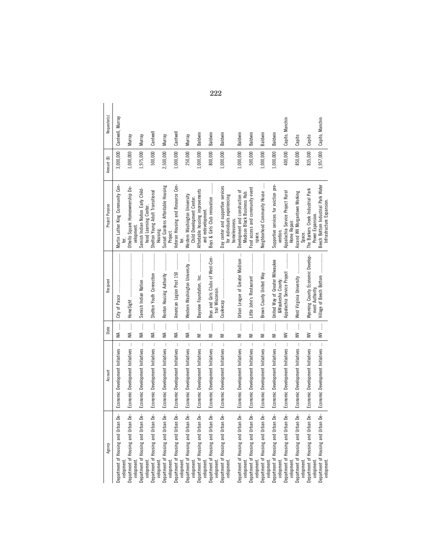| Agency                                                          | Account                                      | State                                                                                                                                                           | Recipient                                            | Project Purpose                                                                     | Amount (\$) | Requestor(s)     |
|-----------------------------------------------------------------|----------------------------------------------|-----------------------------------------------------------------------------------------------------------------------------------------------------------------|------------------------------------------------------|-------------------------------------------------------------------------------------|-------------|------------------|
| Department of Housing and Urban De-<br>velopment                | $\colon$<br>Economic Development Initiatives | $\frac{1}{2}$<br>≸                                                                                                                                              | City of Pasco                                        | Martin Luther King Community Cen-                                                   | 3,000,000   | Cantwell, Murray |
| Department of Housing and Urban De-<br>velopment.               | Economic Development Initiatives             | $\frac{1}{2}$<br>≸                                                                                                                                              |                                                      | Othello Square Homeownership De-<br>velopment.                                      | 1,000,000   | Murray           |
| Department of Housing and Urban De-                             | Economic Development Initiatives             | WA                                                                                                                                                              |                                                      | Samish Indian Nation Early Child-                                                   | 1,975,000   | Murray           |
| Department of Housing and Urban De-<br>velopment.               | Economic Development Initiatives             | $\vdots$<br>≸                                                                                                                                                   | Shelton Youth Connection                             | Shelton Young Adult Transitional<br>hood Learning Center.<br>Housing.               | 500,000     | Cantwell         |
| Department of Housing and Urban De-<br>velopment.<br>velopment  | $\cdot$<br>Economic Development Initiatives  | $\frac{1}{2}$<br>≸                                                                                                                                              | Renton Housing Authority                             | Sunset Gardens Affordable Housing<br>Project.                                       | 2,500,000   | Миггау           |
| Department of Housing and Urban De-                             | Economic Development Initiatives             | $\frac{1}{2}$<br>≸                                                                                                                                              | American Legion Post 150                             | Veteran Housing and Resource Cen-                                                   | 1,000,000   | Cantwell         |
| Department of Housing and Urban De-<br>velopment.               | Economic Development Initiatives             | $M$                                                                                                                                                             | Western Washington University                        | Western Washington University<br>Child Development Center.<br>ter.                  | 250,000     | Murray           |
| Department of Housing and Urban De-<br>velopment.               | Economic Development Initiatives             | ļ<br>$\geq$                                                                                                                                                     | Bayview Foundation, Inc.                             | Affordable housing improvements                                                     | 1,000,000   | Baldwin          |
| Department of Housing and Urban De-<br>velopment<br>velopment   | $\vdots$<br>Economic Development Initiatives | $\vdots$<br>$\geq$                                                                                                                                              | Boys and Girls Clubs of West-Cen-<br>tral Wisconsin. | Boys & Girls Club renovation<br>and redevelopment                                   | 800,000     | Baldwin          |
| Department of Housing and Urban De-<br>velopment                | Economic Development Initiatives             | ļ<br>₹                                                                                                                                                          |                                                      | Day center and supportive services<br>for individuals experiencing                  | 1,000,000   | Baldwin          |
| Department of Housing and Urban De-<br>velopment.               | Economic Development Initiatives             | $\begin{array}{c} \begin{array}{c} \begin{array}{c} \begin{array}{c} \end{array} \\ \begin{array}{c} \end{array} \end{array} \end{array} \end{array}$<br>$\geq$ | Urban League of Greater Madison                      | Development and construction of<br>Madison Black Business Hub.<br>homelessness.     | 1,000,000   | Baldwin          |
| Department of Housing and Urban De-                             | $\vdots$<br>Economic Development Initiatives | $\vdots$<br>$\geq$                                                                                                                                              |                                                      | Food access and community event                                                     | 500,000     | Baldwin          |
| Department of Housing and Urban De-<br>velopment                | Economic Development Initiatives             | $\begin{array}{c} \begin{array}{c} 1 \\ 1 \end{array} \end{array}$<br>₹                                                                                         |                                                      | Neighborhood Community House                                                        | 1,000,000   | Baldwin          |
| Department of Housing and Urban De-<br>velopment.<br>velopment. | Economic Development Initiatives             | $\frac{1}{2}$<br>$\geq$                                                                                                                                         | United Way of Greater Milwaukee<br>&Waukesha County. | Supportive services for eviction pre-<br>vention                                    | 1,000,000   | Baldwin          |
| Department of Housing and Urban De-                             | Economic Development Initiatives             | $\vdots$<br>$\geq$                                                                                                                                              | Appalachia Service Project                           | Appalachia Service Project Rural                                                    | 400,000     | Capito, Manchin  |
| Department of Housing and Urban De-<br>velopment.<br>velopment  | $\vdots$<br>Economic Development Initiatives | $\vdots$<br>$\geq$                                                                                                                                              |                                                      | Ascend WV Morgantown Working<br>Home Repair.<br>Space.                              | 850,000     | Capito           |
| Department of Housing and Urban De-                             | Economic Development Initiatives             | $\frac{1}{2}$<br>≩                                                                                                                                              | Wyoming County Economic Develop-                     | The Barkers Creek Industrial Park                                                   | 835,000     | Capito           |
| Department of Housing and Urban De-<br>velopment.<br>velopment  | Economic Development Initiatives             | $W$                                                                                                                                                             | ment Authority.                                      | Beech Bottom Industrial Park Water<br>Infrastructure Expansion.<br>Power Expansion. | 1,957,000   | Capito, Manchin  |

222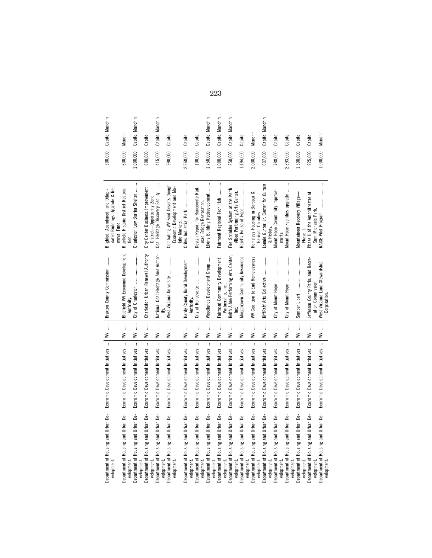|                                     | Department of Housing and Urban De-   Economic Development Initiatives | $\begin{array}{c} \mathbf{W} & \ldots \end{array}$ | Braxton County Commission                                | Blighted, Abandoned, and Dilapi-                                                  |           | 500,000   Capito, Manchin |
|-------------------------------------|------------------------------------------------------------------------|----------------------------------------------------|----------------------------------------------------------|-----------------------------------------------------------------------------------|-----------|---------------------------|
|                                     |                                                                        |                                                    |                                                          | dated Buildings Upgrade & Re-<br>moval Fund.                                      |           |                           |
| Department of Housing and Urban De- | $\mathbf{i}$<br>Economic Development Initiatives                       | $\vdots$<br>$\geq$                                 | Bluefield WV Economic Development<br>Authority           | Bluefield Historic District Restora-                                              | 600,000   | Manchin                   |
| Department of Housing and Urban De- | Economic Development Initiatives                                       | ļ<br>≩                                             | City of Charleston                                       | Charleston Low Barrier Shelter                                                    | 1,000,000 | Capito, Manchin           |
| Housing and Urban De-               | $\mathbf{i}$<br>Economic Development Initiatives                       | ļ<br>≩                                             | Charleston Urban Renewal Authority                       | City Center Business Improvement<br>District-Opportunity Zone.                    | 600,000   | Capito                    |
| Housing and Urban De-               | $\mathbf{r}$<br>Economic Development Initiatives                       | $\vdots$<br>≩                                      | National Coal Heritage Area Author-                      | Coal Heritage Discovery Facility                                                  | 415,000   | Capito, Manchin           |
| Department of Housing and Urban De- | Economic Development Initiatives                                       | $\frac{1}{2}$<br>≩                                 | West Virginia University                                 | Combating WV Food Deserts though<br>Economic Development and Mo-<br>bile Markets. | 990,000   | Capito                    |
| Department of Housing and Urban De- | $\mathbf{I}$<br>Economic Development Initiatives                       | $\vdots$<br>≩                                      | Hardy County Rural Development                           |                                                                                   | 2,268,000 | Capito                    |
| Housing and Urban De-               | j.<br>Economic Development Initiatives                                 | $\frac{1}{2}$<br>≩                                 | City of Ronceverte                                       | Design Report for Ronceverte Rail-                                                | 100,000   | Capito                    |
| Housing and Urban De-               | $\mathbf{i}$<br>Economic Development Initiatives                       | ļ<br>≩                                             | Woodlands Development Group                              | Elkins Building Redevelopment<br>road Bridge Restoration.                         | 1,750,000 | Capito, Manchin           |
| Housing and Urban De-               | Economic Development Initiatives                                       | $\vdots$<br>≩                                      | Fairmont Community Development                           | Fairmont Regional Tech Hub                                                        | 1,000,000 | Capito, Manchin           |
| Department of Housing and Urban De- | Economic Development Initiatives                                       | ļ<br>≩                                             | Keith Albee Performing Arts Center,<br>Partnership, Inc. | Fire Sprinkler System at the Keith                                                | 250,000   | Capito, Manchin           |
| Department of Housing and Urban De- | ł<br>Economic Development Initiatives                                  | $\vdots$<br>≩                                      | Morgantown Community Resources                           | Albee Performing Arts Center.<br>Hazel's House of Hope                            | 1,194,000 | Capito                    |
| Housing and Urban De-               | $\mathbf{r}$<br>Economic Development Initiatives                       | $\vdots$<br>≩                                      | WV Coalition to End Homelessness                         | ంర<br>Homeless Housing in Barbour                                                 | 2,000,000 | Manchin                   |
| Housing and Urban De-               | Economic Development Initiatives                                       | $\vdots$<br>$\geq$                                 | RiffRaff Arts Collective                                 | Lonnie Gunter, Jr. Center for Culture<br>Harrison Counties.                       | 637,000   | Capito, Manchin           |
| Housing and Urban De-               | Economic Development Initiatives                                       | $\vdots$<br>≩                                      | City of Mount Hope                                       | Mount Hope Community Improve-<br>& Histony                                        | 788,000   | Capito                    |
| Housing and Urban De-               | Economic Development Initiatives                                       | $\vdots$<br>≩                                      | City of Mount Hope                                       | Mount Hope Facilities upgrade<br>ments.                                           | 2,393,000 | Capito                    |
| Housing and Urban De-               | $\mathbf{i}$<br>Economic Development Initiatives                       | $\vdots$<br>≩                                      | Semper Liberi                                            | Mountaineer Recovery Village-                                                     | 1,500,000 | Capito                    |
| Department of Housing and Urban De- | Economic Development Initiatives                                       | $\vdots$<br>≩                                      | Jefferson County Parks and Recre-                        | t<br>Phase II of the Amphitheatre<br>Phase 1                                      | 925,000   | Capito                    |
|                                     |                                                                        |                                                    | ation Commission.                                        | Sam Michaels Park.                                                                |           |                           |
| Department of Housing and Urban De- | Economic Development Initiatives                                       | ļ<br>$\geq$                                        | West Virginia Land Stewardship<br>Corporation            |                                                                                   | 1,000,000 | Manchin                   |

223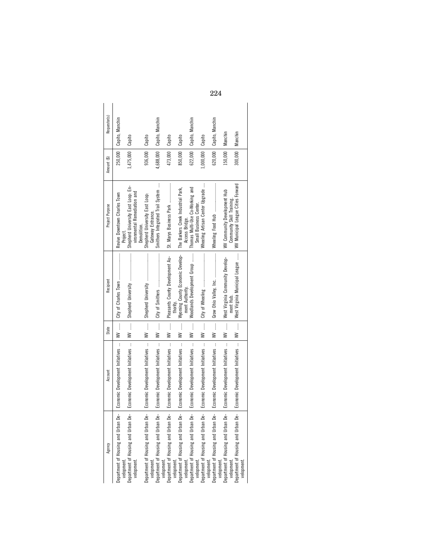| Requestor(s)    | 250,000   Capito, Manchin                 |                                                                                  |                                                         | 4,688,000   Capito, Manchin                         |                                       |                                                                                                            | 622,000   Capito, Manchin                                 |                                       | 620,000   Capito, Manchin                                          |                                                           |                                                    |
|-----------------|-------------------------------------------|----------------------------------------------------------------------------------|---------------------------------------------------------|-----------------------------------------------------|---------------------------------------|------------------------------------------------------------------------------------------------------------|-----------------------------------------------------------|---------------------------------------|--------------------------------------------------------------------|-----------------------------------------------------------|----------------------------------------------------|
| Amount (\$)     |                                           | 1,475,000   Capito                                                               | 936,000 Capito                                          |                                                     | 473,000   Capito                      | 850,000   Capito                                                                                           |                                                           | 1,000,000   Capito                    |                                                                    | 150,000   Manchin                                         | 300,000   Manchin                                  |
| Project Purpose | Revive Downtown Charles Town<br>Project   | Shepherd University East Loop: En-<br>vironmental Remediation and<br>Demolition. | Shepherd University East Loop:<br>Gateway Entrance.     | Smithers Integrated Trail System                    |                                       | The Barkers Creek Industrial Park,<br>Access Bridge.                                                       | Thomas Multi-Use Co-Working and<br>Small Business Center. | Wheeling Artisan Center Upgrade       |                                                                    | WV Community Development Hub<br>Community Skill Training. | WV Municipal League Cities Forward                 |
| Recipient       |                                           |                                                                                  |                                                         |                                                     | WV  Pleasants County Development Au-  | Wyoming County Economic Develop-<br>ment Authority.                                                        | Woodlands Development Group                               |                                       |                                                                    | West Virginia Community Develop-<br>ment Hub              | West Virginia Municipal League                     |
| State           | $W$                                       |                                                                                  | $W$                                                     |                                                     |                                       | $W$                                                                                                        | $W$                                                       |                                       | │                                                                  | $W$                                                       | $W$                                                |
| Account         | Economic Development Initiatives          | Economic Development Initiatives                                                 | Economic Development Initiatives                        | Economic Development Initiatives                    | Economic Development Initiatives      | Economic Development Initiatives                                                                           | Economic Development Initiatives                          | Economic Development Initiatives      | Economic Development Initiatives                                   | Economic Development Initiatives                          | Economic Development Initiatives                   |
| Agency          | ە<br>م<br>Department of Housing and Urban | ക്<br>മ<br>velopment.<br>Department of Housing and Urban<br>velopment.           | .<br>م<br>Department of Housing and Urban<br>velopment. | ൧഻<br>Department of Housing and Urban<br>velopment. | ൧഻<br>Department of Housing and Urban | Ьė<br>velopment.<br>Department of Housing and Urban D.<br>velopment.<br>Department of Housing and Urban D. | ട്<br>velopment.                                          | ൧഻<br>Department of Housing and Urban | De-<br>velopment.<br>Department of Housing and Urban<br>velopment. | ൧഻<br>Department of Housing and Urban<br>velopment.       | ൧഻<br>Department of Housing and Urban<br>velopment |

224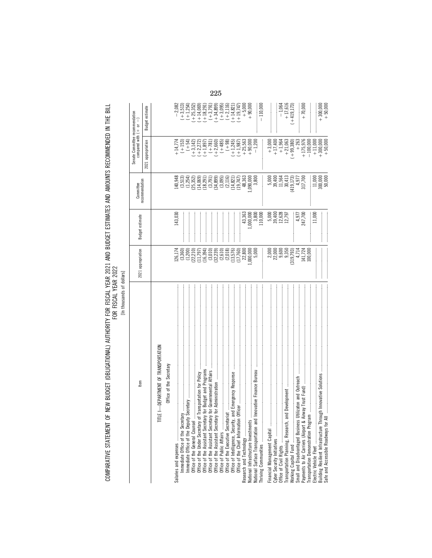| I SERVIS ALLE DITTIONITY FOR TOOL VEAR AND DIIDOT FOTO AND DIRECT TO AND THE DIRECT ON THE DIRECT DIRECT DIRECT |                               |                  |
|-----------------------------------------------------------------------------------------------------------------|-------------------------------|------------------|
|                                                                                                                 |                               |                  |
|                                                                                                                 |                               |                  |
|                                                                                                                 |                               |                  |
|                                                                                                                 |                               |                  |
|                                                                                                                 |                               |                  |
|                                                                                                                 |                               |                  |
|                                                                                                                 |                               |                  |
|                                                                                                                 |                               |                  |
|                                                                                                                 |                               |                  |
|                                                                                                                 |                               |                  |
|                                                                                                                 |                               |                  |
|                                                                                                                 | ns shart is the day           |                  |
|                                                                                                                 |                               |                  |
|                                                                                                                 |                               |                  |
|                                                                                                                 |                               |                  |
|                                                                                                                 | <b>William The The Theory</b> |                  |
|                                                                                                                 |                               | $\frac{1}{2}$    |
|                                                                                                                 |                               |                  |
|                                                                                                                 |                               | עון וועטשעון אוט |
|                                                                                                                 |                               |                  |
|                                                                                                                 |                               |                  |
|                                                                                                                 |                               |                  |
|                                                                                                                 |                               |                  |
|                                                                                                                 |                               |                  |
|                                                                                                                 |                               |                  |
|                                                                                                                 |                               |                  |
|                                                                                                                 |                               |                  |
|                                                                                                                 |                               |                  |
|                                                                                                                 |                               |                  |
| NEW RUNCET (NRUCATI                                                                                             | <b>Ally Donai Annimi</b>      |                  |
|                                                                                                                 |                               |                  |
|                                                                                                                 |                               |                  |
|                                                                                                                 |                               |                  |
|                                                                                                                 |                               |                  |
|                                                                                                                 |                               |                  |
|                                                                                                                 |                               |                  |
|                                                                                                                 |                               |                  |
|                                                                                                                 |                               |                  |
|                                                                                                                 |                               |                  |
|                                                                                                                 |                               |                  |
|                                                                                                                 |                               |                  |

FOR FISCAL YEAR 2022<br>[In thousands of dollars] [In thousands of dollars]

| tem                                                                                               | 2021 appropriation                                                                                                                                                                                                                                                                      | Budget estimate                                                      | recommendation<br>Committee                                                                                                                                                                                                                                                              | Senate Committee recommendation<br>compared with $( + 0r - )$                                                                                                                                                                                                                                                                      |                                                                                                                                                                                                                                                                                                                                       |
|---------------------------------------------------------------------------------------------------|-----------------------------------------------------------------------------------------------------------------------------------------------------------------------------------------------------------------------------------------------------------------------------------------|----------------------------------------------------------------------|------------------------------------------------------------------------------------------------------------------------------------------------------------------------------------------------------------------------------------------------------------------------------------------|------------------------------------------------------------------------------------------------------------------------------------------------------------------------------------------------------------------------------------------------------------------------------------------------------------------------------------|---------------------------------------------------------------------------------------------------------------------------------------------------------------------------------------------------------------------------------------------------------------------------------------------------------------------------------------|
|                                                                                                   |                                                                                                                                                                                                                                                                                         |                                                                      |                                                                                                                                                                                                                                                                                          | 2021 appropriation                                                                                                                                                                                                                                                                                                                 | <b>Budget estimate</b>                                                                                                                                                                                                                                                                                                                |
| TITLE I-DEPARTMENT OF TRANSPORTATION                                                              |                                                                                                                                                                                                                                                                                         |                                                                      |                                                                                                                                                                                                                                                                                          |                                                                                                                                                                                                                                                                                                                                    |                                                                                                                                                                                                                                                                                                                                       |
| Office of the Secretary                                                                           |                                                                                                                                                                                                                                                                                         |                                                                      |                                                                                                                                                                                                                                                                                          |                                                                                                                                                                                                                                                                                                                                    |                                                                                                                                                                                                                                                                                                                                       |
|                                                                                                   | 126,174                                                                                                                                                                                                                                                                                 | 143,030                                                              |                                                                                                                                                                                                                                                                                          |                                                                                                                                                                                                                                                                                                                                    |                                                                                                                                                                                                                                                                                                                                       |
| $\mathbf{y}$ and an intermediate construction of $\mathbf{y}$<br>Immediate Office of the Secretar | $(3,360)$<br>$(1,200)$                                                                                                                                                                                                                                                                  |                                                                      | $140,948$<br>$(3,513)$<br>$(1,254)$                                                                                                                                                                                                                                                      | $\begin{array}{l} 11.4 \\ 14.7 \\ 15.3 \\ 16.4 \\ 17.4 \\ 18.5 \\ 19.6 \\ 10.5 \\ 11.4 \\ 13.5 \\ 14.7 \\ 15.3 \\ 16.6 \\ 17.4 \\ 17.4 \\ 17.4 \\ 18.6 \\ 19.6 \\ 10.6 \\ 10.6 \\ 10.6 \\ 10.6 \\ 10.6 \\ 10.6 \\ 10.6 \\ 10.6 \\ 10.6 \\ 10.6 \\ 10.6 \\ 10.6 \\ 10.6 \\ 10.6 \\ 10.6 \\ 10.6 \\ 10.6 \\ 10$                      |                                                                                                                                                                                                                                                                                                                                       |
| Immediate Office of the Deputy                                                                    |                                                                                                                                                                                                                                                                                         |                                                                      |                                                                                                                                                                                                                                                                                          |                                                                                                                                                                                                                                                                                                                                    | $\begin{array}{l} (-+3,513) \\ (++2,532) \\ (++25,352) \\ (++4,609) \\ (++4,621) \\ (++3,791) \\ (++3,791) \\ (++3,109) \\ (++3,109) \\ (++1,107) \\ (++1,107) \\ (++1,107) \\ (++1,107) \\ (++1,107) \\ (++1,107) \\ (++1,107) \\ (++1,107) \\ (-+1,107) \\ (-+1,107) \\ (-+1,107) \\ (-+1,107) \\ (-+1,107) \\ (-+1,107) \\ (-+1,1$ |
|                                                                                                   | (22, 210)                                                                                                                                                                                                                                                                               |                                                                      |                                                                                                                                                                                                                                                                                          |                                                                                                                                                                                                                                                                                                                                    |                                                                                                                                                                                                                                                                                                                                       |
|                                                                                                   | $(11, 797)$<br>$(16, 394)$                                                                                                                                                                                                                                                              |                                                                      | $\begin{array}{l} (25,352)\\ (14,069)\\ (14,21)\\ (18,21)\\ (34,899)\\ (34,82)\\ (14,82)\\ (14,82)\\ (14,82)\\ (14,82)\\ (15,747)\\ (19,747)\\ (19,747)\\ (19,747)\\ (19,747)\\ (19,748)\\ (19,748)\\ (19,748)\\ (19,748)\\ (19,748)\\ (19,748)\\ (19,748)\\ (19,748)\\ (19,748)\\ (19,$ |                                                                                                                                                                                                                                                                                                                                    |                                                                                                                                                                                                                                                                                                                                       |
|                                                                                                   |                                                                                                                                                                                                                                                                                         |                                                                      |                                                                                                                                                                                                                                                                                          |                                                                                                                                                                                                                                                                                                                                    |                                                                                                                                                                                                                                                                                                                                       |
|                                                                                                   | $(3,010)$<br>$(32,239)$                                                                                                                                                                                                                                                                 |                                                                      |                                                                                                                                                                                                                                                                                          |                                                                                                                                                                                                                                                                                                                                    |                                                                                                                                                                                                                                                                                                                                       |
|                                                                                                   |                                                                                                                                                                                                                                                                                         |                                                                      |                                                                                                                                                                                                                                                                                          |                                                                                                                                                                                                                                                                                                                                    |                                                                                                                                                                                                                                                                                                                                       |
|                                                                                                   |                                                                                                                                                                                                                                                                                         |                                                                      |                                                                                                                                                                                                                                                                                          |                                                                                                                                                                                                                                                                                                                                    |                                                                                                                                                                                                                                                                                                                                       |
|                                                                                                   |                                                                                                                                                                                                                                                                                         |                                                                      |                                                                                                                                                                                                                                                                                          |                                                                                                                                                                                                                                                                                                                                    |                                                                                                                                                                                                                                                                                                                                       |
|                                                                                                   |                                                                                                                                                                                                                                                                                         |                                                                      |                                                                                                                                                                                                                                                                                          |                                                                                                                                                                                                                                                                                                                                    |                                                                                                                                                                                                                                                                                                                                       |
| 0fficer ………………………………………………<br>Office of the Chief Information                                     | $(2,610)$<br>$(2,018)$<br>$(13,576)$<br>$(17,760)$<br>$22,800$                                                                                                                                                                                                                          |                                                                      |                                                                                                                                                                                                                                                                                          |                                                                                                                                                                                                                                                                                                                                    |                                                                                                                                                                                                                                                                                                                                       |
|                                                                                                   |                                                                                                                                                                                                                                                                                         |                                                                      |                                                                                                                                                                                                                                                                                          |                                                                                                                                                                                                                                                                                                                                    |                                                                                                                                                                                                                                                                                                                                       |
| National Infrastructure Investments                                                               | ,000,000,                                                                                                                                                                                                                                                                               |                                                                      | ,090,000                                                                                                                                                                                                                                                                                 |                                                                                                                                                                                                                                                                                                                                    |                                                                                                                                                                                                                                                                                                                                       |
| National Surface Transportation and                                                               |                                                                                                                                                                                                                                                                                         |                                                                      | 3,800                                                                                                                                                                                                                                                                                    |                                                                                                                                                                                                                                                                                                                                    |                                                                                                                                                                                                                                                                                                                                       |
|                                                                                                   |                                                                                                                                                                                                                                                                                         | $\begin{array}{c} 43,363 \\ 000,000 \\ 3,800 \\ 110,000 \end{array}$ |                                                                                                                                                                                                                                                                                          |                                                                                                                                                                                                                                                                                                                                    | $-110,000$                                                                                                                                                                                                                                                                                                                            |
|                                                                                                   |                                                                                                                                                                                                                                                                                         |                                                                      |                                                                                                                                                                                                                                                                                          |                                                                                                                                                                                                                                                                                                                                    |                                                                                                                                                                                                                                                                                                                                       |
|                                                                                                   |                                                                                                                                                                                                                                                                                         |                                                                      |                                                                                                                                                                                                                                                                                          |                                                                                                                                                                                                                                                                                                                                    |                                                                                                                                                                                                                                                                                                                                       |
|                                                                                                   | $\begin{array}{c} 2,000 \\ 22,000 \\ 25,000 \\ 9,350 \\ 19,793 \\ 14,714 \\ 141,724 \\ 141,724 \\ 141,724 \\ 141,724 \\ 141,724 \\ 141,724 \\ 141,724 \\ 141,724 \\ 141,724 \\ 141,724 \\ 141,724 \\ 141,724 \\ 141,724 \\ 142,724 \\ 143,724 \\ 142,724 \\ 143,724 \\ 143,724 \\ 143,$ | 5,000<br>39,400<br>5,628<br>12,797                                   | $\begin{array}{c} 5,000 \\ 39,400 \\ 11,564 \\ 11,564 \\ 30,413 \\ 14,977 \\ 4,977 \\ 317,700 \\ \end{array}$                                                                                                                                                                            | $\begin{matrix} +3,000 \\ +17,400 \\ +1,964 \\ +21,063 \\ +21,063 \\ +1,063 \\ +1,063 \\ +1,064 \\ +1,063 \\ +1,060 \\ +1,060 \\ +1,060 \\ +1,060 \\ +1,060 \\ +1,060 \\ +1,060 \\ +1,060 \\ +1,060 \\ +1,060 \\ +1,060 \\ +1,060 \\ +1,060 \\ +1,060 \\ +1,060 \\ +1,060 \\ +1,060 \\ +1,060 \\ +1,060 \\ +1,060 \\ +1,060 \\ +1$ |                                                                                                                                                                                                                                                                                                                                       |
|                                                                                                   |                                                                                                                                                                                                                                                                                         |                                                                      |                                                                                                                                                                                                                                                                                          |                                                                                                                                                                                                                                                                                                                                    | $\begin{array}{r} -1,064 \\ +17,616 \\ +19,173 \end{array}$                                                                                                                                                                                                                                                                           |
|                                                                                                   |                                                                                                                                                                                                                                                                                         |                                                                      |                                                                                                                                                                                                                                                                                          |                                                                                                                                                                                                                                                                                                                                    |                                                                                                                                                                                                                                                                                                                                       |
|                                                                                                   |                                                                                                                                                                                                                                                                                         | $4,977$<br>747,700                                                   |                                                                                                                                                                                                                                                                                          | $+263$                                                                                                                                                                                                                                                                                                                             |                                                                                                                                                                                                                                                                                                                                       |
|                                                                                                   |                                                                                                                                                                                                                                                                                         |                                                                      |                                                                                                                                                                                                                                                                                          |                                                                                                                                                                                                                                                                                                                                    | $+70,000$                                                                                                                                                                                                                                                                                                                             |
| Transportation Demonstration Program                                                              |                                                                                                                                                                                                                                                                                         |                                                                      |                                                                                                                                                                                                                                                                                          |                                                                                                                                                                                                                                                                                                                                    |                                                                                                                                                                                                                                                                                                                                       |
| Electric Vehicle Fleet<br>Building Resilient Infrastructure Throu                                 |                                                                                                                                                                                                                                                                                         | $\frac{11,000}{11}$                                                  |                                                                                                                                                                                                                                                                                          |                                                                                                                                                                                                                                                                                                                                    |                                                                                                                                                                                                                                                                                                                                       |
| Igh Innovative Solutions<br>Safe and Accessible Roadways for All                                  |                                                                                                                                                                                                                                                                                         |                                                                      | $\frac{11,000}{300,000}$                                                                                                                                                                                                                                                                 | $\begin{array}{r} +175,976 \\ +100,000 \\ +11,000 \\ +300,000 \\ +50,000 \end{array}$                                                                                                                                                                                                                                              | $+300,000$<br>+50,000                                                                                                                                                                                                                                                                                                                 |
|                                                                                                   |                                                                                                                                                                                                                                                                                         |                                                                      |                                                                                                                                                                                                                                                                                          |                                                                                                                                                                                                                                                                                                                                    |                                                                                                                                                                                                                                                                                                                                       |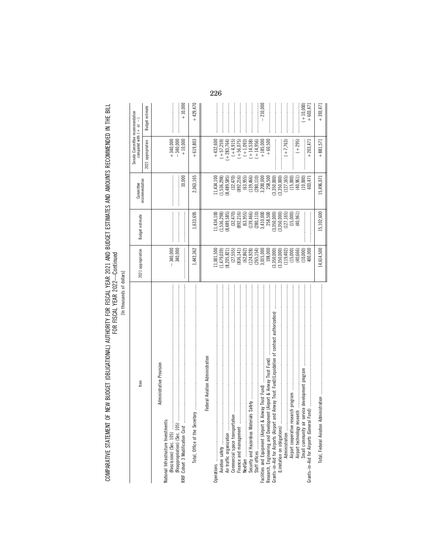COMPARATIVE STATEMENT OF NEW BUDGET (OBLIGATIONAL) AUTHORITY FOR FISCAL YEAR 2021 AND BUDGET ESTIMATES AND AMOUNTS RECOMMENDED IN THE BILL<br>FOR YEAR YEAR

[In thousands of dollars]

|                                                                  |                             |                              |                           | Senate Committee recommendation       |                         |
|------------------------------------------------------------------|-----------------------------|------------------------------|---------------------------|---------------------------------------|-------------------------|
| Item                                                             | 2021 appropriation          | Budget estimate              | Committee                 | compared with $( + or -$              |                         |
|                                                                  |                             |                              | recommendation            | 2021 appropriation                    | Budget estimate         |
| Administrative Provision<br>National Infrastructure Investments: |                             |                              |                           |                                       |                         |
|                                                                  | $-340,000$<br>340,000       |                              | 10,000                    | $+340,000$<br>$-340,000$<br>$+10,000$ | $+10,000$               |
|                                                                  |                             |                              |                           |                                       |                         |
| Total, Office of the Secretary                                   | 1,443,362                   | .,633,695                    | 2,063,165                 | $+619,803$                            | $+429,470$              |
| Federal Aviation Administration                                  |                             |                              |                           |                                       |                         |
|                                                                  | 1,001,500                   | .1,434,100                   | .1,434,100                | $+432,600$                            |                         |
|                                                                  | 1,479,039)                  | 1,536,298)                   | 1,536,298)                | $(+57,259)$                           |                         |
| Air traffic organization                                         | (8, 205, 821)               | (8,489,585)                  | (8,489,585)               | $+283,764$                            |                         |
|                                                                  | (27, 555)                   | (32, 470)                    | (32, 470)                 | $(+4,915)$                            |                         |
| Finance and management                                           | (836, 141)                  | (892, 216)                   | (892, 216)                | $(+56,075)$                           |                         |
|                                                                  | $(62, 862)$<br>$(124, 928)$ | (63, 955)                    | $(63,955)$<br>$(139,466)$ | $(+1,093)$                            |                         |
|                                                                  |                             | (139, 466)                   |                           | $(+ 14, 538)$<br>$(+ 14, 956)$        |                         |
|                                                                  | (265, 154)                  | (280, 110)                   | (280, 110)                |                                       |                         |
|                                                                  | 3,015,000<br>198,000        | 3,410,000<br>258,500         | 3,200,000<br>258,500      | $+185,000$<br>$+60,500$               | $-210,000$              |
|                                                                  | (3,350,000)                 | (3, 350, 000)                | (3,350,000)               |                                       |                         |
|                                                                  | (3,350,000)                 | $(3,350,000)$<br>$(127,165)$ | (3,350,000)               |                                       |                         |
|                                                                  | (119, 402)                  |                              | (127, 165)                | $(+7,763)$                            |                         |
|                                                                  | (15,000)<br>(40, 666)       | (15,000)<br>(40, 961)        | (15,000)<br>(40, 961)     | $( +295)$                             |                         |
|                                                                  | (10,000)                    |                              | (10,000)                  |                                       |                         |
|                                                                  | 400,000                     |                              | 603,471                   | $+203,47$                             | $(+10,000)$<br>+603,471 |
| Total, Federal Aviation Ad                                       | 14,614,500                  | 15,102,600                   | 15,496,071                | $+881,571$                            | $+393,471$              |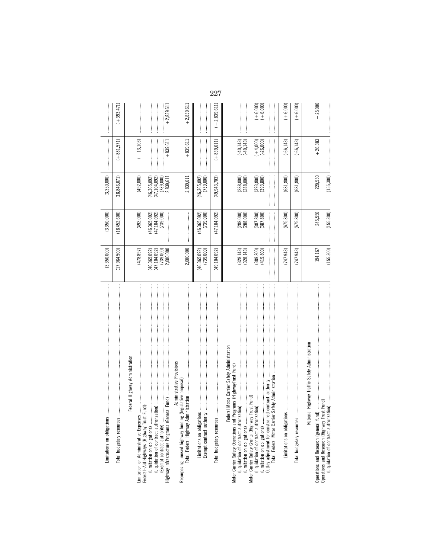| S<br>Limitations on obligation                                                                                                                                                                                                               | (3,350,000)                                                                  | (3,350,000)                                                    | (3,350,000)                                                             | $\label{eq:conformal} \begin{split} \mathcal{L}_{\mathcal{F}}(x) = \mathcal{L}_{\mathcal{F}}(x) = \mathcal{L}_{\mathcal{F}}(x) = \mathcal{L}_{\mathcal{F}}(x) = \mathcal{L}_{\mathcal{F}}(x) = \mathcal{L}_{\mathcal{F}}(x) = \mathcal{L}_{\mathcal{F}}(x) = \mathcal{L}_{\mathcal{F}}(x) = \mathcal{L}_{\mathcal{F}}(x) = \mathcal{L}_{\mathcal{F}}(x) = \mathcal{L}_{\mathcal{F}}(x) = \mathcal{L}_{\mathcal{F}}(x) = \mathcal{L}_{\mathcal{F}}(x$                                                                                                                  |                          |
|----------------------------------------------------------------------------------------------------------------------------------------------------------------------------------------------------------------------------------------------|------------------------------------------------------------------------------|----------------------------------------------------------------|-------------------------------------------------------------------------|-----------------------------------------------------------------------------------------------------------------------------------------------------------------------------------------------------------------------------------------------------------------------------------------------------------------------------------------------------------------------------------------------------------------------------------------------------------------------------------------------------------------------------------------------------------------------|--------------------------|
| Total budgetary resources                                                                                                                                                                                                                    | (17, 964, 500)                                                               | (18, 452, 600)                                                 | (18, 846, 071)                                                          | $(+881,571)$                                                                                                                                                                                                                                                                                                                                                                                                                                                                                                                                                          | $(+393,471)$             |
| Federal Highway Administration<br>Highway Infrastructure Programs (General Fund)<br>Federal-Aid Highways (Highway Trust Fund):<br>Sə.<br>imitation on Administrative Expens<br>(Limitation on obligations)<br>(Exempt contract authority)    | (478, 897)<br>$(46,365,092)$<br>$(47,104,092)$<br>$(739,000)$<br>$2,000,000$ | (492,000)<br>$(46, 365, 092)$<br>$(47, 104, 092)$<br>(739,000) | (492,000)<br>(46, 365, 092)<br>(47, 104, 092)<br>(739,000)<br>2,839,611 | $(+13,103)$<br>$+839,611$                                                                                                                                                                                                                                                                                                                                                                                                                                                                                                                                             | $+2,839,611$             |
| Administrative Provisions<br>Repurposing unused highway fundin                                                                                                                                                                               | 2,000,000                                                                    |                                                                | 2,839,611                                                               | $+839,611$                                                                                                                                                                                                                                                                                                                                                                                                                                                                                                                                                            | $+2,839,611$             |
|                                                                                                                                                                                                                                              | (46, 365, 092)<br>(739,000)                                                  | $(46, 365, 092)$<br>$(739, 000)$                               | (46, 365, 092)<br>(739,000)                                             |                                                                                                                                                                                                                                                                                                                                                                                                                                                                                                                                                                       |                          |
| Total budgetary resources                                                                                                                                                                                                                    | (49, 104, 092)                                                               | (47, 104, 092)                                                 | (49, 943, 703)                                                          | $(+839, 611)$                                                                                                                                                                                                                                                                                                                                                                                                                                                                                                                                                         | $(+2,839,611)$           |
| Federal Motor Carrier Safety Administration<br>Programs (HighwayTrust Fund)<br>Motor Carrier Safety Operations and<br>(Limitation on obligations)                                                                                            | $(328, 143)$<br>$(328, 143)$                                                 | $(288,000)$<br>$(288,000)$                                     | $(288,000)$<br>$(288,000)$                                              | $(-40, 143)$<br>$(-40, 143)$                                                                                                                                                                                                                                                                                                                                                                                                                                                                                                                                          |                          |
| ier Safety Administration<br>Outlay adjustment for constrained contract authority<br>Motor Carrier Safety Grants (Highway Trust Fund)<br>(Liquidation of contract authorization)<br>(Limitation on obligations)<br>Total, Federal Motor Carr | $(389, 800)$<br>$(419, 800)$                                                 | $(387, 800)$<br>$(387, 800)$                                   | $(393, 800)$<br>$(393, 800)$                                            | $\label{def:3} \begin{minipage}{0.9\linewidth} \begin{minipage}{0.9\linewidth} \begin{minipage}{0.9\linewidth} \begin{minipage}{0.9\linewidth} \end{minipage} \begin{minipage}{0.9\linewidth} \begin{minipage}{0.9\linewidth} \end{minipage} \end{minipage} \end{minipage} \begin{minipage}{0.9\linewidth} \begin{minipage}{0.9\linewidth} \begin{minipage}{0.9\linewidth} \end{minipage} \end{minipage} \end{minipage} \begin{minipage}{0.9\linewidth} \begin{minipage}{0.9\linewidth} \end{minipage} \end{minipage} \begin{minipage}{$<br>$(+4,000)$<br>$(-26,000)$ | $(+6,000)$<br>$(+6,000)$ |
|                                                                                                                                                                                                                                              | (747, 943)                                                                   | (675, 800)                                                     | (681,800)                                                               | $(-66, 143)$                                                                                                                                                                                                                                                                                                                                                                                                                                                                                                                                                          | $(+6,000)$               |
| Total budgetary resources                                                                                                                                                                                                                    | (747, 943)                                                                   | (675,800)                                                      | (681, 800)                                                              | $(-66, 143)$                                                                                                                                                                                                                                                                                                                                                                                                                                                                                                                                                          | $(+6,000)$               |
| National Highway Traffic Safety Administration<br>Trust Fund)<br>fund)<br>Operations and Research (general i<br>Operations and Research (Highway                                                                                             | 194,167                                                                      | 245,550                                                        | 220,550                                                                 | $+26,383$                                                                                                                                                                                                                                                                                                                                                                                                                                                                                                                                                             | $-25,000$                |
| (Liquidation of contract authorization)                                                                                                                                                                                                      | (155, 300)                                                                   | (155, 300)                                                     | (155, 300)                                                              |                                                                                                                                                                                                                                                                                                                                                                                                                                                                                                                                                                       |                          |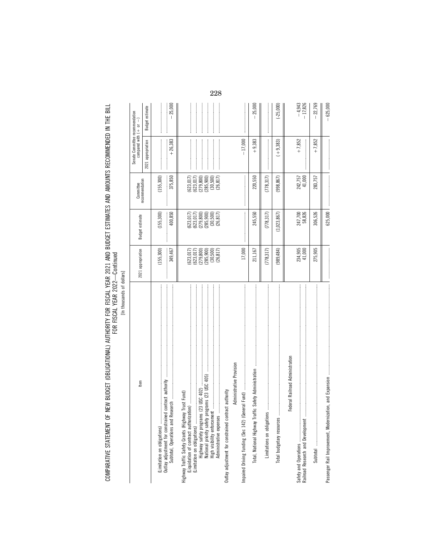[In thousands of dollars] [In thousands of dollars]

| Item                                                                                                                                                                                                                                                                                                                                                                                                                                                                                                                                                 | 2021 appropriation                                                                                                       | <b>Budget estimate</b>                                                               | recommendation<br>Committee                                                                                                 | Senate Committee recommendation<br>compared with $( + $ or $- )$                                                                                                                                                                                                                                                                                                                                                                                      |                       |
|------------------------------------------------------------------------------------------------------------------------------------------------------------------------------------------------------------------------------------------------------------------------------------------------------------------------------------------------------------------------------------------------------------------------------------------------------------------------------------------------------------------------------------------------------|--------------------------------------------------------------------------------------------------------------------------|--------------------------------------------------------------------------------------|-----------------------------------------------------------------------------------------------------------------------------|-------------------------------------------------------------------------------------------------------------------------------------------------------------------------------------------------------------------------------------------------------------------------------------------------------------------------------------------------------------------------------------------------------------------------------------------------------|-----------------------|
|                                                                                                                                                                                                                                                                                                                                                                                                                                                                                                                                                      |                                                                                                                          |                                                                                      |                                                                                                                             | 2021 appropriation                                                                                                                                                                                                                                                                                                                                                                                                                                    | Budget estimate       |
| Outlay adjustment for constrained contract authority<br>(Limitation on obligations)<br>Subtotal, Operations and                                                                                                                                                                                                                                                                                                                                                                                                                                      | (155, 300)<br>349,467                                                                                                    | (155, 300)<br>400,850                                                                | (155, 300)<br>375,850                                                                                                       | $+26,383$                                                                                                                                                                                                                                                                                                                                                                                                                                             | $-25,000$             |
| Highway Traffic Safety Grants (Highway Trust Fund)                                                                                                                                                                                                                                                                                                                                                                                                                                                                                                   | (623, 017)<br>$\begin{array}{c} (6\,23,0\,17)\\ (2\,79,8\,00)\\ (2\,85,9\,00)\\ (3\,0,5\,00)\\ (2\,6,8\,17) \end{array}$ | $(623,017)$<br>$(623,017)$<br>$(279,800)$<br>$(285,900)$<br>$(30,500)$<br>$(26,817)$ | $\begin{array}{c} (623, 017) \\ (279, 800) \\ (285, 900) \\ (30, 500) \\ (285, 901) \\ (26, 817) \end{array}$<br>(623, 017) | $\label{def:conformal} \begin{split} \mathcal{L}_{\mathcal{F}}(x) = \mathcal{L}_{\mathcal{F}}(x) = \mathcal{L}_{\mathcal{F}}(x) = \mathcal{L}_{\mathcal{F}}(x) = \mathcal{L}_{\mathcal{F}}(x) = \mathcal{L}_{\mathcal{F}}(x) = \mathcal{L}_{\mathcal{F}}(x) = \mathcal{L}_{\mathcal{F}}(x) = \mathcal{L}_{\mathcal{F}}(x) = \mathcal{L}_{\mathcal{F}}(x) = \mathcal{L}_{\mathcal{F}}(x) = \mathcal{L}_{\mathcal{F}}(x) = \mathcal{L}_{\mathcal{F}}(x$ |                       |
| Administrative Provision<br>Outlay adjustment for constrained contract authority                                                                                                                                                                                                                                                                                                                                                                                                                                                                     |                                                                                                                          |                                                                                      |                                                                                                                             |                                                                                                                                                                                                                                                                                                                                                                                                                                                       |                       |
| Impaired Driving funding (Sec 142)                                                                                                                                                                                                                                                                                                                                                                                                                                                                                                                   | 17,000                                                                                                                   |                                                                                      |                                                                                                                             | $-17,000$                                                                                                                                                                                                                                                                                                                                                                                                                                             |                       |
| Total, National Highway Traffic Safety Administration                                                                                                                                                                                                                                                                                                                                                                                                                                                                                                | 211,167                                                                                                                  | 245,550                                                                              | 220,550                                                                                                                     | $+9,383$                                                                                                                                                                                                                                                                                                                                                                                                                                              | 25,000                |
| $\label{def:1} \begin{minipage}{0.9\textwidth} \begin{minipage}{0.9\textwidth} \begin{itemize} \textbf{0.9\textwidth} \begin{itemize} \textbf{0.9\textwidth} \begin{itemize} \textbf{0.9\textwidth} \begin{itemize} \textbf{0.9\textwidth} \begin{itemize} \textbf{0.9\textwidth} \begin{itemize} \textbf{0.9\textwidth} \begin{itemize} \textbf{0.9\textwidth} \begin{itemize} \textbf{0.9\textwidth} \begin{itemize} \textbf{0.9\textwidth} \begin{itemize} \textbf{0.9\textwidth} \begin{itemize} \textbf{0.9\text$<br>Limitations on obligations | (778, 317)                                                                                                               | (778, 317)                                                                           | (778, 317)                                                                                                                  |                                                                                                                                                                                                                                                                                                                                                                                                                                                       |                       |
| Total budgetary resources                                                                                                                                                                                                                                                                                                                                                                                                                                                                                                                            | (989, 484)                                                                                                               | (1,023,867)                                                                          | (998, 867)                                                                                                                  | $(+9,383)$                                                                                                                                                                                                                                                                                                                                                                                                                                            | $(-25,000)$           |
| Federal Railroad Administration                                                                                                                                                                                                                                                                                                                                                                                                                                                                                                                      |                                                                                                                          |                                                                                      |                                                                                                                             |                                                                                                                                                                                                                                                                                                                                                                                                                                                       |                       |
| Railroad Research and Development                                                                                                                                                                                                                                                                                                                                                                                                                                                                                                                    | 234,905<br>41,000                                                                                                        | 247,700<br>58,826                                                                    | 242,757<br>41,000                                                                                                           | $+7,852$                                                                                                                                                                                                                                                                                                                                                                                                                                              | $-4,943$<br>$-17,826$ |
|                                                                                                                                                                                                                                                                                                                                                                                                                                                                                                                                                      | 275,905                                                                                                                  | 306,526                                                                              | 283,757                                                                                                                     | $+7,852$                                                                                                                                                                                                                                                                                                                                                                                                                                              | $-22,769$             |
|                                                                                                                                                                                                                                                                                                                                                                                                                                                                                                                                                      |                                                                                                                          | 625,000                                                                              |                                                                                                                             |                                                                                                                                                                                                                                                                                                                                                                                                                                                       | $-625,000$            |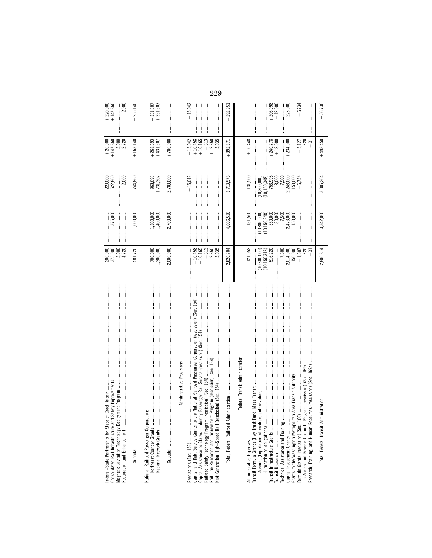| Safety Improvements<br>of Good Repair<br>Magnetic Levitation Technology Deployment Program<br>Federal-State Partnership for State<br>Consolidated Rail Infrastructure and<br>Restoration and Enhancement                                                                                                                                                                                                       | 200,000<br>375,000<br>2,000<br>4,720                                                                               | 375,000                                                                                                     | 220,000<br>522,860<br>2,000                                                                                   | $+147,860$<br>$-2,000$<br>$-2,720$                                                | $+ 220,000$<br>+ 147,860<br>$+2,000$              |
|----------------------------------------------------------------------------------------------------------------------------------------------------------------------------------------------------------------------------------------------------------------------------------------------------------------------------------------------------------------------------------------------------------------|--------------------------------------------------------------------------------------------------------------------|-------------------------------------------------------------------------------------------------------------|---------------------------------------------------------------------------------------------------------------|-----------------------------------------------------------------------------------|---------------------------------------------------|
|                                                                                                                                                                                                                                                                                                                                                                                                                | 581,720                                                                                                            | 1,000,000                                                                                                   | 744,860                                                                                                       | $+163,140$                                                                        | 255,140                                           |
| National Network Grants                                                                                                                                                                                                                                                                                                                                                                                        | $700,000$<br>1,300,000                                                                                             | 1,300,000<br>1,400,000                                                                                      | 968,693<br>1,731,307                                                                                          | $+268,693$<br>$+431,307$                                                          | $-331,307$<br>+331,307                            |
|                                                                                                                                                                                                                                                                                                                                                                                                                | 2,000,000                                                                                                          | 2,700,000                                                                                                   | 2,700,000                                                                                                     | $+700,000$                                                                        |                                                   |
| the National Railroad Passenger Corporation (rescission) (Sec. 154)<br>Capital Assistance to States—Intercity Passenger Rail Service (rescission) (Sec. 154)<br>Rail Line Relocation and Improvement Program (rescission) (Sec. 154)<br>Administrative Provisions<br>Next Generation High-Speed Rail (rescission) (Sec. 154)<br>(rescission) (Sec. 154)<br>Railroad Safety Technology Program                  | $-10,458$<br>$-10,165$<br>$-613$<br>$-12,650$<br>$-3,035$                                                          |                                                                                                             | $-15,042$                                                                                                     | $+10,458$<br>$+10,165$<br>$+613$<br>$+3,035$<br>$-15,042$<br>$+12,650$            | $-15,042$                                         |
|                                                                                                                                                                                                                                                                                                                                                                                                                | 2,820,704                                                                                                          | 4,006,526                                                                                                   | 3,713,575                                                                                                     | $+892,87$                                                                         | $-292,951$                                        |
| Federal Transit Administration<br>(Sec. 169a) (Cources (rescission)<br>Grants to the Washington Metropolitan Area Transit Authority<br>Fund, Mass Transit<br>Account (Liquidation of contract authorization)<br>(Limitation on obligations)<br>Transit Infrastructure Grants<br>Research, Training, and Human Res<br>Transit Formula Grants (Hwy Trust<br>Capital Investment Grants<br>Administrative Expenses | 121,052<br>2,014,000<br>150,000<br>$-320$<br>516,220<br>7,500<br>$-1,607$<br>$-31$<br>(10, 150, 348)<br>10,800,000 | 131,500<br>$7,500$<br>$2,473,000$<br>$150,000$<br>(10, 150, 348)<br>$550,000$<br>$30,000$<br>(10, 800, 000) | 131,500<br>756,998<br>18,000<br>7,500<br>2,248,000<br>150,000<br>(10, 150, 348)<br>$-6,734$<br>(10, 800, 000) | $+10,448$<br>$+240,778$<br>$+320$<br>$+18,000$<br>$+234,000$<br>$-5,127$<br>$+31$ | $+206,998$<br>$-12,000$<br>$-6,734$<br>$-225,000$ |
|                                                                                                                                                                                                                                                                                                                                                                                                                | 2,806,814                                                                                                          | 3,342,000                                                                                                   | 3,305,264                                                                                                     | $+498,450$                                                                        | 36,736                                            |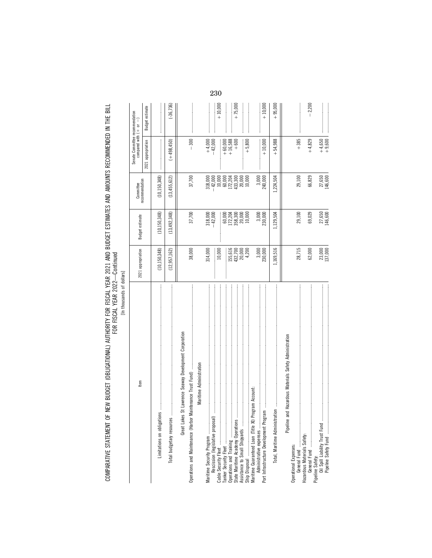[In thousands of dollars] [In thousands of dollars]

| tem                                                                                              | 2021 appropriation                                           | Budget estimate                                                                       | recommendation<br>Committee                                                                                                           | Senate Committee recommendation<br>compared with $( + $ or $- )$ |                 |
|--------------------------------------------------------------------------------------------------|--------------------------------------------------------------|---------------------------------------------------------------------------------------|---------------------------------------------------------------------------------------------------------------------------------------|------------------------------------------------------------------|-----------------|
|                                                                                                  |                                                              |                                                                                       |                                                                                                                                       | 2021 appropriation                                               | Budget estimate |
| ഇ<br>Limitations on obligation                                                                   | (10, 150, 348)                                               | (10, 150, 348)                                                                        | (10, 150, 348)                                                                                                                        |                                                                  |                 |
| Total budgetary resources                                                                        | (12, 957, 162)                                               | (13, 492, 348)                                                                        | (13, 455, 612)                                                                                                                        | $(+498.450)$                                                     | $(-36, 736)$    |
| St Lawrence Seaway Development Corporation<br>Maritime Administration<br>Great Lakes             | 38,000                                                       | 37,700                                                                                | 37,700                                                                                                                                | $-300$                                                           |                 |
| Rescission (legislative proposal)                                                                | 314,000<br>$\frac{1}{2}$<br>10,000                           | $-42,000$<br>$-42,000$                                                                |                                                                                                                                       | $+4,000$<br>$-42,000$                                            | $+10,000$       |
| Assistance to Small Shipyards                                                                    | 155,616<br>$432,700$<br>$20,000$<br>$4,200$<br>$\frac{1}{2}$ | $\begin{array}{c} 1000\\ 60,000\\ 172,300\\ 18,800\\ 19\\ 80\\ 10\\ 10\\ \end{array}$ | $\begin{array}{r} 318,000\\ -42,000\\ 10,000\\ 10,000\\ 17,2,204\\ 13,300\\ 20,000\\ 21,200\\ 10,000\\ 10,000\\ 10,000\\ \end{array}$ | $+60,000$<br>+16,588<br>$+600$                                   | $+75,000$       |
| Ship Disposal<br>Maritime Guaranteed Loan (Title XI) Program Account:<br>Administrative expenses | 3,000<br>230,000                                             | $3,000$<br>$230,000$                                                                  | $3,000$<br>$240,000$                                                                                                                  | $+5,800$<br>$+10,000$                                            | $+10,000$       |
|                                                                                                  | 1,169,516                                                    | 1,129,504                                                                             | 1,224,504                                                                                                                             | $+54,988$                                                        | $+95,000$       |
| Pipeline and Hazardous Materials Safety Administration<br>Operational Expenses:                  | 28,715                                                       | 29,100                                                                                | 29,100                                                                                                                                | $+385$                                                           |                 |
|                                                                                                  | 62,000                                                       | 69,029                                                                                | 66,829                                                                                                                                | $+4,829$                                                         | $-2,200$        |
|                                                                                                  | 23,000<br>137,000                                            | 27,650<br>146,600                                                                     | 27,650<br>146,600                                                                                                                     | $+4,650$<br>+9,600                                               |                 |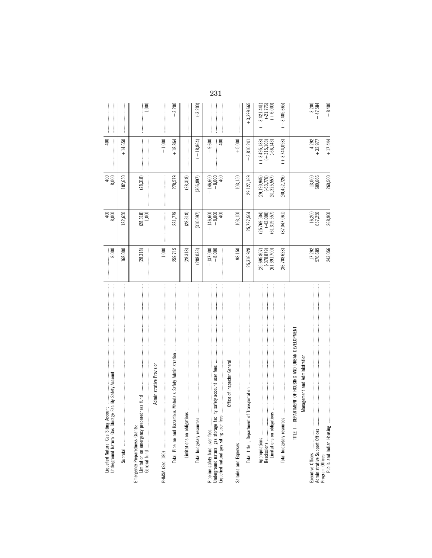| Underground Natural Gas Storage Facili<br>Liquefied Natural Gas Siting Account                              | 8,000                                                 | $400$<br>8,000                                       | 8,000                                                | $+400$                                        |                                             |     |
|-------------------------------------------------------------------------------------------------------------|-------------------------------------------------------|------------------------------------------------------|------------------------------------------------------|-----------------------------------------------|---------------------------------------------|-----|
|                                                                                                             | 168,000                                               | 182,650                                              | 182,650                                              | $+14,650$                                     |                                             |     |
| fund<br>Limitation on emergency preparedness<br>Emergency Preparedness Grants:                              | (28, 318)                                             | $(28, 318)$<br>$1,000$                               | (28, 318)                                            |                                               | $-1,000$                                    |     |
| Administrative Provision                                                                                    | 1,000                                                 |                                                      |                                                      | $-1,000$                                      |                                             |     |
| erials Safety Administration<br>Total, Pipeline and Hazardous Mat                                           | 259,715                                               | 281,779                                              | 278,579                                              | $+18,864$                                     | $-3,200$                                    |     |
|                                                                                                             | (28, 318)                                             | (28, 318)                                            | (28, 318)                                            |                                               |                                             |     |
| Total budgetary resources                                                                                   | (288, 033)                                            | (310, 097)                                           | (306, 897)                                           | $(+18,864)$                                   | $(-3, 200)$                                 |     |
| Underground natural gas storage facility safety account user fees<br>Liquefied natural gas siting user fees | $-137,000$<br>$-8,000$                                | $-8,000$<br>$-400$<br>$-146,600$                     | $-146,600$<br>$-8,000$<br>$-400$                     | 9,600<br>$-400$                               |                                             | 231 |
| lice of Inspector General<br>퉁                                                                              | 98,150                                                | 103,150                                              | 103,150                                              | $+5,000$                                      |                                             |     |
|                                                                                                             | 25,316,928                                            | 25,727,504                                           | 29,127,169                                           | $+3,810,241$                                  | $+3,399,665$                                |     |
| Limitations on obligations                                                                                  | $(25, 695, 807)$<br>$(-378, 879)$<br>$(61, 391, 700)$ | $(25, 769, 504)$<br>$(-42, 000)$<br>$(61, 319, 557)$ | $(29, 190, 945)$<br>$(-63, 776)$<br>$(61, 325, 557)$ | $(+3,495,138)$<br>$(+315,103)$<br>$(+66,143)$ | $(+3,421,441)$<br>$(-21,776)$<br>$(+6,000)$ |     |
|                                                                                                             | 86,708,628)                                           | (87,047,061)                                         | (90,452,726)                                         | $(+3,744,098)$                                | $(+3,405,665)$                              |     |
| TITLE II-DEPARTMENT OF HOUSING AND URBAN DEVELOPMENT<br>Management and Administration                       |                                                       |                                                      |                                                      |                                               |                                             |     |
| Program Offices:                                                                                            | 17,292<br>576,689                                     | 16,200<br>657,250                                    | 13,000<br>609,666                                    | $-4,292$<br>+32,977                           | $-3,200$<br>$-47,584$                       |     |
|                                                                                                             | 243,056                                               | 268,900                                              | 260,500                                              | $+17,444$                                     | $-8,400$                                    |     |
|                                                                                                             |                                                       |                                                      |                                                      |                                               |                                             |     |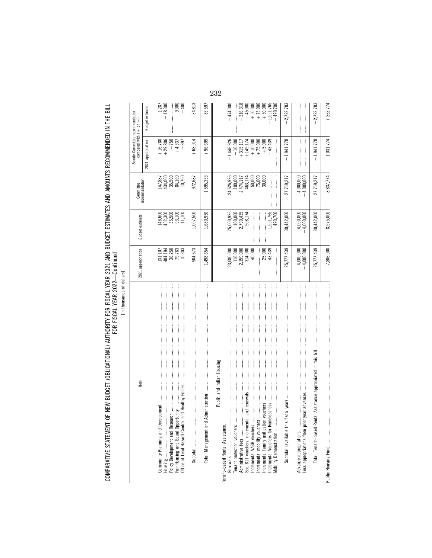[In thousands of dollars] [In thousands of dollars]

|                                                                                                                                                                                                                                                                                                                                  |                                                                                                                       |                                                                                                                  | Committee                                                                                                                                                       | Senate Committee recommendation<br>compared with $( + $ or $- )$                                                   |                                                                                                                                                    |
|----------------------------------------------------------------------------------------------------------------------------------------------------------------------------------------------------------------------------------------------------------------------------------------------------------------------------------|-----------------------------------------------------------------------------------------------------------------------|------------------------------------------------------------------------------------------------------------------|-----------------------------------------------------------------------------------------------------------------------------------------------------------------|--------------------------------------------------------------------------------------------------------------------|----------------------------------------------------------------------------------------------------------------------------------------------------|
| Item                                                                                                                                                                                                                                                                                                                             | 2021 appropriation                                                                                                    | Budget estimate                                                                                                  | recommendation                                                                                                                                                  | 2021 appropriation                                                                                                 | Budget estimate                                                                                                                                    |
|                                                                                                                                                                                                                                                                                                                                  | 131,107<br>404,194<br>36,250<br>79,763<br>10,303                                                                      | $[46, 500452, 500453, 50035, 11011, 100$                                                                         | $\begin{array}{l} 147,887\\ 434,000\\ 35,500\\ 84,100\\ 10,700\\ 10\\ 70\\ \end{array}$                                                                         | $+16,780$<br>$+29,806$<br>$-750$<br>$+4,337$<br>$+397$                                                             | $+1,287$<br>$-18,300$<br>$-9,000$<br>$-400$                                                                                                        |
|                                                                                                                                                                                                                                                                                                                                  | 904,673                                                                                                               | 007,500                                                                                                          | 972,687                                                                                                                                                         | $+68,014$                                                                                                          | $-34,813$                                                                                                                                          |
|                                                                                                                                                                                                                                                                                                                                  | 1,498,654                                                                                                             | .,680,950                                                                                                        | 1,595,353                                                                                                                                                       | $+96,699$                                                                                                          | 85,597                                                                                                                                             |
| Public and Indian Housing<br>and renewals<br>Less appropriations from prior year advances<br>vouchers<br>Sec. 811 vouchers, incremental<br>Advance appropriations<br>Mobility Demonstration<br>Incremental family unification v<br>Incremental VASH vouchers<br>Incremental mobility vouchers<br>Tenant-based Rental Assistance: | 314,000<br>40,000<br>25,777,439<br>4,000,000<br>$23,080,000$<br>116,000<br>2,159,000<br>25,000<br>43,439<br>4,000,000 | 25,000,926<br>100,000<br>2,790,435<br>508,174<br>1,551,765<br>30,442,000<br>4,000,000<br>$-4,000,000$<br>490,700 | $\begin{array}{r} 24,526,926 \\ 100,000 \\ 2,474,117 \\ 463,174 \\ 50,000 \\ 75,000 \\ 75,000 \\ 30,000 \\ \end{array}$<br>27,719,217<br>4,000,000<br>4,000,000 | $+1,941,778$<br>$+1,446,926$<br>$+149,174$<br>+10,000<br>+75,000<br>+5,000<br>$-43,439$<br>$-16,000$<br>$+315,117$ | $\begin{array}{r} -45,000 \\ +50,000 \\ +75,000 \\ +30,000 \\ -1,551,765 \\ \end{array}$<br>$-2,722,783$<br>$-474,000$<br>$-316,318$<br>$-490,700$ |
| Total, Tenant-based Rental Assistance appropriated in this bill                                                                                                                                                                                                                                                                  | 25,777,439                                                                                                            | 30,442,000                                                                                                       | 27,719,217                                                                                                                                                      | $+1,941,778$                                                                                                       | $-2,722,783$                                                                                                                                       |
|                                                                                                                                                                                                                                                                                                                                  | 7,806,000                                                                                                             | 8,575,000                                                                                                        | 8,837,774                                                                                                                                                       | $+1,031,774$                                                                                                       | $+262,774$                                                                                                                                         |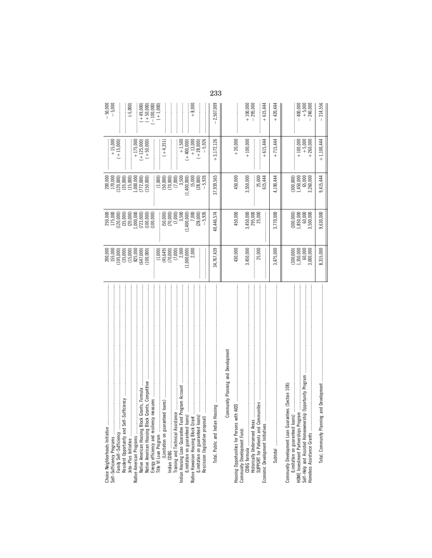| Choice Neighborhoods Initiative                                                                                                                                                                                                                                                                                                                                                                                                                                                                                                                                          | 200,000<br>155,000                    | 250,000<br>175,000                                                                       | 200,000<br>170,000                                    | $+15,000$                | $-50,000$<br>$-5,000$                     |
|--------------------------------------------------------------------------------------------------------------------------------------------------------------------------------------------------------------------------------------------------------------------------------------------------------------------------------------------------------------------------------------------------------------------------------------------------------------------------------------------------------------------------------------------------------------------------|---------------------------------------|------------------------------------------------------------------------------------------|-------------------------------------------------------|--------------------------|-------------------------------------------|
| Self-Sufficiency Programs<br>Family Self-Sufficiency                                                                                                                                                                                                                                                                                                                                                                                                                                                                                                                     |                                       |                                                                                          |                                                       | $(+15,000)$              |                                           |
| -Sufficiency<br>Resident Opportunity and Self-                                                                                                                                                                                                                                                                                                                                                                                                                                                                                                                           | $(105,000)$<br>$(35,000)$             |                                                                                          | $(120,000)$<br>$(35,000)$<br>$(15,000)$               |                          |                                           |
|                                                                                                                                                                                                                                                                                                                                                                                                                                                                                                                                                                          | (15,000)                              | $(120,000)$<br>$(35,000)$<br>$(20,000)$<br>$(1,000,000)$<br>$(1,000,000)$<br>$(100,000)$ |                                                       |                          | $(-5,000)$                                |
| k Grants, Formula<br>Native American Programs                                                                                                                                                                                                                                                                                                                                                                                                                                                                                                                            | 825,000<br>(647,000)                  |                                                                                          | 1,000,000                                             | $+175,000$<br>$+125,000$ |                                           |
| Grants, Competitive<br>Native American Housing Block<br>Native American Housing Block                                                                                                                                                                                                                                                                                                                                                                                                                                                                                    | (100, 000)                            |                                                                                          | $(772,000)$<br>$(150,000)$                            | $(+50,000)$              | $(+49,000)$<br>$(+50,000)$<br>$(000,000)$ |
| measures<br>Energy efficiency and resiliency                                                                                                                                                                                                                                                                                                                                                                                                                                                                                                                             |                                       |                                                                                          |                                                       |                          |                                           |
| Title VI Loan Program<br>(Limitation on guarant                                                                                                                                                                                                                                                                                                                                                                                                                                                                                                                          |                                       |                                                                                          | (1,000)                                               |                          | $(+1,000)$                                |
| eed loans)                                                                                                                                                                                                                                                                                                                                                                                                                                                                                                                                                               | $(1,000)$<br>$(45,649)$<br>$(70,000)$ | $(50,000)$<br>$(70,000)$<br>$(7,000)$                                                    | $(50,000)$<br>$(70,000)$                              | $(+4,351)$               |                                           |
|                                                                                                                                                                                                                                                                                                                                                                                                                                                                                                                                                                          | (7,000)                               |                                                                                          | (7,000)                                               |                          |                                           |
| Indian Housing Loan Guarantee Fund Program Account                                                                                                                                                                                                                                                                                                                                                                                                                                                                                                                       | 2,000                                 | 3,500                                                                                    | 3,500                                                 | $+1,500$                 |                                           |
|                                                                                                                                                                                                                                                                                                                                                                                                                                                                                                                                                                          | (1,000,000)                           | (1, 400, 000)                                                                            | (1,400,000)                                           | $+400,000$               |                                           |
| (Limitation on guaranteed loans)<br>Native Hawaiian Housing Block Grant                                                                                                                                                                                                                                                                                                                                                                                                                                                                                                  | 2,000                                 | 7,000                                                                                    | 15,000                                                | $+13,000$                | $+8,000$                                  |
| $\overline{S}$<br>(Limitation on guaranteed loan                                                                                                                                                                                                                                                                                                                                                                                                                                                                                                                         |                                       | (28, 000)                                                                                | (28,000)                                              | $+28,000$                |                                           |
| Rescission (legislative proposa                                                                                                                                                                                                                                                                                                                                                                                                                                                                                                                                          |                                       | $-5,926$                                                                                 | $-5,926$                                              | $-5,926$                 |                                           |
| $\label{def:1} \begin{split} &\text{and}\\ &\text{and}\\ &\text{and}\\ &\text{and}\\ &\text{and}\\ &\text{and}\\ &\text{and}\\ &\text{and}\\ &\text{and}\\ &\text{and}\\ &\text{and}\\ &\text{and}\\ &\text{and}\\ &\text{and}\\ &\text{and}\\ &\text{and}\\ &\text{and}\\ &\text{and}\\ &\text{and}\\ &\text{and}\\ &\text{and}\\ &\text{and}\\ &\text{and}\\ &\text{and}\\ &\text{and}\\ &\text{and}\\ &\text{and}\\ &\text{and}\\ &\text{and}\\ &\text{and}\\ &\text{and}\\ &\text{and}\\ &\text{and}\\ &\text{and}\\ &\text{$<br>Housing<br>Total, Public and Indian | 34,767,439                            | 40,446,574                                                                               | 37,939,565                                            | $+3,172,126$             | 2,507,009                                 |
| Community Planning and Development                                                                                                                                                                                                                                                                                                                                                                                                                                                                                                                                       |                                       |                                                                                          |                                                       |                          |                                           |
|                                                                                                                                                                                                                                                                                                                                                                                                                                                                                                                                                                          |                                       |                                                                                          |                                                       |                          |                                           |
| vith AIDS                                                                                                                                                                                                                                                                                                                                                                                                                                                                                                                                                                | 430,000                               | 450,000                                                                                  | 450,000                                               | $+20,000$                |                                           |
|                                                                                                                                                                                                                                                                                                                                                                                                                                                                                                                                                                          | 3,450,000                             |                                                                                          | 3,550,000                                             | $+100,000$               |                                           |
| Historically Underserved Areas                                                                                                                                                                                                                                                                                                                                                                                                                                                                                                                                           |                                       | 3,450,000<br>295,000                                                                     |                                                       |                          | $+100,000$<br>$-295,000$                  |
| SUPPORT for Patients and Communities<br>Economic Development Initiatives                                                                                                                                                                                                                                                                                                                                                                                                                                                                                                 | 25,000                                | 25,000                                                                                   | 25,000<br>615,444                                     | $+615,444$               | $+615,444$                                |
|                                                                                                                                                                                                                                                                                                                                                                                                                                                                                                                                                                          | 3,475,000                             | 3,770,000                                                                                | 4,190,444                                             | $+715,444$               | $+420,444$                                |
| Community Development Loan Guarantees (Section 108)                                                                                                                                                                                                                                                                                                                                                                                                                                                                                                                      |                                       |                                                                                          |                                                       |                          |                                           |
|                                                                                                                                                                                                                                                                                                                                                                                                                                                                                                                                                                          | $(300,000)$<br>1,350,000              | $(300,000)$<br>$1,850,000$                                                               |                                                       | $+100,000$               | $-400,000$                                |
| Self-Help and Assisted Homeownership Opportunity Program<br>Homeless Assistance Grants                                                                                                                                                                                                                                                                                                                                                                                                                                                                                   | 60,000<br>3,000,000                   | $\begin{array}{c} 60,000 \\ 3,500,000 \end{array}$                                       | $(300,000)$<br>$1,450,000$<br>$65,000$<br>$3,260,000$ | $+260,000$<br>$+5,000$   | $+5,000$<br>240,000                       |
|                                                                                                                                                                                                                                                                                                                                                                                                                                                                                                                                                                          | 8,315,000                             | 9,630,000                                                                                | 9,415,444                                             | $+1,100,444$             | $-214,556$                                |
|                                                                                                                                                                                                                                                                                                                                                                                                                                                                                                                                                                          |                                       |                                                                                          |                                                       |                          |                                           |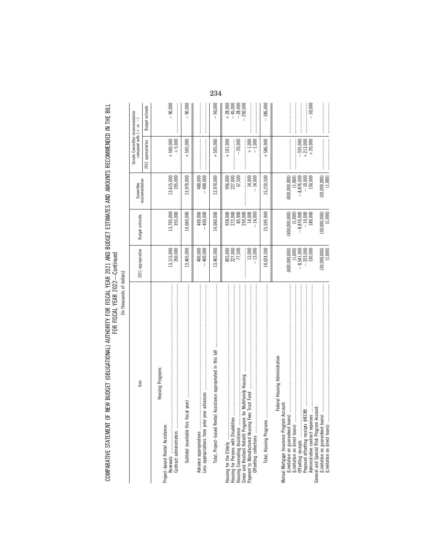[In thousands of dollars] [In thousands of dollars]

| Item                                                                                                                                                                                                               | 2021 appropriation                                                                                 | <b>Budget estimate</b>                                                                    | recommendation<br>Committee                                                    | Senate Committee recommendation<br>compared with $(+$ or $ )$ |                                                       |
|--------------------------------------------------------------------------------------------------------------------------------------------------------------------------------------------------------------------|----------------------------------------------------------------------------------------------------|-------------------------------------------------------------------------------------------|--------------------------------------------------------------------------------|---------------------------------------------------------------|-------------------------------------------------------|
|                                                                                                                                                                                                                    |                                                                                                    |                                                                                           |                                                                                | 2021 appropriation                                            | Budget estimate                                       |
| Housing Programs<br>Project-based Rental Assistance:                                                                                                                                                               | 13,115,000                                                                                         | 13,705,000                                                                                | 13,615,000                                                                     | $+500,000$                                                    | $-90,000$                                             |
| <b>医子宫 医阿尔伯氏氏 医阿尔伯氏试验检尿道 医阿尔伯氏试验检尿道 医阿尔伯氏试验检尿道 医阿尔伯氏试验检尿道检尿道检尿道检尿道检尿道检尿道检尿道检尿道检尿道检尿道检尿道检尿道检尿道</b>                                                                                                                  | 350,000                                                                                            | 355,000                                                                                   | 355,000                                                                        | $+5,000$                                                      |                                                       |
|                                                                                                                                                                                                                    | 13,465,000                                                                                         | 14,060,000                                                                                | 13,970,000                                                                     | $+505,000$                                                    | 90,000                                                |
| Advance appropriations<br>Less appropriations from prior y                                                                                                                                                         | $-400,000$<br>$-400,000$                                                                           | 400,000<br>400,000                                                                        | $-400,000$<br>400,000                                                          |                                                               |                                                       |
| Total, Project-based Rental Assistance appropriated in this bill                                                                                                                                                   | 13,465,000                                                                                         | 14,060,000                                                                                | 13,970,000                                                                     | $+505,000$                                                    | 90,000                                                |
| for Multifamily Housing www.www.www.www.www.www.www.www.ww<br>Housing for Persons with Disabilities<br>Housing Counseling Assistance<br>Green and Resilient Retrofit Program<br>Payment to Manufactured Housing Fe | 855,000<br>227,000<br>77,500<br>$\frac{1}{2}$                                                      | $\begin{array}{l} 928,000 \\ 272,000 \\ 85,900 \\ 85,000 \\ 14,000 \end{array}$           | 956,000<br>227,000<br>57,500<br>14,000                                         | $+1,000$<br>$-1,000$<br>$-20,000$<br>$+101,000$               | $+ 28,000$<br>$+ 45,000$<br>$- 28,400$<br>$- 250,000$ |
|                                                                                                                                                                                                                    | $13,000$<br>$13,000$                                                                               | $-14,000$                                                                                 | $-14,000$                                                                      |                                                               |                                                       |
| Total, Housing Programs                                                                                                                                                                                            | 14,624,500                                                                                         | 15,595,900                                                                                | 15,210,500                                                                     | $+586,000$                                                    | $-385,400$                                            |
| Federal Housing Administration<br>Account:<br>General and Special Risk Program Account:<br>(Limitation on guaranteed loans)<br>(Limitation on direct loans)<br>Mutual Mortgage Insurance Program                   | $(30,000,000)$<br>$(1,000)$<br>(400,000,000)<br>$-8,541,000$<br>$-223,000$<br>$130,000$<br>(1,000) | $(400,000,000) \ (1,000) \ -8,876,000 \ -10,000 \ 180,000$<br>$(30,000,000)$<br>$(1,000)$ | $(30,000,000)$<br>$(1,000)$<br>(400,000,000)<br>$-8,876,000\n-10,000\n-10,000$ | $-335,000$<br>$+213,000$<br>$+20,000$                         | $-30,000$                                             |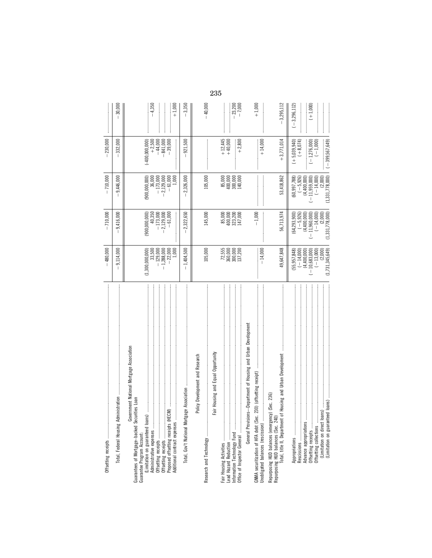|                                                                                                                                                                                                                                                                                                                                                                                                                                                                                                                                                                                                                                                                                                                         | $-480,000$                                                                                       | $-710,000$                                                                                                        | $-710,000$                                                                                                 | $-230,000$                                                                       |                                |
|-------------------------------------------------------------------------------------------------------------------------------------------------------------------------------------------------------------------------------------------------------------------------------------------------------------------------------------------------------------------------------------------------------------------------------------------------------------------------------------------------------------------------------------------------------------------------------------------------------------------------------------------------------------------------------------------------------------------------|--------------------------------------------------------------------------------------------------|-------------------------------------------------------------------------------------------------------------------|------------------------------------------------------------------------------------------------------------|----------------------------------------------------------------------------------|--------------------------------|
| istration<br>Total, Federal Housing Admini                                                                                                                                                                                                                                                                                                                                                                                                                                                                                                                                                                                                                                                                              | 9,114,000                                                                                        | 9,416,000<br>T                                                                                                    | 9.446,000                                                                                                  | 332,000                                                                          | 30,000                         |
| nment National Mortgage Association<br>Guarantees of Mortgage-backed Securities Loan<br>Additional contract expenses<br>Govern<br>Guarantee Program Account:                                                                                                                                                                                                                                                                                                                                                                                                                                                                                                                                                            | $-1,288,000$<br>$-22,000$<br>$-129,000$<br>1,000<br>(1,300,000,000)<br>33,500                    | $-173,000$<br>$-2,129,000$<br>(900,000,000)<br>40,350<br>$-61,000$                                                | $-173,000$<br>$-2,129,000$<br>$-61,000$<br>1,000<br>(900,000,000)<br>36,000                                | $-841,000$<br>$-39,000$<br>$(-400,000,000)$<br>$+2,500$<br>$-44,000$             | $-4,350$<br>$+1,000$           |
|                                                                                                                                                                                                                                                                                                                                                                                                                                                                                                                                                                                                                                                                                                                         | $-1,404,500$                                                                                     | $-2,322,650$                                                                                                      | 2,326,000                                                                                                  | 921,500                                                                          | $-3,350$                       |
| Housing and Equal Opportunity<br>Policy Development and Research<br>Fair                                                                                                                                                                                                                                                                                                                                                                                                                                                                                                                                                                                                                                                | 105,000                                                                                          | 145,000                                                                                                           | 105,000                                                                                                    |                                                                                  | $-40,000$                      |
|                                                                                                                                                                                                                                                                                                                                                                                                                                                                                                                                                                                                                                                                                                                         | 72,555<br>360,000<br>300,000<br>137,200                                                          | 85,000<br>400,000<br>323,200<br>147,000                                                                           | $\begin{array}{c} 85,000\\ 400,000\\ 300,000\\ 140,000 \end{array}$                                        | $+12,445$<br>+40,000<br>$+2,800$                                                 | $-23,200$<br>$-7,000$          |
| General Provisions--Department of Housing and Urban Development<br>GNMA securitization of HFA debt (Sec. 23<br>Unobligated balances (rescission)                                                                                                                                                                                                                                                                                                                                                                                                                                                                                                                                                                        | $-14,000$                                                                                        | $-1,000$                                                                                                          |                                                                                                            | $+14,000$                                                                        | $+1,000$                       |
| $\label{def:1} \begin{minipage}{0.9\textwidth} \begin{minipage}{0.9\textwidth} \centering \begin{minipage}{0.9\textwidth} \centering \end{minipage} \begin{minipage}{0.9\textwidth} \centering \begin{minipage}{0.9\textwidth} \centering \end{minipage} \begin{minipage}{0.9\textwidth} \centering \end{minipage} \begin{minipage}{0.9\textwidth} \centering \begin{minipage}{0.9\textwidth} \centering \end{minipage} \begin{minipage}{0.9\textwidth} \centering \end{minipage} \begin{minipage}{0.9\textwidth} \centering \end{minipage} \begin{min$<br>Housing and Urban Development<br>(Sec. 236)<br>Repurposing HUD balances (emergency)<br>Total, title II, Department of<br>Repurposing HUD balances (Sec. 240) | 49,647,848                                                                                       | 56,713,974                                                                                                        | 53,418,862                                                                                                 | $+3,771,014$                                                                     | 3,295,112                      |
| Advance appropriations<br>(Limitation on direct loans)<br>Limitation on guaranteed                                                                                                                                                                                                                                                                                                                                                                                                                                                                                                                                                                                                                                      | (1, 731, 345, 649)<br>(55,957,848)<br>$-10,683,000$<br>$(-13,000)$<br>$(-14,000)$<br>(4,400,000) | (1, 331, 778, 000)<br>(64, 293, 900)<br>$(-5, 926)$<br>$(4,400,000)$<br>$(-11,960,000)$<br>$(-14,000)$<br>(2,000) | (1,331,778,000)<br>(60, 997, 788)<br>$(-5, 926)$<br>(4,400,000)<br>$-11,959,000$<br>$(-14,000)$<br>(2,000) | $(-399,567,649)$<br>$(+5,039,940)$<br>$(+8,074)$<br>$(-1,000)$<br>$(-1,276,000)$ | $(+1,000)$<br>$(-3, 296, 112)$ |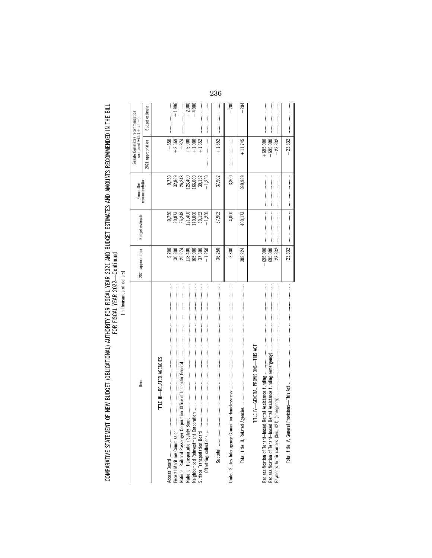| ş<br>٦ |
|--------|
| ۶<br>5 |
| ì<br>ĺ |
|        |

| tem                                  | 2021 appropriation                   | Budget estimate                                                                                                                                                                                                                                                                                                                                                                                                                                                                                | Committee      | Senate Committee recommendation<br>compared with $(+ or -)$ |                                                                                                                                                                                                                                                                                                                                                                                                                                                                                 |
|--------------------------------------|--------------------------------------|------------------------------------------------------------------------------------------------------------------------------------------------------------------------------------------------------------------------------------------------------------------------------------------------------------------------------------------------------------------------------------------------------------------------------------------------------------------------------------------------|----------------|-------------------------------------------------------------|---------------------------------------------------------------------------------------------------------------------------------------------------------------------------------------------------------------------------------------------------------------------------------------------------------------------------------------------------------------------------------------------------------------------------------------------------------------------------------|
|                                      |                                      |                                                                                                                                                                                                                                                                                                                                                                                                                                                                                                | recommendation | 2021 appropriation                                          | Budget estimate                                                                                                                                                                                                                                                                                                                                                                                                                                                                 |
| TITLE III-RELATED AGENCIES           |                                      |                                                                                                                                                                                                                                                                                                                                                                                                                                                                                                |                |                                                             |                                                                                                                                                                                                                                                                                                                                                                                                                                                                                 |
|                                      |                                      | 9,750                                                                                                                                                                                                                                                                                                                                                                                                                                                                                          | 9,750          | $+550$                                                      |                                                                                                                                                                                                                                                                                                                                                                                                                                                                                 |
| Federal Maritime Commission          |                                      |                                                                                                                                                                                                                                                                                                                                                                                                                                                                                                | 32,869         | $+2,569$                                                    | $+1,996$                                                                                                                                                                                                                                                                                                                                                                                                                                                                        |
|                                      |                                      |                                                                                                                                                                                                                                                                                                                                                                                                                                                                                                | 26,248         |                                                             |                                                                                                                                                                                                                                                                                                                                                                                                                                                                                 |
|                                      | 9,200<br>30,300<br>25,274<br>118,400 | 30,873<br>26,248<br>170,000<br>170,000<br>39,152                                                                                                                                                                                                                                                                                                                                                                                                                                               | 123,400        | $+974$<br>+5,000                                            | $+2,000$<br>$-4,000$                                                                                                                                                                                                                                                                                                                                                                                                                                                            |
|                                      | 165,000                              |                                                                                                                                                                                                                                                                                                                                                                                                                                                                                                | 166,000        | $+1,000$                                                    |                                                                                                                                                                                                                                                                                                                                                                                                                                                                                 |
|                                      | 37,500                               |                                                                                                                                                                                                                                                                                                                                                                                                                                                                                                | 39,152         | $+1,652$                                                    |                                                                                                                                                                                                                                                                                                                                                                                                                                                                                 |
|                                      | $-1,250$                             | $-1,250$                                                                                                                                                                                                                                                                                                                                                                                                                                                                                       | $-1,250$       |                                                             |                                                                                                                                                                                                                                                                                                                                                                                                                                                                                 |
|                                      | 36,250                               | 37,902                                                                                                                                                                                                                                                                                                                                                                                                                                                                                         | 37,902         | $+1,652$                                                    |                                                                                                                                                                                                                                                                                                                                                                                                                                                                                 |
| United States Interagency Council on | 3,800                                | 4,000                                                                                                                                                                                                                                                                                                                                                                                                                                                                                          | 3,800          |                                                             | $-200$                                                                                                                                                                                                                                                                                                                                                                                                                                                                          |
|                                      | 388,224                              | 400,173                                                                                                                                                                                                                                                                                                                                                                                                                                                                                        | 399,969        | $+11.745$                                                   | $-204$                                                                                                                                                                                                                                                                                                                                                                                                                                                                          |
| TITLE IV-GENERAL PROVISIONS-THIS ACT |                                      |                                                                                                                                                                                                                                                                                                                                                                                                                                                                                                |                |                                                             |                                                                                                                                                                                                                                                                                                                                                                                                                                                                                 |
| Payments to air carriers (Sec. 421)  | $-695,000$<br>695,000<br>23,332      |                                                                                                                                                                                                                                                                                                                                                                                                                                                                                                |                | $+695,000$<br>$-695,000$<br>$-23,332$                       |                                                                                                                                                                                                                                                                                                                                                                                                                                                                                 |
|                                      | 23,332                               | $\label{def:1} \begin{split} \mathcal{L}_{\mathcal{A}}(\mathcal{A}) = \mathcal{L}_{\mathcal{A}}(\mathcal{A}) = \mathcal{L}_{\mathcal{A}}(\mathcal{A}) = \mathcal{L}_{\mathcal{A}}(\mathcal{A}) = \mathcal{L}_{\mathcal{A}}(\mathcal{A}) = \mathcal{L}_{\mathcal{A}}(\mathcal{A}) = \mathcal{L}_{\mathcal{A}}(\mathcal{A}) = \mathcal{L}_{\mathcal{A}}(\mathcal{A}) = \mathcal{L}_{\mathcal{A}}(\mathcal{A}) = \mathcal{L}_{\mathcal{A}}(\mathcal{A}) = \mathcal{L}_{\mathcal{A}}(\mathcal{A})$ |                | $-23,332$                                                   | $\label{def:1} \begin{array}{lllllllllllllllllllllll} \multicolumn{3}{l}{} & \multicolumn{3}{l}{} & \multicolumn{3}{l}{} & \multicolumn{3}{l}{} & \multicolumn{3}{l}{} & \multicolumn{3}{l}{} & \multicolumn{3}{l}{} & \multicolumn{3}{l}{} & \multicolumn{3}{l}{} & \multicolumn{3}{l}{} & \multicolumn{3}{l}{} & \multicolumn{3}{l}{} & \multicolumn{3}{l}{} & \multicolumn{3}{l}{} & \multicolumn{3}{l}{} & \multicolumn{3}{l}{} & \multicolumn{3}{l}{} & \multicolumn{3}{l$ |